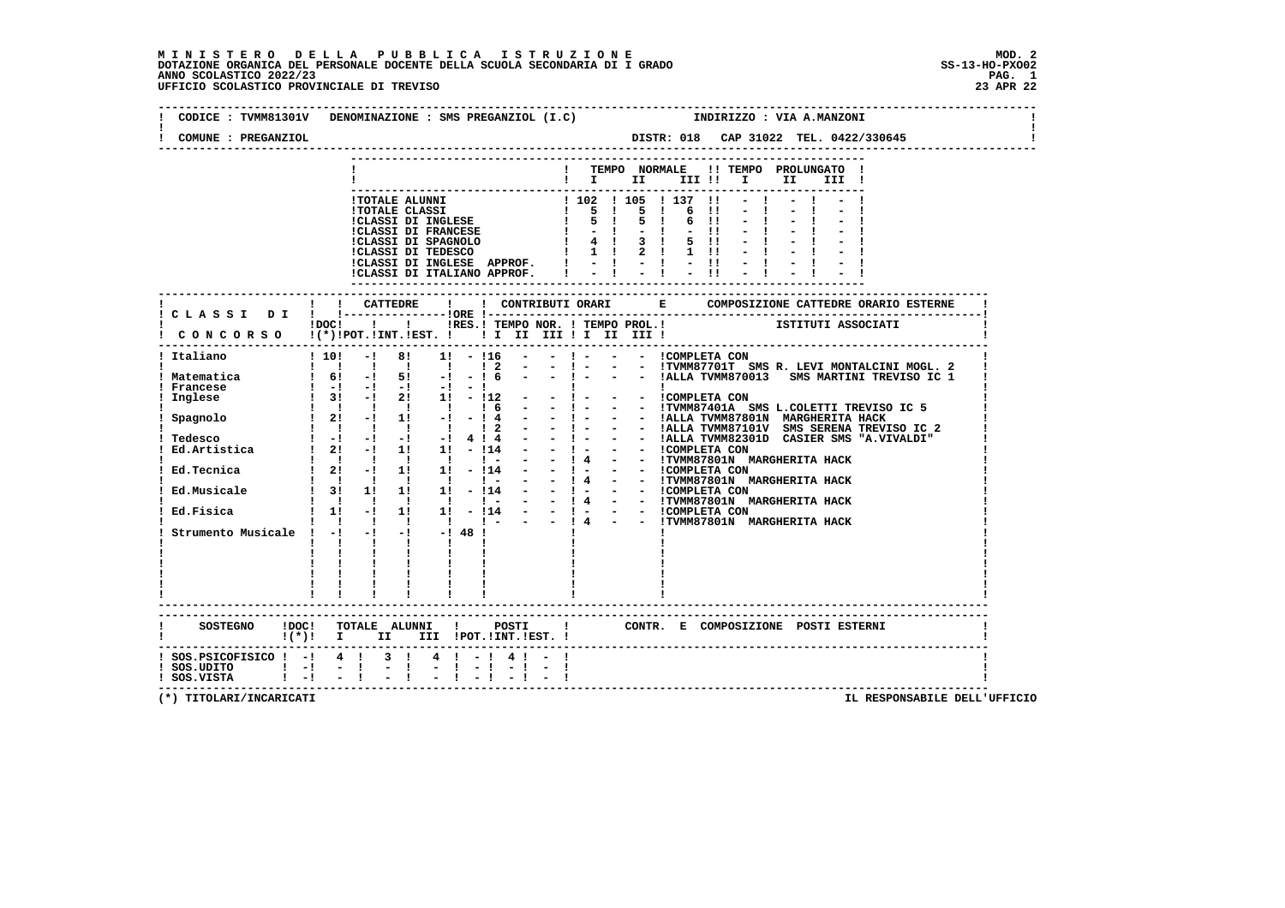| CODICE : TVMM81301V DENOMINAZIONE : SMS PREGANZIOL (I.C) |                                 |                                                                                                                                                                                                                                                                                                                     |                                                  |              |                |                                                                                   |                                         |                |      |                                                                                                                   |                          |                               | INDIRIZZO : VIA A.MANZONI                                                                                |       |                                                                                                                                  |  |
|----------------------------------------------------------|---------------------------------|---------------------------------------------------------------------------------------------------------------------------------------------------------------------------------------------------------------------------------------------------------------------------------------------------------------------|--------------------------------------------------|--------------|----------------|-----------------------------------------------------------------------------------|-----------------------------------------|----------------|------|-------------------------------------------------------------------------------------------------------------------|--------------------------|-------------------------------|----------------------------------------------------------------------------------------------------------|-------|----------------------------------------------------------------------------------------------------------------------------------|--|
| COMUNE : PREGANZIOL                                      |                                 |                                                                                                                                                                                                                                                                                                                     |                                                  |              |                |                                                                                   |                                         |                |      |                                                                                                                   |                          |                               |                                                                                                          |       | DISTR: 018 CAP 31022 TEL. 0422/330645                                                                                            |  |
|                                                          |                                 |                                                                                                                                                                                                                                                                                                                     |                                                  |              |                |                                                                                   |                                         |                |      |                                                                                                                   |                          |                               |                                                                                                          |       |                                                                                                                                  |  |
|                                                          |                                 |                                                                                                                                                                                                                                                                                                                     |                                                  |              |                |                                                                                   | $\mathbf{I}$ is the set of $\mathbf{I}$ |                |      | ! TEMPO NORMALE                                                                                                   | III !!                   | $\mathbf{I}$ and $\mathbf{I}$ | !! TEMPO PROLUNGATO !<br>II                                                                              | III ! |                                                                                                                                  |  |
|                                                          |                                 |                                                                                                                                                                                                                                                                                                                     |                                                  |              |                |                                                                                   |                                         |                |      |                                                                                                                   |                          |                               |                                                                                                          |       |                                                                                                                                  |  |
|                                                          |                                 |                                                                                                                                                                                                                                                                                                                     | !TOTALE ALUNNI                                   |              |                |                                                                                   |                                         |                |      | ! 102 ! 105 ! 137 !!                                                                                              |                          |                               |                                                                                                          |       |                                                                                                                                  |  |
|                                                          |                                 |                                                                                                                                                                                                                                                                                                                     | <b>!TOTALE CLASSI</b>                            |              |                |                                                                                   |                                         |                |      | 1 5 1 5 1 6                                                                                                       | $\overline{\phantom{a}}$ |                               |                                                                                                          |       |                                                                                                                                  |  |
|                                                          |                                 |                                                                                                                                                                                                                                                                                                                     | !CLASSI DI INGLESE<br><b>!CLASSI DI FRANCESE</b> |              |                |                                                                                   | $1 - -1$                                | 5 <sub>1</sub> | $-1$ |                                                                                                                   | $6 \quad 11$<br>$-11$    |                               |                                                                                                          |       |                                                                                                                                  |  |
|                                                          |                                 |                                                                                                                                                                                                                                                                                                                     | !CLASSI DI SPAGNOLO                              |              |                |                                                                                   |                                         |                |      |                                                                                                                   | $5 \quad 11$             |                               |                                                                                                          |       |                                                                                                                                  |  |
|                                                          |                                 |                                                                                                                                                                                                                                                                                                                     | CLASSI DI TEDESCO                                |              |                | $\begin{array}{ccccccccc}\n & 1 & 4 & 1 & 3 & 1 \\  & 1 & 1 & 2 & 1\n\end{array}$ |                                         |                |      | 1 1 1 2 1 1 11                                                                                                    |                          |                               |                                                                                                          |       |                                                                                                                                  |  |
|                                                          |                                 |                                                                                                                                                                                                                                                                                                                     |                                                  |              |                |                                                                                   |                                         |                |      | !CLASSI DI INGLESE APPROF. $  \cdot   \cdot   \cdot  $ - ! - !!                                                   |                          |                               |                                                                                                          |       |                                                                                                                                  |  |
|                                                          |                                 |                                                                                                                                                                                                                                                                                                                     |                                                  |              |                |                                                                                   |                                         |                |      | ICLASSI DI ITALIANO APPROF. $\begin{array}{cccc} \vdots & \vdots & \vdots & \vdots & \vdots & \vdots \end{array}$ |                          |                               |                                                                                                          |       |                                                                                                                                  |  |
|                                                          |                                 |                                                                                                                                                                                                                                                                                                                     |                                                  |              |                |                                                                                   |                                         |                |      |                                                                                                                   |                          |                               |                                                                                                          |       |                                                                                                                                  |  |
|                                                          |                                 |                                                                                                                                                                                                                                                                                                                     |                                                  |              |                |                                                                                   |                                         |                |      |                                                                                                                   |                          |                               |                                                                                                          |       |                                                                                                                                  |  |
|                                                          |                                 |                                                                                                                                                                                                                                                                                                                     |                                                  |              |                |                                                                                   |                                         |                |      |                                                                                                                   |                          |                               |                                                                                                          |       | : :-----------<br>DOC! !! IRES.I TEMPO NOR. ! TEMPO PROL.! ISTITUTI ASSOCIATI                                                    |  |
| CONCORSO !(*)!POT.!INT.!EST. ! ! I II III ! II III !     |                                 |                                                                                                                                                                                                                                                                                                                     |                                                  |              |                |                                                                                   |                                         |                |      |                                                                                                                   |                          |                               |                                                                                                          |       |                                                                                                                                  |  |
| Italiano                                                 |                                 | $1 10!$ -1 8! 1! - 116                                                                                                                                                                                                                                                                                              |                                                  |              |                |                                                                                   |                                         |                |      |                                                                                                                   |                          |                               |                                                                                                          |       |                                                                                                                                  |  |
|                                                          |                                 |                                                                                                                                                                                                                                                                                                                     |                                                  |              |                |                                                                                   |                                         |                |      |                                                                                                                   |                          |                               |                                                                                                          |       | !!!!!!!!!? --!--- !TVMM87701T SMS R. LEVI MONTALCINI MOGL.2<br>! 6! -! 5! -!-!6 --!--- !ALLA TVMM870013 SMS MARTINI TREVISO IC 1 |  |
| ! Matematica                                             |                                 |                                                                                                                                                                                                                                                                                                                     |                                                  |              |                |                                                                                   |                                         |                |      |                                                                                                                   |                          |                               |                                                                                                          |       |                                                                                                                                  |  |
| ! Francese<br>Inglese                                    |                                 | $1 -1 -1 -1 -1 -1 -1$<br>1 31 -1 21 11 - 112                                                                                                                                                                                                                                                                        |                                                  |              |                |                                                                                   | <b>The Common</b>                       |                |      | $\blacksquare$<br>$-$ ! $  -$ !COMPLETA CON                                                                       |                          |                               |                                                                                                          |       |                                                                                                                                  |  |
|                                                          |                                 | $\begin{array}{cccccccccccccc} 1 & 1 & 1 & 1 & 1 & 1 & 1 \end{array}$                                                                                                                                                                                                                                               |                                                  |              | 1 <sub>6</sub> |                                                                                   |                                         |                |      |                                                                                                                   |                          |                               |                                                                                                          |       | - ! - - - ITVMM87401A SMS L.COLETTI TREVISO IC 5                                                                                 |  |
| Spagnolo                                                 |                                 | $\frac{1}{2!}$ -1 1! -1                                                                                                                                                                                                                                                                                             |                                                  |              |                |                                                                                   |                                         |                |      |                                                                                                                   |                          |                               |                                                                                                          |       |                                                                                                                                  |  |
|                                                          |                                 |                                                                                                                                                                                                                                                                                                                     |                                                  |              |                |                                                                                   |                                         |                |      |                                                                                                                   |                          |                               |                                                                                                          |       |                                                                                                                                  |  |
| Tedesco<br>Ed.Artistica                                  |                                 |                                                                                                                                                                                                                                                                                                                     |                                                  |              |                |                                                                                   |                                         |                |      |                                                                                                                   |                          |                               |                                                                                                          |       |                                                                                                                                  |  |
|                                                          |                                 |                                                                                                                                                                                                                                                                                                                     |                                                  |              |                | $ -$                                                                              |                                         |                |      |                                                                                                                   |                          |                               |                                                                                                          |       |                                                                                                                                  |  |
| Ed.Tecnica                                               |                                 | $\begin{array}{cccccccc}\n1 & 1 & 1 & 1 & 1 & 1 & 1 \\ 1 & 2 & -1 & 1 & 1 & 1 & -114\n\end{array}$                                                                                                                                                                                                                  |                                                  |              |                |                                                                                   |                                         |                |      |                                                                                                                   |                          |                               | - 14 - - ITVMM87801N MARGHERITA HACK<br>- ! - - - ICOMPLETA CON<br>- ! 4 - - ITVMM87801N MARGHERITA HACK |       |                                                                                                                                  |  |
|                                                          |                                 |                                                                                                                                                                                                                                                                                                                     |                                                  |              |                | $\sim$ 100 $\mu$                                                                  |                                         |                |      |                                                                                                                   |                          |                               |                                                                                                          |       |                                                                                                                                  |  |
| Ed.Musicale                                              |                                 | $\frac{1}{1}$ $\frac{1}{3}$ $\frac{1}{1}$ $\frac{1}{1}$ $\frac{1}{1}$ $\frac{1}{1}$ $\frac{1}{1}$ $\frac{1}{1}$ $\frac{1}{1}$ $\frac{1}{1}$ $\frac{1}{1}$ $\frac{1}{1}$ $\frac{1}{1}$ $\frac{1}{1}$ $\frac{1}{1}$ $\frac{1}{1}$ $\frac{1}{1}$ $\frac{1}{1}$ $\frac{1}{1}$ $\frac{1}{1}$ $\frac{1}{1}$ $\frac{1}{1}$ |                                                  |              |                |                                                                                   |                                         |                |      |                                                                                                                   |                          |                               |                                                                                                          |       |                                                                                                                                  |  |
|                                                          |                                 |                                                                                                                                                                                                                                                                                                                     |                                                  |              |                |                                                                                   |                                         |                |      |                                                                                                                   |                          |                               |                                                                                                          |       |                                                                                                                                  |  |
| Ed.Fisica                                                |                                 |                                                                                                                                                                                                                                                                                                                     |                                                  |              |                |                                                                                   |                                         |                |      |                                                                                                                   |                          |                               |                                                                                                          |       |                                                                                                                                  |  |
| Strumento Musicale ! $-!$ $-!$ $-!$ $-!$ $-!$ $48$ !     |                                 |                                                                                                                                                                                                                                                                                                                     |                                                  |              |                |                                                                                   |                                         |                |      |                                                                                                                   |                          |                               |                                                                                                          |       |                                                                                                                                  |  |
|                                                          |                                 | <b>The Common</b>                                                                                                                                                                                                                                                                                                   | $\mathbf{I}$                                     | $\mathbf{I}$ |                |                                                                                   |                                         |                |      |                                                                                                                   |                          |                               |                                                                                                          |       |                                                                                                                                  |  |
|                                                          |                                 |                                                                                                                                                                                                                                                                                                                     |                                                  |              |                |                                                                                   |                                         |                |      |                                                                                                                   |                          |                               |                                                                                                          |       |                                                                                                                                  |  |
|                                                          |                                 |                                                                                                                                                                                                                                                                                                                     |                                                  |              |                |                                                                                   |                                         |                |      |                                                                                                                   |                          |                               |                                                                                                          |       |                                                                                                                                  |  |
|                                                          |                                 |                                                                                                                                                                                                                                                                                                                     |                                                  |              |                |                                                                                   |                                         |                |      |                                                                                                                   |                          |                               |                                                                                                          |       |                                                                                                                                  |  |
|                                                          |                                 |                                                                                                                                                                                                                                                                                                                     |                                                  |              |                |                                                                                   |                                         |                |      |                                                                                                                   |                          |                               |                                                                                                          |       |                                                                                                                                  |  |
|                                                          |                                 | $\begin{tabular}{ c c c c c } \hline $1$ & $1$ & $1$ & $1$ & $1$ \\ \hline $1$ & $1$ & $1$ & $1$ & $1$ \\ \hline \end{tabular}$                                                                                                                                                                                     |                                                  |              |                |                                                                                   |                                         |                |      |                                                                                                                   |                          |                               |                                                                                                          |       |                                                                                                                                  |  |
|                                                          |                                 |                                                                                                                                                                                                                                                                                                                     |                                                  |              |                |                                                                                   |                                         |                |      |                                                                                                                   |                          |                               |                                                                                                          |       |                                                                                                                                  |  |
| <b>SOSTEGNO</b>                                          | $\mathbf{I}(\star)\mathbf{I}$ I | !DOC! TOTALE ALUNNI !                                                                                                                                                                                                                                                                                               | II III !POT.!INT.!EST. !                         |              | POSTI          |                                                                                   |                                         |                |      |                                                                                                                   |                          |                               | ! CONTR. E COMPOSIZIONE POSTI ESTERNI                                                                    |       |                                                                                                                                  |  |
| $:$ SOS.PSICOFISICO $:$ - $:$ 4 $:$ 3 $:$                |                                 |                                                                                                                                                                                                                                                                                                                     |                                                  |              |                |                                                                                   |                                         |                |      |                                                                                                                   |                          |                               |                                                                                                          |       |                                                                                                                                  |  |
|                                                          |                                 |                                                                                                                                                                                                                                                                                                                     |                                                  | $-1 - 1$     | $4! - 14! - 1$ | $-1 - 1$                                                                          |                                         |                |      |                                                                                                                   |                          |                               |                                                                                                          |       |                                                                                                                                  |  |
| ! SOS.UDITO ! -! - !<br>! SOS.VISTA ! -! - !             |                                 |                                                                                                                                                                                                                                                                                                                     | $\frac{1}{2}$ $\frac{1}{1}$                      |              |                |                                                                                   |                                         |                |      |                                                                                                                   |                          |                               |                                                                                                          |       |                                                                                                                                  |  |
|                                                          |                                 |                                                                                                                                                                                                                                                                                                                     |                                                  |              |                |                                                                                   |                                         |                |      |                                                                                                                   |                          |                               |                                                                                                          |       |                                                                                                                                  |  |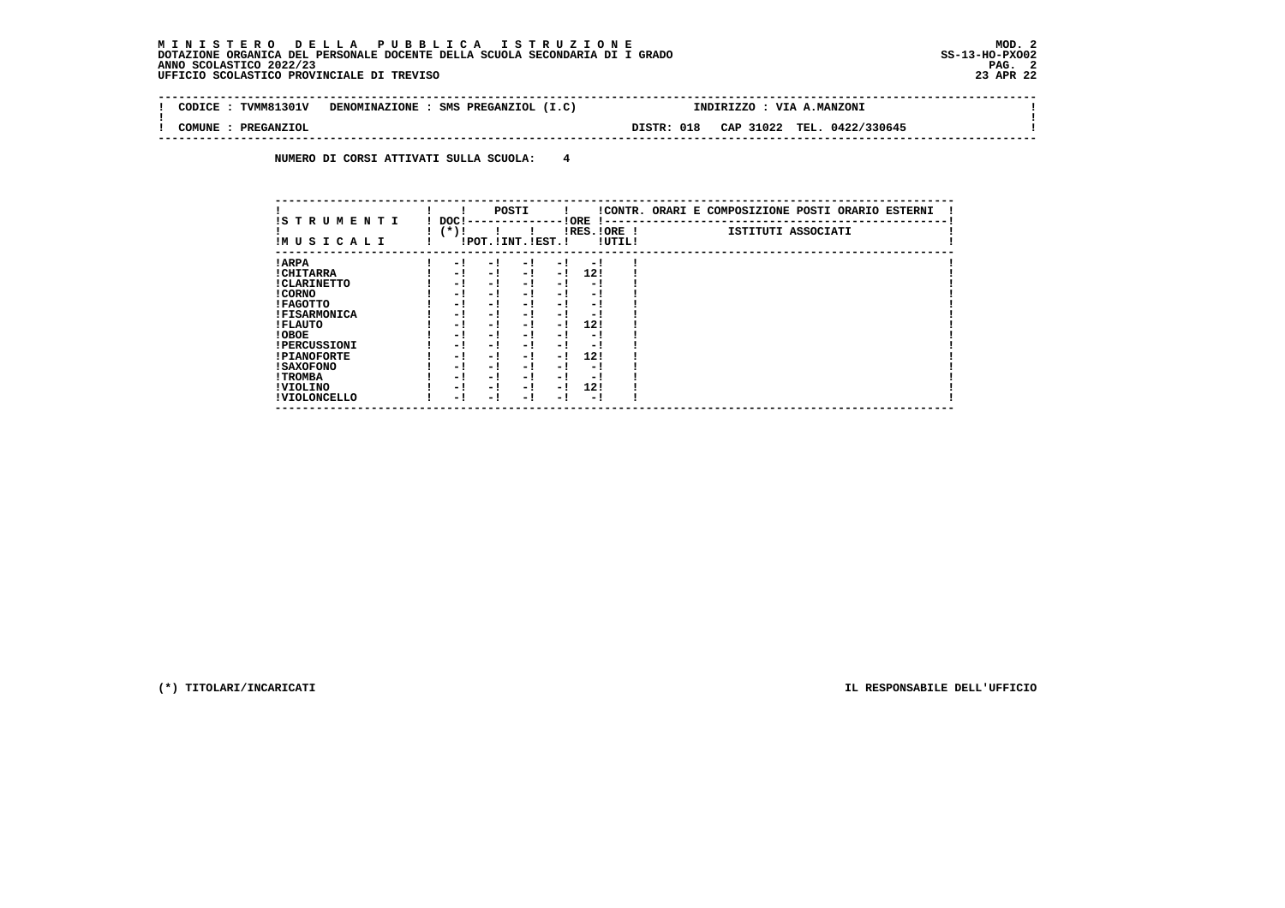$\sim$ 

 $\mathbf{I}$ 

 **--------------------------------------------------------------------------------------------------------------------------------! CODICE : TVMM81301V DENOMINAZIONE : SMS PREGANZIOL (I.C) ! ! ! COMUNE : PREGANZIOL DISTR: 018 CAP 31022 TEL. 0422/330645 ! --------------------------------------------------------------------------------------------------------------------------------**

 **NUMERO DI CORSI ATTIVATI SULLA SCUOLA: 4**

| IS TRUMENTI         | DOC! |                       | POSTI |      | ! ORE                   |        | !CONTR. ORARI E COMPOSIZIONE POSTI ORARIO ESTERNI |
|---------------------|------|-----------------------|-------|------|-------------------------|--------|---------------------------------------------------|
| IMUSICALI           | (*)! | !POT. ! INT. ! EST. ! |       |      | -1 - -<br>$IRES.IORE$ ! | !UTIL! | ISTITUTI ASSOCIATI                                |
| ! ARPA              | - 1  | - 1                   | - 1   | - 1  | - 1                     |        |                                                   |
| ! CHITARRA          | - 1  | - !                   | $-1$  | $-1$ | 12!                     |        |                                                   |
| ! CLARINETTO        | - 1  | - !                   | - 1   | - 1  | - 1                     |        |                                                   |
| ! CORNO             | - 1  | - !                   | - 1   | - !  | - 1                     |        |                                                   |
| ! FAGOTTO           | - 1  | - !                   | - 1   | $-1$ | - 1                     |        |                                                   |
| <b>!FISARMONICA</b> | - 1  | - !                   | - 1   | - 1  | - 1                     |        |                                                   |
| ! FLAUTO            | - 1  | - !                   | - 1   | - 1  | 12!                     |        |                                                   |
| ! OBOE              | - 1  | - !                   | - 1   | - 1  | - 1                     |        |                                                   |
| <b>!PERCUSSIONI</b> | - 1  | - 1                   | - 1   | - 1  | - 1                     |        |                                                   |
| <b>!PIANOFORTE</b>  | - 1  | - !                   | - 1   | $-1$ | 12!                     |        |                                                   |
| ! SAXOFONO          | - 1  | - 1                   | - !   | - 1  | - 1                     |        |                                                   |
| ! TROMBA            | - 1  | - 1                   | - 1   | - 1  | - 1                     |        |                                                   |
| ! VIOLINO           | - 1  | - 1                   | - 1   | $-1$ | 12!                     |        |                                                   |
| ! VIOLONCELLO       | - 1  | - 1                   | - 1   | - 1  | - 1                     |        |                                                   |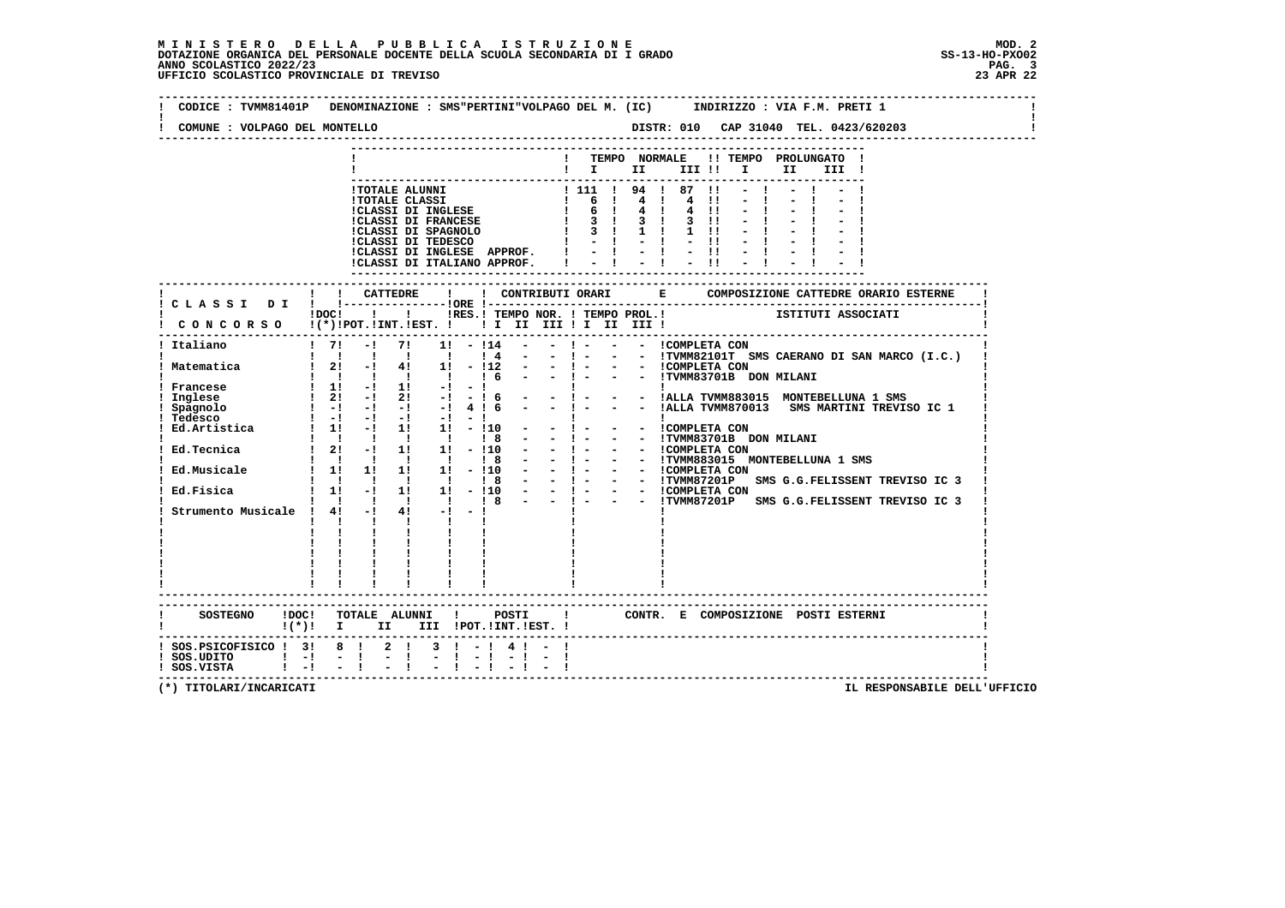|                                                                                                                        | $1DOCI$ $1$<br>$1 \quad 71$<br>$-!$ 7!<br>1 1 1 1 1                                                                                                                                                                                                                                                                                                                | !CLASSI DI INGLESE APPROF. !<br>!CLASSI DI ITALIANO APPROF. !<br>I IRES. I TEMPO NOR. I TEMPO PROL. I TEMPO NOR. I TEMPO PROL. I<br>1! - 114<br>$\sim$ 100 $\mu$                                                                                                                                                                                                      |                                                                               | $-1$ | $-1$ $-1$ $-11$ $-1$<br>$\sim$ 1.0 $\%$<br>$-11$ | ! TEMPO NORMALE !! TEMPO PROLUNGATO !<br>!!! II II!!!! II II!!                                                                                        |                                                                                                                                                                                                             |
|------------------------------------------------------------------------------------------------------------------------|--------------------------------------------------------------------------------------------------------------------------------------------------------------------------------------------------------------------------------------------------------------------------------------------------------------------------------------------------------------------|-----------------------------------------------------------------------------------------------------------------------------------------------------------------------------------------------------------------------------------------------------------------------------------------------------------------------------------------------------------------------|-------------------------------------------------------------------------------|------|--------------------------------------------------|-------------------------------------------------------------------------------------------------------------------------------------------------------|-------------------------------------------------------------------------------------------------------------------------------------------------------------------------------------------------------------|
|                                                                                                                        |                                                                                                                                                                                                                                                                                                                                                                    |                                                                                                                                                                                                                                                                                                                                                                       |                                                                               |      |                                                  |                                                                                                                                                       |                                                                                                                                                                                                             |
|                                                                                                                        |                                                                                                                                                                                                                                                                                                                                                                    |                                                                                                                                                                                                                                                                                                                                                                       |                                                                               |      |                                                  |                                                                                                                                                       |                                                                                                                                                                                                             |
|                                                                                                                        |                                                                                                                                                                                                                                                                                                                                                                    |                                                                                                                                                                                                                                                                                                                                                                       |                                                                               |      |                                                  |                                                                                                                                                       |                                                                                                                                                                                                             |
| ! Italiano<br>! Matematica<br>Francese<br>Inglese<br>Spagnolo                                                          |                                                                                                                                                                                                                                                                                                                                                                    |                                                                                                                                                                                                                                                                                                                                                                       |                                                                               |      |                                                  |                                                                                                                                                       |                                                                                                                                                                                                             |
|                                                                                                                        |                                                                                                                                                                                                                                                                                                                                                                    |                                                                                                                                                                                                                                                                                                                                                                       |                                                                               |      |                                                  |                                                                                                                                                       |                                                                                                                                                                                                             |
|                                                                                                                        | $1 \quad 2! \quad -! \quad 4! \quad 1! \quad -!12$                                                                                                                                                                                                                                                                                                                 | $14 -$<br>$16 -$                                                                                                                                                                                                                                                                                                                                                      |                                                                               |      |                                                  | - - 1 - - - ICOMPLETA CON<br>- - 1 - - - ITVMM83701B DON MILANI                                                                                       |                                                                                                                                                                                                             |
| Tedesco<br>Ed. Artistica 1 1! -! 1! 1! -! 10 -<br>Ed.Tecnica<br>Ed.Musicale<br>Ed.Fisica<br>Strumento Musicale ! 4! -! | $1 \t1 \t-1 \t1 \t-1$<br>$12! - 12! - 1 - 16$<br>$\begin{array}{ccccccccc} ! & & ! & & ! & & ! & & 1 & 8 \\ 1 & 11 & & -1 & & 11 & & 11 & - & 110 \\ \end{array}$<br>$\frac{1}{1}$ 11 $\frac{1}{1}$<br>$\mathbf{I}$ $\mathbf{I}$ $\mathbf{I}$<br>$\mathbf{I}$ $\mathbf{I}$<br>п.<br>$\mathbf{I}$ and $\mathbf{I}$<br>$\mathbf{I}$ and $\mathbf{I}$<br>$\mathbf{I}$ | $! -! -! -! -! -! 4!6 - -! -$<br>$\mathbf{1}$ and $\mathbf{1}$ and $\mathbf{1}$ and $\mathbf{1}$ and $\mathbf{1}$<br>$\begin{array}{cccccccc} 1 & 1 & 1 & 1 & 1 & 1 & 8 & - \\ 1 & 21 & -1 & 11 & 11 & -110 & - \end{array}$<br>$\sim$ 100 $\mu$<br>$\frac{1}{4!}$ $\frac{1}{-1}$ $\frac{1}{-1}$ 8<br>$\mathbf{I}$ and $\mathbf{I}$ and $\mathbf{I}$ and $\mathbf{I}$ | $-1 - 1$<br>$\mathbf{I}$ and $\mathbf{I}$<br>$-1$ $-$<br>$-1 - 1$<br>$-1 - 1$ |      | $\mathbf{I}$<br>- - ICOMPLETA CON                | :<br>! - - - !ALLA TVMM883015 MONTEBELLUNA 1 SMS<br>- - !TVMM83701B DON MILANI<br>- ! - - - ICOMPLETA CON<br>- ! - - - ITVMM883015 MONTEBELLUNA 1 SMS | - - !ALLA TVMM870013 SMS MARTINI TREVISO IC 1<br>-  - - - ICOMPLETA CON<br>-  - - - ITVMM87201P SMS G.G.FELISSENT TREVISO IC 3<br>- ! - - - ICOMPLETA CON<br>- - !TVMM87201P SMS G.G.FELISSENT TREVISO IC 3 |
| ! SOS.PSICOFISICO ! 3! 8 ! 2 !                                                                                         | $\frac{1}{2}=\frac{1}{2}=\frac{1}{2}=\frac{1}{2}=\frac{1}{2}$ .                                                                                                                                                                                                                                                                                                    | !(*)! I II III !POT.!INT.!EST.!<br>$3 \mid -14 \mid -1$                                                                                                                                                                                                                                                                                                               |                                                                               |      |                                                  |                                                                                                                                                       |                                                                                                                                                                                                             |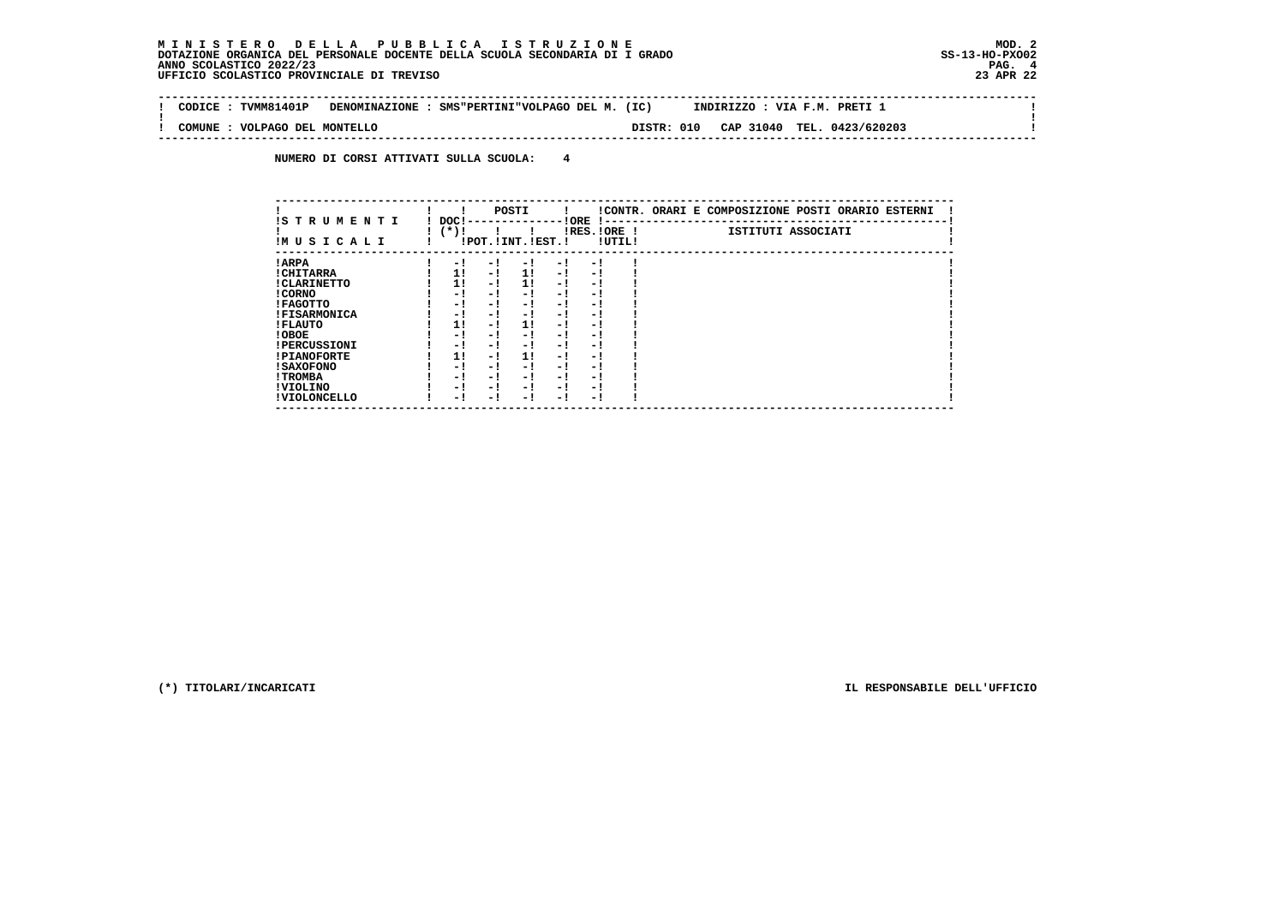$\sim$ 

 $\mathbf{I}$ 

 **-------------------------------------------------------------------------------------------------------------------------------- ! CODICE : TVMM81401P DENOMINAZIONE : SMS"PERTINI"VOLPAGO DEL M. (IC) INDIRIZZO : VIA F.M. PRETI 1 ! ! ! ! COMUNE : VOLPAGO DEL MONTELLO DISTR: 010 CAP 31040 TEL. 0423/620203 ! --------------------------------------------------------------------------------------------------------------------------------**

 **NUMERO DI CORSI ATTIVATI SULLA SCUOLA: 4**

| IS TRUMENTI         | DOC! |     | POSTI                 |      | ! ORE       |        | !CONTR. ORARI E COMPOSIZIONE POSTI ORARIO ESTERNI |
|---------------------|------|-----|-----------------------|------|-------------|--------|---------------------------------------------------|
| IMUSICALI           | (*)! |     | !POT. ! INT. ! EST. ! |      | IRES.IORE ! | !UTIL! | ISTITUTI ASSOCIATI                                |
| ! ARPA              | - 1  | - 1 | - !                   | $-1$ | - 1         |        |                                                   |
| ! CHITARRA          | 11   | - ! | 11                    | $-1$ | - 1         |        |                                                   |
| ! CLARINETTO        | 1!   | - 1 | 11                    | - 1  | - 1         |        |                                                   |
| ! CORNO             | - 1  | - 1 | - 1                   | - 1  | - 1         |        |                                                   |
| ! FAGOTTO           | - 1  | - 1 | - 1                   | - 1  | - 1         |        |                                                   |
| <b>!FISARMONICA</b> | - 1  | - 1 | - 1                   | - 1  | - 1         |        |                                                   |
| ! FLAUTO            | 11   | - ! | 11                    | - !  | - 1         |        |                                                   |
| ! OBOE              | - 1  | - ! | - 1                   | $-1$ | - 1         |        |                                                   |
| <b>!PERCUSSIONI</b> | - !  | - 1 | - 1                   | - 1  | - 1         |        |                                                   |
| <b>!PIANOFORTE</b>  | 1!   | - 1 | 11                    | - 1  | - 1         |        |                                                   |
| <b>! SAXOFONO</b>   | - !  | - 1 | - 1                   | - 1  | - 1         |        |                                                   |
| ! TROMBA            | - 1  | - 1 | - 1                   | - 1  | - 1         |        |                                                   |
| ! VIOLINO           | - 1  | - 1 | - 1                   | $-1$ | - 1         |        |                                                   |
| ! VIOLONCELLO       | - !  | - 1 | - 1                   | - 1  | - 1         |        |                                                   |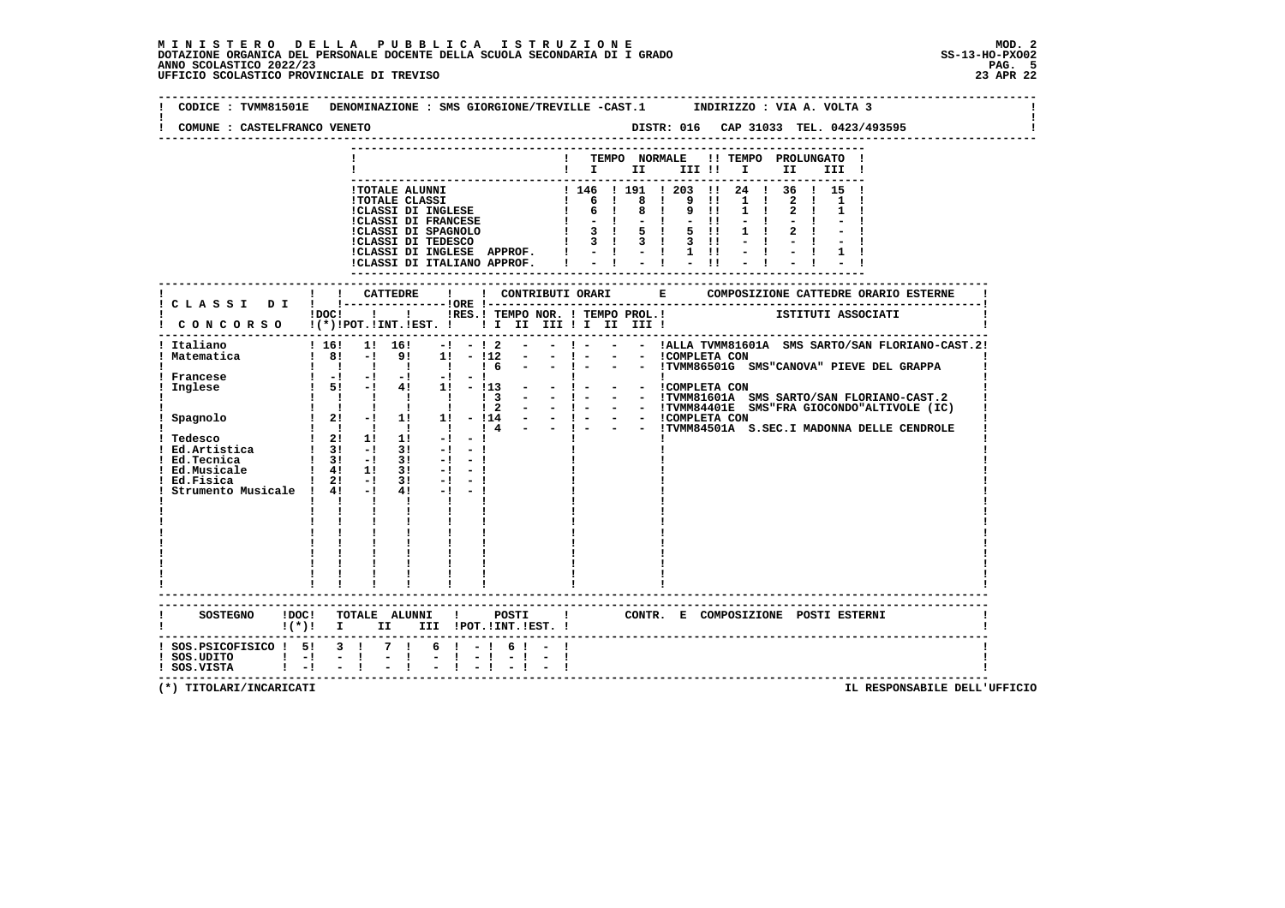| TEMPO NORMALE<br>!! TEMPO PROLUNGATO !<br>$\blacksquare$ $\blacksquare$ $\blacksquare$ $\blacksquare$ $\blacksquare$ $\blacksquare$ $\blacksquare$ $\blacksquare$ $\blacksquare$ $\blacksquare$<br>III !<br>1 146 1 191 1 203 11 24 1 36 1 15 1<br><b>!TOTALE ALUNNI</b><br>1 6 1 8 1 9 11<br>1 6 1 8 1 9 11<br>$1 \quad 1$<br><b>!TOTALE CLASSI</b><br>$1 \quad 1$<br>!CLASSI DI INGLESE<br>!CLASSI DI FRANCESE<br>$1 \quad 1$<br>!CLASSI DI INGLESE APPROF.<br>$\frac{1}{2}$ $\frac{1}{2}$ $\frac{1}{2}$ $\frac{1}{2}$ $\frac{1}{2}$ $\frac{1}{2}$<br>!CLASSI DI ITALIANO APPROF.<br>---------------------<br>----------<br>$1\,\mathrm{DOC}$ $1\,\mathrm{ol}$<br>!RES.! TEMPO NOR. ! TEMPO PROL.! [STITUTI ASSOCIATI<br>! - - - !ALLA TVMM81601A SMS SARTO/SAN FLORIANO-CAST.2!<br>! 16! 1! 16!<br>$-!$ $ !$ 2<br>- - ICOMPLETA CON<br>- - ITVMM86501G SMS"CANOVA" PIEVE DEL GRAPPA<br>$1 \t81 - 1 \t91$<br>$-1 - 1$<br>$1! - 112$<br>$\sim$<br>$\begin{array}{ccccccccccccc}\n1 & 1 & 1 & 1\n\end{array}$<br>$\frac{1}{6}$<br>$\begin{bmatrix} 1 & -1 & -1 & -1 & -1 & -1 & -1 \end{bmatrix}$<br>- - - - - ----------<br>- - ! - - - ICOMPLETA CON<br>- - ! - - - ITVMM81601A SMS SARTO/SAN FLORIANO-CAST.2<br>$1 \t5!$ -1 41 11 - 113<br>$\begin{array}{cccccccccccccc} 1 & 1 & 1 & 1 & 1 & 1 & 1 \end{array}$<br>$\frac{1}{3}$<br>$\pm$ 4 - - $\pm$ - - $\pm$ TVMM84501A S.SEC.I MADONNA DELLE CENDROLE<br>$1 \quad 1 \quad 1 \quad 1 \quad 1$<br>$1 \quad 2! \quad 1! \quad 1!$<br>$-1$<br>$-1$<br>$-1$<br>$-1$<br>$\frac{1}{3!}$ -1 31<br>$-1$<br>! 4! 1! 3!<br>$1 \t2! -1$<br>3!<br>$-1 - 1$<br>4!<br>$-1$ $-1$<br>$\mathbf{I}$<br>$\mathbf{I}$<br>$\mathbf{I}$<br>$\mathbf{I}$<br>$\mathbf{I}$ and $\mathbf{I}$<br>$\mathbf{I}$<br>CONTR. E COMPOSIZIONE POSTI ESTERNI<br>! (*)! I II III !POT.!INT.!EST.! | COMUNE : CASTELFRANCO VENETO |  |  |  |  |  |  |  |
|----------------------------------------------------------------------------------------------------------------------------------------------------------------------------------------------------------------------------------------------------------------------------------------------------------------------------------------------------------------------------------------------------------------------------------------------------------------------------------------------------------------------------------------------------------------------------------------------------------------------------------------------------------------------------------------------------------------------------------------------------------------------------------------------------------------------------------------------------------------------------------------------------------------------------------------------------------------------------------------------------------------------------------------------------------------------------------------------------------------------------------------------------------------------------------------------------------------------------------------------------------------------------------------------------------------------------------------------------------------------------------------------------------------------------------------------------------------------------------------------------------------------------------------------------------------------------------------------------------------------------------------------------------------------------------------------------------------------------------------------------------------------------------------------------------------------|------------------------------|--|--|--|--|--|--|--|
|                                                                                                                                                                                                                                                                                                                                                                                                                                                                                                                                                                                                                                                                                                                                                                                                                                                                                                                                                                                                                                                                                                                                                                                                                                                                                                                                                                                                                                                                                                                                                                                                                                                                                                                                                                                                                      |                              |  |  |  |  |  |  |  |
| CONCORSO !(*)!POT.!INT.!EST. ! ! I III III II III II<br>Italiano<br>Matematica<br>Francese<br>Inglese<br>! Ed.Tecnica<br>Ed.Musicale<br>Ed.Fisica<br>Strumento Musicale ! 4! -!                                                                                                                                                                                                                                                                                                                                                                                                                                                                                                                                                                                                                                                                                                                                                                                                                                                                                                                                                                                                                                                                                                                                                                                                                                                                                                                                                                                                                                                                                                                                                                                                                                      |                              |  |  |  |  |  |  |  |
|                                                                                                                                                                                                                                                                                                                                                                                                                                                                                                                                                                                                                                                                                                                                                                                                                                                                                                                                                                                                                                                                                                                                                                                                                                                                                                                                                                                                                                                                                                                                                                                                                                                                                                                                                                                                                      |                              |  |  |  |  |  |  |  |
|                                                                                                                                                                                                                                                                                                                                                                                                                                                                                                                                                                                                                                                                                                                                                                                                                                                                                                                                                                                                                                                                                                                                                                                                                                                                                                                                                                                                                                                                                                                                                                                                                                                                                                                                                                                                                      |                              |  |  |  |  |  |  |  |
|                                                                                                                                                                                                                                                                                                                                                                                                                                                                                                                                                                                                                                                                                                                                                                                                                                                                                                                                                                                                                                                                                                                                                                                                                                                                                                                                                                                                                                                                                                                                                                                                                                                                                                                                                                                                                      |                              |  |  |  |  |  |  |  |
|                                                                                                                                                                                                                                                                                                                                                                                                                                                                                                                                                                                                                                                                                                                                                                                                                                                                                                                                                                                                                                                                                                                                                                                                                                                                                                                                                                                                                                                                                                                                                                                                                                                                                                                                                                                                                      |                              |  |  |  |  |  |  |  |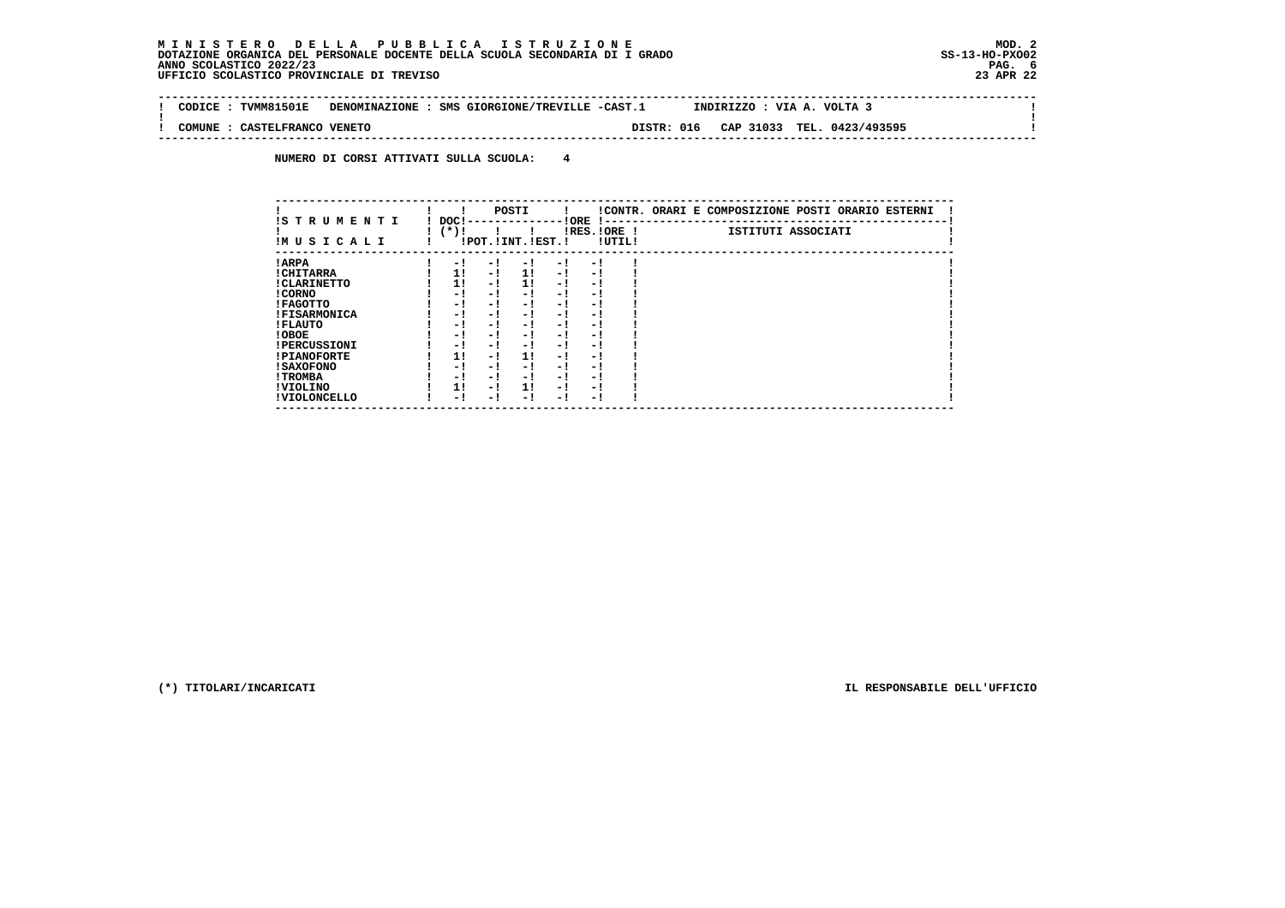$\sim$ 

 $\mathbf{I}$ 

 **-------------------------------------------------------------------------------------------------------------------------------- ! CODICE : TVMM81501E DENOMINAZIONE : SMS GIORGIONE/TREVILLE -CAST.1 INDIRIZZO : VIA A. VOLTA 3 ! ! ! ! COMUNE : CASTELFRANCO VENETO DISTR: 016 CAP 31033 TEL. 0423/493595 ! --------------------------------------------------------------------------------------------------------------------------------**

 **NUMERO DI CORSI ATTIVATI SULLA SCUOLA: 4**

| IS TRUMENTI         | DOC! |     | POSTI                 |      | ! ORE                  |        | !CONTR. ORARI E COMPOSIZIONE POSTI ORARIO ESTERNI |
|---------------------|------|-----|-----------------------|------|------------------------|--------|---------------------------------------------------|
| IM U S I C A L I    | (*)! |     | !POT. ! INT. ! EST. ! |      | $1 - -$<br>IRES.IORE ! | !UTIL! | ISTITUTI ASSOCIATI                                |
| ! ARPA              | - 1  | - 1 | - !                   | $-1$ | - !                    |        |                                                   |
| ! CHITARRA          | 1!   | - ! | 11                    | - !  | - 1                    |        |                                                   |
| ! CLARINETTO        | 1!   | - ! | 11                    | - 1  | - 1                    |        |                                                   |
| ! CORNO             | - 1  | - ! | - 1                   | - !  | - 1                    |        |                                                   |
| ! FAGOTTO           | - 1  | - ! | - 1                   | - 1  | - 1                    |        |                                                   |
| <b>!FISARMONICA</b> | - 1  | - ! | - !                   | - 1  | - 1                    |        |                                                   |
| ! FLAUTO            | - 1  | - 1 | - 1                   | - 1  | - 1                    |        |                                                   |
| ! OBOE              | - 1  | - ! | - 1                   | - 1  | - 1                    |        |                                                   |
| <b>!PERCUSSIONI</b> | - 1  | - ! | - 1                   | - 1  | - 1                    |        |                                                   |
| <b>!PIANOFORTE</b>  | 1!   | - ! | 11                    | - !  | - 1                    |        |                                                   |
| ! SAXOFONO          | - 1  | - ! | - 1                   | - 1  | - 1                    |        |                                                   |
| ! TROMBA            | - 1  | - ! | - !                   | - 1  | - 1                    |        |                                                   |
| ! VIOLINO           | 1!   | - ! | 1!                    | $-1$ | - 1                    |        |                                                   |
| ! VIOLONCELLO       | - 1  | - 1 | - 1                   | - !  | - 1                    |        |                                                   |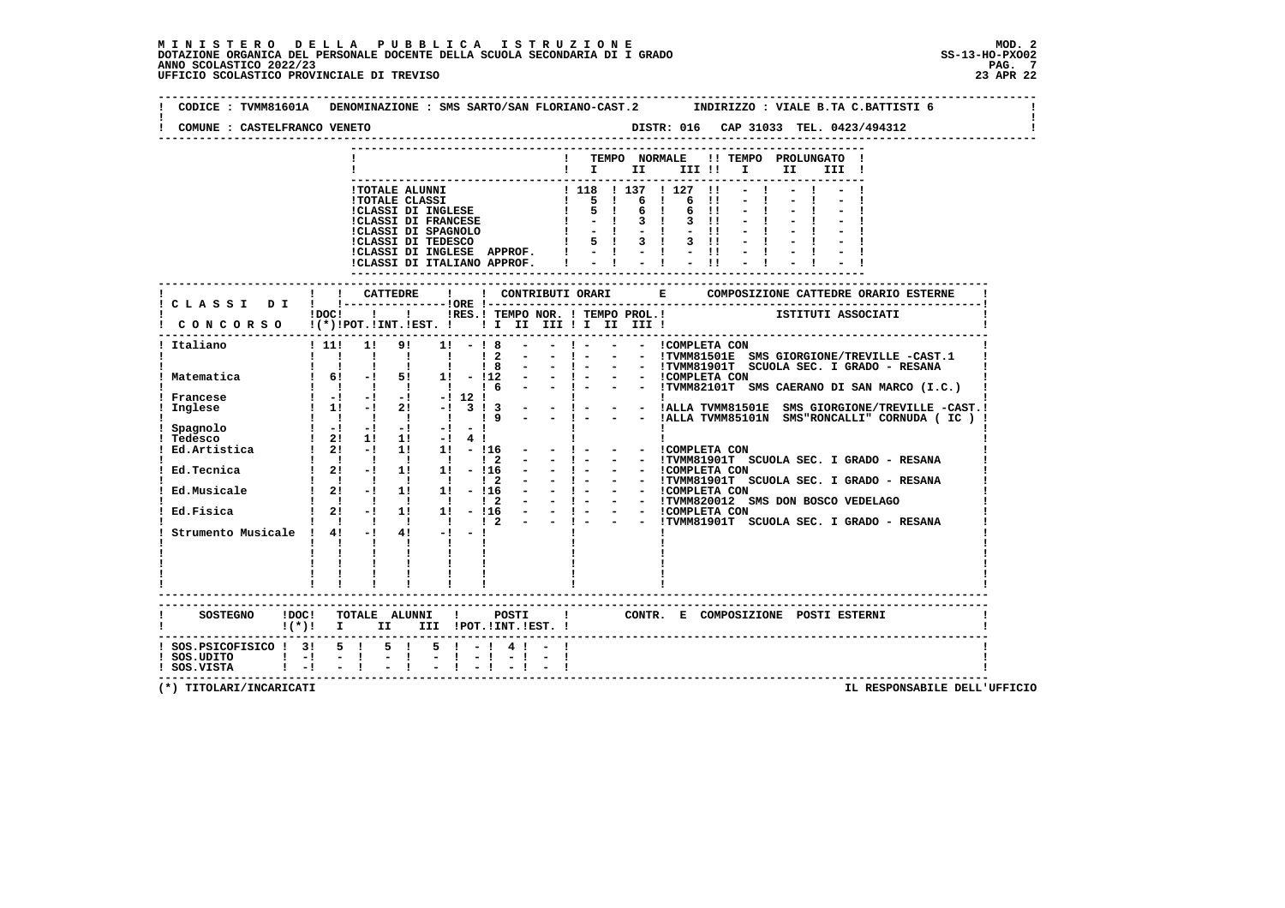| COMUNE : CASTELFRANCO VENETO                                                                                     |                               |                                                |                                                                                                                     |                  |              |  |                   |  |      |                                                |                                                                        |  |
|------------------------------------------------------------------------------------------------------------------|-------------------------------|------------------------------------------------|---------------------------------------------------------------------------------------------------------------------|------------------|--------------|--|-------------------|--|------|------------------------------------------------|------------------------------------------------------------------------|--|
|                                                                                                                  |                               |                                                |                                                                                                                     |                  |              |  |                   |  | II D | ! TEMPO NORMALE !! TEMPO PROLUNGATO !<br>III ! |                                                                        |  |
|                                                                                                                  |                               |                                                |                                                                                                                     |                  |              |  |                   |  |      |                                                |                                                                        |  |
|                                                                                                                  |                               |                                                |                                                                                                                     |                  |              |  |                   |  |      |                                                |                                                                        |  |
| CONCORSO !(*)!POT.!INT.!EST. ! ! I III III II III II                                                             |                               |                                                | IDOCI ! IRES.I TEMPO NOR. ! TEMPO PROL.! ISTITUTI ASSOCIATI                                                         |                  |              |  |                   |  |      |                                                |                                                                        |  |
| ---------------------------------<br>! Italiano                                                                  |                               |                                                | $1 11! 1! 9! 1! - 18 - - 1 - - - 1$ COMPLETA CON                                                                    |                  |              |  |                   |  |      |                                                | ! ! ! ! ! ! ! 2 - - ! - - - ITVMM81501E SMS GIORGIONE/TREVILLE -CAST.1 |  |
|                                                                                                                  |                               |                                                |                                                                                                                     |                  |              |  |                   |  |      |                                                |                                                                        |  |
| Francese<br>Inglese<br>Spagnolo<br>Tedesco<br>Ed.Artistica : $\overline{2!}$ -1 $\overline{1!}$ 11 - 116 - - 1 - |                               |                                                | $\frac{1}{2!}$ 2! 1! 1! -! 4!                                                                                       |                  | $\mathbf{I}$ |  | - - ICOMPLETA CON |  |      |                                                |                                                                        |  |
| Ed.Tecnica                                                                                                       |                               |                                                | $\begin{array}{ccccccccccccc}\n1 & 1 & 1 & 1 & 1 & 1 & 1 & 2 & - \\ 1 & 21 & -1 & 11 & 11 & -116 & - \n\end{array}$ |                  | $-1$ $-$     |  |                   |  |      |                                                | - - !TVMM81901T SCUOLA SEC. I GRADO - RESANA                           |  |
| Ed.Musicale<br>Ed.Fisica                                                                                         |                               |                                                |                                                                                                                     |                  |              |  |                   |  |      |                                                |                                                                        |  |
| Strumento Musicale ! $4!$ -! $4!$ -! -!                                                                          | $\mathbf{I}$ and $\mathbf{I}$ | $\mathbf{I}$ and $\mathbf{I}$ and $\mathbf{I}$ | $\mathbf{I}$ and $\mathbf{I}$ and $\mathbf{I}$<br>---------------------------                                       |                  |              |  |                   |  |      |                                                |                                                                        |  |
| $!(*)!$ I II III !POT.!INT.!EST. !                                                                               |                               |                                                |                                                                                                                     |                  |              |  |                   |  |      |                                                |                                                                        |  |
| ! SOS.PSICOFISICO ! 3! 5 ! 5 ! 5 ! - ! 4 ! - !<br>! SOS.UDITO ! -! - !<br>! SOS.VISTA ! -! - !                   |                               |                                                | $-1$                                                                                                                | $-1 - 1 - 1 - 1$ |              |  |                   |  |      |                                                |                                                                        |  |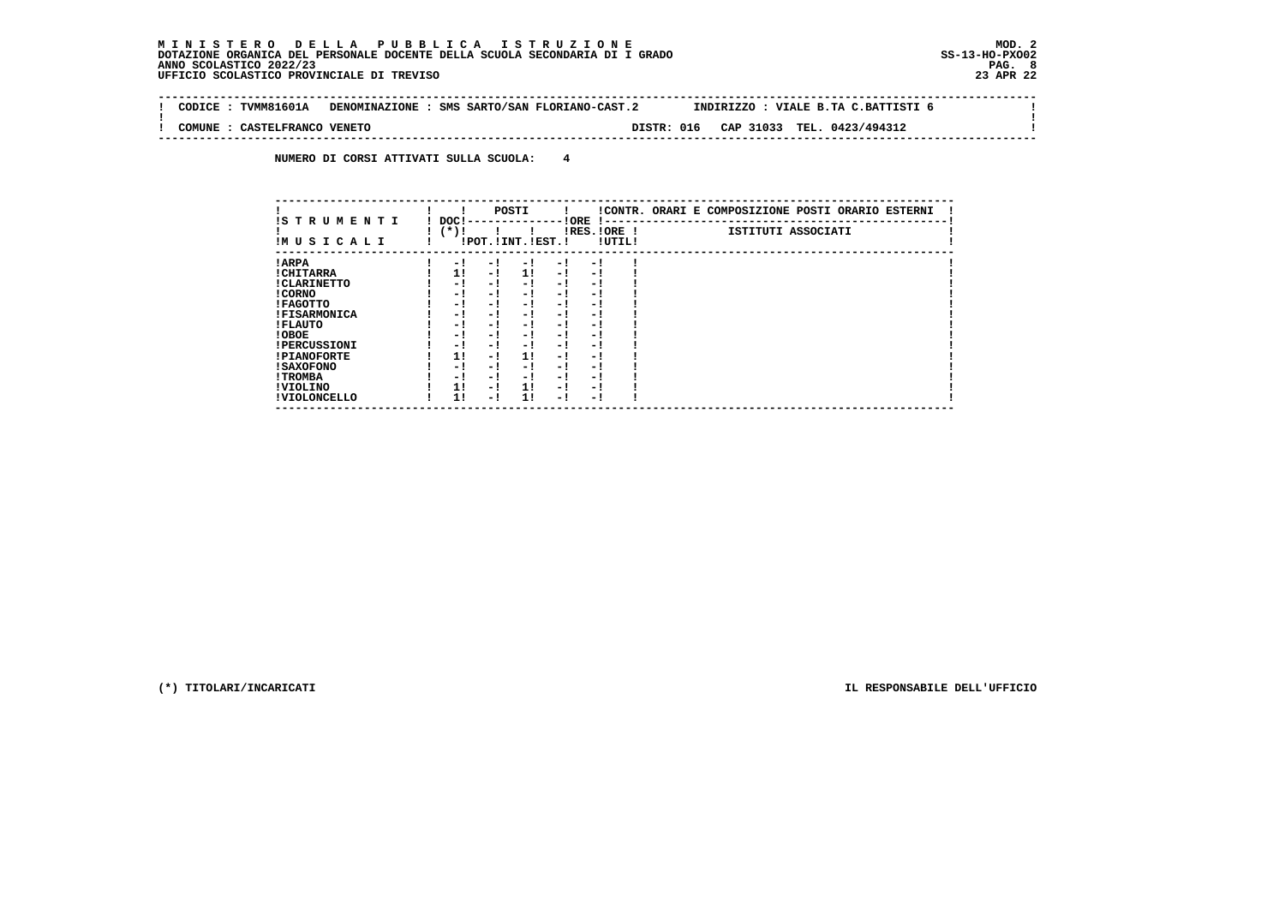**Contract Contract** 

 $\mathbf{I}$ 

 $\mathbf{I}$ 

 **-------------------------------------------------------------------------------------------------------------------------------- ! CODICE : TVMM81601A DENOMINAZIONE : SMS SARTO/SAN FLORIANO-CAST.2 INDIRIZZO : VIALE B.TA C.BATTISTI 6 ! ! ! ! COMUNE : CASTELFRANCO VENETO DISTR: 016 CAP 31033 TEL. 0423/494312 !**

 **--------------------------------------------------------------------------------------------------------------------------------**

 **NUMERO DI CORSI ATTIVATI SULLA SCUOLA: 4**

| IS T R U M E N T I  | DOC! |     | POSTI                 |     | ! ORE<br>.    |        | !CONTR. ORARI E COMPOSIZIONE POSTI ORARIO ESTERNI |
|---------------------|------|-----|-----------------------|-----|---------------|--------|---------------------------------------------------|
| IMUSICALI           | (*)! |     | !POT. ! INT. ! EST. ! |     | $IRES.IORE$ ! | !UTIL! | ISTITUTI ASSOCIATI                                |
| ! ARPA              | - 1  | - 1 | - 1                   | - 1 | - 1           |        |                                                   |
| ! CHITARRA          | 11   | - ! | 11                    | - ! | - 1           |        |                                                   |
| ! CLARINETTO        | - 1  | - 1 | - 1                   | - 1 | - 1           |        |                                                   |
| ! CORNO             | - 1  | - 1 | - !                   | - 1 | - 1           |        |                                                   |
| ! FAGOTTO           | - 1  | - 1 | - 1                   | - 1 | - 1           |        |                                                   |
| <b>!FISARMONICA</b> | - 1  | - ! | - 1                   | - 1 | - 1           |        |                                                   |
| ! FLAUTO            | - 1  | - 1 | - !                   | - 1 | - 1           |        |                                                   |
| ! OBOE              | - 1  | - 1 | - !                   | - 1 | - 1           |        |                                                   |
| <b>!PERCUSSIONI</b> | - 1  | - 1 | - 1                   | - 1 | - 1           |        |                                                   |
| <b>!PIANOFORTE</b>  | 1!   | - 1 | 11                    | - 1 | - 1           |        |                                                   |
| <b>! SAXOFONO</b>   | - 1  | - 1 | - !                   | - 1 | - 1           |        |                                                   |
| ! TROMBA            | - 1  | - 1 | - 1                   | - 1 | - 1           |        |                                                   |
| ! VIOLINO           | 1!   | - 1 | 11                    | - 1 | - 1           |        |                                                   |
| ! VIOLONCELLO       | 11   | - 1 | 11                    | - 1 | - 1           |        |                                                   |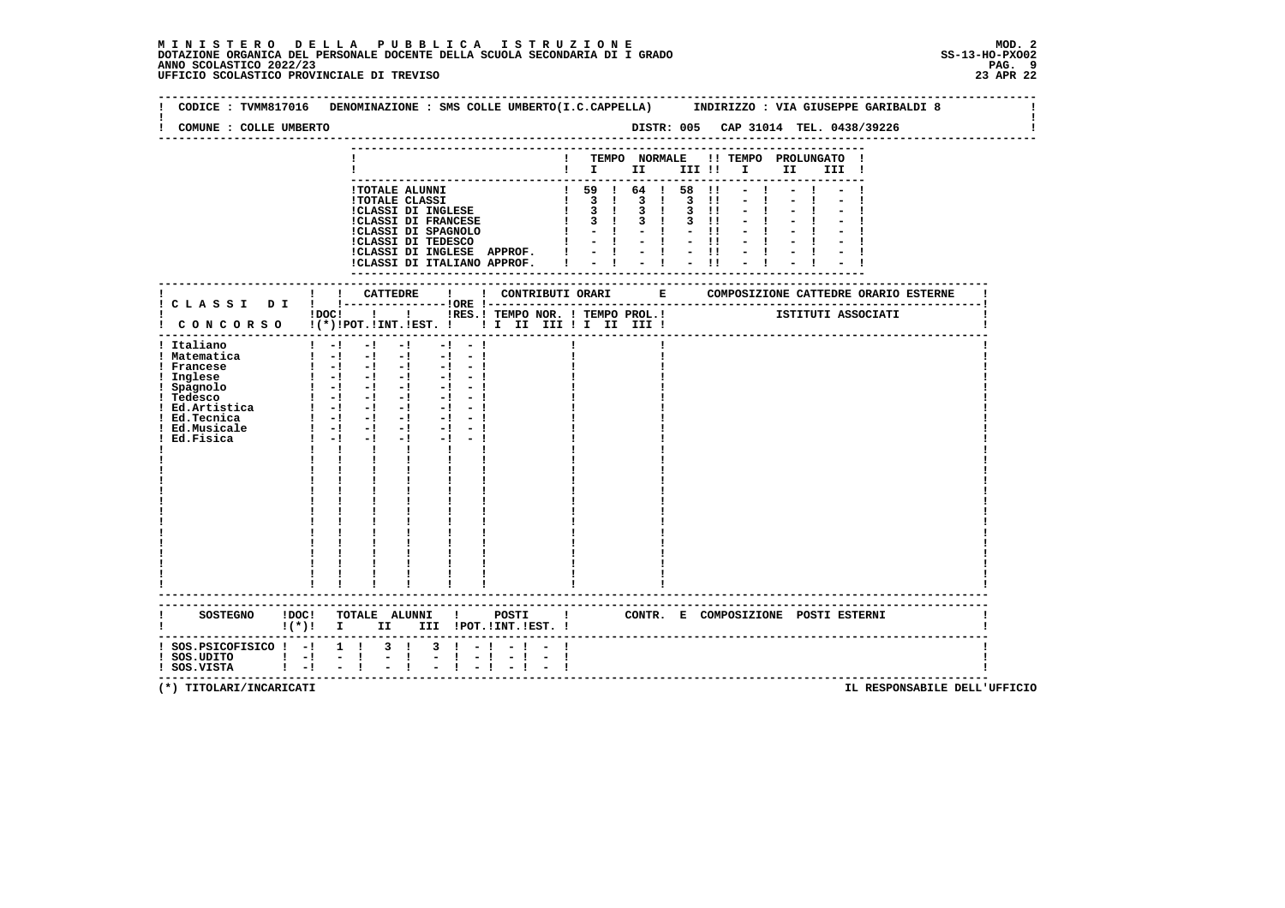$\mathbf{I}$ 

 **--------------------------------------------------------------------------------------------------------------------------------Contract Contract Contract Contract ! CODICE : TVMM817016 DENOMINAZIONE : SMS COLLE UMBERTO(I.C.CAPPELLA) INDIRIZZO : VIA GIUSEPPE GARIBALDI 8 ! ! ! ! COMUNE : COLLE UMBERTO DISTR: 005 CAP 31014 TEL. 0438/39226 ! -------------------------------------------------------------------------------------------------------------------------------- --------------------------------------------------------------------------- ! ! TEMPO NORMALE !! TEMPO PROLUNGATO ! ! ! I II III !! I II III ! --------------------------------------------------------------------------- !TOTALE ALUNNI ! 59 ! 64 ! 58 !! - ! - ! - ! !TOTALE CLASSI ! 3 ! 3 ! 3 !! - ! - ! - ! !CLASSI DI INGLESE ! 3 ! 3 ! 3 !! - ! - ! - ! !CLASSI DI FRANCESE ! 3 ! 3 ! 3 !! - ! - ! - ! !CLASSI DI SPAGNOLO ! - ! - ! - !! - ! - ! - ! !CLASSI DI TEDESCO ! - ! - ! - !! - ! - ! - ! !CLASSI DI INGLESE APPROF. ! - ! - ! - !! - ! - ! - ! !CLASSI DI ITALIANO APPROF. ! - ! - ! - !! - ! - ! - ! --------------------------------------------------------------------------- ------------------------------------------------------------------------------------------------------------------------- ! ! ! CATTEDRE ! ! CONTRIBUTI ORARI E COMPOSIZIONE CATTEDRE ORARIO ESTERNE ! ! C L A S S I D I ! !---------------!ORE !------------------------------------------------------------------------! ! ! ! ! ! IRES.! TEMPO NOR. ! TEMPO PROL.!** ISTITUTI ASSOCIATI  **! C O N C O R S O !(\*)!POT.!INT.!EST. ! ! I II III ! I II III ! ! ------------------------------------------------------------------------------------------------------------------------- ! Italiano ! -! -! -! -! - ! ! ! ! ! Matematica ! -! -! -! -! - ! ! ! ! ! Francese ! -! -! -! -! - ! ! ! ! ! Inglese ! -! -! -! -! - ! ! ! ! ! Spagnolo ! -! -! -! -! - ! ! ! ! ! Tedesco ! -! -! -! -! - ! ! ! ! ! Ed.Artistica ! -! -! -! -! - ! ! ! ! ! Ed.Tecnica ! -! -! -! -! - ! ! ! ! ! Ed.Musicale ! -! -! -! -! - ! ! ! ! ! Ed.Fisica**   $1 - 1 - 1 - 1 - 1 - 1 - 1$  **!**  $1 - 1 - 1 - 1 - 1 - 1$  **! ! ! ! ! ! ! ! ! ! ! ! ! ! ! ! ! ! ! ! ! ! ! ! ! ! ! ! ! ! ! ! ! ! ! ! ! ! ! ! ! ! ! ! ! ! ! ! ! ! ! ! ! ! ! ! ! ! ! ! ! ! ! ! ! ! ! ! ! ! ! ! ! ! ! ! ! ! ! ! ! ! ! ! ! ! ! ! ! ! ! ! ! ! ! ! ! ! ! ! ! ! ! ! ! ! ! ! ! ! ! ! ! ! ! ! ! ! ! ! ! ! ! ! ! ! ! ! ! ! ! ! ! ! ! ! ! ! ! ! ! ------------------------------------------------------------------------------------------------------------------------- ------------------------------------------------------------------------------------------------------------------------- ! SOSTEGNO !DOC! TOTALE ALUNNI ! POSTI ! CONTR. E COMPOSIZIONE POSTI ESTERNI ! ! !(\*)! I II III !POT.!INT.!EST. ! ! ------------------------------------------------------------------------------------------------------------------------- ! SOS.PSICOFISICO ! -! 1 ! 3 ! 3 ! - ! - ! - ! !** $\blacksquare$  **! SOS.UDITO ! -! - ! - ! - ! - ! - ! - ! ! ! SOS.VISTA ! -! - ! - ! - ! - ! - ! - ! !**- 1  **-------------------------------------------------------------------------------------------------------------------------**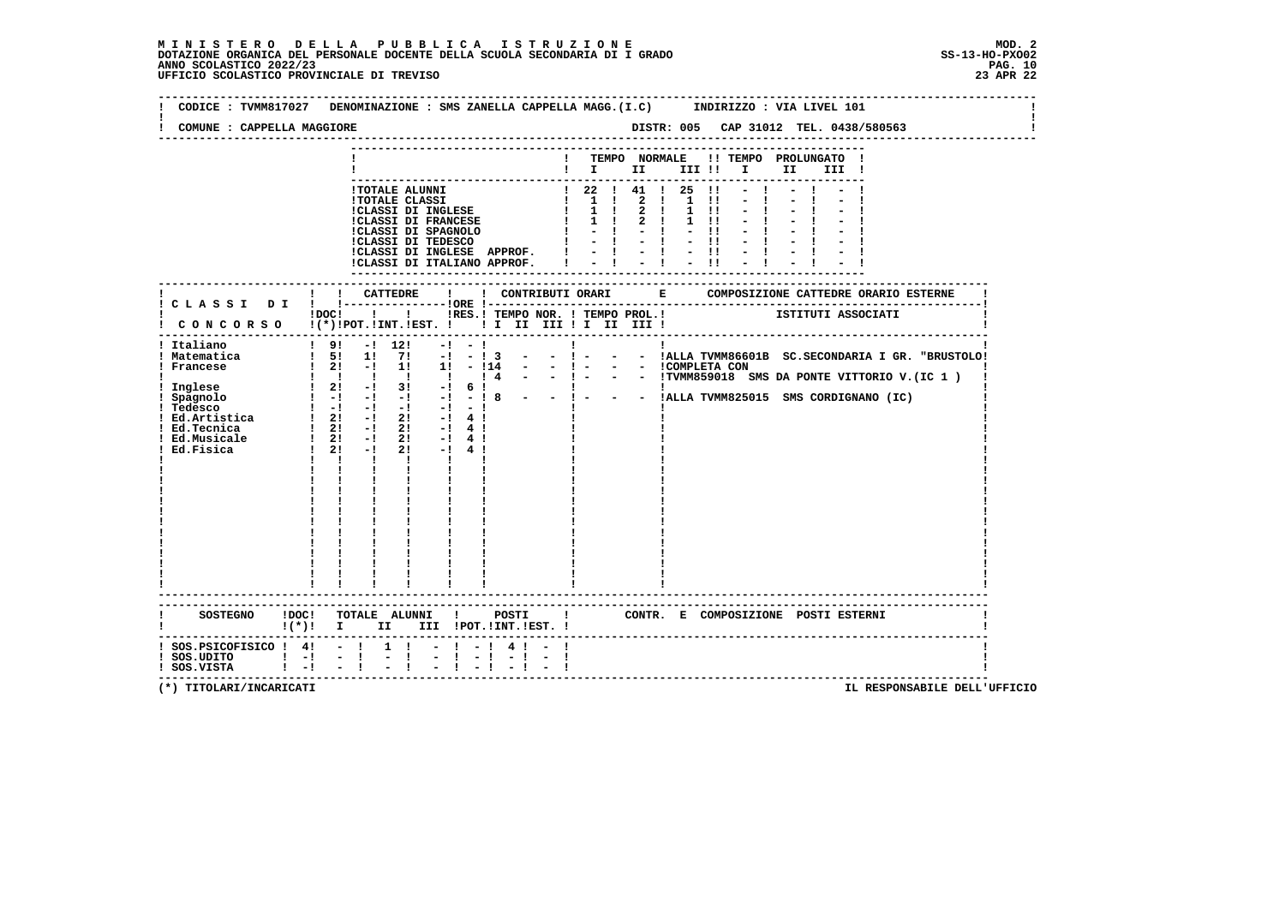| COMUNE : CAPPELLA MAGGIORE                                                                             |                                                                                                                                                                                                                                                                                                                                                                           |                                                                           |              |                                                                                                                                                                                                                                                                   |              |                                                       |                                                                    |      |                                     |                                                     |
|--------------------------------------------------------------------------------------------------------|---------------------------------------------------------------------------------------------------------------------------------------------------------------------------------------------------------------------------------------------------------------------------------------------------------------------------------------------------------------------------|---------------------------------------------------------------------------|--------------|-------------------------------------------------------------------------------------------------------------------------------------------------------------------------------------------------------------------------------------------------------------------|--------------|-------------------------------------------------------|--------------------------------------------------------------------|------|-------------------------------------|-----------------------------------------------------|
|                                                                                                        |                                                                                                                                                                                                                                                                                                                                                                           |                                                                           |              | ! TEMPO NORMALE                                                                                                                                                                                                                                                   |              |                                                       | $\mathbf{I}$ is the set of $\mathbf{I}$ is the set of $\mathbf{I}$ | II D | !! TEMPO PROLUNGATO !<br>III !      |                                                     |
|                                                                                                        | <b>!TOTALE ALUNNI</b><br><b>!TOTALE CLASSI</b><br>!CLASSI DI INGLESE<br>!CLASSI DI FRANCESE<br>!CLASSI DI INGLESE APPROF.<br>!CLASSI DI ITALIANO APPROF.                                                                                                                                                                                                                  |                                                                           |              | $\begin{array}{cccccccc} 1 & 22 & 1 & 41 & 1 & 25 & 11 \\ 1 & 1 & 1 & 2 & 1 & 1 & 11 \\ 1 & 1 & 1 & 2 & 1 & 1 & 11 \\ \end{array}$<br>$1 \quad 1 \quad 1 \quad 2 \quad 1$<br>$\frac{1}{2}$ $\frac{1}{2}$ $\frac{1}{2}$ $\frac{1}{2}$ $\frac{1}{2}$ $\frac{1}{11}$ | $-1 - 1 - 1$ | $\mathbf{H}$<br>$1 \quad 11$<br>$1 \quad 11$<br>$-11$ |                                                                    |      |                                     |                                                     |
|                                                                                                        |                                                                                                                                                                                                                                                                                                                                                                           | -----------------------------                                             |              |                                                                                                                                                                                                                                                                   |              |                                                       | ----------                                                         |      |                                     |                                                     |
|                                                                                                        | !DOC! ! ! !RES.! TEMPO NOR. ! TEMPO PROL.! ISTITUTI ASSOCIATI<br>! CONCORSO !(*)!POT.!INT.!EST. ! ! I II III ! I III III !                                                                                                                                                                                                                                                |                                                                           |              |                                                                                                                                                                                                                                                                   |              |                                                       |                                                                    |      |                                     |                                                     |
| ! Italiano<br>! Matematica<br>! Francese<br>Ed.Tecnica<br>Ed. Musicale 1 21 - 1<br>Ed. Fisica 1 21 - 1 | $!$ 9! $-!$ 12!<br>$-1$<br>$1\quad 5! \quad 1! \quad 7! \quad -1 \quad -1 \quad 3$<br>1 Spagnolo 1 -1 -1 -1 -1 -1<br>1 Tedesco 1 -1 -1 -1 -1 -1<br>1 Ed.Artistica 1 21 -1 21 -1 4 1<br>$1 \quad 21 \quad -1 \quad 21$<br>$-1$ 4 $1$<br>$2! -14!$<br>$2! -14!$<br>$\mathbf{1}$ $\mathbf{1}$ $\mathbf{1}$<br>$\frac{1}{1}$<br>$\mathbf{I}$<br>$\mathbf{I}$ and $\mathbf{I}$ | $-1$<br>$  1 -$                                                           | $\mathbf{I}$ |                                                                                                                                                                                                                                                                   |              |                                                       |                                                                    |      |                                     | - - !ALLA TVMM86601B SC.SECONDARIA I GR. "BRUSTOLO! |
|                                                                                                        | !(*)! I II III !POT.!INT.!EST. !                                                                                                                                                                                                                                                                                                                                          |                                                                           |              |                                                                                                                                                                                                                                                                   |              |                                                       |                                                                    |      | CONTR. E COMPOSIZIONE POSTI_ESTERNI |                                                     |
| $:$ SOS. PSICOFISICO $:$ 4! - !<br>$:$ SOS.UDITO $:$ $-!$<br>! SOS.VISTA ! -!                          | $-1$<br>$-1$                                                                                                                                                                                                                                                                                                                                                              | $1 \quad 1 \quad - \quad 1 \quad - \quad 1 \quad 4 \quad 1 \quad - \quad$ |              |                                                                                                                                                                                                                                                                   |              |                                                       |                                                                    |      |                                     |                                                     |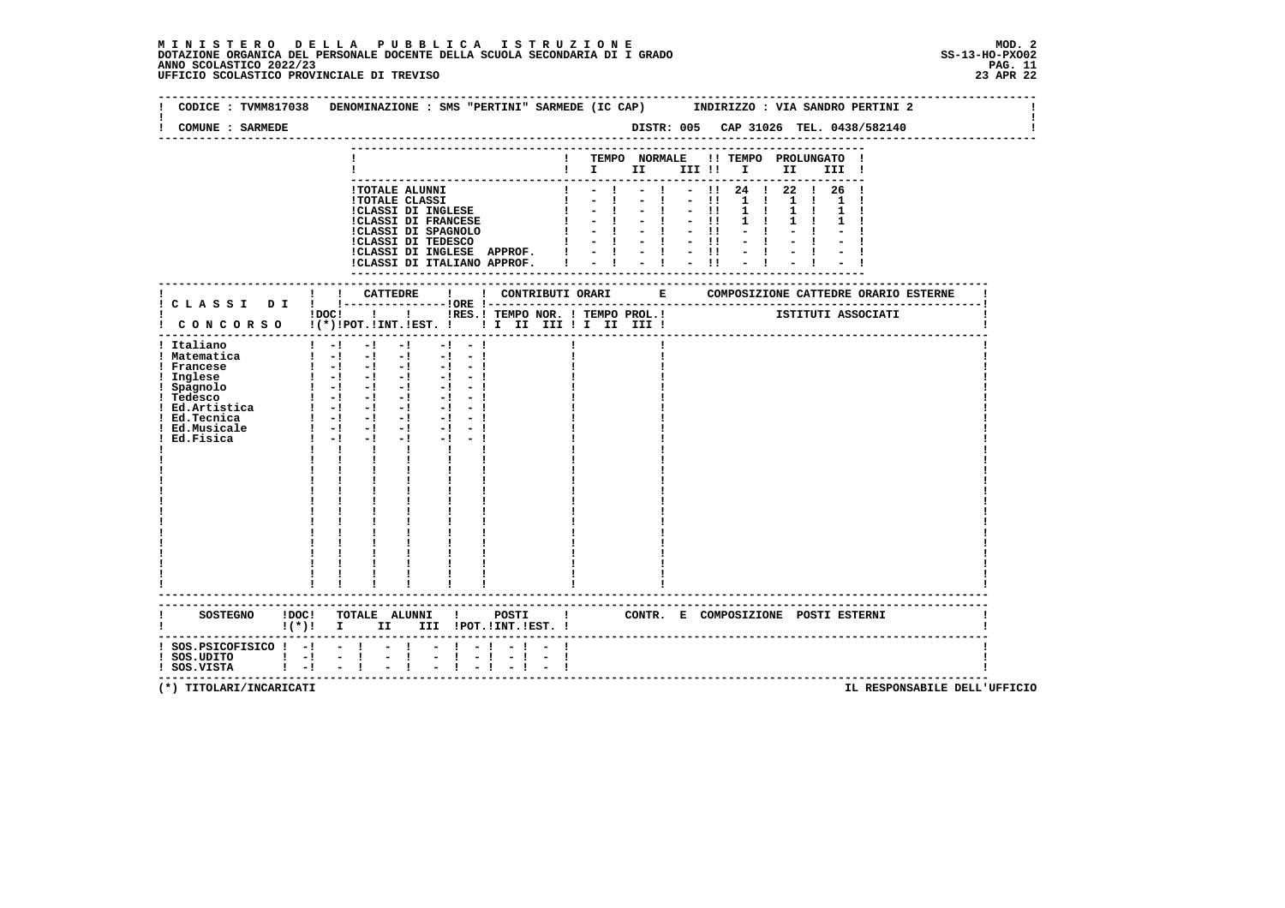| COMUNE : SARMEDE                                                                                                                                 |                                                                                                                                                                                                                                                                                                                                                                                                                                                                                                                                                                                | CODICE : TVMM817038 DENOMINAZIONE : SMS "PERTINI" SARMEDE (IC CAP)<br>INDIRIZZO : VIA SANDRO PERTINI 2<br>DISTR: 005 CAP 31026 TEL. 0438/582140                                                                     |  |
|--------------------------------------------------------------------------------------------------------------------------------------------------|--------------------------------------------------------------------------------------------------------------------------------------------------------------------------------------------------------------------------------------------------------------------------------------------------------------------------------------------------------------------------------------------------------------------------------------------------------------------------------------------------------------------------------------------------------------------------------|---------------------------------------------------------------------------------------------------------------------------------------------------------------------------------------------------------------------|--|
|                                                                                                                                                  | !TOTALE ALUNNI                                                                                                                                                                                                                                                                                                                                                                                                                                                                                                                                                                 | ! TEMPO NORMALE !! TEMPO PROLUNGATO<br>$\mathbf{I}$ is the set of $\mathbf{I}$ is the set of $\mathbf{I}$<br>III !<br>$-$ !! 24 ! 22 ! 26 !                                                                         |  |
|                                                                                                                                                  | <b>!TOTALE CLASSI</b><br>!CLASSI DI INGLESE<br><b>!CLASSI DI FRANCESE</b><br>!CLASSI DI SPAGNOLO<br>!CLASSI DI TEDESCO<br>!CLASSI DI INGLESE APPROF. !<br>!CLASSI DI ITALIANO APPROF.                                                                                                                                                                                                                                                                                                                                                                                          | $-1 - -11$<br>1 <sub>1</sub><br>1 1 1<br>$-1 - 1$<br>$1 \quad 1$<br>$1 \quad 1$<br>$-1 - 1 - 1$<br>$1 \quad 1$<br>$-1 - 1 = 1 - 11$<br>$\mathbf{I}$<br>$-1 - 1 - 1$<br>$-1 - 1 = 1 - 11$<br>$-1 - 1 - 1$<br>------- |  |
|                                                                                                                                                  | $1\,\mathrm{DOC}$ $1\phantom{000}$                                                                                                                                                                                                                                                                                                                                                                                                                                                                                                                                             | IRES. I TEMPO NOR. ! TEMPO PROL. ! [STITUTI ASSOCIATI<br>! CONCORSO !(*)!POT.!INT.!EST. !!! II III !I II III !                                                                                                      |  |
| ! Italiano<br>! Matematica<br>! Francese<br>! Inglese<br>! Spagnolo<br>! Tedesco<br>: Ed.Artistica<br>! Ed.Tecnica<br>! Ed.Musicale<br>Ed.Fisica | $1 - 1$<br>$-1$<br>$-1$<br>$-1 - -1$<br>$\frac{1}{2}$ $\frac{1}{2}$ $\frac{1}{2}$ $\frac{1}{2}$ $\frac{1}{2}$ $\frac{1}{2}$ $\frac{1}{2}$<br>$-1 - -1$<br>$1 - 1 - 1 - 1$<br>$-1 - 1$<br>$\begin{bmatrix} 1 & -1 & -1 & -1 & -1 & -1 \end{bmatrix}$<br>$\begin{bmatrix} 1 & -1 & -1 & -1 & -1 & -1 \end{bmatrix}$<br>$\begin{bmatrix} 1 & -1 & -1 & -1 & -1 & -1 \end{bmatrix}$<br>$1 - 1 - 1 - 1$<br>$1 - 1 - 1 - 1$<br>$-1 - -1$<br>$1 - 1 - 1$<br>$-1$ $-$<br>$-1$ $-1$<br>$1 - 1 - 1$<br>$-1 - 1$<br>$-1$<br>$\mathbf{I}$<br>$\mathbf{I}$<br>$\mathbf{I}$ and $\mathbf{I}$ |                                                                                                                                                                                                                     |  |
|                                                                                                                                                  | $!(*)!$ I II III !POT.!INT.!EST. !                                                                                                                                                                                                                                                                                                                                                                                                                                                                                                                                             | SOSTEGNO !DOC! TOTALE ALUNNI ! POSTI ! CONTR. E COMPOSIZIONE POSTI ESTERNI                                                                                                                                          |  |
| $!$ SOS.PSICOFISICO $!$ -! - !<br>$!$ SOS.UDITO $!$ - $!$ - $!$<br>$\frac{1}{2}$ $\frac{1}{2}$<br>! SOS.VISTA                                    | $-1$<br>$\mathbb{Z}^{\mathbb{Z}}$<br>$\mathbf{I}$<br>$-1 - 1$<br>$-1$                                                                                                                                                                                                                                                                                                                                                                                                                                                                                                          | $-1 - -$<br>-1<br>----------------------------------                                                                                                                                                                |  |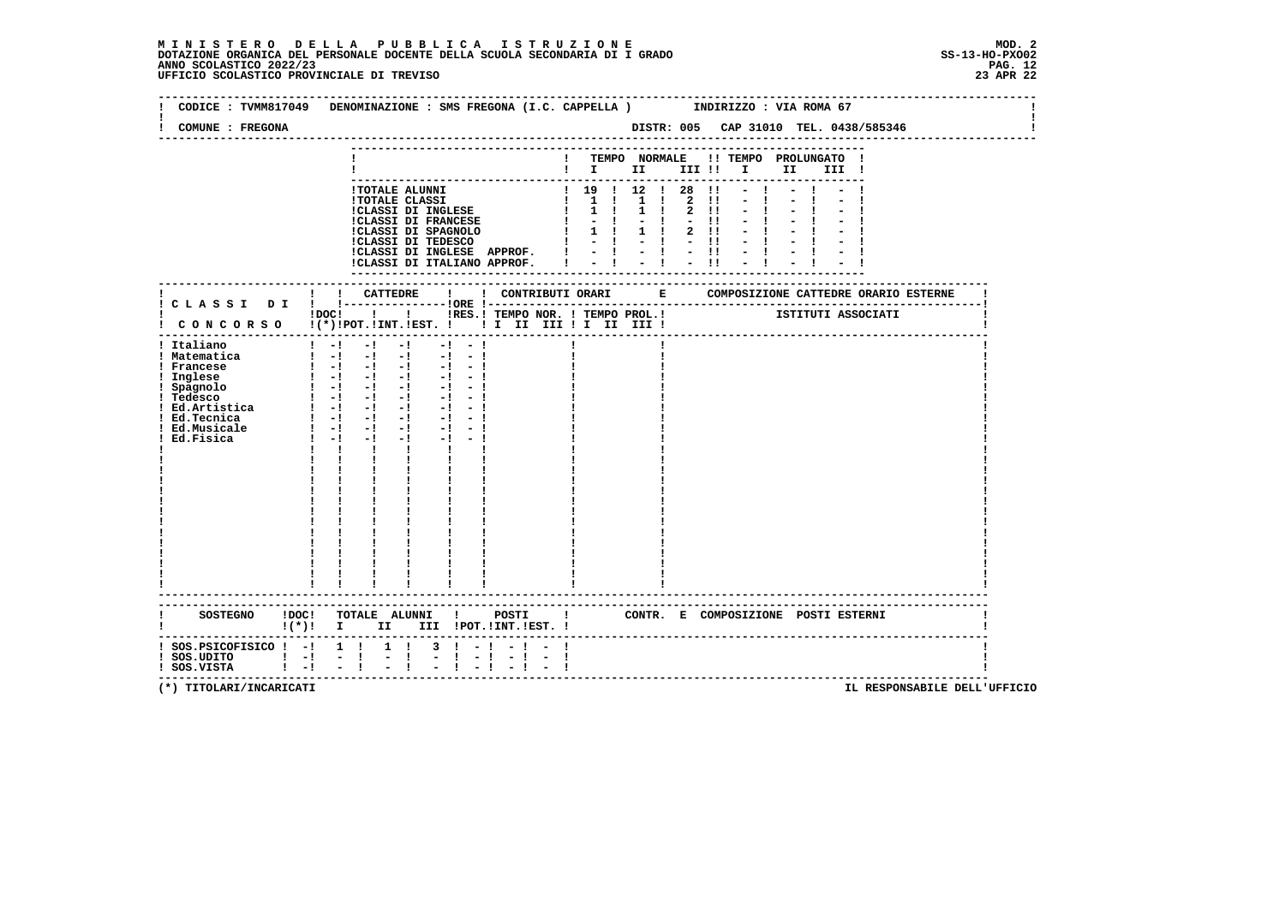| COMUNE : FREGONA                                                                                                                                              | CODICE: TVMM817049 DENOMINAZIONE: SMS FREGONA (I.C. CAPPELLA) INDIRIZZO: VIA ROMA 67                                                                                                                                                                                                                                                                                                                                                                                                                                                                                                                                                |           |                |  |  |                |      |                                                                                                                                                                      |                                                | DISTR: 005 CAP 31010 TEL. 0438/585346  |
|---------------------------------------------------------------------------------------------------------------------------------------------------------------|-------------------------------------------------------------------------------------------------------------------------------------------------------------------------------------------------------------------------------------------------------------------------------------------------------------------------------------------------------------------------------------------------------------------------------------------------------------------------------------------------------------------------------------------------------------------------------------------------------------------------------------|-----------|----------------|--|--|----------------|------|----------------------------------------------------------------------------------------------------------------------------------------------------------------------|------------------------------------------------|----------------------------------------|
|                                                                                                                                                               |                                                                                                                                                                                                                                                                                                                                                                                                                                                                                                                                                                                                                                     |           |                |  |  |                |      | $\blacksquare$ $\blacksquare$ $\blacksquare$ $\blacksquare$ $\blacksquare$ $\blacksquare$ $\blacksquare$ $\blacksquare$ $\blacksquare$ $\blacksquare$ $\blacksquare$ | ! TEMPO NORMALE !! TEMPO PROLUNGATO !<br>III ! |                                        |
|                                                                                                                                                               | <b>!TOTALE ALUNNI</b><br>1 TOTALE CLASSI<br>1 1 1 2 11<br>1 1 2 11<br>1 1 2 11<br>1 1 2 11<br>1 1 2 11<br>1 1 2 11<br>1 1 2 11<br>1 1 2 11<br>1 1 2 11<br>1 1 2 11<br>1 1 2 11<br>1 1 2 11<br>1 1 2 11<br>1 1 2 11<br>1 1 2 11<br>1 1 2 11<br>1 1 2 11<br>1 1 2 11<br>1 1 2 11<br>!CLASSI DI INGLESE APPROF. $! \ - \ ! \ - \ ! \ - \ ! \ - \ ! \$ ! CLASSI DI ITALIANO APPROF. $! \ - \ ! \ - \ ! \ - \ ! \ - \ ! \ ! \ - \ ! \ - \ ! \ ! \ - \ ! \ ! \ - \ ! \ ! \ - \ ! \ ! \ - \ ! \ ! \ - \ ! \ - \ ! \ ! \ - \ ! \ ! \ - \ ! \ ! \ - \ ! \ ! \ - \ ! \ ! \ - \ ! \ ! \ - \ ! \ ! \ - \ ! \ ! \ -$                             |           | 1 19 1 12 1 28 |  |  | $\blacksquare$ | $-1$ |                                                                                                                                                                      |                                                |                                        |
|                                                                                                                                                               | IDOCI ! IRES. I TEMPO NOR. I TEMPO PROL. ! [STITUTI ASSOCIATI                                                                                                                                                                                                                                                                                                                                                                                                                                                                                                                                                                       |           |                |  |  |                |      |                                                                                                                                                                      |                                                |                                        |
| ! Italiano<br>! Matematica<br>! Francese<br>! Inglese<br>! Spagnolo<br>! Tedesco<br>: Iedesco<br>! Ed.Artistica<br>! Ed.Tecnica<br>! Ed.Musicale<br>Ed.Fisica | $1 - 1 - 1 - 1$<br>$-1 - 1$<br>$\begin{bmatrix} 1 & -1 & -1 & -1 & -1 & -1 \end{bmatrix}$<br>$\begin{bmatrix} 1 & -1 & -1 & -1 & -1 & -1 \end{bmatrix}$<br>$\frac{1}{2}$ $\frac{1}{2}$ $\frac{1}{2}$ $\frac{1}{2}$ $\frac{1}{2}$ $\frac{1}{2}$ $\frac{1}{2}$ $\frac{1}{2}$<br>$-1 - 1$<br>$\frac{1}{2}$ $\frac{1}{2}$ $\frac{1}{2}$ $\frac{1}{2}$ $\frac{1}{2}$ $\frac{1}{2}$<br>$-1 - -1$<br>$1 - 1 - 1 - 1$<br>$-1 - 1$<br>$1 - 1 - 1 - 1$<br>$1 - 1 - 1$<br>$-1$<br>$-1 - -1$<br>$1 - 1 - 1$<br>$-1$<br>$1 - 1 - 1$<br>$-1$ and $-1$<br>$\mathbf{I}$<br>$\mathbf{I}$<br>$\mathbf{I}$ and $\mathbf{I}$<br>----------------------- |           |                |  |  |                |      |                                                                                                                                                                      |                                                |                                        |
|                                                                                                                                                               | !(*)! I II III !POT.!INT.!EST.!                                                                                                                                                                                                                                                                                                                                                                                                                                                                                                                                                                                                     |           |                |  |  |                |      |                                                                                                                                                                      | CONTR. E COMPOSIZIONE POSTI_ESTERNI            |                                        |
| $:$ SOS.PSICOFISICO $:$ - $:$ 1 $:$<br>$!$ SOS.UDITO $!$ -!<br>$\mathbf{I}$ $-\mathbf{I}$<br>! SOS.VISTA                                                      | $1 \quad 1$<br>$3 \cdot 1 - 1$<br>$\sim$ $-1$<br>$\mathbf{I}$<br>$-1$                                                                                                                                                                                                                                                                                                                                                                                                                                                                                                                                                               | $-1$ $-1$ |                |  |  |                |      |                                                                                                                                                                      |                                                | -------------------------------------- |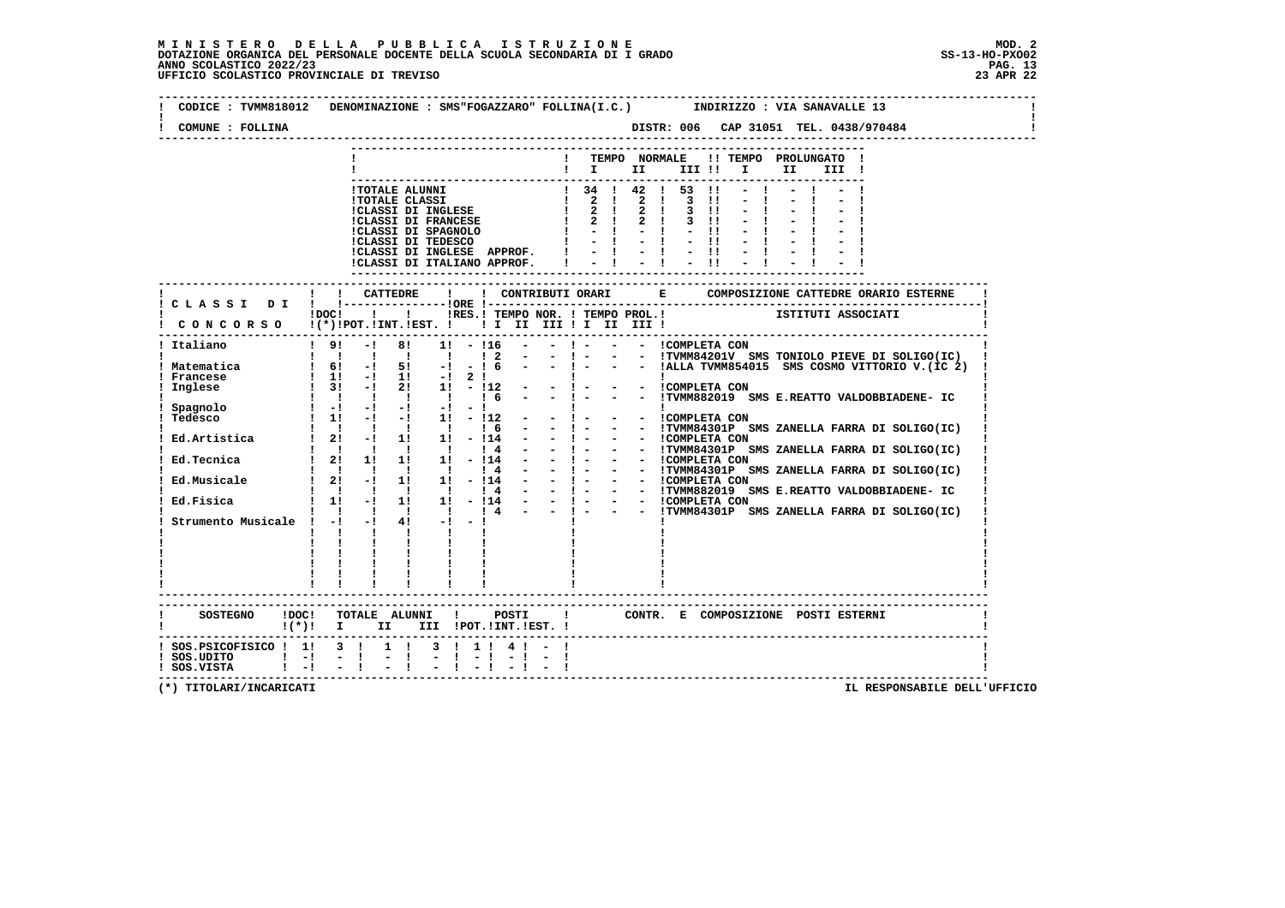$\mathbf{I}$ 

 **-------------------------------------------------------------------------------------------------------------------------------- ! CODICE : TVMM818012 DENOMINAZIONE : SMS"FOGAZZARO" FOLLINA(I.C.) INDIRIZZO : VIA SANAVALLE 13 ! ! ! ! COMUNE : FOLLINA DISTR: 006 CAP 31051 TEL. 0438/970484 ! -------------------------------------------------------------------------------------------------------------------------------- --------------------------------------------------------------------------- ! ! TEMPO NORMALE !! TEMPO PROLUNGATO ! ! ! I II III !! I II III ! --------------------------------------------------------------------------- !TOTALE ALUNNI ! 34 ! 42 ! 53 !! - ! - ! - !**! TOTALE CLASSI  $\begin{array}{cccccccccccccccc} \texttt{1} & \texttt{2} & \texttt{1} & \texttt{2} & \texttt{1} & \texttt{3} & \texttt{11} & - & 1 & - & 1 & - & 1 \\ \texttt{1} & \texttt{1} & \texttt{1} & \texttt{1} & \texttt{1} & \texttt{1} & \texttt{1} & \texttt{1} & \texttt{1} & \texttt{1} & \texttt{1} & \texttt{1} & \texttt{1} & \texttt{1} & \texttt{1} & \texttt{1} & \texttt{1} & \texttt{1} & \texttt{$  **!CLASSI DI INGLESE APPROF. ! - ! - ! - !! - ! - ! - ! !CLASSI DI ITALIANO APPROF. ! - ! - ! - !! - ! - ! - ! --------------------------------------------------------------------------- ------------------------------------------------------------------------------------------------------------------------- ! ! ! CATTEDRE ! ! CONTRIBUTI ORARI E COMPOSIZIONE CATTEDRE ORARIO ESTERNE ! ! C L A S S I D I ! !---------------!ORE !------------------------------------------------------------------------! ! !DOC! ! ! !RES.! TEMPO NOR. ! TEMPO PROL.! ISTITUTI ASSOCIATI ! ! C O N C O R S O !(\*)!POT.!INT.!EST. ! ! I II III ! I II III ! ! ------------------------------------------------------------------------------------------------------------------------- ! Italiano ! 9! -! 8! 1! - !16 - - ! - - - !COMPLETA CON ! ! ! ! ! ! ! ! 2 - - ! - - - !TVMM84201V SMS TONIOLO PIEVE DI SOLIGO(IC) ! ! Matematica ! 6! -! 5! -! - ! 6 - - ! - - - !ALLA TVMM854015 SMS COSMO VITTORIO V.(IC 2) ! ! Francese ! 1! -! 1! -! 2 ! ! ! ! ! Inglese ! 3! -! 2! 1! - !12 - - ! - - - !COMPLETA CON ! ! ! ! ! ! ! ! 6 - - ! - - - !TVMM882019 SMS E.REATTO VALDOBBIADENE- IC ! ! Spagnolo ! -! -! -! -! - ! ! ! ! ! Tedesco ! 1! -! -! 1! - !12 - - ! - - - !COMPLETA CON ! ! ! ! ! ! ! ! 6 - - ! - - - !TVMM84301P SMS ZANELLA FARRA DI SOLIGO(IC) ! ! Ed.Artistica ! 2! -! 1! 1! - !14 - - ! - - - !COMPLETA CON ! ! ! ! ! ! ! ! 4 - - ! - - - !TVMM84301P SMS ZANELLA FARRA DI SOLIGO(IC) ! ! Ed.Tecnica ! 2! 1! 1! 1! - !14 - - ! - - - !COMPLETA CON ! ! ! ! ! ! ! ! 4 - - ! - - - !TVMM84301P SMS ZANELLA FARRA DI SOLIGO(IC) ! ! Ed.Musicale ! 2! -! 1! 1! - !14 - - ! - - - !COMPLETA CON ! ! ! ! ! ! ! ! 4 - - ! - - - !TVMM882019 SMS E.REATTO VALDOBBIADENE- IC ! ! Ed.Fisica ! 1! -! 1! 1! - !14 - - ! - - - !COMPLETA CON ! ! ! ! ! ! ! ! 4 - - ! - - - !TVMM84301P SMS ZANELLA FARRA DI SOLIGO(IC) ! ! Strumento Musicale ! -! -! 4! -! - ! ! ! ! ! ! ! ! ! ! ! ! ! ! ! ! ! ! ! ! ! ! ! ! ! ! ! ! ! ! ! ! ! ! ! ! ! ! ! ! ! ! ! ! ! ! ! ! ! ! ! ! ! ! ! ! ! ! ! ! ! ! ! ! ------------------------------------------------------------------------------------------------------------------------- ------------------------------------------------------------------------------------------------------------------------- ! SOSTEGNO !DOC! TOTALE ALUNNI ! POSTI ! CONTR. E COMPOSIZIONE POSTI ESTERNI ! ! !(\*)! I II III !POT.!INT.!EST. ! ! ------------------------------------------------------------------------------------------------------------------------- ! SOS.PSICOFISICO ! 1! 3 ! 1 ! 3 ! 1 ! 4 ! - ! !**- 1  **! SOS.UDITO ! -! - ! - ! - ! - ! - ! - ! ! ! SOS.VISTA ! -! - ! - ! - ! - ! - ! - ! ! -------------------------------------------------------------------------------------------------------------------------**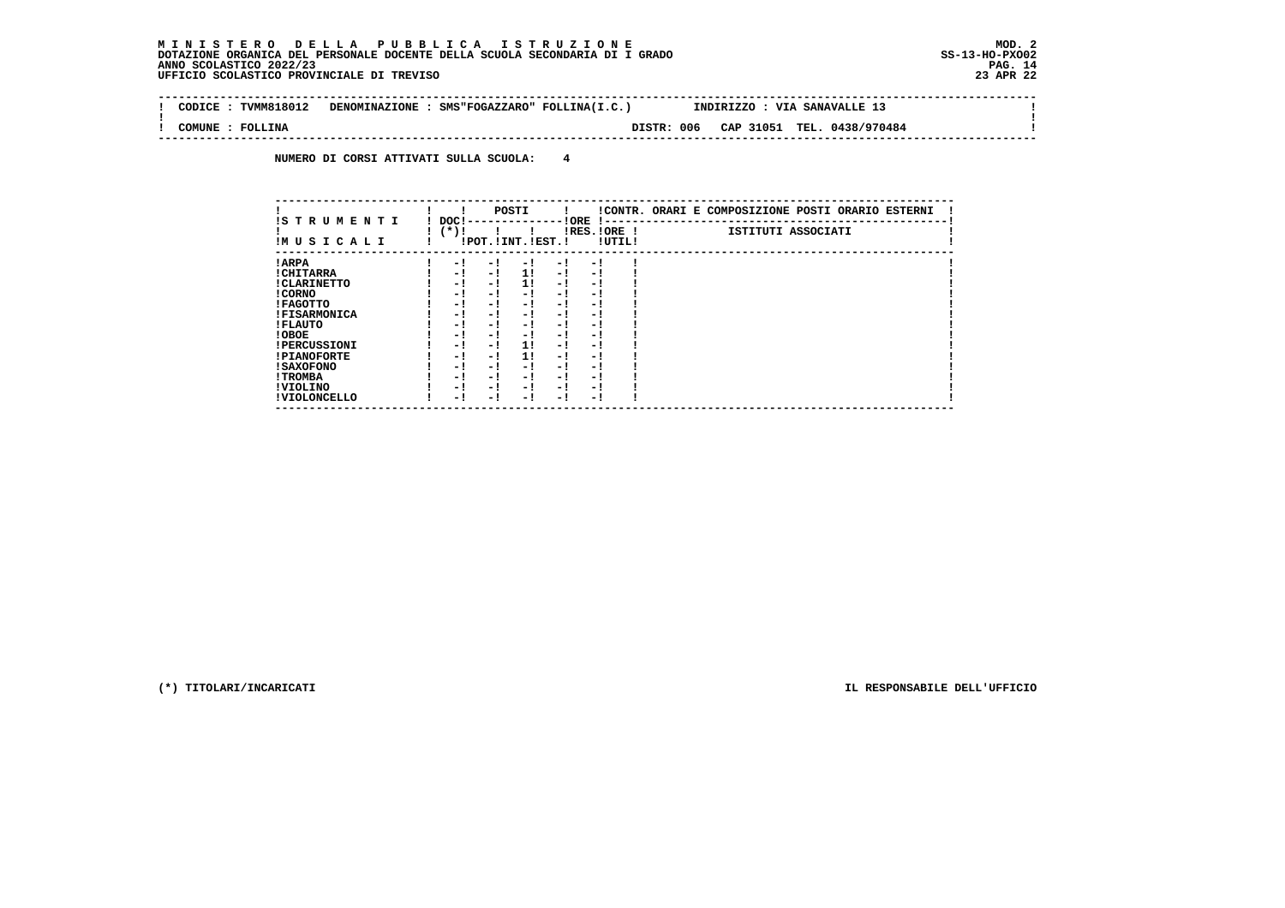$\sim$ 

 $\mathbf{I}$ 

 **-------------------------------------------------------------------------------------------------------------------------------- ! CODICE : TVMM818012 DENOMINAZIONE : SMS"FOGAZZARO" FOLLINA(I.C.) INDIRIZZO : VIA SANAVALLE 13 !**

 **! ! ! COMUNE : FOLLINA DISTR: 006 CAP 31051 TEL. 0438/970484 ! --------------------------------------------------------------------------------------------------------------------------------**

 **NUMERO DI CORSI ATTIVATI SULLA SCUOLA: 4**

|                          |                |                       | POSTI |      |                          |        | !CONTR. ORARI E COMPOSIZIONE POSTI ORARIO ESTERNI |
|--------------------------|----------------|-----------------------|-------|------|--------------------------|--------|---------------------------------------------------|
| IS TRUMENTI<br>IMUSICALI | DOC!<br>$(*)!$ | !POT. ! INT. ! EST. ! |       |      | ! ORE<br>$IRES.IORE$ !   | !UTIL! | ISTITUTI ASSOCIATI                                |
| ! ARPA                   | - 1            | - 1                   | - 1   | $-1$ | - 1                      |        |                                                   |
| ! CHITARRA               | - !            | - !                   | 11    | - !  | - 1                      |        |                                                   |
| ! CLARINETTO             | - 1            | - 1                   | 11    | - !  | - 1                      |        |                                                   |
| ! CORNO                  | - !            | - !                   | - 1   | - !  | - 1                      |        |                                                   |
| ! FAGOTTO                | - 1            | - !                   | - 1   | $-1$ | - 1                      |        |                                                   |
| <b>!FISARMONICA</b>      | - 1            | - !                   | - 1   | - 1  | - 1                      |        |                                                   |
| ! FLAUTO                 | - 1            | - !                   | - 1   | - !  | - 1                      |        |                                                   |
| ! OBOE                   | - 1            | - !                   | - 1   | $-1$ | - 1                      |        |                                                   |
| <b>!PERCUSSIONI</b>      | - 1            | - 1                   | 11    | - 1  | - 1                      |        |                                                   |
| <b>!PIANOFORTE</b>       | - 1            | $-1$                  | 11    | - !  | - 1                      |        |                                                   |
| ! SAXOFONO               | - 1            | - !                   | - !   | - 1  | $\overline{\phantom{0}}$ |        |                                                   |
| ! TROMBA                 | - 1            | - !                   | - !   | - 1  | - 1                      |        |                                                   |
| ! VIOLINO                | - 1            | - !                   | - !   | $-1$ | - 1                      |        |                                                   |
| ! VIOLONCELLO            | - 1            | - 1                   | - 1   | – !  | - 1                      |        |                                                   |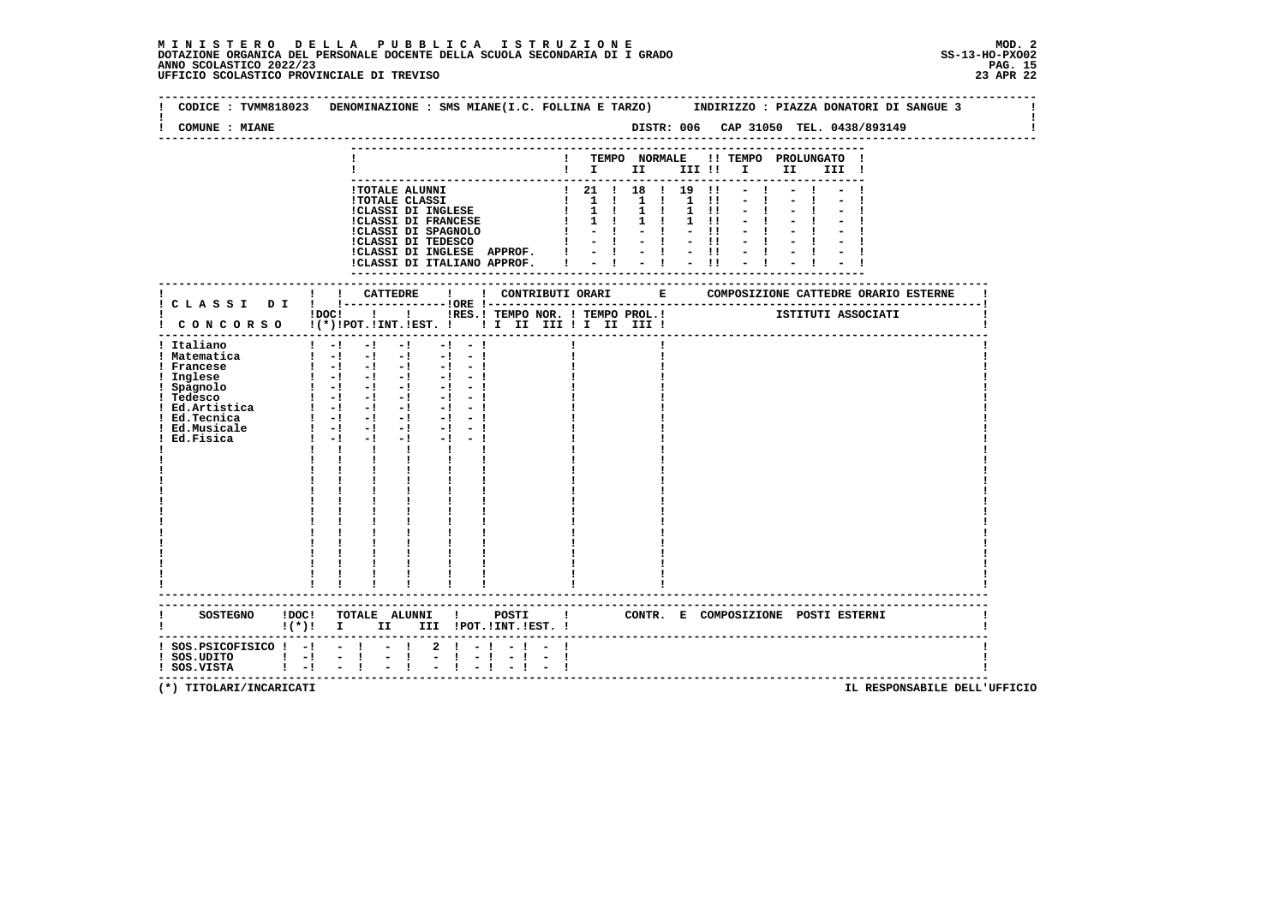| COMUNE : MIANE                                                                                                                                   |                                                                                                                                                                                                                                                                                                                                                                   |                                   |               |                                                                                                                                                                                                              |                                                    |      |  |    |                                                                     |                           |                            |                     |                                                                                           | DISTR: 006 CAP 31050 TEL. 0438/893149                                  |      |       |  |  |  |
|--------------------------------------------------------------------------------------------------------------------------------------------------|-------------------------------------------------------------------------------------------------------------------------------------------------------------------------------------------------------------------------------------------------------------------------------------------------------------------------------------------------------------------|-----------------------------------|---------------|--------------------------------------------------------------------------------------------------------------------------------------------------------------------------------------------------------------|----------------------------------------------------|------|--|----|---------------------------------------------------------------------|---------------------------|----------------------------|---------------------|-------------------------------------------------------------------------------------------|------------------------------------------------------------------------|------|-------|--|--|--|
|                                                                                                                                                  |                                                                                                                                                                                                                                                                                                                                                                   |                                   |               |                                                                                                                                                                                                              |                                                    |      |  |    | $\mathbf{I}$ is the set of $\mathbf{I}$                             |                           |                            |                     | III !!                                                                                    | ! TEMPO NORMALE !! TEMPO PROLUNGATO !<br>$\mathbf{I}$ and $\mathbf{I}$ | II D | III ! |  |  |  |
|                                                                                                                                                  |                                                                                                                                                                                                                                                                                                                                                                   |                                   |               | <b>!TOTALE ALUNNI</b><br><b>!TOTALE CLASSI</b><br>!CLASSI DI INGLESE<br><b>!CLASSI DI FRANCESE</b><br>!CLASSI DI SPAGNOLO<br>!CLASSI DI TEDESCO<br>!CLASSI DI INGLESE APPROF.<br>!CLASSI DI ITALIANO APPROF. |                                                    |      |  | Ι. | 1 21 1 18 1 19<br>$1 \quad 1 \quad 1$<br>$1 \quad 1$<br>$1 \quad 1$ | $-1 - -1$<br>$-1 - 1 - 1$ | $1 \quad 1$<br>$1 \quad 1$ | $1 \quad 1 \quad 1$ | $\blacksquare$<br>$\blacksquare$<br>$1 \quad 11$<br>$1 \quad 11$<br>$\mathbf{H}$<br>$-11$ |                                                                        |      |       |  |  |  |
|                                                                                                                                                  |                                                                                                                                                                                                                                                                                                                                                                   | ! CATTEDRE                        |               |                                                                                                                                                                                                              | $\mathbf{I}$                                       |      |  |    |                                                                     |                           |                            |                     |                                                                                           | ! CONTRIBUTI ORARI E COMPOSIZIONE CATTEDRE ORARIO ESTERNE              |      |       |  |  |  |
| ! CONCORSO !(*)!POT.!INT.!EST. !! I III III II III III!                                                                                          | $1DOCI$ $1$ $1$                                                                                                                                                                                                                                                                                                                                                   |                                   |               |                                                                                                                                                                                                              |                                                    |      |  |    |                                                                     |                           |                            |                     |                                                                                           | !RES.! TEMPO NOR. ! TEMPO PROL.! ISTITUTI ASSOCIATI                    |      |       |  |  |  |
| ! Italiano<br>! Matematica<br>! Francese<br>! Inglese<br>! Spagnolo<br>! Tedesco<br>! Ed.Artistica<br>! Ed.Tecnica<br>! Ed.Musicale<br>Ed.Fisica | $1 - 1$<br>$1 - 1 - 1 - 1$<br>$1 - 1 - 1 - 1$<br>$\begin{array}{cccccccccccccc} 1 & -1 & -1 & -1 & -1 & -1 & -1 \end{array}$<br>$\begin{array}{cccccccccccccc} 1 & -1 & -1 & -1 & -1 & -1 & -1 \end{array}$<br>$1 - 1 - 1 - 1 - 1 - 1$<br>$\begin{bmatrix} 1 & -1 & -1 & -1 & -1 & -1 \end{bmatrix}$<br>$1 - 1 - 1 - 1$<br>$1 - 1 - 1 - 1 - 1 - 1$<br>$1 - 1 - 1$ | $-1$<br>$\mathbf{1}$ $\mathbf{1}$ | $-1$          | $-1$ and $-1$<br>$\mathbf{I}$ and $\mathbf{I}$<br>$\frac{1}{1}$                                                                                                                                              | $-1$<br>$-1$<br>$-1 - -1$<br>$-1 - 1$<br>$-1 - -1$ |      |  |    |                                                                     |                           |                            |                     |                                                                                           |                                                                        |      |       |  |  |  |
| <b>SOSTEGNO</b>                                                                                                                                  | $\mathbf{I}(\star)$ $\mathbf{I}$                                                                                                                                                                                                                                                                                                                                  |                                   | II D          |                                                                                                                                                                                                              | III !POT. !INT. !EST. !                            |      |  |    |                                                                     |                           |                            |                     |                                                                                           | !DOC! TOTALE ALUNNI ! POSTI ! CONTR. E COMPOSIZIONE POSTI ESTERNI      |      |       |  |  |  |
| $!$ SOS. PSICOFISICO $!$ -! - ! - !<br>$!$ SOS.UDITO $!$ -!<br>$1 - 1$<br>! SOS.VISTA                                                            | $\sim$ 10 $\pm$                                                                                                                                                                                                                                                                                                                                                   | $-1$<br>$\mathbf{I}$              | $\frac{1}{2}$ | $\mathbf{2}$                                                                                                                                                                                                 | $1 - 1$                                            | $-1$ |  |    |                                                                     |                           |                            |                     |                                                                                           |                                                                        |      |       |  |  |  |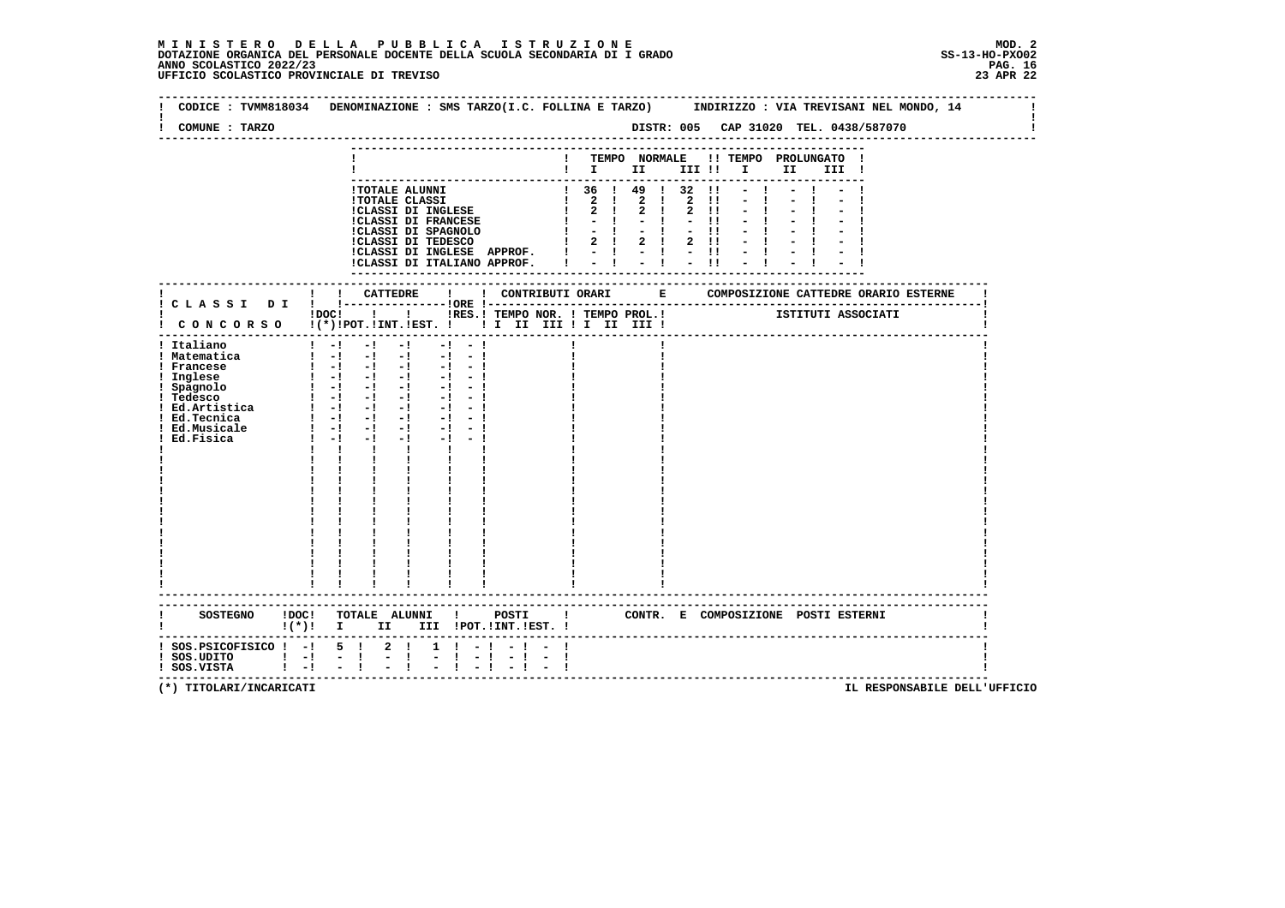$\mathbf{I}$ 

 **-------------------------------------------------------------------------------------------------------------------------------- ! CODICE : TVMM818034 DENOMINAZIONE : SMS TARZO(I.C. FOLLINA E TARZO) INDIRIZZO : VIA TREVISANI NEL MONDO, 14 ! ! ! ! COMUNE : TARZO DISTR: 005 CAP 31020 TEL. 0438/587070 ! -------------------------------------------------------------------------------------------------------------------------------- --------------------------------------------------------------------------- ! ! TEMPO NORMALE !! TEMPO PROLUNGATO ! ! ! I II III !! I II III ! --------------------------------------------------------------------------- !TOTALE ALUNNI ! 36 ! 49 ! 32 !! - ! - ! - ! !TOTALE CLASSI ! 2 ! 2 ! 2 !! - ! - ! - ! !CLASSI DI INGLESE ! 2 ! 2 ! 2 !! - ! - ! - ! !CLASSI DI FRANCESE ! - ! - ! - !! - ! - ! - ! !CLASSI DI SPAGNOLO ! - ! - ! - !! - ! - ! - ! !CLASSI DI TEDESCO ! 2 ! 2 ! 2 !! - ! - ! - ! !CLASSI DI INGLESE APPROF. ! - ! - ! - !! - ! - ! - ! !CLASSI DI ITALIANO APPROF. ! - ! - ! - !! - ! - ! - ! --------------------------------------------------------------------------- ------------------------------------------------------------------------------------------------------------------------- ! ! ! CATTEDRE ! ! CONTRIBUTI ORARI E COMPOSIZIONE CATTEDRE ORARIO ESTERNE ! ! C L A S S I D I ! !---------------!ORE !------------------------------------------------------------------------! ! ! ! ! ! IRES.! TEMPO NOR. ! TEMPO PROL.!** ISTITUTI ASSOCIATI  **! C O N C O R S O !(\*)!POT.!INT.!EST. ! ! I II III ! I II III ! ! ------------------------------------------------------------------------------------------------------------------------- ! Italiano ! -! -! -! -! - ! ! ! ! ! Matematica ! -! -! -! -! - ! ! ! ! ! Francese ! -! -! -! -! - ! ! ! ! ! Inglese ! -! -! -! -! - ! ! ! ! ! Spagnolo ! -! -! -! -! - ! ! ! ! ! Tedesco ! -! -! -! -! - ! ! ! ! ! Ed.Artistica ! -! -! -! -! - ! ! ! ! ! Ed.Tecnica ! -! -! -! -! - ! ! ! ! ! Ed.Musicale ! -! -! -! -! - ! ! ! ! ! Ed.Fisica !** -**!** -**!** -**!** -**!** -**!** | **1**<br> **! Ed.Fisica !** -**!** -**!** -**!** -**!** -**!** | **1 ! ! ! ! ! ! ! ! ! ! ! ! ! ! ! ! ! ! ! ! ! ! ! ! ! ! ! ! ! ! ! ! ! ! ! ! ! ! ! ! ! ! ! ! ! ! ! ! ! ! ! ! ! ! ! ! ! ! ! ! ! ! ! ! ! ! ! ! ! ! ! ! ! ! ! ! ! ! ! ! ! ! ! ! ! ! ! ! ! ! ! ! ! ! ! ! ! ! ! ! ! ! ! ! ! ! ! ! ! ! ! ! ! ! ! ! ! ! ! ! ! ! ! ! ! ! ! ! ! ! ! ! ! ! ! ! ! ! ! ! ------------------------------------------------------------------------------------------------------------------------- ------------------------------------------------------------------------------------------------------------------------- ! SOSTEGNO !DOC! TOTALE ALUNNI ! POSTI ! CONTR. E COMPOSIZIONE POSTI ESTERNI ! ! !(\*)! I II III !POT.!INT.!EST. ! ! ------------------------------------------------------------------------------------------------------------------------- ! SOS.PSICOFISICO ! -! 5 ! 2 ! 1 ! - ! - ! - ! !** $\blacksquare$  **! SOS.UDITO ! -! - ! - ! - ! - ! - ! - ! ! ! SOS.VISTA ! -! - ! - ! - ! - ! - ! - ! !**- 1  **-------------------------------------------------------------------------------------------------------------------------**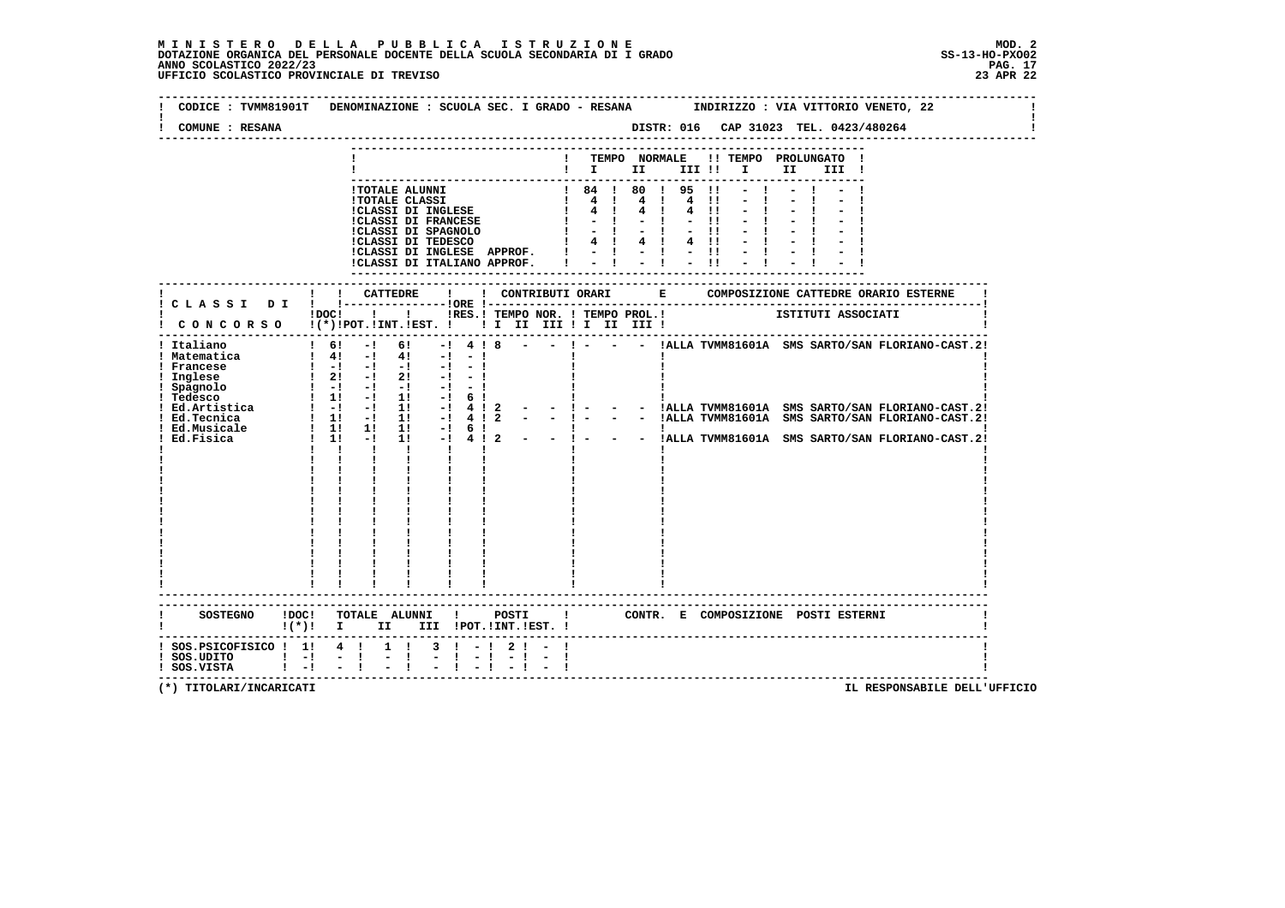| CODICE : TVMM81901T<br>COMUNE : RESANA                                     |                                 |             | DENOMINAZIONE : SCUOLA SEC. I GRADO - RESANA MINDIRIZZO : VIA VITTORIO VENETO, 22                                                                                                     |                         |           |              |                               |      |                   |              |                                   | DISTR: 016 CAP 31023 TEL. 0423/480264 |  |                                                                          |  |
|----------------------------------------------------------------------------|---------------------------------|-------------|---------------------------------------------------------------------------------------------------------------------------------------------------------------------------------------|-------------------------|-----------|--------------|-------------------------------|------|-------------------|--------------|-----------------------------------|---------------------------------------|--|--------------------------------------------------------------------------|--|
|                                                                            |                                 |             |                                                                                                                                                                                       |                         |           |              |                               |      |                   |              |                                   |                                       |  |                                                                          |  |
|                                                                            |                                 |             |                                                                                                                                                                                       |                         |           |              |                               |      |                   |              |                                   |                                       |  |                                                                          |  |
|                                                                            |                                 |             |                                                                                                                                                                                       |                         |           |              |                               |      | ! TEMPO NORMALE   |              |                                   | !! TEMPO PROLUNGATO !                 |  |                                                                          |  |
|                                                                            |                                 |             |                                                                                                                                                                                       |                         |           |              |                               |      |                   |              |                                   | III !                                 |  |                                                                          |  |
|                                                                            |                                 |             |                                                                                                                                                                                       |                         |           |              |                               |      |                   |              |                                   |                                       |  |                                                                          |  |
|                                                                            |                                 |             | !TOTALE ALUNNI                                                                                                                                                                        |                         |           |              |                               |      | ! 84 ! 80 ! 95 !! |              |                                   |                                       |  |                                                                          |  |
|                                                                            |                                 |             | <b>!TOTALE CLASSI</b>                                                                                                                                                                 |                         |           |              |                               |      |                   |              |                                   |                                       |  |                                                                          |  |
|                                                                            |                                 |             | !CLASSI DI INGLESE                                                                                                                                                                    |                         |           |              | $\frac{1}{2}$ 4 $\frac{1}{2}$ |      | 4!                | $4 \quad 11$ |                                   |                                       |  |                                                                          |  |
|                                                                            |                                 |             | <b>!CLASSI DI FRANCESE</b><br>!CLASSI DI FRANCELLE :CLASSI DI SPAGNOLO                                                                                                                |                         |           | $\mathbf{I}$ |                               | $-1$ | $-1 - 11$         |              |                                   |                                       |  |                                                                          |  |
|                                                                            |                                 |             |                                                                                                                                                                                       |                         |           |              |                               |      | $1 - 1 - 1 - 1$   |              |                                   |                                       |  |                                                                          |  |
|                                                                            |                                 |             |                                                                                                                                                                                       |                         |           |              |                               |      | 4 1 4 1 4 1 1     |              |                                   |                                       |  |                                                                          |  |
|                                                                            |                                 |             | !CLASSI DI INGLESE APPROF.<br>!CLASSI DI INGLESE APPROF. $! - ! - ! - !!$<br>!CLASSI DI ITALIANO APPROF. $! - ! - ! - !!$                                                             |                         |           |              |                               |      |                   |              |                                   |                                       |  |                                                                          |  |
|                                                                            |                                 |             |                                                                                                                                                                                       |                         |           |              |                               |      |                   |              |                                   |                                       |  |                                                                          |  |
|                                                                            |                                 |             |                                                                                                                                                                                       |                         |           |              |                               |      |                   |              |                                   |                                       |  |                                                                          |  |
|                                                                            |                                 |             |                                                                                                                                                                                       |                         |           |              |                               |      |                   |              |                                   |                                       |  |                                                                          |  |
|                                                                            |                                 |             |                                                                                                                                                                                       |                         |           |              |                               |      |                   |              |                                   |                                       |  |                                                                          |  |
|                                                                            |                                 |             | IDOC! ! ! IRES. I TEMPO NOR. I TEMPO PROL. !     ISTITUTI ASSOCIATI                                                                                                                   |                         |           |              |                               |      |                   |              |                                   |                                       |  |                                                                          |  |
|                                                                            |                                 |             |                                                                                                                                                                                       |                         |           |              |                               |      |                   |              |                                   |                                       |  |                                                                          |  |
| ! CONCORSO !(*)!POT.!INT.!EST. ! ! I II III ! I III III !                  |                                 |             |                                                                                                                                                                                       |                         |           |              |                               |      |                   |              |                                   |                                       |  |                                                                          |  |
| ! Italiano                                                                 |                                 | $1 \t6! -1$ | 61 —                                                                                                                                                                                  |                         |           |              |                               |      |                   |              |                                   |                                       |  | $-!$ 4 $!$ 8 - - $!$ - - IALLA TVMM81601A SMS SARTO/SAN FLORIANO-CAST.2! |  |
| ! Matematica                                                               |                                 |             | $1 \quad 4! \quad -1 \quad 4! \quad -1 \quad -1$                                                                                                                                      |                         |           |              |                               |      |                   |              |                                   |                                       |  |                                                                          |  |
| ! Francese                                                                 |                                 |             | $1 - 1 - 1 - 1 - 1 - 1 - 1$                                                                                                                                                           |                         |           |              |                               |      |                   |              |                                   |                                       |  |                                                                          |  |
| ! Inglese                                                                  |                                 |             | $\frac{1}{2!}$ -1 2! -1 -1                                                                                                                                                            |                         |           |              |                               |      |                   |              |                                   |                                       |  |                                                                          |  |
|                                                                            |                                 |             | $\frac{1}{2}$ $\frac{1}{2}$ $\frac{1}{2}$ $\frac{1}{2}$ $\frac{1}{2}$ $\frac{1}{2}$ $\frac{1}{2}$ $\frac{1}{2}$ $\frac{1}{2}$ $\frac{1}{2}$ $\frac{1}{2}$ $\frac{1}{2}$ $\frac{1}{2}$ |                         |           |              |                               |      |                   |              |                                   |                                       |  |                                                                          |  |
| ! Spagnolo<br>! Tedesco                                                    |                                 |             |                                                                                                                                                                                       |                         |           |              |                               |      |                   |              |                                   |                                       |  |                                                                          |  |
|                                                                            |                                 |             |                                                                                                                                                                                       |                         |           |              |                               |      |                   |              |                                   |                                       |  |                                                                          |  |
|                                                                            |                                 |             |                                                                                                                                                                                       |                         |           |              |                               |      |                   |              |                                   |                                       |  |                                                                          |  |
|                                                                            |                                 |             |                                                                                                                                                                                       |                         |           |              |                               |      |                   |              |                                   |                                       |  |                                                                          |  |
|                                                                            |                                 |             |                                                                                                                                                                                       |                         |           |              |                               |      |                   |              |                                   |                                       |  |                                                                          |  |
|                                                                            |                                 |             |                                                                                                                                                                                       |                         |           |              |                               |      |                   |              |                                   |                                       |  |                                                                          |  |
|                                                                            |                                 |             |                                                                                                                                                                                       |                         |           |              |                               |      |                   |              |                                   |                                       |  |                                                                          |  |
|                                                                            |                                 |             |                                                                                                                                                                                       |                         |           |              |                               |      |                   |              |                                   |                                       |  |                                                                          |  |
|                                                                            |                                 |             |                                                                                                                                                                                       |                         |           |              |                               |      |                   |              |                                   |                                       |  |                                                                          |  |
|                                                                            |                                 |             |                                                                                                                                                                                       |                         |           |              |                               |      |                   |              |                                   |                                       |  |                                                                          |  |
|                                                                            |                                 |             |                                                                                                                                                                                       |                         |           |              |                               |      |                   |              |                                   |                                       |  |                                                                          |  |
|                                                                            |                                 |             |                                                                                                                                                                                       |                         |           |              |                               |      |                   |              |                                   |                                       |  |                                                                          |  |
|                                                                            |                                 |             |                                                                                                                                                                                       |                         |           |              |                               |      |                   |              |                                   |                                       |  |                                                                          |  |
|                                                                            |                                 |             |                                                                                                                                                                                       |                         |           |              |                               |      |                   |              |                                   |                                       |  |                                                                          |  |
|                                                                            |                                 |             |                                                                                                                                                                                       |                         |           |              |                               |      |                   |              |                                   |                                       |  |                                                                          |  |
|                                                                            |                                 |             |                                                                                                                                                                                       |                         |           |              |                               |      |                   |              |                                   |                                       |  |                                                                          |  |
|                                                                            |                                 |             |                                                                                                                                                                                       |                         |           |              |                               |      |                   |              |                                   |                                       |  |                                                                          |  |
|                                                                            |                                 |             |                                                                                                                                                                                       |                         |           |              |                               |      |                   |              |                                   |                                       |  |                                                                          |  |
|                                                                            |                                 |             |                                                                                                                                                                                       |                         |           |              |                               |      |                   |              |                                   |                                       |  |                                                                          |  |
|                                                                            |                                 |             |                                                                                                                                                                                       |                         |           |              |                               |      |                   |              |                                   |                                       |  |                                                                          |  |
|                                                                            |                                 |             |                                                                                                                                                                                       |                         |           |              |                               |      |                   |              |                                   |                                       |  |                                                                          |  |
| SOSTEGNO !DOC! TOTALE ALUNNI ! POSTI ! CONTR. E COMPOSIZIONE POSTI ESTERNI |                                 |             |                                                                                                                                                                                       |                         |           |              |                               |      |                   |              |                                   |                                       |  |                                                                          |  |
|                                                                            | $\mathbf{I}(\star)\mathbf{I}$ I |             | II D                                                                                                                                                                                  | III !POT. !INT. !EST. ! |           |              |                               |      |                   |              |                                   |                                       |  |                                                                          |  |
|                                                                            |                                 |             |                                                                                                                                                                                       |                         |           |              |                               |      |                   |              |                                   |                                       |  |                                                                          |  |
| $:$ SOS.PSICOFISICO $:$ 1! 4 !                                             |                                 |             | $1 \quad 1$                                                                                                                                                                           | $3 \cdot 1 - 1$         | 2!        |              |                               |      |                   |              |                                   |                                       |  |                                                                          |  |
| $!$ SOS.UDITO $!$ -!                                                       |                                 | $\sim$ $-1$ | $\mathbf{I}$                                                                                                                                                                          | $-1 - 1$                | $-1 - -1$ |              |                               |      |                   |              |                                   |                                       |  |                                                                          |  |
| ! SOS.VISTA                                                                | $\blacksquare$ . $\blacksquare$ |             | $\mathbb{Z}^+$                                                                                                                                                                        |                         |           |              |                               |      |                   |              |                                   |                                       |  |                                                                          |  |
|                                                                            |                                 |             |                                                                                                                                                                                       |                         |           |              |                               |      |                   |              | --------------------------------- |                                       |  |                                                                          |  |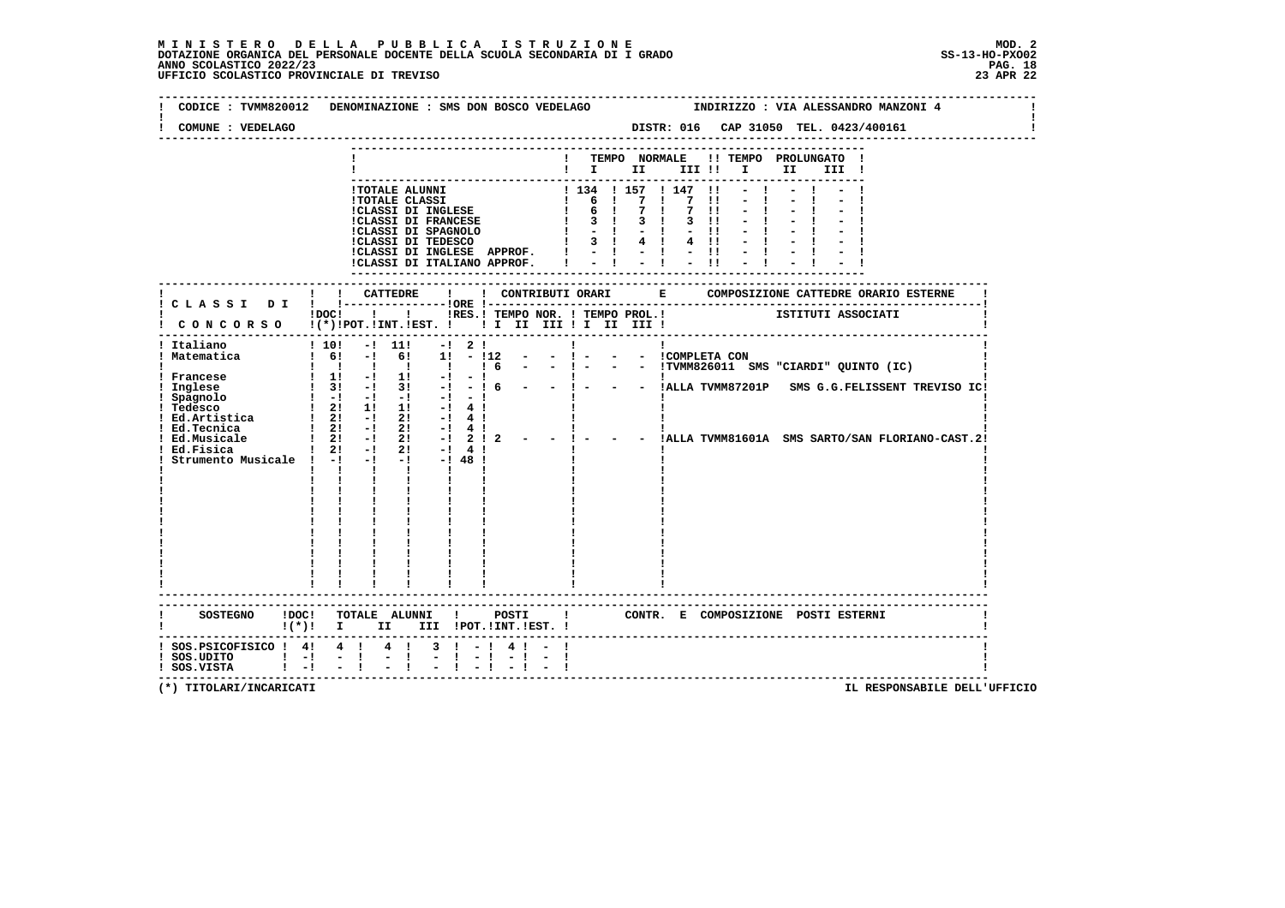# **M I N I S T E R O D E L L A P U B B L I C A I S T R U Z I O N E MOD. 2**DOTAZIONE ORGANICA DEL PERSONALE DOCENTE DELLA SCUOLA SECONDARIA DI I GRADO **SCOLASTICO ANNO SCOLASTICO 2022/23**<br>PAG ANNO SCOLASTICO 2022/23 PAG. 18<br>23 APR 22 UFFICIO SCOLASTICO PROVINCIALE DI TREVISO

| COMUNE : VEDELAGO                                                                                                                                                                            | CODICE: TVMM820012 DENOMINAZIONE: SMS DON BOSCO VEDELAGO<br>INDIRIZZO : VIA ALESSANDRO MANZONI 4<br>DISTR: 016 CAP 31050 TEL. 0423/400161                                                                                                                                                                                                                                                                                                                                                                                                                                                                                                                                                                                                                                                                            |
|----------------------------------------------------------------------------------------------------------------------------------------------------------------------------------------------|----------------------------------------------------------------------------------------------------------------------------------------------------------------------------------------------------------------------------------------------------------------------------------------------------------------------------------------------------------------------------------------------------------------------------------------------------------------------------------------------------------------------------------------------------------------------------------------------------------------------------------------------------------------------------------------------------------------------------------------------------------------------------------------------------------------------|
|                                                                                                                                                                                              | ! TEMPO NORMALE !! TEMPO PROLUNGATO !<br>II I<br>III !                                                                                                                                                                                                                                                                                                                                                                                                                                                                                                                                                                                                                                                                                                                                                               |
|                                                                                                                                                                                              | 1 TOTALE ALUNNI 1 134 1 157 1 147<br>1 134 1 157 1 147<br>1 134 1 157 1 147<br>1 157 1 147<br>1 6 1 7 1 7<br>1 6 1 7 1 7<br>1 6 1 7 1 7<br>1 7 1 3 1 4 1 -<br>1 CLASSI DI TEDESCO<br>1 3 1 4 1 4<br>$\overline{\phantom{a}}$<br>$\blacksquare$<br>$\pm 1$<br>$3$ $11$<br>$-11$<br>$4 \quad 11$<br>!CLASSI DI INGLESE APPROF. !<br>$-1 - 1 - 1 - 1$<br>!CLASSI DI ITALIANO APPROF.                                                                                                                                                                                                                                                                                                                                                                                                                                    |
|                                                                                                                                                                                              | ISTITUTI ASSOCIATI<br>!DOC! ! ! !RES.! TEMPO NOR. ! TEMPO PROL.!                                                                                                                                                                                                                                                                                                                                                                                                                                                                                                                                                                                                                                                                                                                                                     |
| ! Italiano<br>! Matematica<br>! Francese<br>! Inglese<br>1 Spagnolo<br>1 Tedesco<br>1 Ed.Artistica<br>1 Ed.Artistica<br>1 21 - 1 21<br>21 - 21<br>! Ed.Tecnica<br>Ed.Musicale<br>! Ed.Fisica | ! CONCORSO !(*)!POT.!INT.!EST. !!! II III !I III III !<br>.-----------------------------------<br>! 10! -! 11!<br>$-!$ 2 !<br>$\mathbf{I}$<br>Ι.<br>$1 \t6!$ -1 6! 1! - 112 - - 1 -<br>- - COMPLETA CON<br>$16 - -1$<br>$1 \quad 1 \quad 1 \quad 1 \quad 1$<br>- - !TVMM826011 SMS "CIARDI" QUINTO (IC)<br>$1 \t1! -1 \t1! -1$<br>- !    <br> - ! 6 - - ! - - -  ALLA TVMM87201P SMS G.G.FELISSENT TREVISO IC!<br>$\frac{1}{3!}$ $\frac{3!}{1!}$ $\frac{3!}{1!}$ $\frac{1}{1!}$ $\frac{1}{1!}$ 6<br>$\begin{bmatrix} 1 & -1 & -1 & -1 & -1 & -1 \end{bmatrix}$<br>$-1$ 4 $1$<br>$-1$ 4 $1$<br>$\frac{1}{2!}$ -1 21<br>$-!$ 4!<br>$-1$ 2 1 2 $ -$ 1 $-$<br>$1 \quad 2! \quad -! \quad 2!$<br>!ALLA TVMM81601A SMS SARTO/SAN FLORIANO-CAST.2!<br>$1 \t2! -1$<br>21<br>$-!$ 4!<br>Strumento Musicale ! -! -! -! -! 48 ! |
|                                                                                                                                                                                              | ------------------------<br>SOSTEGNO !DOC! TOTALE ALUNNI !<br>POSTI 1 CONTR. E COMPOSIZIONE POSTI ESTERNI<br>! (*)! I II III !POT.!INT.!EST.!                                                                                                                                                                                                                                                                                                                                                                                                                                                                                                                                                                                                                                                                        |
| ! SOS.PSICOFISICO ! 4! 4 ! 4 !<br>$:$ SOS.UDITO $:$ $-!$<br>! SOS.VISTA ! -!                                                                                                                 | $3 \quad 1 \quad -1 \quad 4 \quad 1 \quad -1$<br>$-1$<br>$-1$<br>-------------------------------------                                                                                                                                                                                                                                                                                                                                                                                                                                                                                                                                                                                                                                                                                                               |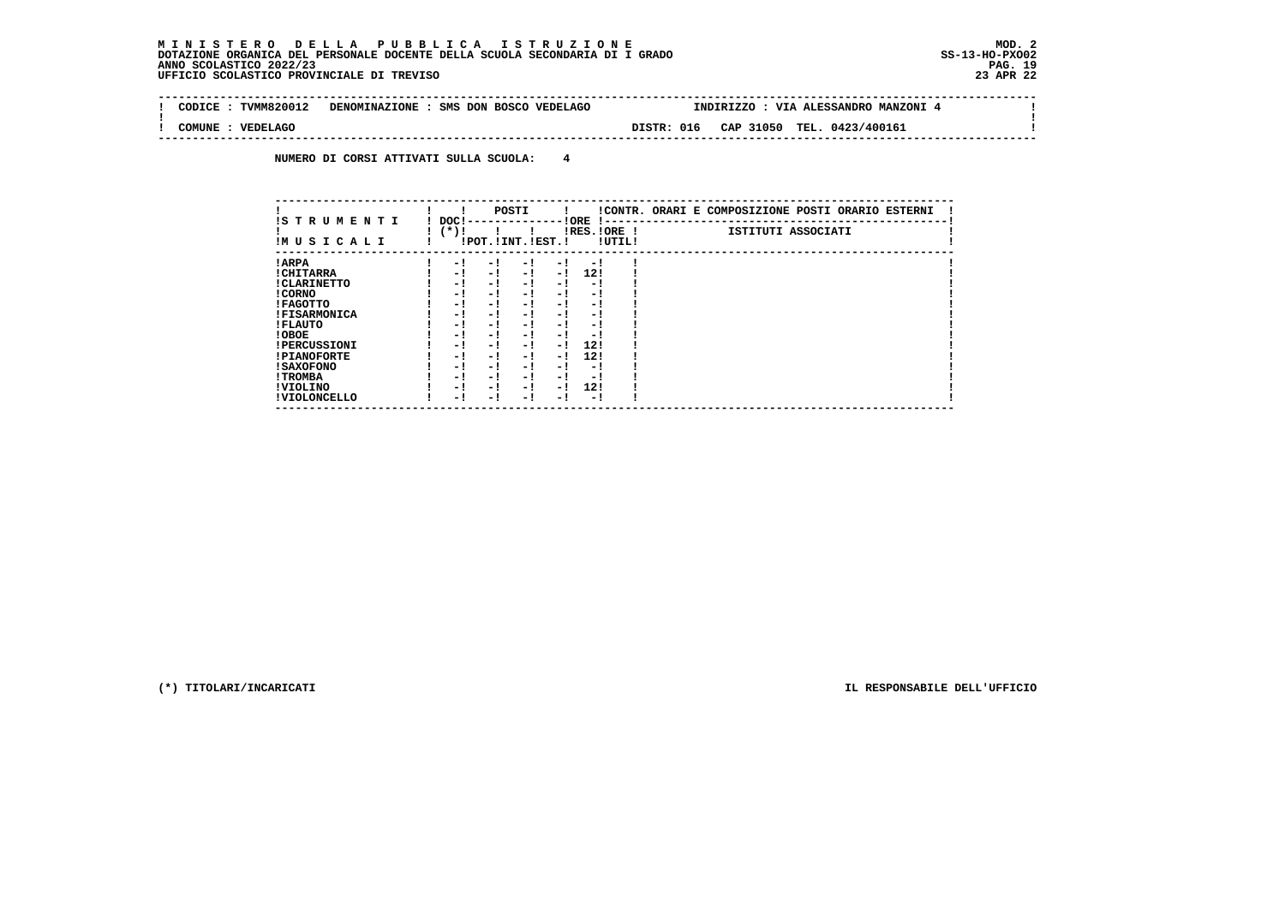$\mathbf{I}$ 

 **--------------------------------------------------------------------------------------------------------------------------------Contract Contract ! CODICE : TVMM820012 DENOMINAZIONE : SMS DON BOSCO VEDELAGO INDIRIZZO : VIA ALESSANDRO MANZONI 4 ! ! !** $\mathbf{I}$  **! COMUNE : VEDELAGO DISTR: 016 CAP 31050 TEL. 0423/400161 ! --------------------------------------------------------------------------------------------------------------------------------**

 **NUMERO DI CORSI ATTIVATI SULLA SCUOLA: 4**

| IS TRUMENTI         | DOC! |                       | POSTI |      | ! ORE<br>-1 - - |        | !CONTR. ORARI E COMPOSIZIONE POSTI ORARIO ESTERNI |
|---------------------|------|-----------------------|-------|------|-----------------|--------|---------------------------------------------------|
| IMUSICALI           | (*)! | !POT. ! INT. ! EST. ! |       |      | $IRES.IORE$ !   | !UTIL! | ISTITUTI ASSOCIATI                                |
| ! ARPA              | - 1  | - 1                   | - 1   | - 1  | - 1             |        |                                                   |
| ! CHITARRA          | - 1  | - !                   | $-1$  | $-1$ | 12!             |        |                                                   |
| ! CLARINETTO        | - 1  | - !                   | - 1   | - 1  | - 1             |        |                                                   |
| ! CORNO             | - 1  | - !                   | - 1   | - 1  | - 1             |        |                                                   |
| ! FAGOTTO           | - 1  | - !                   | - 1   | $-1$ | - 1             |        |                                                   |
| <b>!FISARMONICA</b> | - 1  | - !                   | - !   | - 1  | - 1             |        |                                                   |
| ! FLAUTO            | - 1  | - !                   | - 1   | - 1  | - 1             |        |                                                   |
| ! OBOE              | - 1  | - !                   | - 1   | $-1$ | - 1             |        |                                                   |
| <b>!PERCUSSIONI</b> | - 1  | - 1                   | - 1   | - 1  | 12!             |        |                                                   |
| <b>!PIANOFORTE</b>  | - 1  | - 1                   | - 1   | $-1$ | 12!             |        |                                                   |
| ! SAXOFONO          | - 1  | - 1                   | - !   | - 1  | - 1             |        |                                                   |
| ! TROMBA            | - 1  | - 1                   | - 1   | - 1  | - 1             |        |                                                   |
| ! VIOLINO           | - 1  | - 1                   | - 1   | $-1$ | 12!             |        |                                                   |
| ! VIOLONCELLO       | - 1  | - 1                   | - 1   | - 1  | - 1             |        |                                                   |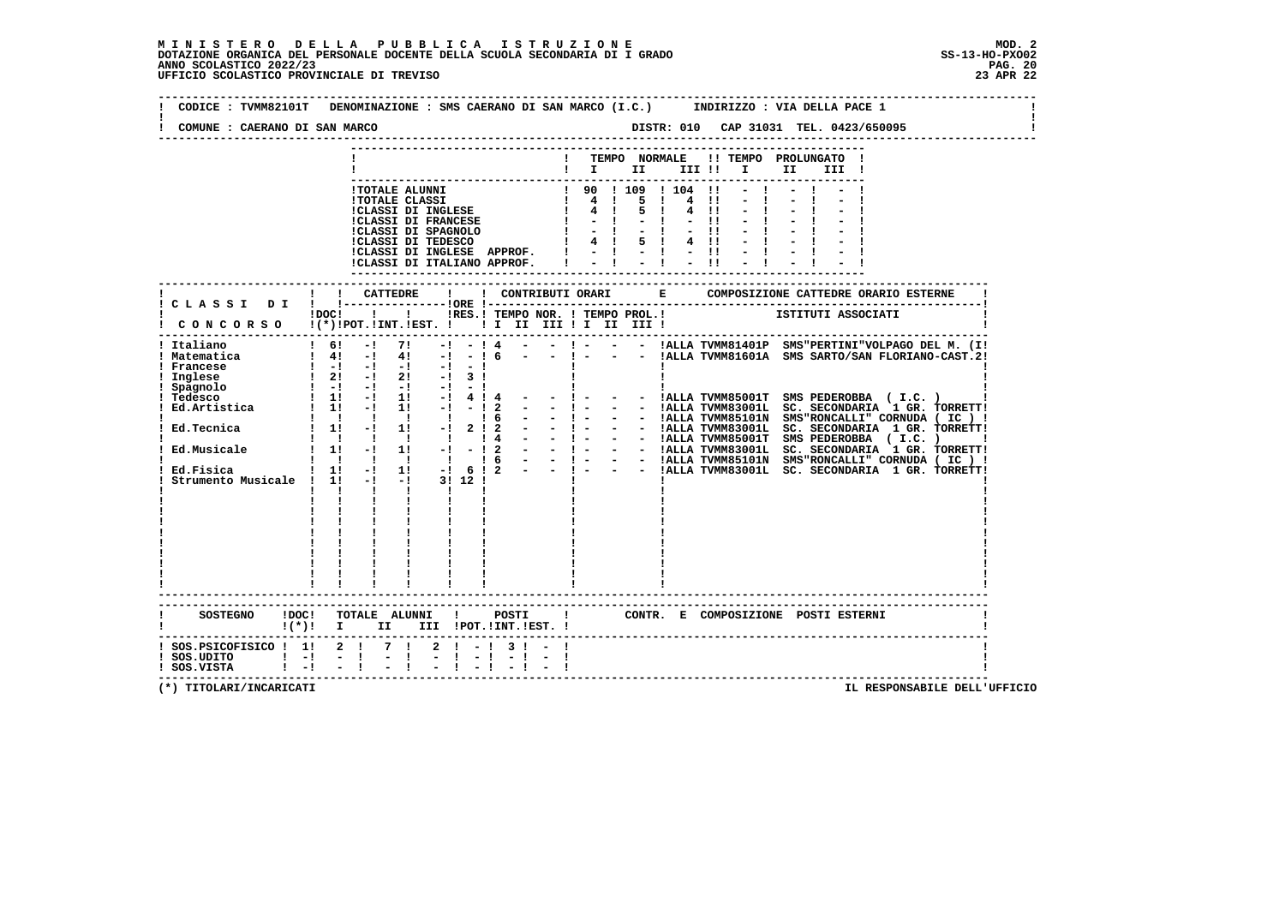$\mathbf{I}$ 

 **-------------------------------------------------------------------------------------------------------------------------------- ! CODICE : TVMM82101T DENOMINAZIONE : SMS CAERANO DI SAN MARCO (I.C.) INDIRIZZO : VIA DELLA PACE 1 ! ! ! ! COMUNE : CAERANO DI SAN MARCO DISTR: 010 CAP 31031 TEL. 0423/650095 ! -------------------------------------------------------------------------------------------------------------------------------- --------------------------------------------------------------------------- ! ! TEMPO NORMALE !! TEMPO PROLUNGATO ! ! ! I II III !! I II III ! ---------------------------------------------------------------------------** 1 TOTALE ALUNNI <br>
1 TOTALE CLASSI <br>
1 CLASSI DI INGLESE <br>
1 4 1 5 1 4 11 - 1 - 1 - 1<br>
1 CLASSI DI FRANCESE <br>
1 - 1 - 1 - 1 - 1 - 1 - 1<br>
1 - 1 - 1 - 1 - 1 - 1 - 1<br>
1 CLASSI DI TEDESCO 1 4 1 5 1 4 11 - 1 - 1 - 1<br>
1 - 1 - 1 -  **!CLASSI DI INGLESE APPROF. ! - ! - ! - !! - ! - ! - ! !CLASSI DI ITALIANO APPROF. ! - ! - ! - !! - ! - ! - ! --------------------------------------------------------------------------- ------------------------------------------------------------------------------------------------------------------------- ! ! ! CATTEDRE ! ! CONTRIBUTI ORARI E COMPOSIZIONE CATTEDRE ORARIO ESTERNE ! ! C L A S S I D I ! !---------------!ORE !------------------------------------------------------------------------! POC! !! IN IRES.! TEMPO NOR. ! TEMPO PROL.!** ISTITUTI ASSOCIATI  **! C O N C O R S O !(\*)!POT.!INT.!EST. ! ! I II III ! I II III ! ! ------------------------------------------------------------------------------------------------------------------------- ! Italiano ! 6! -! 7! -! - ! 4 - - ! - - - !ALLA TVMM81401P SMS"PERTINI"VOLPAGO DEL M. (I! ! Matematica ! 4! -! 4! -! - ! 6 - - ! - - - !ALLA TVMM81601A SMS SARTO/SAN FLORIANO-CAST.2! ! Francese ! -! -! -! -! - ! ! ! ! ! Inglese ! 2! -! 2! -! 3 ! ! ! ! ! Spagnolo ! -! -! -! -! - ! ! ! ! ! Tedesco ! 1! -! 1! -! 4 ! 4 - - ! - - - !ALLA TVMM85001T SMS PEDEROBBA ( I.C. ) ! ! Ed.Artistica ! 1! -! 1! -! - ! 2 - - ! - - - !ALLA TVMM83001L SC. SECONDARIA 1 GR. TORRETT! ! ! ! ! ! ! ! 6 - - ! - - - !ALLA TVMM85101N SMS"RONCALLI" CORNUDA ( IC ) ! ! Ed.Tecnica ! 1! -! 1! -! 2 ! 2 - - ! - - - !ALLA TVMM83001L SC. SECONDARIA 1 GR. TORRETT! ! ! ! ! ! ! ! 4 - - ! - - - !ALLA TVMM85001T SMS PEDEROBBA ( I.C. ) ! ! Ed.Musicale ! 1! -! 1! -! - ! 2 - - ! - - - !ALLA TVMM83001L SC. SECONDARIA 1 GR. TORRETT! ! ! ! ! ! ! ! 6 - - ! - - - !ALLA TVMM85101N SMS"RONCALLI" CORNUDA ( IC ) ! ! Ed.Fisica ! 1! -! 1! -! 6 ! 2 - - ! - - - !ALLA TVMM83001L SC. SECONDARIA 1 GR. TORRETT! ! Strumento Musicale ! 1! -! -! 3! 12 ! ! ! ! ! ! ! ! ! ! ! ! ! ! ! ! ! ! ! ! ! ! ! ! ! ! ! ! ! ! ! ! ! ! ! ! ! ! ! ! ! ! ! ! ! ! ! ! ! ! ! ! ! ! ! ! ! ! ! ! ! ! ! ! ! ! ! ! ! ! ! ! ! ! ! ! ! ! ! ! ! ! ! ! ! ! ! ! ! ! ! ! ! ! ! ! ! ! ! ! ! ! ! ! ------------------------------------------------------------------------------------------------------------------------- ------------------------------------------------------------------------------------------------------------------------- ! SOSTEGNO !DOC! TOTALE ALUNNI ! POSTI ! CONTR. E COMPOSIZIONE POSTI ESTERNI ! ! !(\*)! I II III !POT.!INT.!EST. ! ! ------------------------------------------------------------------------------------------------------------------------- ! SOS.PSICOFISICO ! 1! 2 ! 7 ! 2 ! - ! 3 ! - ! !** $\blacksquare$  $\blacksquare$  **SOS.UDITO !** - **!** - **!** - **!** - **!** - **!** - **! ! SOS.VISTA ! -! - ! - ! - ! - ! - ! - ! ! -------------------------------------------------------------------------------------------------------------------------**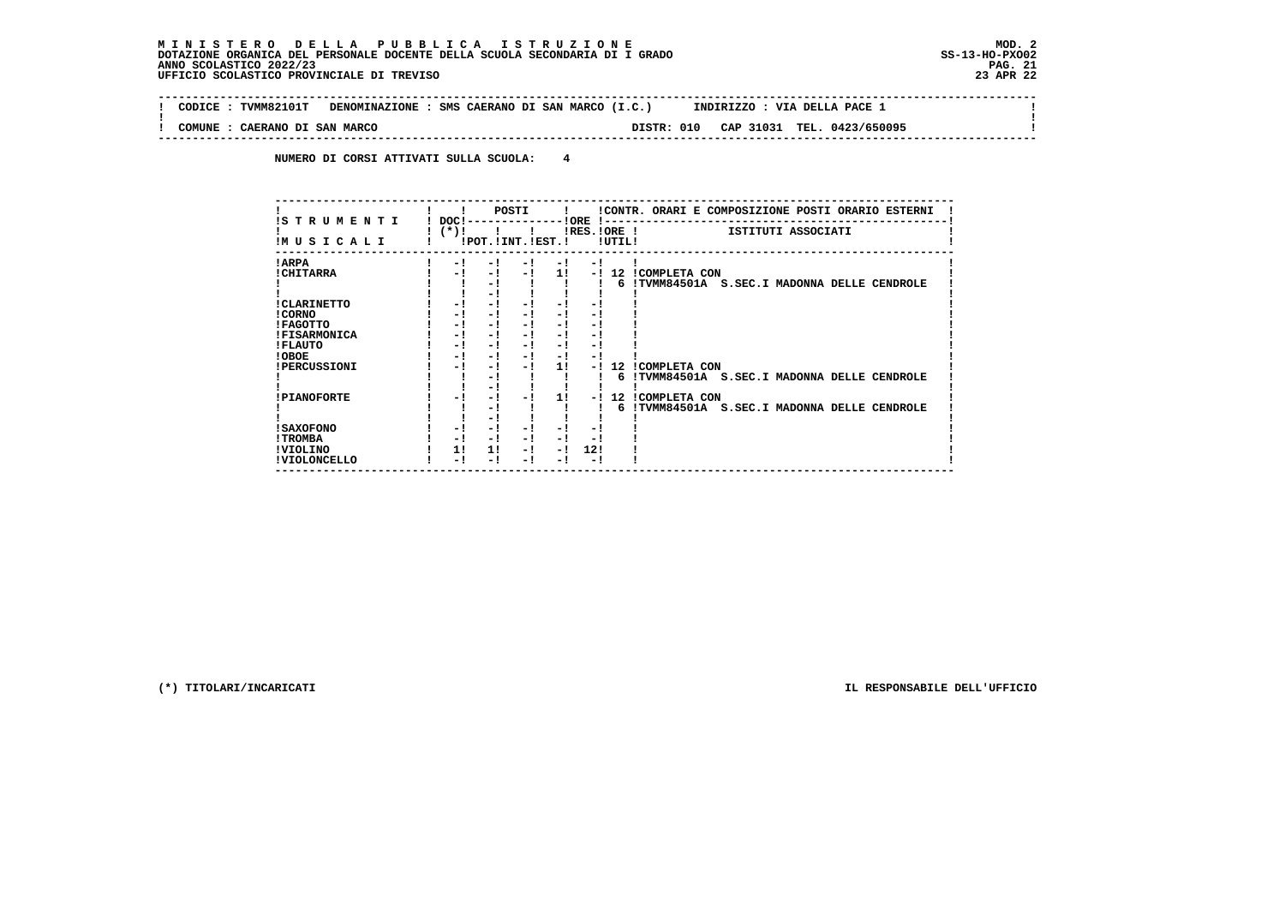$\sim$ 

 $\mathbf{I}$ 

 $\mathbf{I}$ 

 **-------------------------------------------------------------------------------------------------------------------------------- ! CODICE : TVMM82101T DENOMINAZIONE : SMS CAERANO DI SAN MARCO (I.C.) INDIRIZZO : VIA DELLA PACE 1 !**

 **--------------------------------------------------------------------------------------------------------------------------------**

 **! ! ! COMUNE : CAERANO DI SAN MARCO DISTR: 010 CAP 31031 TEL. 0423/650095 !**

 **NUMERO DI CORSI ATTIVATI SULLA SCUOLA: 4**

| IS TRUMENTI         | $DOCI -$ |                | POSTI<br>------------!ORE !-- | $\mathbf{I}$ |      |        | !CONTR. ORARI E COMPOSIZIONE POSTI ORARIO ESTERNI |
|---------------------|----------|----------------|-------------------------------|--------------|------|--------|---------------------------------------------------|
|                     | !(*)!    | $\blacksquare$ |                               |              |      |        | $lRES.IORE$ $l$<br>ISTITUTI ASSOCIATI             |
| IMUSICALI           |          |                | !POT. ! INT. ! EST. !         |              |      | !UTIL! |                                                   |
| ! ARPA              | - !      | - 1            | $-1$                          | $-1$         | $-1$ |        |                                                   |
| <b>! CHITARRA</b>   | - 1      | - 1            | - 1                           | 11           |      |        | -! 12 ICOMPLETA CON                               |
|                     |          | - 1            |                               |              |      |        | 6 !TVMM84501A S.SEC.I MADONNA DELLE CENDROLE      |
|                     |          | - 1            |                               |              |      |        |                                                   |
| ! CLARINETTO        | - !      | - 1            | - 1                           | - 1          |      |        |                                                   |
| ! CORNO             | - !      | - !            | - 1                           | - !          | - 1  |        |                                                   |
| ! FAGOTTO           | - !      | - !            | - 1                           | - !          | - 1  |        |                                                   |
| <b>!FISARMONICA</b> | - 1      | - 1            | - 1                           | - 1          | - !  |        |                                                   |
| ! FLAUTO            | - 1      | - 1            | - 1                           | - 1          | - 1  |        |                                                   |
| ! OBOE              | - !      | - 1            | - 1                           | - !          | - !  |        |                                                   |
| <b>!PERCUSSIONI</b> | - !      | - !            | - 1                           | 11           | - 1  |        | 12 ICOMPLETA CON                                  |
|                     |          | - 1            |                               |              |      |        | 6 !TVMM84501A S.SEC.I MADONNA DELLE CENDROLE      |
|                     |          | - 1            |                               |              |      |        |                                                   |
| <b>!PIANOFORTE</b>  | - 1      | - 1            |                               | 11           | - 1  |        | 12 ICOMPLETA CON                                  |
|                     |          | - !            |                               |              |      |        | 6 !TVMM84501A S.SEC.I MADONNA DELLE CENDROLE      |
|                     |          | - !            |                               |              |      |        |                                                   |
| ! SAXOFONO          | - 1      | - !            |                               | - 1          |      |        |                                                   |
| ! TROMBA            | - 1      | - !            | - 1                           | - 1          | - !  |        |                                                   |
| !VIOLINO            | 11       | 1!             | - 1                           | - 1          | 12!  |        |                                                   |
| ! VIOLONCELLO       | - !      | - !            | - 1                           | - 1          | - !  |        |                                                   |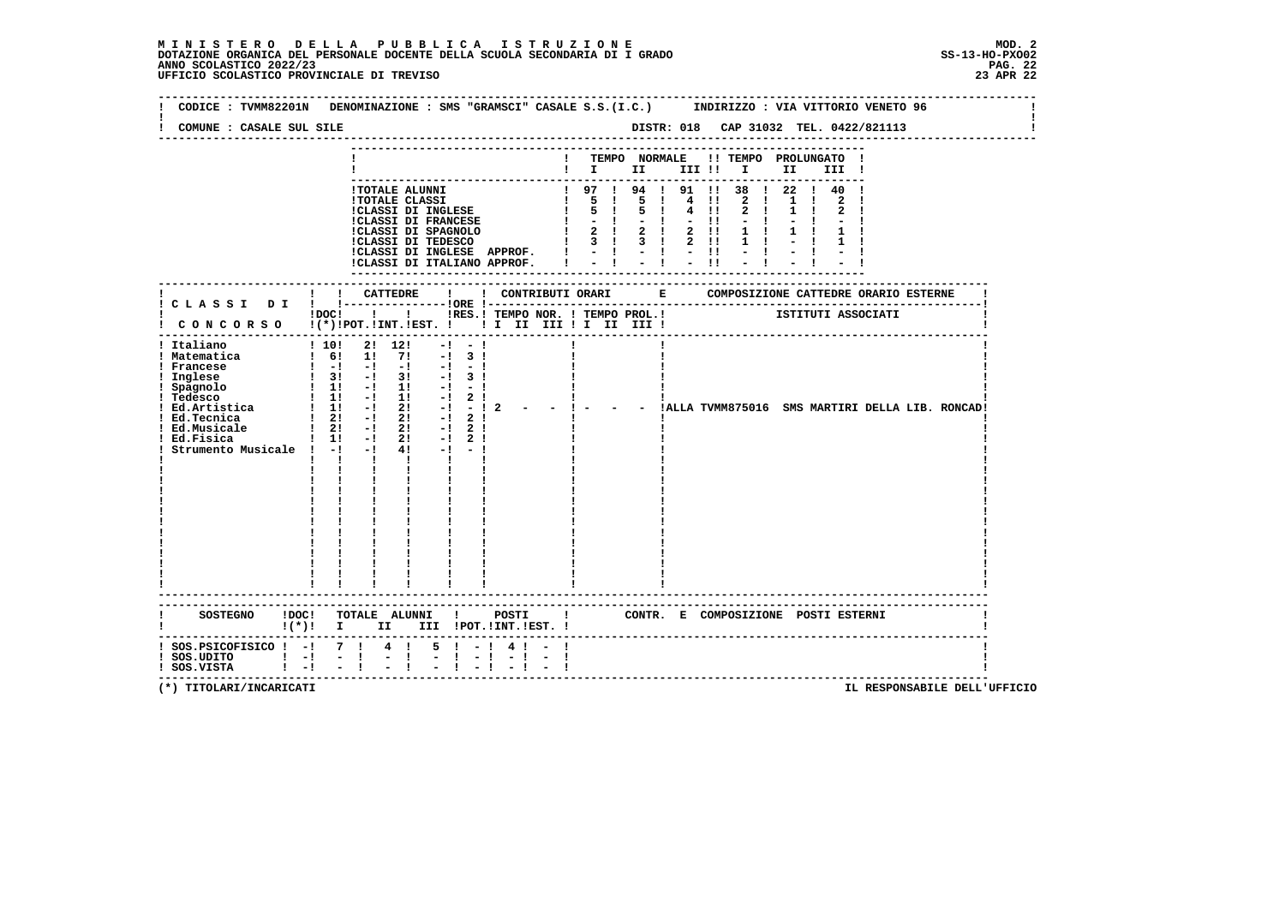| COMUNE : CASALE SUL SILE                                                                  | CODICE: TVMM82201N DENOMINAZIONE: SMS "GRAMSCI" CASALE S.S.(I.C.) INDIRIZZO: VIA VITTORIO VENETO 96                                                                                                                                                                                                                                                                                                                                                                                                                                                                                                                                                                                         |
|-------------------------------------------------------------------------------------------|---------------------------------------------------------------------------------------------------------------------------------------------------------------------------------------------------------------------------------------------------------------------------------------------------------------------------------------------------------------------------------------------------------------------------------------------------------------------------------------------------------------------------------------------------------------------------------------------------------------------------------------------------------------------------------------------|
|                                                                                           | ! TEMPO NORMALE !! TEMPO PROLUNGATO !<br>$\blacksquare$ $\blacksquare$ $\blacksquare$ $\blacksquare$ $\blacksquare$ $\blacksquare$ $\blacksquare$ $\blacksquare$ $\blacksquare$ $\blacksquare$ $\blacksquare$ $\blacksquare$ $\blacksquare$ $\blacksquare$ $\blacksquare$ $\blacksquare$                                                                                                                                                                                                                                                                                                                                                                                                    |
|                                                                                           | 1 97 1 94 1 91 11 38 1 22 1 40 1<br>1 TOTALE ALUMNI<br>1 TOTALE CLASSI<br>1 TOTALE CLASSI<br>1 CLASSI DI INGLESE<br>1 5 1 5 1 4 1!<br>1 CLASSI DI FRANCESE<br>1 - 1 - 1 - 1 - 1!<br>1 CLASSI DI TEDESCO<br>1 3 1 3 1 2 1!<br>1 CLASSI DI TEDESCO<br>1 - 1 - 1 - 1!<br>1 CLASSI DI INGLES<br>2 1 1 1<br>$2 \quad 1$<br>$1 \quad 1$<br>$1 \quad 1$<br>$\mathbf{1}$                                                                                                                                                                                                                                                                                                                            |
|                                                                                           |                                                                                                                                                                                                                                                                                                                                                                                                                                                                                                                                                                                                                                                                                             |
|                                                                                           | !DOC! !!! !RES.! TEMPO NOR. ! TEMPO PROL.! [STITUTI ASSOCIATI<br>! CONCORSO !(*)!POT.!INT.!EST. ! ! I II III ! I III III !                                                                                                                                                                                                                                                                                                                                                                                                                                                                                                                                                                  |
| ! Italiano<br>! Matematica<br>! Ed.Musicale<br>Strumento Musicale ! -! -!                 | ! 10! 2! 12!<br>$-1 - -1$<br>1 6! 1! 7! -! 3!<br>1 Francese $\begin{array}{cccccccc} 1 & -1 & -1 & -1 & -1 & -1 \\ 1 & -1 & -1 & -1 & -1 & -1 \\ 1 & \text{Ingless} & & 1 & 31 & -1 & 31 & -1 & 31 \\ 1 & \text{Spagnolo} & & 1 & 11 & -1 & 11 & -1 & -1 \\ 1 & \text{tedesco} & & 1 & 11 & -1 & 11 & -1 & 21 \\ \end{array}$<br>- - !ALLA TVMM875016 SMS MARTIRI DELLA LIB. RONCAD!<br>$1 \quad 21 \quad -1 \quad 21$<br>$-1$ 2 1<br>4!<br>$-1 - -1$<br>$\mathbf{1}$ $\mathbf{1}$ $\mathbf{1}$<br>$\mathbf{I}$ and $\mathbf{I}$<br>$\mathbf{I}$<br>$\mathbf{1}$ $\mathbf{1}$<br>$1 - 1 - 1$<br>$\mathbf{I}$ and $\mathbf{I}$<br>$\mathbf{I}$ and $\mathbf{I}$<br>------------------------- |
| SOSTEGNO ! DOC!                                                                           | TOTALE ALUNNI !<br>POSTI 1 CONTR. E COMPOSIZIONE POSTI ESTERNI                                                                                                                                                                                                                                                                                                                                                                                                                                                                                                                                                                                                                              |
| $:$ SOS.PSICOFISICO $:$ - $:$ 7 $:$ 4 $:$<br>$!$ SOS.UDITO $!$ -!<br>$!$ SOS.VISTA $!$ -! | $5! - 14! - 1$<br>$-1 - 1$<br>$\sim$ $-1$<br>$-1$<br>$-1 - 1$<br>$-1$<br>--------------------------------------                                                                                                                                                                                                                                                                                                                                                                                                                                                                                                                                                                             |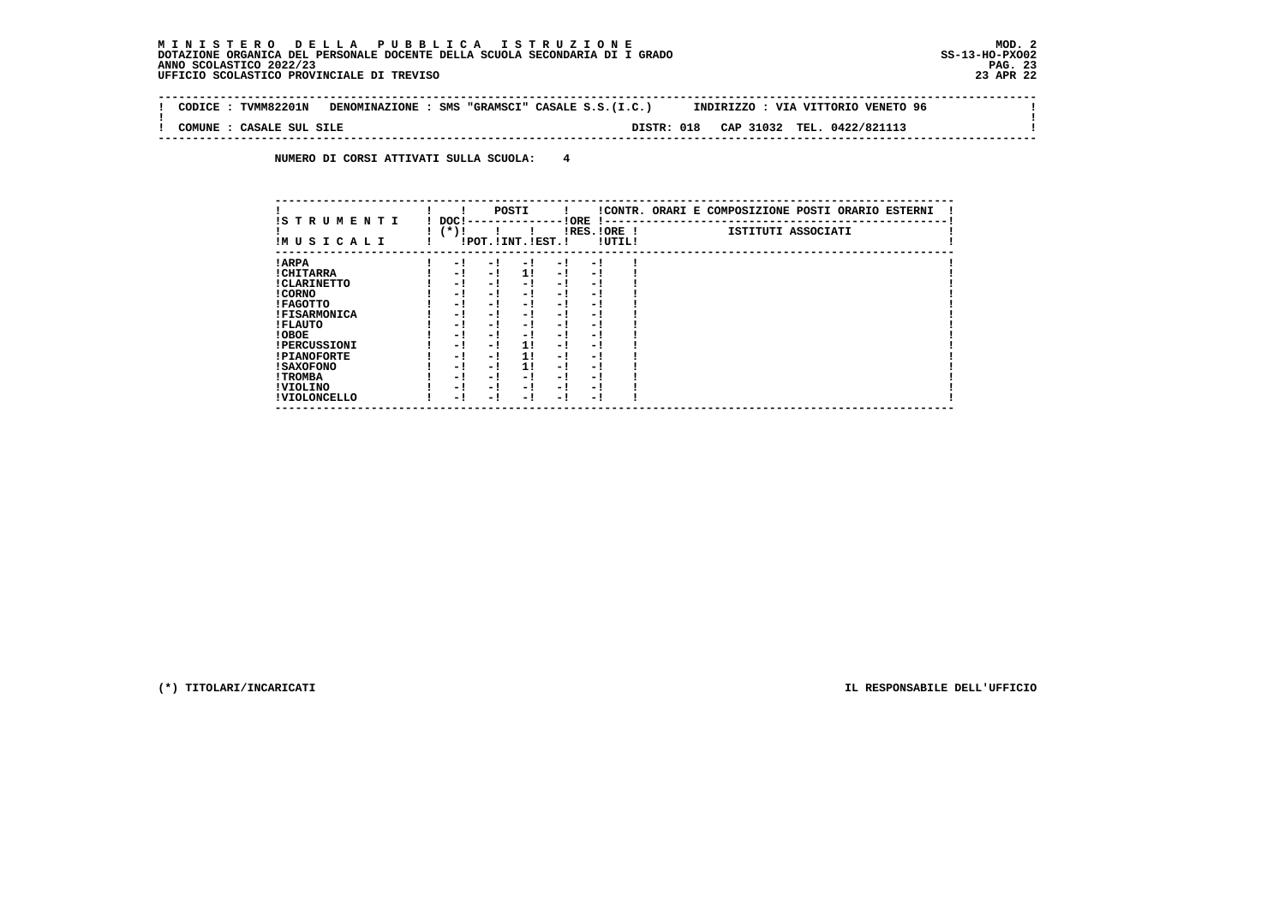**Contract Contract** 

 $\mathbf{I}$ 

 $\mathbf{I}$ 

 **-------------------------------------------------------------------------------------------------------------------------------- ! CODICE : TVMM82201N DENOMINAZIONE : SMS "GRAMSCI" CASALE S.S.(I.C.) INDIRIZZO : VIA VITTORIO VENETO 96 ! ! ! ! COMUNE : CASALE SUL SILE DISTR: 018 CAP 31032 TEL. 0422/821113 ! --------------------------------------------------------------------------------------------------------------------------------**

 **NUMERO DI CORSI ATTIVATI SULLA SCUOLA: 4**

| IS T R U M E N T I  | DOC! |                       | POSTI |     | ! ORE<br>.    |        | !CONTR. ORARI E COMPOSIZIONE POSTI ORARIO ESTERNI |
|---------------------|------|-----------------------|-------|-----|---------------|--------|---------------------------------------------------|
| IMUSICALI           | (*)! | !POT. ! INT. ! EST. ! |       |     | $IRES.IORE$ ! | !UTIL! | ISTITUTI ASSOCIATI                                |
| ! ARPA              | - 1  | - 1                   | - 1   | - 1 | - 1           |        |                                                   |
| ! CHITARRA          | - 1  | - 1                   | 11    | - ! | - 1           |        |                                                   |
| ! CLARINETTO        | - 1  | - 1                   | - 1   | - 1 | - 1           |        |                                                   |
| ! CORNO             | - 1  | - 1                   | - !   | - 1 | - 1           |        |                                                   |
| ! FAGOTTO           | - 1  | - 1                   | - 1   | - 1 | - 1           |        |                                                   |
| <b>!FISARMONICA</b> | - 1  | - !                   | - 1   | - 1 | - 1           |        |                                                   |
| ! FLAUTO            | - 1  | - 1                   | - !   | - 1 | - 1           |        |                                                   |
| ! OBOE              | - 1  | - 1                   | - !   | - 1 | - 1           |        |                                                   |
| <b>!PERCUSSIONI</b> | - 1  | - 1                   | 11    | - 1 | - 1           |        |                                                   |
| <b>!PIANOFORTE</b>  | - 1  | - 1                   | 1!    | - 1 | - 1           |        |                                                   |
| <b>! SAXOFONO</b>   | - 1  | - 1                   | 11    | - 1 | - 1           |        |                                                   |
| ! TROMBA            | - 1  | - 1                   | - 1   | - 1 | - 1           |        |                                                   |
| ! VIOLINO           | - 1  | - 1                   | - 1   | - 1 | - 1           |        |                                                   |
| ! VIOLONCELLO       | - 1  | - !                   | - 1   | - ! | - 1           |        |                                                   |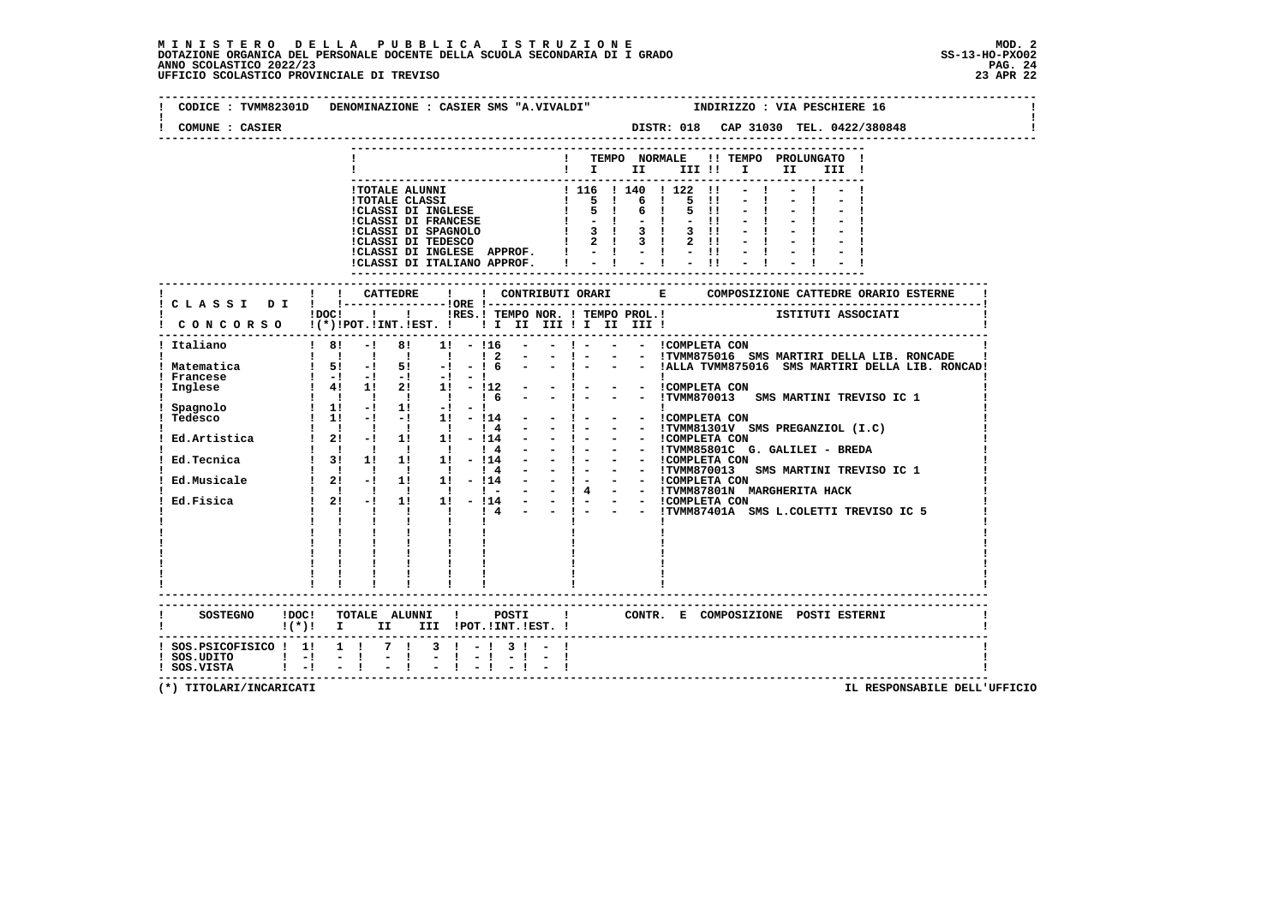# **M I N I S T E R O D E L L A P U B B L I C A I S T R U Z I O N E MOD. 2**DOTAZIONE ORGANICA DEL PERSONALE DOCENTE DELLA SCUOLA SECONDARIA DI I GRADO **SCOLASTICO SCOLASTICO 2022/23 PAG. 24**<br>23 ANNO SCOLASTICO 2022/23 PAG. 24<br>23 APR 22

|                                                | CODICE: TVMM82301D DENOMINAZIONE: CASIER SMS "A.VIVALDI"   INDIRIZZO: VIA PESCHIERE 16                                                                                                                                                       |
|------------------------------------------------|----------------------------------------------------------------------------------------------------------------------------------------------------------------------------------------------------------------------------------------------|
| COMUNE : CASIER                                |                                                                                                                                                                                                                                              |
|                                                | ! TEMPO NORMALE !! TEMPO PROLUNGATO !                                                                                                                                                                                                        |
|                                                | $\mathbf{I}$ is the set of $\mathbf{I}$<br>III !! I II<br>III !                                                                                                                                                                              |
|                                                |                                                                                                                                                                                                                                              |
|                                                |                                                                                                                                                                                                                                              |
|                                                |                                                                                                                                                                                                                                              |
|                                                |                                                                                                                                                                                                                                              |
|                                                |                                                                                                                                                                                                                                              |
|                                                | - CORREST DI FRANCESE (1990)<br>1 TOTALE CLASSI DI FRANCESE (1990)<br>1 CLASSI DI FRANCESE (1990)<br>1 CLASSI DI FRANCESE (1990)<br>1 CLASSI DI FRANCESE (1990)<br>1 CLASSI DI FRANCESE (1990)<br>1 CLASSI DI FRANCESE (1990)<br>1 CLASSI DI |
|                                                |                                                                                                                                                                                                                                              |
|                                                | ! ! CATTEDRE<br>$\mathbf{I}$<br>! CLASSI DI ! !---------------!ORE !--                                                                                                                                                                       |
|                                                |                                                                                                                                                                                                                                              |
|                                                |                                                                                                                                                                                                                                              |
|                                                |                                                                                                                                                                                                                                              |
| ! Francese                                     |                                                                                                                                                                                                                                              |
|                                                |                                                                                                                                                                                                                                              |
|                                                |                                                                                                                                                                                                                                              |
|                                                |                                                                                                                                                                                                                                              |
|                                                |                                                                                                                                                                                                                                              |
|                                                | 9<br>Pagnolo 1 1 1 1 1 1 1 6 - - 1 - - TYMM870013 SMS MARTINI TREVISO IC 1<br>Tedesco 1 11 -1 1 -1 1 - 11 - 11<br>21 -1 1 1 -114 - - 1 - - 1 - - ICOMPLETA CON<br>Ed.Artistica 1 21 -1 11 1 -114 - - 1 - - ITMM83101V SMS PREGANZIOL (       |
|                                                |                                                                                                                                                                                                                                              |
|                                                |                                                                                                                                                                                                                                              |
|                                                |                                                                                                                                                                                                                                              |
|                                                |                                                                                                                                                                                                                                              |
|                                                |                                                                                                                                                                                                                                              |
|                                                |                                                                                                                                                                                                                                              |
|                                                |                                                                                                                                                                                                                                              |
|                                                |                                                                                                                                                                                                                                              |
|                                                |                                                                                                                                                                                                                                              |
|                                                |                                                                                                                                                                                                                                              |
|                                                | SOSTEGNO !DOC! TOTALE ALUNNI !<br><b>POSTI</b><br>! CONTR. E COMPOSIZIONE POSTI ESTERNI                                                                                                                                                      |
|                                                | $!(*)!$ I II III !POT. !INT. !EST. !                                                                                                                                                                                                         |
|                                                | $\frac{1}{1}$ SOS.PSICOFISICO ! 1! 1 ! 7 ! 3 ! - ! 3 ! - !<br>! SOS.UDITO ! -! - ! - ! - ! - ! - ! - ! - !                                                                                                                                   |
| ! SOS.UDITO   - ! - !<br>! SOS.VISTA   - ! - ! | $\mathbb{Z} \setminus \mathbb{R}$                                                                                                                                                                                                            |
|                                                |                                                                                                                                                                                                                                              |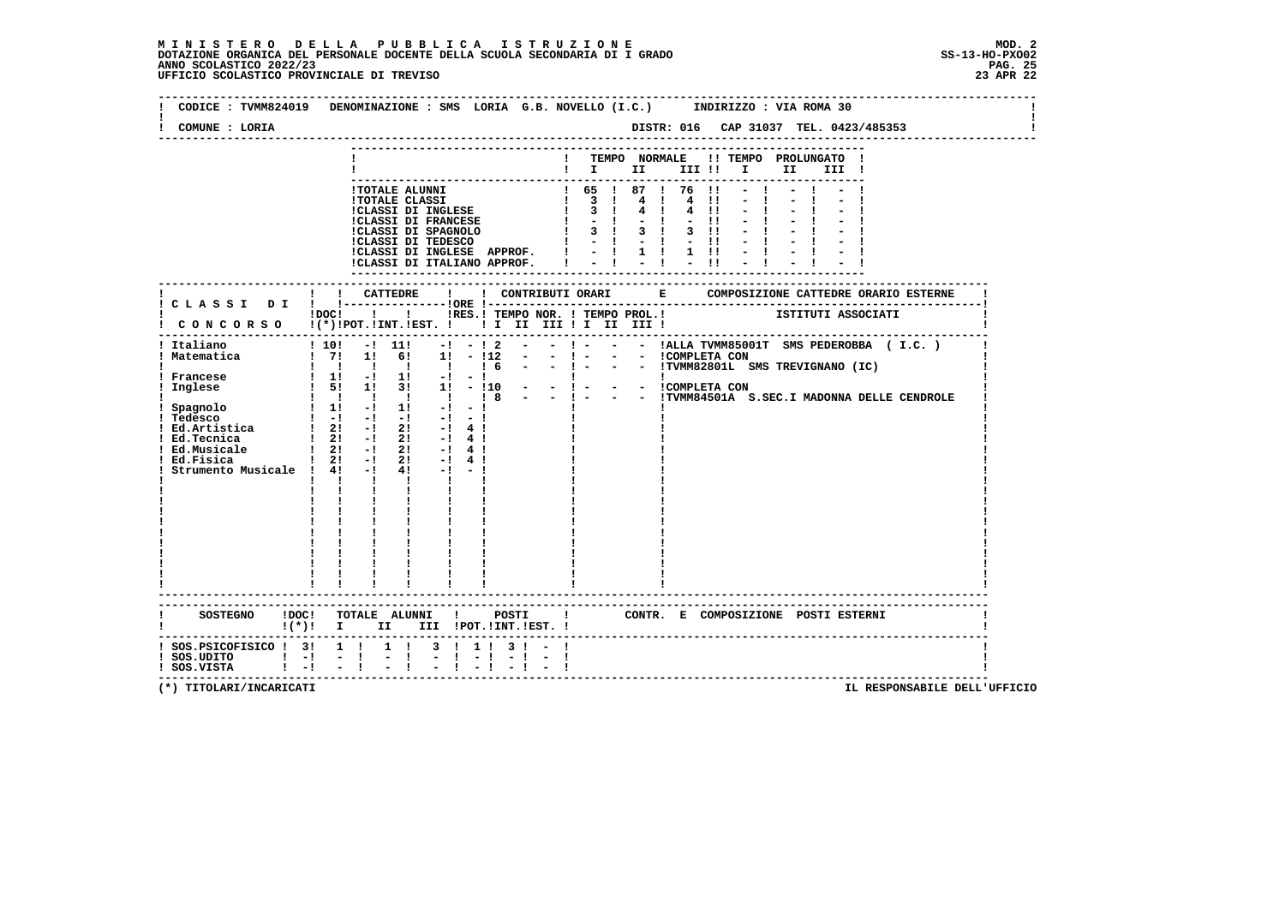| COMUNE : LORIA                                           |                                                                                                                                                                                                                                                                                                                                                                                                                                                                                                                                                                                                                                                                                                                                                                                                                            |                                                                                     |                  |                                       |  |                                                |
|----------------------------------------------------------|----------------------------------------------------------------------------------------------------------------------------------------------------------------------------------------------------------------------------------------------------------------------------------------------------------------------------------------------------------------------------------------------------------------------------------------------------------------------------------------------------------------------------------------------------------------------------------------------------------------------------------------------------------------------------------------------------------------------------------------------------------------------------------------------------------------------------|-------------------------------------------------------------------------------------|------------------|---------------------------------------|--|------------------------------------------------|
|                                                          |                                                                                                                                                                                                                                                                                                                                                                                                                                                                                                                                                                                                                                                                                                                                                                                                                            |                                                                                     | $\blacksquare$   | ! TEMPO NORMALE !! TEMPO PROLUNGATO ! |  |                                                |
|                                                          | 1 TOTALE ALUNNI<br>1 TOTALE CLASSI<br>1 TOTALE CLASSI<br>1 TOTALE CLASSI<br>1 TOTALE CLASSI<br>1 TOTALE CLASSI<br>1 2 1 4 1 4 11<br>1 CLASSI DI FRANCESE<br>1 3 1 4 1 4 11<br>1 CLASSI DI FRANCESE<br>1 3 1 3 1 3 1<br>1 3 1 3 1 1<br>1 1 - 1 - 1 - 1                                                                                                                                                                                                                                                                                                                                                                                                                                                                                                                                                                      | !CLASSI DI INGLESE APPROF.   -   1   1   !<br>!CLASSI DI ITALIANO APPROF. ! - ! - ! | ---------------- |                                       |  |                                                |
|                                                          | IDOCI ! IRES. I TEMPO NOR. I TEMPO PROL. ! ISTITUTI ASSOCIATI                                                                                                                                                                                                                                                                                                                                                                                                                                                                                                                                                                                                                                                                                                                                                              |                                                                                     |                  |                                       |  |                                                |
| ! Italiano<br>! Matematica<br>Strumento Musicale ! 4! -! | ! CONCORSO !(*)!POT.!INT.!EST. ! ! I III III II III III !<br>$10!$ -1 11! -1 -1 2 - -1 - - -1 ALLA TVMM85001T SMS PEDEROBBA (I.C.)<br>$1 \t 7!$ 1! 6! 1! - $112$ - - ! - - - ICOMPLETA CON<br>$\frac{1}{1}$ $\frac{1}{1}$ $\frac{1}{1}$ $\frac{1}{1}$ $\frac{1}{6}$ $\frac{1}{1}$ $\frac{1}{1}$ $\frac{1}{1}$ $\frac{1}{1}$ $\frac{1}{1}$ $\frac{1}{1}$ $\frac{1}{1}$ $\frac{1}{1}$ $\frac{1}{1}$ $\frac{1}{1}$ $\frac{1}{1}$ $\frac{1}{1}$ $\frac{1}{1}$ $\frac{1}{1}$ $\frac{1}{1}$ $\frac{1}{1}$ $\frac{1}{1}$<br>1 1 1 1 1 1 1 8<br>$\frac{1}{2}$ in $\frac{1}{2}$ in $\frac{1}{2}$ in $\frac{1}{2}$ in $\frac{1}{2}$<br>1 Spagnolo<br>1 Tedesco<br>1 Tedesco<br>1 Ed.Artistica<br>1 21 -1 21 -1 21 -1 41<br>21<br>41<br>$\mathbf{I}$ and $\mathbf{I}$<br>$\mathbf{I}$<br>$\mathbf{I}$<br>$\mathbf{I}$<br>$\mathbf{I}$ | $-!$ 4 !<br>$-1$ 4 1<br>$-1$ 4 1<br>$-1 - -1$                                       |                  |                                       |  | - - !TVMM84501A S.SEC.I MADONNA DELLE CENDROLE |
|                                                          | ---------------------<br>SOSTEGNO ! DOC! TOTALE ALUNNI ! POSTI ! CONTR. E COMPOSIZIONE POSTI ESTERNI<br>!(*)! I II III !POT.!INT.!EST.!                                                                                                                                                                                                                                                                                                                                                                                                                                                                                                                                                                                                                                                                                    |                                                                                     |                  |                                       |  |                                                |
| ! SOS.UDITO ! -! - !<br>! SOS.VISTA ! -! - !<br>$1 - 1$  | ! SOS.PSICOFISICO ! 3! 1 ! 1 ! 3 ! 1 ! 3 ! - !<br>$\frac{1}{2}$                                                                                                                                                                                                                                                                                                                                                                                                                                                                                                                                                                                                                                                                                                                                                            | $\frac{1}{2}$ $\frac{1}{2}$ $\frac{1}{2}$ $\frac{1}{2}$<br>$-1$ $-1$                |                  |                                       |  |                                                |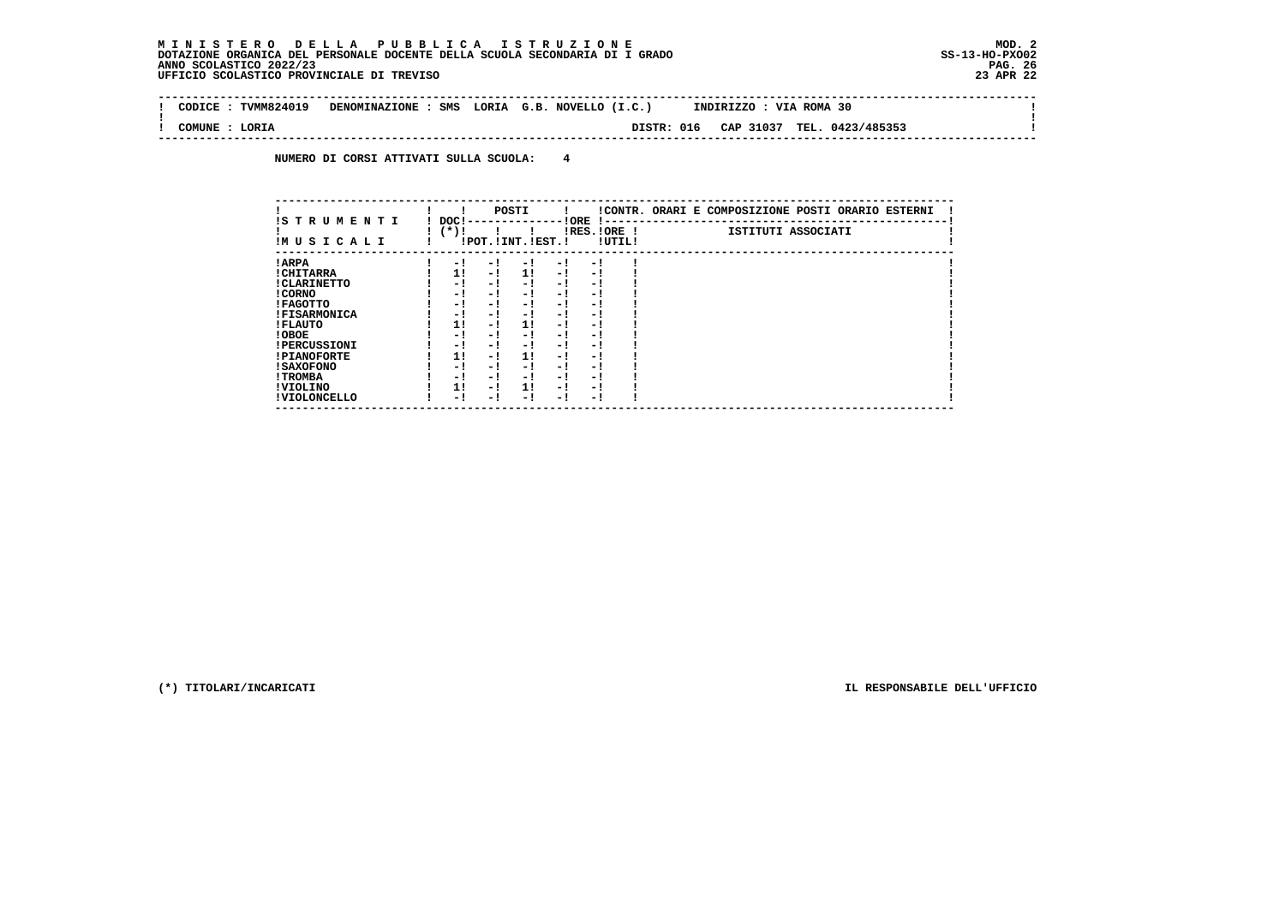$\sim$ 

 $\mathbf{I}$ 

 $\mathbf{I}$ 

 **-------------------------------------------------------------------------------------------------------------------------------- ! CODICE : TVMM824019 DENOMINAZIONE : SMS LORIA G.B. NOVELLO (I.C.) INDIRIZZO : VIA ROMA 30 ! ! ! ! COMUNE : LORIA DISTR: 016 CAP 31037 TEL. 0423/485353 !**

 **--------------------------------------------------------------------------------------------------------------------------------**

 **NUMERO DI CORSI ATTIVATI SULLA SCUOLA: 4**

| IS T R U M E N T I  | DOC! |     | POSTI                 |     | ! ORE<br>.    |        | !CONTR. ORARI E COMPOSIZIONE POSTI ORARIO ESTERNI |
|---------------------|------|-----|-----------------------|-----|---------------|--------|---------------------------------------------------|
| IMUSICALI           | (*)! |     | !POT. ! INT. ! EST. ! |     | $IRES.IORE$ ! | !UTIL! | ISTITUTI ASSOCIATI                                |
| ! ARPA              | - 1  | - 1 | - 1                   | - 1 | - 1           |        |                                                   |
| ! CHITARRA          | 11   | - ! | 11                    | - ! | - 1           |        |                                                   |
| ! CLARINETTO        | - 1  | - 1 | - 1                   | - 1 | - 1           |        |                                                   |
| ! CORNO             | - 1  | - 1 | - !                   | - 1 | - 1           |        |                                                   |
| ! FAGOTTO           | - 1  | - 1 | - 1                   | - 1 | - 1           |        |                                                   |
| <b>!FISARMONICA</b> | - 1  | - 1 | - 1                   | - 1 | - 1           |        |                                                   |
| ! FLAUTO            | 1!   | - ! | 1!                    | - 1 | - 1           |        |                                                   |
| ! OBOE              | - 1  | - 1 | - !                   | - 1 | - 1           |        |                                                   |
| <b>!PERCUSSIONI</b> | - 1  | - 1 | - 1                   | - 1 | - 1           |        |                                                   |
| <b>!PIANOFORTE</b>  | 11   | - 1 | 11                    | - 1 | - 1           |        |                                                   |
| <b>! SAXOFONO</b>   | - 1  | - 1 | - !                   | - 1 | - 1           |        |                                                   |
| ! TROMBA            | - 1  | - 1 | - 1                   | - 1 | - 1           |        |                                                   |
| ! VIOLINO           | 1!   | - 1 | 11                    | - 1 | - 1           |        |                                                   |
| ! VIOLONCELLO       | - 1  | - ! | - 1                   | - 1 | - 1           |        |                                                   |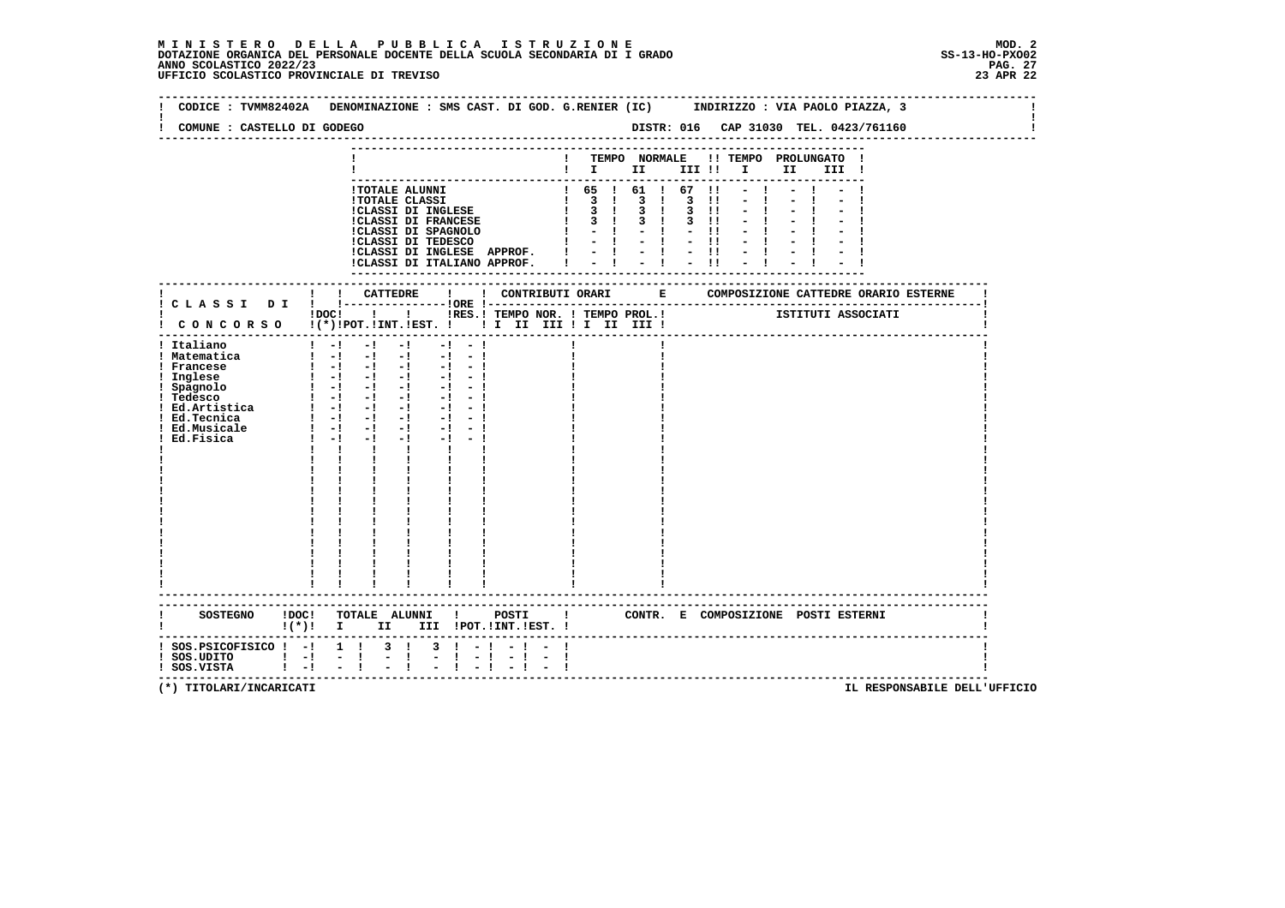|                                     | CODICE: TVMM82402A DENOMINAZIONE: SMS CAST. DI GOD. G.RENIER (IC) INDIRIZZO: VIA PAOLO PIAZZA, 3                                                                        |  |
|-------------------------------------|-------------------------------------------------------------------------------------------------------------------------------------------------------------------------|--|
| COMUNE : CASTELLO DI GODEGO         | DISTR: 016 CAP 31030 TEL. 0423/761160                                                                                                                                   |  |
|                                     |                                                                                                                                                                         |  |
|                                     | TEMPO NORMALE !! TEMPO PROLUNGATO<br>$\mathbf{I}$ is the set of $\mathbf{I}$<br>III !!<br>I II<br>III !                                                                 |  |
|                                     |                                                                                                                                                                         |  |
|                                     | ! TOTALE ALUNNI<br>$1\quad 65$ $1\quad 61$ $1\quad 67$ $11$                                                                                                             |  |
|                                     | $3 \quad 1$<br>$3 \quad 1$<br>$\mathbf{I}$<br>3<br>$\blacksquare$<br><b>!TOTALE CLASSI</b><br>$3 \cdot 1$                                                               |  |
|                                     | $\mathbf{I}$<br>$3 \quad 1$<br><b>!CLASSI DI INGLESE</b><br>3<br>$\blacksquare$<br>$3 \quad 1$<br>$\mathbf{I}$<br>$3 \quad 1$<br>$3$ $11$<br><b>!CLASSI DI FRANCESE</b> |  |
|                                     | $\mathbf{1}$<br>$-1$ $-1$<br>$-11$                                                                                                                                      |  |
|                                     | !CLASSI DI SPAGNOLO<br>!CLASSI DI TEDESCO<br>$-1 - 1$<br>$-11$                                                                                                          |  |
|                                     | $= 1 - 1 - 1$<br>!CLASSI DI INGLESE APPROF. !                                                                                                                           |  |
|                                     | !CLASSI DI ITALIANO APPROF.                                                                                                                                             |  |
|                                     |                                                                                                                                                                         |  |
|                                     | ! CONTRIBUTI ORARI E COMPOSIZIONE CATTEDRE ORARIO ESTERNE<br>! CATTEDRE                                                                                                 |  |
|                                     | !RES.! TEMPO NOR. ! TEMPO PROL.! [STITUTI ASSOCIATI<br>$1\,\mathrm{DOC}$ $1\phantom{000}$                                                                               |  |
|                                     | ! CONCORSO !(*)!POT.!INT.!EST. !! I III III II III III !                                                                                                                |  |
| ! Italiano                          | $-1$<br>$1 - 1$<br>$-1$<br>$-1 - -1$                                                                                                                                    |  |
| ! Matematica                        | $1 - 1 - 1 - 1$<br>$-1$<br>$-1$                                                                                                                                         |  |
| ! Francese                          | $1 - 1 - 1 - 1$<br>$-1$<br>$-1$                                                                                                                                         |  |
| ! Inglese                           | $\begin{array}{ccccccccc} 1 & -1 & -1 & -1 & -1 & -1 & -1 \\ 1 & -1 & -1 & -1 & -1 & -1 & -1 \end{array}$                                                               |  |
| ! Spagnolo                          |                                                                                                                                                                         |  |
| ! Tedesco                           | $1 - 1 - 1 - 1$<br>$-1 - 1$                                                                                                                                             |  |
| : Iedesco<br>! Ed.Artistica         | $1 - 1 - 1 - 1$                                                                                                                                                         |  |
| ! Ed.Tecnica                        | $1 - 1 - 1 - 1$<br>$-1 - 1$<br>$1 - 1 - 1$<br>$-1$<br>$-1 - 1$                                                                                                          |  |
| ! Ed.Musicale<br>Ed.Fisica          | $1 - 1 - 1$<br>$-1$ $-$                                                                                                                                                 |  |
|                                     | $\mathbf{I}$<br>$\mathbf{I}$<br><b>The Contract of Contract State</b>                                                                                                   |  |
|                                     |                                                                                                                                                                         |  |
|                                     |                                                                                                                                                                         |  |
|                                     |                                                                                                                                                                         |  |
|                                     |                                                                                                                                                                         |  |
|                                     |                                                                                                                                                                         |  |
|                                     |                                                                                                                                                                         |  |
|                                     |                                                                                                                                                                         |  |
|                                     |                                                                                                                                                                         |  |
|                                     |                                                                                                                                                                         |  |
|                                     |                                                                                                                                                                         |  |
|                                     |                                                                                                                                                                         |  |
|                                     |                                                                                                                                                                         |  |
|                                     |                                                                                                                                                                         |  |
| SOSTEGNO ! DOC!                     | TOTALE ALUNNI ! POSTI<br>$\mathbf{1}$<br>CONTR. E COMPOSIZIONE POSTI ESTERNI                                                                                            |  |
|                                     | $\mathbf{I}(\star)\mathbf{I}$ I<br>II III !POT.!INT.!EST. !                                                                                                             |  |
| $:$ SOS.PSICOFISICO $:$ - $:$ 1 $:$ | $3 \quad 1$<br>3<br>$\mathbf{I}$                                                                                                                                        |  |
| $!$ SOS.UDITO $!$ $-!$ $-$ !        | $\blacksquare$<br>$\mathbf{I}$<br>$\overline{\phantom{0}}$<br>$-1$<br>$\sim$<br>-1<br>$\blacksquare$                                                                    |  |
| ! SOS.VISTA                         | $1 - 1$<br>$-1$                                                                                                                                                         |  |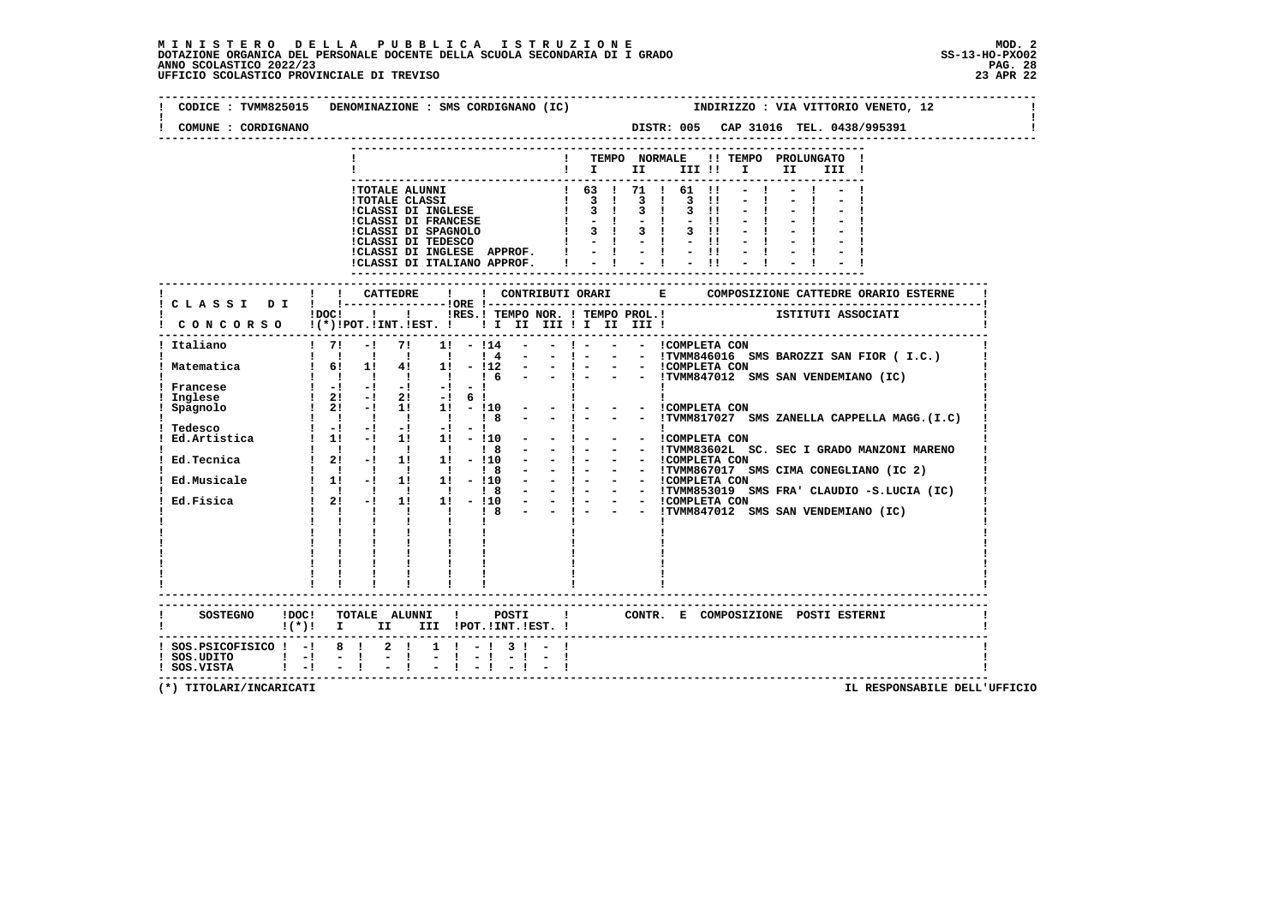# **M I N I S T E R O D E L L A P U B B L I C A I S T R U Z I O N E MOD. 2**DOTAZIONE ORGANICA DEL PERSONALE DOCENTE DELLA SCUOLA SECONDARIA DI I GRADO **SCOLASTICO SCOLASTICO 2022/23 PAG. 28**<br>23 ANNO SCOLASTICO 2022/23 PAG. 28<br>23 APR 22

| COMUNE : CORDIGNANO                                                                                          | CODICE : TVMM825015 DENOMINAZIONE : SMS CORDIGNANO (IC)<br>INDIRIZZO : VIA VITTORIO VENETO, 12<br>DISTR: 005 CAP 31016 TEL. 0438/995391                                                                                                                                                 |
|--------------------------------------------------------------------------------------------------------------|-----------------------------------------------------------------------------------------------------------------------------------------------------------------------------------------------------------------------------------------------------------------------------------------|
|                                                                                                              | ! TEMPO NORMALE !! TEMPO PROLUNGATO !<br>$\blacksquare$                                                                                                                                                                                                                                 |
|                                                                                                              | !TOTALE ALUNNI<br><b>!TOTALE CLASSI</b><br>!CLASSI DI INGLESE<br><b>!CLASSI DI FRANCESE</b><br>$1 - 1 - 1 - 1 - 11 - 1$<br>$-1$<br>ICLASSI DI INGLESE APPROF. $1 - 1 - 1 - 11 - 1$<br>ICLASSI DI ITALIANO APPROF. $1 - 1 - 1 - 11 - 1$                                                  |
|                                                                                                              |                                                                                                                                                                                                                                                                                         |
|                                                                                                              | iDOCI ! ! IRES. I TEMPO NOR. ! TEMPO PROL. ! [STITUTI ASSOCIATI<br>! CONCORSO !(*)!POT.!INT.!EST. !!! II III !I III III !                                                                                                                                                               |
| ! Italiano                                                                                                   | $\frac{1}{2}$<br>$-1$ 71<br>$1! - 114$<br>! ! ! ! ! ! ! 4 - - ! - - - TVMM846016 SMS BAROZZI SAN FIOR (I.C.)                                                                                                                                                                            |
| ! Matematica                                                                                                 | $1 \t6!$ 11 41 11 - 112 - - 1 - - - ICOMPLETA CON                                                                                                                                                                                                                                       |
| Francese<br>Inglese<br>Spagnolo                                                                              | $1 - 1 - 1 - 1 - 1 - 1 - 1$<br>$\frac{1}{2!}$ - $\frac{1}{2!}$ - $\frac{1}{2!}$ - $\frac{1}{2!}$ 6 !<br>$1 \quad 21 \quad -1$<br>$1!$ $1!$ $ 10$ $  1$ $-$<br>- - !COMPLETA CON<br>- - !TVMM817027 SMS ZANELLA CAPPELLA MAGG.(I.C)<br>1 1 1 8<br>$  1 -$<br>$1 \quad 1$<br>$\mathbf{I}$ |
| Ed.Tecnica                                                                                                   | : Tedesco $\begin{array}{ccc} 1 & -1 & -1 & -1 & -1 & -1 \\ 1 & Ed.Rrtistica & 1 & 11 & -1 & 11 & 11 & -110 \\ \end{array}$<br>- - COMPLETA CON<br>$-1$ $-1$<br>- !- - - !TVMM83602L SC. SEC I GRADO MANZONI MARENO                                                                     |
|                                                                                                              |                                                                                                                                                                                                                                                                                         |
|                                                                                                              | $\mathbf{I}$ and $\mathbf{I}$ and $\mathbf{I}$<br>$\mathbf{1}$ and $\mathbf{1}$ and $\mathbf{1}$<br>$\mathbf{I}$<br>$1\leq i\leq 1\leq \ldots\leq 1$ .<br>$\mathbf{I}$ $\mathbf{I}$ $\mathbf{I}$                                                                                        |
|                                                                                                              | $\frac{1}{4}=\frac{1}{4}=-\frac{1}{4}=-\frac{1}{4}=-\frac{1}{4}$                                                                                                                                                                                                                        |
|                                                                                                              | SOSTEGNO !DOC! TOTALE ALUNNI ! POSTI ! CONTR. E COMPOSIZIONE POSTI ESTERNI<br>!(*)! I II III !POT.!INT.!EST.!                                                                                                                                                                           |
| $:$ SOS.PSICOFISICO $:$ - $:$ 8 $:$ 2 $:$<br>$\frac{1}{1}$ SOS.UDITO $1 - 1 - 1$<br>$!$ SOS.VISTA $!$ -! - ! | $1 \t-1 \t-1$<br>$-1 - 1$<br>$-1$<br>$-1 - 1 - 1 - 1$                                                                                                                                                                                                                                   |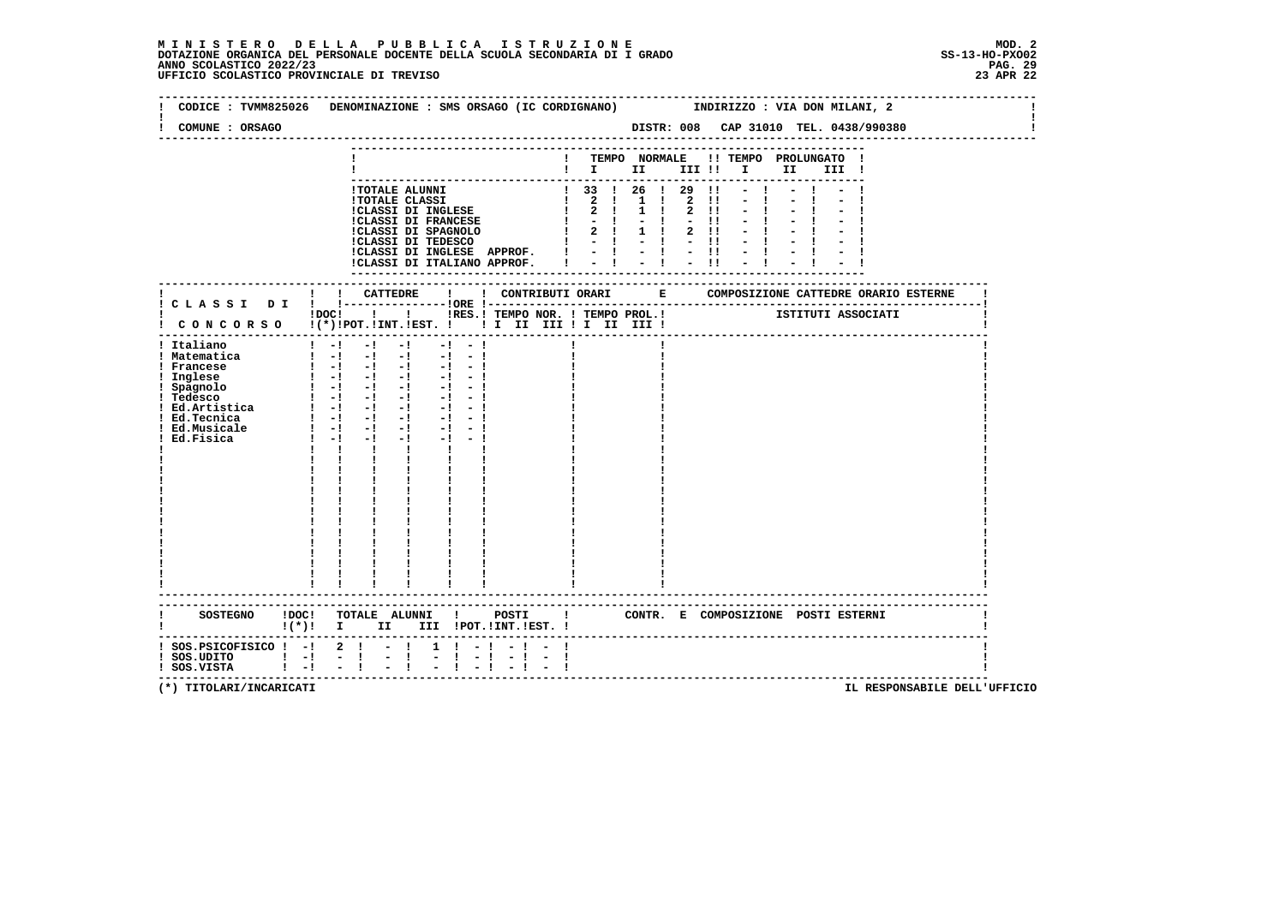# **M I N I S T E R O D E L L A P U B B L I C A I S T R U Z I O N E MOD. 2**DOTAZIONE ORGANICA DEL PERSONALE DOCENTE DELLA SCUOLA SECONDARIA DI I GRADO **SCOLASTICO SCOLASTICO 2022/23 PAG-**<br>PAG ANNO SCOLASTICO 2022/23 PAG. 29<br>23 APR 22

| COMUNE : ORSAGO                                                                                                                                                   | CODICE: TVMM825026 DENOMINAZIONE: SMS ORSAGO (IC CORDIGNANO) INDIRIZZO: VIA DON MILANI, 2                                                                                                                                                                                                                                                                                                                                                                        |                      |                                                                                                                                                                      |  |                           |                                       |                    |
|-------------------------------------------------------------------------------------------------------------------------------------------------------------------|------------------------------------------------------------------------------------------------------------------------------------------------------------------------------------------------------------------------------------------------------------------------------------------------------------------------------------------------------------------------------------------------------------------------------------------------------------------|----------------------|----------------------------------------------------------------------------------------------------------------------------------------------------------------------|--|---------------------------|---------------------------------------|--------------------|
|                                                                                                                                                                   |                                                                                                                                                                                                                                                                                                                                                                                                                                                                  |                      | $\blacksquare$ $\blacksquare$ $\blacksquare$ $\blacksquare$ $\blacksquare$ $\blacksquare$ $\blacksquare$ $\blacksquare$ $\blacksquare$ $\blacksquare$ $\blacksquare$ |  |                           | ! TEMPO NORMALE !! TEMPO PROLUNGATO ! | III !              |
|                                                                                                                                                                   | !TOTALE ALUNNI<br>1 TOTALE CLASSI 1 2 1 1 2 1 1 - 1<br>1 2 1 1 2 1 1 - 1<br>1 CLASSI DI INGLESE 1 2 1 1 2 1 1 - 1<br>1 CLASSI DI FRANCESE 1 2 1 1 - 2 1 - 1<br>1 2 1 1 - 1<br>1 2 1 1 - 1<br>1 CLASSI DI TEDESCO 1 - 1 - 1 - 1 - 1 - 1<br>ICLASSI DI INGLESE APPROF. $\begin{array}{ccccccccc} & 1 & - & 1 & - & 1 & - & 11 \\ \text{ICLASSI DI ITALIANO APPROF.} & & 1 & - & 1 & - & 11 \\ \end{array}$                                                         |                      | 1 33 1 26 1 29                                                                                                                                                       |  | $\mathbf{H} = \mathbf{I}$ |                                       |                    |
|                                                                                                                                                                   | ! ! CATTEDRE<br>$\sim$ 1.000 $\sim$<br>! C L A S S I D I ! !----------------!ORE !---<br>!DOC! ! ! !RES.! TEMPO NOR. ! TEMPO PROL.!                                                                                                                                                                                                                                                                                                                              |                      |                                                                                                                                                                      |  |                           |                                       | ISTITUTI ASSOCIATI |
| ! Italiano<br>! Matematica<br>! Francese<br>! Inglese<br>! Spagnolo<br>! Tedesco<br>! Ed.Artistica<br>! Ed.Tecnica<br>! Ed.Musicale<br>! Ed.Fisica                | $1 - 1 - 1 - 1 - 1 - 1 - 1$<br>$1 - 1 - -1 - -1 - -1 -1 -1$<br>$\begin{bmatrix} 1 & -1 & -1 & -1 & -1 & -1 \end{bmatrix}$<br>$\begin{bmatrix} 1 & -1 & -1 & -1 & -1 & -1 \end{bmatrix}$<br>$\begin{bmatrix} 1 & -1 & -1 & -1 & -1 & -1 \end{bmatrix}$<br>$\begin{bmatrix} 1 & -1 & -1 & -1 & -1 & -1 \end{bmatrix}$<br>$1 - 1 - 1$<br>$-1$ $-1$ $-1$<br>$\mathbf{I}$ and $\mathbf{I}$<br>$1 - 1$<br>$\mathbf{I}$ and $\mathbf{I}$<br>$\frac{1}{1}$ $\frac{1}{1}$ |                      |                                                                                                                                                                      |  |                           |                                       |                    |
|                                                                                                                                                                   | ------------------------<br>$!(*)!$ I II III !POT.!INT.!EST. !                                                                                                                                                                                                                                                                                                                                                                                                   |                      |                                                                                                                                                                      |  |                           | ! CONTR. E COMPOSIZIONE POSTI ESTERNI |                    |
| $:$ SOS.PSICOFISICO $:$ - $:$ 2 $:$ - $:$<br>$\frac{1}{1}$ SOS.UDITO $\frac{1}{1}$ - $\frac{1}{1}$ - $\frac{1}{1}$ - $\frac{1}{1}$ - $\frac{1}{1}$<br>! SOS.VISTA | $1 \quad 1$<br>$\blacksquare$ $\blacksquare$ $\blacksquare$ $\blacksquare$ $\blacksquare$ $\blacksquare$                                                                                                                                                                                                                                                                                                                                                         | $-1 - 1$<br>$-1 - 1$ |                                                                                                                                                                      |  |                           |                                       |                    |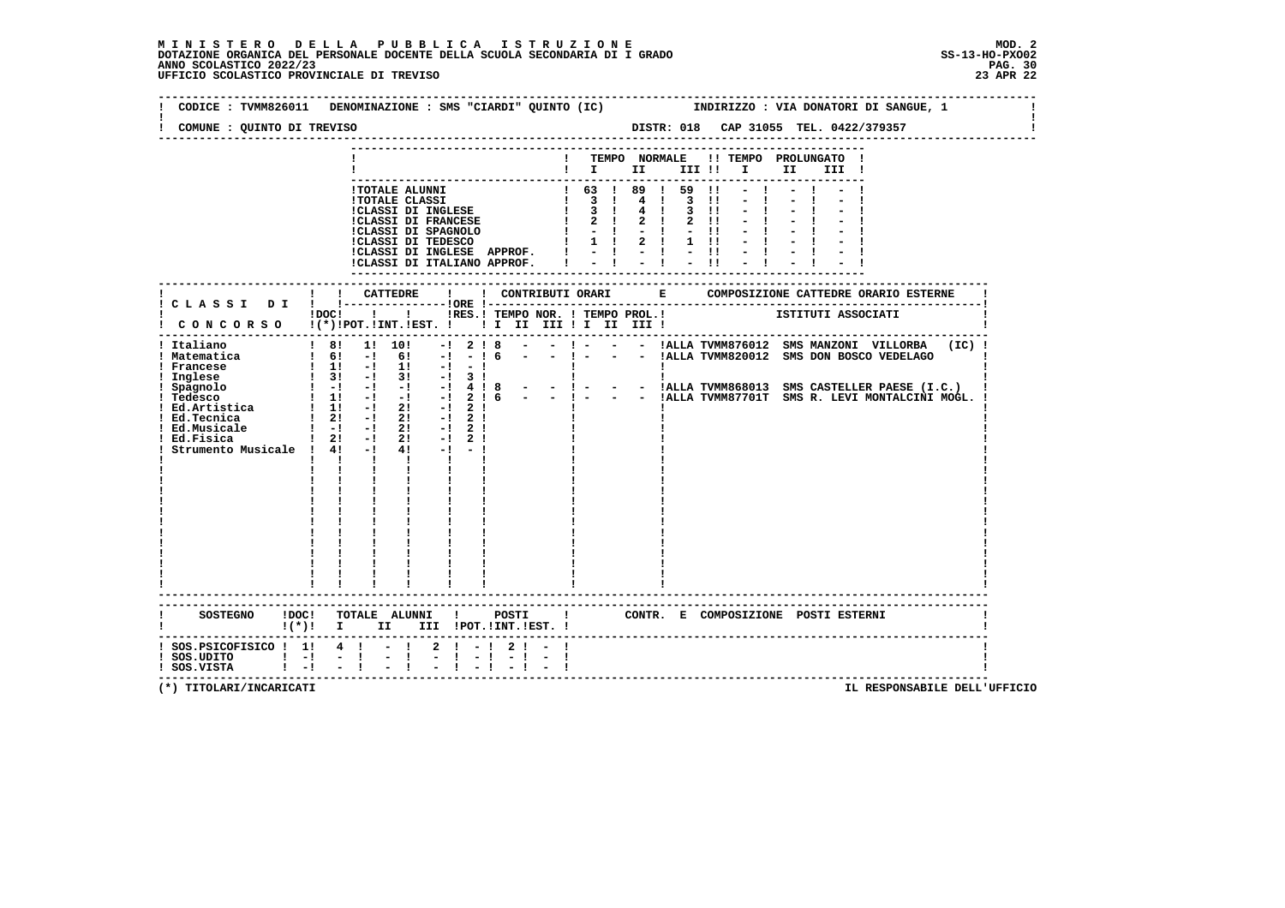# **M I N I S T E R O D E L L A P U B B L I C A I S T R U Z I O N E MOD. 2**DOTAZIONE ORGANICA DEL PERSONALE DOCENTE DELLA SCUOLA SECONDARIA DI I GRADO **SCOLASTICO ANNO SCOLASTICO 2022/23**<br>PAG ANNO SCOLASTICO 2022/23 PAG. 30<br>23 APR 22 UFFICIO SCOLASTICO PROVINCIALE DI TREVISO

|                                                                                                                                                 | CODICE: TVMM826011 DENOMINAZIONE: SMS "CIARDI" QUINTO (IC)   INDIRIZZO: VIA DONATORI DI SANGUE, 1                                                                                                                                                                                                                                                                                                                                                                                                                                                    |                            |                                                                                                                                                                                       |                                                                    |                                                                                                                                                             |          |
|-------------------------------------------------------------------------------------------------------------------------------------------------|------------------------------------------------------------------------------------------------------------------------------------------------------------------------------------------------------------------------------------------------------------------------------------------------------------------------------------------------------------------------------------------------------------------------------------------------------------------------------------------------------------------------------------------------------|----------------------------|---------------------------------------------------------------------------------------------------------------------------------------------------------------------------------------|--------------------------------------------------------------------|-------------------------------------------------------------------------------------------------------------------------------------------------------------|----------|
| COMUNE : QUINTO DI TREVISO                                                                                                                      |                                                                                                                                                                                                                                                                                                                                                                                                                                                                                                                                                      |                            |                                                                                                                                                                                       |                                                                    | DISTR: 018 CAP 31055 TEL. 0422/379357                                                                                                                       |          |
|                                                                                                                                                 |                                                                                                                                                                                                                                                                                                                                                                                                                                                                                                                                                      |                            | TEMPO NORMALE                                                                                                                                                                         | $\mathbf{I}$ is the set of $\mathbf{I}$ is the set of $\mathbf{I}$ | !! TEMPO PROLUNGATO !<br>II a<br>III !                                                                                                                      |          |
|                                                                                                                                                 | !TOTALE ALUNNI<br><b>!TOTALE CLASSI</b><br>:CLASSI DI INGLESE<br>:CLASSI DI FRANCESE<br>!CLASSI DI INGLESE APPROF.<br>!CLASSI DI ITALIANO APPROF.                                                                                                                                                                                                                                                                                                                                                                                                    |                            | $\begin{array}{cccccccc} 1 & 63 & 1 & 89 & 1 & 59 & 11 \\ 1 & 3 & 1 & 4 & 1 & 3 & 11 \\ 1 & 3 & 1 & 4 & 1 & 3 & 11 \\ 1 & 2 & 1 & 2 & 1 & 2 & 11 \end{array}$<br>$1 \t1 \t2 \t1 \t11$ | $-11$                                                              |                                                                                                                                                             |          |
|                                                                                                                                                 |                                                                                                                                                                                                                                                                                                                                                                                                                                                                                                                                                      |                            |                                                                                                                                                                                       |                                                                    |                                                                                                                                                             |          |
|                                                                                                                                                 | IDOCI ! ! IRES. I TEMPO NOR. I TEMPO PROL. !     ISTITUTI ASSOCIATI<br>! CONCORSO !(*)!POT.!INT.!EST. !!! II III !I II III !                                                                                                                                                                                                                                                                                                                                                                                                                         |                            |                                                                                                                                                                                       |                                                                    |                                                                                                                                                             |          |
| ! Italiano<br>! Matematica<br>! Francese<br>! Inglese<br>! Spagnolo<br>! Tedesco<br>! Ed.Tecnica<br>! Ed.Musicale<br>Strumento Musicale ! 4! -! | ! 8! 1! 10!<br>$-1$<br>$1 \t6! -1 \t6! -1$<br>$\frac{1}{2}$ 1: $\frac{1}{2}$ 1: $\frac{1}{2}$ 1: $\frac{1}{2}$<br>! 1! -! 1! -! -!        <br>! 3! -! 3! -! 3!      <br>! -! -! -! -! 4!8 - -! - - - !ALLA TVMM868013 SMS CASTELLER PAESE (I.C.)<br>$1 \quad 1! \quad -1 \quad -1 \quad -1 \quad 2 \quad 16$<br>$\frac{1}{2!}$ -1 21 -1 21<br>$1 - 1 - 1$ 21<br>$-1$ 2 !<br>Ed.Fisica $1 \t2! -1 \t2! -1 \t2!$<br>41<br>$-1 - -1$<br>$\mathbf{1}$ $\mathbf{1}$ $\mathbf{1}$ $\mathbf{1}$<br>$\mathbf{I}$ and $\mathbf{I}$<br>----------------------- | 2!8<br>$-16$               | $-1 - 1$                                                                                                                                                                              |                                                                    | ! - - - !ALLA TVMM876012 SMS MANZONI VILLORBA<br>- - !ALLA TVMM820012 SMS DON BOSCO VEDELAGO<br>- - ! - - - IALLA TVMM87701T SMS R. LEVI MONTALCINI MOGL. ! | $(IC)$ ! |
| <b>SOSTEGNO</b>                                                                                                                                 | !DOC! TOTALE ALUNNI ! POSTI !<br>! (*)! I II III !POT.!INT.!EST.!                                                                                                                                                                                                                                                                                                                                                                                                                                                                                    |                            |                                                                                                                                                                                       |                                                                    | CONTR. E COMPOSIZIONE POSTI ESTERNI                                                                                                                         |          |
| $:$ SOS. PSICOFISICO $:$ 1! 4 ! - !<br>$!$ SOS.UDITO $!$ -!<br>$!$ SOS.VISTA $!$ -!                                                             | $-1$<br>$-1$<br>$-1$<br>$-1$                                                                                                                                                                                                                                                                                                                                                                                                                                                                                                                         | $2 \mid -1 \mid 2 \mid -1$ |                                                                                                                                                                                       |                                                                    | -----------------------------------                                                                                                                         |          |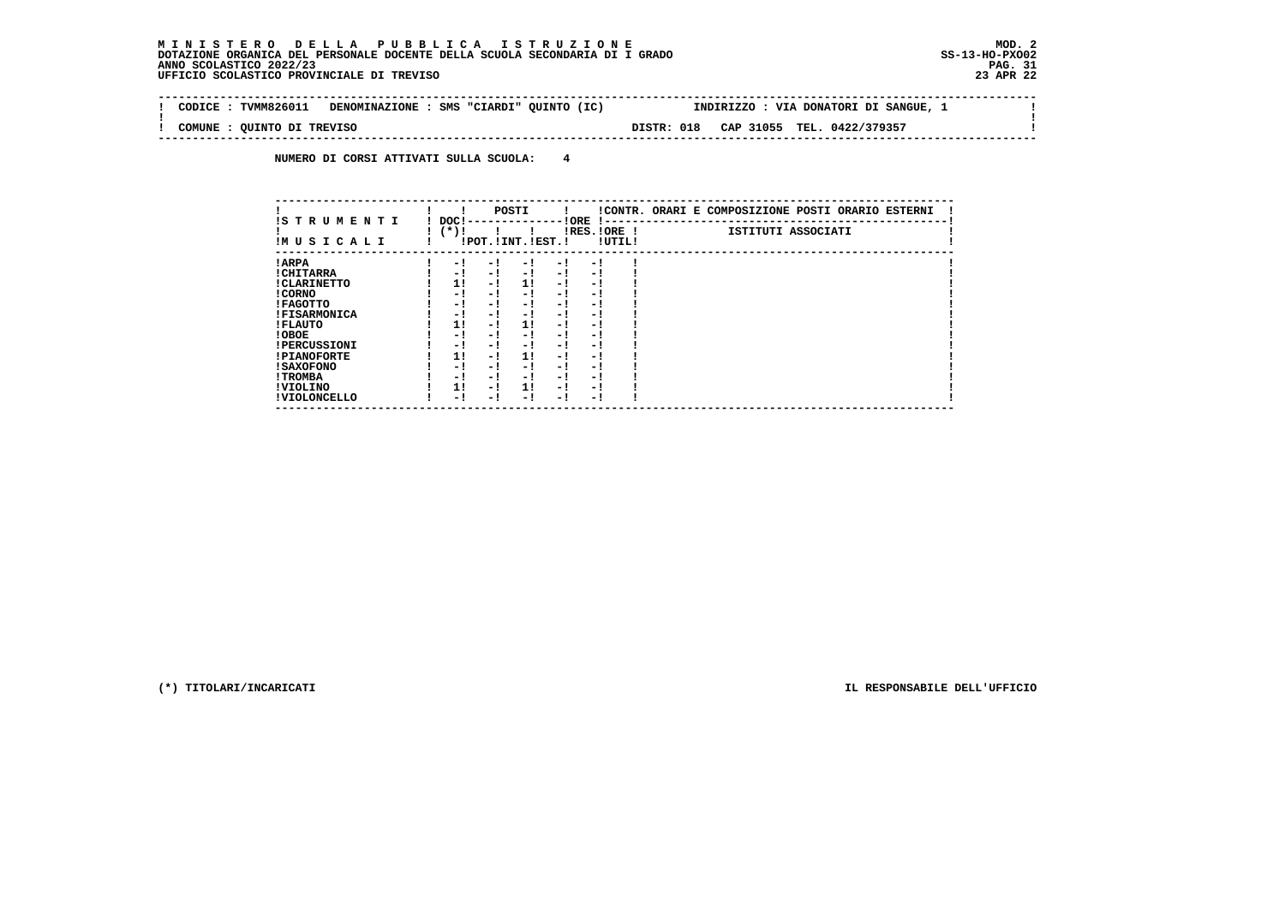$\mathbf{I}$ 

 **--------------------------------------------------------------------------------------------------------------------------------Contract Contract ! CODICE : TVMM826011 DENOMINAZIONE : SMS "CIARDI" QUINTO (IC) INDIRIZZO : VIA DONATORI DI SANGUE, 1 ! ! ! ! COMUNE : QUINTO DI TREVISO DISTR: 018 CAP 31055 TEL. 0422/379357 ! --------------------------------------------------------------------------------------------------------------------------------**

 **NUMERO DI CORSI ATTIVATI SULLA SCUOLA: 4**

|                          |                  |     | POSTI                 |     |                       |        | !CONTR. ORARI E COMPOSIZIONE POSTI ORARIO ESTERNI |
|--------------------------|------------------|-----|-----------------------|-----|-----------------------|--------|---------------------------------------------------|
| IS TRUMENTI<br>IMUSICALI | DOC !<br>( * ) ! |     | !POT. ! INT. ! EST. ! |     | ! ORE<br>IRES. IORE ! | !UTIL! | ISTITUTI ASSOCIATI                                |
| ! ARPA                   | - 1              | - 1 | - 1                   | - 1 | - 1                   |        |                                                   |
| ! CHITARRA               | - 1              | - ! | - 1                   | - 1 | - 1                   |        |                                                   |
| ! CLARINETTO             | 1!               | - 1 | 1!                    | - 1 | - 1                   |        |                                                   |
| ! CORNO                  | - !              | - ! | - 1                   | - ! | - 1                   |        |                                                   |
| ! FAGOTTO                | - 1              | - ! | - !                   | - 1 | - 1                   |        |                                                   |
| <b>!FISARMONICA</b>      | - 1              | - 1 | - 1                   | - 1 | - 1                   |        |                                                   |
| ! FLAUTO                 | 1!               | - ! | 1!                    | - ! | - 1                   |        |                                                   |
| ! OBOE                   | - 1              | - 1 | - !                   | - 1 | - 1                   |        |                                                   |
| <b>!PERCUSSIONI</b>      | - 1              | - 1 | - 1                   | - 1 | - 1                   |        |                                                   |
| <b>!PIANOFORTE</b>       | 1!               | - ! | 1!                    | - ! | - 1                   |        |                                                   |
| ! SAXOFONO               | - 1              | - 1 | - !                   | - 1 | - 1                   |        |                                                   |
| ! TROMBA                 | - 1              | - 1 | - 1                   | - 1 | - 1                   |        |                                                   |
| ! VIOLINO                | 1!               | - 1 | 11                    | - 1 | - 1                   |        |                                                   |
| ! VIOLONCELLO            | - 1              | - ! | - 1                   | - 1 | - 1                   |        |                                                   |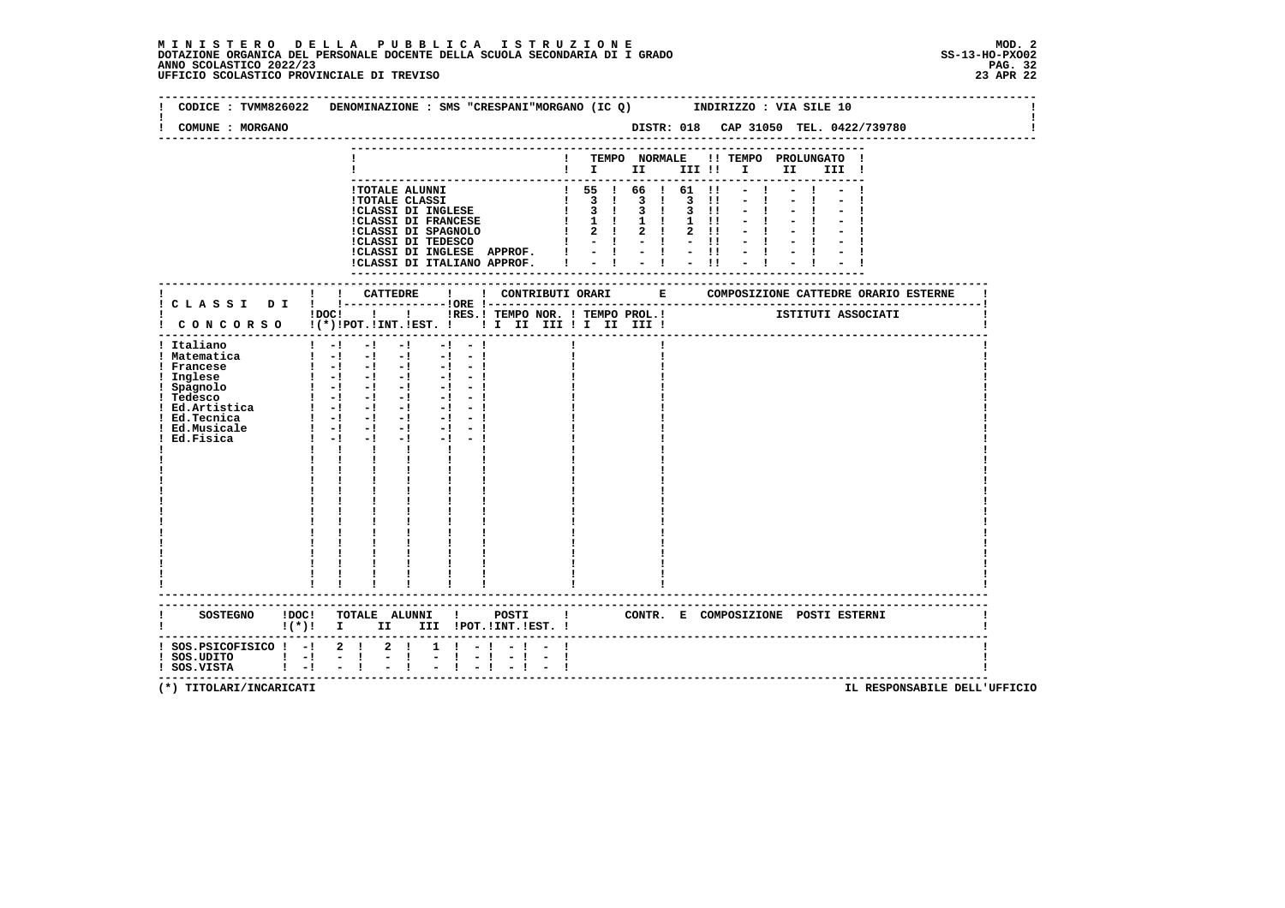|                                                                                                                                | CODICE: TVMM826022 DENOMINAZIONE: SMS "CRESPANI"MORGANO (IC Q) INDIRIZZO: VIA SILE 10                                                                                                                                                                                                                                                                                                                                                                                                                                                                                                                                                                    |
|--------------------------------------------------------------------------------------------------------------------------------|----------------------------------------------------------------------------------------------------------------------------------------------------------------------------------------------------------------------------------------------------------------------------------------------------------------------------------------------------------------------------------------------------------------------------------------------------------------------------------------------------------------------------------------------------------------------------------------------------------------------------------------------------------|
| COMUNE : MORGANO                                                                                                               |                                                                                                                                                                                                                                                                                                                                                                                                                                                                                                                                                                                                                                                          |
|                                                                                                                                | ! TEMPO NORMALE !! TEMPO PROLUNGATO !<br>$\blacksquare$                                                                                                                                                                                                                                                                                                                                                                                                                                                                                                                                                                                                  |
|                                                                                                                                | $! 55 ! 66 ! 61 !! - ! - ! - !$<br>1 TOTALE ALUNNI<br>1 TOTALE ALUNNI<br>1 TOTALE CLASSI DI INGLESE $\begin{bmatrix} 1 & 3 & 1 & 3 & 1 & 3 & 1 & 1 & - & 1 \\ 1 & 3 & 1 & 3 & 1 & 3 & 1 & 1 & - & 1 \\ 1 & 3 & 1 & 3 & 1 & 3 & 1 & 1 & - & 1 \\ 1 & 3 & 1 & 3 & 1 & 3 & 1 & 1 & - & 1 \\ 1 & 3 & 1 & 3 & 1 & 3 & 1 & 1 & - & 1 \\ 1 & 3 & 1 &$<br>CLASSI DI INGLESE APPROF. $\vert \cdot \vert$ - $\vert$ - $\vert$ - $\vert$ - $\vert$<br>$-1$<br>!CLASSI DI ITALIANO APPROF. $\qquad \qquad \vdots \qquad \qquad \vdots \qquad \qquad \vdots \qquad \qquad \vdots \qquad \qquad \vdots$                                                                |
|                                                                                                                                |                                                                                                                                                                                                                                                                                                                                                                                                                                                                                                                                                                                                                                                          |
|                                                                                                                                | !DOC! !!!RES.! TEMPO NOR. ! TEMPO PROL.! ISTITUTI ASSOCIATI<br>$\frac{1}{2}$ CONCORSO $\frac{1}{2}$ (*) IPOT. IINT. IEST. !! I II III II II III III II                                                                                                                                                                                                                                                                                                                                                                                                                                                                                                   |
| ! Italiano<br>! Matematica<br>! Francese<br>! Inglese<br>! Spagnolo<br>! Tedesco<br>! Ed.Tecnica<br>! Ed.Musicale<br>Ed.Fisica | $\begin{bmatrix} 1 & -1 & -1 & -1 \end{bmatrix}$<br>$-1 - 1$<br>$\begin{bmatrix} 1 & -1 & -1 & -1 & -1 & -1 \end{bmatrix}$<br>$\begin{array}{cccccccccc} 1 & -1 & -1 & -1 & -1 \\ 1 & -1 & -1 & -1 & -1 \end{array}$<br>$-1 - 1$<br>$-1 - -1$<br>$\frac{1}{2}$ $\frac{1}{2}$ $\frac{1}{2}$ $\frac{1}{2}$ $\frac{1}{2}$ $\frac{1}{2}$ $\frac{1}{2}$ $\frac{1}{2}$ $\frac{1}{2}$ $\frac{1}{2}$<br>$-1 - -1$<br>$-1$ $-$<br>$-1 - -1$<br>$1 - 1 - 1 - 1 - 1 - 1$<br>$1 - 1 - 1$<br>$-1$ $-1$<br>$\mathbf{I}$ and $\mathbf{I}$<br>$\mathbf{I}$<br>$\mathbf{I}$ and $\mathbf{I}$<br>$\mathbf{I}$ and $\mathbf{I}$<br>$\frac{1}{1}$<br>----------------------- |
|                                                                                                                                | SOSTEGNO !DOC! TOTALE ALUNNI ! POSTI ! CONTR. E COMPOSIZIONE POSTI ESTERNI<br>!(*)! I II III !POT.!INT.!EST.!                                                                                                                                                                                                                                                                                                                                                                                                                                                                                                                                            |
| ! SOS.PSICOFISICO ! -! 2 ! 2 !<br>$!$ SOS.UDITO $!$ - $!$ - $!$<br>$!$ SOS.VISTA $!$ - ! - !                                   | $1 \t1 - 1 - 1 - 1$<br>$1 + 1$<br>$-1 - 1$<br>$-1 - -1$<br>$-1$ $-1$<br>$-1$ $-1$                                                                                                                                                                                                                                                                                                                                                                                                                                                                                                                                                                        |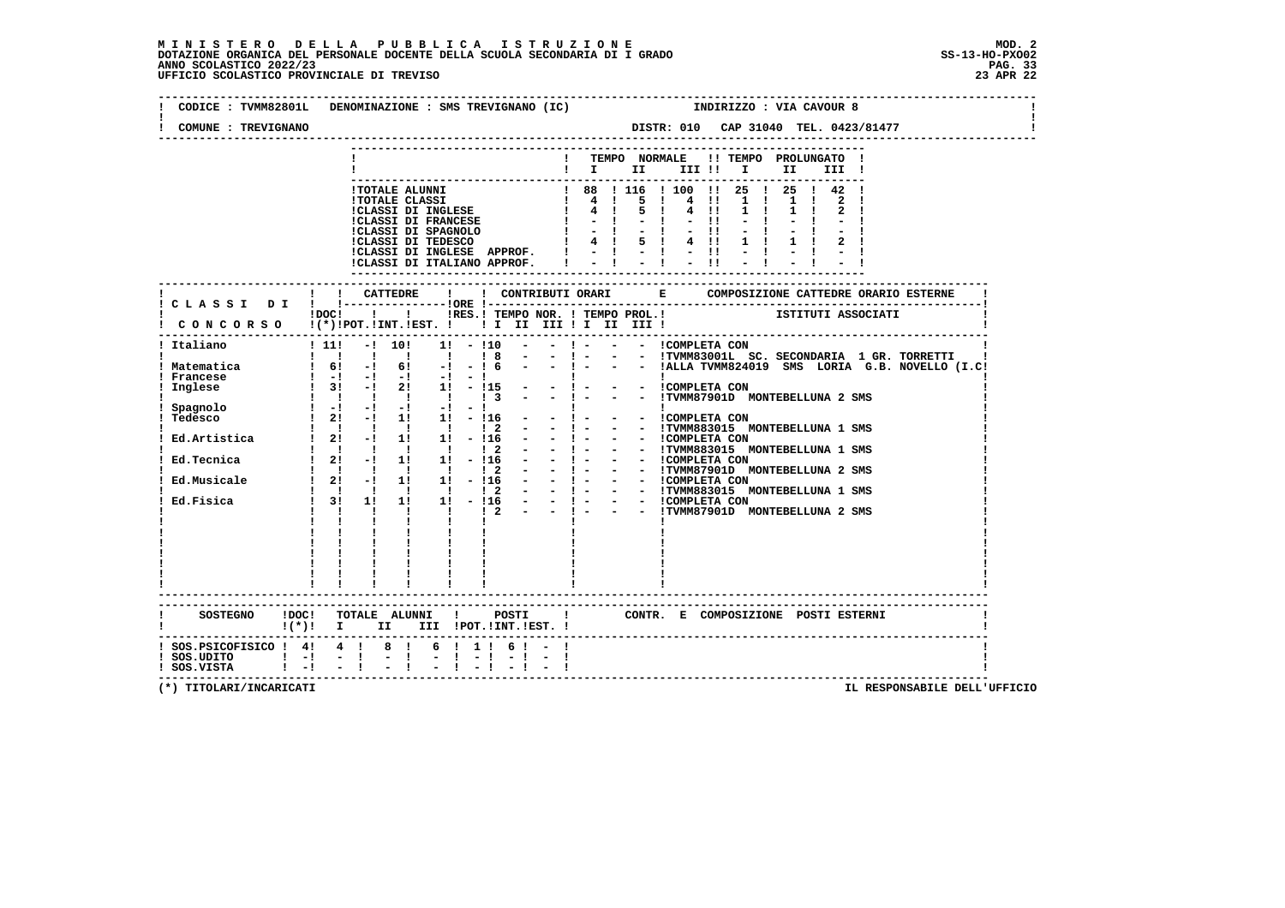# **M I N I S T E R O D E L L A P U B B L I C A I S T R U Z I O N E MOD. 2**DOTAZIONE ORGANICA DEL PERSONALE DOCENTE DELLA SCUOLA SECONDARIA DI I GRADO **SCOLASTICO SCOLASTICO 2022/23** SS-13-HO-PXO02<br>PANO SCOLASTICO 2022/23 PAG. 33<br>23 APR 22 UFFICIO SCOLASTICO PROVINCIALE DI TREVISO

|                                                                                                                     | CODICE : TVMM82801L DENOMINAZIONE : SMS TREVIGNANO (IC)                                                                                                                                                                                                                                                                                                                                                                                                                                                                                                                                                          | INDIRIZZO : VIA CAVOUR 8                                                                                                                                                                                                                                                                                                                                                                                                          |
|---------------------------------------------------------------------------------------------------------------------|------------------------------------------------------------------------------------------------------------------------------------------------------------------------------------------------------------------------------------------------------------------------------------------------------------------------------------------------------------------------------------------------------------------------------------------------------------------------------------------------------------------------------------------------------------------------------------------------------------------|-----------------------------------------------------------------------------------------------------------------------------------------------------------------------------------------------------------------------------------------------------------------------------------------------------------------------------------------------------------------------------------------------------------------------------------|
| COMUNE : TREVIGNANO                                                                                                 |                                                                                                                                                                                                                                                                                                                                                                                                                                                                                                                                                                                                                  | DISTR: 010 CAP 31040 TEL. 0423/81477                                                                                                                                                                                                                                                                                                                                                                                              |
|                                                                                                                     |                                                                                                                                                                                                                                                                                                                                                                                                                                                                                                                                                                                                                  | TEMPO NORMALE<br>!! TEMPO PROLUNGATO !<br>$\blacksquare$                                                                                                                                                                                                                                                                                                                                                                          |
|                                                                                                                     | !TOTALE ALUNNI<br><b>!TOTALE CLASSI</b><br>!CLASSI DI INGLESE<br><b>!CLASSI DI FRANCESE</b><br>!CLASSI DI SPAGNOLO<br>!CLASSI DI TEDESCO<br>!CLASSI DI INGLESE APPROF.<br>!CLASSI DI ITALIANO APPROF.                                                                                                                                                                                                                                                                                                                                                                                                            | 1 88 1 116 1 100 11 25 1 25 1 42 1<br>$\begin{array}{ccccc} & 1 & 88 & 1 & 11 \\ & 1 & 4 & 1 & \\ & 1 & 4 & 1 & \\ & & 1 & 1 & 1 \end{array}$<br>-5<br>$\mathbf{I}$<br>4 !!<br>1 <sub>1</sub><br>$\mathbf{1}$<br>5 <sub>1</sub><br>4 11<br>$1 \quad 1$<br>$-1$<br>$-11$<br>$-11$<br>4 ! 5 ! 4 !!<br>$1 \quad 1$<br>$\frac{1}{2}$ $\frac{1}{2}$ $\frac{1}{2}$ $\frac{1}{2}$ $\frac{1}{2}$ $\frac{1}{2}$ $\frac{1}{2}$              |
|                                                                                                                     |                                                                                                                                                                                                                                                                                                                                                                                                                                                                                                                                                                                                                  | --------------------                                                                                                                                                                                                                                                                                                                                                                                                              |
|                                                                                                                     | CONCORSO !(*)!POT.!INT.!EST. ! ! I III III II III II                                                                                                                                                                                                                                                                                                                                                                                                                                                                                                                                                             | IDOCI ! IRES. I TEMPO NOR. I TEMPO PROL. I TETITUTI ASSOCIATI                                                                                                                                                                                                                                                                                                                                                                     |
| Italiano<br>! Matematica<br>! Francese<br>Inglese<br>Spagnolo<br>Tedesco<br>Ed.Artistica<br>Ed.Tecnica<br>Ed.Fisica | $\frac{1}{11}$<br>$-!$ 10!<br>$1! - 110$<br>1 61 -1 61 -1 -1 6 - - 1 - - - IALLA TVMM8240<br>1 -1 -1 -1 -1 -1 -1<br>1 31 -1 21 11 -115 - -1 - - - ICOMPLETA CON<br>$\mathbf{1}$ $\mathbf{1}$ $\mathbf{1}$<br>$\mathbf{I}$ and $\mathbf{I}$<br>$\frac{1}{3}$<br>1 1 1 1 1 1 1 2<br>$1 \quad 2! \quad -! \quad 1! \quad 1! \quad -! \; 16$<br>$\sim 100$<br>1 1 1 1 1 1 2<br>$12! -11! 1! -116$<br>$\begin{array}{ccccccccc} 1 & 1 & 1 & 1 & 1 & 1 \\ 1 & 31 & 11 & 11 & 11 & -116 \end{array}$<br>$1 \t1 \t1 \t2 \t-1 \t1$<br>$\mathbf{1}$ $\mathbf{1}$ $\mathbf{1}$<br>$\mathbf{I}$ $\mathbf{I}$<br>$\mathbf{I}$ | $- ! - - - !$ COMPLETA CON<br>- - !TVMM87901D MONTEBELLUNA 2 SMS<br>!<br>- - !COMPLETA CON<br>$-1 - 1$<br>- - !TVMM883015 MONTEBELLUNA 1 SMS<br>$-1 - 1$<br>- ! - - - ICOMPLETA CON<br>- ! - - - ITVMM883015 MONTEBELLUNA 1 SMS<br>- -   - - -   IVERIONI - MANIPURE LLUNA 2 SMS<br>- -   - - -   IVERETA CON<br>- -   - - -   IVERETA CON<br>- -   - - -   IVERETA CON<br>- -   - - -   IVERETA CON<br>- -   - - -   IVERETA CON |
|                                                                                                                     | $!(*)!$ I II III !POT.!INT.!EST. !                                                                                                                                                                                                                                                                                                                                                                                                                                                                                                                                                                               | SOSTEGNO !DOC! TOTALE ALUNNI ! POSTI ! CONTR. E COMPOSIZIONE POSTI ESTERNI                                                                                                                                                                                                                                                                                                                                                        |
| $:$ SOS. PSICOFISICO $:$ 4! 4 ! 8 !<br>$!$ SOS.UDITO $!$ - $!$ - $!$<br>! SOS.VISTA ! -! - !                        | $6!1!6! - 1$<br>$-1$<br>$-1 - 1$                                                                                                                                                                                                                                                                                                                                                                                                                                                                                                                                                                                 |                                                                                                                                                                                                                                                                                                                                                                                                                                   |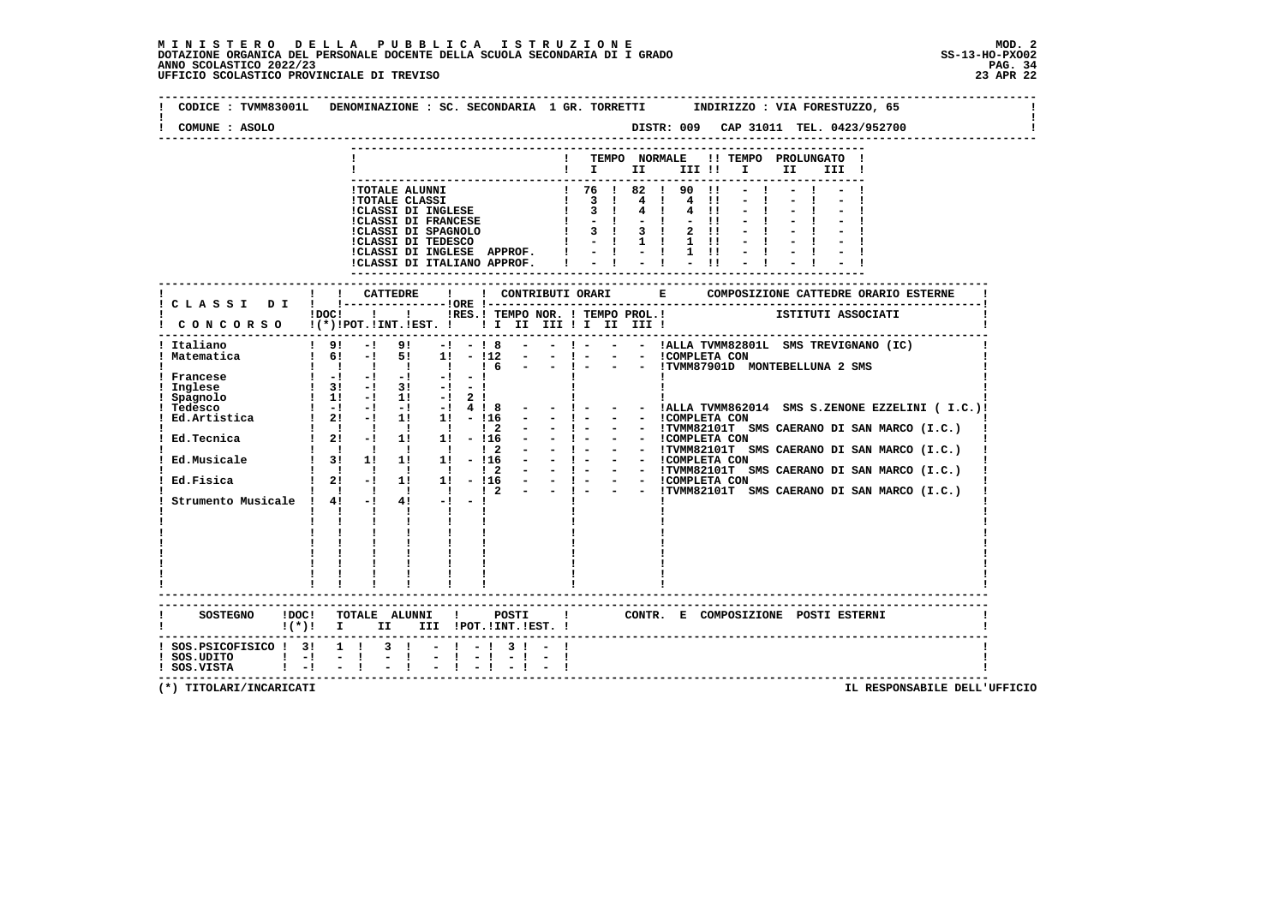$\mathbf{I}$ 

 $\mathbf{I}$ 

 $\mathbf{I}$ 

| COMUNE : ASOLO                                                                                                                             |                                                                                                                                                                                                                                                                                                                                                                                                                                                                                                                                                                                                                                                                                                                                                                                                                                                                                                                                                                                                                                                                                                                                                                                                                                                                                                                                                                                                                                                                                                                                                                                                             |
|--------------------------------------------------------------------------------------------------------------------------------------------|-------------------------------------------------------------------------------------------------------------------------------------------------------------------------------------------------------------------------------------------------------------------------------------------------------------------------------------------------------------------------------------------------------------------------------------------------------------------------------------------------------------------------------------------------------------------------------------------------------------------------------------------------------------------------------------------------------------------------------------------------------------------------------------------------------------------------------------------------------------------------------------------------------------------------------------------------------------------------------------------------------------------------------------------------------------------------------------------------------------------------------------------------------------------------------------------------------------------------------------------------------------------------------------------------------------------------------------------------------------------------------------------------------------------------------------------------------------------------------------------------------------------------------------------------------------------------------------------------------------|
|                                                                                                                                            | TEMPO NORMALE !! TEMPO PROLUNGATO !<br>$\mathbf{I}$<br>$\blacksquare$ $\blacksquare$ $\blacksquare$ $\blacksquare$ $\blacksquare$ $\blacksquare$ $\blacksquare$<br>II D<br>III !                                                                                                                                                                                                                                                                                                                                                                                                                                                                                                                                                                                                                                                                                                                                                                                                                                                                                                                                                                                                                                                                                                                                                                                                                                                                                                                                                                                                                            |
|                                                                                                                                            | ! 76 ! 82 ! 90 !1<br>!TOTALE ALUNNI<br>$\begin{array}{cccc} & 1 & 3 & 1 \\ & 1 & 3 & 1 \end{array}$<br>$4 \quad 1$<br>$4 \quad 11$<br><b>!TOTALE CLASSI</b><br><b>!CLASSI DI INGLESE</b><br>$4 \quad 1$<br>$4 \quad 11$<br><b>!CLASSI DI FRANCESE</b><br>$-1 - 1$<br>$-11$<br>3 ! 3 !<br>$2 \quad 11$<br>!CLASSI DI SPAGNOLO<br>!CLASSI DI TEDESCO<br>$\mathbf{I}$<br>$-1$<br>$-1$ ii<br>$1 \quad 11$<br>!CLASSI DI INGLESE APPROF. !<br>$-1$ $-1$ 1 1 $-1$ $-1$<br>$-1$<br>$-1$<br>$-11$<br>!CLASSI DI ITALIANO APPROF.                                                                                                                                                                                                                                                                                                                                                                                                                                                                                                                                                                                                                                                                                                                                                                                                                                                                                                                                                                                                                                                                                    |
|                                                                                                                                            |                                                                                                                                                                                                                                                                                                                                                                                                                                                                                                                                                                                                                                                                                                                                                                                                                                                                                                                                                                                                                                                                                                                                                                                                                                                                                                                                                                                                                                                                                                                                                                                                             |
|                                                                                                                                            | IDOCI ! IRES. I TEMPO NOR. I TEMPO PROL. ! ISTITUTI ASSOCIATI                                                                                                                                                                                                                                                                                                                                                                                                                                                                                                                                                                                                                                                                                                                                                                                                                                                                                                                                                                                                                                                                                                                                                                                                                                                                                                                                                                                                                                                                                                                                               |
| ! Italiano<br>! Matematica<br>! Francese<br>! Inglese<br>! Spagnolo<br>! Tedesco<br>Ed.Musicale<br>Ed.Fisica<br>Strumento Musicale ! 4! -! | $19! -1$<br>$-$ ! $  -$ !ALLA TVMM82801L SMS TREVIGNANO (IC)<br>$9! -1 - 18 -$<br>$1 \t61 - 1 \t51$ $11 - 112 - 1 - 1 - 1$ $1 \t0MPLETA CON$<br>$\qquad \qquad \vdots \qquad \qquad \vdots \qquad \qquad \vdots \qquad \qquad \vdots \qquad \qquad \vdots \qquad \qquad \vdots \qquad \qquad \vdots \qquad \qquad \vdots \qquad \qquad \vdots \qquad \qquad \vdots \qquad \qquad \vdots \qquad \qquad \vdots \qquad \qquad \vdots \qquad \qquad \vdots \qquad \qquad \vdots \qquad \qquad \vdots \qquad \qquad \vdots \qquad \qquad \vdots \qquad \qquad \vdots \qquad \qquad \vdots \qquad \qquad \vdots \qquad \qquad \vdots \qquad \qquad \vdots \qquad \qquad \vdots \qquad \$<br>$\begin{array}{ccccccc}\n1 & -1 & -1 & -1 & -1 & -1 \\ 1 & 31 & -1 & 31 & -1 & -1 \\ 1 & 11 & -1 & 11 & -1 & 2 & 1\n\end{array}$<br>$\sim 10^{-10}$<br>- $! -$ - - $!$ ALLA TVMM862014 SMS S.ZENONE EZZELINI (I.C.)!<br>- - 1 - - - ITUMM82101T SMS CAERANO DI SAN MARCO (I.C.)<br>- - 1 - - - ICOMPLETA CON<br>- - 1 - - - ITUMM82101T SMS CAERANO DI SAN MARCO (I.C.)<br>- - - - - - ICOMPLETA CON<br>- - 1 - - - ITUMM82101T SMS CAERANO DI SAN MARCO (I.C.)<br>-<br>1<br>1 Ed. Tecnica 1 21 - 1 1 1 1 - 116<br>1 1 1 1 1 1 1 - 116<br>1 1 1 1 1 1 2<br>$\begin{array}{cccccccc}\n & 3 & 1 & 1 & 1 & 1 & -116 \\  & 1 & 1 & 1 & 1 & 1 & 12\n\end{array}$<br>- ! - - - !TVMM82101T SMS CAERANO DI SAN MARCO (I.C.)<br>$\mathbf{I}$<br>$\mathbf{1}$ $\mathbf{1}$<br><b>Contract Contract</b><br>$\mathbf{I}$ and $\mathbf{I}$<br>$\mathbf{i}$ $\mathbf{i}$ $\mathbf{j}$<br>$\mathbf{1}$ $\mathbf{1}$<br>$\mathbf{I}$ |
|                                                                                                                                            | SOSTEGNO !DOC! TOTALE ALUNNI !<br>POSTI<br>CONTR. E COMPOSIZIONE POSTI_ESTERNI<br>$\mathbf{I}$<br>$!(*)!$ I II III !POT.!INT.!EST. !                                                                                                                                                                                                                                                                                                                                                                                                                                                                                                                                                                                                                                                                                                                                                                                                                                                                                                                                                                                                                                                                                                                                                                                                                                                                                                                                                                                                                                                                        |
| $!$ SOS.UDITO $!$ $-!$ $-$ !<br>$!$ SOS.VISTA $!$ -! -!                                                                                    | ! SOS.PSICOFISICO ! 3! 1 ! 3 ! - ! - ! 3 ! - !<br>$-1$                                                                                                                                                                                                                                                                                                                                                                                                                                                                                                                                                                                                                                                                                                                                                                                                                                                                                                                                                                                                                                                                                                                                                                                                                                                                                                                                                                                                                                                                                                                                                      |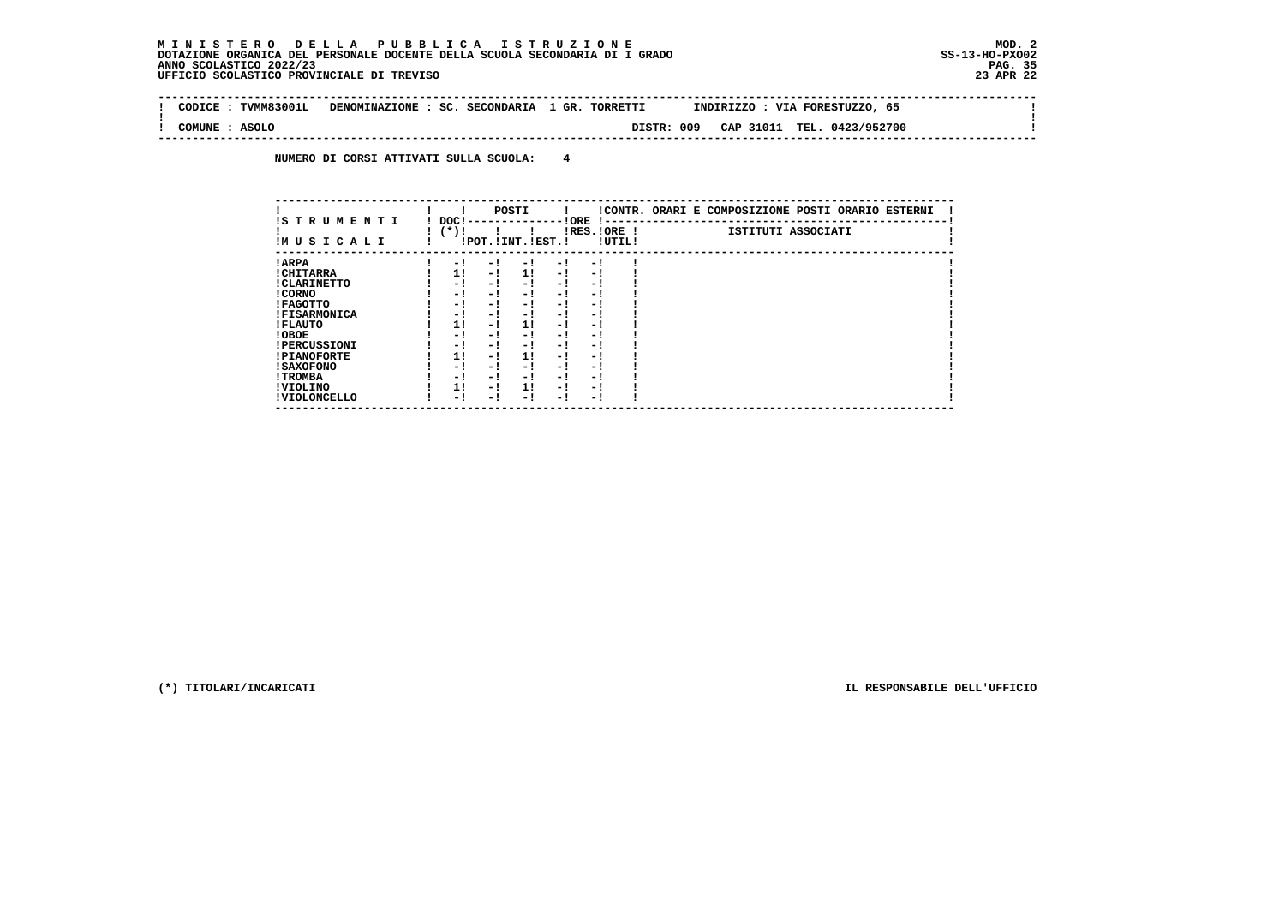$\sim$  1

 $\mathbf{I}$ 

 **-------------------------------------------------------------------------------------------------------------------------------- ! CODICE : TVMM83001L DENOMINAZIONE : SC. SECONDARIA 1 GR. TORRETTI INDIRIZZO : VIA FORESTUZZO, 65 ! ! ! ! COMUNE : ASOLO DISTR: 009 CAP 31011 TEL. 0423/952700 ! --------------------------------------------------------------------------------------------------------------------------------**

 **NUMERO DI CORSI ATTIVATI SULLA SCUOLA: 4**

| IS TRUMENTI         | DOC! |     | POSTI                 |      | ! ORE<br>$\,$ |        | !CONTR. ORARI E COMPOSIZIONE POSTI ORARIO ESTERNI |
|---------------------|------|-----|-----------------------|------|---------------|--------|---------------------------------------------------|
| IMUSICALI           | (*)! |     | !POT. ! INT. ! EST. ! |      | IRES. IORE !  | !UTIL! | ISTITUTI ASSOCIATI                                |
| ! ARPA              | - 1  | - ! | - !                   | - 1  | - 1           |        |                                                   |
| ! CHITARRA          | 11   | - ! | 11                    | $-1$ | - 1           |        |                                                   |
| ! CLARINETTO        | - 1  | - 1 | - 1                   | - 1  | - 1           |        |                                                   |
| ! CORNO             | - 1  | - 1 | - 1                   | - 1  | - 1           |        |                                                   |
| ! FAGOTTO           | - 1  | - 1 | - !                   | - 1  | - 1           |        |                                                   |
| <b>!FISARMONICA</b> | - 1  | - 1 | - 1                   | - 1  | - 1           |        |                                                   |
| ! FLAUTO            | 1!   | - 1 | 11                    | - 1  | - 1           |        |                                                   |
| ! OBOE              | - 1  | - 1 | - 1                   | - 1  | - 1           |        |                                                   |
| <b>!PERCUSSIONI</b> | - 1  | - 1 | - 1                   | - 1  | - 1           |        |                                                   |
| <b>!PIANOFORTE</b>  | 11   | - 1 | 11                    | - 1  | - 1           |        |                                                   |
| ! SAXOFONO          | - 1  | - 1 | - !                   | - 1  | - 1           |        |                                                   |
| ! TROMBA            | - 1  | - 1 | - !                   | - 1  | - 1           |        |                                                   |
| ! VIOLINO           | 1!   | - 1 | 11                    | - 1  | - 1           |        |                                                   |
| ! VIOLONCELLO       | - 1  | - ! | - 1                   | - 1  | - 1           |        |                                                   |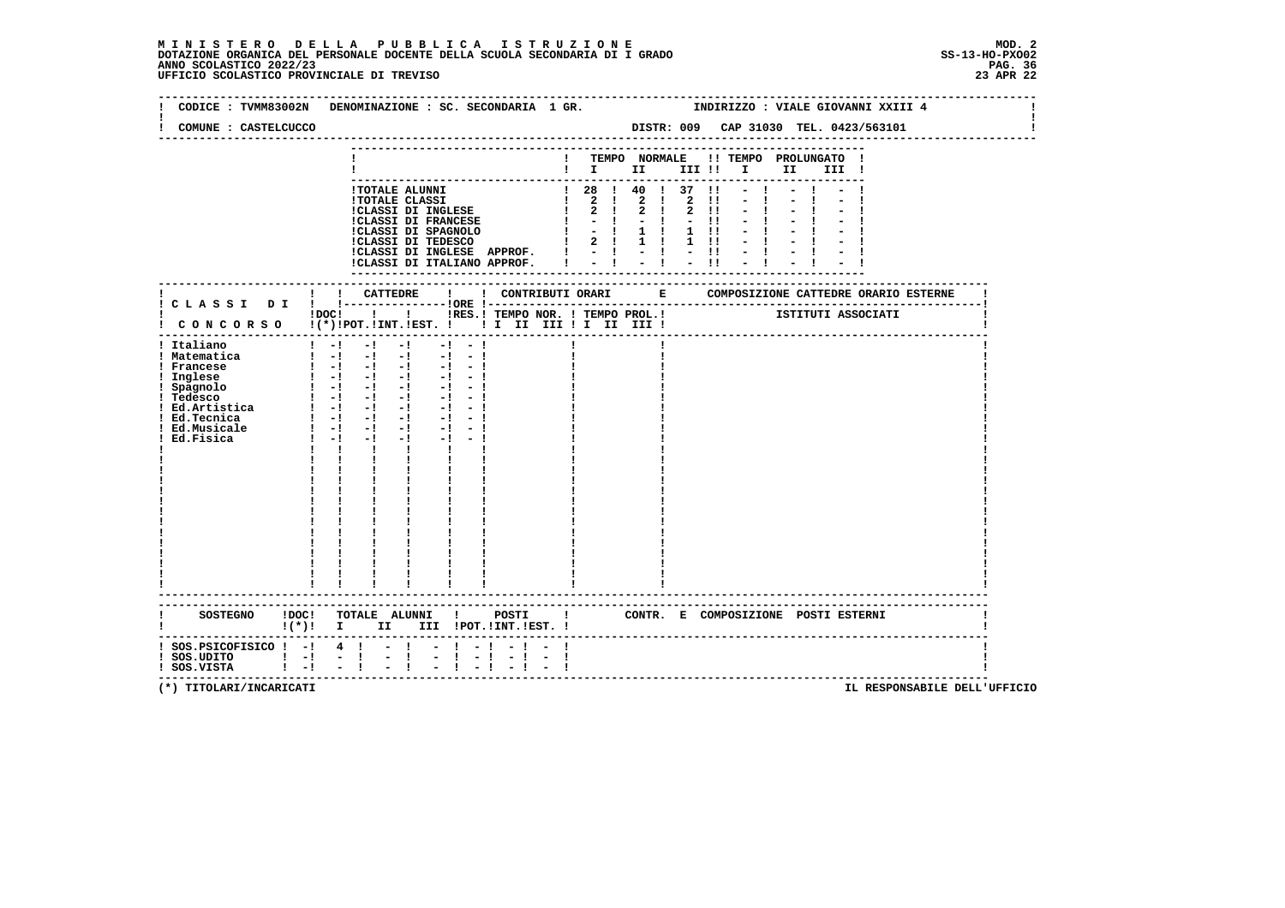# **M I N I S T E R O D E L L A P U B B L I C A I S T R U Z I O N E MOD. 2**DOTAZIONE ORGANICA DEL PERSONALE DOCENTE DELLA SCUOLA SECONDARIA DI I GRADO **SCOLASTICO SCOLASTICO 2022/23 PAG. 36**<br>23 ANNO SCOLASTICO 2022/23 PAG. 36<br>23 APR 22 UFFICIO SCOLASTICO PROVINCIALE DI TREVISO

| CODICE : TVMM83002N                                                                                                                                           |                                                                                                                                                                                                                                                                                                                                                                                 |                                               |                                   | DENOMINAZIONE : SC. SECONDARIA 1 GR.                                                                                                                                                                                                                                                                                                                                        |                                  |                         |  |                              |                                                                            |                                                 |                               |                             |                                                                |                                                                      | INDIRIZZO : VIALE GIOVANNI XXIII 4                              |      |       |  |  |
|---------------------------------------------------------------------------------------------------------------------------------------------------------------|---------------------------------------------------------------------------------------------------------------------------------------------------------------------------------------------------------------------------------------------------------------------------------------------------------------------------------------------------------------------------------|-----------------------------------------------|-----------------------------------|-----------------------------------------------------------------------------------------------------------------------------------------------------------------------------------------------------------------------------------------------------------------------------------------------------------------------------------------------------------------------------|----------------------------------|-------------------------|--|------------------------------|----------------------------------------------------------------------------|-------------------------------------------------|-------------------------------|-----------------------------|----------------------------------------------------------------|----------------------------------------------------------------------|-----------------------------------------------------------------|------|-------|--|--|
| COMUNE : CASTELCUCCO                                                                                                                                          |                                                                                                                                                                                                                                                                                                                                                                                 |                                               |                                   |                                                                                                                                                                                                                                                                                                                                                                             |                                  |                         |  |                              |                                                                            |                                                 |                               |                             |                                                                |                                                                      | DISTR: 009 CAP 31030 TEL. 0423/563101                           |      |       |  |  |
|                                                                                                                                                               |                                                                                                                                                                                                                                                                                                                                                                                 | ! TEMPO NORMALE                               |                                   |                                                                                                                                                                                                                                                                                                                                                                             |                                  |                         |  |                              |                                                                            |                                                 | !! TEMPO PROLUNGATO           |                             |                                                                |                                                                      |                                                                 |      |       |  |  |
|                                                                                                                                                               |                                                                                                                                                                                                                                                                                                                                                                                 |                                               |                                   |                                                                                                                                                                                                                                                                                                                                                                             |                                  |                         |  |                              | $\blacksquare$ $\blacksquare$ $\blacksquare$ $\blacksquare$ $\blacksquare$ |                                                 |                               |                             | III !!                                                         |                                                                      | $\mathbf{I}$ and $\mathbf{I}$                                   | II I | III ! |  |  |
|                                                                                                                                                               |                                                                                                                                                                                                                                                                                                                                                                                 |                                               |                                   | !TOTALE ALUNNI<br><b>!TOTALE CLASSI</b><br>!CLASSI DI INGLESE<br><b>!CLASSI DI FRANCESE</b><br>!CLASSI DI SPAGNOLO<br>!CLASSI DI TEDESCO<br>CLASSI DI INGLESE APPROF.<br>ICLASSI DI INGLESE APPROF.<br>ICLASSI DI ITALIANO APPROF.<br>$\begin{bmatrix} 1 & - & 1 & - & 1 \\ 1 & 1 & - & 1 & - \\ 1 & 1 & - & 1 & - \\ 1 & 1 & 1 & 1 & - \\ 1 & 1 & 1 & 1 & 1 \end{bmatrix}$ |                                  |                         |  | $\mathbf{I}$<br>$\mathbf{I}$ | ! 28 ! 40 ! 37<br>$\mathbf{I}$<br>$\mathbf{I}$<br>$1 \t2 \t1 \t1$          | $2 \quad 1$<br>$2 \quad 1$<br>$-1$<br>$-1$ $-1$ | $\overline{a}$<br>$2 \quad 1$ | $\mathbf{I}$<br>$1 \quad 1$ | $\overline{2}$<br>$\mathbf{2}$<br>$1 \quad 11$<br>$1 \quad 11$ | $\blacksquare$<br>$\blacksquare$<br>$\blacksquare$<br>$\blacksquare$ |                                                                 |      |       |  |  |
|                                                                                                                                                               |                                                                                                                                                                                                                                                                                                                                                                                 |                                               |                                   |                                                                                                                                                                                                                                                                                                                                                                             |                                  |                         |  |                              |                                                                            |                                                 |                               |                             |                                                                |                                                                      |                                                                 |      |       |  |  |
| ! CONCORSO !(*)!POT.!INT.!EST. !! I III III II III III!                                                                                                       | $!$ $\overline{)}$ $\overline{)}$ $\overline{)}$ $\overline{)}$ $\overline{)}$ $\overline{)}$ $\overline{)}$ $\overline{)}$ $\overline{)}$ $\overline{)}$ $\overline{)}$ $\overline{)}$ $\overline{)}$ $\overline{)}$ $\overline{)}$ $\overline{)}$ $\overline{)}$ $\overline{)}$ $\overline{)}$ $\overline{)}$ $\overline{)}$ $\overline{)}$ $\overline{)}$ $\overline{)}$     |                                               |                                   |                                                                                                                                                                                                                                                                                                                                                                             |                                  |                         |  |                              |                                                                            |                                                 |                               |                             |                                                                |                                                                      | IRES. I TEMPO NOR. I TEMPO PROL. I TEMPO AND TETITUTI ASSOCIATI |      |       |  |  |
| ! Italiano<br>! Matematica<br>! Francese<br>! Inglese<br>! Spagnolo<br>! Tedesco<br>: ICONSUL<br>! Ed.Artistica<br>! Ed.Tecnica<br>! Ed.Musicale<br>Ed.Fisica | $1 - 1 - 1$<br>$\begin{bmatrix} 1 & -1 & -1 & -1 & -1 & -1 \end{bmatrix}$<br>$\begin{array}{cccccccccccccc} 1 & -1 & -1 & -1 & -1 & -1 & -1 \end{array}$<br>$\begin{array}{ccccccccc} 1 & -1 & -1 & -1 & -1 & -1 \\ 1 & -1 & -1 & -1 & -1 & -1 \end{array}$<br>$1 - 1 - -1 - -1 - -1 -1 -1$<br>$1 - 1 - 1 - 1 - 1 - 1 - 1$<br>$1 - 1 - 1 - 1$<br>$1 - 1 - 1 - 1$<br>$1 - 1 - 1$ | $\mathbf{I}$ and $\mathbf{I}$<br>$\mathbf{I}$ | $-1$                              | $-1$<br>$\mathbf{I}$ and $\mathbf{I}$<br><b>The Company</b><br>-----------------------                                                                                                                                                                                                                                                                                      | $-1 - 1$<br>$-1 - 1$<br>$-1 - 1$ |                         |  |                              |                                                                            |                                                 |                               |                             |                                                                |                                                                      |                                                                 |      |       |  |  |
| SOSTEGNO !DOC! TOTALE ALUNNI ! POSTI ! CONTR. E COMPOSIZIONE POSTI ESTERNI                                                                                    | $\mathbf{I}(\star)$ $\mathbf{I}$                                                                                                                                                                                                                                                                                                                                                |                                               | II D                              |                                                                                                                                                                                                                                                                                                                                                                             |                                  | III !POT. !INT. !EST. ! |  |                              |                                                                            |                                                 |                               |                             |                                                                |                                                                      |                                                                 |      |       |  |  |
| -----------------------------<br>$:$ SOS.PSICOFISICO $:$ - $:$ 4 $:$<br>$!$ SOS.UDITO $!$ -! - !<br>$1 - 1$<br>! SOS.VISTA                                    |                                                                                                                                                                                                                                                                                                                                                                                 | $-1$                                          | $-1$<br>$\bar{z}$<br>$\mathbf{I}$ | Ē,                                                                                                                                                                                                                                                                                                                                                                          | $\mathbf{I}$                     | $-1$                    |  |                              |                                                                            |                                                 |                               |                             |                                                                |                                                                      |                                                                 |      |       |  |  |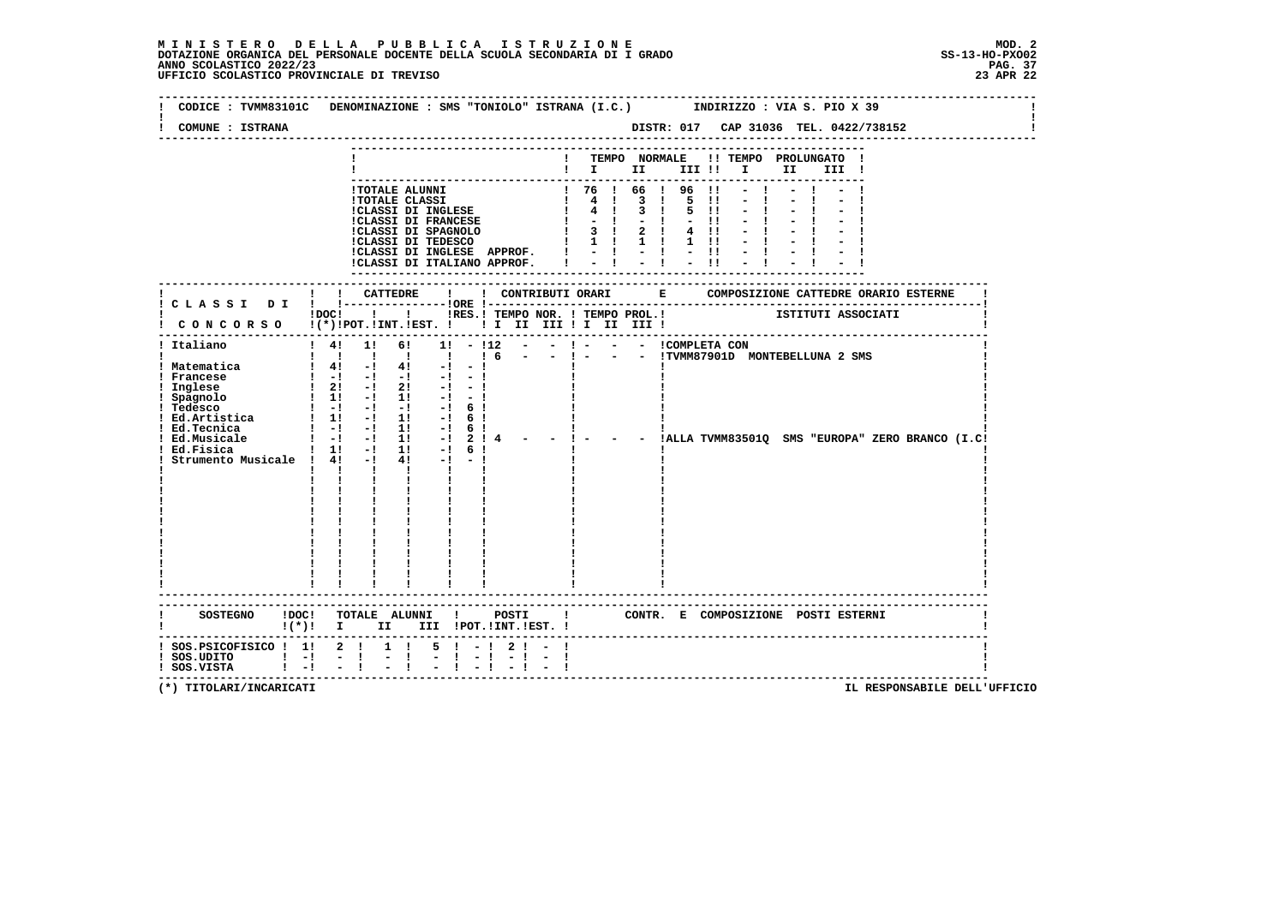| COMUNE : ISTRANA                                                                                                                                                                                         |                                                                    |                     |                                                                                                                                                                                                                                                                                                          |                                                           |  |                                                                                                                                      |                                                                                  |  |  |                                                                                           |           |              |  |                              |  | DISTR: 017 CAP 31036 TEL. 0422/738152 |  |
|----------------------------------------------------------------------------------------------------------------------------------------------------------------------------------------------------------|--------------------------------------------------------------------|---------------------|----------------------------------------------------------------------------------------------------------------------------------------------------------------------------------------------------------------------------------------------------------------------------------------------------------|-----------------------------------------------------------|--|--------------------------------------------------------------------------------------------------------------------------------------|----------------------------------------------------------------------------------|--|--|-------------------------------------------------------------------------------------------|-----------|--------------|--|------------------------------|--|---------------------------------------|--|
|                                                                                                                                                                                                          |                                                                    |                     |                                                                                                                                                                                                                                                                                                          |                                                           |  |                                                                                                                                      | ! TEMPO NORMALE !! TEMPO PROLUNGATO !<br>$\mathbf{I}$ is the set of $\mathbf{I}$ |  |  |                                                                                           |           |              |  | III !                        |  |                                       |  |
|                                                                                                                                                                                                          |                                                                    |                     | - TOTALE ALUNNI<br>ITOTALE ALUNNI<br>ITOTALE CLASSI<br>ITOTALE CLASSI<br>ITOTALE CLASSI<br>ITOTALE CLASSI<br>ITOTALE CLASSI<br>ITOTALE CLASSI<br>ITOTALESE<br>ITOTALESE<br>ITOTALESE<br>ITOTALESE<br>ITOTALESE<br>ITOTALESE<br>ITOTALESE<br>ITOTALESE                                                    |                                                           |  |                                                                                                                                      |                                                                                  |  |  | $\mathbf{11}$<br>5 !!<br>$-11$<br>$4$ !!<br>$1 \quad 11$<br>$\frac{1}{2}$ $\frac{11}{11}$ | $11 - -1$ | $-1$<br>$-1$ |  |                              |  |                                       |  |
|                                                                                                                                                                                                          | ! ! CATTEDRE                                                       |                     |                                                                                                                                                                                                                                                                                                          | $\mathbf{I}$                                              |  | ! CONTRIBUTI ORARI                                                                                                                   |                                                                                  |  |  |                                                                                           |           |              |  |                              |  |                                       |  |
| CONCORSO !(*)!POT.!INT.!EST. ! ! I II III ! II III !                                                                                                                                                     |                                                                    |                     | IDOC!     IRES.I TEMPO NOR.   TEMPO PROL.  ISTITUTI ASSOCIATI                                                                                                                                                                                                                                            |                                                           |  |                                                                                                                                      |                                                                                  |  |  |                                                                                           |           |              |  |                              |  |                                       |  |
| --------------------------------------<br>! Italiano<br>! Matematica<br>! Francese<br>! Inglese<br>! Spagnolo<br>! Tedesco<br>! Ed.Tecnica<br>! Ed.Musicale<br>! Ed.Fisica<br>Strumento Musicale ! 4! -! | $1 \quad 4! \quad 1! \quad 6!$<br>$1 - 1 - 1$ 11<br>$1 - 1 - 1$ 11 | $\mathbf{I}$        | 1 1 1 1 1 1 1 6<br>$1 \quad 4! \quad -1 \quad 4! \quad -1 \quad -1$<br>$\begin{array}{cccccccc} 1 & -1 & -1 & -1 & -1 & -1 & -1 \\ 1 & 21 & -1 & 21 & -1 & -1 \\ 1 & 11 & -1 & 11 & -1 & -1 \end{array}$<br>$1 \quad 11 \quad -1 \quad 11 \quad -1 \quad 61$<br>$4! -1$<br>$\mathbf{I}$ and $\mathbf{I}$ | $1! - 12$<br>$-!$ 6!<br>$-!$ 6!<br>$-!$ 6 !<br>$-!$ 2 ! 4 |  | - - ! - - - ICOMPLETA CON<br>- - ! - - - ITVMM87901D MONTEBELLUNA 2 SMS<br>- ! - - - !ALLA TVMM83501Q SMS "EUROPA" ZERO BRANCO (I.C! |                                                                                  |  |  |                                                                                           |           |              |  |                              |  |                                       |  |
| SOSTEGNO ! DOC! TOTALE ALUNNI ! POSTI ! CONTR. E COMPOSIZIONE POSTI ESTERNI<br>! (*)! I II III !POT.!INT.!EST.!                                                                                          |                                                                    |                     |                                                                                                                                                                                                                                                                                                          |                                                           |  |                                                                                                                                      |                                                                                  |  |  |                                                                                           |           |              |  |                              |  |                                       |  |
| ! SOS.PSICOFISICO ! 1! 2 !<br>$!$ SOS.UDITO $!$ -!<br>$!$ SOS.VISTA $!$ -! -!                                                                                                                            | $-1$                                                               | $1 \quad 1$<br>$-1$ |                                                                                                                                                                                                                                                                                                          | $5! - 12! - 1$                                            |  |                                                                                                                                      |                                                                                  |  |  |                                                                                           |           |              |  | ---------------------------- |  |                                       |  |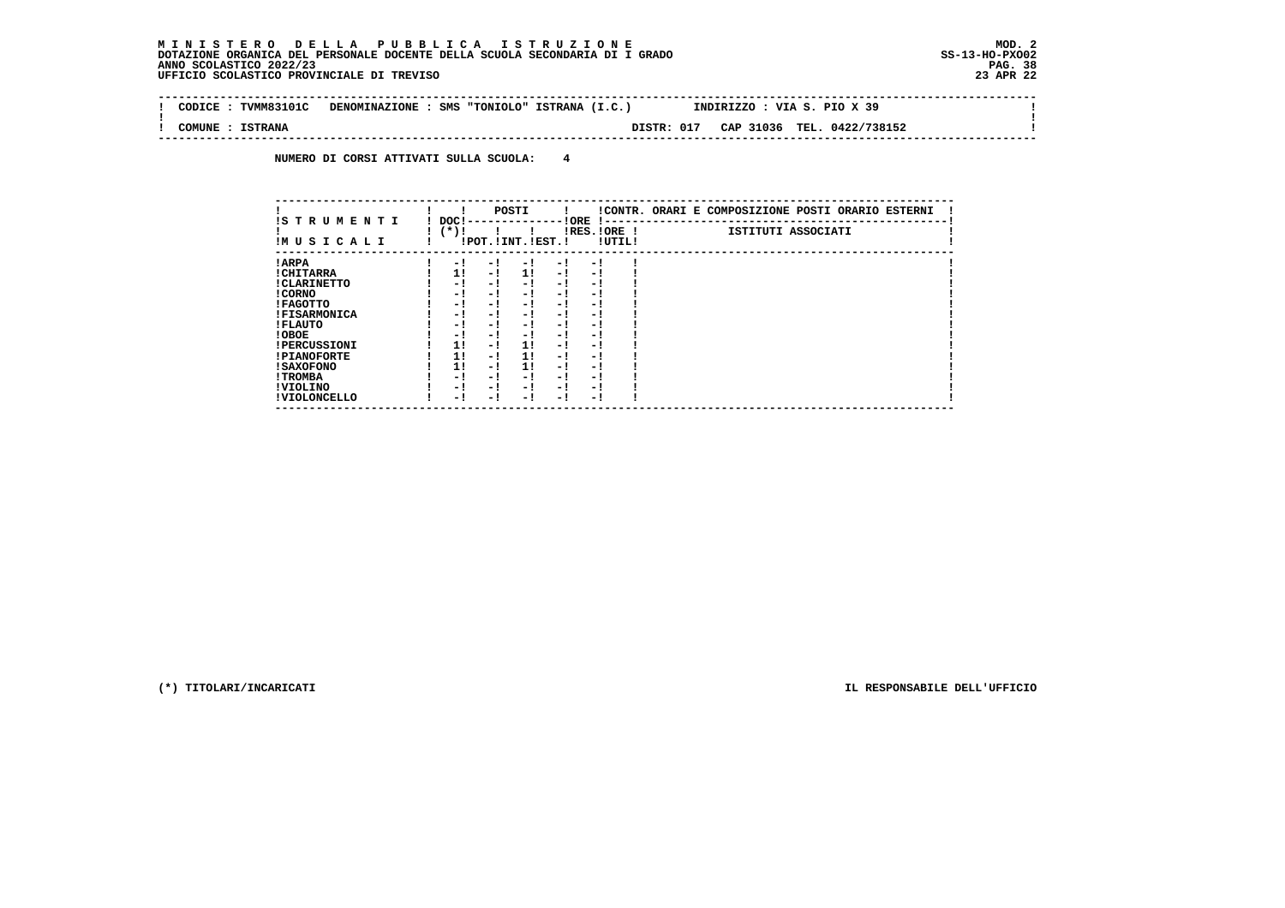$\sim$ 

 $\mathbf{I}$ 

 $\mathbf{I}$ 

 **-------------------------------------------------------------------------------------------------------------------------------- ! CODICE : TVMM83101C DENOMINAZIONE : SMS "TONIOLO" ISTRANA (I.C.) INDIRIZZO : VIA S. PIO X 39 ! ! ! ! COMUNE : ISTRANA DISTR: 017 CAP 31036 TEL. 0422/738152 !**

 **--------------------------------------------------------------------------------------------------------------------------------**

 **NUMERO DI CORSI ATTIVATI SULLA SCUOLA: 4**

| IS TRUMENTI         | DOC! |     | POSTI                 |      | ! ORE                    |        | !CONTR. ORARI E COMPOSIZIONE POSTI ORARIO ESTERNI |
|---------------------|------|-----|-----------------------|------|--------------------------|--------|---------------------------------------------------|
| IMUSICALI           | (*)! |     | !POT. ! INT. ! EST. ! |      | -1 - -<br>$IRES.IORE$ !  | !UTIL! | ISTITUTI ASSOCIATI                                |
| ! ARPA              | - 1  | - 1 | - 1                   | - 1  | - !                      |        |                                                   |
| ! CHITARRA          | 11   | - ! | 11                    | - !  | - 1                      |        |                                                   |
| ! CLARINETTO        | - 1  | - ! | - 1                   | - 1  | - 1                      |        |                                                   |
| ! CORNO             | - 1  | - ! | - 1                   | - !  | - 1                      |        |                                                   |
| ! FAGOTTO           | - 1  | - ! | - 1                   | - 1  | - 1                      |        |                                                   |
| <b>!FISARMONICA</b> | - 1  | - ! | - 1                   | - 1  | - 1                      |        |                                                   |
| ! FLAUTO            | - 1  | - ! | - 1                   | - !  | - 1                      |        |                                                   |
| ! OBOE              | - 1  | - ! | - 1                   | $-1$ | - 1                      |        |                                                   |
| <b>!PERCUSSIONI</b> | 1!   | - 1 | 11                    | - 1  | - 1                      |        |                                                   |
| <b>!PIANOFORTE</b>  | 1!   | - ! | 11                    | - 1  | - 1                      |        |                                                   |
| ! SAXOFONO          | 1!   | - 1 | 11                    | - 1  | $\overline{\phantom{0}}$ |        |                                                   |
| ! TROMBA            | - 1  | - ! | - !                   | - 1  | - 1                      |        |                                                   |
| ! VIOLINO           | - 1  | - 1 | - !                   | $-1$ | - 1                      |        |                                                   |
| ! VIOLONCELLO       | - 1  | - 1 | - 1                   | - '  | - 1                      |        |                                                   |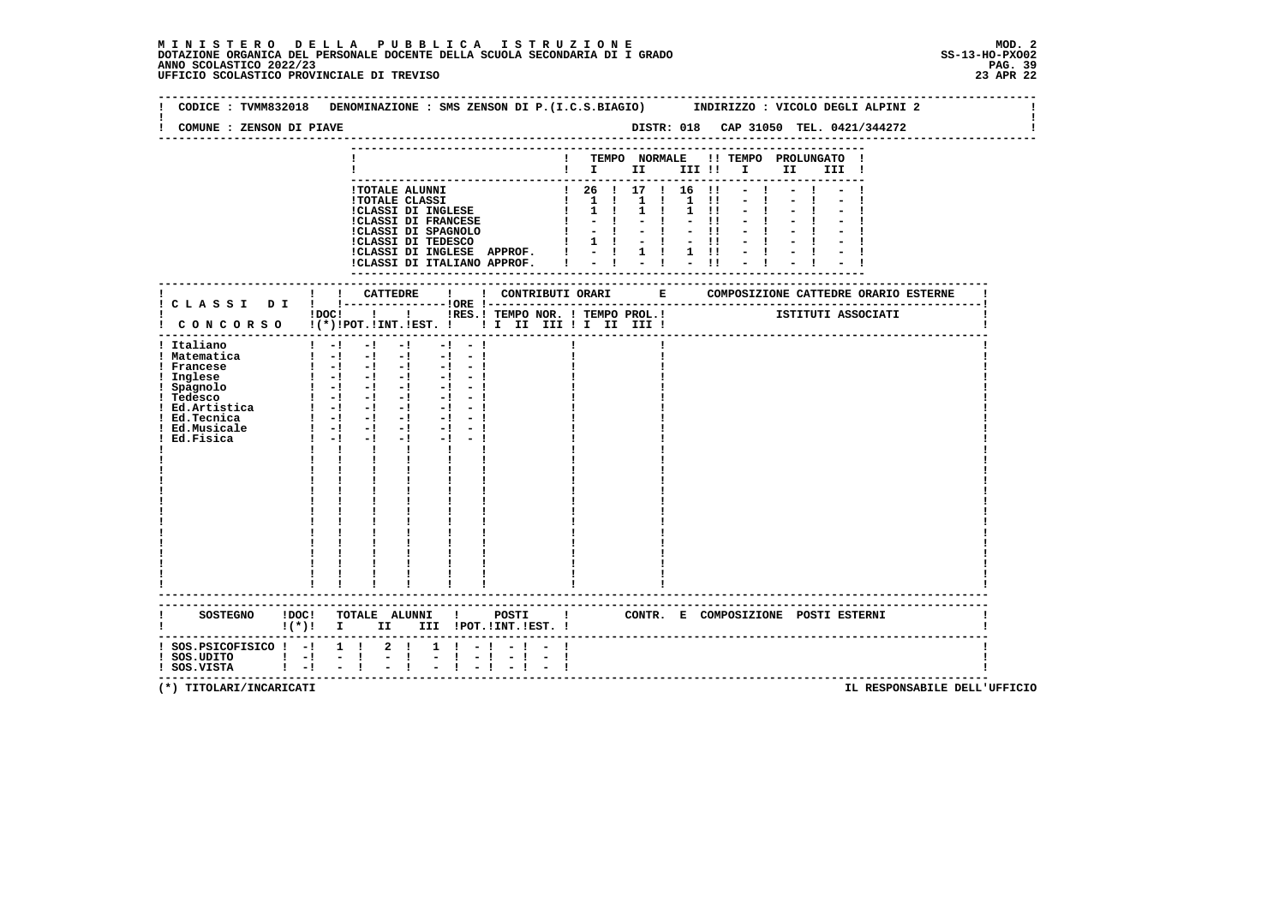|                                                                                                   | CODICE: TVMM832018 DENOMINAZIONE: SMS ZENSON DI P.(I.C.S.BIAGIO) INDIRIZZO: VICOLO DEGLI ALPINI 2                                                                                                                                                                                                                                                                                                                                                                                                                                                                                                                                                                                                                                                                                                                                                               |      |                                      |                                                         |                                      |  |
|---------------------------------------------------------------------------------------------------|-----------------------------------------------------------------------------------------------------------------------------------------------------------------------------------------------------------------------------------------------------------------------------------------------------------------------------------------------------------------------------------------------------------------------------------------------------------------------------------------------------------------------------------------------------------------------------------------------------------------------------------------------------------------------------------------------------------------------------------------------------------------------------------------------------------------------------------------------------------------|------|--------------------------------------|---------------------------------------------------------|--------------------------------------|--|
| COMUNE : ZENSON DI PIAVE                                                                          |                                                                                                                                                                                                                                                                                                                                                                                                                                                                                                                                                                                                                                                                                                                                                                                                                                                                 |      |                                      |                                                         |                                      |  |
|                                                                                                   |                                                                                                                                                                                                                                                                                                                                                                                                                                                                                                                                                                                                                                                                                                                                                                                                                                                                 |      |                                      | ! TEMPO NORMALE !! TEMPO PROLUNGATO !<br>$\blacksquare$ |                                      |  |
|                                                                                                   | 1 TOTALE ALUNNI<br>1 TOTALE ALUNNI<br>1 TOTALE CLASSI DI INGLESE $\begin{bmatrix} 1 & 1 & 1 & 1 & 1 & 1 & 1 \\ 1 & 1 & 1 & 1 & 1 & 1 & 1 \\ 1 & 1 & 1 & 1 & 1 & 1 & 1 \\ 1 & 1 & 1 & 1 & 1 & 1 & 1 \\ 1 & 1 & 1 & 1 & 1 & 1 & 1 \\ 1 & 1 & 1 & 1 & 1 & 1 & 1 \\ 1 & 1 & 1 & 1 & 1 & 1 & 1 \\ 1 & 1 & $<br>!CLASSI DI ITALIANO APPROF. I                                                                                                                                                                                                                                                                                                                                                                                                                                                                                                                         |      | $-1 - 1 = 1 - 11$                    | $-1$                                                    |                                      |  |
|                                                                                                   |                                                                                                                                                                                                                                                                                                                                                                                                                                                                                                                                                                                                                                                                                                                                                                                                                                                                 |      | ------------------------------------ |                                                         |                                      |  |
|                                                                                                   | IDOCI ! I IRES. I TEMPO NOR. I TEMPO PROL. I TEMPO PROLOGIATI<br>! CONCORSO !(*)!POT.!INT.!EST. !!! II III !I III III !                                                                                                                                                                                                                                                                                                                                                                                                                                                                                                                                                                                                                                                                                                                                         |      |                                      |                                                         |                                      |  |
| ! Italiano<br>! Matematica<br>! Francese<br>! Inglese<br>! Spagnolo<br>! Ed.Musicale<br>Ed.Fisica | $1 - 1 - 1 - 1$<br>$-1 - -1$<br>$\begin{bmatrix} 1 & -1 & -1 & -1 & -1 & -1 \end{bmatrix}$<br>$\begin{array}{cccccccccccccc} 1 & 1 & -1 & -1 & -1 & -1 & -1 & -1 & -1 \\ 1 & -1 & -1 & -1 & -1 & -1 & -1 & -1 \end{array}$<br>$\begin{bmatrix} 1 & -1 & -1 & -1 & -1 & -1 \end{bmatrix}$<br>$-1$ $-1$<br>$\frac{1}{2}$ $\frac{1}{2}$ $\frac{1}{2}$ $\frac{1}{2}$ $\frac{1}{2}$ $\frac{1}{2}$ $\frac{1}{2}$ $\frac{1}{2}$ $\frac{1}{2}$ $\frac{1}{2}$ $\frac{1}{2}$ $\frac{1}{2}$ $\frac{1}{2}$ $\frac{1}{2}$ $\frac{1}{2}$ $\frac{1}{2}$ $\frac{1}{2}$ $\frac{1}{2}$ $\frac{1}{2}$ $\frac{1}{2}$ $\frac{1}{2}$ $\frac{1}{2}$<br>$-1 - 1$<br>$1 - 1 - 1$<br>$-1$<br>$\mathbf{I}$<br>$\mathbf{I}$ and $\mathbf{I}$<br>$\mathbf{1}$ $\mathbf{1}$<br>$\mathbf{1}$<br>$\mathbf{I}$ and $\mathbf{I}$<br>$\frac{1}{1}$<br>$\blacksquare$<br>-------------------------- |      |                                      |                                                         |                                      |  |
|                                                                                                   | !(*)! I II III !POT.!INT.!EST.!                                                                                                                                                                                                                                                                                                                                                                                                                                                                                                                                                                                                                                                                                                                                                                                                                                 |      |                                      |                                                         |                                      |  |
| $:$ SOS. PSICOFISICO $:$ - $:$ 1 $:$<br>! SOS.UDITO ! -! -!<br>! SOS.VISTA ! -! -!                | $2 \quad 1$<br>$1 \t1 - 1$<br>$\frac{1}{2}$<br>$-1 = -1$                                                                                                                                                                                                                                                                                                                                                                                                                                                                                                                                                                                                                                                                                                                                                                                                        | $-1$ |                                      |                                                         | ------------------------------------ |  |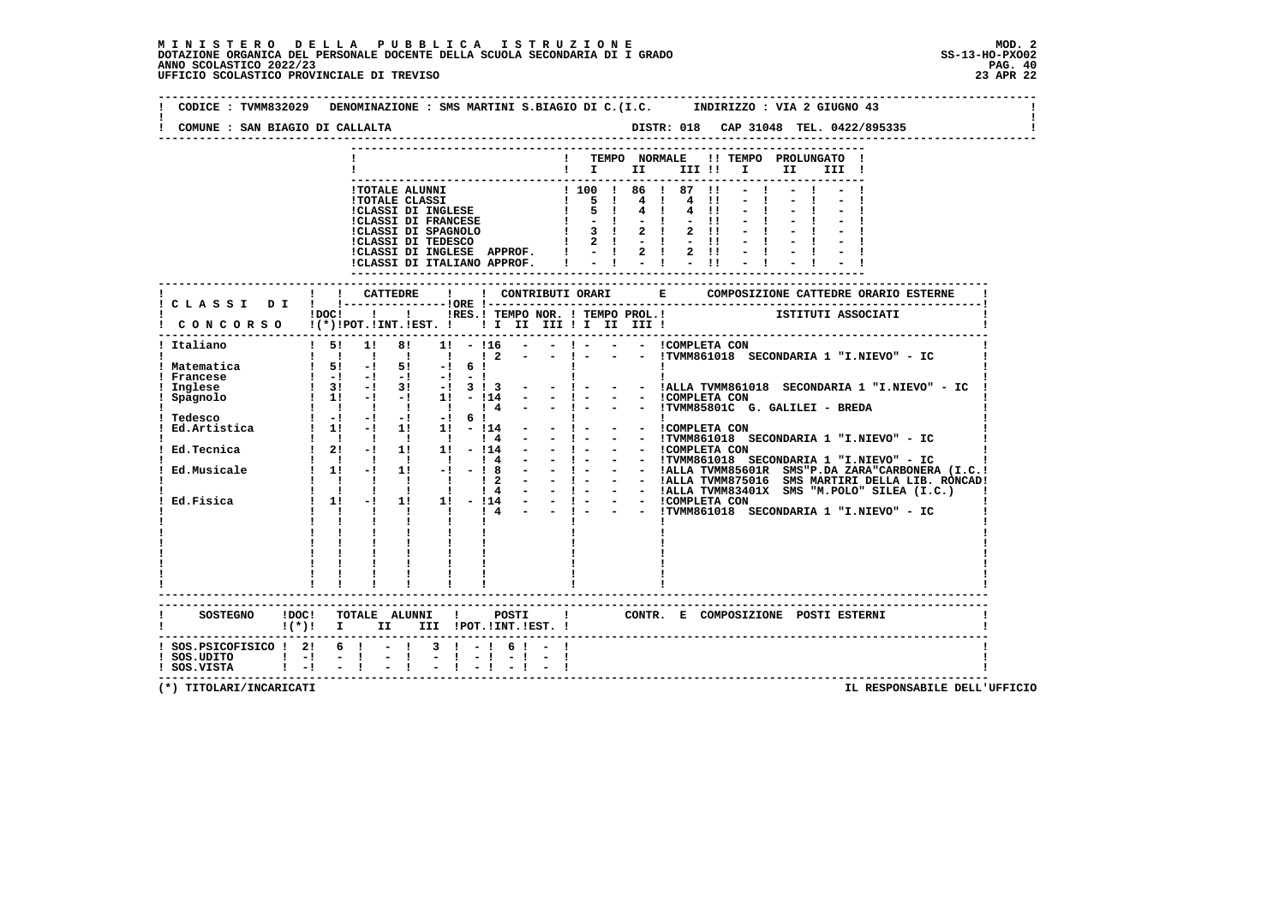| COMUNE : SAN BIAGIO DI CALLALTA                                                                                                |                                                                                                                                                                                                                      |                |  |              |  |                                    |  |                                                                                                                                                                                                                                                                                                                                                                                                        |      |                    |                                                          |
|--------------------------------------------------------------------------------------------------------------------------------|----------------------------------------------------------------------------------------------------------------------------------------------------------------------------------------------------------------------|----------------|--|--------------|--|------------------------------------|--|--------------------------------------------------------------------------------------------------------------------------------------------------------------------------------------------------------------------------------------------------------------------------------------------------------------------------------------------------------------------------------------------------------|------|--------------------|----------------------------------------------------------|
|                                                                                                                                |                                                                                                                                                                                                                      |                |  |              |  |                                    |  | ! TEMPO NORMALE !! TEMPO PROLUNGATO !<br>$\blacksquare$ $\blacksquare$ $\blacksquare$ $\blacksquare$ $\blacksquare$ $\blacksquare$ $\blacksquare$ $\blacksquare$                                                                                                                                                                                                                                       | II D | III !              |                                                          |
|                                                                                                                                |                                                                                                                                                                                                                      |                |  |              |  |                                    |  | !TOTALE ALUNNI<br>!TOTALE CLASSI DI INGLESE $\begin{array}{cccccc} 1 & 5 & 1 & 4 & 1 & 4 & 11 \\ 1 & 5 & 1 & 4 & 1 & 4 & 11 \\ 1 & 5 & 1 & 4 & 1 & 4 & 11 \\ 1 & 5 & 1 & 4 & 1 & 4 & 11 \\ 1 & 5 & 1 & 4 & 1 & 4 & 11 \\ 1 & 5 & 1 & 4 & 1 & 4 & 11 \\ 1 & 5 & 1 & 4 & 1 & 4 & 11 \\ 1 & 5 & 1 & 2 & 1 & 2$<br>!CLASSI DI INGLESE APPROF. ! - ! 2 ! 2 !!<br>!CLASSI DI ITALIANO APPROF. ! - ! - ! - !! | $-1$ |                    |                                                          |
|                                                                                                                                |                                                                                                                                                                                                                      |                |  |              |  |                                    |  |                                                                                                                                                                                                                                                                                                                                                                                                        |      |                    |                                                          |
| CONCORSO !(*)!POT.!INT.!EST. ! ! I II III ! II III !                                                                           | $1DOCI$ $1$                                                                                                                                                                                                          |                |  |              |  | ! !RES.! TEMPO NOR. ! TEMPO PROL.! |  |                                                                                                                                                                                                                                                                                                                                                                                                        |      | ISTITUTI ASSOCIATI |                                                          |
| ----------------------------------<br>! Italiano                                                                               | 1 1 1 1 1 1 2                                                                                                                                                                                                        |                |  |              |  | $-1 - 1$                           |  | ! 5! 1! 8! 1! - !16 - - ! - - - - !COMPLETA CON                                                                                                                                                                                                                                                                                                                                                        |      |                    | - - !TVMM861018 SECONDARIA 1 "I.NIEVO" - IC              |
| ! Matematica<br>Francese<br>Inglese                                                                                            | $15! -15! -16!$<br>$\frac{1}{2}$ $\frac{-1}{3}$ $\frac{-1}{2}$ $\frac{-1}{2}$ $\frac{-1}{2}$ $\frac{-1}{2}$ $\frac{-1}{2}$ $\frac{3}{2}$<br>$1 \quad 3! \quad -1 \quad 3! \quad -1 \quad 3 \quad 1 \quad 3 \quad -1$ |                |  |              |  |                                    |  |                                                                                                                                                                                                                                                                                                                                                                                                        |      |                    | $-$ ! - - - !ALLA TVMM861018 SECONDARIA 1 "I.NIEVO" - IC |
| Spagnolo                                                                                                                       | $\frac{1}{2}$ 1! -! -! 1! - !14 -                                                                                                                                                                                    |                |  |              |  | $-1 - 1$                           |  | - - ICOMPLETA CON<br>- ! - - - : TVMM85801C G. GALILEI - BREDA                                                                                                                                                                                                                                                                                                                                         |      |                    |                                                          |
| Tedesco<br>1 1 1 1 1 1 1 4 - - 1 - - ITVMM85801C<br>Ed.Artistica<br>1 1 - 1 1 1 1 - 11 4 - - 1 - - ICOMPLETA CON               |                                                                                                                                                                                                                      |                |  |              |  |                                    |  |                                                                                                                                                                                                                                                                                                                                                                                                        |      |                    |                                                          |
| $\begin{array}{cccccccccccc}\n1 & 1 & 1 & 1 & 1 & 1 & 14 & - \\ 1 & 21 & -1 & 11 & 11 & -114 & - \\ \end{array}$<br>Ed.Tecnica |                                                                                                                                                                                                                      |                |  |              |  |                                    |  |                                                                                                                                                                                                                                                                                                                                                                                                        |      |                    |                                                          |
| Ed.Musicale                                                                                                                    |                                                                                                                                                                                                                      |                |  |              |  |                                    |  |                                                                                                                                                                                                                                                                                                                                                                                                        |      |                    |                                                          |
| Ed.Fisica                                                                                                                      |                                                                                                                                                                                                                      |                |  | $\mathbf{I}$ |  |                                    |  |                                                                                                                                                                                                                                                                                                                                                                                                        |      |                    |                                                          |
|                                                                                                                                |                                                                                                                                                                                                                      |                |  |              |  |                                    |  |                                                                                                                                                                                                                                                                                                                                                                                                        |      |                    |                                                          |
|                                                                                                                                | -------------------------                                                                                                                                                                                            |                |  |              |  |                                    |  |                                                                                                                                                                                                                                                                                                                                                                                                        |      |                    |                                                          |
| SOSTEGNO !DOC! TOTALE ALUNNI ! POSTI ! CONTR. E COMPOSIZIONE POSTI ESTERNI<br>! (*)! I II III !POT.!INT.!EST.!                 |                                                                                                                                                                                                                      |                |  |              |  |                                    |  |                                                                                                                                                                                                                                                                                                                                                                                                        |      |                    |                                                          |
| ! SOS.PSICOFISICO ! 2! 6 ! - ! 3 ! - ! 6 ! - !<br>$!$ SOS.UDITO $!$ - $!$ - $!$<br>$!$ SOS.VISTA $!$ $-!$ $ !$                 |                                                                                                                                                                                                                      | $\blacksquare$ |  |              |  |                                    |  |                                                                                                                                                                                                                                                                                                                                                                                                        |      |                    |                                                          |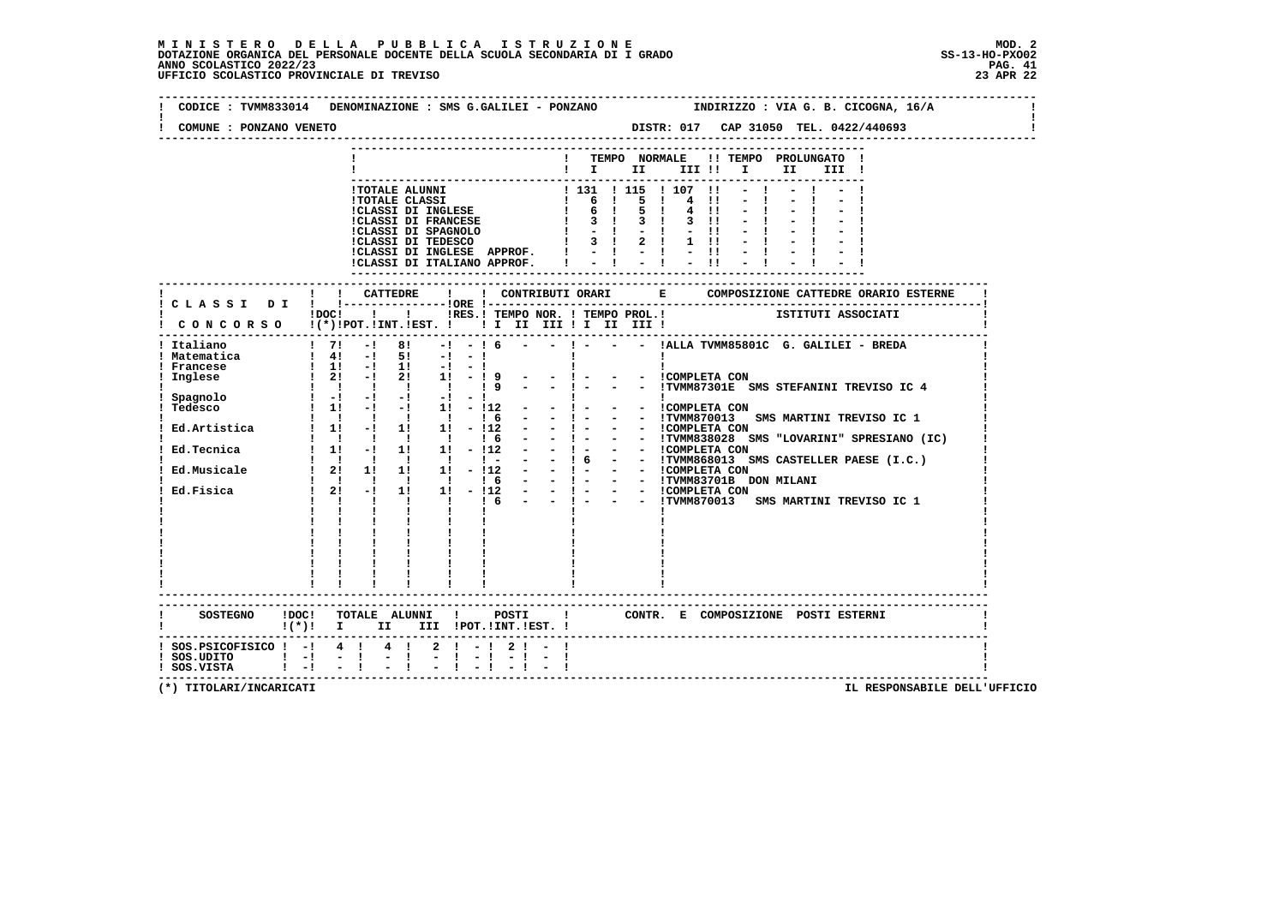## **M I N I S T E R O D E L L A P U B B L I C A I S T R U Z I O N E MOD. 2**DOTAZIONE ORGANICA DEL PERSONALE DOCENTE DELLA SCUOLA SECONDARIA DI I GRADO **SCOLASTICO ANNO SCOLASTICO 2022/23**<br>23 PAG. 41 ANNO SCOLASTICO 2022/23 PAG. 41<br>22 UFFICIO SCOLASTICO PROVINCIALE DI TREVISO

| COMUNE : PONZANO VENETO                                                      |                                                                                                                                                                                                                                                                                                                                                                                                                                                                                     |
|------------------------------------------------------------------------------|-------------------------------------------------------------------------------------------------------------------------------------------------------------------------------------------------------------------------------------------------------------------------------------------------------------------------------------------------------------------------------------------------------------------------------------------------------------------------------------|
|                                                                              | ! TEMPO NORMALE !! TEMPO PROLUNGATO !<br>$\blacksquare$                                                                                                                                                                                                                                                                                                                                                                                                                             |
|                                                                              |                                                                                                                                                                                                                                                                                                                                                                                                                                                                                     |
|                                                                              |                                                                                                                                                                                                                                                                                                                                                                                                                                                                                     |
|                                                                              |                                                                                                                                                                                                                                                                                                                                                                                                                                                                                     |
| ! Italiano<br>! Matematica<br>! Francese<br>Inglese<br>Spagnolo<br>Ed.Fisica | 1 1 -1 1 -1 -1<br>1 2 -1 2 1 -1 9 - -1 - - COMPLETA CON<br>1 1 1 1 -1 9 - -1 - - ITVMM87301E SMS STEFANINI TREVISO IC 4<br>$1 - 1 - -1 - -1 - -1 -1 -1$<br><b>Contract Contract</b><br><b>Contract Contract Contract</b><br>Tedesco<br>Tedesco<br>1 1 1 - 1 1 - 11 - 112 - - 1 - - ICOMPLETA CON<br>1 1 - 1 1 1 - 12 - - 1 - - ITVMM870013 SMS MARTINI TREVISO IC 1<br>Ed.Artistica 1 1 - 1 1 1 1 - 112 - - 1 - - - ICOMPLETA CON<br>Ed.Musicale 1 21 11 11 11 - 112<br>$1 \t2! -1$ |
|                                                                              | $1 \quad 1 \quad 1$<br>------------------------<br>$!(*)!$ I II III !POT.!INT.!EST. !                                                                                                                                                                                                                                                                                                                                                                                               |
| ! SOS.UDITO ! -! - ! - !<br>! SOS.VISTA ! -! - ! - !                         | ! SOS.PSICOFISICO ! -! 4 ! 4 ! 2 ! -! 2 ! - !<br>$-1 - 1 - 1 - 1 - 1$<br>$-1$ $-1$ $-1$ $-1$                                                                                                                                                                                                                                                                                                                                                                                        |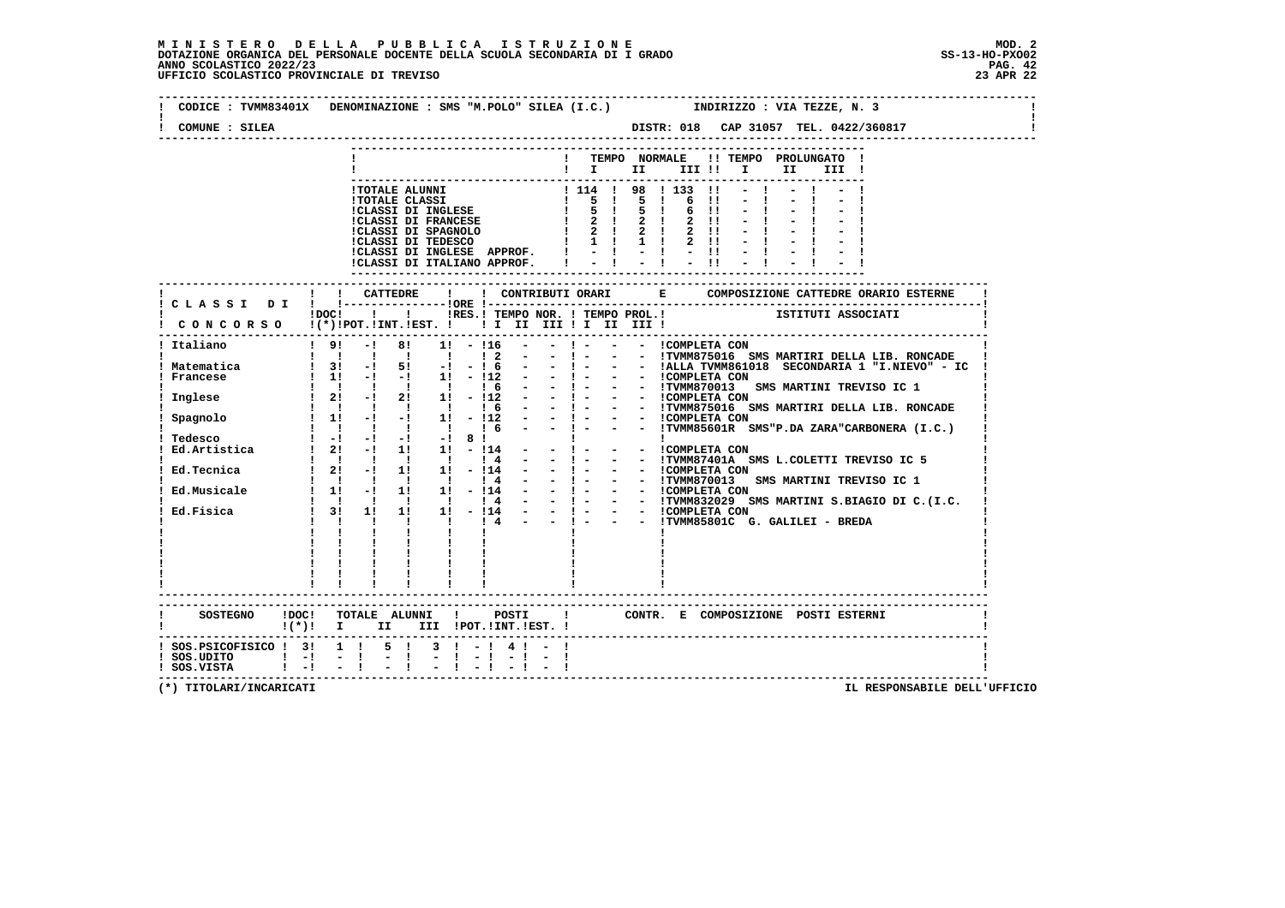| COMUNE : SILEA                                   | DISTR: 018 CAP 31057 TEL. 0422/360817                                                                                                                                                                                                                                                                                                                                                                                                                                                                                                                |
|--------------------------------------------------|------------------------------------------------------------------------------------------------------------------------------------------------------------------------------------------------------------------------------------------------------------------------------------------------------------------------------------------------------------------------------------------------------------------------------------------------------------------------------------------------------------------------------------------------------|
|                                                  | ! TEMPO NORMALE !! TEMPO PROLUNGATO !<br>$\mathbf{I}$ is the set of $\mathbf{I}$<br>II<br>III !                                                                                                                                                                                                                                                                                                                                                                                                                                                      |
|                                                  |                                                                                                                                                                                                                                                                                                                                                                                                                                                                                                                                                      |
|                                                  | ! ! CATTEDRE<br>$\mathbf{I}$<br>! C L A S S I D I ! !-----------------!ORE !--                                                                                                                                                                                                                                                                                                                                                                                                                                                                       |
|                                                  | -----<br>1 1 RES.1 TEMPO NOR. ! TEMPO PROL.1 1 1STITUTI ASSOCIATI<br>!DOC!<br>CONCORSO !(*)!POT.!INT.!EST. !!!!!!!!!!!!!!!!                                                                                                                                                                                                                                                                                                                                                                                                                          |
| Italiano                                         | ----------------------------------<br>$\frac{1}{2}$ 9! -! 8! 1! -!16 -                                                                                                                                                                                                                                                                                                                                                                                                                                                                               |
| ! Matematica                                     | $1 \quad 1 \quad 1 \quad 1 \quad 1$<br>$\frac{1}{2}$<br>- ! - - - ITVMM875016 SMS MARTIRI DELLA LIB. RONCADE<br>- ! - - - IALLA TVMM861018 SECONDARIA 1 "I.NIEVO" - IC<br>- ! - - - ICOMPLETA CON<br>$\sim$ 100 $\mu$<br>$1 \t31 \t-1 \t51 \t-1 \t16 \t-1$<br>1 11 -1 -1 11 - 112                                                                                                                                                                                                                                                                    |
|                                                  |                                                                                                                                                                                                                                                                                                                                                                                                                                                                                                                                                      |
|                                                  |                                                                                                                                                                                                                                                                                                                                                                                                                                                                                                                                                      |
|                                                  |                                                                                                                                                                                                                                                                                                                                                                                                                                                                                                                                                      |
|                                                  |                                                                                                                                                                                                                                                                                                                                                                                                                                                                                                                                                      |
| Ed.Musicale                                      | 1 21 - 1 11 1 1 1 1 1 1 1 - 1 - - 1 - - 1 - - 1 - - 1 - 1 - 1 - 1 - 1 - 1 - 1 - 1 - 1 - 1 - 1 - 1 - 1 - 1 - 1 - 1 - 1 - 1 - 1 - 1 - 1 - 1 - 1 - 1 - 1 - 1 - 1 - 1 - 1 - 1 - 1 - 1 - 1 - 1 - 1 - 1 - 1 - 1 - 1 - 1 - 1 - 1 - 1<br>$\frac{1}{1}$ $\frac{1}{1}$ $\frac{1}{1}$ $\frac{1}{1}$ $\frac{1}{1}$ $\frac{1}{1}$ $\frac{1}{1}$ $\frac{1}{1}$ $\frac{1}{1}$ $\frac{1}{1}$ $\frac{1}{1}$ $\frac{1}{1}$ $\frac{1}{1}$ $\frac{1}{1}$ $\frac{1}{1}$ $\frac{1}{1}$ $\frac{1}{1}$ $\frac{1}{1}$ $\frac{1}{1}$ $\frac{1}{1}$ $\frac{1}{1}$ $\frac{1}{1}$ |
| Ed.Fisica                                        |                                                                                                                                                                                                                                                                                                                                                                                                                                                                                                                                                      |
|                                                  | ------------------------                                                                                                                                                                                                                                                                                                                                                                                                                                                                                                                             |
|                                                  | SOSTEGNO ! DOC! TOTALE ALUNNI ! POSTI ! CONTR. E COMPOSIZIONE POSTI ESTERNI<br>$!(*)!$ I II III !POT.!INT.!EST. !                                                                                                                                                                                                                                                                                                                                                                                                                                    |
| $!$ SOS.UDITO $!$ -! -!!<br>! SOS.VISTA ! -! - ! | $1$ SOS.PSICOFISICO $1$ 3! 1 ! 5 ! 3 ! - ! 4 ! - !                                                                                                                                                                                                                                                                                                                                                                                                                                                                                                   |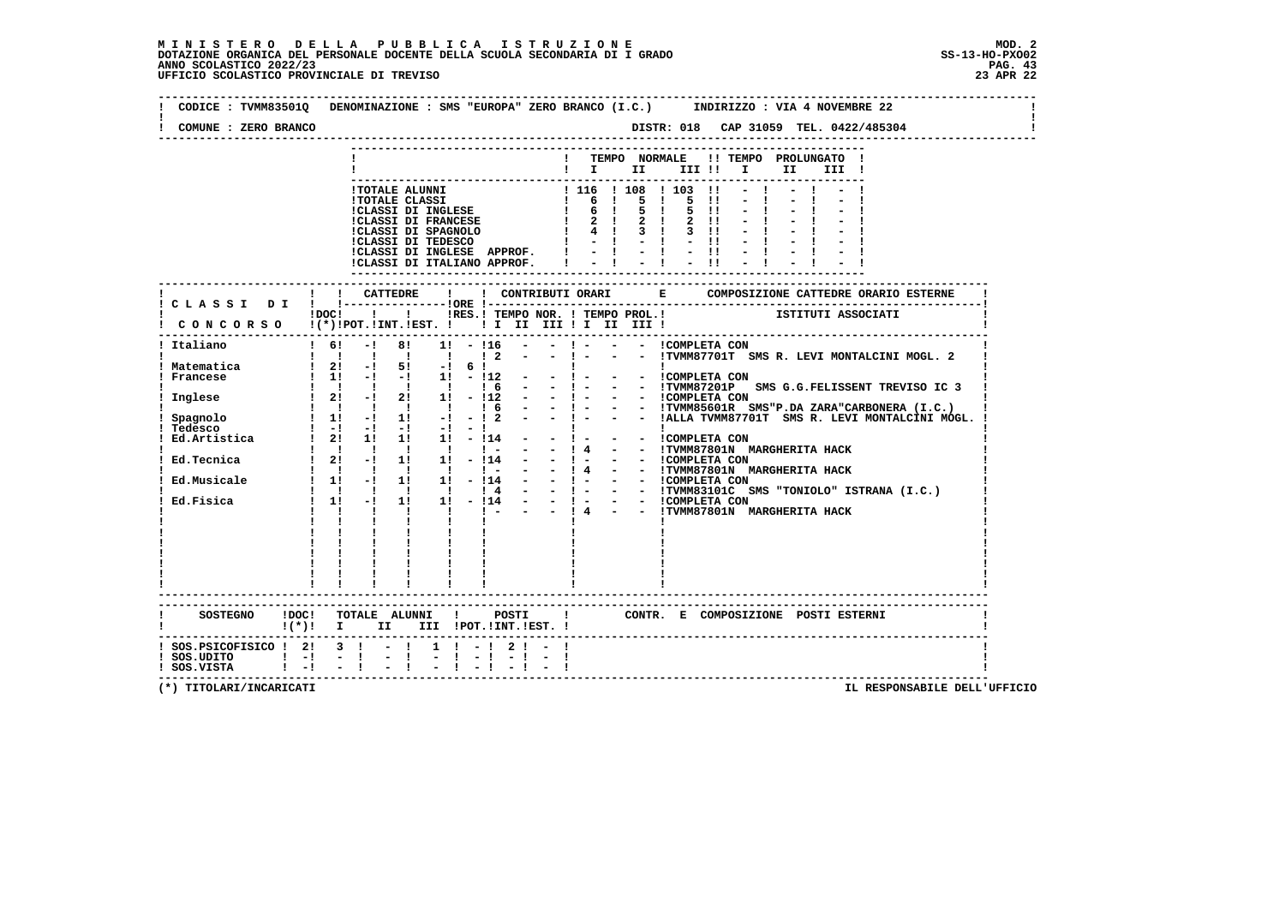**-------------------------------------------------------------------------------------------------------------------------------- ! CODICE : TVMM83501Q DENOMINAZIONE : SMS "EUROPA" ZERO BRANCO (I.C.) INDIRIZZO : VIA 4 NOVEMBRE 22 ! ! ! ! COMUNE : ZERO BRANCO DISTR: 018 CAP 31059 TEL. 0422/485304 ! -------------------------------------------------------------------------------------------------------------------------------- --------------------------------------------------------------------------- ! ! TEMPO NORMALE !! TEMPO PROLUNGATO ! ! ! I II III !! I II III ! --------------------------------------------------------------------------- !TOTALE ALUNNI ! 116 ! 108 ! 103 !! - ! - ! - ! !TOTALE CLASSI ! 6 ! 5 ! 5 !! - ! - ! - ! !CLASSI DI INGLESE ! 6 ! 5 ! 5 !! - ! - ! - ! !CLASSI DI FRANCESE ! 2 ! 2 ! 2 !! - ! - ! - ! !CLASSI DI SPAGNOLO ! 4 ! 3 ! 3 !! - ! - ! - ! !CLASSI DI TEDESCO ! - ! - ! - !! - ! - ! - ! !CLASSI DI INGLESE APPROF. ! - ! - ! - !! - ! - ! - ! !CLASSI DI ITALIANO APPROF. ! - ! - ! - !! - ! - ! - ! --------------------------------------------------------------------------- ------------------------------------------------------------------------------------------------------------------------- ! ! ! CATTEDRE ! ! CONTRIBUTI ORARI E COMPOSIZIONE CATTEDRE ORARIO ESTERNE ! ! C L A S S I D I ! !---------------!ORE !------------------------------------------------------------------------! ! !DOC! ! ! !RES.! TEMPO NOR. ! TEMPO PROL.! ISTITUTI ASSOCIATI ! ! C O N C O R S O !(\*)!POT.!INT.!EST. ! ! I II III ! I II III ! ! ------------------------------------------------------------------------------------------------------------------------- ! Italiano ! 6! -! 8! 1! - !16 - - ! - - - !COMPLETA CON ! ! ! ! ! ! ! ! 2 - - ! - - - !TVMM87701T SMS R. LEVI MONTALCINI MOGL. 2 ! ! Matematica ! 2! -! 5! -! 6 ! ! ! ! ! Francese ! 1! -! -! 1! - !12 - - ! - - - !COMPLETA CON ! ! ! ! ! ! ! ! 6 - - ! - - - !TVMM87201P SMS G.G.FELISSENT TREVISO IC 3 ! ! Inglese ! 2! -! 2! 1! - !12 - - ! - - - !COMPLETA CON ! ! ! ! ! ! ! ! 6 - - ! - - - !TVMM85601R SMS"P.DA ZARA"CARBONERA (I.C.) ! ! Spagnolo ! 1! -! 1! -! - ! 2 - - ! - - - !ALLA TVMM87701T SMS R. LEVI MONTALCINI MOGL. ! ! Tedesco ! -! -! -! -! - ! ! ! ! ! Ed.Artistica ! 2! 1! 1! 1! - !14 - - ! - - - !COMPLETA CON !! ! ! ! ! ! ! - - - !4 - - !TVMM87801N MARGHERITA HACK !**<br>! Ed.Tecnica ! ! 2! -! 1! 11 - !14 - - ! 4 - - !COMPLETA CON<br>! ! !!!!!!!!!! ! ! - - !4 - - !TVMM87801N MARGHERITA HACK !  **! Ed.Musicale ! 1! -! 1! 1! - !14 - - ! - - - !COMPLETA CON ! ! ! ! ! ! ! ! 4 - - ! - - - !TVMM83101C SMS "TONIOLO" ISTRANA (I.C.) ! ! Ed.Fisica ! 1! -! 1! 1! - !14 - - ! - - - !COMPLETA CON ! ! ! ! ! ! ! ! - - - ! 4 - - !TVMM87801N MARGHERITA HACK ! ! ! ! ! ! ! ! ! ! ! ! ! ! ! ! ! ! ! ! ! ! ! ! ! ! ! ! ! ! ! ! ! ! ! ! ! ! ! ! ! ! ! ! ! ! ! ! ! ! ! ! ! ! ! ! ! ! ! ! ! ! ! ! ! ! ! ! ! ! ! ------------------------------------------------------------------------------------------------------------------------- ------------------------------------------------------------------------------------------------------------------------- ! SOSTEGNO !DOC! TOTALE ALUNNI ! POSTI ! CONTR. E COMPOSIZIONE POSTI ESTERNI ! ! !(\*)! I II III !POT.!INT.!EST. ! ! ------------------------------------------------------------------------------------------------------------------------- ! SOS.PSICOFISICO ! 2! 3 ! - ! 1 ! - ! 2 ! - ! ! ! SOS.UDITO ! -! - ! - ! - ! - ! - ! - ! ! ! SOS.VISTA ! -! - ! - ! - ! - ! - ! - ! !**- 1  **-------------------------------------------------------------------------------------------------------------------------**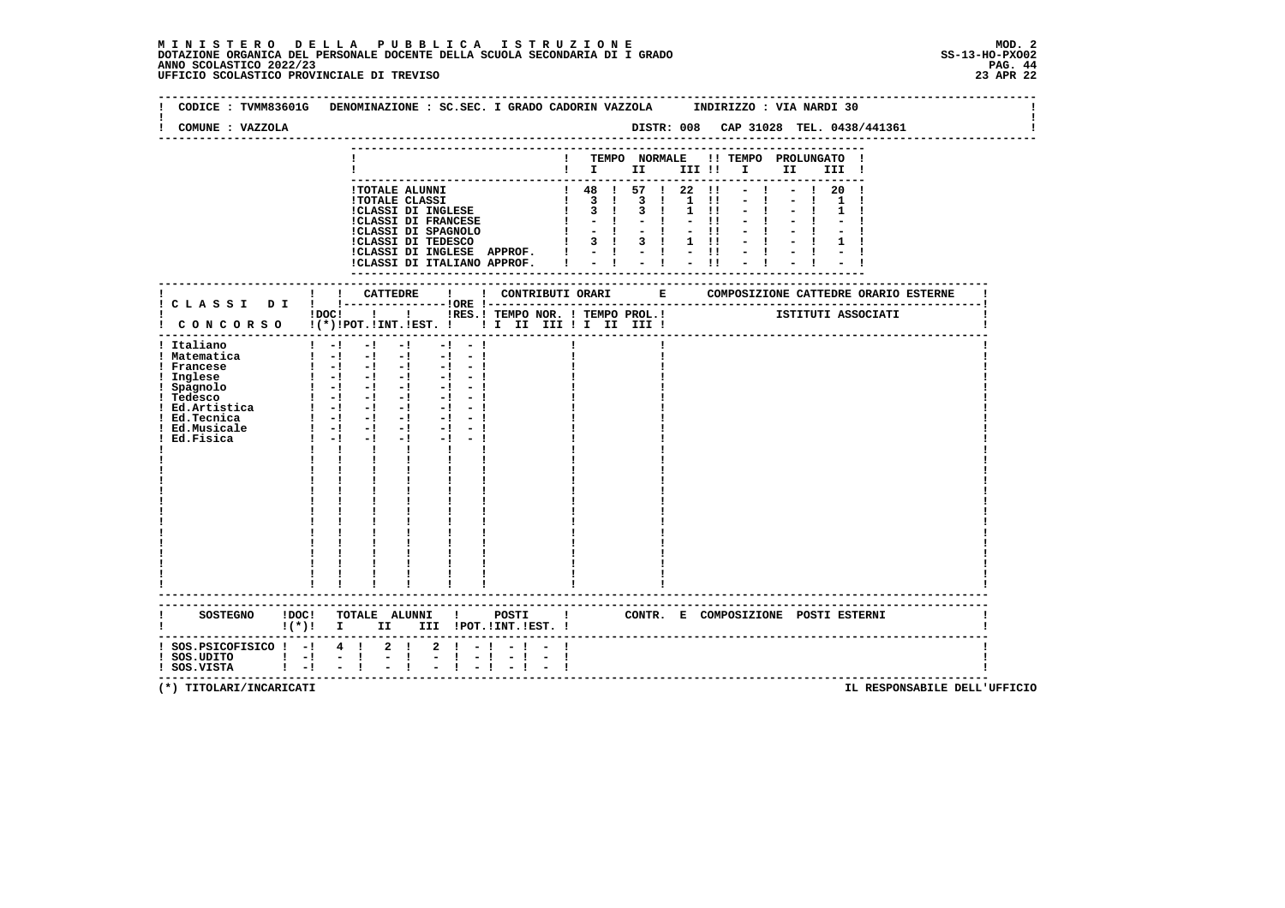|                                                         | CODICE: TVMM83601G DENOMINAZIONE: SC.SEC. I GRADO CADORIN VAZZOLA INDIRIZZO: VIA NARDI 30 |                                                                                                                                                                                                                                                                                                                                                                             |                                               |                |                                                                                                                                                |              |                              |        |              |                                                                                                        |               |              |                                |                                       |      |              |                                   |                                                            |  |
|---------------------------------------------------------|-------------------------------------------------------------------------------------------|-----------------------------------------------------------------------------------------------------------------------------------------------------------------------------------------------------------------------------------------------------------------------------------------------------------------------------------------------------------------------------|-----------------------------------------------|----------------|------------------------------------------------------------------------------------------------------------------------------------------------|--------------|------------------------------|--------|--------------|--------------------------------------------------------------------------------------------------------|---------------|--------------|--------------------------------|---------------------------------------|------|--------------|-----------------------------------|------------------------------------------------------------|--|
| COMUNE : VAZZOLA                                        |                                                                                           |                                                                                                                                                                                                                                                                                                                                                                             |                                               |                |                                                                                                                                                |              |                              |        |              |                                                                                                        |               |              |                                | DISTR: 008 CAP 31028 TEL. 0438/441361 |      |              |                                   |                                                            |  |
|                                                         |                                                                                           |                                                                                                                                                                                                                                                                                                                                                                             |                                               |                |                                                                                                                                                |              |                              |        |              |                                                                                                        |               |              |                                |                                       |      |              |                                   |                                                            |  |
|                                                         |                                                                                           |                                                                                                                                                                                                                                                                                                                                                                             |                                               |                |                                                                                                                                                |              |                              |        |              | $1$ $1$ $11$                                                                                           |               |              |                                | TEMPO NORMALE !! TEMPO PROLUNGATO     |      |              |                                   |                                                            |  |
|                                                         |                                                                                           |                                                                                                                                                                                                                                                                                                                                                                             |                                               |                |                                                                                                                                                |              |                              |        |              |                                                                                                        |               | III !!       |                                |                                       | I II | III !        |                                   |                                                            |  |
|                                                         |                                                                                           |                                                                                                                                                                                                                                                                                                                                                                             |                                               |                | <b>!TOTALE ALUNNI</b>                                                                                                                          |              |                              |        |              | $1$ 48 $1$ 57 $1$ 22 $11$                                                                              |               |              |                                |                                       |      | 20           |                                   |                                                            |  |
|                                                         |                                                                                           |                                                                                                                                                                                                                                                                                                                                                                             |                                               |                | <b>!TOTALE CLASSI</b>                                                                                                                          |              |                              |        |              | $1 \quad 3 \quad 1 \quad 3 \quad 1$                                                                    |               | $\mathbf{1}$ | $\blacksquare$                 |                                       |      |              |                                   |                                                            |  |
|                                                         |                                                                                           |                                                                                                                                                                                                                                                                                                                                                                             |                                               |                | !CLASSI DI INGLESE                                                                                                                             |              |                              |        | $\mathbf{I}$ | $\begin{array}{ccc} & 3 & 1 \end{array}$<br>$-1$                                                       | $3 \quad 1$   |              | $1 \quad 11$<br>$\blacksquare$ |                                       |      | $\mathbf{1}$ |                                   |                                                            |  |
|                                                         |                                                                                           |                                                                                                                                                                                                                                                                                                                                                                             |                                               |                | <b>!CLASSI DI FRANCESE</b>                                                                                                                     |              |                              |        |              |                                                                                                        |               |              | $-11$                          |                                       |      |              |                                   |                                                            |  |
|                                                         |                                                                                           |                                                                                                                                                                                                                                                                                                                                                                             |                                               |                |                                                                                                                                                |              |                              |        |              | CLASSI DI SPAGNOLO (1 - 1 - 1)<br>ICLASSI DI TEDESCO (1 3 1 3 1<br>$1 \quad 3 \quad 1 \quad 3 \quad 1$ |               |              | $1 \quad 11$                   |                                       |      |              |                                   |                                                            |  |
|                                                         |                                                                                           |                                                                                                                                                                                                                                                                                                                                                                             |                                               |                |                                                                                                                                                |              | !CLASSI DI INGLESE APPROF. ! |        |              |                                                                                                        |               |              |                                |                                       |      |              |                                   |                                                            |  |
|                                                         |                                                                                           |                                                                                                                                                                                                                                                                                                                                                                             |                                               |                |                                                                                                                                                |              | !CLASSI DI ITALIANO APPROF.  |        |              |                                                                                                        | $= 1 - 1 - 1$ |              |                                |                                       |      |              |                                   |                                                            |  |
|                                                         |                                                                                           |                                                                                                                                                                                                                                                                                                                                                                             |                                               |                |                                                                                                                                                |              |                              |        |              |                                                                                                        |               |              |                                |                                       |      |              |                                   |                                                            |  |
|                                                         |                                                                                           | ! ! CATTEDRE                                                                                                                                                                                                                                                                                                                                                                |                                               |                |                                                                                                                                                | $\mathbf{I}$ |                              |        |              | ---------------                                                                                        |               |              |                                |                                       |      |              |                                   | ! CONTRIBUTI ORARI BE COMPOSIZIONE CATTEDRE ORARIO ESTERNE |  |
|                                                         |                                                                                           |                                                                                                                                                                                                                                                                                                                                                                             |                                               |                |                                                                                                                                                |              |                              |        |              |                                                                                                        |               |              |                                |                                       |      |              |                                   |                                                            |  |
|                                                         |                                                                                           | $!$ $\overline{)}$ $\overline{)}$ $\overline{)}$ $\overline{)}$ $\overline{)}$ $\overline{)}$ $\overline{)}$ $\overline{)}$ $\overline{)}$ $\overline{)}$ $\overline{)}$ $\overline{)}$ $\overline{)}$ $\overline{)}$ $\overline{)}$ $\overline{)}$ $\overline{)}$ $\overline{)}$ $\overline{)}$ $\overline{)}$ $\overline{)}$ $\overline{)}$ $\overline{)}$ $\overline{)}$ |                                               |                |                                                                                                                                                |              |                              |        |              | !RES.! TEMPO NOR. ! TEMPO PROL.! [STITUTI ASSOCIATI                                                    |               |              |                                |                                       |      |              |                                   |                                                            |  |
| ! CONCORSO !(*)!POT.!INT.!EST. !! I III III II III III! |                                                                                           |                                                                                                                                                                                                                                                                                                                                                                             |                                               |                |                                                                                                                                                |              |                              |        |              |                                                                                                        |               |              |                                |                                       |      |              |                                   |                                                            |  |
|                                                         |                                                                                           | $1 - 1 - 1$                                                                                                                                                                                                                                                                                                                                                                 |                                               |                | $-1$                                                                                                                                           | $-1 - -1$    |                              |        |              |                                                                                                        |               |              |                                |                                       |      |              |                                   |                                                            |  |
| ! Italiano<br>! Matematica                              |                                                                                           | $1 - 1 - 1 - 1$                                                                                                                                                                                                                                                                                                                                                             |                                               |                |                                                                                                                                                | $-1 - 1$     |                              |        |              |                                                                                                        |               |              |                                |                                       |      |              |                                   |                                                            |  |
| ! Francese                                              |                                                                                           |                                                                                                                                                                                                                                                                                                                                                                             |                                               |                |                                                                                                                                                |              |                              |        |              |                                                                                                        |               |              |                                |                                       |      |              |                                   |                                                            |  |
| ! Inglese                                               |                                                                                           |                                                                                                                                                                                                                                                                                                                                                                             |                                               |                | $\begin{array}{cccccccc} 1 & -1 & -1 & -1 & -1 & -1 & -1 \\ 1 & -1 & -1 & -1 & -1 & -1 & -1 \\ 1 & -1 & -1 & -1 & -1 & -1 & -1 \\ \end{array}$ |              |                              |        |              |                                                                                                        |               |              |                                |                                       |      |              |                                   |                                                            |  |
| ! Spagnolo<br>! Tedesse                                 |                                                                                           |                                                                                                                                                                                                                                                                                                                                                                             |                                               |                |                                                                                                                                                |              |                              |        |              |                                                                                                        |               |              |                                |                                       |      |              |                                   |                                                            |  |
| ! Tedesco                                               |                                                                                           |                                                                                                                                                                                                                                                                                                                                                                             |                                               |                | $\begin{bmatrix} 1 & -1 & -1 & -1 & -1 & -1 \end{bmatrix}$                                                                                     |              |                              |        |              |                                                                                                        |               |              |                                |                                       |      |              |                                   |                                                            |  |
| : Pedesse<br>! Ed.Artistica                             |                                                                                           | $1 - 1 - 1 - 1$                                                                                                                                                                                                                                                                                                                                                             |                                               |                |                                                                                                                                                | $-1$ $-1$    |                              |        |              |                                                                                                        |               |              |                                |                                       |      |              |                                   |                                                            |  |
| ! Ed.Tecnica<br>! Ed.Musicale                           |                                                                                           | $1 - 1 - 1 - 1$                                                                                                                                                                                                                                                                                                                                                             |                                               |                | $\begin{bmatrix} 1 & -1 & -1 & -1 & -1 & -1 \end{bmatrix}$                                                                                     | $-1 - 1$     |                              |        |              |                                                                                                        |               |              |                                |                                       |      |              |                                   |                                                            |  |
| Ed.Fisica                                               |                                                                                           | $1 - 1 - 1$                                                                                                                                                                                                                                                                                                                                                                 |                                               |                | $-1$                                                                                                                                           | $-1 - -1$    |                              |        |              |                                                                                                        |               |              |                                |                                       |      |              |                                   |                                                            |  |
|                                                         |                                                                                           |                                                                                                                                                                                                                                                                                                                                                                             | $\mathbf{I}$ and $\mathbf{I}$<br>$\mathbf{I}$ |                | $\mathbf{I}$                                                                                                                                   |              |                              |        |              |                                                                                                        |               |              |                                |                                       |      |              |                                   |                                                            |  |
|                                                         |                                                                                           |                                                                                                                                                                                                                                                                                                                                                                             |                                               |                |                                                                                                                                                |              |                              |        |              |                                                                                                        |               |              |                                |                                       |      |              |                                   |                                                            |  |
|                                                         |                                                                                           |                                                                                                                                                                                                                                                                                                                                                                             |                                               |                |                                                                                                                                                |              |                              |        |              |                                                                                                        |               |              |                                |                                       |      |              |                                   |                                                            |  |
|                                                         |                                                                                           |                                                                                                                                                                                                                                                                                                                                                                             |                                               |                |                                                                                                                                                |              |                              |        |              |                                                                                                        |               |              |                                |                                       |      |              |                                   |                                                            |  |
|                                                         |                                                                                           |                                                                                                                                                                                                                                                                                                                                                                             |                                               |                |                                                                                                                                                |              |                              |        |              |                                                                                                        |               |              |                                |                                       |      |              |                                   |                                                            |  |
|                                                         |                                                                                           |                                                                                                                                                                                                                                                                                                                                                                             |                                               |                |                                                                                                                                                |              |                              |        |              |                                                                                                        |               |              |                                |                                       |      |              |                                   |                                                            |  |
|                                                         |                                                                                           |                                                                                                                                                                                                                                                                                                                                                                             |                                               |                |                                                                                                                                                |              |                              |        |              |                                                                                                        |               |              |                                |                                       |      |              |                                   |                                                            |  |
|                                                         |                                                                                           |                                                                                                                                                                                                                                                                                                                                                                             |                                               |                |                                                                                                                                                |              |                              |        |              |                                                                                                        |               |              |                                |                                       |      |              |                                   |                                                            |  |
|                                                         |                                                                                           |                                                                                                                                                                                                                                                                                                                                                                             |                                               |                |                                                                                                                                                |              |                              |        |              |                                                                                                        |               |              |                                |                                       |      |              |                                   |                                                            |  |
|                                                         |                                                                                           |                                                                                                                                                                                                                                                                                                                                                                             |                                               |                |                                                                                                                                                |              |                              |        |              |                                                                                                        |               |              |                                |                                       |      |              |                                   |                                                            |  |
|                                                         |                                                                                           |                                                                                                                                                                                                                                                                                                                                                                             |                                               |                |                                                                                                                                                |              |                              |        |              |                                                                                                        |               |              |                                |                                       |      |              |                                   |                                                            |  |
|                                                         |                                                                                           |                                                                                                                                                                                                                                                                                                                                                                             |                                               |                |                                                                                                                                                |              |                              |        |              |                                                                                                        |               |              |                                |                                       |      |              |                                   |                                                            |  |
|                                                         |                                                                                           |                                                                                                                                                                                                                                                                                                                                                                             |                                               |                |                                                                                                                                                |              |                              |        |              |                                                                                                        |               |              |                                |                                       |      |              |                                   |                                                            |  |
|                                                         |                                                                                           |                                                                                                                                                                                                                                                                                                                                                                             |                                               |                |                                                                                                                                                |              |                              |        |              |                                                                                                        |               |              |                                |                                       |      |              |                                   |                                                            |  |
| SOSTEGNO ! DOC!                                         |                                                                                           |                                                                                                                                                                                                                                                                                                                                                                             |                                               |                |                                                                                                                                                |              | TOTALE ALUNNI ! POSTI !      |        |              |                                                                                                        |               |              |                                | CONTR. E COMPOSIZIONE POSTI_ESTERNI   |      |              |                                   |                                                            |  |
|                                                         | $\mathbf{I}(\star)\mathbf{I}$ I                                                           |                                                                                                                                                                                                                                                                                                                                                                             |                                               |                |                                                                                                                                                |              | II III !POT. !INT. !EST. !   |        |              |                                                                                                        |               |              |                                |                                       |      |              |                                   |                                                            |  |
|                                                         |                                                                                           |                                                                                                                                                                                                                                                                                                                                                                             |                                               |                |                                                                                                                                                |              |                              |        |              |                                                                                                        |               |              |                                |                                       |      |              |                                   |                                                            |  |
| SOS.PSICOFISICO ! -! 4 !                                |                                                                                           |                                                                                                                                                                                                                                                                                                                                                                             |                                               | $2 \quad 1$    | $\mathbf{2}$                                                                                                                                   | $\mathbf{I}$ |                              |        |              |                                                                                                        |               |              |                                |                                       |      |              |                                   |                                                            |  |
| $!$ SOS.UDITO $!$ $-!$<br>! SOS.VISTA                   | $1 - 1$                                                                                   |                                                                                                                                                                                                                                                                                                                                                                             | $-1$<br>$-1$                                  | $\blacksquare$ | п.<br>$\overline{\phantom{a}}$                                                                                                                 |              | $-1$<br>$\blacksquare$       | $\sim$ | -1           |                                                                                                        |               |              |                                |                                       |      |              |                                   |                                                            |  |
|                                                         |                                                                                           |                                                                                                                                                                                                                                                                                                                                                                             |                                               |                |                                                                                                                                                |              |                              |        |              |                                                                                                        |               |              |                                |                                       |      |              | --------------------------------- |                                                            |  |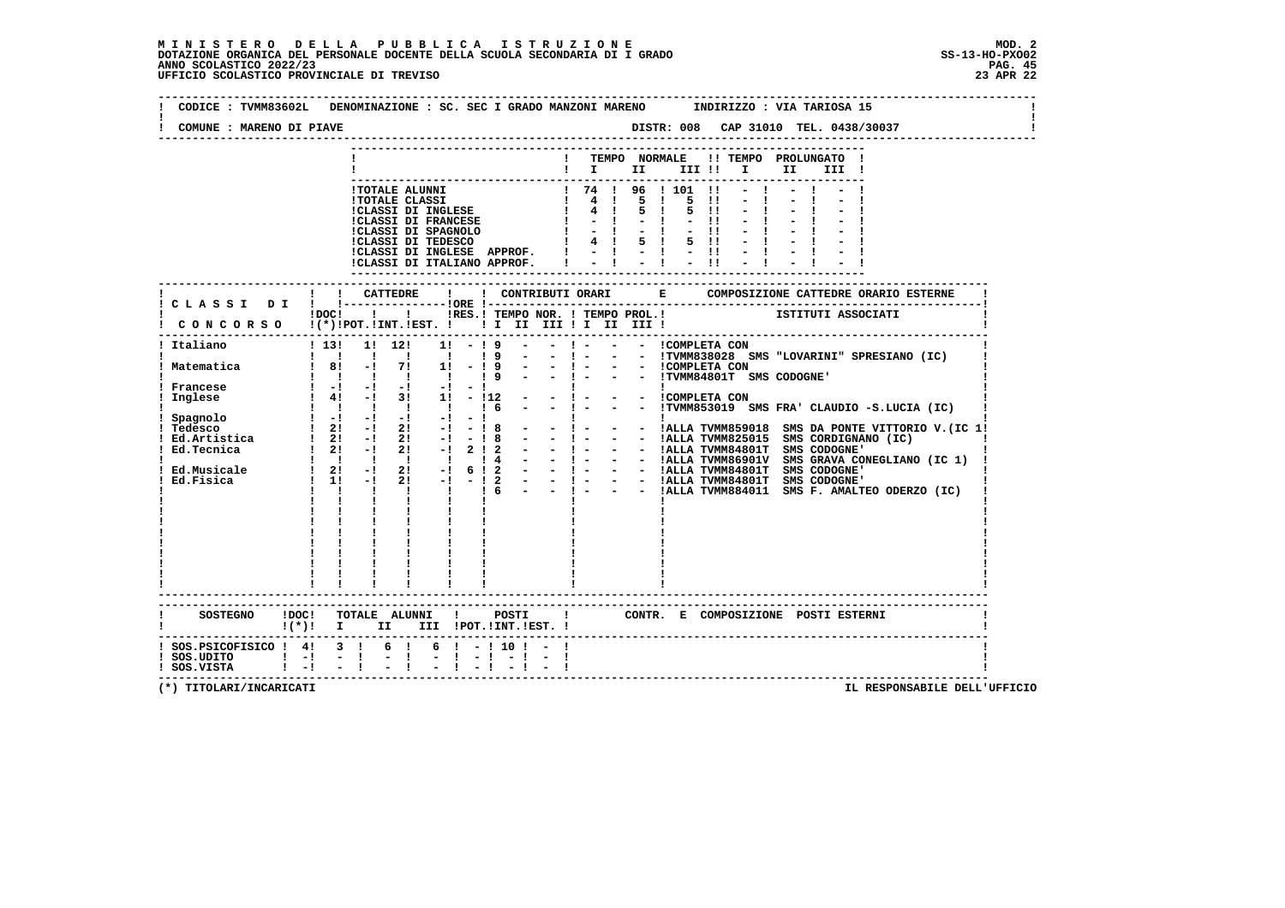$\mathbf{I}$ 

 $\mathbf{I}$ 

| COMUNE : MARENO DI PIAVE                                                 |                                                                                                                                                                                                                                                      |                                                                                                                                                                                                                                              |
|--------------------------------------------------------------------------|------------------------------------------------------------------------------------------------------------------------------------------------------------------------------------------------------------------------------------------------------|----------------------------------------------------------------------------------------------------------------------------------------------------------------------------------------------------------------------------------------------|
|                                                                          |                                                                                                                                                                                                                                                      | ! TEMPO NORMALE !! TEMPO PROLUNGATO !<br>$\blacksquare$ $\blacksquare$ $\blacksquare$ $\blacksquare$ $\blacksquare$ $\blacksquare$ $\blacksquare$<br>II<br>III !                                                                             |
|                                                                          | !TOTALE ALUNNI<br>I UTALE ALUNNI<br>I TOTALE CLASSI<br>I CLASSI DI INGLESE   4  <br>I CLASSI DI FRANCESE   4  <br>I CLASSI DI FRANCEO   -  <br>I CLASSI DI TEDESCO   4  <br>!CLASSI DI INGLESE APPROF. !<br>!CLASSI DI ITALIANO APPROF.              | ! 74 ! 96 ! 101 !!<br>$-1$<br>$\blacksquare$<br>5 1<br>$5 \quad 1$<br>5 11<br>$-1$<br>$-11$<br>$-11$<br>$5 \quad 1$<br>$5 \quad 11$<br>$\frac{1}{2}$ $\frac{1}{2}$ $\frac{1}{2}$ $\frac{1}{2}$ $\frac{1}{2}$ $\frac{1}{11}$<br>$-1$<br>$-11$ |
|                                                                          |                                                                                                                                                                                                                                                      | C L A S S I D I ! CATTEDRE ! ! CONTRIBUTI ORARI E COMPOSIZIONE CATTEDRE ORARIO ESTERNE<br>!DOC! !!! !RES.! TEMPO NOR. ! TEMPO PROL.! [STITUTI ASSOCIATI                                                                                      |
|                                                                          |                                                                                                                                                                                                                                                      |                                                                                                                                                                                                                                              |
| ! Italiano                                                               | ! 13! 1! 12!<br>$1! - 19$<br>$\begin{array}{cccccccccccccc} 1 & 1 & 1 & 1 & 1 & 1 & 1 \end{array}$<br>19<br>$\sim 100$                                                                                                                               | $-$ ! $  \cdot$ !TVMM838028 SMS "LOVARINI" SPRESIANO (IC)                                                                                                                                                                                    |
| ! Matematica                                                             | $\sim 10^{-10}$<br>$18! -17! 1! -19$<br>$\begin{array}{cccccccccccccc} 1 & 1 & 1 & 1 & 1 & 1 & 1 \end{array}$<br>19                                                                                                                                  | $-$ ! $ -$ !TVMM84801T SMS CODOGNE'                                                                                                                                                                                                          |
| ! Francese<br>! Inglese                                                  | $1 - 1 - 1 - 1 - 1 - 1 - 1 - 1$<br>$1 \quad 4! \quad -1 \quad 3! \quad 1! \quad -112$                                                                                                                                                                | $\mathbf{I}$<br>$\mathbf{I}$<br>- ! - - - COMPLETA CON<br>$-$ ! $  \cdot$ !TVMM853019 SMS FRA' CLAUDIO $-S.LUCIA$ (IC)                                                                                                                       |
|                                                                          | 1 Inglese 1 41 -1 31 11 - 112<br>1 Spagnolo 1 1 1 1 1 1 1<br>1 Tedesco 1 21 -1 -1 -1 -1 -1 -1<br>1 Tedesco 1 21 -1 21 -1 -1 8<br>1 Ed.<br>1 Ed.<br>1 21 -1 21 -1 2 1 2<br>1 21 -1 2 1 -1 2<br>1 Ed.<br>Fig. 1 21 -1 21 -1 6<br>1 2<br>1 1 -1 21 -1 - |                                                                                                                                                                                                                                              |
|                                                                          |                                                                                                                                                                                                                                                      | - - !ALLA TVMM884011 SMS F. AMALTEO ODERZO (IC)                                                                                                                                                                                              |
|                                                                          |                                                                                                                                                                                                                                                      |                                                                                                                                                                                                                                              |
|                                                                          | SOSTEGNO !DOC! TOTALE ALUNNI ! POSTI<br>$!(*)!$ I II III !POT.!INT.!EST. !                                                                                                                                                                           | $\mathbf{I}$<br>CONTR. E COMPOSIZIONE POSTI_ESTERNI                                                                                                                                                                                          |
| ! SOS.PSICOFISICO ! 4! 3 !<br>! SOS.UDITO ! -! -!<br>! SOS.VISTA ! -! -! | 6 !<br>$6! - 110! - 1$<br>$-1$<br>$-1$ $-1$ $-1$ $-1$                                                                                                                                                                                                |                                                                                                                                                                                                                                              |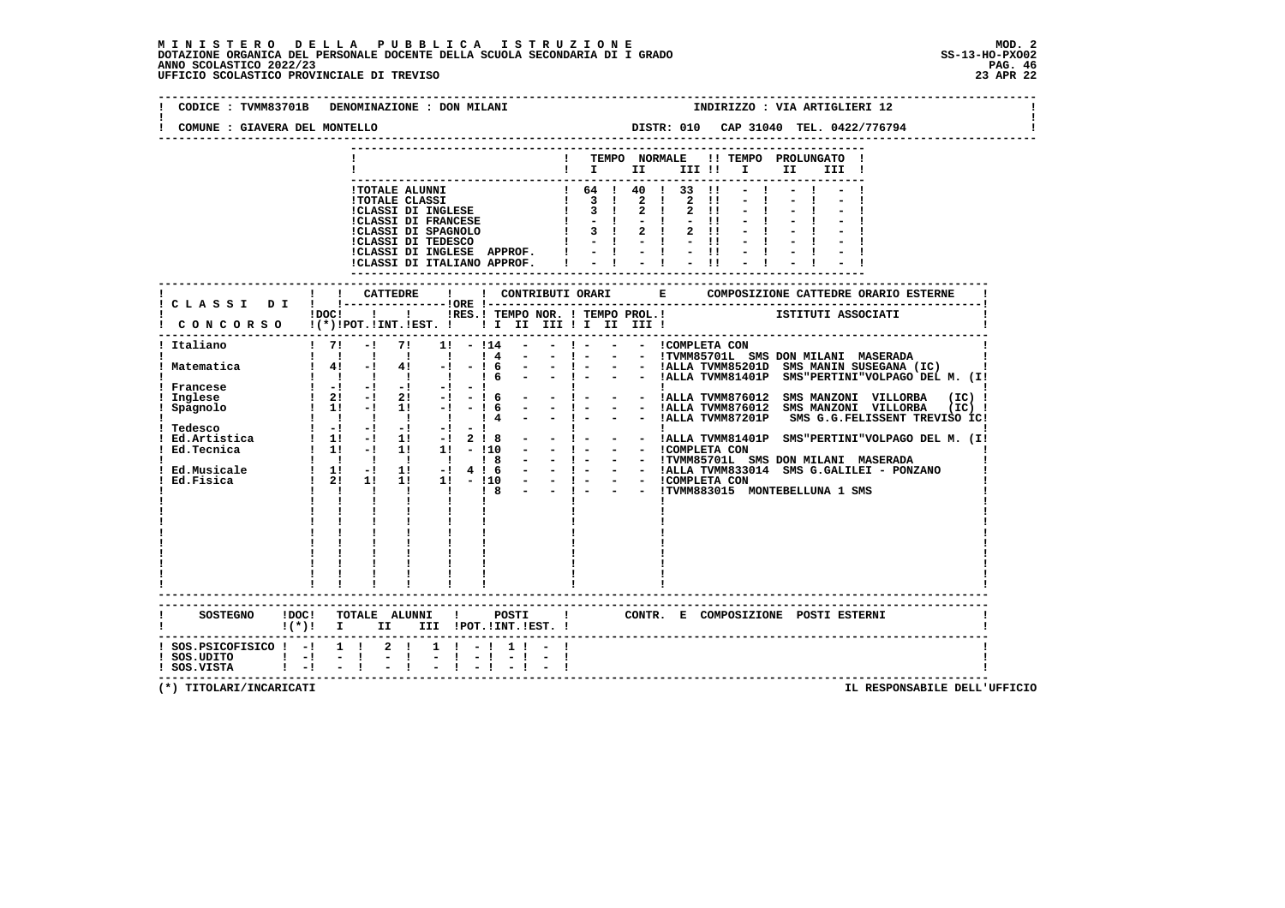| CODICE: TVMM83701B<br>COMUNE : GIAVERA DEL MONTELLO                                               | DENOMINAZIONE : DON MILANI                                                                                                                                                                                                                                                                                                                                                                                                                                                                                                                                                                                                                                                                                 | INDIRIZZO : VIA ARTIGLIERI 12                                                                                                                                                                                                                                                                                                                                                                                                                        |
|---------------------------------------------------------------------------------------------------|------------------------------------------------------------------------------------------------------------------------------------------------------------------------------------------------------------------------------------------------------------------------------------------------------------------------------------------------------------------------------------------------------------------------------------------------------------------------------------------------------------------------------------------------------------------------------------------------------------------------------------------------------------------------------------------------------------|------------------------------------------------------------------------------------------------------------------------------------------------------------------------------------------------------------------------------------------------------------------------------------------------------------------------------------------------------------------------------------------------------------------------------------------------------|
|                                                                                                   |                                                                                                                                                                                                                                                                                                                                                                                                                                                                                                                                                                                                                                                                                                            |                                                                                                                                                                                                                                                                                                                                                                                                                                                      |
|                                                                                                   |                                                                                                                                                                                                                                                                                                                                                                                                                                                                                                                                                                                                                                                                                                            | ! TEMPO NORMALE !! TEMPO PROLUNGATO !<br>$\blacksquare$ $\blacksquare$ $\blacksquare$ $\blacksquare$ $\blacksquare$ $\blacksquare$ $\blacksquare$ $\blacksquare$<br>II<br>III !                                                                                                                                                                                                                                                                      |
|                                                                                                   | <b>!TOTALE ALUNNI</b><br>1 64 1 40 1 33<br>1 TOTALE CLASSI 1 3 1 2 1 2<br>1 CLASSI DI INGLESE 1 3 1 2 1 2<br>1 CLASSI DI FRANCESE 1 - 1 - 1 -<br>1 CLASSI DI SPAGNOLO 1 3 1 2 1 2<br>1 CLASSI DI TEDESCO 1 - 1 - 1 -<br>!CLASSI DI INGLESE APPROF. $! \t - \t - \t - \t !\t - \t !\t$<br>!CLASSI DI ITALIANO APPROF. $! \t - \t - \t !\t - \t !\t$                                                                                                                                                                                                                                                                                                                                                         | $1, 64$ $1, 40$ $1, 33$ $11$<br>$-1$<br>$\blacksquare$<br>$2 \quad 11$<br>$-11$<br>$2 \quad 11$<br>$-11$                                                                                                                                                                                                                                                                                                                                             |
|                                                                                                   |                                                                                                                                                                                                                                                                                                                                                                                                                                                                                                                                                                                                                                                                                                            |                                                                                                                                                                                                                                                                                                                                                                                                                                                      |
|                                                                                                   | ! !RES.! TEMPO NOR. ! TEMPO PROL.!<br>$1DOCI$ $1$<br>! CONCORSO !(*)!POT.!INT.!EST. ! ! I III III II III II                                                                                                                                                                                                                                                                                                                                                                                                                                                                                                                                                                                                | ISTITUTI ASSOCIATI                                                                                                                                                                                                                                                                                                                                                                                                                                   |
| ! Italiano                                                                                        | $1 \quad 71$<br>$-1$<br>71<br>$1! - 114$<br>1 1 1 1 1<br>$\frac{1}{4}$<br>$\sim$ $-$                                                                                                                                                                                                                                                                                                                                                                                                                                                                                                                                                                                                                       | $-1$ $-1$<br>- - COMPLETA CON<br>- ! - - - ITVMM85701L SMS DON MILANI MASERADA                                                                                                                                                                                                                                                                                                                                                                       |
| ! Matematica                                                                                      | $1 \t4! -1 \t4! -1 \t-16$<br>$1 \quad 1 \quad 1 \quad 1 \quad 1$<br>$\sim$ 100 $\mu$<br>16                                                                                                                                                                                                                                                                                                                                                                                                                                                                                                                                                                                                                 | - !- - - IALLA TVMM85201D SMS MANIN SUSEGANA (IC)  <br>- !- - - IALLA TVMM85201D SMS MANIN SUSEGANA (IC)  <br>- !- - - IALLA TVMM81401P SMS"PERTINI"VOLPAGO DEL M. (I!                                                                                                                                                                                                                                                                               |
| Francese<br>Inglese<br>Spagnolo                                                                   | $\frac{1}{2}$ $\frac{1}{2}$ $\frac{1}{2}$ $\frac{1}{2}$ $\frac{1}{2}$ $\frac{1}{2}$ $\frac{1}{2}$ $\frac{1}{2}$<br>$-1$<br>$1 \quad 2! \quad -! \quad 2! \quad -! \quad -! \quad 6$<br>$1 \t1 \t-1$<br>$1! -1 - 16$<br>$\begin{array}{cccccccccccccc} 1 & 1 & 1 & 1 & 1 & 1 & 1 \end{array}$<br>$14 -$<br>! Tedesco $\begin{array}{cccccccc} 1 & -1 & -1 & -1 & -1 & -1 & -1 \\ 1 & -1 & -1 & -1 & -1 & -1 & 2 & 8 & -1 \\ 1 & -1 & -1 & -1 & 1 & -1 & 2 & 8 & -1 \\ 1 & -1 & -1 & 1 & -1 & 1 & -1 & 1 \\ 1 & -1 & 1 & -1 & 1 & -1 & 1 & -1 \\ 1 & -1 & 1 & 1 & -1 & 1 & -1 \\ 1 & -1 & 1 & 1 & -1 & 1 & -1 \\ 1 & -1 & 1 & 1 & -1 & 1 & -1 \\ 1 & -1 & 1 & 1 & -1 & 1$<br>1 1 1 1 1 1 1 8<br>$\mathbf{I}$ | :<br>- ! - - - !ALLA TVMM876012 SMS MANZONI VILLORBA (IC)!<br>- !- - - IALLA TVMM876012 SMS MANZONI VILLORBA (IC) !<br>- !- - - IALLA TVMM87201P SMS G.G.FELISSENT TREVISO IC!<br>!!<br>- ! - - - !ALLA TVMM81401P SMS"PERTINI"VOLPAGO DEL M. (I!<br>- 1 - - - HOMPLETA CON<br>- - 1 - - - ITVMM85701L SMS DON MILANI MASERADA<br>- - 1 - - - ITVMM85701L SMS DON MILANI MASERADA<br>- - 1 - - - ICOMPLETA CON<br>- - !TVMM883015 MONTEBELLUNA 1 SMS |
|                                                                                                   | SOSTEGNO !DOC! TOTALE ALUNNI ! POSTI<br>$!(*)!$ I II III !POT.!INT.!EST. !                                                                                                                                                                                                                                                                                                                                                                                                                                                                                                                                                                                                                                 | $\mathbf{I}$<br>CONTR. E COMPOSIZIONE POSTI ESTERNI                                                                                                                                                                                                                                                                                                                                                                                                  |
| $:$ SOS. PSICOFISICO $:$ - $:$ 1 $:$ 2 $:$<br>$!$ SOS.UDITO $!$ -! -!<br>$!$ SOS.VISTA $!$ -! - ! | $1 \t-1 \t1 - 1$<br>$-1$                                                                                                                                                                                                                                                                                                                                                                                                                                                                                                                                                                                                                                                                                   |                                                                                                                                                                                                                                                                                                                                                                                                                                                      |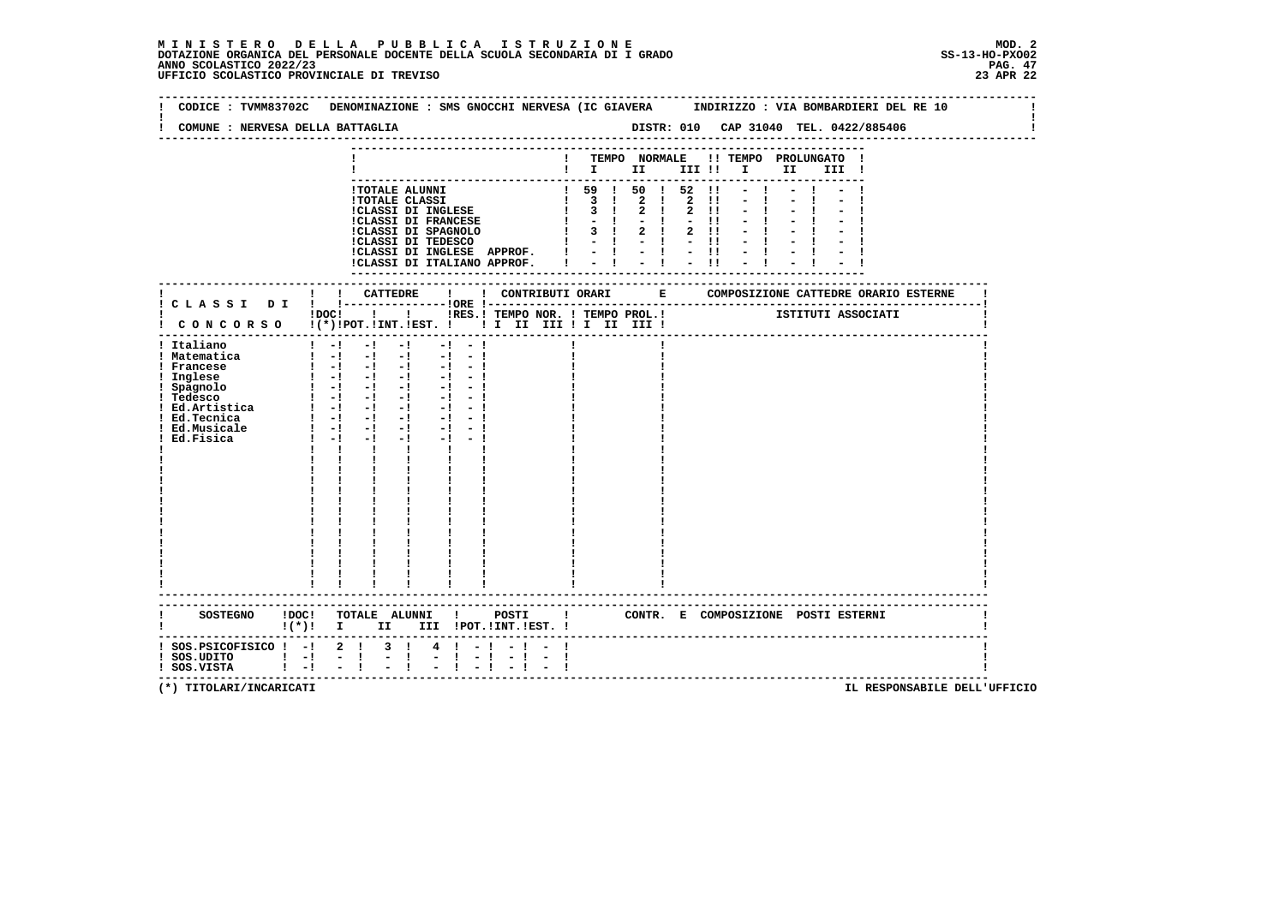| CODICE: TVMM83702C DENOMINAZIONE: SMS GNOCCHI NERVESA (IC GIAVERA INDIRIZZO: VIA BOMBARDIERI DEL RE 10 |         |              |                                                                                                                                                            |                    |                                                             |             |      |    |                                                                                                |             |              |                                                                        |  |                                    |  |
|--------------------------------------------------------------------------------------------------------|---------|--------------|------------------------------------------------------------------------------------------------------------------------------------------------------------|--------------------|-------------------------------------------------------------|-------------|------|----|------------------------------------------------------------------------------------------------|-------------|--------------|------------------------------------------------------------------------|--|------------------------------------|--|
| COMUNE : NERVESA DELLA BATTAGLIA                                                                       |         |              |                                                                                                                                                            |                    |                                                             |             |      |    |                                                                                                |             |              |                                                                        |  |                                    |  |
|                                                                                                        |         |              |                                                                                                                                                            |                    |                                                             |             |      |    |                                                                                                |             |              |                                                                        |  |                                    |  |
|                                                                                                        |         |              |                                                                                                                                                            |                    |                                                             |             |      |    |                                                                                                |             |              | ! TEMPO NORMALE !! TEMPO PROLUNGATO !                                  |  |                                    |  |
|                                                                                                        |         |              |                                                                                                                                                            |                    |                                                             |             |      |    |                                                                                                |             |              | $\blacksquare$                                                         |  |                                    |  |
|                                                                                                        |         |              |                                                                                                                                                            |                    |                                                             |             |      |    |                                                                                                |             |              |                                                                        |  |                                    |  |
|                                                                                                        |         |              |                                                                                                                                                            |                    | !TOTALE ALUNNI                                              |             |      |    | $!$ 59 $!$ 50 $!$ 52 $!$                                                                       |             |              |                                                                        |  |                                    |  |
|                                                                                                        |         |              |                                                                                                                                                            |                    | <b>!TOTALE CLASSI</b>                                       |             |      |    | $\begin{array}{cccccccc} 1 & 3 & 1 & 2 & 1 & 2 & 11 \\ 1 & 3 & 1 & 2 & 1 & 2 & 11 \end{array}$ |             |              |                                                                        |  |                                    |  |
|                                                                                                        |         |              |                                                                                                                                                            |                    | :TOINE CEREBLE<br>!CLASSI DI INGLESE<br>!CLASSI DI FRANCESE |             |      |    | $1 - 1 - 1$                                                                                    |             | $-11$        |                                                                        |  |                                    |  |
|                                                                                                        |         |              |                                                                                                                                                            |                    |                                                             |             |      |    |                                                                                                | $2 \quad 1$ | $2 \quad 11$ |                                                                        |  |                                    |  |
|                                                                                                        |         |              |                                                                                                                                                            |                    |                                                             |             |      |    | $1 - 1 - 1 - 1$                                                                                |             |              |                                                                        |  |                                    |  |
|                                                                                                        |         |              |                                                                                                                                                            |                    |                                                             |             |      |    | !CLASSI DI INGLESE APPROF. ! - ! - ! - !!                                                      |             |              |                                                                        |  |                                    |  |
|                                                                                                        |         |              |                                                                                                                                                            |                    | !CLASSI DI ITALIANO APPROF. I                               |             |      |    | $-1 - -1$                                                                                      |             | $-11$        |                                                                        |  |                                    |  |
|                                                                                                        |         |              |                                                                                                                                                            |                    |                                                             |             |      |    |                                                                                                |             |              |                                                                        |  |                                    |  |
|                                                                                                        |         |              |                                                                                                                                                            |                    |                                                             |             |      |    |                                                                                                |             |              |                                                                        |  |                                    |  |
|                                                                                                        |         |              |                                                                                                                                                            |                    |                                                             |             |      |    |                                                                                                |             |              |                                                                        |  |                                    |  |
|                                                                                                        |         |              |                                                                                                                                                            |                    |                                                             |             |      |    |                                                                                                |             |              |                                                                        |  |                                    |  |
| ! CONCORSO !(*)!POT.!INT.!EST. ! ! I III III II III II                                                 |         |              |                                                                                                                                                            |                    |                                                             |             |      |    |                                                                                                |             |              | IDOCI___ I___ I___ IRES.I TEMPO NOR. I TEMPO PROL.I TETITUTI ASSOCIATI |  |                                    |  |
|                                                                                                        |         |              |                                                                                                                                                            |                    |                                                             |             |      |    |                                                                                                |             |              |                                                                        |  |                                    |  |
| ! Italiano                                                                                             |         |              | $1 - 1 - 1$                                                                                                                                                |                    | $-1$                                                        | $-1$ $-1$   |      |    |                                                                                                |             |              |                                                                        |  |                                    |  |
| ! Matematica                                                                                           |         |              |                                                                                                                                                            |                    |                                                             |             |      |    |                                                                                                |             |              |                                                                        |  |                                    |  |
| ! Francese                                                                                             |         |              |                                                                                                                                                            |                    | $\begin{bmatrix} 1 & -1 & -1 & -1 & -1 & -1 \end{bmatrix}$  |             |      |    |                                                                                                |             |              |                                                                        |  |                                    |  |
| ! Inglese                                                                                              |         |              |                                                                                                                                                            |                    |                                                             |             |      |    |                                                                                                |             |              |                                                                        |  |                                    |  |
| : Spagnolo                                                                                             |         |              |                                                                                                                                                            |                    |                                                             |             |      |    |                                                                                                |             |              |                                                                        |  |                                    |  |
|                                                                                                        |         |              |                                                                                                                                                            |                    |                                                             | $-1 - 1$    |      |    |                                                                                                |             |              |                                                                        |  |                                    |  |
|                                                                                                        |         |              |                                                                                                                                                            |                    |                                                             |             |      |    |                                                                                                |             |              |                                                                        |  |                                    |  |
|                                                                                                        |         |              |                                                                                                                                                            |                    |                                                             | $-1$ $-1$   |      |    |                                                                                                |             |              |                                                                        |  |                                    |  |
| ! Ed.Musicale                                                                                          |         |              | $\frac{1}{2}$ $\frac{1}{2}$ $\frac{1}{2}$ $\frac{1}{2}$ $\frac{1}{2}$ $\frac{1}{2}$ $\frac{1}{2}$ $\frac{1}{2}$ $\frac{1}{2}$ $\frac{1}{2}$<br>$1 - 1 - 1$ | $-1$               | $-1$ and $-1$                                               | $-1 - 1$    |      |    |                                                                                                |             |              |                                                                        |  |                                    |  |
| Ed.Fisica                                                                                              |         | $\mathbf{1}$ |                                                                                                                                                            | $\mathbf{I}$       | $\mathbf{I}$ and $\mathbf{I}$                               |             |      |    |                                                                                                |             |              |                                                                        |  |                                    |  |
|                                                                                                        |         |              |                                                                                                                                                            |                    |                                                             |             |      |    |                                                                                                |             |              |                                                                        |  |                                    |  |
|                                                                                                        |         |              |                                                                                                                                                            |                    |                                                             |             |      |    |                                                                                                |             |              |                                                                        |  |                                    |  |
|                                                                                                        |         |              |                                                                                                                                                            |                    |                                                             |             |      |    |                                                                                                |             |              |                                                                        |  |                                    |  |
|                                                                                                        |         |              |                                                                                                                                                            |                    |                                                             |             |      |    |                                                                                                |             |              |                                                                        |  |                                    |  |
|                                                                                                        |         |              |                                                                                                                                                            |                    |                                                             |             |      |    |                                                                                                |             |              |                                                                        |  |                                    |  |
|                                                                                                        |         |              |                                                                                                                                                            |                    |                                                             |             |      |    |                                                                                                |             |              |                                                                        |  |                                    |  |
|                                                                                                        |         |              |                                                                                                                                                            |                    |                                                             |             |      |    |                                                                                                |             |              |                                                                        |  |                                    |  |
|                                                                                                        |         |              |                                                                                                                                                            |                    |                                                             |             |      |    |                                                                                                |             |              |                                                                        |  |                                    |  |
|                                                                                                        |         |              |                                                                                                                                                            |                    |                                                             |             |      |    |                                                                                                |             |              |                                                                        |  |                                    |  |
|                                                                                                        |         |              |                                                                                                                                                            |                    |                                                             |             |      |    |                                                                                                |             |              |                                                                        |  |                                    |  |
|                                                                                                        |         |              |                                                                                                                                                            |                    |                                                             |             |      |    |                                                                                                |             |              |                                                                        |  |                                    |  |
|                                                                                                        |         |              |                                                                                                                                                            |                    |                                                             |             |      |    |                                                                                                |             |              |                                                                        |  |                                    |  |
|                                                                                                        |         |              |                                                                                                                                                            |                    | ----------------------                                      |             |      |    |                                                                                                |             |              |                                                                        |  |                                    |  |
|                                                                                                        |         |              |                                                                                                                                                            |                    | --------------------------------                            |             |      |    |                                                                                                |             |              |                                                                        |  |                                    |  |
| SOSTEGNO !DOC! TOTALE ALUNNI ! POSTI ! CONTR. E COMPOSIZIONE POSTI ESTERNI                             |         |              |                                                                                                                                                            |                    |                                                             |             |      |    |                                                                                                |             |              |                                                                        |  |                                    |  |
| !(*)! I II III !POT.!INT.!EST.!                                                                        |         |              |                                                                                                                                                            |                    |                                                             |             |      |    |                                                                                                |             |              |                                                                        |  |                                    |  |
|                                                                                                        |         |              |                                                                                                                                                            |                    |                                                             |             |      |    |                                                                                                |             |              |                                                                        |  |                                    |  |
| $:$ SOS.PSICOFISICO $:$ - $:$ 2 $:$                                                                    |         |              |                                                                                                                                                            | $3 \quad 1$        |                                                             | $4 \t1 - 1$ |      |    |                                                                                                |             |              |                                                                        |  |                                    |  |
| SOS.UDITO                       <br>  SOS.VISTA                                                        |         |              |                                                                                                                                                            | Ė,<br>$\mathbf{I}$ | $\blacksquare$                                              | Ι.          | $-1$ | -1 |                                                                                                |             |              |                                                                        |  |                                    |  |
| ! SOS.VISTA                                                                                            | $1 - 1$ |              |                                                                                                                                                            |                    |                                                             |             |      |    |                                                                                                |             |              |                                                                        |  | ---------------------------------- |  |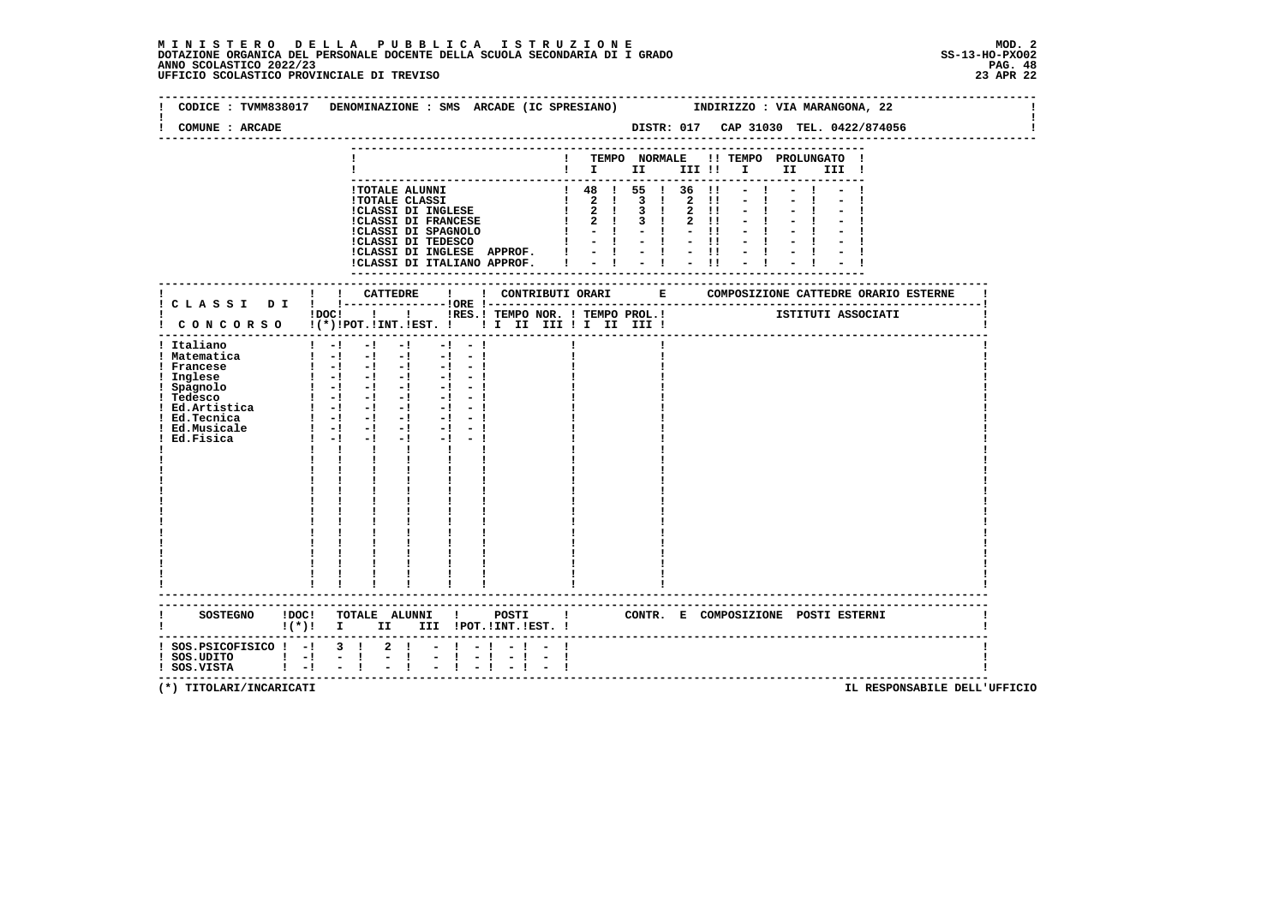# **M I N I S T E R O D E L L A P U B B L I C A I S T R U Z I O N E MOD. 2**DOTAZIONE ORGANICA DEL PERSONALE DOCENTE DELLA SCUOLA SECONDARIA DI I GRADO **SCOLASTICO SCOLASTICO 2022/23 PAG. 48**<br>23 ANNO SCOLASTICO 2022/23 PAG. 48<br>23 APR 22

| CODICE: TVMM838017 DENOMINAZIONE: SMS ARCADE (IC SPRESIANO)<br>COMUNE : ARCADE                                 |                                                                                                                                                                                                                                                                                                                     |                                                                                                                          |                                                                                                                                                                                                                                                                                                                  |                |           |          |                                                                                                      |  |  | INDIRIZZO : VIA MARANGONA, 22                                                                                                                                                                                 |  |       |  |  |
|----------------------------------------------------------------------------------------------------------------|---------------------------------------------------------------------------------------------------------------------------------------------------------------------------------------------------------------------------------------------------------------------------------------------------------------------|--------------------------------------------------------------------------------------------------------------------------|------------------------------------------------------------------------------------------------------------------------------------------------------------------------------------------------------------------------------------------------------------------------------------------------------------------|----------------|-----------|----------|------------------------------------------------------------------------------------------------------|--|--|---------------------------------------------------------------------------------------------------------------------------------------------------------------------------------------------------------------|--|-------|--|--|
|                                                                                                                |                                                                                                                                                                                                                                                                                                                     |                                                                                                                          |                                                                                                                                                                                                                                                                                                                  |                |           |          |                                                                                                      |  |  |                                                                                                                                                                                                               |  |       |  |  |
|                                                                                                                |                                                                                                                                                                                                                                                                                                                     |                                                                                                                          |                                                                                                                                                                                                                                                                                                                  |                |           |          |                                                                                                      |  |  | ! TEMPO NORMALE !! TEMPO PROLUNGATO !<br>$\blacksquare$ $\blacksquare$ $\blacksquare$ $\blacksquare$ $\blacksquare$ $\blacksquare$ $\blacksquare$ $\blacksquare$ $\blacksquare$ $\blacksquare$ $\blacksquare$ |  | III ! |  |  |
|                                                                                                                |                                                                                                                                                                                                                                                                                                                     |                                                                                                                          |                                                                                                                                                                                                                                                                                                                  |                |           |          |                                                                                                      |  |  |                                                                                                                                                                                                               |  |       |  |  |
|                                                                                                                |                                                                                                                                                                                                                                                                                                                     |                                                                                                                          | 1 TOTALE ALUNNI<br>1 TOTALE CLASSI DI INGLESE $\begin{array}{ccccccccc} & 1 & 48 & 1 & 55 & 1 & 36 & 11 & -1 \\ 1 & 48 & 1 & 55 & 1 & 36 & 11 & -1 \\ 1 & 2 & 1 & 3 & 1 & 2 & 11 & -1 \\ 1 & 2 & 1 & 3 & 1 & 2 & 11 & -1 \\ 1 & 2 & 1 & 3 & 1 & 2 & 11 & -1 \\ 1 & 2 & 1 & 3 & 1 & 2 & 11 & -1 \\ 1 & 2 & 1 & 3$ |                |           |          |                                                                                                      |  |  |                                                                                                                                                                                                               |  |       |  |  |
|                                                                                                                |                                                                                                                                                                                                                                                                                                                     |                                                                                                                          |                                                                                                                                                                                                                                                                                                                  |                |           |          |                                                                                                      |  |  |                                                                                                                                                                                                               |  |       |  |  |
|                                                                                                                |                                                                                                                                                                                                                                                                                                                     |                                                                                                                          |                                                                                                                                                                                                                                                                                                                  |                |           |          |                                                                                                      |  |  |                                                                                                                                                                                                               |  |       |  |  |
|                                                                                                                |                                                                                                                                                                                                                                                                                                                     |                                                                                                                          |                                                                                                                                                                                                                                                                                                                  |                |           |          |                                                                                                      |  |  |                                                                                                                                                                                                               |  |       |  |  |
|                                                                                                                |                                                                                                                                                                                                                                                                                                                     |                                                                                                                          | !CLASSI DI INGLESE APPROF.                                                                                                                                                                                                                                                                                       |                |           |          | $\begin{array}{cccccccccc} 1 & -1 & 1 & -1 & 1 & -1 & 1 \\ 1 & -1 & 1 & -1 & 1 & -1 & 1 \end{array}$ |  |  | $-1$                                                                                                                                                                                                          |  |       |  |  |
|                                                                                                                |                                                                                                                                                                                                                                                                                                                     |                                                                                                                          | !CLASSI DI ITALIANO APPROF. I                                                                                                                                                                                                                                                                                    |                |           |          |                                                                                                      |  |  |                                                                                                                                                                                                               |  |       |  |  |
|                                                                                                                |                                                                                                                                                                                                                                                                                                                     |                                                                                                                          |                                                                                                                                                                                                                                                                                                                  |                |           |          |                                                                                                      |  |  |                                                                                                                                                                                                               |  |       |  |  |
|                                                                                                                |                                                                                                                                                                                                                                                                                                                     | ! ! CATTEDRE !                                                                                                           |                                                                                                                                                                                                                                                                                                                  |                |           |          |                                                                                                      |  |  |                                                                                                                                                                                                               |  |       |  |  |
|                                                                                                                |                                                                                                                                                                                                                                                                                                                     | !DOC! ! ! !RES.! TEMPO NOR. ! TEMPO PROL.!                                                                               |                                                                                                                                                                                                                                                                                                                  |                |           |          |                                                                                                      |  |  | ISTITUTI ASSOCIATI                                                                                                                                                                                            |  |       |  |  |
| ! CONCORSO !(*)!POT.!INT.!EST. ! ! I III III II III III !<br>----------------------------------                |                                                                                                                                                                                                                                                                                                                     |                                                                                                                          |                                                                                                                                                                                                                                                                                                                  |                |           |          |                                                                                                      |  |  |                                                                                                                                                                                                               |  |       |  |  |
| ! Italiano                                                                                                     |                                                                                                                                                                                                                                                                                                                     |                                                                                                                          |                                                                                                                                                                                                                                                                                                                  |                |           |          |                                                                                                      |  |  |                                                                                                                                                                                                               |  |       |  |  |
| ! Matematica<br>! Francese                                                                                     |                                                                                                                                                                                                                                                                                                                     | $\begin{bmatrix} 1 & -1 & -1 & -1 & -1 & -1 \end{bmatrix}$<br>$\begin{bmatrix} 1 & -1 & -1 & -1 & -1 & -1 \end{bmatrix}$ |                                                                                                                                                                                                                                                                                                                  |                |           |          |                                                                                                      |  |  |                                                                                                                                                                                                               |  |       |  |  |
| ! Inglese                                                                                                      |                                                                                                                                                                                                                                                                                                                     |                                                                                                                          |                                                                                                                                                                                                                                                                                                                  |                |           |          |                                                                                                      |  |  |                                                                                                                                                                                                               |  |       |  |  |
| ! Spagnolo<br>! Tedesco                                                                                        |                                                                                                                                                                                                                                                                                                                     | $\begin{array}{cccccccccccccc} 1 & -1 & -1 & -1 & -1 & -1 & -1 & -1 \\ 1 & -1 & -1 & -1 & -1 & -1 & -1 & -1 \end{array}$ |                                                                                                                                                                                                                                                                                                                  |                |           |          |                                                                                                      |  |  |                                                                                                                                                                                                               |  |       |  |  |
| ! Ed.Artistica                                                                                                 |                                                                                                                                                                                                                                                                                                                     | $1 - 1 - 1 - 1 - 1$                                                                                                      |                                                                                                                                                                                                                                                                                                                  |                | $-1 - 1$  |          |                                                                                                      |  |  |                                                                                                                                                                                                               |  |       |  |  |
| ! Ed.Tecnica                                                                                                   |                                                                                                                                                                                                                                                                                                                     | $\mathbf{I}$ and $\mathbf{I}$ and $\mathbf{I}$ and $\mathbf{I}$                                                          |                                                                                                                                                                                                                                                                                                                  |                | $-1 - -1$ |          |                                                                                                      |  |  |                                                                                                                                                                                                               |  |       |  |  |
| ! Ed.Musicale<br>Ed.Fisica                                                                                     |                                                                                                                                                                                                                                                                                                                     | $1 - 1 - 1$                                                                                                              |                                                                                                                                                                                                                                                                                                                  | $-1$ $-1$ $-1$ |           |          |                                                                                                      |  |  |                                                                                                                                                                                                               |  |       |  |  |
|                                                                                                                |                                                                                                                                                                                                                                                                                                                     | $\mathbf{I}$                                                                                                             | $\mathbf{I}$ and $\mathbf{I}$                                                                                                                                                                                                                                                                                    |                |           |          |                                                                                                      |  |  |                                                                                                                                                                                                               |  |       |  |  |
|                                                                                                                |                                                                                                                                                                                                                                                                                                                     |                                                                                                                          |                                                                                                                                                                                                                                                                                                                  |                |           |          |                                                                                                      |  |  |                                                                                                                                                                                                               |  |       |  |  |
|                                                                                                                |                                                                                                                                                                                                                                                                                                                     |                                                                                                                          |                                                                                                                                                                                                                                                                                                                  |                |           |          |                                                                                                      |  |  |                                                                                                                                                                                                               |  |       |  |  |
|                                                                                                                |                                                                                                                                                                                                                                                                                                                     |                                                                                                                          |                                                                                                                                                                                                                                                                                                                  |                |           |          |                                                                                                      |  |  |                                                                                                                                                                                                               |  |       |  |  |
|                                                                                                                |                                                                                                                                                                                                                                                                                                                     |                                                                                                                          | $\mathbf{I}$ and $\mathbf{I}$                                                                                                                                                                                                                                                                                    |                |           |          |                                                                                                      |  |  |                                                                                                                                                                                                               |  |       |  |  |
|                                                                                                                |                                                                                                                                                                                                                                                                                                                     |                                                                                                                          |                                                                                                                                                                                                                                                                                                                  |                |           |          |                                                                                                      |  |  |                                                                                                                                                                                                               |  |       |  |  |
|                                                                                                                |                                                                                                                                                                                                                                                                                                                     |                                                                                                                          |                                                                                                                                                                                                                                                                                                                  |                |           |          |                                                                                                      |  |  |                                                                                                                                                                                                               |  |       |  |  |
|                                                                                                                |                                                                                                                                                                                                                                                                                                                     |                                                                                                                          |                                                                                                                                                                                                                                                                                                                  |                |           |          |                                                                                                      |  |  |                                                                                                                                                                                                               |  |       |  |  |
|                                                                                                                |                                                                                                                                                                                                                                                                                                                     |                                                                                                                          |                                                                                                                                                                                                                                                                                                                  |                |           |          |                                                                                                      |  |  |                                                                                                                                                                                                               |  |       |  |  |
|                                                                                                                |                                                                                                                                                                                                                                                                                                                     |                                                                                                                          |                                                                                                                                                                                                                                                                                                                  |                |           |          |                                                                                                      |  |  |                                                                                                                                                                                                               |  |       |  |  |
|                                                                                                                |                                                                                                                                                                                                                                                                                                                     |                                                                                                                          |                                                                                                                                                                                                                                                                                                                  |                |           |          |                                                                                                      |  |  |                                                                                                                                                                                                               |  |       |  |  |
|                                                                                                                |                                                                                                                                                                                                                                                                                                                     |                                                                                                                          |                                                                                                                                                                                                                                                                                                                  |                |           |          |                                                                                                      |  |  |                                                                                                                                                                                                               |  |       |  |  |
| SOSTEGNO !DOC! TOTALE ALUNNI ! POSTI ! CONTR. E COMPOSIZIONE POSTI ESTERNI<br>! (*)! I II III !POT.!INT.!EST.! |                                                                                                                                                                                                                                                                                                                     |                                                                                                                          |                                                                                                                                                                                                                                                                                                                  |                |           |          |                                                                                                      |  |  |                                                                                                                                                                                                               |  |       |  |  |
| $!$ SOS.PSICOFISICO $!$ -! 3 !                                                                                 |                                                                                                                                                                                                                                                                                                                     |                                                                                                                          | $2 \quad 1$                                                                                                                                                                                                                                                                                                      |                |           |          |                                                                                                      |  |  |                                                                                                                                                                                                               |  |       |  |  |
| $!$ SOS.UDITO $!$ $-!$                                                                                         |                                                                                                                                                                                                                                                                                                                     | $-1$                                                                                                                     | $\frac{1}{2}$                                                                                                                                                                                                                                                                                                    |                | $-1 = -1$ | $-1 - -$ |                                                                                                      |  |  |                                                                                                                                                                                                               |  |       |  |  |
| ! SOS.VISTA                                                                                                    | $\frac{1}{2}$ $\frac{1}{2}$ $\frac{1}{2}$ $\frac{1}{2}$ $\frac{1}{2}$ $\frac{1}{2}$ $\frac{1}{2}$ $\frac{1}{2}$ $\frac{1}{2}$ $\frac{1}{2}$ $\frac{1}{2}$ $\frac{1}{2}$ $\frac{1}{2}$ $\frac{1}{2}$ $\frac{1}{2}$ $\frac{1}{2}$ $\frac{1}{2}$ $\frac{1}{2}$ $\frac{1}{2}$ $\frac{1}{2}$ $\frac{1}{2}$ $\frac{1}{2}$ |                                                                                                                          |                                                                                                                                                                                                                                                                                                                  |                |           |          |                                                                                                      |  |  |                                                                                                                                                                                                               |  |       |  |  |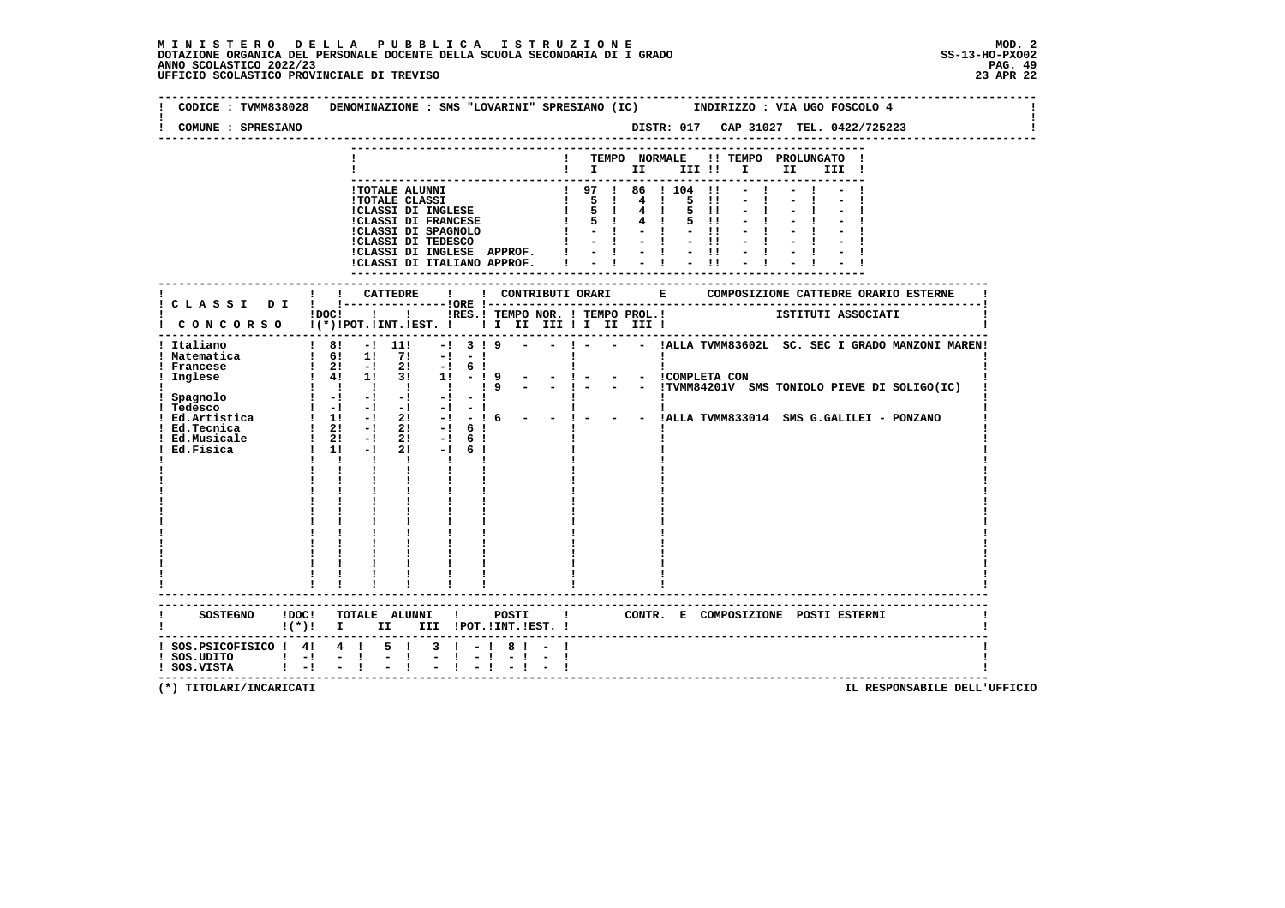| COMUNE : SPRESIANO                                                                               |                                                                                                                                                                                                                                                                                                                                                                                                                                      |                             |                               |                                                                                                                                                                                                                                                        |
|--------------------------------------------------------------------------------------------------|--------------------------------------------------------------------------------------------------------------------------------------------------------------------------------------------------------------------------------------------------------------------------------------------------------------------------------------------------------------------------------------------------------------------------------------|-----------------------------|-------------------------------|--------------------------------------------------------------------------------------------------------------------------------------------------------------------------------------------------------------------------------------------------------|
|                                                                                                  |                                                                                                                                                                                                                                                                                                                                                                                                                                      |                             | ! TEMPO NORMALE               | !! TEMPO PROLUNGATO !<br>$\blacksquare$ $\blacksquare$ $\blacksquare$ $\blacksquare$ $\blacksquare$ $\blacksquare$ $\blacksquare$<br>II III !                                                                                                          |
|                                                                                                  | !TOTALE ALUNNI<br><b>!TOTALE CLASSI</b><br>!CLASSI DI INGLESE<br>!CLASSI DI FRANCESE<br>ICLASSI DI SPAGNOLO $\begin{array}{ccccccccc}\n1 & - & 1 & - & 1 \\ 1 & - & 1 & - & 1\n\end{array}$<br>!CLASSI DI INGLESE APPROF.<br>!CLASSI DI ITALIANO APPROF.                                                                                                                                                                             |                             | 1 97 1 86 1 104               | $\blacksquare$<br>4 1 5<br>$\blacksquare$<br>$4 \quad 1$<br>5 11<br>$4 \t1 \t5 \t11$<br>$-11$<br>$-1 - 1 - 1$<br>$= 1 - 1 - 1$                                                                                                                         |
|                                                                                                  |                                                                                                                                                                                                                                                                                                                                                                                                                                      |                             | ----------------------------- |                                                                                                                                                                                                                                                        |
|                                                                                                  | $!$ $\overline{1}$ $\overline{1}$ $\overline{1}$ $\overline{1}$ $\overline{1}$ $\overline{1}$ $\overline{1}$ $\overline{1}$ $\overline{1}$ $\overline{1}$ $\overline{1}$ $\overline{1}$ $\overline{1}$ $\overline{1}$ $\overline{1}$ $\overline{1}$ $\overline{1}$ $\overline{1}$ $\overline{1}$ $\overline{1}$ $\overline{1}$ $\overline{1}$ $\overline{1}$ $\overline{1}$<br>! CONCORSO !(*)!POT.!INT.!EST. !!! II III !I II III ! |                             |                               | !RES.! TEMPO NOR. ! TEMPO PROL.! ISTITUTI ASSOCIATI                                                                                                                                                                                                    |
| ! Italiano<br>! Matematica<br>Ed.Tecnica<br>Ed. Musicale 1 21 -1<br>Ed. Fisica 1 11 -1           | $\frac{1}{2}$ 8! $\frac{1}{2}$ 11!<br>$-!$ 3! 9<br>$\frac{1}{2}$ 6! 1! 7! $-1$ -1<br><u>a singi singi sing</u><br>$-1$<br>$1 \quad 21 \quad -1 \quad 21$<br>$-1$ 6 1<br>$2! -16!$<br>$2! -16!$<br>$\mathbf{1}$ $\mathbf{1}$ $\mathbf{1}$<br>$\mathbf{1}$ and $\mathbf{1}$<br>$\mathbf{I}$<br>$\mathbf{I}$ and $\mathbf{I}$<br>$\mathbf{I}$ and $\mathbf{I}$                                                                          | $-1$<br>$-16$               |                               | - ! - - - !ALLA TVMM83602L SC. SEC I GRADO MANZONI MAREN!<br>$\mathbf{I}$<br>! matematica<br>  Francese   21 - 21 - 1 6 !   1 - 1 - - 1 - 1   COMPLETA CON<br>! Inglese   41 11 31 11 - 1 9 - - 1 - - - 1   TVMM84201V SMS TONIOLO PIEVE DI SOLIGO(IC) |
|                                                                                                  |                                                                                                                                                                                                                                                                                                                                                                                                                                      |                             |                               |                                                                                                                                                                                                                                                        |
|                                                                                                  | ! (*)! I II III !POT.!INT.!EST.!                                                                                                                                                                                                                                                                                                                                                                                                     |                             |                               | SOSTEGNO ! DOC! TOTALE ALUNNI ! POSTI ! CONTR. E COMPOSIZIONE POSTI ESTERNI                                                                                                                                                                            |
| ! SOS. PSICOFISICO ! 4! 4 ! 5 !<br>$!$ SOS.UDITO $!$ - $!$ - $!$<br>$!$ SOS.VISTA $!$ $-!$ $-$ ! | $-1$                                                                                                                                                                                                                                                                                                                                                                                                                                 | $3 \cdot 1 - 181 -$<br>$-1$ |                               |                                                                                                                                                                                                                                                        |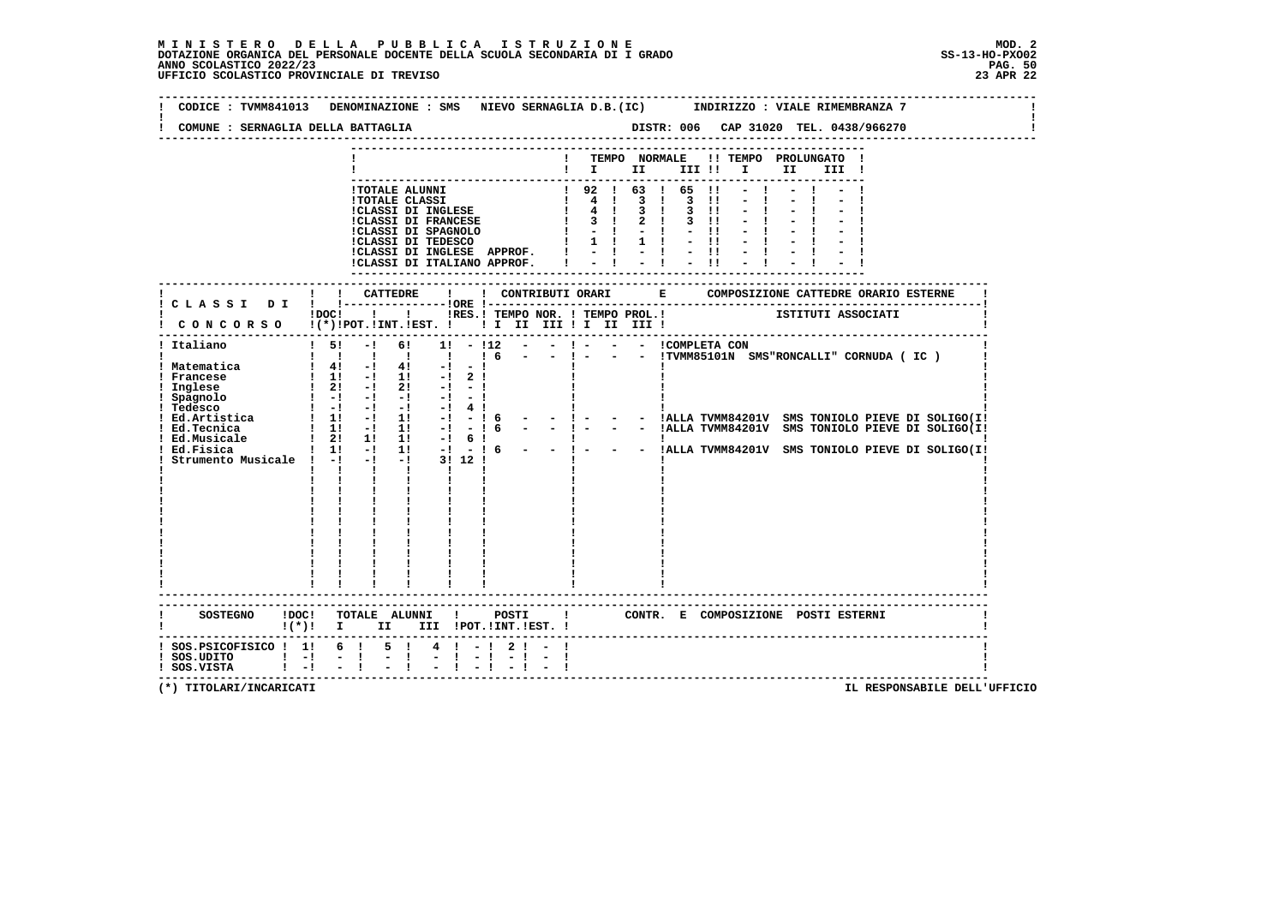**--------------------------------------------------------------------------------------------------------------------------------Contract Contract ! CODICE : TVMM841013 DENOMINAZIONE : SMS NIEVO SERNAGLIA D.B.(IC) INDIRIZZO : VIALE RIMEMBRANZA 7 ! ! !** $\mathbf{I}$  **! COMUNE : SERNAGLIA DELLA BATTAGLIA DISTR: 006 CAP 31020 TEL. 0438/966270 ! -------------------------------------------------------------------------------------------------------------------------------- --------------------------------------------------------------------------- ! ! TEMPO NORMALE !! TEMPO PROLUNGATO ! ! ! I II III !! I II III ! --------------------------------------------------------------------------- !TOTALE ALUNNI ! 92 ! 63 ! 65 !! - ! - ! - ! !TOTALE CLASSI ! 4 ! 3 ! 3 !! - ! - ! - !!**<br> **!CLASSI DI INGLESE ! 4 ! 3 ! 3 !! - ! - ! - !**<br> **!CLASSI DI SPAGNOLO ! - ! - !! - ! - ! - ! !CLASSI DI TEDESCO ! 1 ! 1 ! - !! - ! - ! - ! !CLASSI DI INGLESE APPROF. ! - ! - ! - !! - ! - ! - ! !CLASSI DI ITALIANO APPROF. ! - ! - ! - !! - ! - ! - ! --------------------------------------------------------------------------- ------------------------------------------------------------------------------------------------------------------------- ! ! ! CATTEDRE ! ! CONTRIBUTI ORARI E COMPOSIZIONE CATTEDRE ORARIO ESTERNE ! ! C L A S S I D I ! !---------------!ORE !------------------------------------------------------------------------! ! !DOC! ! ! !RES.! TEMPO NOR. ! TEMPO PROL.! ISTITUTI ASSOCIATI ! ! C O N C O R S O !(\*)!POT.!INT.!EST. ! ! I II III ! I II III ! ! ------------------------------------------------------------------------------------------------------------------------- ! Italiano ! 5! -! 6! 1! - !12 - - ! - - - !COMPLETA CON ! ! ! ! ! ! ! ! 6 - - ! - - - !TVMM85101N SMS"RONCALLI" CORNUDA ( IC ) ! ! Matematica ! 4! -! 4! -! - ! ! ! ! ! Francese ! 1! -! 1! -! 2 ! ! ! ! ! Inglese ! 2! -! 2! -! - ! ! ! ! ! Spagnolo ! -! -! -! -! - ! ! ! ! ! Tedesco ! -! -! -! -! 4 ! ! ! ! ! Ed.Artistica ! 1! -! 1! -! - ! 6 - - ! - - - !ALLA TVMM84201V SMS TONIOLO PIEVE DI SOLIGO(I! ! Ed.Tecnica ! 1! -! 1! -! - ! 6 - - ! - - - !ALLA TVMM84201V SMS TONIOLO PIEVE DI SOLIGO(I!Pressor Ed.Artistica**<br> **1 Ed.Artistica**<br> **1 Ed.Tecnica**<br> **1 Ed.Tecnica**<br> **1 Ed.Musicale**<br> **1 2!** 1! 1! -! 6 **Pressed By 2012**<br> **1 Ed.Musicale**<br> **1 2!** 1! 1! -! 6 **Pressed By 2012**<br> **1 Strumento Musicale**<br> **1 -1 1! -! 11! ! Ed.Fisica ! 1! -! 1! -! - ! 6 - - ! - - - !ALLA TVMM84201V SMS TONIOLO PIEVE DI SOLIGO(I! ! Strumento Musicale ! -! -! -! 3! 12 ! ! ! ! ! ! ! ! ! ! ! ! ! ! ! ! ! ! ! ! ! ! ! ! ! ! ! ! ! ! ! ! ! ! ! ! ! ! ! ! ! ! ! ! ! ! ! ! ! ! ! ! ! ! ! ! ! ! ! ! ! ! ! ! ! ! ! ! ! ! ! ! ! ! ! ! ! ! ! ! ! ! ! ! ! ! ! ! ! ! ! ! ! ! ! ! ! ! ! ! ! ! ! ! ! ! ! ! ! ! ! ! ! ! ! ! ! ! ! ! ! ! ! ! ------------------------------------------------------------------------------------------------------------------------- ------------------------------------------------------------------------------------------------------------------------- ! SOSTEGNO !DOC! TOTALE ALUNNI ! POSTI ! CONTR. E COMPOSIZIONE POSTI ESTERNI ! ! !(\*)! I II III !POT.!INT.!EST. ! ! ------------------------------------------------------------------------------------------------------------------------- ! SOS.PSICOFISICO ! 1! 6 ! 5 ! 4 ! - ! 2 ! - ! !** $\blacksquare$  **! SOS.UDITO ! -! - ! - ! - ! - ! - ! - ! ! ! SOS.VISTA ! -! - ! - ! - ! - ! - ! - ! !**- 1  **-------------------------------------------------------------------------------------------------------------------------**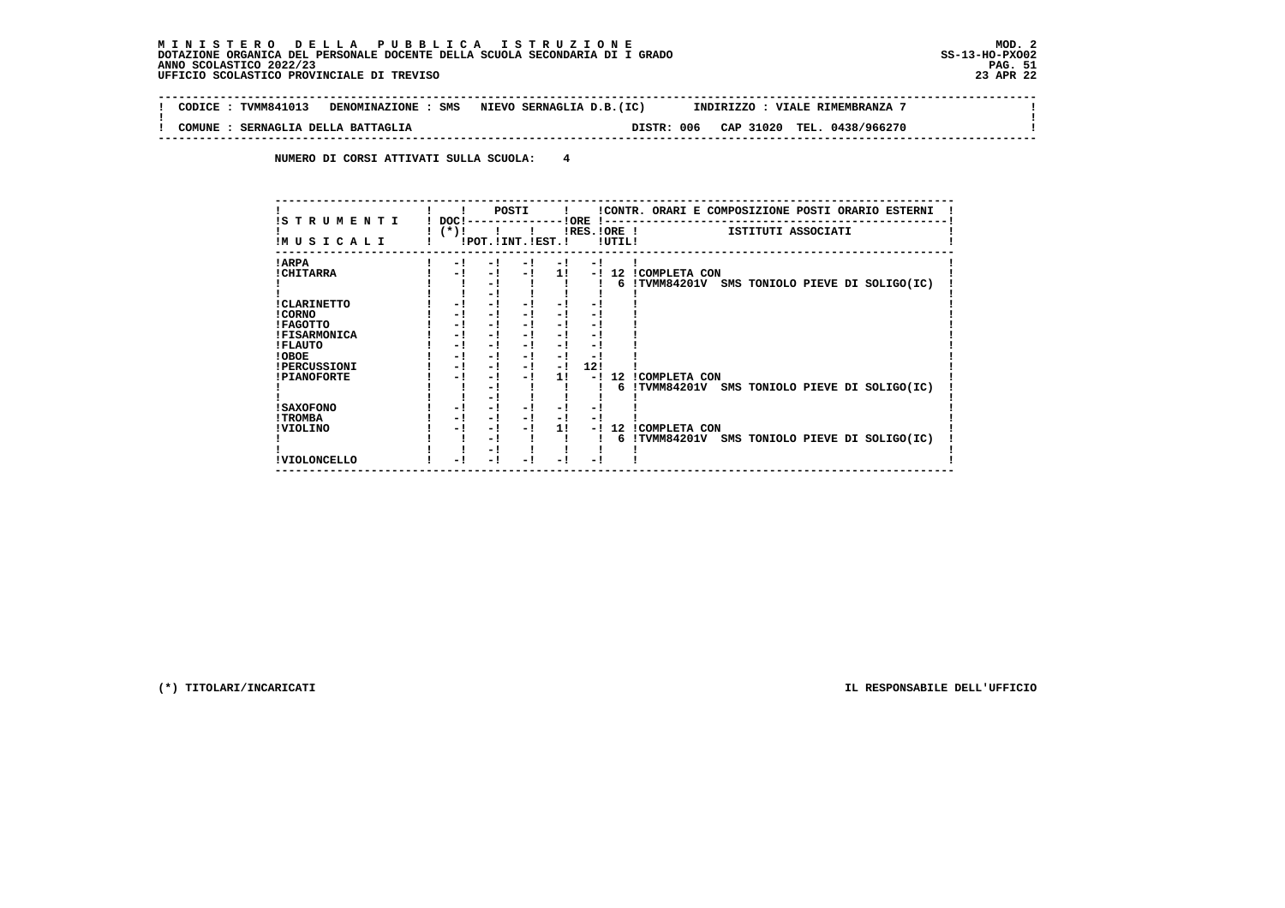$\sim$  1

 $\mathbf{I}$ 

 **-------------------------------------------------------------------------------------------------------------------------------- ! CODICE : TVMM841013 DENOMINAZIONE : SMS NIEVO SERNAGLIA D.B.(IC) INDIRIZZO : VIALE RIMEMBRANZA 7 ! ! ! ! COMUNE : SERNAGLIA DELLA BATTAGLIA DISTR: 006 CAP 31020 TEL. 0438/966270 ! --------------------------------------------------------------------------------------------------------------------------------**

 **NUMERO DI CORSI ATTIVATI SULLA SCUOLA: 4**

| IS TRUMENTI         | POSTI<br>!CONTR. ORARI E COMPOSIZIONE POSTI ORARIO ESTERNI<br>$\mathbf{I}$<br>DOC!-<br>$-10RE$ $1-$ |
|---------------------|-----------------------------------------------------------------------------------------------------|
|                     | $!$ $(*)$ !<br>$IRES.IORE$ !<br>ISTITUTI ASSOCIATI                                                  |
| IMUSICALI           | !POT. ! INT. ! EST. !<br>!UTIL!                                                                     |
| ! ARPA              | - 1<br>- 1<br>$-1$<br>$-1$<br>$-1$                                                                  |
| ! CHITARRA          | 11<br>-! 12 ICOMPLETA CON<br>- 1<br>$-1$<br>$-1$                                                    |
|                     | 6 !TVMM84201V SMS TONIOLO PIEVE DI SOLIGO(IC)<br>- 1                                                |
|                     | - 1                                                                                                 |
| ! CLARINETTO        | - !<br>- !<br>- 1<br>- !<br>- !                                                                     |
| ! CORNO             | - !<br>- 1<br>- !<br>$-1$<br>- 1                                                                    |
| <b>!FAGOTTO</b>     | - !<br>- !<br>- !<br>- 1<br>$-1$                                                                    |
| <b>!FISARMONICA</b> | - !<br>- !<br>$-1$<br>- 1<br>- 1                                                                    |
| ! FLAUTO            | - 1<br>- 1<br>- 1<br>$-1$<br>- 1                                                                    |
| ! OBOE              | - !<br>$-1$<br>- 1<br>$-1$<br>- !                                                                   |
| <b>!PERCUSSIONI</b> | 12!<br>- !<br>- !<br>$-1$<br>$-1$                                                                   |
| <b>!PIANOFORTE</b>  | 11<br><b>!COMPLETA CON</b><br>12<br>- 1<br>- 1<br>$-1$<br>- !                                       |
|                     | !TVMM84201V SMS TONIOLO PIEVE DI SOLIGO(IC)<br>- !<br>6.                                            |
|                     | - 1                                                                                                 |
| <b>! SAXOFONO</b>   | - !<br>- 1<br>- 1<br>- !<br>- !                                                                     |
| ! TROMBA            | - !<br>- !<br>- !<br>$-1$<br>- !                                                                    |
| ! VIOLINO           | 11<br><b>!COMPLETA CON</b><br>- 1<br>- 1<br>12.<br>- '<br>- !                                       |
|                     | !TVMM84201V SMS TONIOLO PIEVE DI SOLIGO(IC)<br>- !<br>6                                             |
|                     | - 1                                                                                                 |
| ! VIOLONCELLO       | - !<br>- 1                                                                                          |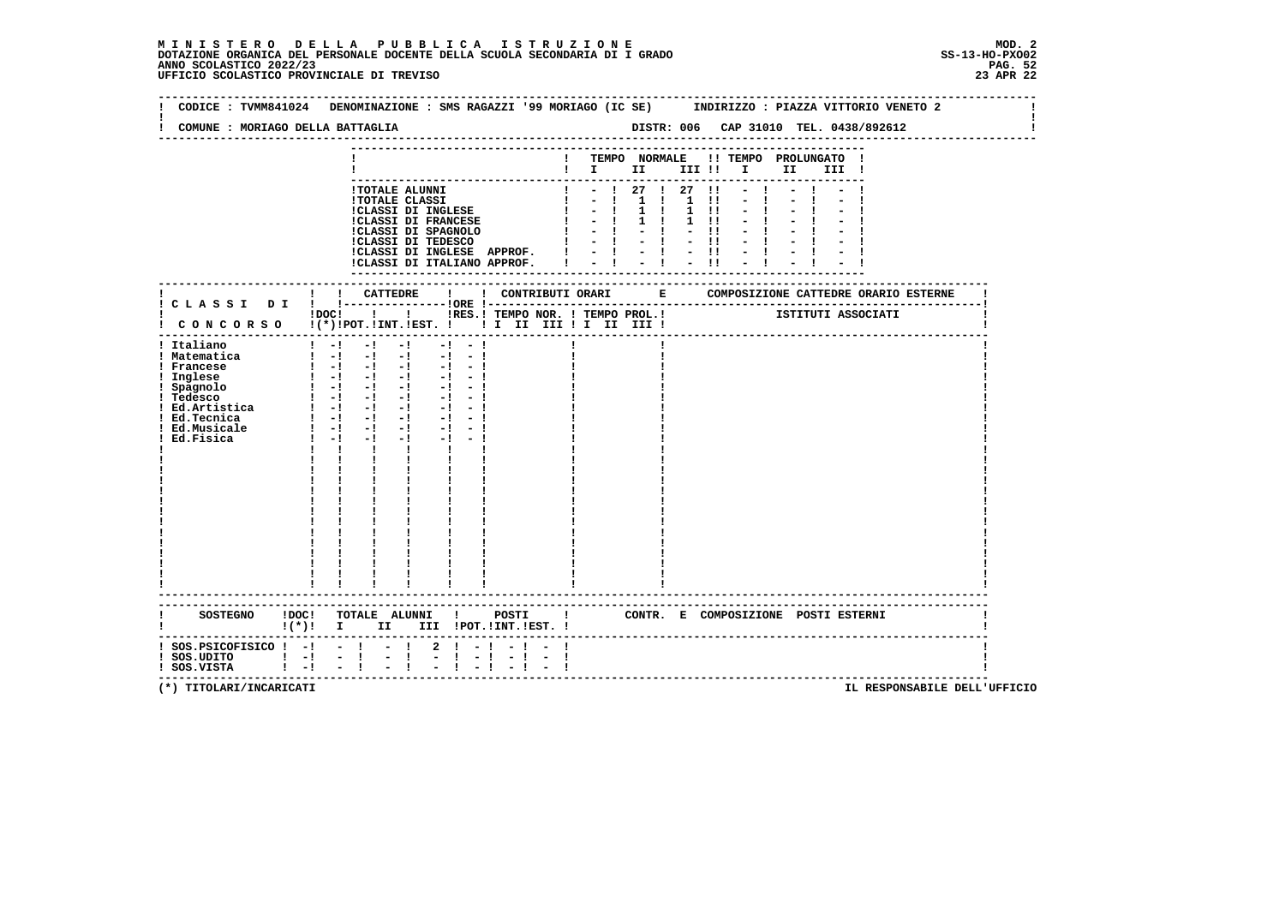| COMUNE : MORIAGO DELLA BATTAGLIA                                                                                                                                      |                                                                                                                                                                                                                                                                                                                                                                                                                                                                                                                                                                                                                                                                                                                                                   |                                                                                                   |                                                                                                            |                                                                                 |       |                                                    |                                                         |  |
|-----------------------------------------------------------------------------------------------------------------------------------------------------------------------|---------------------------------------------------------------------------------------------------------------------------------------------------------------------------------------------------------------------------------------------------------------------------------------------------------------------------------------------------------------------------------------------------------------------------------------------------------------------------------------------------------------------------------------------------------------------------------------------------------------------------------------------------------------------------------------------------------------------------------------------------|---------------------------------------------------------------------------------------------------|------------------------------------------------------------------------------------------------------------|---------------------------------------------------------------------------------|-------|----------------------------------------------------|---------------------------------------------------------|--|
|                                                                                                                                                                       |                                                                                                                                                                                                                                                                                                                                                                                                                                                                                                                                                                                                                                                                                                                                                   |                                                                                                   |                                                                                                            |                                                                                 |       |                                                    | ! TEMPO NORMALE !! TEMPO PROLUNGATO !<br>$\blacksquare$ |  |
|                                                                                                                                                                       | !TOTALE ALUNNI<br><b>!TOTALE CLASSI</b><br>!CLASSI DI INGLESE<br>CLASSI DI FRANCESE                                                                                                                                                                                                                                                                                                                                                                                                                                                                                                                                                                                                                                                               | !CLASSI DI INGLESE APPROF. !<br>!CLASSI DI ITALIANO APPROF.                                       | $\begin{array}{cccccccccccccc} 1 & - & 1 & 1 & 1 \\ 1 & - & 1 & 1 & 1 \\ 1 & - & 1 & 1 & 1 \\ \end{array}$ | $- ! 27 ! 27 !1$<br>$-1$ 1 1 1 11<br>$-1$ $-1$<br>$-1 - 1 - 1$<br>$= 1 - 1 - 1$ | $-11$ | $1 \quad 11$<br>$1 \quad 11 \quad$<br>$-1$<br>$-1$ |                                                         |  |
|                                                                                                                                                                       |                                                                                                                                                                                                                                                                                                                                                                                                                                                                                                                                                                                                                                                                                                                                                   |                                                                                                   | ----------------                                                                                           |                                                                                 |       |                                                    |                                                         |  |
|                                                                                                                                                                       | !DOC! ! ! !RES.! TEMPO NOR. ! TEMPO PROL.! [STITUTI ASSOCIATI<br>! CONCORSO !(*)!POT.!INT.!EST. ! ! I II III ! I III III !                                                                                                                                                                                                                                                                                                                                                                                                                                                                                                                                                                                                                        |                                                                                                   |                                                                                                            |                                                                                 |       |                                                    |                                                         |  |
| ! Italiano<br>! Matematica<br>! Francese<br>! Inglese<br>! Spagnolo<br>! Tedesco<br>! Ed. Artistica $  -   -   -   -  $<br>! Ed.Tecnica<br>! Ed.Musicale<br>Ed.Fisica | $-1$<br>$1 - 1 - 1$<br>$\begin{bmatrix} 1 & -1 & -1 & -1 & -1 & -1 \end{bmatrix}$<br>$\frac{1}{2}$ $\frac{1}{2}$ $\frac{1}{2}$ $\frac{1}{2}$ $\frac{1}{2}$ $\frac{1}{2}$ $\frac{1}{2}$ $\frac{1}{2}$ $\frac{1}{2}$ $\frac{1}{2}$<br>$\frac{1}{2}$ $\frac{1}{2}$ $\frac{1}{2}$ $\frac{1}{2}$ $\frac{1}{2}$ $\frac{1}{2}$ $\frac{1}{2}$ $\frac{1}{2}$<br>$\begin{bmatrix} 1 & -1 & -1 & -1 \end{bmatrix}$<br>$\blacksquare$ $\blacksquare$ $\blacksquare$ $\blacksquare$ $\blacksquare$ $\blacksquare$<br>$\blacksquare$ $\blacksquare$ $\blacksquare$ $\blacksquare$ $\blacksquare$<br>$-1$<br>$1 - 1 - 1$<br>$-1$<br>$\mathbf{I}$ and $\mathbf{I}$ and $\mathbf{I}$<br>$\mathbf{I}$<br>$\mathbf{I}$ and $\mathbf{I}$<br>------------------------- | $-1 - 1$<br>$-1 - 1$<br>$-1 - 1$<br>$-1 - 1$<br>$-1 - 1$<br>$-1 - -1$<br>$-1 - 1$<br>$\mathbf{I}$ |                                                                                                            |                                                                                 |       |                                                    |                                                         |  |
|                                                                                                                                                                       | SOSTEGNO !DOC! TOTALE ALUNNI ! POSTI ! CONTR. E COMPOSIZIONE POSTI ESTERNI<br>$!(*)!$ I II III !POT.!INT.!EST. !                                                                                                                                                                                                                                                                                                                                                                                                                                                                                                                                                                                                                                  |                                                                                                   |                                                                                                            |                                                                                 |       |                                                    |                                                         |  |
| $!$ SOS.PSICOFISICO $!$ -! - ! - !<br>$!$ SOS.UDITO $!$ $-!$<br>$!$ SOS.VISTA $!$ -!                                                                                  | $\frac{1}{2}$<br>$-1$<br>$-1$                                                                                                                                                                                                                                                                                                                                                                                                                                                                                                                                                                                                                                                                                                                     | $2 \cdot 1 - 1 - 1 -$<br>$-1$<br>$-1$                                                             |                                                                                                            |                                                                                 |       |                                                    |                                                         |  |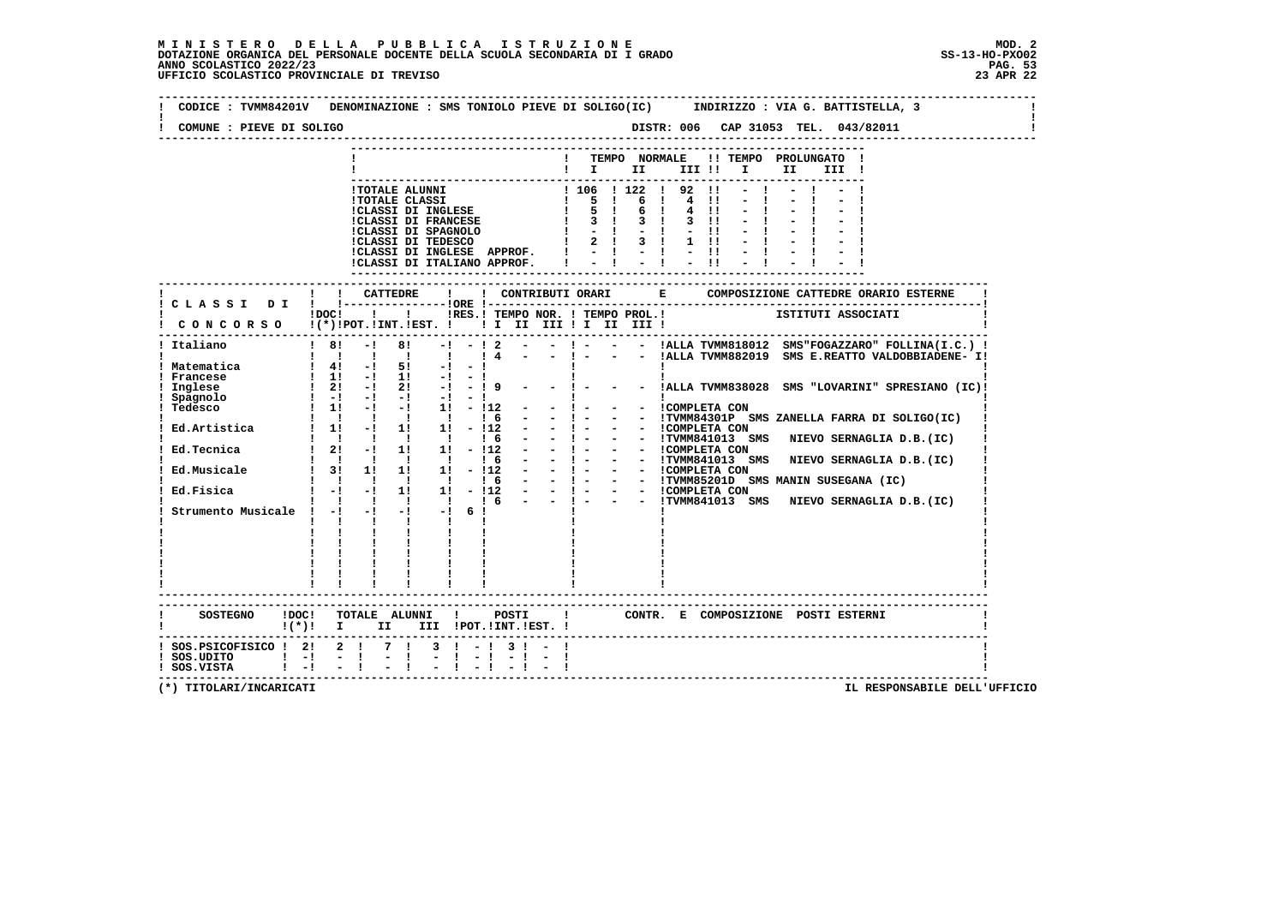**--------------------------------------------------------------------------------------------------------------------------------** $\sim$  1  **! CODICE : TVMM84201V DENOMINAZIONE : SMS TONIOLO PIEVE DI SOLIGO(IC) INDIRIZZO : VIA G. BATTISTELLA, 3 ! ! ! ! COMUNE : PIEVE DI SOLIGO DISTR: 006 CAP 31053 TEL. 043/82011 ! -------------------------------------------------------------------------------------------------------------------------------- --------------------------------------------------------------------------- ! ! TEMPO NORMALE !! TEMPO PROLUNGATO ! ! ! I II III !! I II III ! --------------------------------------------------------------------------- !TOTALE ALUNNI ! 106 ! 122 ! 92 !! - ! - ! - ! !TOTALE CLASSI ! 5 ! 6 ! 4 !! - ! - ! - ! !CLASSI DI INGLESE ! 5 ! 6 ! 4 !! - ! - ! - ! !CLASSI DI FRANCESE ! 3 ! 3 ! 3 !! - ! - ! - ! !CLASSI DI SPAGNOLO ! - ! - ! - !! - ! - ! - ! !CLASSI DI TEDESCO ! 2 ! 3 ! 1 !! - ! - ! - ! !CLASSI DI INGLESE APPROF. ! - ! - ! - !! - ! - ! - ! !CLASSI DI ITALIANO APPROF. ! - ! - ! - !! - ! - ! - ! --------------------------------------------------------------------------- ------------------------------------------------------------------------------------------------------------------------- ! ! ! CATTEDRE ! ! CONTRIBUTI ORARI E COMPOSIZIONE CATTEDRE ORARIO ESTERNE ! ! C L A S S I D I ! !---------------!ORE !------------------------------------------------------------------------! POC! !!! INES.! TEMPO NOR. ! TEMPO PROL.!** ISTITUTI ASSOCIATI  **! C O N C O R S O !(\*)!POT.!INT.!EST. ! ! I II III ! I II III ! ! ------------------------------------------------------------------------------------------------------------------------- ! Italiano ! 8! -! 8! -! - ! 2 - - ! - - - !ALLA TVMM818012 SMS"FOGAZZARO" FOLLINA(I.C.) ! ! ! ! ! ! ! ! 4 - - ! - - - !ALLA TVMM882019 SMS E.REATTO VALDOBBIADENE- I! ! Matematica ! 4! -! 5! -! - ! ! ! ! ! Francese ! 1! -! 1! -! - ! ! ! ! ! Inglese ! 2! -! 2! -! - ! 9 - - ! - - - !ALLA TVMM838028 SMS "LOVARINI" SPRESIANO (IC)! ! Spagnolo ! -! -! -! -! - ! ! ! !**! Tedesco  $1$  1! -1 -1 1! -112 - - 1 - - ICOMPLETA CON<br>
! Ed.Artistica  $1$  1! -1 1! 1! -112 - - 1 - - ICOMPLETA CON<br>
! Ed.Artistica  $1$  1! -1 1! 1! -112 - - 1 - - ICOMPLETA CON<br>
! Ed.Tecnica  $1$  2! -1 1! 1! -112 - - 1 - -  **! ! ! ! ! ! 6 - - ! - - !TVMM85201D SMS MANIN SUSEGANA (IC)**<br>! Ed.Fisica | -! -! 1! 1! -!12 - - ! - - - !COMPLETA CON  **! Ed.Fisica ! -! -! 1! 1! - !12 - - ! - - - !COMPLETA CON ! ! ! ! ! ! ! ! 6 - - ! - - - !TVMM841013 SMS NIEVO SERNAGLIA D.B.(IC) ! ! Strumento Musicale ! -! -! -! -! 6 ! ! ! ! ! ! ! ! ! ! ! ! ! ! ! ! ! ! ! ! ! ! ! ! ! ! ! ! ! ! ! ! ! ! ! ! ! ! ! ! ! ! ! ! ! ! ! ! ! ! ! ! ! ! ! ! ! ! ! ! ! ! ! ! ! ! ! ! ! ! ! ! ! ! ------------------------------------------------------------------------------------------------------------------------- ------------------------------------------------------------------------------------------------------------------------- ! SOSTEGNO !DOC! TOTALE ALUNNI ! POSTI ! CONTR. E COMPOSIZIONE POSTI ESTERNI ! ! !(\*)! I II III !POT.!INT.!EST. ! ! ------------------------------------------------------------------------------------------------------------------------- ! SOS.PSICOFISICO ! 2! 2 ! 7 ! 3 ! - ! 3 ! - ! !**- 1  **! SOS.UDITO ! -! - ! - ! - ! - ! - ! - ! ! ! SOS.VISTA ! -! - ! - ! - ! - ! - ! - ! ! -------------------------------------------------------------------------------------------------------------------------**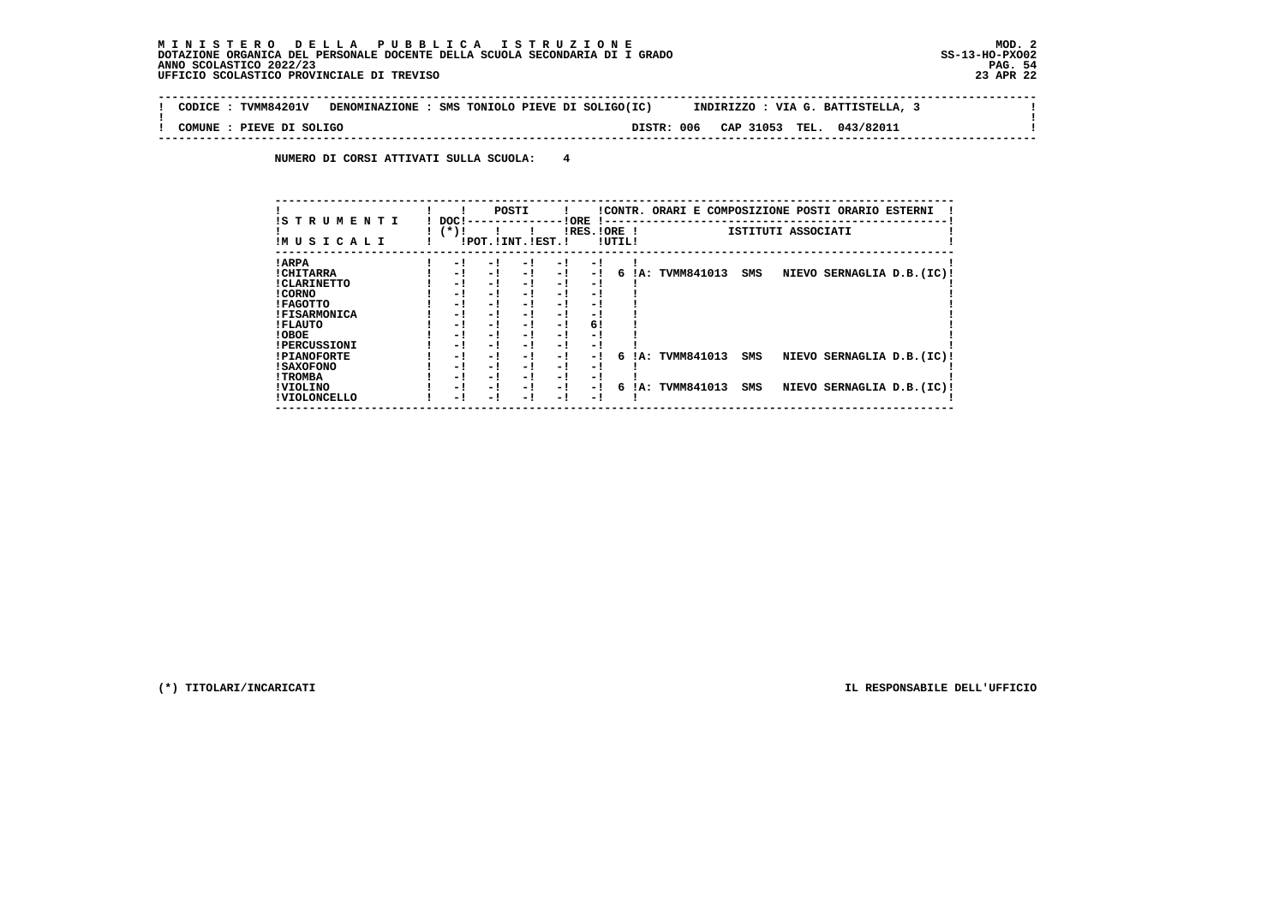**Contract** 

 $\mathbf{I}$ 

 $\mathbf{I}$ 

 **-------------------------------------------------------------------------------------------------------------------------------- ! CODICE : TVMM84201V DENOMINAZIONE : SMS TONIOLO PIEVE DI SOLIGO(IC) INDIRIZZO : VIA G. BATTISTELLA, 3 ! ! ! ! COMUNE : PIEVE DI SOLIGO DISTR: 006 CAP 31053 TEL. 043/82011 ! --------------------------------------------------------------------------------------------------------------------------------**

 **NUMERO DI CORSI ATTIVATI SULLA SCUOLA: 4**

| !S T R U M E N T I  | DOC!<br>$(*)!$ |     | POSTI                 |     | ! ORE<br>$IRES.IORE$ ! |        |     | !CONTR. ORARI E COMPOSIZIONE POSTI ORARIO ESTERNI |     | ISTITUTI ASSOCIATI |                            |  |
|---------------------|----------------|-----|-----------------------|-----|------------------------|--------|-----|---------------------------------------------------|-----|--------------------|----------------------------|--|
| IM U S I C A L I    |                |     | !POT. ! INT. ! EST. ! |     |                        | !UTIL! |     |                                                   |     |                    |                            |  |
| ! ARPA              | - 1            | - 1 | - 1                   | - 1 | - 1                    |        |     |                                                   |     |                    |                            |  |
| ! CHITARRA          | - !            | - ! | $-1$                  | - 1 | $-1$                   | б.     | IA: | TVMM841013                                        | SMS |                    | NIEVO SERNAGLIA D.B. (IC)! |  |
| ! CLARINETTO        | - !            | - ! | - 1                   | - 1 | - 1                    |        |     |                                                   |     |                    |                            |  |
| ! CORNO             | - 1            | - 1 | - 1                   | - 1 | - 1                    |        |     |                                                   |     |                    |                            |  |
| ! FAGOTTO           | - 1            | - 1 | - 1                   | - 1 | - 1                    |        |     |                                                   |     |                    |                            |  |
| <b>!FISARMONICA</b> | - 1            | - 1 | - 1                   | - 1 | - 1                    |        |     |                                                   |     |                    |                            |  |
| ! FLAUTO            | - !            | - ! | - 1                   | - 1 | 6!                     |        |     |                                                   |     |                    |                            |  |
| ! OBOE              | - 1            | - 1 | - 1                   | - 1 | - 1                    |        |     |                                                   |     |                    |                            |  |
| <b>!PERCUSSIONI</b> | - !            | - 1 | - 1                   | - 1 | - 1                    |        |     |                                                   |     |                    |                            |  |
| <b>!PIANOFORTE</b>  | - 1            | - 1 | - 1                   | - 1 | - 1                    | 6      |     | IA: TVMM841013                                    | SMS |                    | NIEVO SERNAGLIA D.B. (IC)! |  |
| <b>! SAXOFONO</b>   | - !            | - 1 | - 1                   | - 1 | - 1                    |        |     |                                                   |     |                    |                            |  |
| ! TROMBA            | - !            | - ! | - 1                   | - 1 | - 1                    |        |     |                                                   |     |                    |                            |  |
| ! VIOLINO           | - 1            | - 1 | - 1                   | - 1 | $-1$                   | 6      | IA: | TVMM841013                                        | SMS | <b>NIEVO</b>       | SERNAGLIA D.B. (IC)!       |  |
| ! VIOLONCELLO       | - !            | - 1 | - 1                   | - ! | - 1                    |        |     |                                                   |     |                    |                            |  |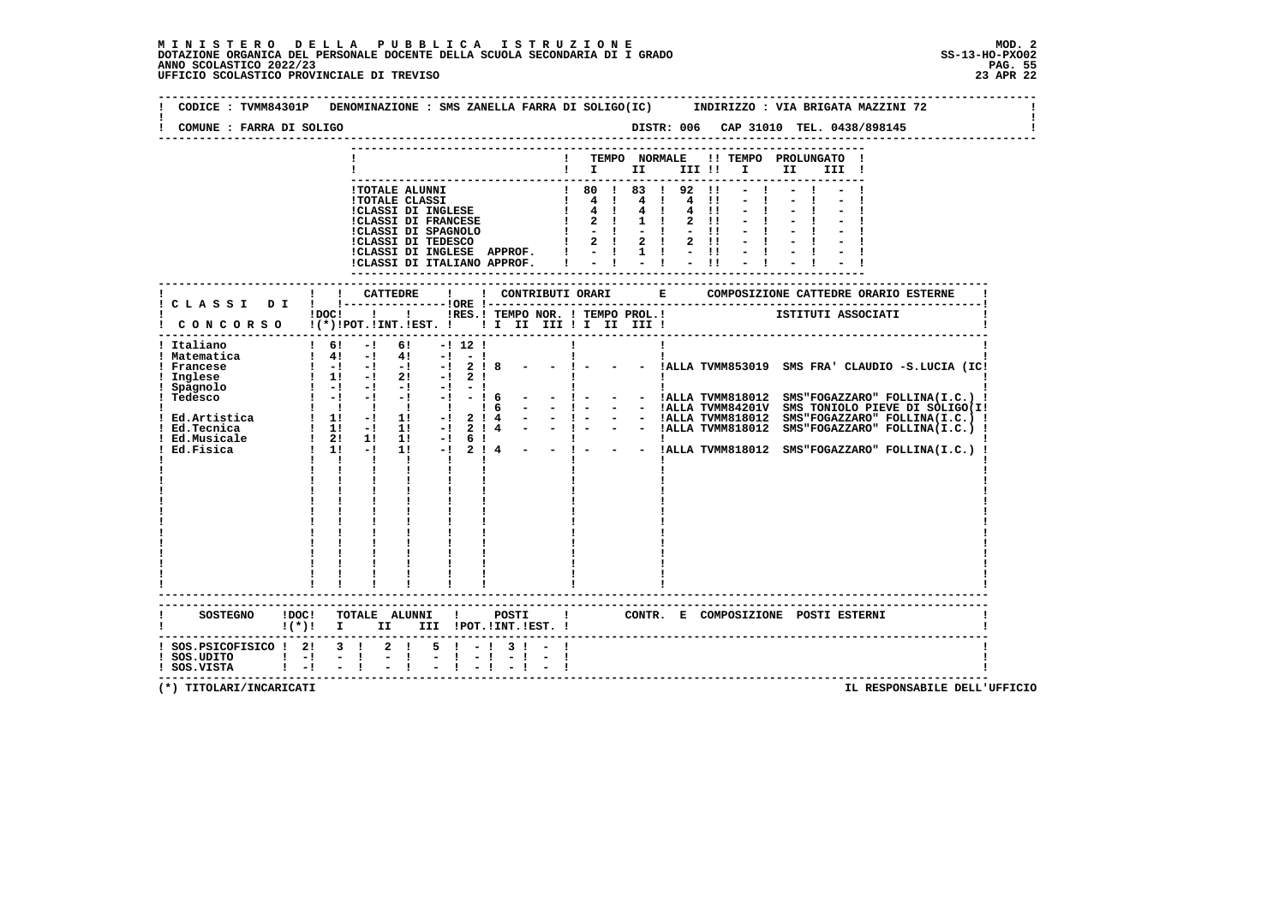| COMUNE : FARRA DI SOLIGO                                                           |                                                                                                                                                                                                      |                                                       |                                                                                                                                                                                                       |                               |            |       |                                                                                              |              |             |             |                                                                                                                               |                     |                                                                                                                                   |      |       |  |                                                     |  |
|------------------------------------------------------------------------------------|------------------------------------------------------------------------------------------------------------------------------------------------------------------------------------------------------|-------------------------------------------------------|-------------------------------------------------------------------------------------------------------------------------------------------------------------------------------------------------------|-------------------------------|------------|-------|----------------------------------------------------------------------------------------------|--------------|-------------|-------------|-------------------------------------------------------------------------------------------------------------------------------|---------------------|-----------------------------------------------------------------------------------------------------------------------------------|------|-------|--|-----------------------------------------------------|--|
|                                                                                    |                                                                                                                                                                                                      |                                                       |                                                                                                                                                                                                       |                               |            |       |                                                                                              |              |             |             | TEMPO NORMALE                                                                                                                 |                     | !! TEMPO PROLUNGATO !<br>$\blacksquare$ $\blacksquare$ $\blacksquare$ $\blacksquare$ $\blacksquare$ $\blacksquare$ $\blacksquare$ | II D | III ! |  |                                                     |  |
|                                                                                    |                                                                                                                                                                                                      |                                                       | <b>!TOTALE ALUNNI</b><br><b>!TOTALE CLASSI</b><br>!CLASSI DI INGLESE<br>!CLASSI DI FRANCESE<br>!CLASSI DI SPAGNOLO<br>!CLASSI DI TEDESCO<br>!CLASSI DI INGLESE APPROF.<br>!CLASSI DI ITALIANO APPROF. |                               |            |       | $\begin{array}{cc} 1 & 80 & 1 \\ 1 & 4 & 1 \\ 1 & 4 & 1 \end{array}$<br>-------------------- | $\mathbf{I}$ | $2 \quad 1$ | $1 \quad 1$ | 1 80 1 83 1 92 11<br>4 1 4 11<br>4 !<br>$1 - 1 - 1 - 1$<br>$1 \t2 \t1 \t2 \t1 \t2 \t1!$<br>$1 - 1 1 1 - 11$<br>$-1$ $-1$ $-1$ | 4!!<br>$2 \quad 11$ |                                                                                                                                   |      |       |  |                                                     |  |
|                                                                                    |                                                                                                                                                                                                      |                                                       |                                                                                                                                                                                                       |                               |            |       |                                                                                              |              |             |             |                                                                                                                               |                     |                                                                                                                                   |      |       |  |                                                     |  |
| ! CONCORSO !(*)!POT.!INT.!EST. !! I II III !I II III !                             |                                                                                                                                                                                                      |                                                       | !DOC! ! ! !RES.! TEMPO NOR. ! TEMPO PROL.! [STITUTI ASSOCIATI                                                                                                                                         |                               |            |       |                                                                                              |              |             |             |                                                                                                                               |                     |                                                                                                                                   |      |       |  |                                                     |  |
| ! Italiano<br>! Matematica<br>Francese<br>Inglese                                  | $1 \quad 4! \quad -1 \quad 4! \quad -1 \quad -1$<br>$\begin{array}{cccccccc} 1 & -1 & -1 & -1 & -1 & -1 & 2 & 1 & 8 \\ 1 & 11 & -1 & 21 & -1 & 2 & 1 \\ 1 & -1 & -1 & -1 & -1 & -1 & -1 \end{array}$ | $1 \t61 -1$<br>$\mathbf{I}$ $\mathbf{I}$ $\mathbf{I}$ | 61 —                                                                                                                                                                                                  | $\mathbf{I}$ and $\mathbf{I}$ | $-!$ 12 !  | п.    |                                                                                              |              |             |             |                                                                                                                               |                     |                                                                                                                                   |      |       |  | - - !ALLA TVMM853019 SMS FRA' CLAUDIO -S.LUCIA (IC! |  |
| <b>SOSTEGNO</b>                                                                    | !DOC! TOTALE ALUNNI !                                                                                                                                                                                |                                                       |                                                                                                                                                                                                       |                               |            | POSTI |                                                                                              |              |             |             |                                                                                                                               |                     | CONTR. E COMPOSIZIONE POSTI_ESTERNI                                                                                               |      |       |  |                                                     |  |
| ! (*)! I II III !POT.!INT.!EST.!                                                   |                                                                                                                                                                                                      |                                                       |                                                                                                                                                                                                       |                               |            |       |                                                                                              |              |             |             |                                                                                                                               |                     |                                                                                                                                   |      |       |  |                                                     |  |
| ! SOS.PSICOFISICO ! 2! 3 !<br>$SOS. UDITIONIO$ $  - $ $  $<br>! SOS.VISTA ! -! - ! |                                                                                                                                                                                                      |                                                       | $2 \quad 1$<br>$-1$                                                                                                                                                                                   |                               | $5! - 13!$ |       |                                                                                              |              |             |             |                                                                                                                               |                     |                                                                                                                                   |      |       |  |                                                     |  |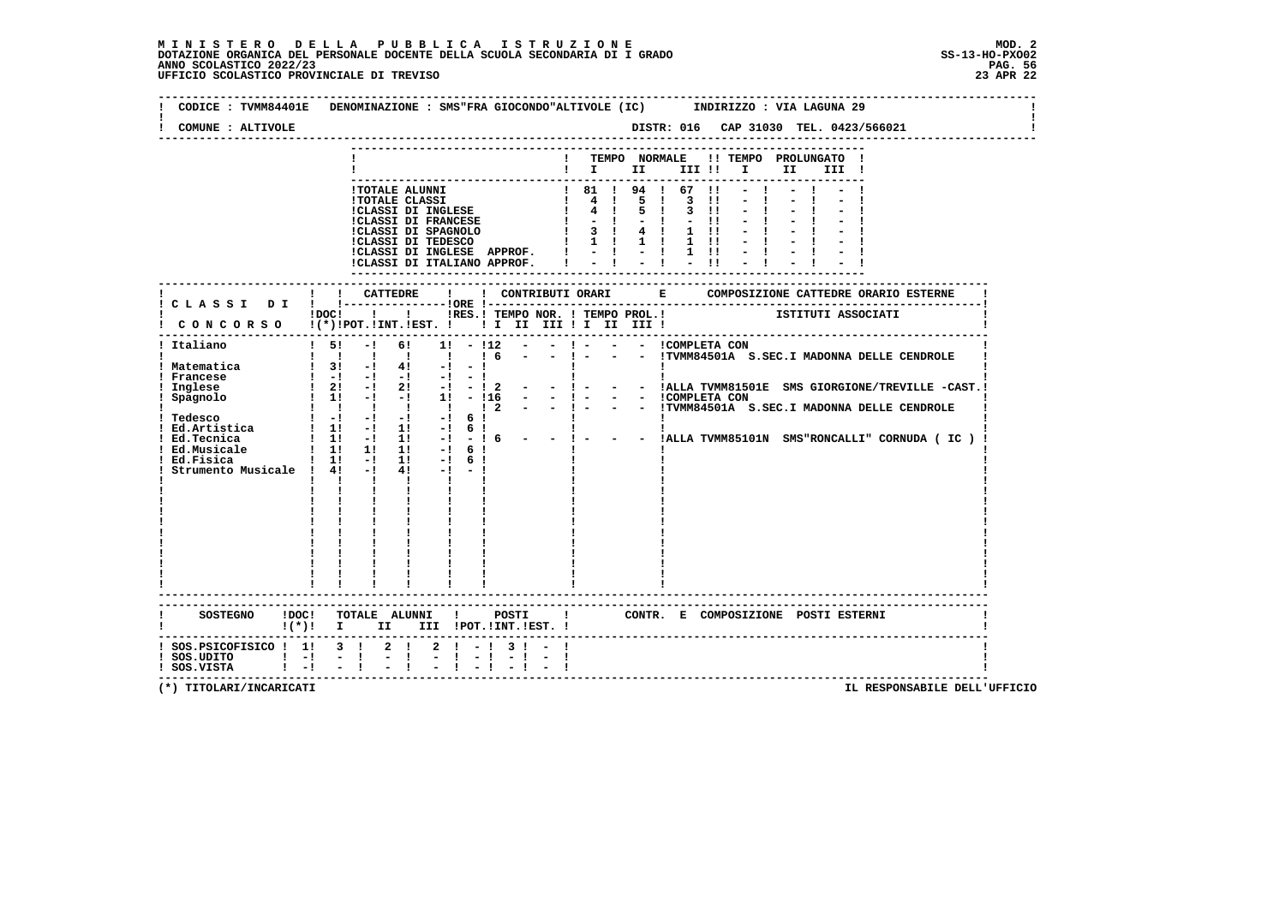| COMUNE : ALTIVOLE                                                                     | DISTR: 016 CAP 31030 TEL. 0423/566021                                                                                                                                                                                                                                                                                                                                                                                                                                                                                                                                                                                                                                                                                                                                                                                                                                                                                                                                                                                                                                     |
|---------------------------------------------------------------------------------------|---------------------------------------------------------------------------------------------------------------------------------------------------------------------------------------------------------------------------------------------------------------------------------------------------------------------------------------------------------------------------------------------------------------------------------------------------------------------------------------------------------------------------------------------------------------------------------------------------------------------------------------------------------------------------------------------------------------------------------------------------------------------------------------------------------------------------------------------------------------------------------------------------------------------------------------------------------------------------------------------------------------------------------------------------------------------------|
|                                                                                       | ! TEMPO NORMALE !! TEMPO PROLUNGATO !<br>$\blacksquare$                                                                                                                                                                                                                                                                                                                                                                                                                                                                                                                                                                                                                                                                                                                                                                                                                                                                                                                                                                                                                   |
|                                                                                       | ! 81 ! 94 ! 67 !!<br>!TOTALE ALUNNI<br>1 81 1 94 1 67 11<br>1 4 1 5 1 3 11<br>1 4 1 5 1 3 11<br><b>!TOTALE CLASSI</b><br>!CLASSI DI INGLESE<br><b>!CLASSI DI FRANCESE</b><br>$1 - 1 - 1$<br>$-11$<br>ICLASSI DI SPAGNOLO : 3 :<br>ICLASSI DI TEDESCO : 1 : 1 :<br>$4 \quad 1$<br>$1 \quad 11$<br>$1 \quad 1 \quad 1 \quad 1 \quad 1 \quad 1 \quad 11$<br>!CLASSI DI INGLESE APPROF.   -   -   1 !!<br>$-1 - 1 = 1 - 1$<br>!CLASSI DI ITALIANO APPROF. I<br>---------------                                                                                                                                                                                                                                                                                                                                                                                                                                                                                                                                                                                                |
|                                                                                       |                                                                                                                                                                                                                                                                                                                                                                                                                                                                                                                                                                                                                                                                                                                                                                                                                                                                                                                                                                                                                                                                           |
|                                                                                       | !DOC! ! ! !RES.! TEMPO NOR. ! TEMPO PROL.! [STITUTI ASSOCIATI<br>! CONCORSO !(*)!POT.!INT.!EST. ! ! I II III ! I III III !                                                                                                                                                                                                                                                                                                                                                                                                                                                                                                                                                                                                                                                                                                                                                                                                                                                                                                                                                |
| ! Italiano<br>! Matematica<br>! Francese<br>! Inglese<br>! Spagnolo                   | $\frac{1}{5!}$<br>$- !$ $ - !$ COMPLETA CON<br>$-!$ 6! 1! $-!12$ $-$<br>$\frac{1}{6}$<br>$-1 - 1$<br>- - !TVMM84501A S.SEC.I MADONNA DELLE CENDROLE<br>1 1 1 1 1<br>$1 \quad 3! \quad -1 \quad 4! \quad -1 \quad -1$<br>!!<br>!!<br>  I ALLA TVMM81501E SMS GIORGIONE/TREVILLE -CAST.!<br> - !- - - !ALLA TVMM81501E SMS GIORGIONE/TREVILLE -CAST.<br>$\begin{array}{cccccccccc} 0 & 1 & -1 & -1 & -1 & -1 & -1 & -1 & -1 \end{array}$<br>$1 \quad 21 \quad -1$<br>$2! -1 - 12$<br>$-1 - 1$<br>$\frac{1}{2}$ 1! $\frac{1}{2}$ $\frac{1}{2}$ $\frac{1}{2}$ $\frac{1}{2}$ $\frac{1}{2}$ $\frac{1}{2}$ $\frac{1}{2}$ $\frac{1}{2}$ $\frac{1}{2}$ $\frac{1}{2}$ $\frac{1}{2}$ $\frac{1}{2}$ $\frac{1}{2}$ $\frac{1}{2}$ $\frac{1}{2}$ $\frac{1}{2}$ $\frac{1}{2}$ $\frac{1}{2}$ $\frac{1}{2}$ $\frac{1}{2}$ $\frac{1}{2}$<br>- - ICOMPLETA CON<br>- ! - - - !TVMM84501A S.SEC.I MADONNA DELLE CENDROLE<br>$\begin{array}{ccccccccccccccccc}\n1 & 1 & 1 & 1 & 1 & 1\n\end{array}$<br>$\frac{1}{2}$<br>the control of the con-<br>$\mathbf{I}$<br>$\mathbf{I}$ and $\mathbf{I}$ |
|                                                                                       | ------------------------<br>SOSTEGNO !DOC! TOTALE ALUNNI ! POSTI !<br>CONTR. E COMPOSIZIONE POSTI_ESTERNI<br>! (*)! I II III !POT.!INT.!EST.!                                                                                                                                                                                                                                                                                                                                                                                                                                                                                                                                                                                                                                                                                                                                                                                                                                                                                                                             |
| ! SOS.PSICOFISICO ! 1! 3 ! 2 !<br>$!$ SOS.UDITO $!$ -!<br>$!$ SOS.VISTA $!$ $-!$ $ !$ | $2 \cdot 1 - 1 \cdot 3 \cdot 1 - 1$<br>$-1$<br>$-1$                                                                                                                                                                                                                                                                                                                                                                                                                                                                                                                                                                                                                                                                                                                                                                                                                                                                                                                                                                                                                       |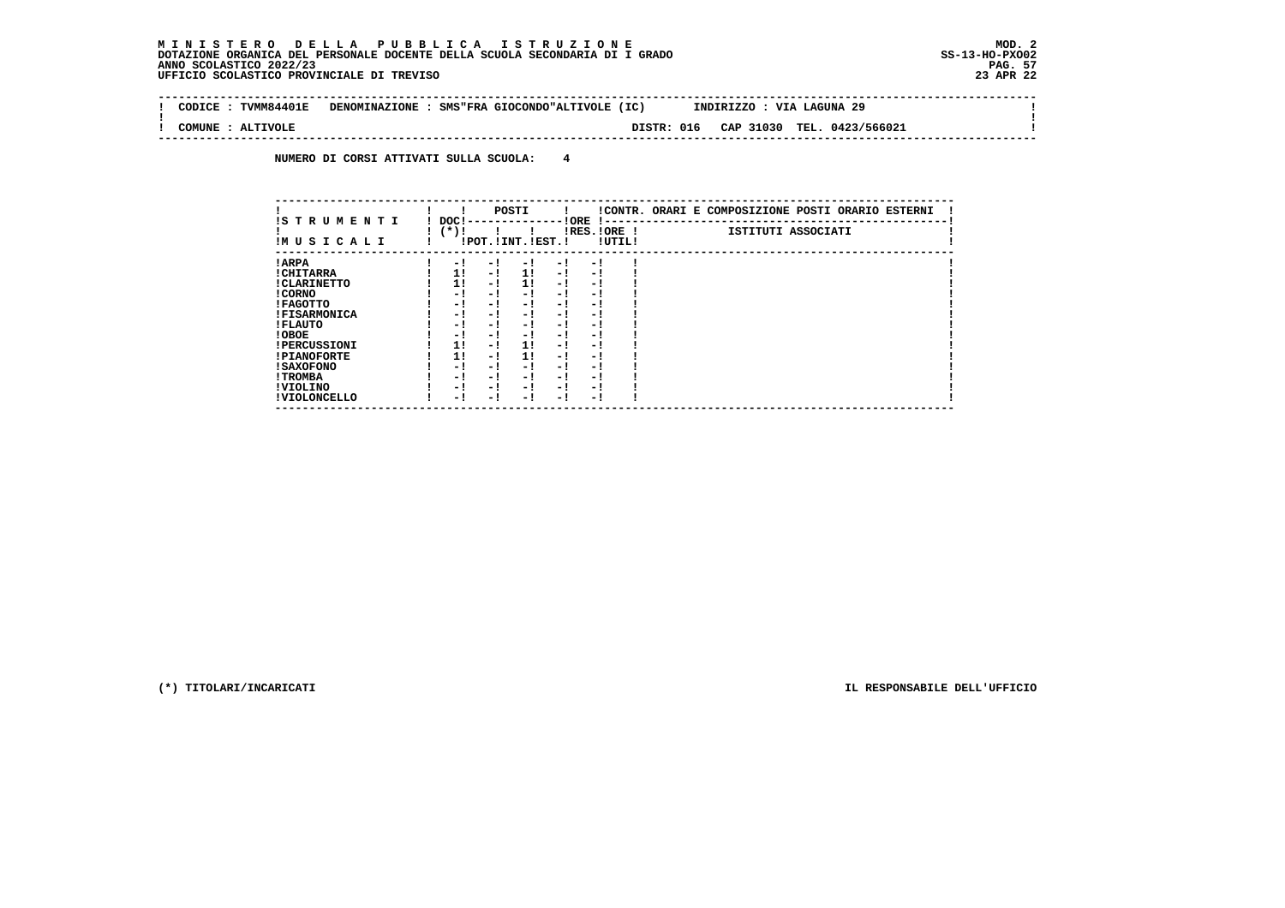$\sim$ 

 $\mathbf{I}$ 

 $\mathbf{I}$ 

 **-------------------------------------------------------------------------------------------------------------------------------- ! CODICE : TVMM84401E DENOMINAZIONE : SMS"FRA GIOCONDO"ALTIVOLE (IC) INDIRIZZO : VIA LAGUNA 29 ! ! ! ! COMUNE : ALTIVOLE DISTR: 016 CAP 31030 TEL. 0423/566021 !**

 **--------------------------------------------------------------------------------------------------------------------------------**

 **NUMERO DI CORSI ATTIVATI SULLA SCUOLA: 4**

| IS T R U M E N T I  | DOC! |     | POSTI                 |      | ! ORE                    |        | !CONTR. ORARI E COMPOSIZIONE POSTI ORARIO ESTERNI |
|---------------------|------|-----|-----------------------|------|--------------------------|--------|---------------------------------------------------|
| IMUSICALI           | (*)! |     | !POT. ! INT. ! EST. ! |      | -1 - -<br>$IRES.IORE$ !  | !UTIL! | ISTITUTI ASSOCIATI                                |
| ! ARPA              | - 1  | - 1 | - 1                   | - 1  | - !                      |        |                                                   |
| ! CHITARRA          | 11   | - ! | 11                    | - !  | - 1                      |        |                                                   |
| ! CLARINETTO        | 11   | - 1 | 11                    | - 1  | - 1                      |        |                                                   |
| ! CORNO             | - 1  | - ! | - 1                   | - 1  | - 1                      |        |                                                   |
| ! FAGOTTO           | - 1  | - ! | - 1                   | - 1  | - 1                      |        |                                                   |
| <b>!FISARMONICA</b> | - 1  | - ! | - 1                   | - 1  | - 1                      |        |                                                   |
| ! FLAUTO            | - 1  | - ! | - 1                   | - !  | - 1                      |        |                                                   |
| ! OBOE              | - 1  | - ! | - 1                   | $-1$ | - 1                      |        |                                                   |
| <b>!PERCUSSIONI</b> | 1!   | - ! | 11                    | - 1  | - 1                      |        |                                                   |
| <b>!PIANOFORTE</b>  | 1!   | - 1 | 1!                    | - 1  | - 1                      |        |                                                   |
| ! SAXOFONO          | - 1  | - ! | - !                   | - 1  | $\overline{\phantom{0}}$ |        |                                                   |
| ! TROMBA            | - 1  | - ! | - 1                   | - 1  | - 1                      |        |                                                   |
| ! VIOLINO           | - 1  | - 1 | - !                   | $-1$ | - 1                      |        |                                                   |
| ! VIOLONCELLO       | - 1  | - 1 | - 1                   | - '  | - 1                      |        |                                                   |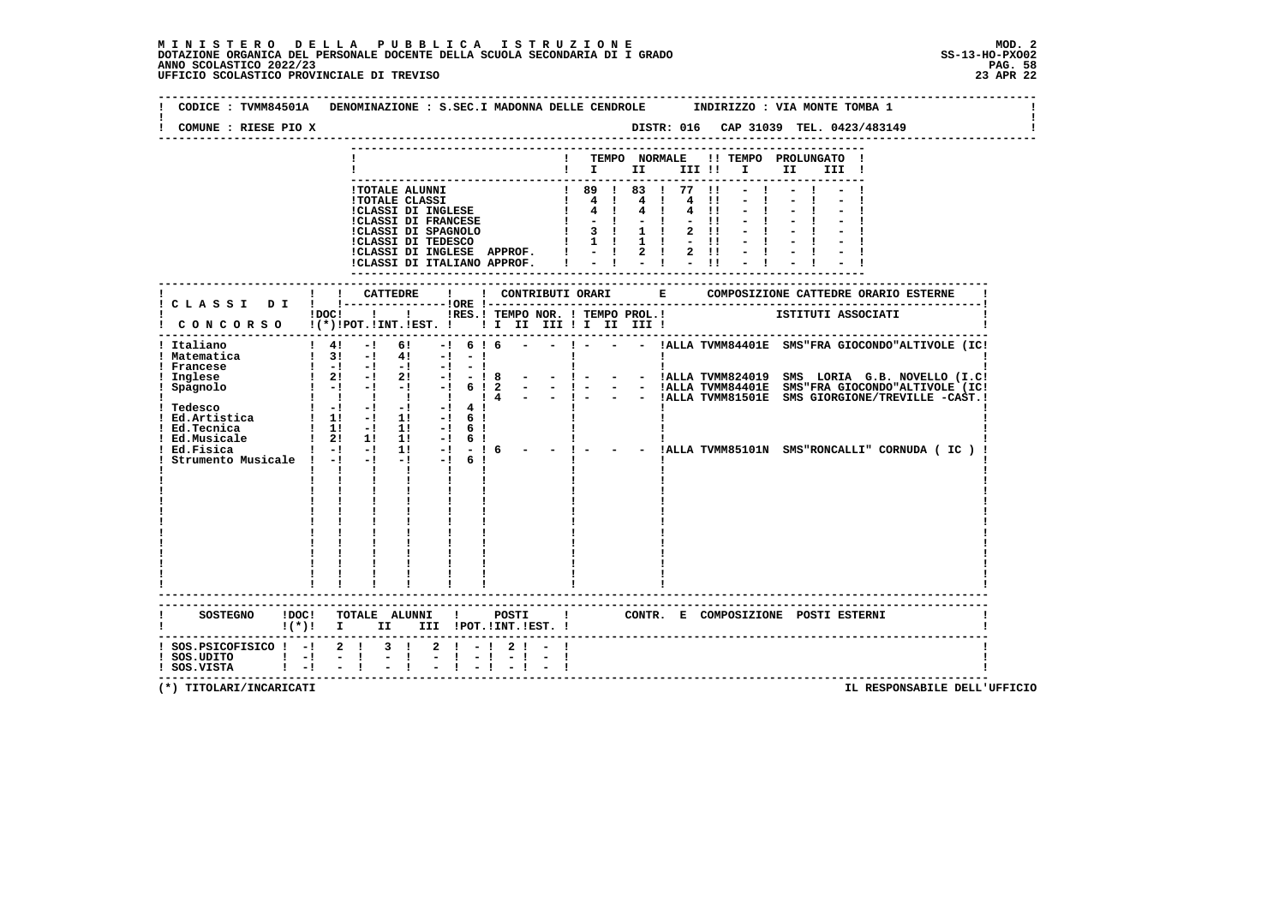| CODICE : TVMM84501A<br>COMUNE : RIESE PIO X                                       |         |                                                                                                                                                                                                                                                                                                                          |      | DENOMINAZIONE : S.SEC.I MADONNA DELLE CENDROLE                                                                                                                                                       |              |                               |                                  |         |                                                                                 |                     |                                                                                                                  |                              |                                                         | INDIRIZZO : VIA MONTE TOMBA 1                                                               |                    |      |       |  |  |
|-----------------------------------------------------------------------------------|---------|--------------------------------------------------------------------------------------------------------------------------------------------------------------------------------------------------------------------------------------------------------------------------------------------------------------------------|------|------------------------------------------------------------------------------------------------------------------------------------------------------------------------------------------------------|--------------|-------------------------------|----------------------------------|---------|---------------------------------------------------------------------------------|---------------------|------------------------------------------------------------------------------------------------------------------|------------------------------|---------------------------------------------------------|---------------------------------------------------------------------------------------------|--------------------|------|-------|--|--|
|                                                                                   |         |                                                                                                                                                                                                                                                                                                                          |      |                                                                                                                                                                                                      |              |                               |                                  |         |                                                                                 |                     |                                                                                                                  |                              |                                                         |                                                                                             |                    |      |       |  |  |
|                                                                                   |         |                                                                                                                                                                                                                                                                                                                          |      |                                                                                                                                                                                                      |              |                               |                                  |         |                                                                                 |                     | TEMPO NORMALE                                                                                                    |                              |                                                         | !! TEMPO PROLUNGATO !<br>$\mathbf{I}$ is the set of $\mathbf{I}$ is the set of $\mathbf{I}$ |                    | II a | III ! |  |  |
|                                                                                   |         |                                                                                                                                                                                                                                                                                                                          |      |                                                                                                                                                                                                      |              |                               |                                  |         |                                                                                 |                     |                                                                                                                  |                              |                                                         |                                                                                             |                    |      |       |  |  |
|                                                                                   |         |                                                                                                                                                                                                                                                                                                                          |      | !TOTALE ALUNNI<br><b>!TOTALE CLASSI</b><br>!CLASSI DI INGLESE<br><b>!CLASSI DI FRANCESE</b><br>!CLASSI DI SPAGNOLO<br>!CLASSI DI TEDESCO<br>!CLASSI DI INGLESE APPROF.<br>CLASSI DI ITALIANO APPROF. |              |                               |                                  |         | $1 \quad 4 \quad 1$<br>$\mathbf{I}$<br>$\begin{array}{ccc} & 3 & 1 \end{array}$ | $4 \quad 1$<br>$-1$ | 1 89 1 83 1 77<br>$4 \quad 1$<br>$1 \quad 1$<br>$1 \quad 1 \quad 1 \quad 1 \quad - \quad 11$<br>$! - 1 2 1 2 1!$ | 4 1 4 11                     | $\blacksquare$<br>$4 \quad 11$<br>$-11$<br>$2 \quad 11$ |                                                                                             |                    |      |       |  |  |
|                                                                                   |         |                                                                                                                                                                                                                                                                                                                          |      | ! CATTEDRE                                                                                                                                                                                           |              | $\mathbf{I}$ and $\mathbf{I}$ |                                  |         |                                                                                 |                     |                                                                                                                  |                              |                                                         | ! CONTRIBUTI ORARI E COMPOSIZIONE CATTEDRE ORARIO ESTERNE                                   |                    |      |       |  |  |
| ! CONCORSO !(*)!POT.!INT.!EST. ! ! I II III ! I III II                            |         | $1\,\text{DOC1}$ $1$ $1$                                                                                                                                                                                                                                                                                                 |      |                                                                                                                                                                                                      |              |                               | !RES.! TEMPO NOR. ! TEMPO PROL.! |         |                                                                                 |                     |                                                                                                                  |                              |                                                         |                                                                                             | ISTITUTI ASSOCIATI |      |       |  |  |
| ! Italiano<br>! Matematica<br>Francese                                            |         | $1 \quad 41$<br>$1 \quad 3! \quad -! \quad 4!$<br>$\begin{bmatrix} 1 & -1 & -1 & -1 & -1 & -1 \end{bmatrix}$                                                                                                                                                                                                             | $-1$ | 6 !                                                                                                                                                                                                  |              |                               | $-! 6 16$<br>$-1 - 1$            |         |                                                                                 |                     |                                                                                                                  | $\mathbf{1}$<br>$\mathbf{I}$ |                                                         | - ! - - - !ALLA TVMM84401E SMS"FRA GIOCONDO"ALTIVOLE (IC!                                   |                    |      |       |  |  |
| ! Inglese<br>Spagnolo<br>! Tedesco<br>! Ed.Artistica                              |         | . 21 -1 21 -1 -1 8 - - 1 - - - IALLA TVMM824019 SMS LORIA G.B. NOVELLO (I.C!<br>1 -1 -1 -1 -1 6 1 2 - - 1 - - - IALLA TVMM84401E SMS"FRA GIOCONDO"ALTIVOLE (IC!<br>1 1 1 1 1 4 - - 1 - - - IALLA TVMM81501E SMS GIORGIONE/TREVILLE -<br>$! -! -! -! -! -! 4!$<br>$1 \quad 1! \quad -1 \quad 1! \quad -1 \quad 6 \quad 1$ |      |                                                                                                                                                                                                      |              |                               |                                  |         |                                                                                 |                     |                                                                                                                  |                              |                                                         |                                                                                             |                    |      |       |  |  |
| ! Ed.Tecnica<br>Ed.Musicale<br>Ed.Fisica<br>Strumento Musicale $! -! -! -! -! 6!$ |         | $1 \t1! -1 \t1!$<br>$! 2! 1! 1! -16!$<br>$1 - 1 - 1$                                                                                                                                                                                                                                                                     |      |                                                                                                                                                                                                      | $1! -1 - 16$ | $-!$ 6!                       |                                  |         |                                                                                 |                     |                                                                                                                  |                              |                                                         | - !ALLA TVMM85101N SMS"RONCALLI" CORNUDA (IC)                                               |                    |      |       |  |  |
|                                                                                   |         |                                                                                                                                                                                                                                                                                                                          |      | $\mathbf{1}$ $\mathbf{1}$ $\mathbf{1}$                                                                                                                                                               |              |                               |                                  |         |                                                                                 |                     |                                                                                                                  |                              |                                                         |                                                                                             |                    |      |       |  |  |
|                                                                                   |         |                                                                                                                                                                                                                                                                                                                          |      |                                                                                                                                                                                                      |              |                               |                                  |         |                                                                                 |                     |                                                                                                                  |                              |                                                         |                                                                                             |                    |      |       |  |  |
| <b>SOSTEGNO</b>                                                                   | !DOC!   |                                                                                                                                                                                                                                                                                                                          |      | TOTALE ALUNNI !                                                                                                                                                                                      |              |                               |                                  | POSTI ! |                                                                                 |                     |                                                                                                                  |                              |                                                         | CONTR. E COMPOSIZIONE POSTI ESTERNI                                                         |                    |      |       |  |  |
| $:$ SOS.PSICOFISICO $:$ -! 2 !<br>$!$ SOS.UDITO $!$ -!<br>! SOS.VISTA             | $1 - 1$ |                                                                                                                                                                                                                                                                                                                          | $-1$ | $3 \quad 1$<br>$\mathbf{I}$                                                                                                                                                                          |              |                               | $2 \mid -1 \mid 2 \mid -1$       |         |                                                                                 |                     |                                                                                                                  |                              |                                                         |                                                                                             |                    |      |       |  |  |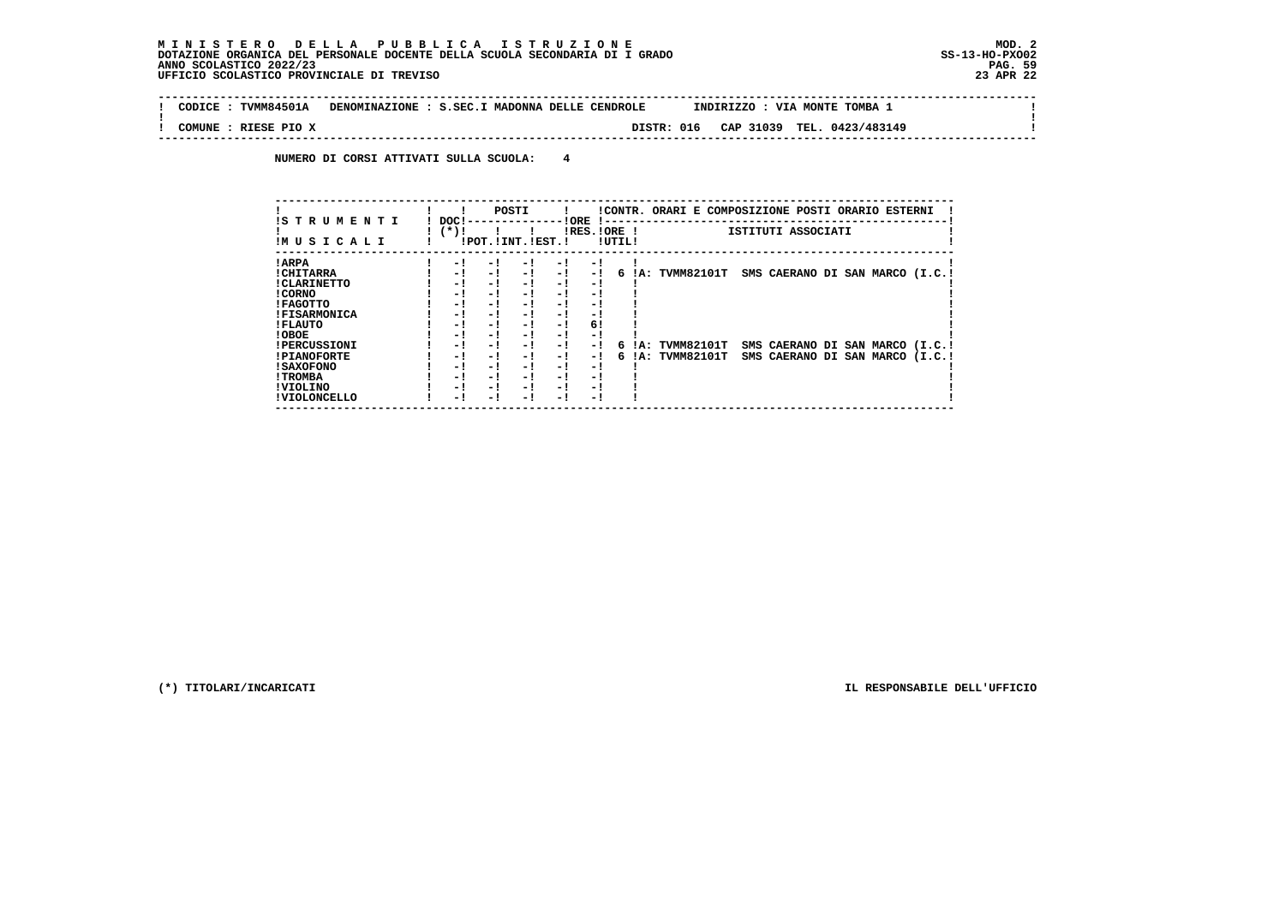$\sim$ 

 $\mathbf{I}$ 

 $\mathbf{I}$ 

 **! !**

 **-------------------------------------------------------------------------------------------------------------------------------- ! CODICE : TVMM84501A DENOMINAZIONE : S.SEC.I MADONNA DELLE CENDROLE INDIRIZZO : VIA MONTE TOMBA 1 !**

 **! COMUNE : RIESE PIO X DISTR: 016 CAP 31039 TEL. 0423/483149 !**

 **NUMERO DI CORSI ATTIVATI SULLA SCUOLA: 4**

| !S T R U M E N T I<br>IM U S I C A L I | DOC!<br>$(*)!$ |     | POSTI<br>!POT. ! INT. ! EST. ! |      | ! ORE<br>$IRES.IORE$ ! | !UTIL! |     | !CONTR. ORARI E COMPOSIZIONE POSTI ORARIO ESTERNI | ISTITUTI ASSOCIATI              |  |  |
|----------------------------------------|----------------|-----|--------------------------------|------|------------------------|--------|-----|---------------------------------------------------|---------------------------------|--|--|
| ! ARPA                                 | - !            | - ! | - !                            | - 1  | - 1                    |        |     |                                                   |                                 |  |  |
| ! CHITARRA                             | - 1            | - ! | $-1$                           | $-1$ | - !                    | 6      | IA: | TVMM82101T                                        | SMS CAERANO DI SAN MARCO (I.C.! |  |  |
| ! CLARINETTO                           | - !            | - 1 | - !                            | - 1  | - 1                    |        |     |                                                   |                                 |  |  |
| ! CORNO                                | - 1            | - 1 | - 1                            | - 1  | - 1                    |        |     |                                                   |                                 |  |  |
| <b>!FAGOTTO</b>                        | - 1            | - 1 | - !                            | - !  | - 1                    |        |     |                                                   |                                 |  |  |
| <b>!FISARMONICA</b>                    | - 1            | - ! | - '                            | - !  | - 1                    |        |     |                                                   |                                 |  |  |
| ! FLAUTO                               | - 1            | - 1 | - !                            | - 1  | 6!                     |        |     |                                                   |                                 |  |  |
| ! OBOE                                 | - !            | - ! | - 1                            | $-1$ | - 1                    |        |     |                                                   |                                 |  |  |
| <b>!PERCUSSIONI</b>                    | - !            | - 1 | - !                            | - 1  | - 1                    | 6.     | IA: | TVMM82101T                                        | SMS CAERANO DI SAN MARCO (I.C.! |  |  |
| <b>!PIANOFORTE</b>                     | - 1            | - 1 | $-1$                           | $-1$ | - !                    | б.     | IA: | <b>TVMM82101T</b>                                 | SMS CAERANO DI SAN MARCO (I.C.! |  |  |
| ! SAXOFONO                             | - !            | - 1 | - !                            | - 1  | - 1                    |        |     |                                                   |                                 |  |  |
| ! TROMBA                               | - 1            | - 1 | - !                            | - 1  | - 1                    |        |     |                                                   |                                 |  |  |
| ! VIOLINO                              | - !            | - 1 | - !                            | $-1$ | - 1                    |        |     |                                                   |                                 |  |  |
| ! VIOLONCELLO                          | - !            | - ! | - 1                            | - '  | - 1                    |        |     |                                                   |                                 |  |  |

 **--------------------------------------------------------------------------------------------------------------------------------**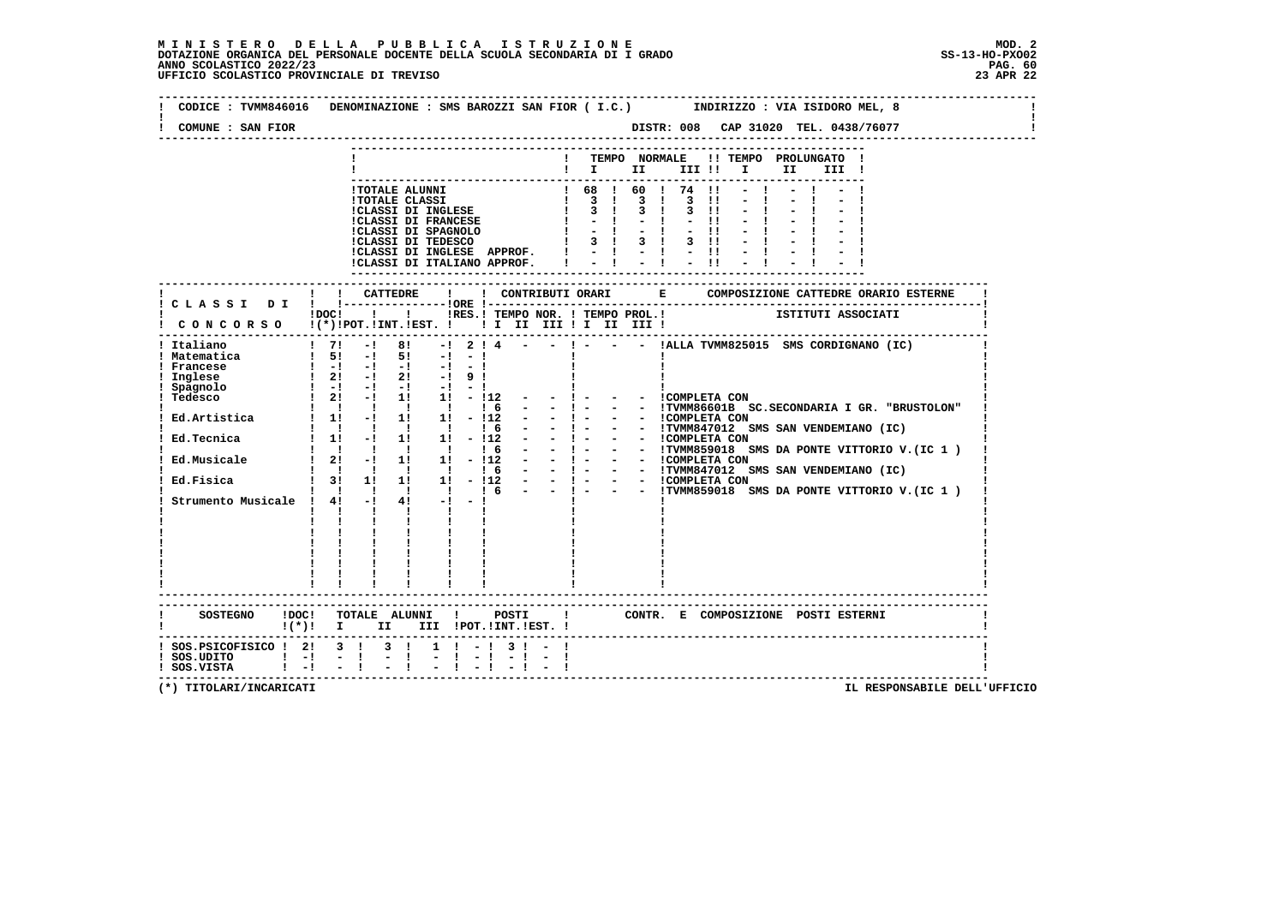## **M I N I S T E R O D E L L A P U B B L I C A I S T R U Z I O N E MOD. 2**DOTAZIONE ORGANICA DEL PERSONALE DOCENTE DELLA SCUOLA SECONDARIA DI I GRADO **SCOLASTICO SCOLASTICO 2022/23 PAG. 60**<br>PAG ANNO SCOLASTICO 2022/23 PAG. 60<br>23 APR 22 UFFICIO SCOLASTICO PROVINCIALE DI TREVISO

| COMUNE : SAN FIOR                                                                                             | DISTR: 008 CAP 31020 TEL. 0438/76077                                                                                                                                                                                                                                                                                                                                                           |
|---------------------------------------------------------------------------------------------------------------|------------------------------------------------------------------------------------------------------------------------------------------------------------------------------------------------------------------------------------------------------------------------------------------------------------------------------------------------------------------------------------------------|
|                                                                                                               | TEMPO NORMALE !! TEMPO PROLUNGATO !<br>$\mathbf{I}$<br>$\mathbf{I}$ is the set of $\mathbf{I}$<br>II I<br>III !                                                                                                                                                                                                                                                                                |
|                                                                                                               | -------------<br>$-1$<br>$-1$<br>$\frac{1}{2}$ $\frac{1}{4}$ $\frac{1}{2}$ $\frac{1}{4}$ $\frac{1}{2}$ $\frac{1}{11}$<br>!CLASSI DI ITALIANO APPROF.                                                                                                                                                                                                                                           |
|                                                                                                               | ! ! CATTEDRE<br>$\mathbf{I}$                                                                                                                                                                                                                                                                                                                                                                   |
|                                                                                                               | IDOCI ! I IRES. I TEMPO NOR. I TEMPO PROL. I TEMPO PROTECTI I ISTITUTI ASSOCIATI<br>CONCORSO !(*)!POT.!INT.!EST. !!!!!!!!!!!!!!!!                                                                                                                                                                                                                                                              |
| . _ _ _ _ _ _ _ _ _ _ _ _ _<br>! Italiano<br>! Matematica<br>! Francese<br>Inglese<br>! Spagnolo<br>! Tedesco | $1 \t7!$ -1 8! -1 2 1 4 - - 1 - - - IALLA TVMM825015 SMS CORDIGNANO (IC)<br>$1 \quad 5! \quad -1 \quad 5!$<br>$-1$ $-1$<br>$1 - 1 - 1 - 1 - 1 - 1 - 1$<br>$\frac{1}{2!}$ -1 21 -1 91<br>$! 2! -! 1! 1! - 1! 2!$<br>$-1 -$<br>- - COMPLETA CON<br>Strumento Musicale ! $4!$ -! $4!$ -! -!<br><b>Contract Contract Contract</b><br>$\mathbf{I}$<br>$\frac{1}{2}$ , $\frac{1}{2}$ , $\frac{1}{2}$ |
|                                                                                                               | -------------------------                                                                                                                                                                                                                                                                                                                                                                      |
|                                                                                                               | SOSTEGNO !DOC! TOTALE ALUNNI ! POSTI ! CONTR. E COMPOSIZIONE POSTI ESTERNI<br>! (*)! I II III !POT.!INT.!EST.!                                                                                                                                                                                                                                                                                 |
| ! SOS.PSICOFISICO ! 2! 3 ! 3 !<br>$!$ SOS.UDITO $!$ -!                                                        | $1 \t-1 \t3 \t-1$<br>$-1$                                                                                                                                                                                                                                                                                                                                                                      |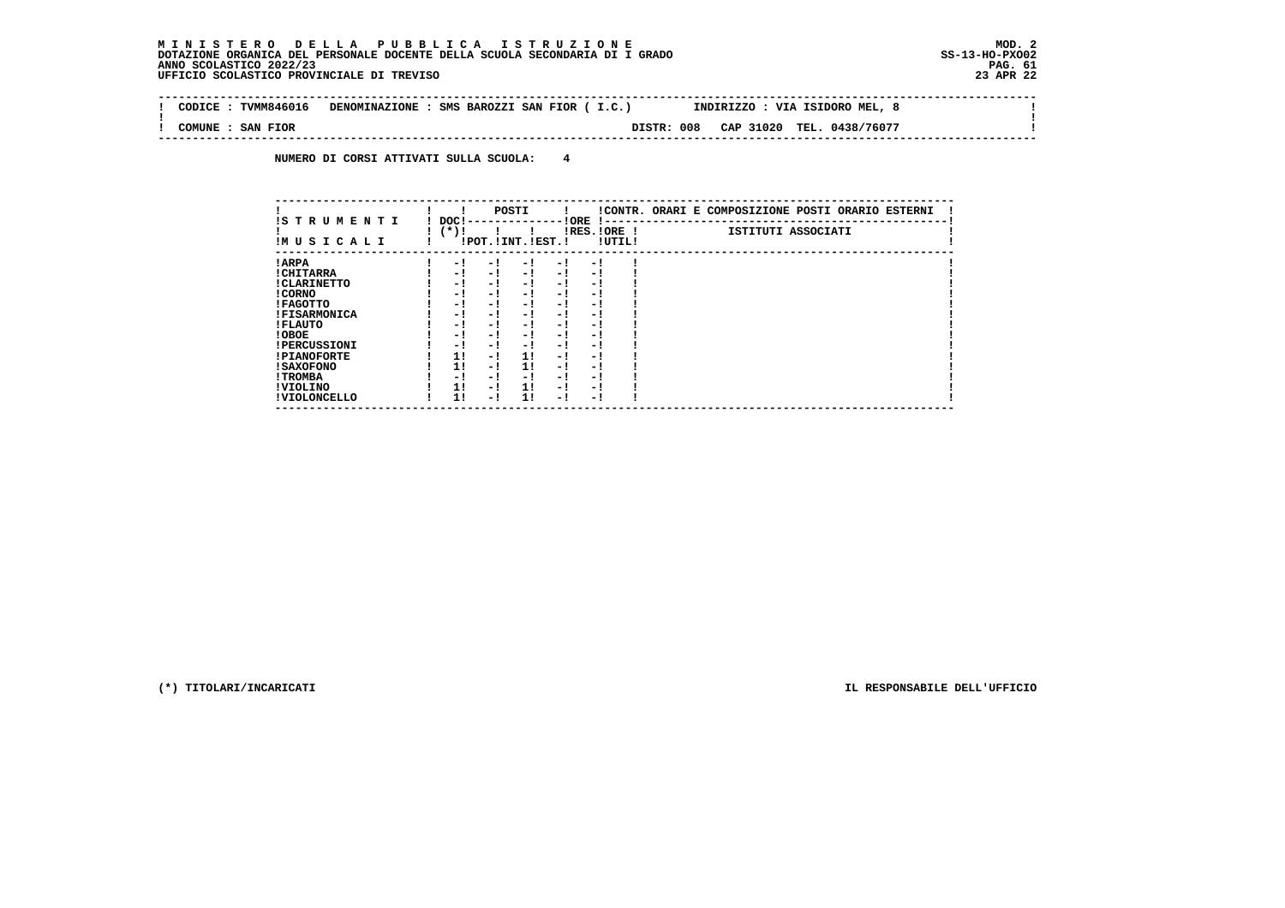$\mathbf{I}$ 

 **--------------------------------------------------------------------------------------------------------------------------------** $\sim$  1  **! CODICE : TVMM846016 DENOMINAZIONE : SMS BAROZZI SAN FIOR ( I.C.) INDIRIZZO : VIA ISIDORO MEL, 8 ! ! ! ! COMUNE : SAN FIOR DISTR: 008 CAP 31020 TEL. 0438/76077 ! --------------------------------------------------------------------------------------------------------------------------------**

 **NUMERO DI CORSI ATTIVATI SULLA SCUOLA: 4**

| IS T R U M E N T I  | DOC! |     | POSTI                 |      | ! ORE<br>-1 - -          |        | !CONTR. ORARI E COMPOSIZIONE POSTI ORARIO ESTERNI |
|---------------------|------|-----|-----------------------|------|--------------------------|--------|---------------------------------------------------|
| IMUSICALI           | (*)! |     | !POT. ! INT. ! EST. ! |      | $IRES.IORE$ !            | !UTIL! | ISTITUTI ASSOCIATI                                |
| ! ARPA              | - 1  | - 1 | - 1                   | - 1  | - !                      |        |                                                   |
| ! CHITARRA          | - 1  | - ! | - 1                   | $-1$ | - 1                      |        |                                                   |
| ! CLARINETTO        | - 1  | - ! | - 1                   | - 1  | - 1                      |        |                                                   |
| ! CORNO             | - 1  | - ! | - 1                   | - !  | - 1                      |        |                                                   |
| ! FAGOTTO           | - 1  | - ! | - 1                   | - 1  | - 1                      |        |                                                   |
| <b>!FISARMONICA</b> | - 1  | - ! | - 1                   | - 1  | - 1                      |        |                                                   |
| ! FLAUTO            | - 1  | - ! | - 1                   | - !  | - 1                      |        |                                                   |
| ! OBOE              | - 1  | - ! | - 1                   | - 1  | - 1                      |        |                                                   |
| <b>!PERCUSSIONI</b> | - 1  | - 1 | - 1                   | - 1  | - 1                      |        |                                                   |
| <b>!PIANOFORTE</b>  | 11   | - ! | 11                    | - 1  | - 1                      |        |                                                   |
| ! SAXOFONO          | 1!   | - 1 | 11                    | - 1  | $\overline{\phantom{0}}$ |        |                                                   |
| ! TROMBA            | - 1  | - ! | - !                   | - 1  | - 1                      |        |                                                   |
| ! VIOLINO           | 1!   | - ! | 11                    | $-1$ | - 1                      |        |                                                   |
| ! VIOLONCELLO       | 11   | - 1 | 11                    | - 1  | - 1                      |        |                                                   |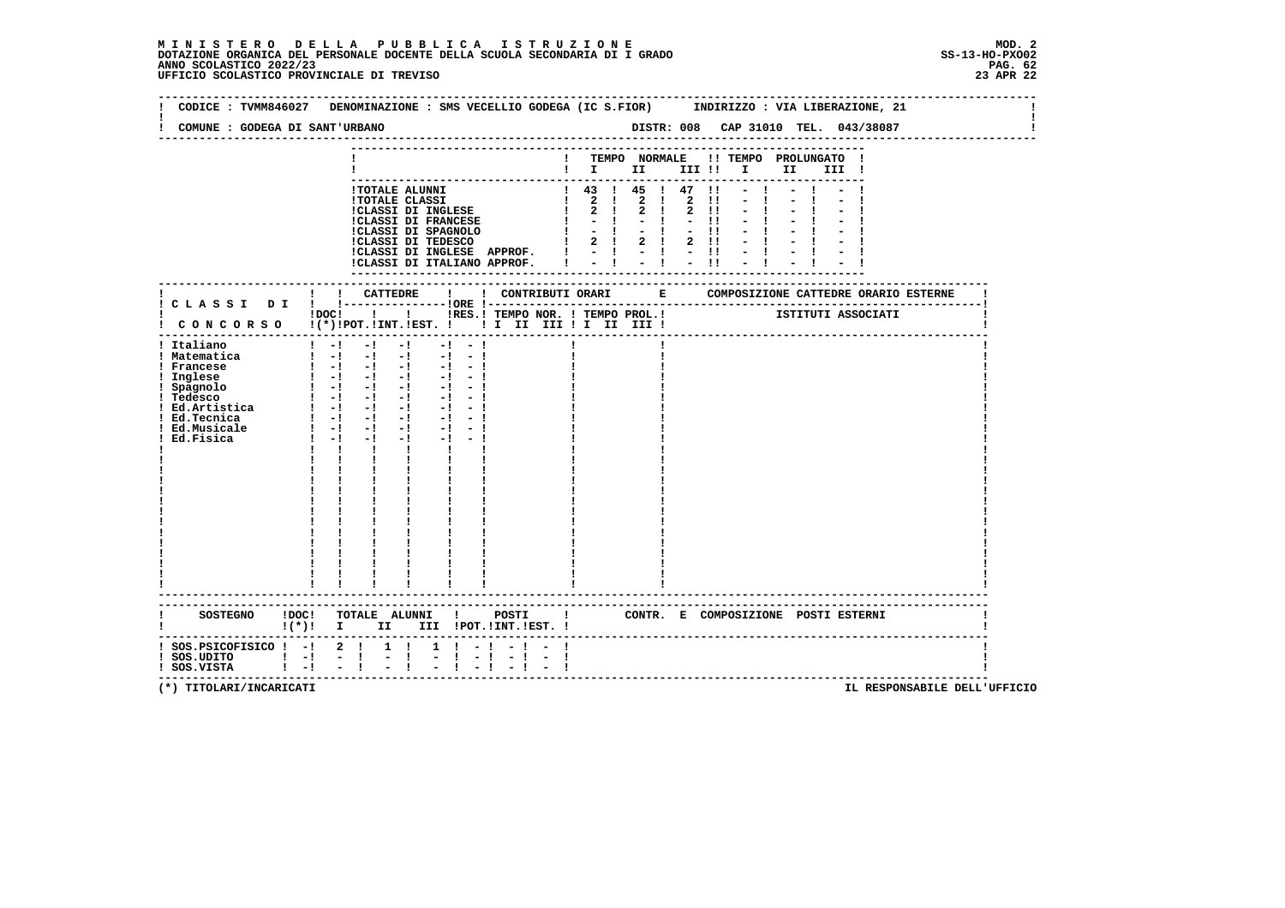**--------------------------------------------------------------------------------------------------------------------------------** $\sim$  100  $\pm$  **! CODICE : TVMM846027 DENOMINAZIONE : SMS VECELLIO GODEGA (IC S.FIOR) INDIRIZZO : VIA LIBERAZIONE, 21 ! ! !** $\mathbf{I}$  **! COMUNE : GODEGA DI SANT'URBANO DISTR: 008 CAP 31010 TEL. 043/38087 ! -------------------------------------------------------------------------------------------------------------------------------- --------------------------------------------------------------------------- ! ! TEMPO NORMALE !! TEMPO PROLUNGATO ! ! ! I II III !! I II III ! --------------------------------------------------------------------------- !TOTALE ALUNNI ! 43 ! 45 ! 47 !! - ! - ! - ! !TOTALE CLASSI ! 2 ! 2 ! 2 !! - ! - ! - ! !CLASSI DI INGLESE ! 2 ! 2 ! 2 !! - ! - ! - ! !CLASSI DI FRANCESE ! - ! - ! - !! - ! - ! - ! !CLASSI DI SPAGNOLO ! - ! - ! - !! - ! - ! - ! !CLASSI DI TEDESCO ! 2 ! 2 ! 2 !! - ! - ! - ! !CLASSI DI INGLESE APPROF. ! - ! - ! - !! - ! - ! - ! !CLASSI DI ITALIANO APPROF. ! - ! - ! - !! - ! - ! - ! --------------------------------------------------------------------------- ------------------------------------------------------------------------------------------------------------------------- ! ! ! CATTEDRE ! ! CONTRIBUTI ORARI E COMPOSIZIONE CATTEDRE ORARIO ESTERNE ! ! C L A S S I D I ! !---------------!ORE !------------------------------------------------------------------------! ! ! ! ! ! IN ITES.! TEMPO NOR. ! TEMPO PROL.! ISTITUTI ASSOCIATI ! C O N C O R S O !(\*)!POT.!INT.!EST. ! ! I II III ! I II III ! ! ------------------------------------------------------------------------------------------------------------------------- ! Italiano ! -! -! -! -! - ! ! ! ! ! Matematica ! -! -! -! -! - ! ! ! ! ! Francese ! -! -! -! -! - ! ! ! ! ! Inglese ! -! -! -! -! - ! ! ! ! ! Spagnolo ! -! -! -! -! - ! ! ! ! ! Tedesco ! -! -! -! -! - ! ! ! !1 Inglese** <br> **1 Spagnolo** <br> **1 Spagnolo** <br> **1 -! -! -! -! -! -! |**<br> **1 Tedesco** <br> **1 -! -! -! -! -! |**<br> **1 -! -! -! -! |**<br> **1 -! -! -! |**<br> **1 -! -! |**<br> **1 -! -! |**<br> **1** -! |<br> **1** -! |<br> **1** -! |<br> **1** -! |  **! Ed.Tecnica ! -! -! -! -! - ! ! ! ! ! Ed.Musicale ! -! -! -! -! - ! ! ! ! ! Ed.Fisica ! -! -! -! -! - ! ! ! ! ! ! ! ! ! ! ! ! ! ! ! ! ! ! ! ! ! ! ! ! ! ! ! ! ! ! ! ! ! ! ! ! ! ! ! ! ! ! ! ! ! ! ! ! ! ! ! ! ! ! ! ! ! ! ! ! ! ! ! ! ! ! ! ! ! ! ! ! ! ! ! ! ! ! ! ! ! ! ! ! ! ! ! ! ! ! ! ! ! ! ! ! ! ! ! ! ! ! ! ! ! ! ! ! ! ! ! ! ! ! ! ! ! ! ! ! ! ! ! ! ! ! ! ! ! ! ! ! ! ! ! ! ! ! ! ! ! ! ! ! ------------------------------------------------------------------------------------------------------------------------- ------------------------------------------------------------------------------------------------------------------------- ! SOSTEGNO !DOC! TOTALE ALUNNI ! POSTI ! CONTR. E COMPOSIZIONE POSTI ESTERNI ! ! !(\*)! I II III !POT.!INT.!EST. ! ! ------------------------------------------------------------------------------------------------------------------------- ! SOS.PSICOFISICO ! -! 2 ! 1 ! 1 ! - ! - ! - ! !** $\blacksquare$  **! SOS.UDITO ! -! - ! - ! - ! - ! - ! - ! ! ! SOS.VISTA ! -! - ! - ! - ! - ! - ! - ! !**- 1  **-------------------------------------------------------------------------------------------------------------------------**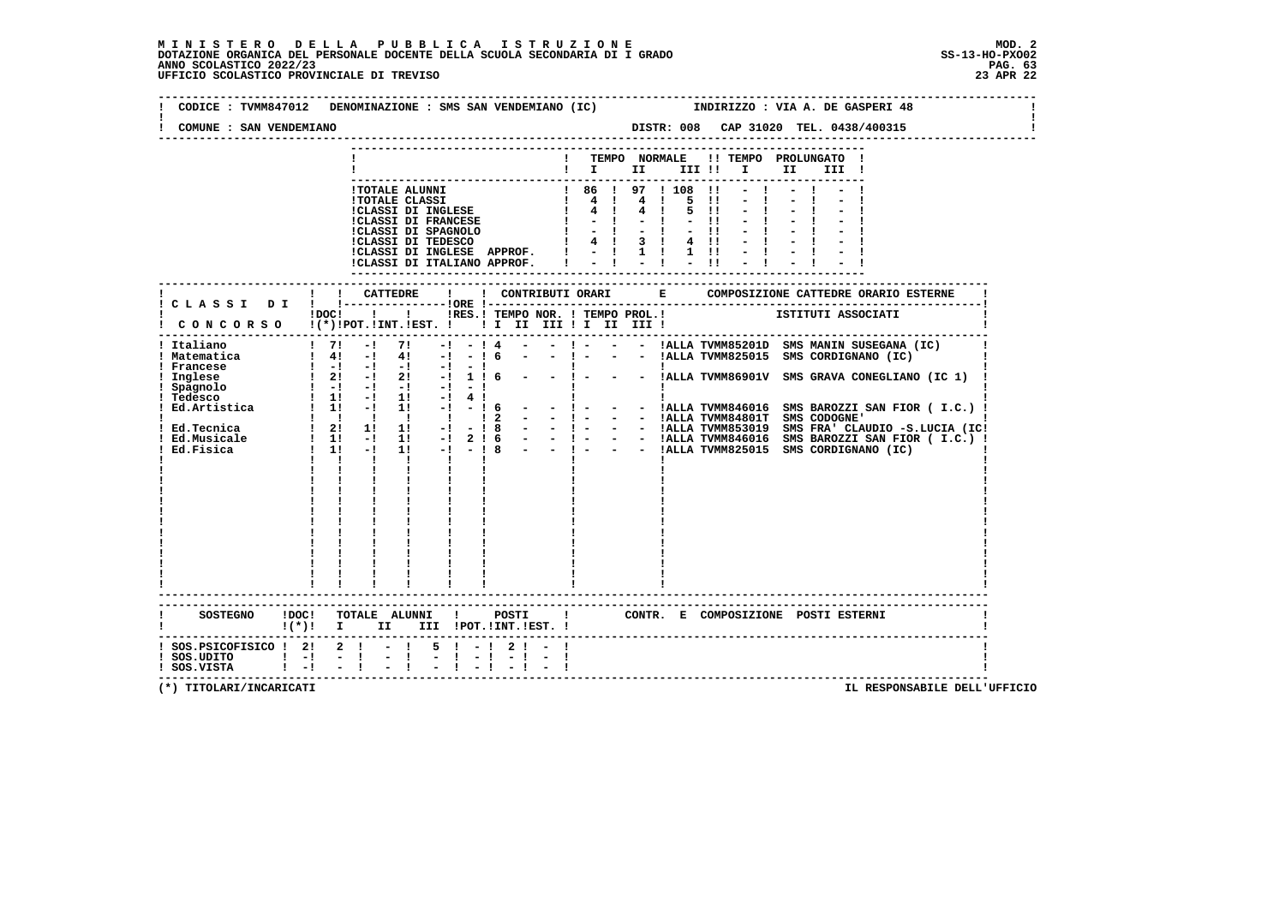| COMUNE : SAN VENDEMIANO                                                               | CODICE : TVMM847012 DENOMINAZIONE : SMS SAN VENDEMIANO (IC)<br>INDIRIZZO : VIA A. DE GASPERI 48                                                                                                                                                                                                                                                                                                                                                                                                                                                                                                                                                                                                                                                                                                                                                                                                                                                                                                                                                                            |
|---------------------------------------------------------------------------------------|----------------------------------------------------------------------------------------------------------------------------------------------------------------------------------------------------------------------------------------------------------------------------------------------------------------------------------------------------------------------------------------------------------------------------------------------------------------------------------------------------------------------------------------------------------------------------------------------------------------------------------------------------------------------------------------------------------------------------------------------------------------------------------------------------------------------------------------------------------------------------------------------------------------------------------------------------------------------------------------------------------------------------------------------------------------------------|
|                                                                                       | ! TEMPO NORMALE !! TEMPO PROLUNGATO !<br>$\blacksquare$ $\blacksquare$ $\blacksquare$ $\blacksquare$ $\blacksquare$ $\blacksquare$ $\blacksquare$ $\blacksquare$ $\blacksquare$<br>III !<br>! 86 ! 97 ! 108 !!<br>! TOTALE ALUNNI<br>5 11<br>4!<br>5 !!<br>$-1$<br>$-11$<br>$-1$<br>$-11$<br>$3 \quad 1$<br>$4 \quad 11$<br>!CLASSI DI INGLESE APPROF. ! - ! 1 !<br>$1 \quad 11$<br>$-1$                                                                                                                                                                                                                                                                                                                                                                                                                                                                                                                                                                                                                                                                                   |
|                                                                                       | $-1$<br>$-1$ $-1$<br>$-11$<br>!CLASSI DI ITALIANO APPROF. !                                                                                                                                                                                                                                                                                                                                                                                                                                                                                                                                                                                                                                                                                                                                                                                                                                                                                                                                                                                                                |
|                                                                                       | ISTITUTI ASSOCIATI<br>! !RES.! TEMPO NOR. ! TEMPO PROL.!<br>$1DOCI$ $1$                                                                                                                                                                                                                                                                                                                                                                                                                                                                                                                                                                                                                                                                                                                                                                                                                                                                                                                                                                                                    |
| ! Italiano<br>! Matematica<br>! Francese<br>Inglese<br>! Spagnolo                     | $1 \t71 - 1 \t71$<br>$ -$ ! $  1$ ALLA TVMM85201D SMS MANIN SUSEGANA (IC)<br>$-1 - 14$<br>- ! - - - !ALLA TVMM825015 SMS CORDIGNANO (IC)<br>$1 \t4! -1 \t4! -1 -16$<br>$\sim$ 100 $\mu$<br>$\begin{array}{ccccccc} 1 & -1 & -1 & -1 & -1 & -1 \\ 1 & 21 & -1 & 21 & -1 & 1 & 6 \\ 1 & -1 & -1 & -1 & -1 & -1 & -1 \end{array}$<br>!<br>- ! - - - !ALLA TVMM86901V SMS GRAVA CONEGLIANO (IC 1)<br><b>I</b><br>$! 1! - 1! 1! - 14!$<br>$\mathbf{I}$<br>: Tedesco : 1 1 1 - 1 1 - 1 1 - 1 1 - 1 1 - 1 1 - 1 1 - 1 1 - 1 1 - 1 1 - 1 1 - 1 1 - 1 1 - 1 2 1 - 1 2 1 - 1<br>- - 1 - - - IALLA TVMM846016 SMS BAROZZI SAN FIOR (I.C.) !<br>- - ! - - - IALLA TVMM84801T SMS CODOGNE'  <br>- - ! - - IALLA TVMM853019 SMS FRA' CLAUDIO -S.LUCIA (IC!<br>$\begin{array}{cccccccccccccc} 1 & 1 & 1 & 1 & 1 & 1 & 1 \end{array}$<br>$\frac{1}{2}$<br>- 1 - - - IALLA TVMM846016 SMS BAROZZI SAN FIOR (I.C.) !<br>- 1 - - - IALLA TVMM846016 SMS BAROZZI SAN FIOR (I.C.) !<br>$\mathbf{1}$ and $\mathbf{1}$ and $\mathbf{1}$<br>$\mathbf{1}$ $\mathbf{1}$ $\mathbf{1}$<br>$\mathbf{I}$ |
|                                                                                       | SOSTEGNO !DOC! TOTALE ALUNNI ! POSTI<br>$\mathbf{I}$<br>CONTR. E COMPOSIZIONE POSTI_ESTERNI<br>$!(*)!$ I II III !POT.!INT.!EST. !                                                                                                                                                                                                                                                                                                                                                                                                                                                                                                                                                                                                                                                                                                                                                                                                                                                                                                                                          |
| $:$ SOS. PSICOFISICO $:$ 2: 2: - !<br>$!$ SOS.UDITO $!$ -! -!<br>$!$ SOS.VISTA $!$ -! | $5! - 12! - 1$<br>$\sim$ $-1$<br>$-1$<br>$-1$<br>$-1$ $-1$<br>$-1$                                                                                                                                                                                                                                                                                                                                                                                                                                                                                                                                                                                                                                                                                                                                                                                                                                                                                                                                                                                                         |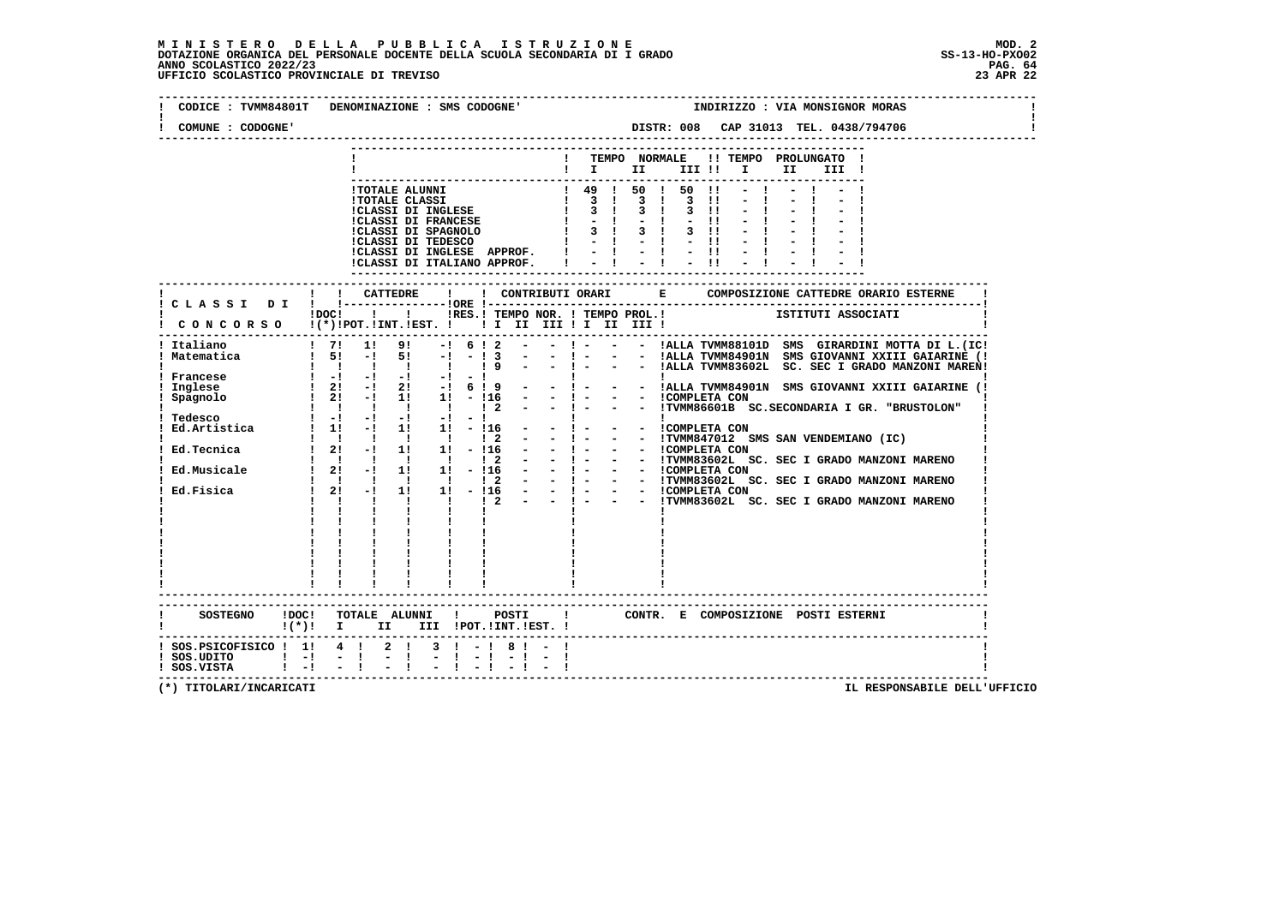| CODICE : TVMM84801T DENOMINAZIONE : SMS CODOGNE'                                                                                                        |                                                                                   |  |                            |                                                                                                          |  |  |  |    |                                       |       | INDIRIZZO : VIA MONSIGNOR MORAS                                                                                       |
|---------------------------------------------------------------------------------------------------------------------------------------------------------|-----------------------------------------------------------------------------------|--|----------------------------|----------------------------------------------------------------------------------------------------------|--|--|--|----|---------------------------------------|-------|-----------------------------------------------------------------------------------------------------------------------|
| COMUNE : CODOGNE'                                                                                                                                       |                                                                                   |  |                            |                                                                                                          |  |  |  |    |                                       |       |                                                                                                                       |
|                                                                                                                                                         |                                                                                   |  |                            | $\blacksquare$ $\blacksquare$ $\blacksquare$ $\blacksquare$ $\blacksquare$ $\blacksquare$ $\blacksquare$ |  |  |  | II | ! TEMPO NORMALE !! TEMPO PROLUNGATO ! | III ! |                                                                                                                       |
|                                                                                                                                                         |                                                                                   |  | -------------------------- |                                                                                                          |  |  |  |    |                                       |       |                                                                                                                       |
|                                                                                                                                                         |                                                                                   |  |                            |                                                                                                          |  |  |  |    |                                       |       |                                                                                                                       |
| CONCORSO $\mathbf{I}$ (*)!POT.!INT.!EST. ! ! I II III ! I III III !<br>--------------------------------------                                           | : :-------------- :<br>DOC! !!!RES.! TEMPO NOR. ! TEMPO PROL.! ISTITUTI ASSOCIATI |  |                            |                                                                                                          |  |  |  |    |                                       |       |                                                                                                                       |
| Italiano 1911 - 1912 - 1924 - 1925 - 1926 - 1927 - 1928 - 1929 - 1929 - 1929 - 1929 - 1929 - 1929 - 1929 - 192<br>! Italiano<br>! Francese<br>! Inglese |                                                                                   |  |                            |                                                                                                          |  |  |  |    |                                       |       | - ! - - - !ALLA TVMM88101D SMS GIRARDINI MOTTA DI L. (IC!<br>- !- - - !ALLA TVMM84901N SMS GIOVANNI XXIII GAIARINE (! |
| ! Spagnolo<br>Tedesco : -: -: -: -: -: -: -: :<br>Ed.Artistica : 1! -! 1! 1! -!16 - - ! - - ICOMPLETA CON                                               |                                                                                   |  |                            |                                                                                                          |  |  |  |    |                                       |       |                                                                                                                       |
|                                                                                                                                                         |                                                                                   |  |                            |                                                                                                          |  |  |  |    |                                       |       |                                                                                                                       |
|                                                                                                                                                         |                                                                                   |  |                            |                                                                                                          |  |  |  |    |                                       |       |                                                                                                                       |
|                                                                                                                                                         | $\frac{1}{1}$ $\frac{1}{1}$ $\frac{1}{1}$                                         |  |                            |                                                                                                          |  |  |  |    |                                       |       |                                                                                                                       |
| SOSTEGNO !DOC! TOTALE ALUNNI ! POSTI ! CONTR. E COMPOSIZIONE POSTI ESTERNI<br>$((*)!$ I II III !POT. !INT. !EST. !                                      |                                                                                   |  |                            |                                                                                                          |  |  |  |    |                                       |       |                                                                                                                       |
| ! SOS.PSICOFISICO ! 1! 4 ! 2 ! 3 ! - ! 8 ! - !<br>  SOS.UDITO   -  - <br>  SOS.VISTA   -  -                                                             | $-1$                                                                              |  |                            |                                                                                                          |  |  |  |    |                                       |       |                                                                                                                       |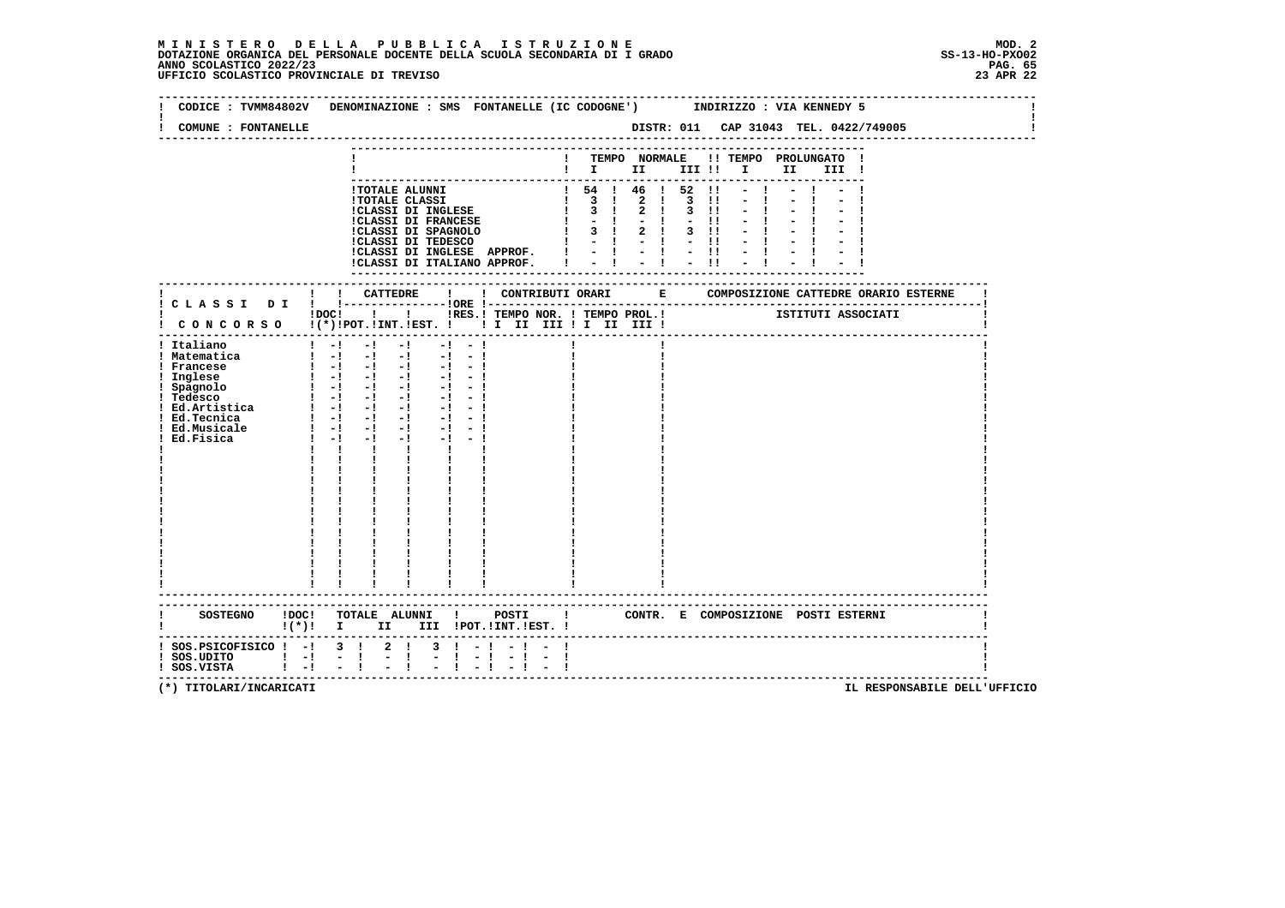## **M I N I S T E R O D E L L A P U B B L I C A I S T R U Z I O N E MOD. 2**DOTAZIONE ORGANICA DEL PERSONALE DOCENTE DELLA SCUOLA SECONDARIA DI I GRADO **SCOLASTICO SCOLASTICO 2022/23 PAG. 65**<br>23 ANNO SCOLASTICO 2022/23 PAG. 65<br>23 APR 22 UFFICIO SCOLASTICO PROVINCIALE DI TREVISO

| CODICE : TVMM84802V            | DENOMINAZIONE : SMS FONTANELLE (IC CODOGNE')<br>INDIRIZZO : VIA KENNEDY 5                                                |  |
|--------------------------------|--------------------------------------------------------------------------------------------------------------------------|--|
| COMUNE : FONTANELLE            | DISTR: 011 CAP 31043 TEL. 0422/749005                                                                                    |  |
|                                |                                                                                                                          |  |
|                                | ! TEMPO NORMALE !! TEMPO PROLUNGATO !                                                                                    |  |
|                                | $\mathbf{I}$ is the set of $\mathbf{I}$<br>$\mathbf{I}$ and $\mathbf{I}$<br>II a<br>III !                                |  |
|                                | ! 54 ! 46 ! 52<br>!TOTALE ALUNNI<br>$\blacksquare$                                                                       |  |
|                                | $1 \quad 3 \quad 1$<br>$2 \t1 \t3 \t11$<br><b>!TOTALE CLASSI</b>                                                         |  |
|                                | 3 <sub>1</sub><br>!CLASSI DI INGLESE<br>$2 \quad 1$<br>3 !!                                                              |  |
|                                | $-1$<br><b>!CLASSI DI FRANCESE</b><br>$-11$                                                                              |  |
|                                | 3 ! 2 ! 3 !!<br>!CLASSI DI SPAGNOLO<br>!CLASSI DI TEDESCO<br>$\mathbf{I}$<br>$-1 - 1 - 1$                                |  |
|                                | !CLASSI DI INGLESE APPROF.                                                                                               |  |
|                                | 二十二十二 廿<br>!CLASSI DI ITALIANO APPROF.                                                                                   |  |
|                                |                                                                                                                          |  |
|                                |                                                                                                                          |  |
|                                |                                                                                                                          |  |
|                                | !DOC! ! ! !RES.! TEMPO NOR. ! TEMPO PROL.! [STITUTI ASSOCIATI                                                            |  |
|                                | ! CONCORSO !(*)!POT.!INT.!EST. ! ! I III III II III III !                                                                |  |
| ! Italiano                     | $1 - 1$<br>$-1$<br>$-1$<br>$-1$<br>$-1$                                                                                  |  |
| ! Matematica                   | $1 - 1 - 1 - 1 - 1 - 1 - 1$                                                                                              |  |
| ! Francese                     | $\begin{bmatrix} 1 & -1 & -1 & -1 & -1 & -1 \end{bmatrix}$                                                               |  |
| ! Inglese                      | $\begin{bmatrix} 1 & -1 & -1 & -1 & -1 & -1 \end{bmatrix}$                                                               |  |
| ! Spagnolo                     | $1 - 1 - 1 - 1 - 1$<br>$-1 - 1$                                                                                          |  |
| ! Tedesco<br>: Ed.Artistica    | $\begin{bmatrix} 1 & -1 & -1 & -1 & -1 & -1 \end{bmatrix}$<br>$\begin{bmatrix} 1 & -1 & -1 & -1 & -1 & -1 \end{bmatrix}$ |  |
| ! Ed.Tecnica                   | $\begin{bmatrix} 1 & -1 & -1 & -1 & -1 & -1 \end{bmatrix}$                                                               |  |
| ! Ed.Musicale                  | $1 - 1 - 1 - 1 - 1 - 1$                                                                                                  |  |
| Ed.Fisica                      | $1 - 1 - 1$<br>$-1$ $-1$ $-1$                                                                                            |  |
|                                | $\mathbf{I}$ and $\mathbf{I}$<br>$\mathbf{I}$<br>$\mathbf{I}$ and $\mathbf{I}$                                           |  |
|                                |                                                                                                                          |  |
|                                |                                                                                                                          |  |
|                                |                                                                                                                          |  |
|                                |                                                                                                                          |  |
|                                |                                                                                                                          |  |
|                                |                                                                                                                          |  |
|                                |                                                                                                                          |  |
|                                |                                                                                                                          |  |
|                                |                                                                                                                          |  |
|                                |                                                                                                                          |  |
|                                |                                                                                                                          |  |
|                                |                                                                                                                          |  |
|                                | SOSTEGNO !DOC! TOTALE ALUNNI ! POSTI ! CONTR. E COMPOSIZIONE POSTI ESTERNI                                               |  |
|                                | $!(*)!$ I<br>II D<br>III !POT. !INT. !EST. !                                                                             |  |
| ! SOS.PSICOFISICO ! -! 3 ! 2 ! | $\mathbf{1}$ $\mathbf{-1}$<br>3                                                                                          |  |
| $!$ SOS.UDITO $!$ -!           | $-1$<br>$\frac{1}{2}$<br>$-1$                                                                                            |  |
| $1 - 1$                        | $\mathbf{I}$                                                                                                             |  |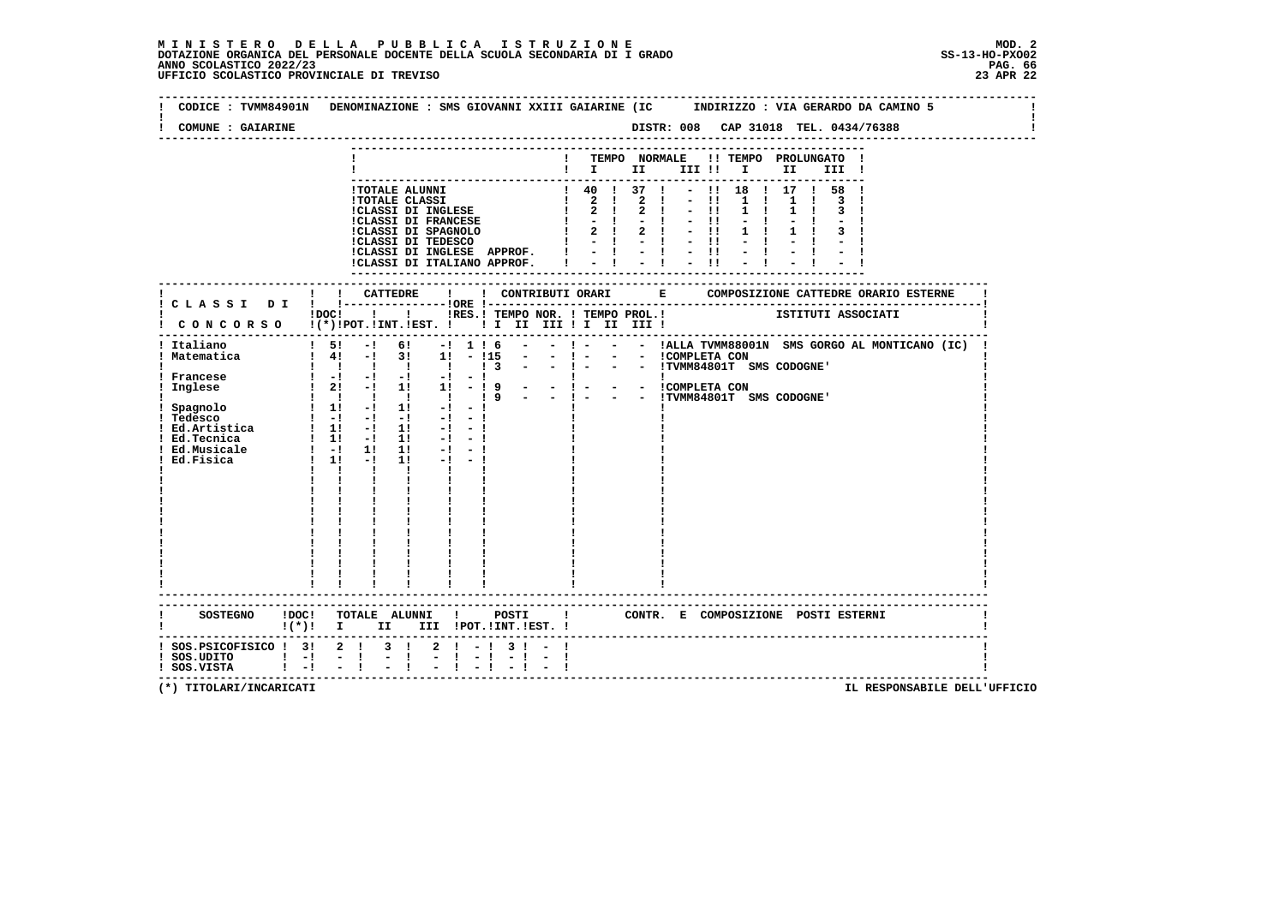**--------------------------------------------------------------------------------------------------------------------------------Contract Contract Contract Contract ! CODICE : TVMM84901N DENOMINAZIONE : SMS GIOVANNI XXIII GAIARINE (IC INDIRIZZO : VIA GERARDO DA CAMINO 5 ! ! ! ! COMUNE : GAIARINE DISTR: 008 CAP 31018 TEL. 0434/76388 ! -------------------------------------------------------------------------------------------------------------------------------- --------------------------------------------------------------------------- ! ! TEMPO NORMALE !! TEMPO PROLUNGATO ! ! ! I II III !! I II III ! --------------------------------------------------------------------------- !TOTALE ALUNNI ! 40 ! 37 ! - !! 18 ! 17 ! 58 ! !TOTALE CLASSI ! 2 ! 2 ! - !! 1 ! 1 ! 3 ! !CLASSI DI INGLESE ! 2 ! 2 ! - !! 1 ! 1 ! 3 ! !CLASSI DI FRANCESE ! - ! - ! - !! - ! - ! - ! !CLASSI DI SPAGNOLO ! 2 ! 2 ! - !! 1 ! 1 ! 3 ! !CLASSI DI TEDESCO ! - ! - ! - !! - ! - ! - ! !CLASSI DI INGLESE APPROF. ! - ! - ! - !! - ! - ! - ! !CLASSI DI ITALIANO APPROF. ! - ! - ! - !! - ! - ! - ! --------------------------------------------------------------------------- ------------------------------------------------------------------------------------------------------------------------- ! ! ! CATTEDRE ! ! CONTRIBUTI ORARI E COMPOSIZIONE CATTEDRE ORARIO ESTERNE ! ! C L A S S I D I ! !---------------!ORE !------------------------------------------------------------------------! ! !DOC! ! ! !RES.! TEMPO NOR. ! TEMPO PROL.! ISTITUTI ASSOCIATI ! ! C O N C O R S O !(\*)!POT.!INT.!EST. ! ! I II III ! I II III ! ! ------------------------------------------------------------------------------------------------------------------------- ! Italiano ! 5! -! 6! -! 1 ! 6 - - ! - - - !ALLA TVMM88001N SMS GORGO AL MONTICANO (IC) ! ! Matematica ! 4! -! 3! 1! - !15 - - ! - - - !COMPLETA CON ! ! ! ! ! ! ! ! 3 - - ! - - - !TVMM84801T SMS CODOGNE' ! ! Francese ! -! -! -! -! - ! ! ! ! ! Inglese ! 2! -! 1! 1! - ! 9 - - ! - - - !COMPLETA CON ! ! ! ! ! ! ! ! 9 - - ! - - - !TVMM84801T SMS CODOGNE' ! ! Spagnolo ! 1! -! 1! -! - ! ! ! ! ! Tedesco ! -! -! -! -! - ! ! ! ! ! Ed.Artistica ! 1! -! 1! -! - ! ! ! ! ! Ed.Tecnica ! 1! -! 1! -! - ! ! ! ! ! Ed.Musicale ! -! 1! 1! -! - ! ! ! ! ! Ed.Fisica ! 1! -! 1! -! - ! ! ! ! ! ! ! ! ! ! ! ! ! ! ! ! ! ! ! ! ! ! ! ! ! ! ! ! ! ! ! ! ! ! ! ! ! ! ! ! ! ! ! ! ! ! ! ! ! ! ! ! ! ! ! ! ! ! ! ! ! ! ! ! ! ! ! ! ! ! ! ! ! ! ! ! ! ! ! ! ! ! ! ! ! ! ! ! ! ! ! ! ! ! ! ! ! ! ! ! ! ! ! ! ! ! ! ! ! ! ! ! ! ! ! ! ! ! ! ! ! ! ! ! ------------------------------------------------------------------------------------------------------------------------- ------------------------------------------------------------------------------------------------------------------------- ! SOSTEGNO !DOC! TOTALE ALUNNI ! POSTI ! CONTR. E COMPOSIZIONE POSTI ESTERNI ! ! !(\*)! I II III !POT.!INT.!EST. ! ! ------------------------------------------------------------------------------------------------------------------------- ! SOS.PSICOFISICO ! 3! 2 ! 3 ! 2 ! - ! 3 ! - ! !** $\blacksquare$  **! SOS.UDITO ! -! - ! - ! - ! - ! - ! - ! ! ! SOS.VISTA ! -! - ! - ! - ! - ! - ! - ! !**- 1  **-------------------------------------------------------------------------------------------------------------------------**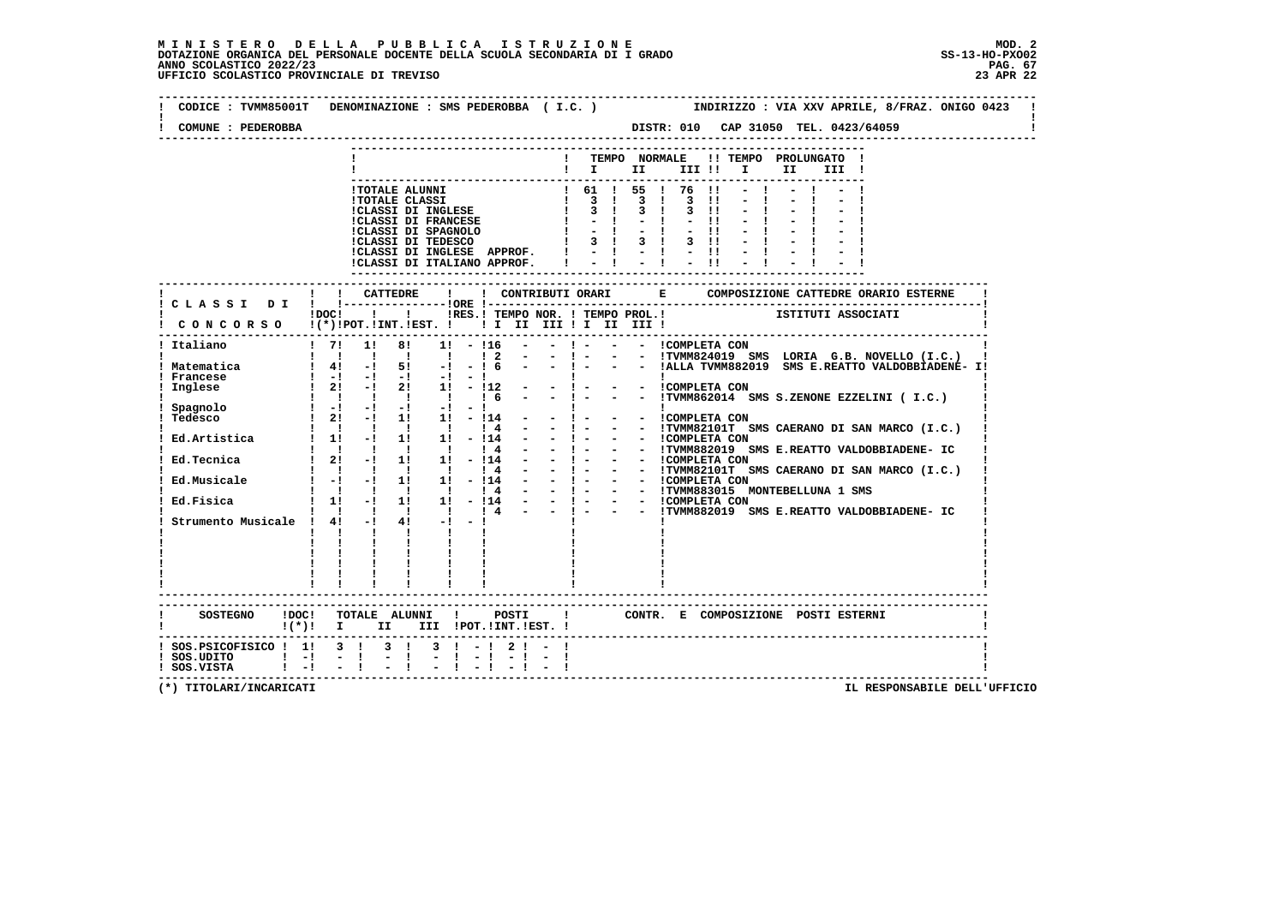## **M I N I S T E R O D E L L A P U B B L I C A I S T R U Z I O N E MOD. 2**DOTAZIONE ORGANICA DEL PERSONALE DOCENTE DELLA SCUOLA SECONDARIA DI I GRADO **SCOLASTICO SCOLASTICO 2022/23 PAG. 67**<br>PAG ANNO SCOLASTICO 2022/23 PAG. 67<br>23 APR 22 UFFICIO SCOLASTICO PROVINCIALE DI TREVISO

| COMUNE : PEDEROBBA                                                                                                                  | DISTR: 010 CAP 31050 TEL. 0423/64059                                                                                                                                                                                                                                                                                                                                                                                                                                                                                                                                                                                                                                                                                                                                                                                                                                                                                                                                                                                                                                                                                                                                                                                                                                                                                                                                                                                                                                                                                                                                                                             |
|-------------------------------------------------------------------------------------------------------------------------------------|------------------------------------------------------------------------------------------------------------------------------------------------------------------------------------------------------------------------------------------------------------------------------------------------------------------------------------------------------------------------------------------------------------------------------------------------------------------------------------------------------------------------------------------------------------------------------------------------------------------------------------------------------------------------------------------------------------------------------------------------------------------------------------------------------------------------------------------------------------------------------------------------------------------------------------------------------------------------------------------------------------------------------------------------------------------------------------------------------------------------------------------------------------------------------------------------------------------------------------------------------------------------------------------------------------------------------------------------------------------------------------------------------------------------------------------------------------------------------------------------------------------------------------------------------------------------------------------------------------------|
|                                                                                                                                     | TEMPO NORMALE<br>!! TEMPO PROLUNGATO !<br>$\blacksquare$ $\blacksquare$ $\blacksquare$ $\blacksquare$ $\blacksquare$ $\blacksquare$ $\blacksquare$ $\blacksquare$<br>II D<br>III !                                                                                                                                                                                                                                                                                                                                                                                                                                                                                                                                                                                                                                                                                                                                                                                                                                                                                                                                                                                                                                                                                                                                                                                                                                                                                                                                                                                                                               |
|                                                                                                                                     | 1 61 1 55 1 76<br><b>!TOTALE ALUNNI</b><br>$\blacksquare$<br>$\begin{array}{cccccccc}\n & 1 & 3 & 1 & 3 & 1 & 3 \\  & 1 & 3 & 1 & 3 & 1 & 3\n\end{array}$<br><b>!TOTALE CLASSI</b><br>$\blacksquare$<br>!CLASSI DI INGLESE<br>$3 \quad 11$<br><b>!CLASSI DI FRANCESE</b><br>$\mathbf{I}$<br>$-1$<br>$-11$<br>CLASSI DI SPAGNOLO<br>$-11$<br>3 1 3 1 3 11<br>$\frac{1}{2}$ $\frac{1}{2}$ $\frac{1}{2}$ $\frac{1}{2}$ $\frac{1}{2}$ $\frac{1}{2}$ $\frac{1}{2}$<br>!CLASSI DI INGLESE APPROF.<br>!CLASSI DI ITALIANO APPROF.                                                                                                                                                                                                                                                                                                                                                                                                                                                                                                                                                                                                                                                                                                                                                                                                                                                                                                                                                                                                                                                                                       |
|                                                                                                                                     | -----------------------------<br>----------                                                                                                                                                                                                                                                                                                                                                                                                                                                                                                                                                                                                                                                                                                                                                                                                                                                                                                                                                                                                                                                                                                                                                                                                                                                                                                                                                                                                                                                                                                                                                                      |
|                                                                                                                                     | !DOC! ! ! !RES.! TEMPO NOR. ! TEMPO PROL.! ISTITUTI ASSOCIATI<br>CONCORSO !(*)!POT.!INT.!EST. ! ! I III III II III !                                                                                                                                                                                                                                                                                                                                                                                                                                                                                                                                                                                                                                                                                                                                                                                                                                                                                                                                                                                                                                                                                                                                                                                                                                                                                                                                                                                                                                                                                             |
| Italiano                                                                                                                            | $1 \t 71 \t 11$<br>81<br>- ! - - - ! COMPLETA CON<br>$1! - 116$                                                                                                                                                                                                                                                                                                                                                                                                                                                                                                                                                                                                                                                                                                                                                                                                                                                                                                                                                                                                                                                                                                                                                                                                                                                                                                                                                                                                                                                                                                                                                  |
| ! Matematica<br>Francese<br>Inglese<br>Spagnolo<br>Tedesco<br>Ed.Artistica<br>Ed.Tecnica<br>Ed.Fisica<br>Strumento Musicale ! 4! -! | - - !TVMM824019 SMS LORIA G.B. NOVELLO (I.C.)<br>$1\quad2$<br>$-1 - 1$<br>- - ! - - - IALLA TVMM882019 SMS E.REATTO VALDOBBIADENE- I!<br>$1 \t4! -1 \t5!$<br>$-! - 16$<br>$\frac{1}{2}$ $\frac{-1}{2}$ $\frac{-1}{-1}$ $\frac{-1}{2}$ $\frac{-1}{2}$ $\frac{-1}{1}$ $\frac{-1}{-1}$ $\frac{-1}{2}$ $\frac{-1}{2}$ $\frac{-1}{2}$ $\frac{-1}{2}$ $\frac{-1}{2}$ $\frac{-1}{2}$ $\frac{-1}{2}$ $\frac{-1}{2}$ $\frac{-1}{2}$ $\frac{-1}{2}$ $\frac{-1}{2}$ $\frac{-1}{2}$ $\frac{-1}{2}$ $\frac{-1}{2}$ $\frac{-1}{2}$<br>$\mathbf{I}$<br>- - <i>i</i> COMPLETA CON<br>- - !TVMM862014 SMS S.ZENONE EZZELINI (I.C.)<br>$\mathbf{1}$ $\mathbf{1}$ $\mathbf{1}$<br>$\frac{1}{6}$<br>- - !TVMM82101T SMS CAERANO DI SAN MARCO (I.C.)<br>$\begin{array}{cccccccccccccc} 1 & 1 & 1 & 1 & 1 & 1 \end{array}$<br>$-1 -$<br>14<br>$\begin{bmatrix} 1 & 1 & 1 \\ 1 & -1 & 1 \end{bmatrix}$ 11<br>$- 1 - - - 1$ COMPLETA CON<br>$\overline{\phantom{a}}$<br>- 114<br>- ! - - - !TVMM882019 SMS E.REATTO VALDOBBIADENE- IC<br>$\begin{array}{cccccccccccccc} 1 & 1 & 1 & 1 & 1 & 1 & 1 \end{array}$<br>14<br>- - 1 - - - ICOMPLETA CON<br>- - 1 - - - ICOMPLETA CON<br>- - 1 - - - ICOMPLETA CON<br>- - 1 - - - ICOMPLETA CON<br>- - 1 - - - ITVMM883015 MONTEBELLUNA 1 SMS<br>- - 1 - - - ITVMM883015 SMS E.REATTO VALDOBBIADENE- IC<br>$12! -11! 1! -114$<br>14<br>Ed.Musicale : -! -! 1! 1! -!14<br>$\begin{array}{cccccccc} 1 & 1 & 1 & 1 & 1 & 1 & 14 \\ 1 & 11 & -1 & 11 & 11 & -114 \end{array}$<br>1 1 1 4<br>$\mathbf{I}$ $\mathbf{I}$<br>$4! -1 -1$<br>$\mathbf{I}$<br>$\mathbf{I}$<br>$\mathbf{I}$<br>$\mathbf{I}$ |
|                                                                                                                                     | ------------------------<br>SOSTEGNO !DOC! TOTALE ALUNNI ! POSTI<br>! CONTR. E COMPOSIZIONE POSTI ESTERNI<br>$!(*)!$ I II III !POT.!INT.!EST. !                                                                                                                                                                                                                                                                                                                                                                                                                                                                                                                                                                                                                                                                                                                                                                                                                                                                                                                                                                                                                                                                                                                                                                                                                                                                                                                                                                                                                                                                  |
| ! SOS. PSICOFISICO ! 1! 3 ! 3 !<br>$!$ SOS.UDITO $!$ -!<br>$!$ SOS.VISTA $!$ $-!$ $-$ !                                             | $3 \mid -1 \mid 2 \mid -1$<br>$-1$<br>$-1$                                                                                                                                                                                                                                                                                                                                                                                                                                                                                                                                                                                                                                                                                                                                                                                                                                                                                                                                                                                                                                                                                                                                                                                                                                                                                                                                                                                                                                                                                                                                                                       |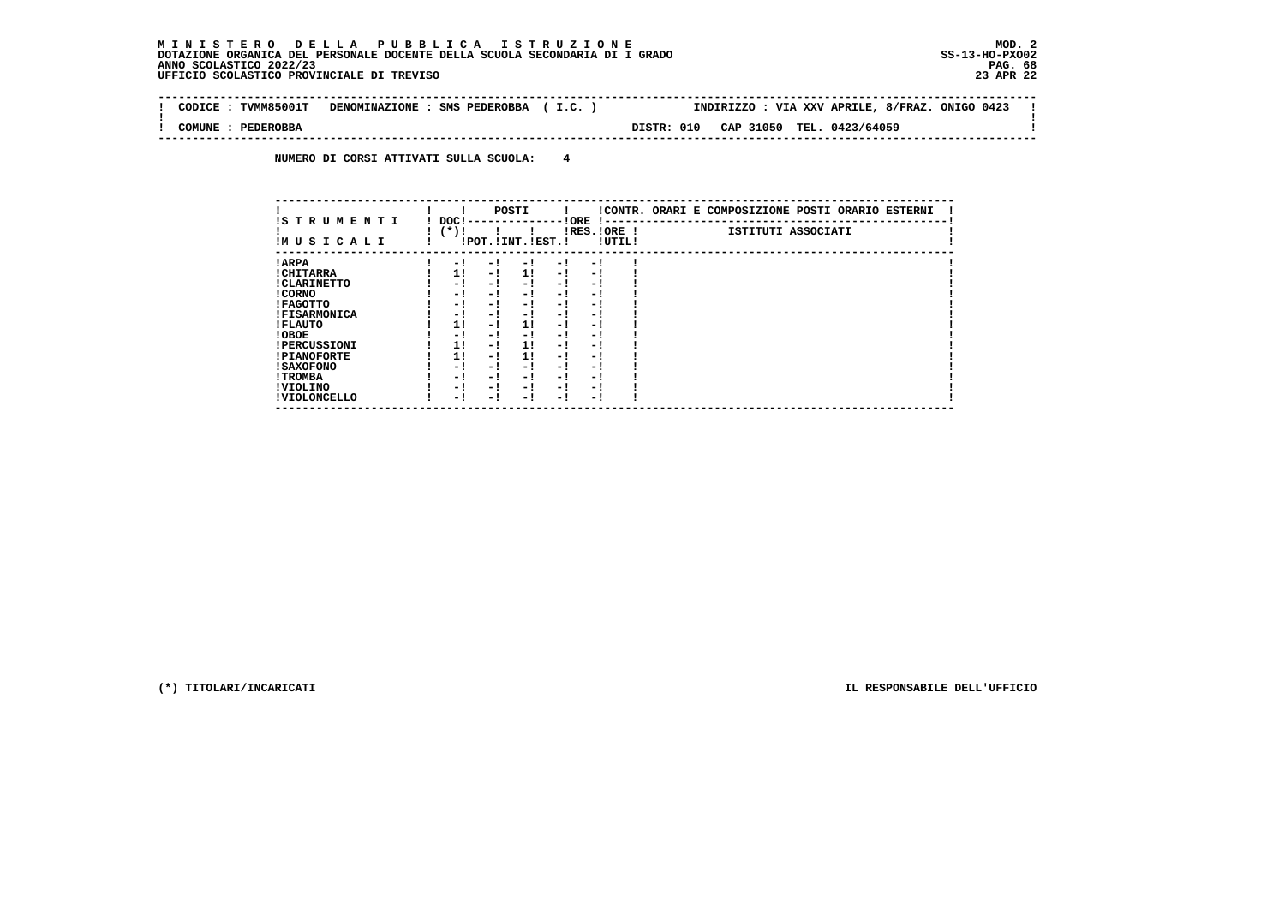**-------------------------------------------------------------------------------------------------------------------------------- ! CODICE : TVMM85001T DENOMINAZIONE : SMS PEDEROBBA ( I.C. ) INDIRIZZO : VIA XXV APRILE, 8/FRAZ. ONIGO 0423 !** $\blacksquare$  **! ! ! COMUNE : PEDEROBBA DISTR: 010 CAP 31050 TEL. 0423/64059 ! --------------------------------------------------------------------------------------------------------------------------------**

 **NUMERO DI CORSI ATTIVATI SULLA SCUOLA: 4**

|                          |                |     | POSTI                 |      |                          |        | !CONTR. ORARI E COMPOSIZIONE POSTI ORARIO ESTERNI |
|--------------------------|----------------|-----|-----------------------|------|--------------------------|--------|---------------------------------------------------|
| IS TRUMENTI<br>IMUSICALI | DOC!<br>$(*)!$ |     | !POT. ! INT. ! EST. ! |      | ! ORE<br>$IRES.IORE$ !   | !UTIL! | ISTITUTI ASSOCIATI                                |
| ! ARPA                   | $-1$           | - 1 | - 1                   | $-1$ | - 1                      |        |                                                   |
| ! CHITARRA               | 11             | - ! | 1!                    | - !  | - 1                      |        |                                                   |
| ! CLARINETTO             | - 1            | - ! | - 1                   | - 1  | - 1                      |        |                                                   |
| ! CORNO                  | - !            | - ! | - 1                   | - !  | - 1                      |        |                                                   |
| ! FAGOTTO                | - 1            | - ! | - 1                   | $-1$ | - 1                      |        |                                                   |
| <b>!FISARMONICA</b>      | - 1            | - ! | - 1                   | - 1  | - 1                      |        |                                                   |
| ! FLAUTO                 | 1!             | - ! | 1!                    | - !  | - 1                      |        |                                                   |
| ! OBOE                   | - !            | - ! | - 1                   | $-1$ | - 1                      |        |                                                   |
| <b>!PERCUSSIONI</b>      | 1!             | - ! | 11                    | - 1  | - 1                      |        |                                                   |
| <b>!PIANOFORTE</b>       | 1!             | - ! | 11                    | - !  | - 1                      |        |                                                   |
| ! SAXOFONO               | - 1            | - ! | - !                   | - 1  | $\overline{\phantom{0}}$ |        |                                                   |
| ! TROMBA                 | - 1            | - ! | - !                   | - 1  | - 1                      |        |                                                   |
| ! VIOLINO                | - 1            | - ! | - !                   | $-1$ | - 1                      |        |                                                   |
| ! VIOLONCELLO            | - 1            | - 1 | - 1                   | – !  | - 1                      |        |                                                   |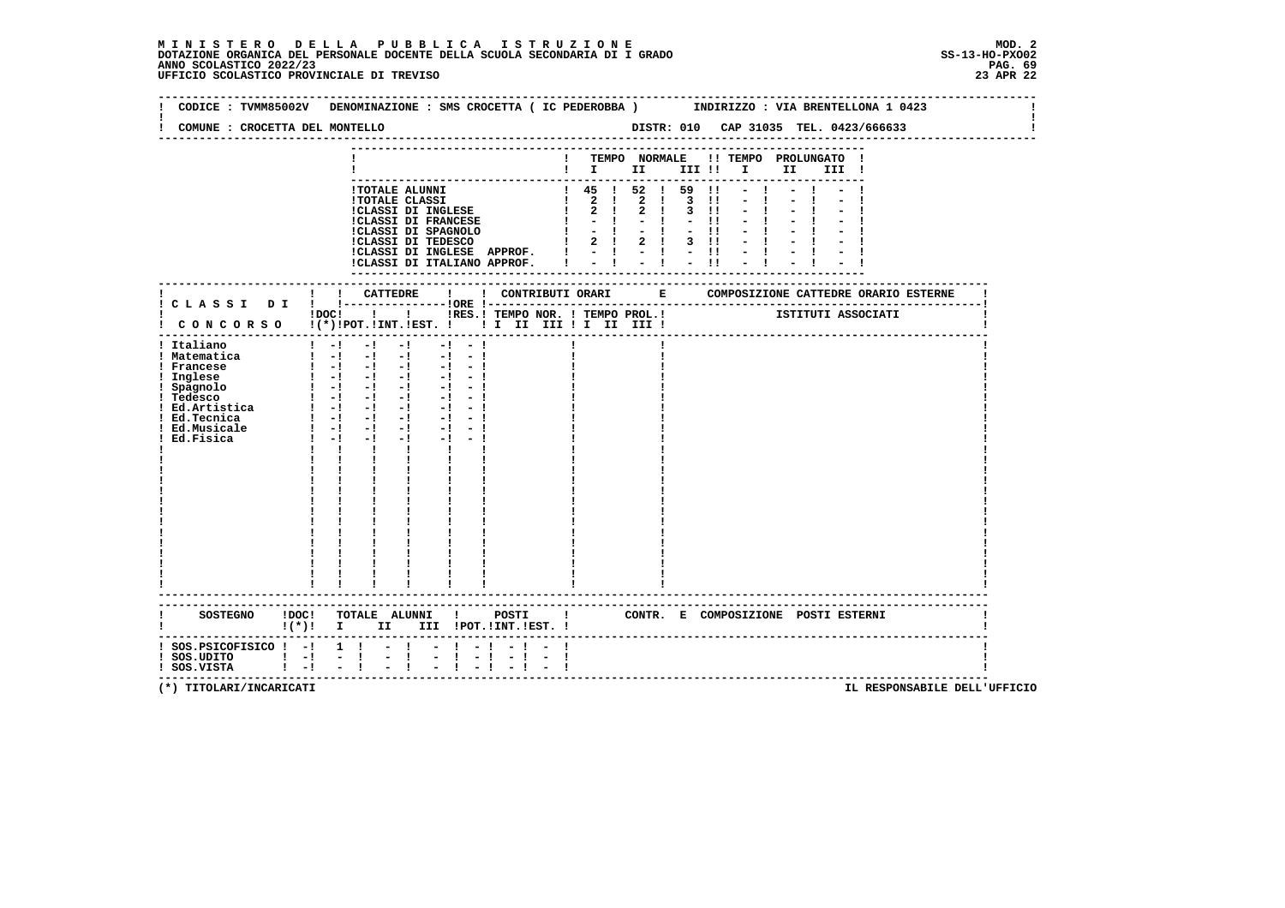# **M I N I S T E R O D E L L A P U B B L I C A I S T R U Z I O N E MOD. 2**DOTAZIONE ORGANICA DEL PERSONALE DOCENTE DELLA SCUOLA SECONDARIA DI I GRADO **SCOLASTICO SCOLASTICO 2022/23 PAG. 69**<br>PAG ANNO SCOLASTICO 2022/23 PAG. 69<br>23 APR 22 UFFICIO SCOLASTICO PROVINCIALE DI TREVISO

| CODICE: TVMM85002V DENOMINAZIONE: SMS CROCETTA ( IC PEDEROBBA )<br>COMUNE : CROCETTA DEL MONTELLO                                                |                            |                                                         |                                                                                                                                                                                                                                                                                                                                                                                                                                                                                                                                                                                                                   |                          |                                                       |                |                              |                                                                                                                                              |                                |                         | INDIRIZZO : VIA BRENTELLONA 1 0423                                                                                                                |      |       |  |  |
|--------------------------------------------------------------------------------------------------------------------------------------------------|----------------------------|---------------------------------------------------------|-------------------------------------------------------------------------------------------------------------------------------------------------------------------------------------------------------------------------------------------------------------------------------------------------------------------------------------------------------------------------------------------------------------------------------------------------------------------------------------------------------------------------------------------------------------------------------------------------------------------|--------------------------|-------------------------------------------------------|----------------|------------------------------|----------------------------------------------------------------------------------------------------------------------------------------------|--------------------------------|-------------------------|---------------------------------------------------------------------------------------------------------------------------------------------------|------|-------|--|--|
|                                                                                                                                                  |                            |                                                         |                                                                                                                                                                                                                                                                                                                                                                                                                                                                                                                                                                                                                   |                          |                                                       |                |                              |                                                                                                                                              |                                |                         |                                                                                                                                                   |      |       |  |  |
|                                                                                                                                                  |                            |                                                         |                                                                                                                                                                                                                                                                                                                                                                                                                                                                                                                                                                                                                   |                          |                                                       |                |                              |                                                                                                                                              |                                |                         | ! TEMPO NORMALE !! TEMPO PROLUNGATO !<br>$\blacksquare$ $\blacksquare$ $\blacksquare$ $\blacksquare$ $\blacksquare$ $\blacksquare$ $\blacksquare$ | II D | III ! |  |  |
|                                                                                                                                                  |                            |                                                         | <b>!TOTALE ALUNNI</b><br><b>!TOTALE CLASSI</b><br>:CLASSI DI INGLESE<br>!CLASSI DI FRANCESE<br>!CLASSI DI SPAGNOLO<br>!CLASSI DI TEDESCO                                                                                                                                                                                                                                                                                                                                                                                                                                                                          |                          |                                                       |                | $\mathbf{I}$<br>$\mathbf{I}$ | 1 45 1 52 1 59<br>$1 \t2 \t1 \t2 \t1 \t3 \t11$<br>$\begin{array}{ccc} 1 & 2 & 1 \end{array}$<br>$-1$<br>$-1$<br>$1 \t2 \t1 \t2 \t1 \t3 \t11$ | 2 1 3 11<br>$-1$ $-11$<br>$-1$ | $\blacksquare$<br>$-11$ |                                                                                                                                                   |      |       |  |  |
|                                                                                                                                                  |                            |                                                         |                                                                                                                                                                                                                                                                                                                                                                                                                                                                                                                                                                                                                   |                          |                                                       |                |                              |                                                                                                                                              |                                |                         |                                                                                                                                                   |      |       |  |  |
| ! CONCORSO !(*)!POT.!INT.!EST. !! I II III !I II III !                                                                                           |                            |                                                         | $!$ $\overline{)}$ $\overline{)}$ $\overline{)}$ $\overline{)}$ $\overline{)}$ $\overline{)}$ $\overline{)}$ $\overline{)}$ $\overline{)}$ $\overline{)}$ $\overline{)}$ $\overline{)}$ $\overline{)}$ $\overline{)}$ $\overline{)}$ $\overline{)}$ $\overline{)}$ $\overline{)}$ $\overline{)}$ $\overline{)}$ $\overline{)}$ $\overline{)}$ $\overline{)}$ $\overline{)}$<br>---------------------------------                                                                                                                                                                                                  |                          | IRES. ! TEMPO NOR. ! TEMPO PROL. ! [STITUTI ASSOCIATI |                |                              |                                                                                                                                              |                                |                         |                                                                                                                                                   |      |       |  |  |
| ! Italiano<br>! Matematica<br>! Francese<br>! Inglese<br>! Spagnolo<br>! Tedesco<br>: Ed.Artistica<br>! Ed.Tecnica<br>! Ed.Musicale<br>Ed.Fisica |                            | $1 - 1 - 1$<br>$1 - 1 - 1$<br>$\mathbf{I}$ $\mathbf{I}$ | $-1$<br>$\begin{array}{cccccccccccccc} 1 & -1 & -1 & -1 & -1 & -1 & -1 \end{array}$<br>$\begin{bmatrix} 1 & -1 & -1 & -1 & -1 & -1 \end{bmatrix}$<br>$\begin{bmatrix} 1 & -1 & -1 & -1 & -1 & -1 \end{bmatrix}$<br>$\begin{bmatrix} 1 & -1 & -1 & -1 & -1 & -1 \end{bmatrix}$<br>$1 - 1 - 1 - 1 - 1 - 1$<br>$1 - 1 - 1 - 1 - 1 - 1 - 1$<br>$\frac{1}{2}$ $\frac{1}{2}$ $\frac{1}{2}$ $\frac{1}{2}$ $\frac{1}{2}$ $\frac{1}{2}$ $\frac{1}{2}$ $\frac{1}{2}$<br>$-1$ $-1$ $-1$<br>$\mathbf{I}$<br>$\mathbf{I}$ and $\mathbf{I}$<br>$\frac{1}{1}$<br>$\begin{array}{c} 1 \\ 1 \\ 1 \\ 1 \end{array}$<br>$\mathbf{I}$ | $-1$<br>$-1$<br>$-1 - 1$ |                                                       |                |                              |                                                                                                                                              |                                |                         |                                                                                                                                                   |      |       |  |  |
| SOSTEGNO !DOC! TOTALE ALUNNI ! POSTI ! CONTR. E COMPOSIZIONE POSTI ESTERNI                                                                       |                            |                                                         | $!(*)!$ I II III $!$ POT. $!$ INT. $!$ EST. $!$                                                                                                                                                                                                                                                                                                                                                                                                                                                                                                                                                                   |                          |                                                       |                |                              |                                                                                                                                              |                                |                         |                                                                                                                                                   |      |       |  |  |
| $:$ SOS. PSICOFISICO $:$ -! 1 !<br>$!$ SOS.UDITO $!$ -! -!<br>! SOS.VISTA                                                                        | $\mathbf{1}$ $\mathbf{-1}$ | $-1$                                                    | $-1$<br>$\sim$ 1.000 $\pm$                                                                                                                                                                                                                                                                                                                                                                                                                                                                                                                                                                                        | $-1 - 1$                 |                                                       | $-1$ $-$<br>-1 |                              |                                                                                                                                              |                                |                         | -----------------------------------                                                                                                               |      |       |  |  |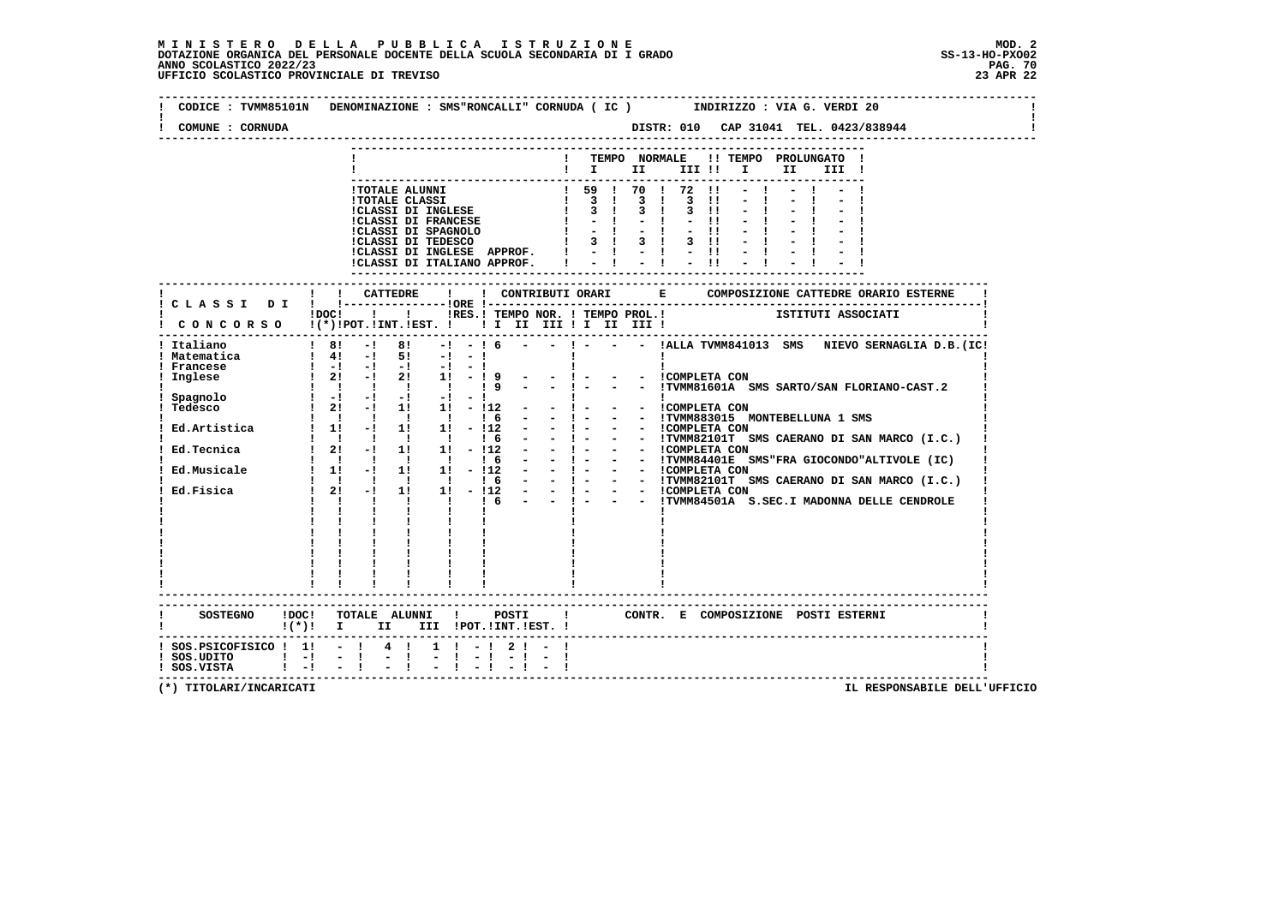| COMUNE : CORNUDA                      | DISTR: 010 CAP 31041 TEL. 0423/838944                                                                                                                                                                                                      |
|---------------------------------------|--------------------------------------------------------------------------------------------------------------------------------------------------------------------------------------------------------------------------------------------|
|                                       | ! TEMPO NORMALE !! TEMPO PROLUNGATO !                                                                                                                                                                                                      |
|                                       | $\mathbf{I}$ is the set of $\mathbf{I}$<br>III !! I<br>II<br>III !                                                                                                                                                                         |
|                                       | ---------------------------<br>$-1$ $-1$ $-1$                                                                                                                                                                                              |
|                                       | $-1$                                                                                                                                                                                                                                       |
|                                       |                                                                                                                                                                                                                                            |
|                                       |                                                                                                                                                                                                                                            |
|                                       |                                                                                                                                                                                                                                            |
|                                       |                                                                                                                                                                                                                                            |
|                                       | ! ! CATTEDRE<br>$\mathbf{I}$                                                                                                                                                                                                               |
|                                       | ! C L A S S I D I ! !----------------- !ORE !--                                                                                                                                                                                            |
|                                       |                                                                                                                                                                                                                                            |
| Italiano                              | $18! -18! -16! -16 -16 -1 -1 -1211$ . IALLA TVMM841013 SMS NIEVO SERNAGLIA D.B. (IC!                                                                                                                                                       |
|                                       |                                                                                                                                                                                                                                            |
|                                       |                                                                                                                                                                                                                                            |
|                                       |                                                                                                                                                                                                                                            |
|                                       |                                                                                                                                                                                                                                            |
|                                       |                                                                                                                                                                                                                                            |
|                                       |                                                                                                                                                                                                                                            |
|                                       |                                                                                                                                                                                                                                            |
|                                       |                                                                                                                                                                                                                                            |
|                                       |                                                                                                                                                                                                                                            |
|                                       | 9 (1991)<br>1991)<br>1992 - 1992 - 1992 - 1992 - 1992 - 1992 - 1992<br>1992 - 1992 - 1992 - 1992 - 1992 - 1992 - 1992 - 1992<br>1992 - 1992 - 1992 - 1992 - 1992 - 1992 - 1993 - 1993<br>1994 015 MONTEBELLUNA 1 SMS<br>1993 - 1993 - 1993 |
|                                       |                                                                                                                                                                                                                                            |
|                                       |                                                                                                                                                                                                                                            |
|                                       |                                                                                                                                                                                                                                            |
|                                       |                                                                                                                                                                                                                                            |
|                                       |                                                                                                                                                                                                                                            |
|                                       |                                                                                                                                                                                                                                            |
|                                       | SOSTEGNO !DOC! TOTALE ALUNNI ! POSTI ! CONTR. E COMPOSIZIONE POSTI ESTERNI<br>$!(*)!$ I II III !POT.!INT.!EST.!                                                                                                                            |
| $:$ SOS. PSICOFISICO $:$ 1! - $:$ 4 ! | $1 \t-1 \t2 \t-1$                                                                                                                                                                                                                          |
|                                       | $-1$                                                                                                                                                                                                                                       |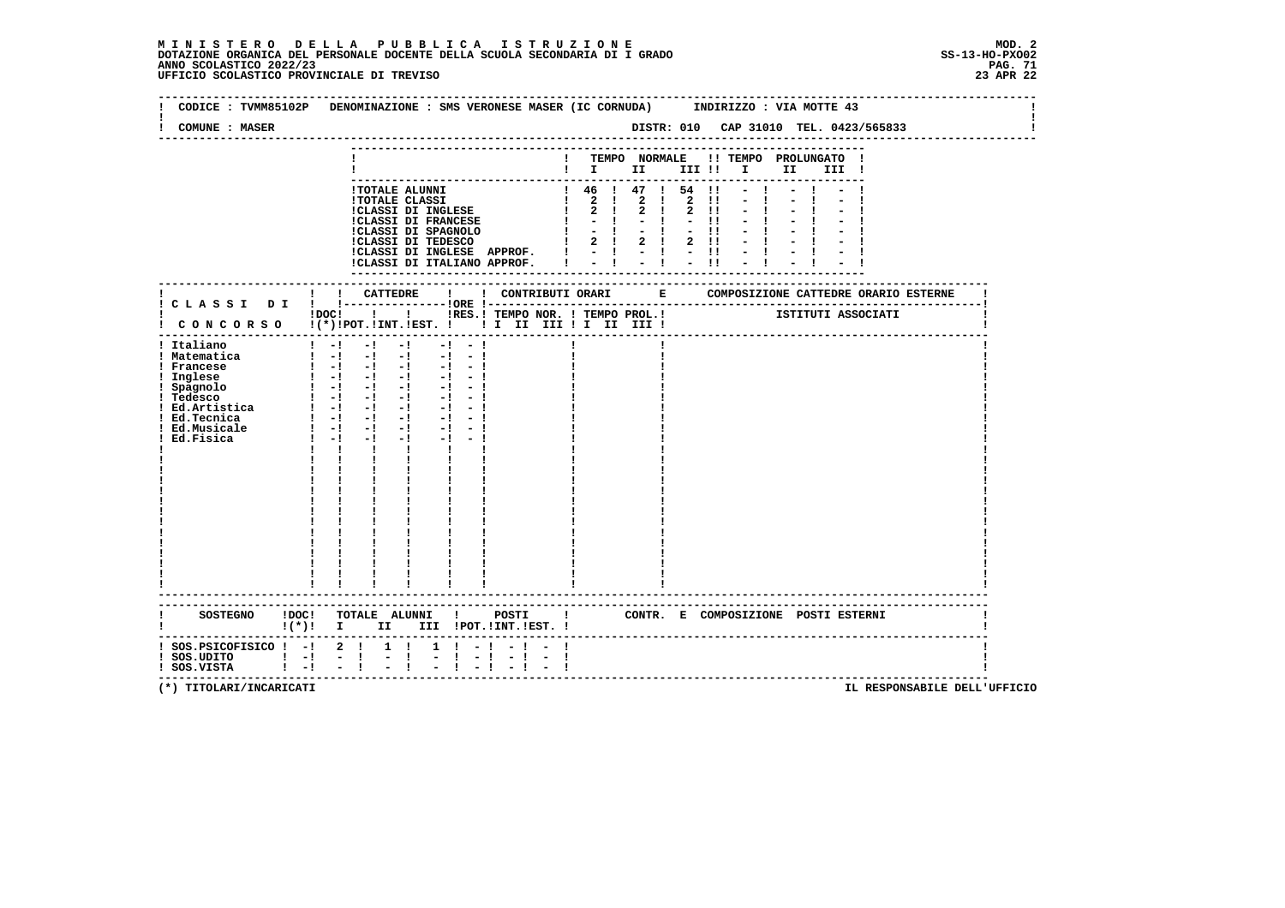| CODICE : TVMM85102P                                                        |                                 |                 | DENOMINAZIONE : SMS VERONESE MASER (IC CORNUDA) INDIRIZZO : VIA MOTTE 43                          |                               |                                                       |                  |              |             |                                                |              |                                       |      |       |                                 |  |
|----------------------------------------------------------------------------|---------------------------------|-----------------|---------------------------------------------------------------------------------------------------|-------------------------------|-------------------------------------------------------|------------------|--------------|-------------|------------------------------------------------|--------------|---------------------------------------|------|-------|---------------------------------|--|
| <b>COMUNE : MASER</b>                                                      |                                 |                 |                                                                                                   |                               |                                                       |                  |              |             |                                                |              | DISTR: 010 CAP 31010 TEL. 0423/565833 |      |       |                                 |  |
|                                                                            |                                 |                 |                                                                                                   |                               |                                                       |                  |              |             |                                                |              |                                       |      |       |                                 |  |
|                                                                            |                                 |                 |                                                                                                   |                               |                                                       |                  |              |             | $\mathbf{I}$ is the set of $\mathbf{I}$        |              | ! TEMPO NORMALE !! TEMPO PROLUNGATO   | II — | III ! |                                 |  |
|                                                                            |                                 |                 |                                                                                                   |                               |                                                       |                  |              |             |                                                |              |                                       |      |       |                                 |  |
|                                                                            |                                 |                 | <b>!TOTALE ALUNNI</b>                                                                             |                               |                                                       |                  |              |             | $1 \t46 \t147 \t54 \t11$                       |              |                                       |      |       |                                 |  |
|                                                                            |                                 |                 | <b>!TOTALE CLASSI</b><br><b>!CLASSI DI INGLESE</b>                                                |                               |                                                       |                  |              | $2 \quad 1$ | $1 \t2 \t1 \t2 \t1 \t2 \t11$<br>2 <sub>1</sub> | $2 \quad 11$ |                                       |      |       |                                 |  |
|                                                                            |                                 |                 | <b>!CLASSI DI FRANCESE</b>                                                                        |                               |                                                       | $\mathbf{I}$     |              | $-1$        |                                                | $-11$        |                                       |      |       |                                 |  |
|                                                                            |                                 |                 | !CLASSI DI SPAGNOLO<br>!CLASSI DI TEDESCO                                                         |                               |                                                       |                  | $\mathbf{I}$ | $-1$ $-1$   |                                                | $-11$        |                                       |      |       |                                 |  |
|                                                                            |                                 |                 | !CLASSI DI INGLESE APPROF. ! - ! - ! - !!                                                         |                               |                                                       |                  |              |             | 2 1 2 1                                        | $2 \quad 11$ |                                       |      |       |                                 |  |
|                                                                            |                                 |                 | !CLASSI DI ITALIANO APPROF.                                                                       |                               |                                                       |                  |              |             | $-1 - 1 - 1$                                   |              |                                       |      |       |                                 |  |
|                                                                            |                                 |                 |                                                                                                   |                               |                                                       |                  |              |             |                                                |              |                                       |      |       |                                 |  |
|                                                                            |                                 | ! CATTEDRE      |                                                                                                   | $\mathbf{I}$ and $\mathbf{I}$ |                                                       |                  |              |             |                                                |              |                                       |      |       |                                 |  |
|                                                                            |                                 |                 |                                                                                                   |                               |                                                       |                  |              |             |                                                |              |                                       |      |       |                                 |  |
|                                                                            |                                 |                 | $1\,\text{DOC1}$ $1$ $1$                                                                          |                               | IRES. ! TEMPO NOR. ! TEMPO PROL. ! [STITUTI ASSOCIATI |                  |              |             |                                                |              |                                       |      |       |                                 |  |
| ! CONCORSO !(*)!POT.!INT.!EST. !! I II III !I II III !                     |                                 |                 |                                                                                                   |                               |                                                       |                  |              |             |                                                |              |                                       |      |       |                                 |  |
| ! Italiano                                                                 | $1 - 1$                         | $-1$            | $-1$                                                                                              | $-1$<br>$-1$                  |                                                       |                  |              |             |                                                |              |                                       |      |       |                                 |  |
| ! Matematica                                                               |                                 | $1 - 1 - 1 - 1$ |                                                                                                   | $-1 - 1$                      |                                                       |                  |              |             |                                                |              |                                       |      |       |                                 |  |
| ! Francese<br>! Inglese                                                    |                                 | $1 - 1 - 1 - 1$ | $\begin{bmatrix} 1 & -1 & -1 & -1 & -1 & -1 \end{bmatrix}$                                        | $-1 - -1$                     |                                                       |                  |              |             |                                                |              |                                       |      |       |                                 |  |
| ! Spagnolo                                                                 |                                 |                 | $\begin{array}{cccccccccccccc} 1 & -1 & -1 & -1 & -1 & -1 & -1 \end{array}$                       |                               |                                                       |                  |              |             |                                                |              |                                       |      |       |                                 |  |
| ! Tedesco                                                                  |                                 |                 | $\frac{1}{2}$ $\frac{1}{2}$ $\frac{1}{2}$ $\frac{1}{2}$ $\frac{1}{2}$ $\frac{1}{2}$ $\frac{1}{2}$ | $-1 - 1$                      |                                                       |                  |              |             |                                                |              |                                       |      |       |                                 |  |
| ! Ed.Artistica                                                             |                                 |                 | $1 - 1 - 1 - 1$<br>$1 - 1 - 1 - 1 - 1 - 1$                                                        |                               |                                                       |                  |              |             |                                                |              |                                       |      |       |                                 |  |
| ! Ed.Tecnica<br>! Ed.Musicale                                              |                                 | $1 - 1 - 1$     | $-1$ $-$                                                                                          | $-1 - -1$                     |                                                       |                  |              |             |                                                |              |                                       |      |       |                                 |  |
| Ed.Fisica                                                                  | $1 - -1$                        | $-1$            | $-1$ and $-1$                                                                                     |                               |                                                       |                  |              |             |                                                |              |                                       |      |       |                                 |  |
|                                                                            | $\mathbf{I}$                    | $\mathbf{I}$    | $\mathbf{I}$ and $\mathbf{I}$                                                                     |                               |                                                       |                  |              |             |                                                |              |                                       |      |       |                                 |  |
|                                                                            |                                 |                 |                                                                                                   |                               |                                                       |                  |              |             |                                                |              |                                       |      |       |                                 |  |
|                                                                            |                                 |                 |                                                                                                   |                               |                                                       |                  |              |             |                                                |              |                                       |      |       |                                 |  |
|                                                                            |                                 |                 |                                                                                                   |                               |                                                       |                  |              |             |                                                |              |                                       |      |       |                                 |  |
|                                                                            |                                 |                 |                                                                                                   |                               |                                                       |                  |              |             |                                                |              |                                       |      |       |                                 |  |
|                                                                            |                                 |                 |                                                                                                   |                               |                                                       |                  |              |             |                                                |              |                                       |      |       |                                 |  |
|                                                                            |                                 |                 |                                                                                                   |                               |                                                       |                  |              |             |                                                |              |                                       |      |       |                                 |  |
|                                                                            |                                 |                 |                                                                                                   |                               |                                                       |                  |              |             |                                                |              |                                       |      |       |                                 |  |
|                                                                            |                                 |                 |                                                                                                   |                               |                                                       |                  |              |             |                                                |              |                                       |      |       |                                 |  |
|                                                                            |                                 |                 |                                                                                                   |                               |                                                       |                  |              |             |                                                |              |                                       |      |       |                                 |  |
|                                                                            |                                 |                 |                                                                                                   |                               |                                                       |                  |              |             |                                                |              |                                       |      |       |                                 |  |
|                                                                            |                                 |                 |                                                                                                   |                               |                                                       |                  |              |             |                                                |              |                                       |      |       |                                 |  |
| SOSTEGNO !DOC! TOTALE ALUNNI ! POSTI ! CONTR. E COMPOSIZIONE POSTI ESTERNI | $\mathbf{I}(\star)\mathbf{I}$ I |                 | II III !POT. !INT. !EST. !                                                                        |                               |                                                       |                  |              |             |                                                |              |                                       |      |       |                                 |  |
| $:$ SOS.PSICOFISICO $:$ - $:$ 2 $:$                                        |                                 |                 | $1 \quad 1$                                                                                       | $1 \t-1$                      |                                                       |                  |              |             |                                                |              |                                       |      |       |                                 |  |
| $!$ SOS.UDITO $!$ -!                                                       |                                 | $\sim$ 1.       | $\sim$<br>п.<br>$\sim$                                                                            | $1 - 1$                       | $-1$                                                  | -1<br>$\sim$ $-$ |              |             |                                                |              |                                       |      |       |                                 |  |
| ! SOS.VISTA                                                                | $1 - 1$                         | $-1$            |                                                                                                   |                               |                                                       |                  |              |             |                                                |              |                                       |      |       | ------------------------------- |  |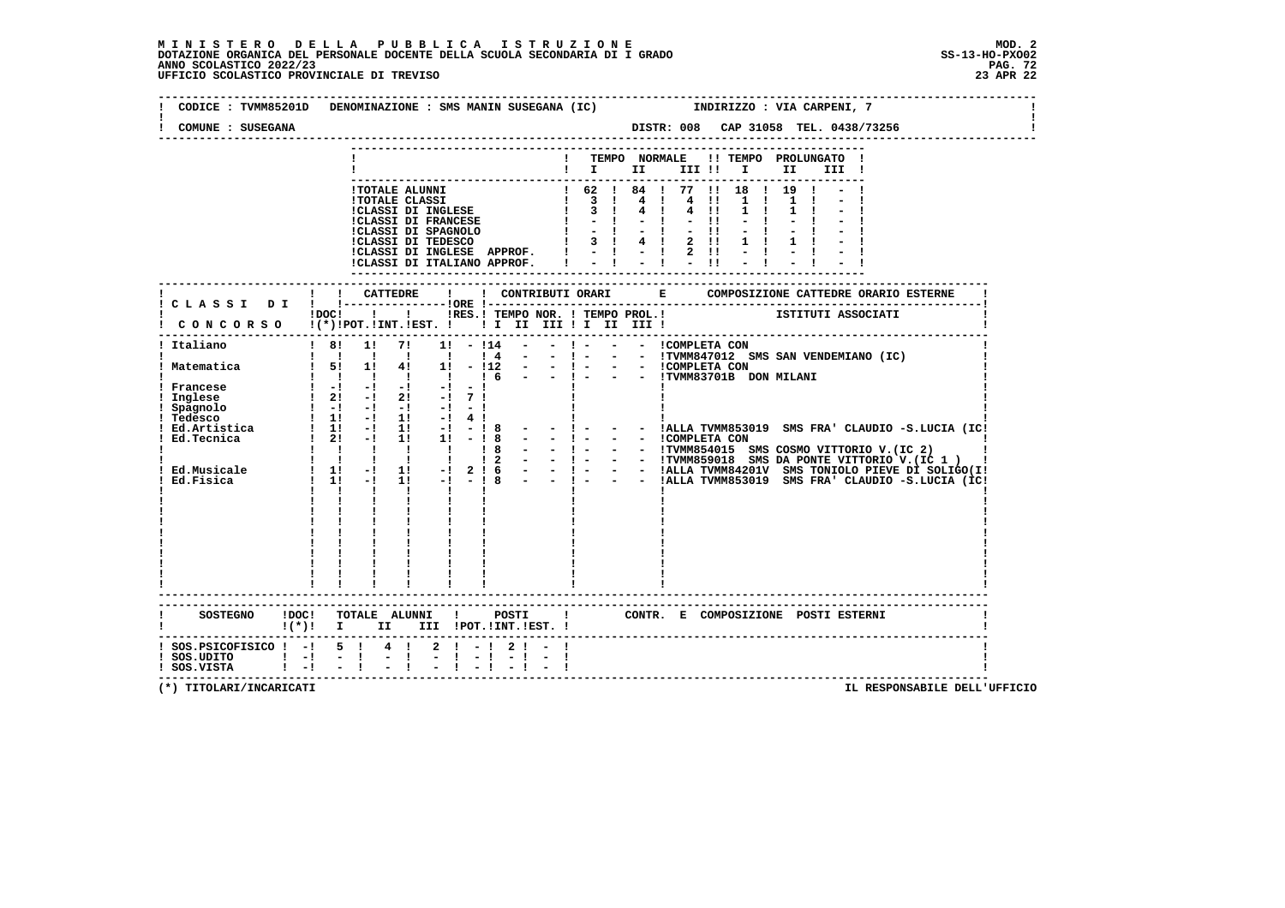## **M I N I S T E R O D E L L A P U B B L I C A I S T R U Z I O N E MOD. 2**DOTAZIONE ORGANICA DEL PERSONALE DOCENTE DELLA SCUOLA SECONDARIA DI I GRADO **SCOLASTICO SCOLASTICO 2022/23 PAG-**<br>PAG ANNO SCOLASTICO 2022/23 PAG. 72<br>23 APR 22 UFFICIO SCOLASTICO PROVINCIALE DI TREVISO

|                                              | CODICE: TVMM85201D DENOMINAZIONE: SMS MANIN SUSEGANA (IC) TNDIRIZZO: VIA CARPENI, 7                                                               |
|----------------------------------------------|---------------------------------------------------------------------------------------------------------------------------------------------------|
| COMUNE : SUSEGANA                            |                                                                                                                                                   |
|                                              | ! TEMPO NORMALE !! TEMPO PROLUNGATO !                                                                                                             |
|                                              | $\mathbf{I}$ is the set of $\mathbf{I}$<br>III !                                                                                                  |
|                                              |                                                                                                                                                   |
|                                              |                                                                                                                                                   |
|                                              |                                                                                                                                                   |
|                                              |                                                                                                                                                   |
|                                              |                                                                                                                                                   |
|                                              |                                                                                                                                                   |
|                                              |                                                                                                                                                   |
|                                              |                                                                                                                                                   |
|                                              | ! ! CATTEDRE<br>$\mathbf{I}$                                                                                                                      |
|                                              | IDOC! ! IRES.I TEMPO NOR. I TEMPO PROL. ! [STITUTI ASSOCIATI                                                                                      |
|                                              | CONCORSO !(*)!POT.!INT.!EST. !!!!!!!!!!!!!!!!                                                                                                     |
| ! Italiano                                   | ----------------------------------<br>$18!$ 1! 7! 1! - $114$ - - ! - - - ICOMPLETA CON                                                            |
|                                              |                                                                                                                                                   |
|                                              |                                                                                                                                                   |
|                                              |                                                                                                                                                   |
|                                              |                                                                                                                                                   |
|                                              |                                                                                                                                                   |
|                                              |                                                                                                                                                   |
|                                              |                                                                                                                                                   |
|                                              |                                                                                                                                                   |
|                                              |                                                                                                                                                   |
|                                              |                                                                                                                                                   |
|                                              |                                                                                                                                                   |
|                                              | $\mathbf{i}$ $\mathbf{j}$ $\mathbf{k}$ $\mathbf{k}$ $\mathbf{k}$ $\mathbf{k}$ $\mathbf{k}$ $\mathbf{k}$ $\mathbf{k}$ $\mathbf{k}$<br>$\mathbf{I}$ |
|                                              |                                                                                                                                                   |
|                                              |                                                                                                                                                   |
|                                              |                                                                                                                                                   |
|                                              |                                                                                                                                                   |
|                                              |                                                                                                                                                   |
|                                              |                                                                                                                                                   |
|                                              |                                                                                                                                                   |
|                                              |                                                                                                                                                   |
|                                              |                                                                                                                                                   |
| SOSTEGNO ! DOC!                              | TOTALE ALUNNI ! POSTI ! CONTR. E COMPOSIZIONE POSTIESTERNI                                                                                        |
|                                              | ! (*)! I II III !POT.!INT.!EST.!                                                                                                                  |
|                                              | ! SOS. PSICOFISICO ! -! 5 ! 4 ! 2 ! -! 2 ! - !                                                                                                    |
| ! SOS.UDITO ! -! - !<br>! SOS.VISTA ! -! - ! | $\frac{1}{2}$                                                                                                                                     |
|                                              |                                                                                                                                                   |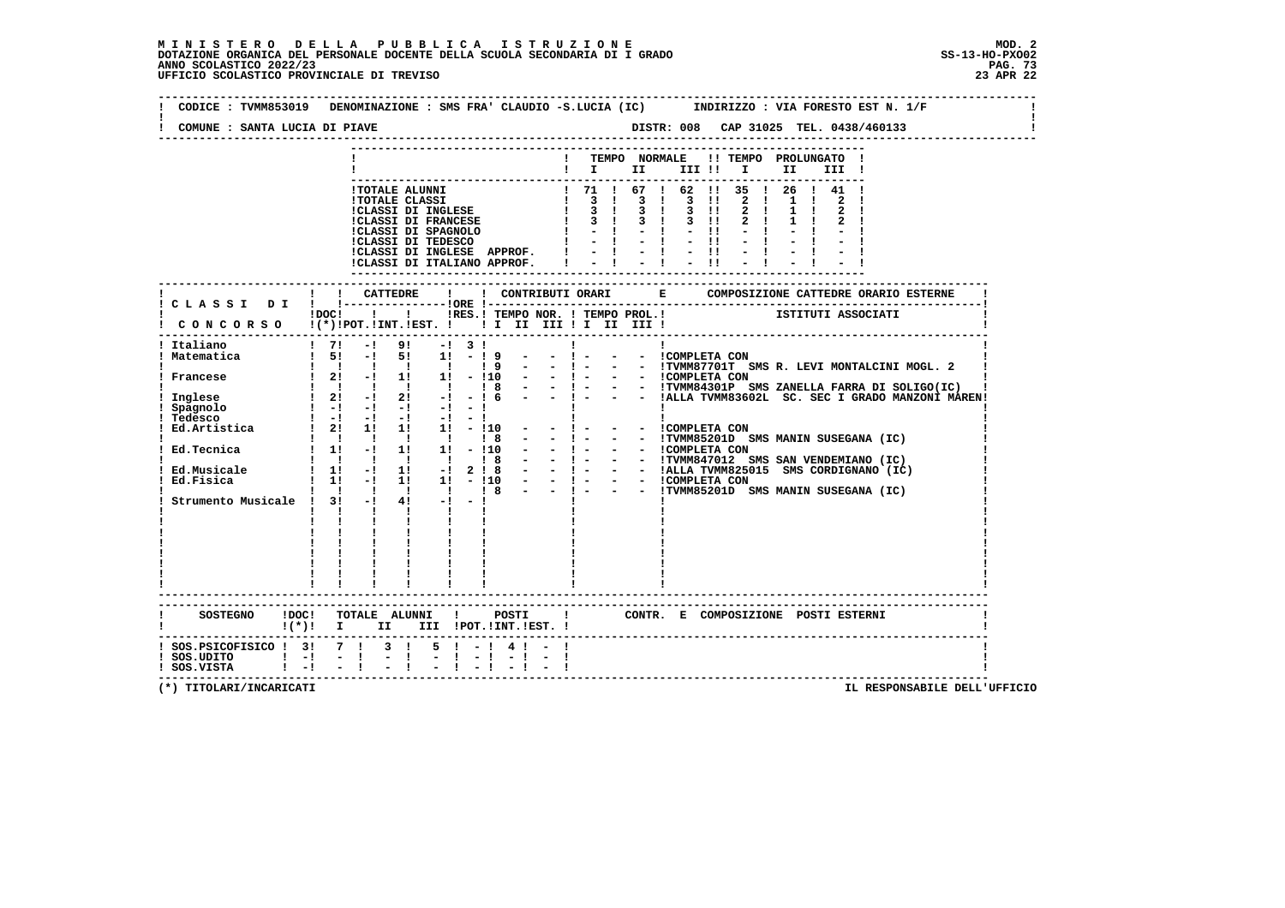| COMUNE : SANTA LUCIA DI PIAVE                | DISTR: 008 CAP 31025 TEL. 0438/460133                                                                                                                          |
|----------------------------------------------|----------------------------------------------------------------------------------------------------------------------------------------------------------------|
|                                              | ! TEMPO NORMALE !! TEMPO PROLUNGATO !<br>$\mathbf{I}$ is the set of $\mathbf{I}$<br>III !!!!<br>II D<br>III !                                                  |
|                                              |                                                                                                                                                                |
|                                              | ! ! CATTEDRE<br>$\mathbf{I}$<br>$\mathbf{1}$ and $\mathbf{1}$ and $\mathbf{1}$<br>IRES.I TEMPO NOR. I TEMPO PROL.I                 ISTITUTI ASSOCIATI<br>!DOC! |
|                                              | CONCORSO !(*)!POT.!INT.!EST. !!!!!!!!!!!!!!!!                                                                                                                  |
| Italiano                                     | $1 \t7! -1 \t9! -1 \t3!$<br><b>Contract Contract Contract</b>                                                                                                  |
|                                              |                                                                                                                                                                |
|                                              |                                                                                                                                                                |
|                                              |                                                                                                                                                                |
|                                              | $\mathbf{I}$ $\mathbf{I}$<br>$\mathbf{I}$ and $\mathbf{I}$                                                                                                     |
|                                              |                                                                                                                                                                |
|                                              | SOSTEGNO !DOC! TOTALE ALUNNI ! POSTI ! CONTR. E COMPOSIZIONE POSTI ESTERNI<br>$!(*)!$ I II III !POT.!INT.!EST. !                                               |
| ! SOS.UDITO ! -! - !<br>! SOS.VISTA ! -! - ! | ! SOS. PSICOFISICO ! 3! 7 ! 3 ! 5 ! - ! 4 ! - !<br>$\frac{1}{2}$                                                                                               |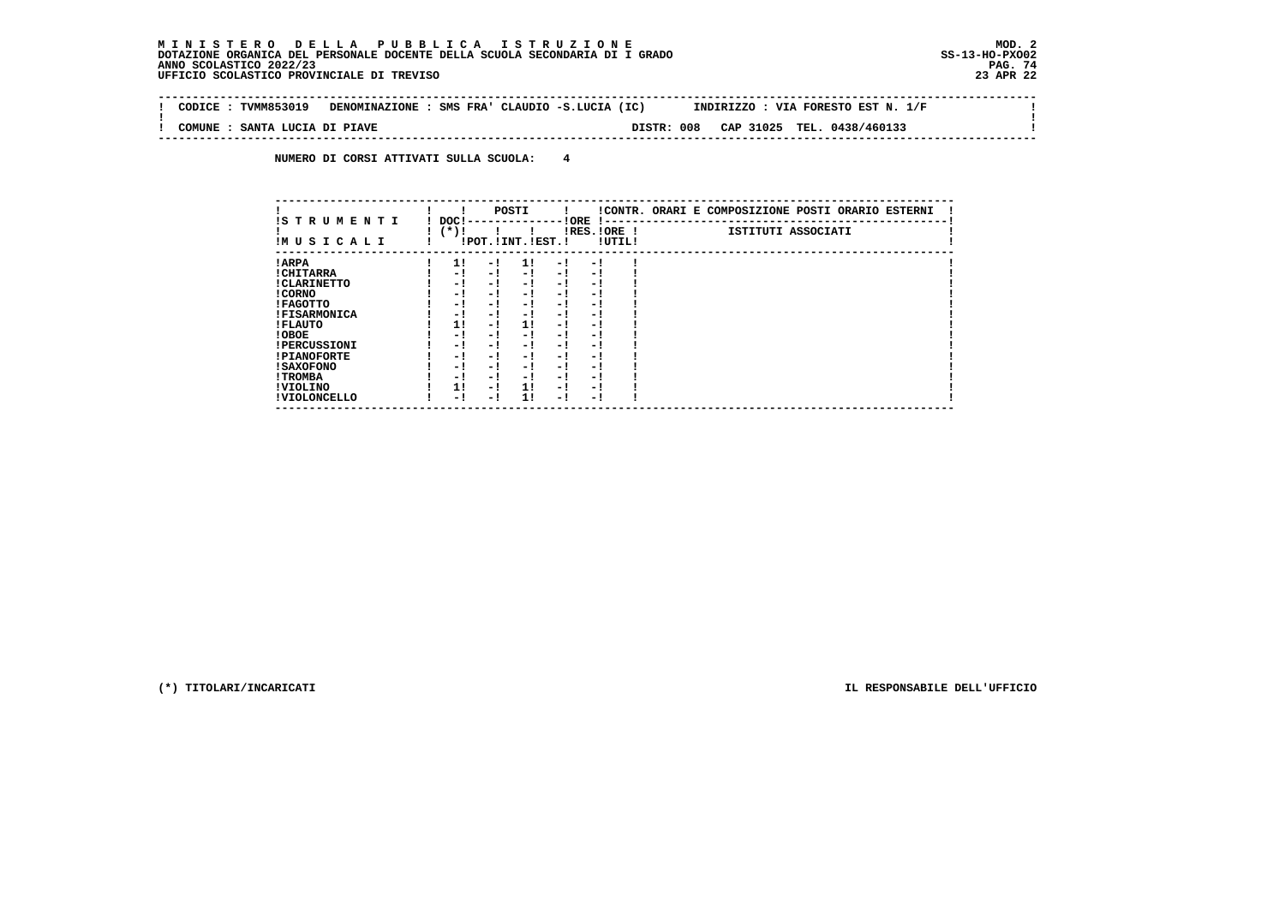$\mathbf{I}$ 

 $\mathbf{I}$ 

 **--------------------------------------------------------------------------------------------------------------------------------Contract Contract ! CODICE : TVMM853019 DENOMINAZIONE : SMS FRA' CLAUDIO -S.LUCIA (IC) INDIRIZZO : VIA FORESTO EST N. 1/F ! ! ! ! COMUNE : SANTA LUCIA DI PIAVE DISTR: 008 CAP 31025 TEL. 0438/460133 ! --------------------------------------------------------------------------------------------------------------------------------**

 **NUMERO DI CORSI ATTIVATI SULLA SCUOLA: 4**

| IS T R U M E N T I  | DOC! |     | POSTI                 | ! ORE | -1 - -                   |        | !CONTR. ORARI E COMPOSIZIONE POSTI ORARIO ESTERNI |
|---------------------|------|-----|-----------------------|-------|--------------------------|--------|---------------------------------------------------|
| IMUSICALI           | (*)! |     | !POT. ! INT. ! EST. ! |       | $IRES.IORE$ !            | !UTIL! | ISTITUTI ASSOCIATI                                |
| ! ARPA              | 1!   | - 1 | 11                    | - 1   | - !                      |        |                                                   |
| ! CHITARRA          | - 1  | - ! | $-1$                  | $-1$  | - 1                      |        |                                                   |
| ! CLARINETTO        | - 1  | - ! | - 1                   | - 1   | - 1                      |        |                                                   |
| ! CORNO             | - 1  | - ! | - 1                   | - !   | - 1                      |        |                                                   |
| ! FAGOTTO           | - 1  | - ! | - 1                   | - 1   | - 1                      |        |                                                   |
| <b>!FISARMONICA</b> | - 1  | - ! | - !                   | - 1   | - 1                      |        |                                                   |
| ! FLAUTO            | 11   | - ! | 11                    | - !   | - 1                      |        |                                                   |
| ! OBOE              | - 1  | - ! | - 1                   | - 1   | - 1                      |        |                                                   |
| <b>!PERCUSSIONI</b> | - 1  | - 1 | - 1                   | - 1   | - 1                      |        |                                                   |
| <b>!PIANOFORTE</b>  | - 1  | - 1 | - 1                   | $-1$  | - 1                      |        |                                                   |
| ! SAXOFONO          | - 1  | - 1 | - !                   | - 1   | $\overline{\phantom{0}}$ |        |                                                   |
| ! TROMBA            | - 1  | - ! | - !                   | - 1   | - 1                      |        |                                                   |
| ! VIOLINO           | 1!   | - 1 | 11                    | $-1$  | - 1                      |        |                                                   |
| ! VIOLONCELLO       | - 1  | - 1 | 11                    | - 1   | - 1                      |        |                                                   |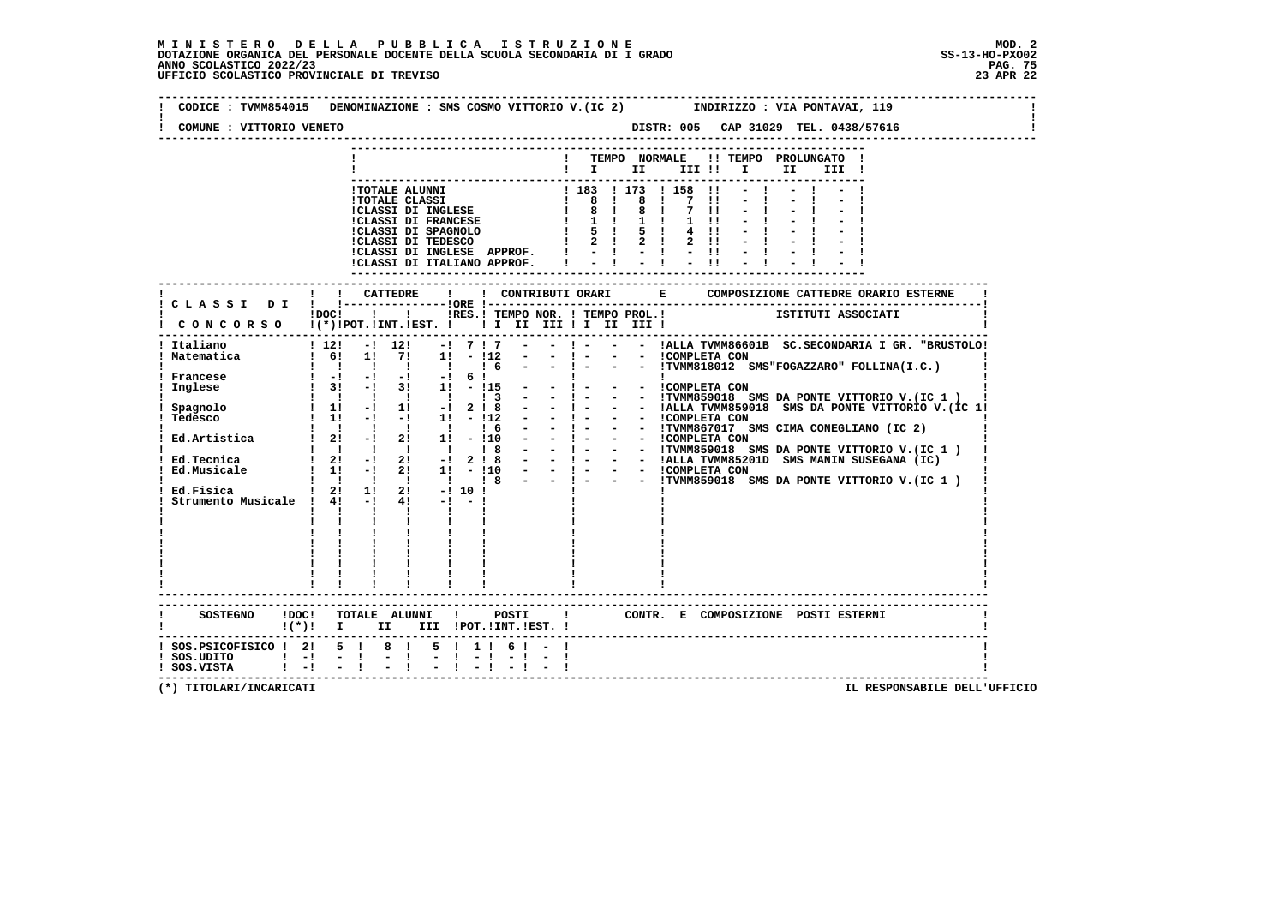**--------------------------------------------------------------------------------------------------------------------------------** $\mathbf{I}$  **! CODICE : TVMM854015 DENOMINAZIONE : SMS COSMO VITTORIO V.(IC 2) INDIRIZZO : VIA PONTAVAI, 119 ! ! !** $\mathbf{I}$  **! COMUNE : VITTORIO VENETO DISTR: 005 CAP 31029 TEL. 0438/57616 ! -------------------------------------------------------------------------------------------------------------------------------- --------------------------------------------------------------------------- ! ! TEMPO NORMALE !! TEMPO PROLUNGATO ! ! ! I II III !! I II III ! --------------------------------------------------------------------------- !TOTALE ALUNNI ! 183 ! 173 ! 158 !! - ! - ! - ! !TOTALE CLASSI ! 8 ! 8 ! 7 !! - ! - ! - ! !CLASSI DI INGLESE ! 8 ! 8 ! 7 !! - ! - ! - ! !CLASSI DI FRANCESE ! 1 ! 1 ! 1 !! - ! - ! - ! !CLASSI DI SPAGNOLO ! 5 ! 5 ! 4 !! - ! - ! - ! !CLASSI DI TEDESCO ! 2 ! 2 ! 2 !! - ! - ! - ! !CLASSI DI INGLESE APPROF. ! - ! - ! - !! - ! - ! - ! !CLASSI DI ITALIANO APPROF. ! - ! - ! - !! - ! - ! - ! --------------------------------------------------------------------------- ------------------------------------------------------------------------------------------------------------------------- ! ! ! CATTEDRE ! ! CONTRIBUTI ORARI E COMPOSIZIONE CATTEDRE ORARIO ESTERNE ! ! C L A S S I D I ! !---------------!ORE !------------------------------------------------------------------------! POC! !! ISS.! TEMPO NOR. ! TEMPO PROL.!** ISTITUTI ASSOCIATI  **! C O N C O R S O !(\*)!POT.!INT.!EST. ! ! I II III ! I II III ! ! ------------------------------------------------------------------------------------------------------------------------- ! Italiano ! 12! -! 12! -! 7 ! 7 - - ! - - - !ALLA TVMM86601B SC.SECONDARIA I GR. "BRUSTOLO! ! Matematica ! 6! 1! 7! 1! - !12 - - ! - - - !COMPLETA CON ! ! ! ! ! ! ! ! 6 - - ! - - - !TVMM818012 SMS"FOGAZZARO" FOLLINA(I.C.) ! ! Francese ! -! -! -! -! 6 ! ! ! ! ! Inglese ! 3! -! 3! 1! - !15 - - ! - - - !COMPLETA CON ! ! ! ! ! ! ! ! 3 - - ! - - - !TVMM859018 SMS DA PONTE VITTORIO V.(IC 1 ) ! ! Spagnolo ! 1! -! 1! -! 2 ! 8 - - ! - - - !ALLA TVMM859018 SMS DA PONTE VITTORIO V.(IC 1! ! Tedesco ! 1! -! -! 1! - !12 - - ! - - - !COMPLETA CON ! ! ! ! ! ! ! ! 6 - - ! - - - !TVMM867017 SMS CIMA CONEGLIANO (IC 2) ! ! Ed.Artistica ! 2! -! 2! 1! - !10 - - ! - - - !COMPLETA CON ! ! ! ! ! ! ! ! 8 - - ! - - - !TVMM859018 SMS DA PONTE VITTORIO V.(IC 1 ) ! ! Ed.Tecnica ! 2! -! 2! -! 2 ! 8 - - ! - - - !ALLA TVMM85201D SMS MANIN SUSEGANA (IC) ! ! Ed.Musicale ! 1! -! 2! 1! - !10 - - ! - - - !COMPLETA CON ! ! ! ! ! ! ! ! 8 - - ! - - - !TVMM859018 SMS DA PONTE VITTORIO V.(IC 1 ) ! ! Ed.Fisica ! 2! 1! 2! -! 10 ! ! ! ! ! Strumento Musicale ! 4! -! 4! -! - ! ! ! ! ! ! ! ! ! ! ! ! ! ! ! ! ! ! ! ! ! ! ! ! ! ! ! ! ! ! ! ! ! ! ! ! ! ! ! ! ! ! ! ! ! ! ! ! ! ! ! ! ! ! ! ! ! ! ! ! ! ! ! ! ! ! ! ! ! ! ! ! ! ! ! ! ! ! ! ! ! ! ! ! ------------------------------------------------------------------------------------------------------------------------- ------------------------------------------------------------------------------------------------------------------------- ! SOSTEGNO !DOC! TOTALE ALUNNI ! POSTI ! CONTR. E COMPOSIZIONE POSTI ESTERNI ! ! !(\*)! I II III !POT.!INT.!EST. ! ! ------------------------------------------------------------------------------------------------------------------------- ! SOS.PSICOFISICO ! 2! 5 ! 8 ! 5 ! 1 ! 6 ! - ! !**- 1  **! SOS.UDITO ! -! - ! - ! - ! - ! - ! - ! ! ! SOS.VISTA ! -! - ! - ! - ! - ! - ! - ! ! -------------------------------------------------------------------------------------------------------------------------**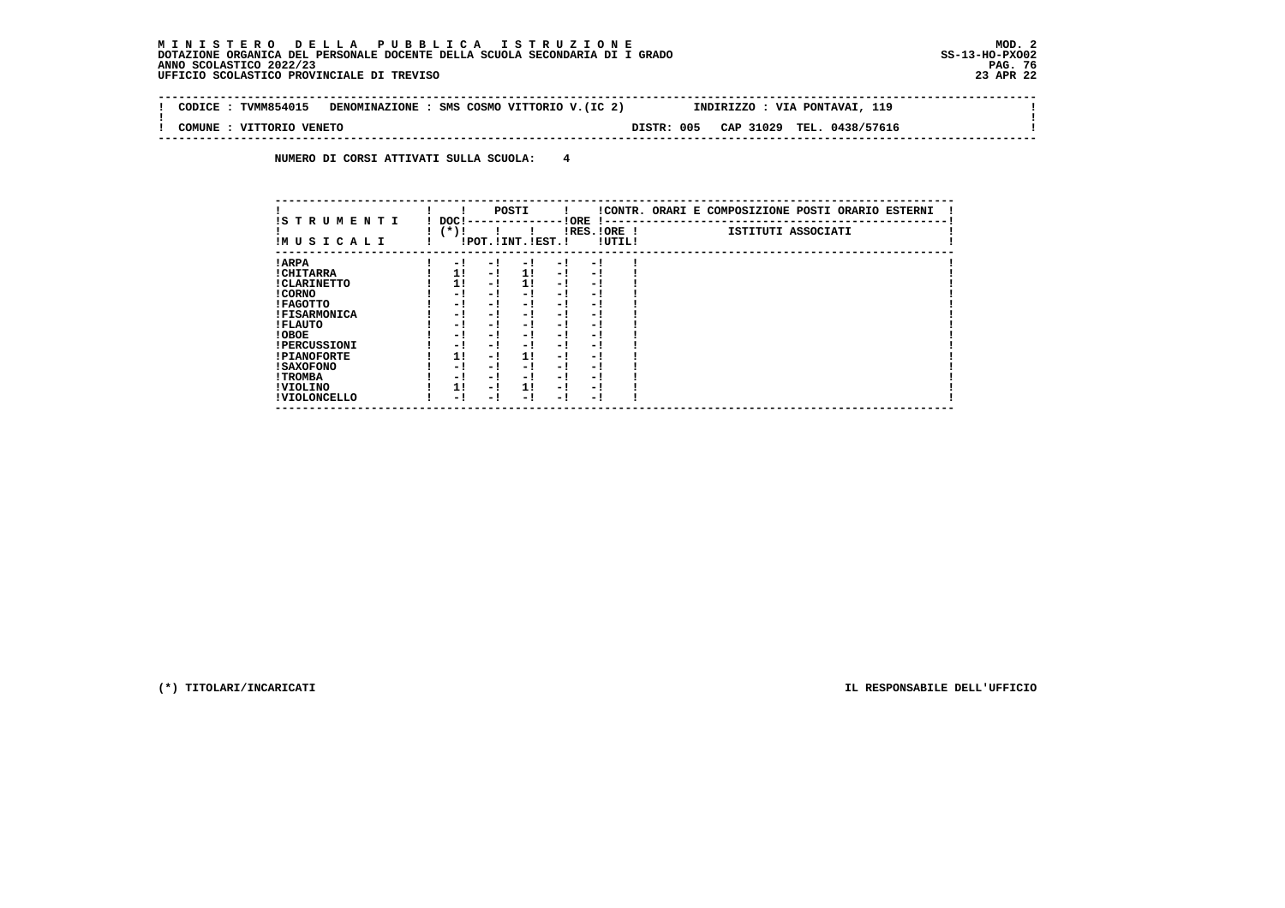$\mathbf{I}$ 

 **--------------------------------------------------------------------------------------------------------------------------------** $\sim$  1  **! CODICE : TVMM854015 DENOMINAZIONE : SMS COSMO VITTORIO V.(IC 2) INDIRIZZO : VIA PONTAVAI, 119 ! ! ! ! COMUNE : VITTORIO VENETO DISTR: 005 CAP 31029 TEL. 0438/57616 ! --------------------------------------------------------------------------------------------------------------------------------**

 **NUMERO DI CORSI ATTIVATI SULLA SCUOLA: 4**

| IS TRUMENTI         | DOC! |     | POSTI                 |      | ! ORE                    |        | !CONTR. ORARI E COMPOSIZIONE POSTI ORARIO ESTERNI |
|---------------------|------|-----|-----------------------|------|--------------------------|--------|---------------------------------------------------|
| IMUSICALI           | (*)! |     | !POT. ! INT. ! EST. ! |      | -1 - -<br>$IRES.IORE$ !  | !UTIL! | ISTITUTI ASSOCIATI                                |
| ! ARPA              | - 1  | - 1 | - 1                   | - 1  | - !                      |        |                                                   |
| ! CHITARRA          | 11   | - ! | 11                    | - !  | - 1                      |        |                                                   |
| ! CLARINETTO        | 11   | - 1 | 11                    | - 1  | - 1                      |        |                                                   |
| ! CORNO             | - 1  | - ! | - 1                   | - 1  | - 1                      |        |                                                   |
| ! FAGOTTO           | - 1  | - ! | - 1                   | - 1  | - 1                      |        |                                                   |
| <b>!FISARMONICA</b> | - 1  | - ! | - 1                   | - 1  | - 1                      |        |                                                   |
| ! FLAUTO            | - 1  | - ! | - 1                   | - !  | - 1                      |        |                                                   |
| ! OBOE              | - 1  | - ! | - 1                   | - 1  | - 1                      |        |                                                   |
| <b>!PERCUSSIONI</b> | - 1  | - 1 | - 1                   | - 1  | - 1                      |        |                                                   |
| <b>!PIANOFORTE</b>  | 1!   | - 1 | 1!                    | - !  | - 1                      |        |                                                   |
| ! SAXOFONO          | - 1  | - ! | - !                   | - 1  | $\overline{\phantom{0}}$ |        |                                                   |
| ! TROMBA            | - 1  | - ! | - !                   | - 1  | - 1                      |        |                                                   |
| ! VIOLINO           | 1!   | - 1 | 11                    | $-1$ | - 1                      |        |                                                   |
| ! VIOLONCELLO       | - 1  | - 1 | - 1                   | - !  | - 1                      |        |                                                   |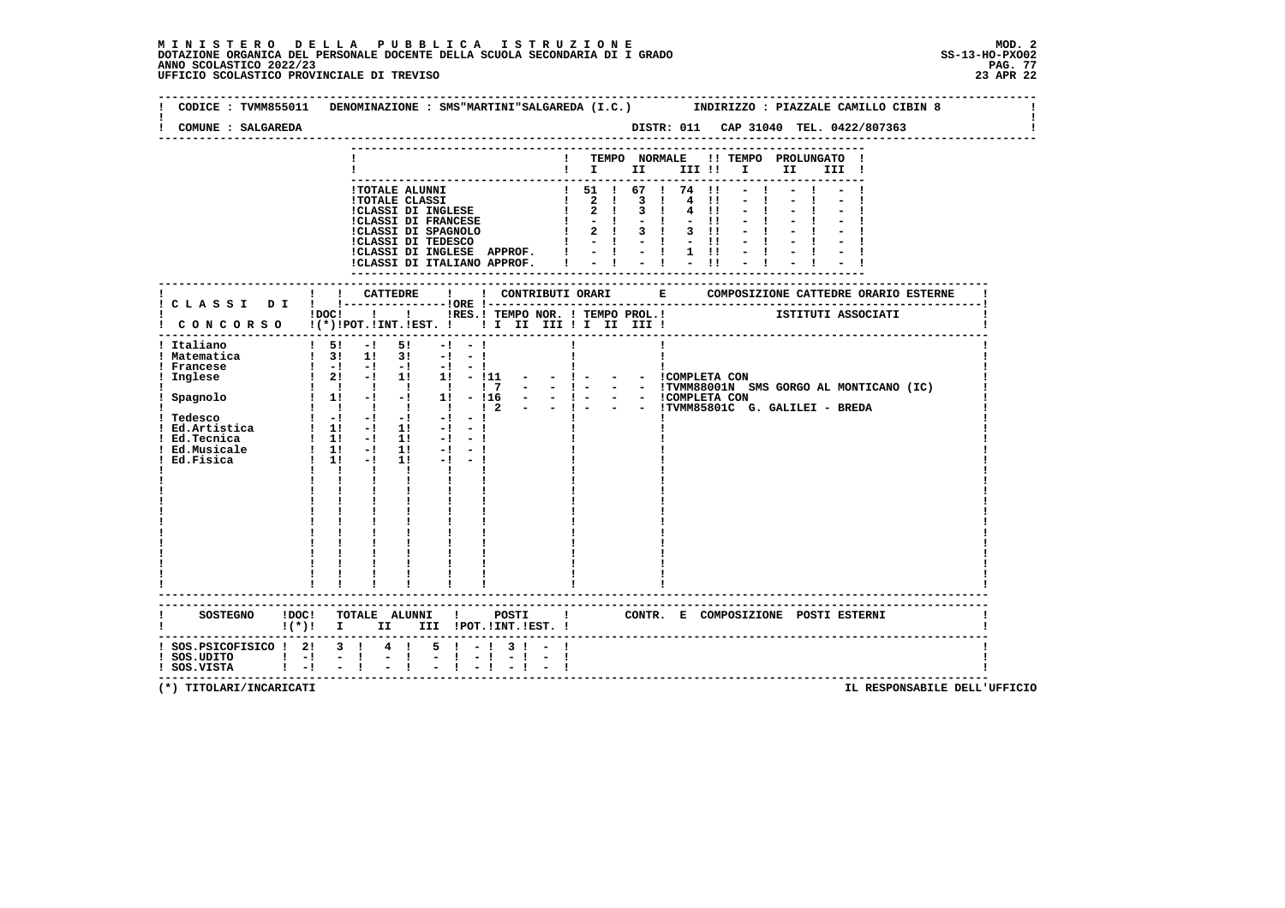|                                                                            | CODICE: TVMM855011 DENOMINAZIONE: SMS"MARTINI"SALGAREDA (I.C.) INDIRIZZO: PIAZZALE CAMILLO CIBIN 8                                                                                                                                                                                                                                                                                                                                                                                                                                                                                                                                                                                                                                                                                                                                                                                                                                                                                                                                                          |
|----------------------------------------------------------------------------|-------------------------------------------------------------------------------------------------------------------------------------------------------------------------------------------------------------------------------------------------------------------------------------------------------------------------------------------------------------------------------------------------------------------------------------------------------------------------------------------------------------------------------------------------------------------------------------------------------------------------------------------------------------------------------------------------------------------------------------------------------------------------------------------------------------------------------------------------------------------------------------------------------------------------------------------------------------------------------------------------------------------------------------------------------------|
| COMUNE : SALGAREDA                                                         | DISTR: 011 CAP 31040 TEL. 0422/807363                                                                                                                                                                                                                                                                                                                                                                                                                                                                                                                                                                                                                                                                                                                                                                                                                                                                                                                                                                                                                       |
|                                                                            | ! TEMPO NORMALE<br>!! TEMPO PROLUNGATO !<br>$\blacksquare$                                                                                                                                                                                                                                                                                                                                                                                                                                                                                                                                                                                                                                                                                                                                                                                                                                                                                                                                                                                                  |
|                                                                            | 1 TOTALE ALUNNI<br>1 TOTALE CLASSI<br>1 CLASSI DI INGLESE<br>1 2 1 3 1 4 11<br>1 CLASSI DI FRANCESE<br>1 2 1 3 1 4 11<br>1 CLASSI DI FRANCESE<br>1 2 1 3 1 3 11<br>1 CLASSI DI TEDESCO<br>1 - 1 - 1 - 1 1<br>1 1 - 1 - 1 1 1 1 1 1 1 1 1 1 1 1 1 1<br>!CLASSI DI INGLESE APPROF. !<br>$\frac{1}{2}$ $\frac{1}{2}$ $\frac{1}{2}$ $\frac{1}{2}$ $\frac{1}{2}$ $\frac{1}{1}$<br>!CLASSI DI ITALIANO APPROF. I                                                                                                                                                                                                                                                                                                                                                                                                                                                                                                                                                                                                                                                  |
|                                                                            | ------------------                                                                                                                                                                                                                                                                                                                                                                                                                                                                                                                                                                                                                                                                                                                                                                                                                                                                                                                                                                                                                                          |
|                                                                            | !DOC! ! ! !RES.! TEMPO NOR. ! TEMPO PROL.! ISTITUTI ASSOCIATI<br>! CONCORSO !(*)!POT.!INT.!EST. !!! II III !I III III !                                                                                                                                                                                                                                                                                                                                                                                                                                                                                                                                                                                                                                                                                                                                                                                                                                                                                                                                     |
| ! Italiano<br>! Matematica<br>! Francese<br>! Inglese                      | -------------------------------------<br>$1\quad 51\quad -1\quad 51$<br>$-1 - 1$<br>$1 \t3! \t1! \t3! \t-1 \t-1$<br>$\begin{array}{ccccccccc}\n1 & -1 & -1 & -1 & -1 & -1 & -1 \\ 1 & 21 & -1 & 11 & 11 & -111\n\end{array}$<br>$  1 -$<br>- - COMPLETA CON<br>- - !TVMM88001N SMS GORGO AL MONTICANO (IC)<br>$1 \quad 1 \quad 1 \quad 1 \quad 1 \quad 1 \quad 7$<br>$  1 -$<br>$\frac{1}{2}$ Spagnolo $\frac{1}{2}$ $\frac{1}{2}$ $\frac{1}{2}$ $\frac{1}{2}$ $\frac{1}{2}$ $\frac{1}{2}$ $\frac{1}{2}$ $\frac{1}{2}$ $\frac{1}{2}$ $\frac{1}{2}$ $\frac{1}{2}$ $\frac{1}{2}$ $\frac{1}{2}$ $\frac{1}{2}$ $\frac{1}{2}$ $\frac{1}{2}$ $\frac{1}{2}$ $\frac{1}{2}$ $\frac{1}{2}$ $\frac{1}{2}$ $\$<br>- - ICOMPLETA CON<br>$  1 -$<br>$-$ ! $  \cdot$ TVMM85801C G. GALILEI - BREDA<br>$\frac{1}{2}$<br>$-1$<br>$-1$<br>$-1$ $-1$<br>$1! -1 -1$<br>$\mathbf{I}$ and $\mathbf{I}$<br>$\mathbf{I}$<br>$\mathbf{I}$<br>$\mathbf{I}$ and $\mathbf{I}$<br>$\mathbf{I}$ and $\mathbf{I}$<br>$\frac{1}{1}$ $\frac{1}{1}$ $\frac{1}{1}$<br>------------------------ |
|                                                                            | !(*)! I II III !POT.!INT.!EST.!                                                                                                                                                                                                                                                                                                                                                                                                                                                                                                                                                                                                                                                                                                                                                                                                                                                                                                                                                                                                                             |
| ! SOS.PSICOFISICO ! 2! 3 !<br>! SOS.UDITO ! -! - !<br>! SOS.VISTA ! -! - ! | $5 \t-1$<br>$4 \quad 1$<br>3 I<br>$\mathbb{Z}^+$<br>$\mathbf{I}$<br>$-1 - 1$<br>------------------------------------                                                                                                                                                                                                                                                                                                                                                                                                                                                                                                                                                                                                                                                                                                                                                                                                                                                                                                                                        |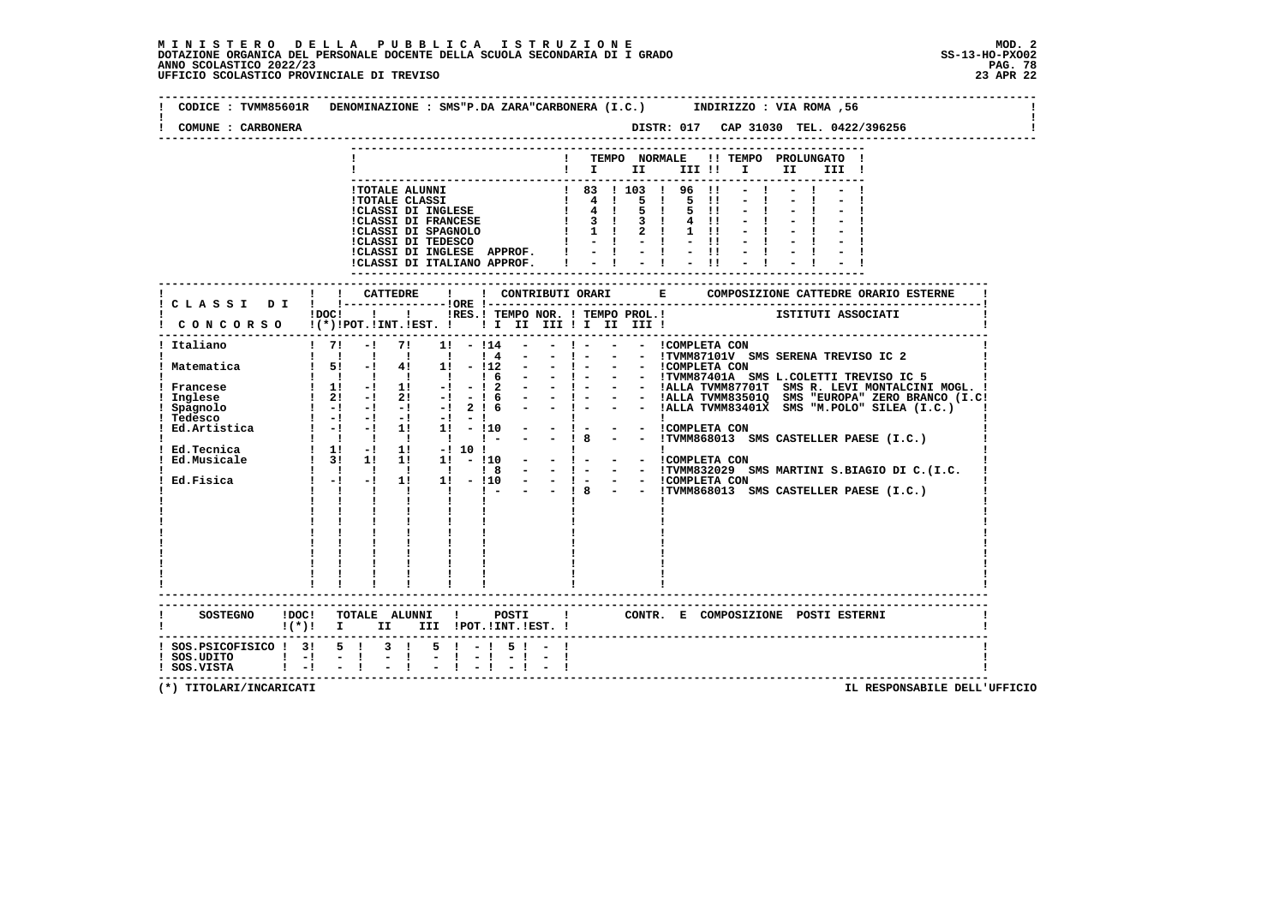$\mathbf{I}$ 

 $\mathbf{I}$ 

 $\mathbf{I}$ 

| COMUNE : CARBONERA                                                                                       | DISTR: 017 CAP 31030 TEL. 0422/396256                                                                                                                                                          |
|----------------------------------------------------------------------------------------------------------|------------------------------------------------------------------------------------------------------------------------------------------------------------------------------------------------|
|                                                                                                          | TEMPO NORMALE !! TEMPO PROLUNGATO !<br>$\blacksquare$ $\blacksquare$ $\blacksquare$ $\blacksquare$<br>III !! I<br>II I<br>III !                                                                |
|                                                                                                          |                                                                                                                                                                                                |
|                                                                                                          | ! ! CATTEDRE<br>! C L A S S I D I ! !----------------!ORE !--<br>IRES.I TEMPO NOR. ! TEMPO PROL.! ISTITUTI ASSOCIATI<br>$!$ $DOC!$ $!$ $!$ $!$<br>CONCORSO !(*)!POT.!INT.!EST. !!!!!!!!!!!!!!! |
|                                                                                                          | $\begin{array}{ccccc}\n\mathbf{i} & \mathbf{j} & \mathbf{k} \\ \mathbf{l} & \mathbf{l} & \mathbf{k}\n\end{array}$                                                                              |
| <b>SOSTEGNO</b>                                                                                          | !DOC! TOTALE ALUNNI ! POSTI<br>! CONTR. E COMPOSIZIONE POSTI ESTERNI<br>!(*)! I II III !POT.!INT.!EST.!                                                                                        |
| ! SOS.PSICOFISICO ! 3! 5 ! 3 !<br>$\frac{1}{2}$ SOS. UDITO $\frac{1}{2}$ - $\frac{1}{2}$ - $\frac{1}{2}$ | $5! - 15! - 1$<br>$-1$                                                                                                                                                                         |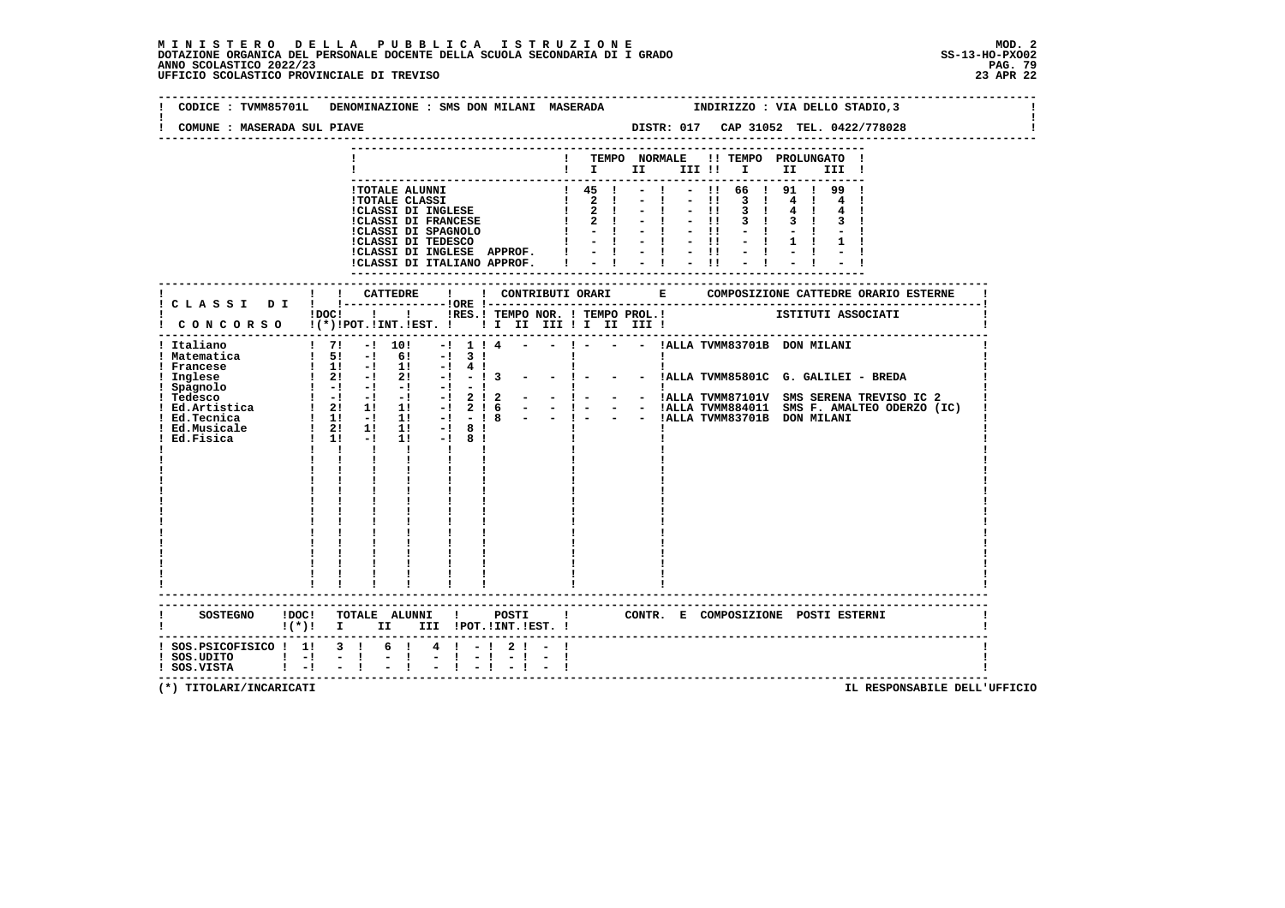| CODICE : TVMM85701L DENOMINAZIONE : SMS DON MILANI MASERADA<br>COMUNE : MASERADA SUL PIAVE                      |                                                                                                                                                                                                                                                                                             |      |                                                                                                                                                                                                                                                                                                     |                                            |                                         |  |                    |  |                              |       |                                                      |                                                         | INDIRIZZO : VIA DELLO STADIO, 3                               |  |
|-----------------------------------------------------------------------------------------------------------------|---------------------------------------------------------------------------------------------------------------------------------------------------------------------------------------------------------------------------------------------------------------------------------------------|------|-----------------------------------------------------------------------------------------------------------------------------------------------------------------------------------------------------------------------------------------------------------------------------------------------------|--------------------------------------------|-----------------------------------------|--|--------------------|--|------------------------------|-------|------------------------------------------------------|---------------------------------------------------------|---------------------------------------------------------------|--|
|                                                                                                                 |                                                                                                                                                                                                                                                                                             |      |                                                                                                                                                                                                                                                                                                     |                                            |                                         |  |                    |  |                              |       |                                                      |                                                         |                                                               |  |
|                                                                                                                 |                                                                                                                                                                                                                                                                                             |      |                                                                                                                                                                                                                                                                                                     |                                            |                                         |  |                    |  |                              |       |                                                      | ! TEMPO NORMALE !! TEMPO PROLUNGATO !<br>$\blacksquare$ |                                                               |  |
|                                                                                                                 |                                                                                                                                                                                                                                                                                             |      | ! TOTALE ALUNNI<br>1 TOTALE CLASSI<br>1 CLASSI DI INGLESE<br>1 2 1 - 1 - 11<br>1 CLASSI DI FRANCESE<br>1 2 1 - 1 - 11<br>1 CLASSI DI SPAGNOLO<br>1 - 1 - 1 - 11<br>1 CLASSI DI TEDESCO<br>1 - 1 - 1 - 11<br>1 - 1 - 11<br>1 - 1 - 11<br>ICLASSI DI INGLESE APPROF. I<br>!CLASSI DI ITALIANO APPROF. |                                            |                                         |  | $1\quad 45\quad 1$ |  |                              | $-11$ | $3 \quad 1$<br>3 <sub>1</sub><br>$3 \quad 1$<br>$-1$ | $-!$ $-!$ 66 $!$ 91 $!$ 99 $!$<br>$3 \quad 1$           |                                                               |  |
|                                                                                                                 |                                                                                                                                                                                                                                                                                             |      |                                                                                                                                                                                                                                                                                                     |                                            |                                         |  |                    |  |                              |       |                                                      |                                                         |                                                               |  |
| ! CONCORSO !(*)!POT.!INT.!EST. !!! II III !I III III !                                                          |                                                                                                                                                                                                                                                                                             |      |                                                                                                                                                                                                                                                                                                     |                                            |                                         |  |                    |  |                              |       |                                                      |                                                         | IDOCI I I IRES.I TEMPO NOR. I TEMPO PROL.I ISTITUTI ASSOCIATI |  |
| ! Italiano<br>! Matematica<br>! Francese<br>! Inglese<br>! Spagnolo<br>Ed.Fisica                                | $1\ 5!$ $-1\ 6!$ $-1\ 3!$<br>$1 \quad 1! \quad -1 \quad 1! \quad -1 \quad 4 \quad 1$<br>$\frac{1}{1}$ $\frac{21}{-1}$ $\frac{-1}{-1}$ $\frac{21}{-1}$ $\frac{-1}{-1}$ $\frac{-1}{-1}$ 3 $\frac{-1}{-1}$<br>$1 - 1 - 1 - 1 - 1$ 2 1 2<br>$1 \t1 \t-1$<br>$1 \quad 1 \quad 1 \quad 1 \quad 1$ |      | -------------------------                                                                                                                                                                                                                                                                           | $1! -18!$<br>$\mathbf{I}$ and $\mathbf{I}$ |                                         |  |                    |  | $\mathbf{I}$<br>$\mathbf{I}$ |       |                                                      |                                                         | $-$ ! $  -$ !ALLA TVMM85801C G. GALILEI - BREDA               |  |
| SOSTEGNO ! DOC! TOTALE ALUNNI ! POSTI ! CONTR. E COMPOSIZIONE POSTI ESTERNI<br>! (*)! I II III !POT.!INT.!EST.! |                                                                                                                                                                                                                                                                                             |      |                                                                                                                                                                                                                                                                                                     |                                            |                                         |  |                    |  |                              |       |                                                      |                                                         |                                                               |  |
| $:$ SOS.PSICOFISICO $:$ 1! 3 !<br>$!$ SOS.UDITO $!$ -!<br>$!$ SOS.VISTA $!$ $-!$ $-$ !                          |                                                                                                                                                                                                                                                                                             | $-1$ | 6 !<br>$\frac{1}{2}$                                                                                                                                                                                                                                                                                |                                            | 4 ! - ! 2 ! - !<br>$-1 - 1 - 1 - 1 - 1$ |  |                    |  |                              |       |                                                      |                                                         | -------------------------------------                         |  |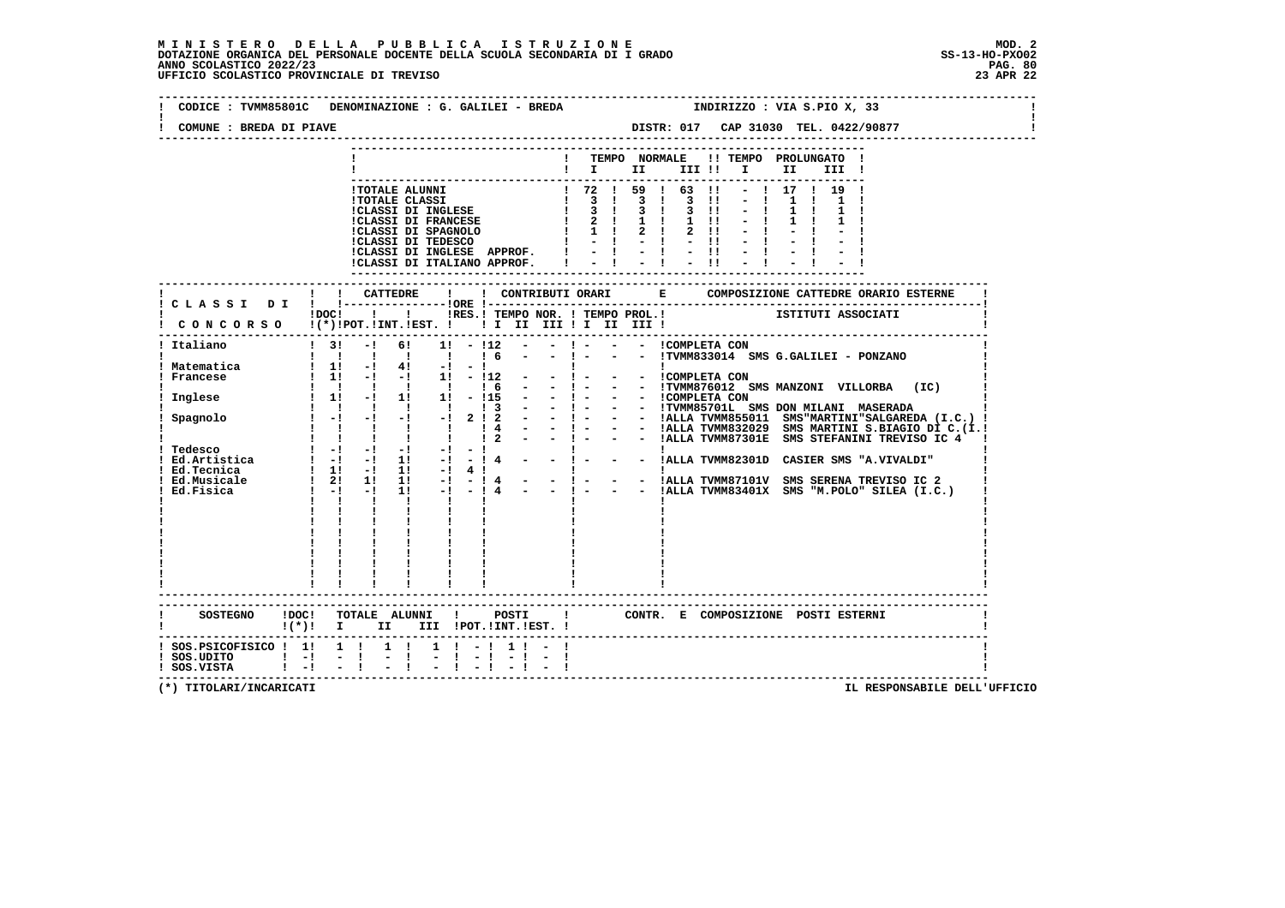# **M I N I S T E R O D E L L A P U B B L I C A I S T R U Z I O N E MOD. 2**DOTAZIONE ORGANICA DEL PERSONALE DOCENTE DELLA SCUOLA SECONDARIA DI I GRADO **SCOLASTICO SCOLASTICO 2022/23 PAG-**<br>PAG ANNO SCOLASTICO 2022/23 PAG. 80<br>23 APR 22 UFFICIO SCOLASTICO PROVINCIALE DI TREVISO

| COMUNE : BREDA DI PIAVE                                   | CODICE : TVMM85801C DENOMINAZIONE : G. GALILEI - BREDA                                                                                                                                                                                                                                                                        | INDIRIZZO : VIA S.PIO X, 33<br>DISTR: 017 CAP 31030 TEL. 0422/90877                                                                                                                                                                                                                             |
|-----------------------------------------------------------|-------------------------------------------------------------------------------------------------------------------------------------------------------------------------------------------------------------------------------------------------------------------------------------------------------------------------------|-------------------------------------------------------------------------------------------------------------------------------------------------------------------------------------------------------------------------------------------------------------------------------------------------|
|                                                           |                                                                                                                                                                                                                                                                                                                               | -----------------------------                                                                                                                                                                                                                                                                   |
|                                                           |                                                                                                                                                                                                                                                                                                                               | ! TEMPO NORMALE !! TEMPO PROLUNGATO !<br>$\blacksquare$ $\blacksquare$ $\blacksquare$ $\blacksquare$ $\blacksquare$ $\blacksquare$ $\blacksquare$ $\blacksquare$ $\blacksquare$ $\blacksquare$ $\blacksquare$<br>III !                                                                          |
|                                                           | !TOTALE ALUNNI<br>!TOTALE ALUNNI<br>!TOTALE CLASSI DI INGLESE<br>! 3 ! 3 ! 3 !!<br>!CLASSI DI INGLESE<br>! 2 ! 1 ! 2 !!<br>!CLASSI DI SPAGNOLO<br>! 2 !! 1 2 !!<br>!CLASSI DI SPAGNOLO<br>! 2 !! 2 !!<br>!CLASSI DI TEDESCO<br>! 2 !!<br>!<br>!CLASSI DI INGLESE APPROF.  ! - ! - ! - !!<br>!CLASSI DI ITALIANO APPROF.   - ! | $-1$ 17 1 19 1<br>$-1$ $-11$                                                                                                                                                                                                                                                                    |
|                                                           |                                                                                                                                                                                                                                                                                                                               |                                                                                                                                                                                                                                                                                                 |
|                                                           |                                                                                                                                                                                                                                                                                                                               | iDOCI ! I IRES. I TEMPO NOR. I TEMPO PROL. ! [STITUTI ASSOCIATI                                                                                                                                                                                                                                 |
| ! Italiano                                                | $\frac{1}{3!}$<br>$-1$<br>$1\,6$<br>$\sim$ 100 $\mu$                                                                                                                                                                                                                                                                          | 6! 1! - !12 - - ! - - - ICOMPLETA CON<br>$-1 -$<br>- - !TVMM833014 SMS G.GALILEI - PONZANO                                                                                                                                                                                                      |
| ! Matematica<br>Francese                                  | $1 \quad 1! \quad -1 \quad 4! \quad -1 \quad -1$<br>$1 \t1! -1 -1 \t1! -11$<br>1 1 1 1 1 1 6<br>$\sim$ 100 $\mu$                                                                                                                                                                                                              | $    \sqrt{2}$ $\sqrt{1 - 2}$ $\sqrt{2}$ $\sqrt{3}$ $\sqrt{3}$ $\sqrt{2}$ $\sqrt{3}$ $\sqrt{2}$ $\sqrt{3}$ $\sqrt{3}$ $\sqrt{2}$ $\sqrt{3}$ $\sqrt{2}$ $\sqrt{1 - 2}$ $\sqrt{2}$ $\sqrt{1 - 2}$ $\sqrt{2}$ $\sqrt{1 - 2}$ $\sqrt{2}$ $\sqrt{1 - 2}$ $\sqrt{2}$ $\sqrt{2}$ $\sqrt{2}$ $\sqrt{2}$ |
| Inglese                                                   |                                                                                                                                                                                                                                                                                                                               |                                                                                                                                                                                                                                                                                                 |
| Spagnolo                                                  |                                                                                                                                                                                                                                                                                                                               |                                                                                                                                                                                                                                                                                                 |
|                                                           |                                                                                                                                                                                                                                                                                                                               | - ! - - - !ALLA TVMM82301D CASIER SMS "A.VIVALDI"                                                                                                                                                                                                                                               |
| Ed.Fisica                                                 | $1! -1 -14$<br>$\frac{1}{2}$ $\frac{1}{2}$ $\frac{1}{2}$ $\frac{1}{2}$ $\frac{1}{2}$<br>$\mathbf{I}$<br>$\mathbf{I}$ and $\mathbf{I}$                                                                                                                                                                                         | 1! -! 4 !<br>1! -! - ! 4 - - ! - - - !ALLA TVMM87101V SMS SERENA TREVISO IC 2<br>- - !ALLA TVMM83401X SMS "M.POLO" SILEA (I.C.)                                                                                                                                                                 |
|                                                           |                                                                                                                                                                                                                                                                                                                               |                                                                                                                                                                                                                                                                                                 |
|                                                           | ------------------------                                                                                                                                                                                                                                                                                                      | ! CONTR. E COMPOSIZIONE POSTI ESTERNI                                                                                                                                                                                                                                                           |
|                                                           | $!(*)!$ I II III !POT.!INT.!EST. !                                                                                                                                                                                                                                                                                            |                                                                                                                                                                                                                                                                                                 |
| $!$ SOS.UDITO $!$ - $!$ - $!$<br>$!$ SOS.VISTA $!$ -! - ! | $:$ SOS. PSICOFISICO $:$ 1! 1 ! 1 ! 1 ! - ! 1 ! - !<br>$-1$                                                                                                                                                                                                                                                                   |                                                                                                                                                                                                                                                                                                 |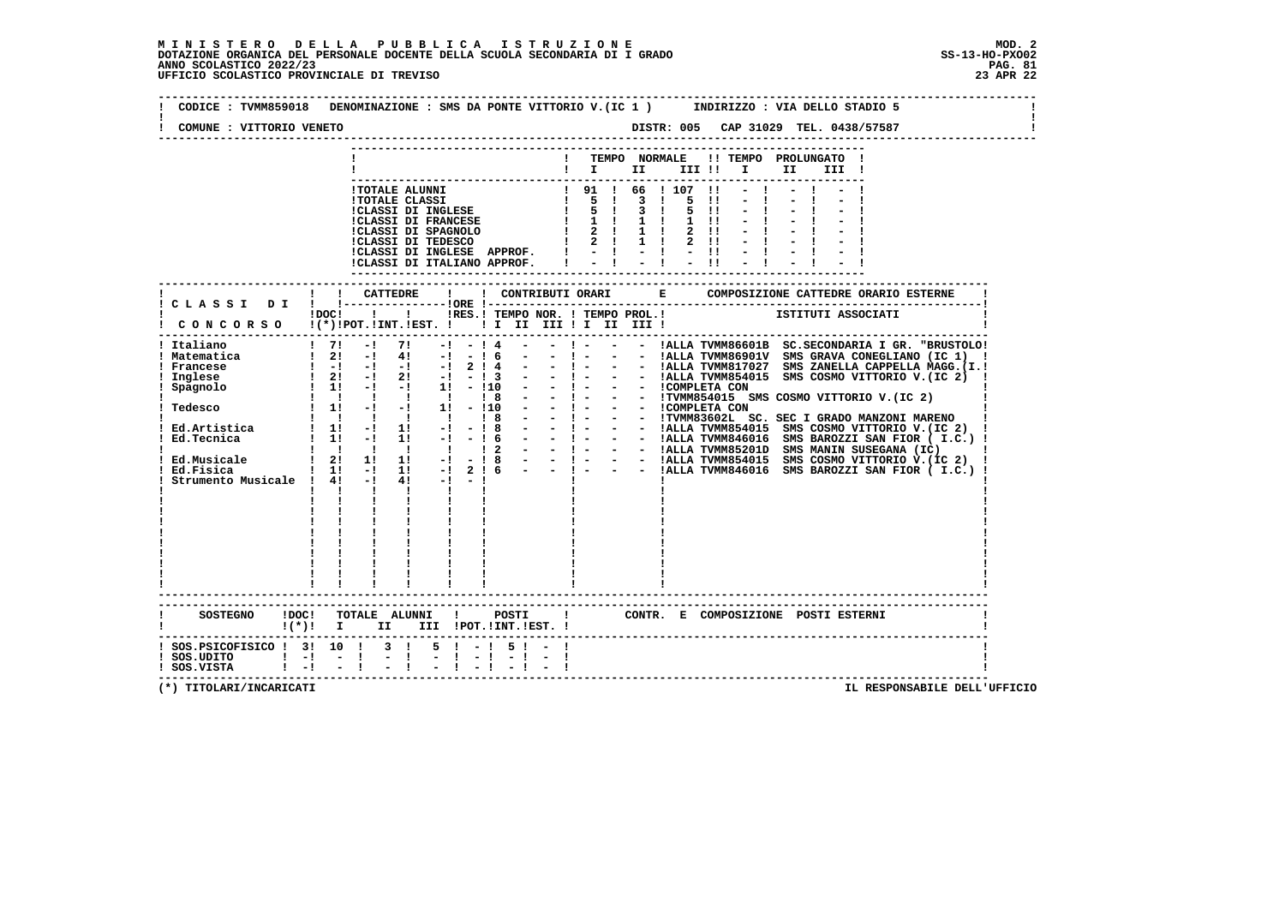| COMUNE : VITTORIO VENETO                                                   |                                                                                                                                                                                                                                                                                                                                                                                                                                                                                                                                                                                                                                                  |                                    |                                                        |                                                                                                          | DISTR: 005 CAP 31029 TEL. 0438/57587                                                                                                                                           |  |
|----------------------------------------------------------------------------|--------------------------------------------------------------------------------------------------------------------------------------------------------------------------------------------------------------------------------------------------------------------------------------------------------------------------------------------------------------------------------------------------------------------------------------------------------------------------------------------------------------------------------------------------------------------------------------------------------------------------------------------------|------------------------------------|--------------------------------------------------------|----------------------------------------------------------------------------------------------------------|--------------------------------------------------------------------------------------------------------------------------------------------------------------------------------|--|
|                                                                            |                                                                                                                                                                                                                                                                                                                                                                                                                                                                                                                                                                                                                                                  |                                    |                                                        | $\blacksquare$ $\blacksquare$ $\blacksquare$ $\blacksquare$ $\blacksquare$ $\blacksquare$ $\blacksquare$ | ! TEMPO NORMALE !! TEMPO PROLUNGATO !<br>II III !                                                                                                                              |  |
|                                                                            | !CLASSI DI INGLESE APPROF.  ! - ! - ! - !!<br>!CLASSI DI ITALIANO APPROF. I                                                                                                                                                                                                                                                                                                                                                                                                                                                                                                                                                                      |                                    | ! 91 ! 66 ! 107 !!<br>$1 \t2 \t1 \t1 \t2 \t1!$<br>$-1$ | 5<br>$\blacksquare$<br>$\blacksquare$<br>5<br>$1 \quad 11$<br>2 !!<br>$-11$                              |                                                                                                                                                                                |  |
|                                                                            |                                                                                                                                                                                                                                                                                                                                                                                                                                                                                                                                                                                                                                                  |                                    |                                                        |                                                                                                          |                                                                                                                                                                                |  |
|                                                                            | $1DOCI$ $1$<br>! CONCORSO !(*)!POT.!INT.!EST. !!! II III !I III III !                                                                                                                                                                                                                                                                                                                                                                                                                                                                                                                                                                            | ! !RES.! TEMPO NOR. ! TEMPO PROL.! |                                                        |                                                                                                          | ISTITUTI ASSOCIATI                                                                                                                                                             |  |
| ! Italiano<br>! Matematica<br>! Francese<br>Strumento Musicale ! 4! -!     | $1 \quad 71$<br>$-1$<br>71<br>$-1 - 14$<br>$1 \quad 21 \quad -1 \quad 41 \quad -1 \quad -16$<br>$! -! -! -! -! -! 2! 4$<br>Francese $\begin{bmatrix} 1 & -1 & -1 & -1 & -1 & 2 & 1 & 4 & - & - & 1 & - & - & - & 1 \end{bmatrix}$<br>Spagnolo $\begin{bmatrix} 1 & 1 & -1 & -1 & -1 & 1 & 1 & -1 & 1 & 1 & -1 & -1 & 1 & 1 & -1 & 1 & 1 & -1 & 1 & 1 & -1 & -1 & 1 & 1 & -1 & 1 & 1 & -1 & -1 & 1 & 1 & -1 & 1 & 1 & -1 & -1 & 1 & 1 & -1 & 1 & 1 & -1 & -1 & 1 & 1 & -1 & 1 & $<br>$-1$ 1! $-1$ 2 1 6<br>$-1$ 4! $-1$ - 1<br>$\mathbf{I}$<br>$1 \quad 1 \quad$<br><b>The Common</b><br>$\mathbf{I}$ and $\mathbf{I}$<br>----------------------- | <b>Contract Contract</b>           |                                                        |                                                                                                          | - - !ALLA TVMM86601B SC.SECONDARIA I GR. "BRUSTOLO!<br>- - ! - - - !ALLA TVMM86901V SMS GRAVA CONEGLIANO (IC 1) !<br>- ! - - - !ALLA TVMM817027 SMS ZANELLA CAPPELLA MAGG.(I.! |  |
|                                                                            | !(*)! I II III !POT.!INT.!EST.!                                                                                                                                                                                                                                                                                                                                                                                                                                                                                                                                                                                                                  |                                    |                                                        |                                                                                                          | CONTR. E COMPOSIZIONE POSTI_ESTERNI                                                                                                                                            |  |
| ! SOS.PSICOFISICO ! 3! 10 !<br>$!$ SOS.UDITO $!$ $-!$ $-$ !<br>! SOS.VISTA | $3 \quad 1$<br>$-1 - 1$<br>$\sim$<br>$\mathbf{I}$<br>$\mathbf{I}$ $\mathbf{I}$<br>$-1$                                                                                                                                                                                                                                                                                                                                                                                                                                                                                                                                                           | $5! - 15! -$<br>$-1 - -1$          |                                                        |                                                                                                          | -------------------------------------                                                                                                                                          |  |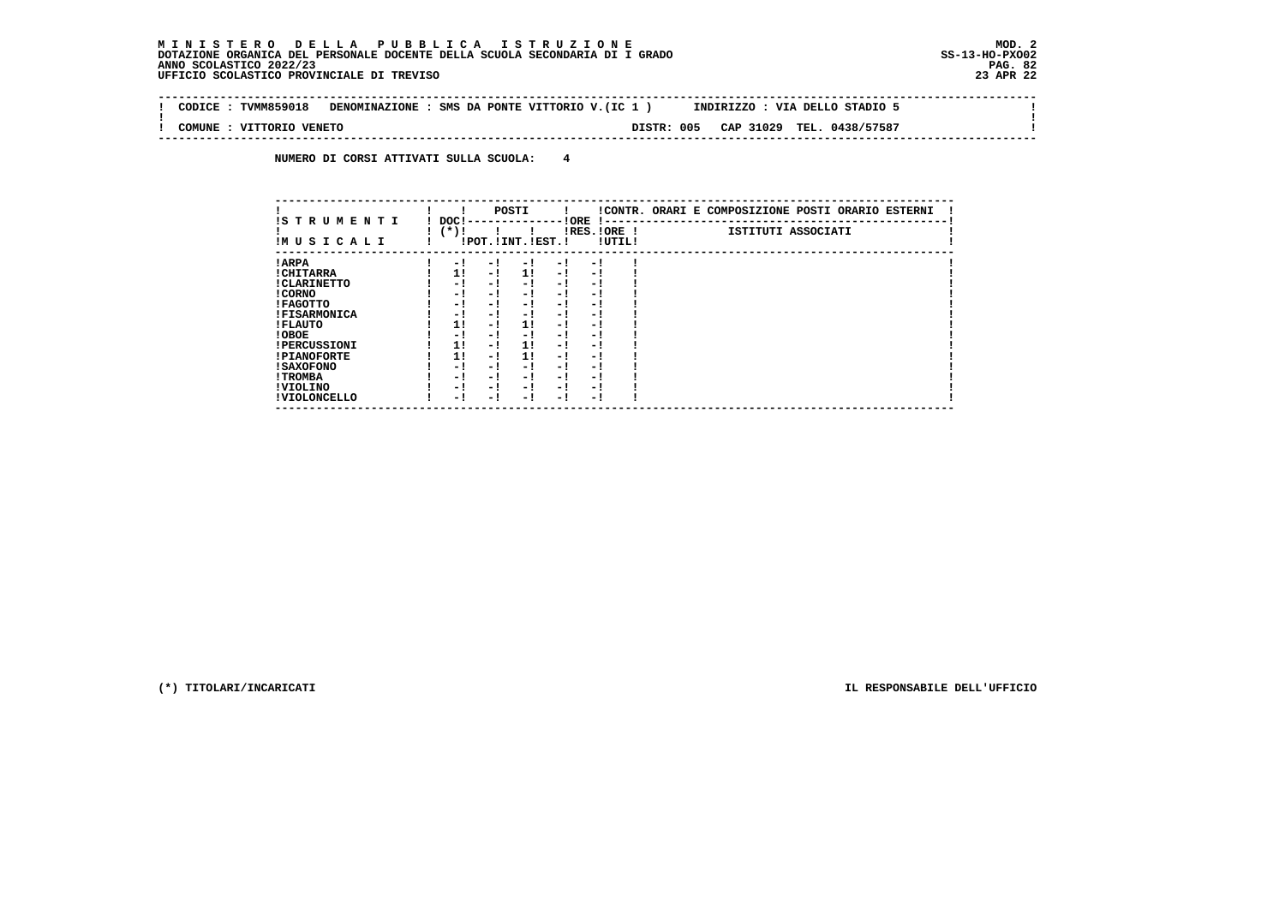$\sim$  1

 $\mathbf{I}$ 

 $\mathbf{I}$ 

 **-------------------------------------------------------------------------------------------------------------------------------- ! CODICE : TVMM859018 DENOMINAZIONE : SMS DA PONTE VITTORIO V.(IC 1 ) INDIRIZZO : VIA DELLO STADIO 5 ! ! ! ! COMUNE : VITTORIO VENETO DISTR: 005 CAP 31029 TEL. 0438/57587 !**

 **--------------------------------------------------------------------------------------------------------------------------------**

 **NUMERO DI CORSI ATTIVATI SULLA SCUOLA: 4**

| IS T R U M E N T I  | DOC! |     | POSTI                 |      | ! ORE                    |        | !CONTR. ORARI E COMPOSIZIONE POSTI ORARIO ESTERNI |
|---------------------|------|-----|-----------------------|------|--------------------------|--------|---------------------------------------------------|
| IMUSICALI           | (*)! |     | !POT. ! INT. ! EST. ! |      | -1 - -<br>$IRES.IORE$ !  | !UTIL! | ISTITUTI ASSOCIATI                                |
| ! ARPA              | - 1  | - 1 | - 1                   | - 1  | - !                      |        |                                                   |
| ! CHITARRA          | 11   | - ! | 11                    | - !  | - 1                      |        |                                                   |
| ! CLARINETTO        | - 1  | - ! | - 1                   | - 1  | - 1                      |        |                                                   |
| ! CORNO             | - 1  | - ! | - 1                   | - 1  | - 1                      |        |                                                   |
| ! FAGOTTO           | - 1  | - ! | - 1                   | - 1  | - 1                      |        |                                                   |
| <b>!FISARMONICA</b> | - 1  | - ! | - !                   | - 1  | - 1                      |        |                                                   |
| ! FLAUTO            | 1!   | - ! | 11                    | - !  | - 1                      |        |                                                   |
| ! OBOE              | - 1  | - ! | - 1                   | $-1$ | - 1                      |        |                                                   |
| <b>!PERCUSSIONI</b> | 1!   | - 1 | 11                    | - 1  | - 1                      |        |                                                   |
| <b>!PIANOFORTE</b>  | 1!   | - 1 | 1!                    | - 1  | - 1                      |        |                                                   |
| ! SAXOFONO          | - 1  | - ! | - !                   | - 1  | $\overline{\phantom{0}}$ |        |                                                   |
| ! TROMBA            | - 1  | - ! | - 1                   | - 1  | - 1                      |        |                                                   |
| ! VIOLINO           | - 1  | - 1 | - !                   | $-1$ | - 1                      |        |                                                   |
| ! VIOLONCELLO       | - 1  | - 1 | - 1                   | - '  | - 1                      |        |                                                   |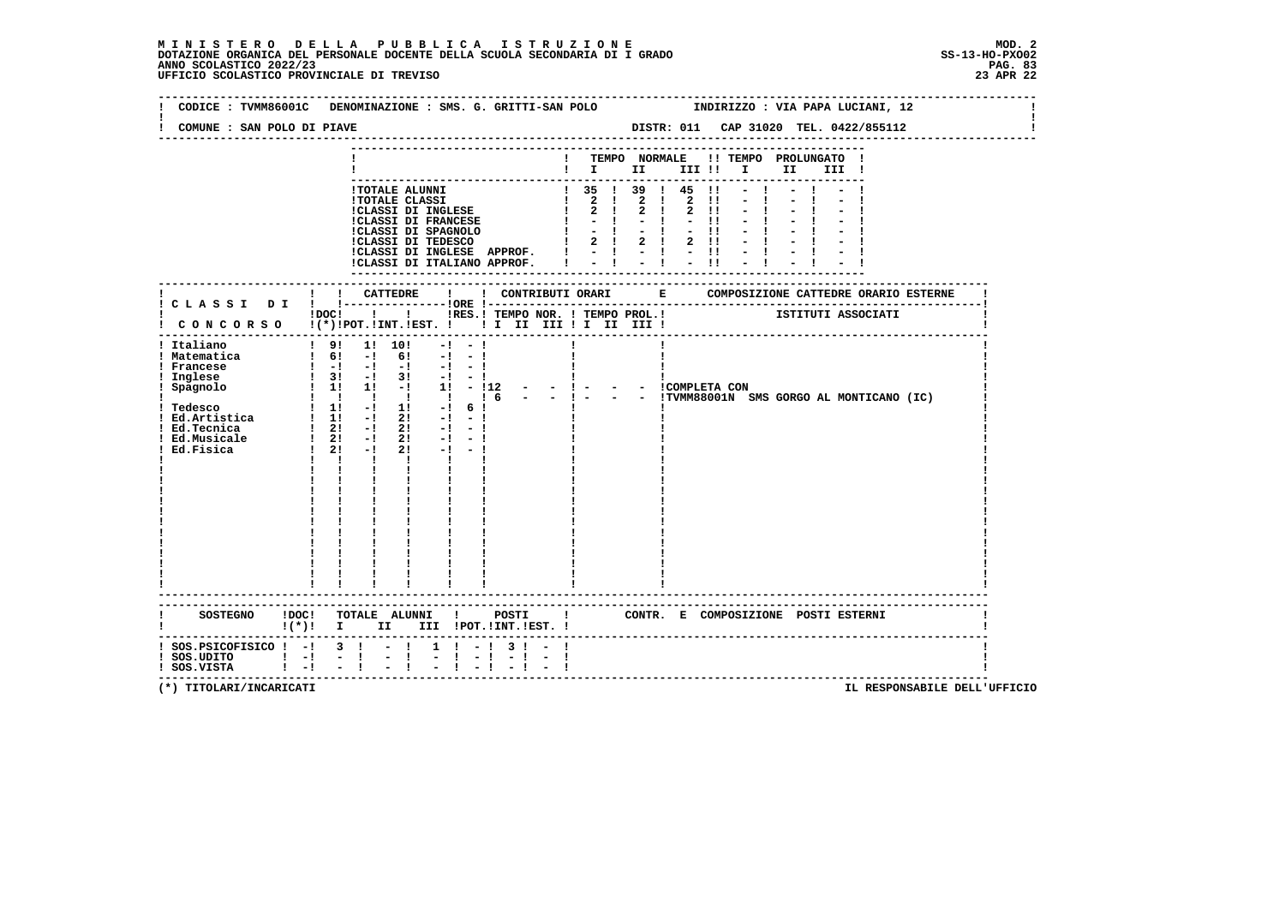# **M I N I S T E R O D E L L A P U B B L I C A I S T R U Z I O N E MOD. 2**DOTAZIONE ORGANICA DEL PERSONALE DOCENTE DELLA SCUOLA SECONDARIA DI I GRADO **SCOLASTICO SCOLASTICO 2022/23 PAG-**<br>PAG ANNO SCOLASTICO 2022/23 PAG. 83<br>23 APR 22 UFFICIO SCOLASTICO PROVINCIALE DI TREVISO

|                                            | CODICE: TVMM86001C DENOMINAZIONE: SMS. G. GRITTI-SAN POLO                                                                                                                                                                                                                                                                                                                   |                                                     |                                                   |               |                                                    |                                                                                                                  |                     | INDIRIZZO : VIA PAPA LUCIANI, 12            |
|--------------------------------------------|-----------------------------------------------------------------------------------------------------------------------------------------------------------------------------------------------------------------------------------------------------------------------------------------------------------------------------------------------------------------------------|-----------------------------------------------------|---------------------------------------------------|---------------|----------------------------------------------------|------------------------------------------------------------------------------------------------------------------|---------------------|---------------------------------------------|
| COMUNE : SAN POLO DI PIAVE                 |                                                                                                                                                                                                                                                                                                                                                                             |                                                     |                                                   |               |                                                    |                                                                                                                  |                     | DISTR: 011 CAP 31020 TEL. 0422/855112       |
|                                            |                                                                                                                                                                                                                                                                                                                                                                             |                                                     |                                                   | TEMPO NORMALE |                                                    |                                                                                                                  | !! TEMPO PROLUNGATO |                                             |
|                                            |                                                                                                                                                                                                                                                                                                                                                                             |                                                     | $\mathbf{I}$ is the set of $\mathbf{I}$           |               | III !!                                             | $\mathbf{I}$ and $\mathbf{I}$                                                                                    | II D                | III !                                       |
|                                            |                                                                                                                                                                                                                                                                                                                                                                             |                                                     |                                                   |               |                                                    |                                                                                                                  |                     |                                             |
|                                            | !TOTALE ALUNNI<br><b>!TOTALE CLASSI</b>                                                                                                                                                                                                                                                                                                                                     |                                                     | $\frac{1}{2}$ 35 1 39 1 45<br>$1 \quad 2 \quad 1$ | $2 \quad 1$   | $\blacksquare$<br>$\overline{2}$<br>$\blacksquare$ |                                                                                                                  |                     |                                             |
|                                            | ICLASSI DI INGLESE                                                                                                                                                                                                                                                                                                                                                          |                                                     | $2 \quad 1$                                       | $2 \quad 1$   | $2 \quad 11$                                       |                                                                                                                  |                     |                                             |
|                                            | <b>!CLASSI DI FRANCESE</b>                                                                                                                                                                                                                                                                                                                                                  |                                                     |                                                   |               | $-11$                                              |                                                                                                                  |                     |                                             |
|                                            | !CLASSI DI SPAGNOLO<br>!CLASSI DI TEDESCO                                                                                                                                                                                                                                                                                                                                   |                                                     | $-1$<br>$\mathbf{I}$                              |               | $-11$                                              |                                                                                                                  |                     |                                             |
|                                            | !CLASSI DI INGLESE APPROF. !                                                                                                                                                                                                                                                                                                                                                |                                                     |                                                   |               | 2 ! 2 ! 2 !!                                       |                                                                                                                  |                     |                                             |
|                                            | !CLASSI DI ITALIANO APPROF.                                                                                                                                                                                                                                                                                                                                                 |                                                     |                                                   |               |                                                    | $\frac{1}{2}$ $\frac{1}{2}$ $\frac{1}{2}$ $\frac{1}{2}$ $\frac{1}{2}$ $\frac{1}{11}$ $\frac{1}{2}$ $\frac{1}{1}$ |                     |                                             |
|                                            |                                                                                                                                                                                                                                                                                                                                                                             |                                                     |                                                   |               |                                                    |                                                                                                                  |                     |                                             |
|                                            |                                                                                                                                                                                                                                                                                                                                                                             |                                                     |                                                   |               |                                                    |                                                                                                                  |                     |                                             |
|                                            |                                                                                                                                                                                                                                                                                                                                                                             |                                                     |                                                   |               |                                                    |                                                                                                                  |                     |                                             |
|                                            | $!$ $\overline{)}$ $\overline{)}$ $\overline{)}$ $\overline{)}$ $\overline{)}$ $\overline{)}$ $\overline{)}$ $\overline{)}$ $\overline{)}$ $\overline{)}$ $\overline{)}$ $\overline{)}$ $\overline{)}$ $\overline{)}$ $\overline{)}$ $\overline{)}$ $\overline{)}$ $\overline{)}$ $\overline{)}$ $\overline{)}$ $\overline{)}$ $\overline{)}$ $\overline{)}$ $\overline{)}$ | !RES.! TEMPO NOR. ! TEMPO PROL.! ISTITUTI ASSOCIATI |                                                   |               |                                                    |                                                                                                                  |                     |                                             |
|                                            | CONCORSO !(*)!POT.!INT.!EST. !! I II III !I II III !                                                                                                                                                                                                                                                                                                                        |                                                     |                                                   |               |                                                    |                                                                                                                  |                     |                                             |
| ! Italiano                                 | $1 \t91 \t11 \t101$<br>$-1$<br>$-1$                                                                                                                                                                                                                                                                                                                                         |                                                     |                                                   |               |                                                    |                                                                                                                  |                     |                                             |
| ! Matematica                               | $1 \t6! -1 \t6!$<br>$-1 - 1$                                                                                                                                                                                                                                                                                                                                                |                                                     |                                                   |               |                                                    |                                                                                                                  |                     |                                             |
| ! Francese                                 | $\begin{bmatrix} 1 & -1 & -1 & -1 & -1 & -1 \end{bmatrix}$                                                                                                                                                                                                                                                                                                                  |                                                     |                                                   |               |                                                    |                                                                                                                  |                     |                                             |
| ! Inglese<br>ngrese<br>Spagnolo            | $\frac{1}{2}$ 3! $\frac{1}{2}$ 3! $\frac{1}{2}$ - 1                                                                                                                                                                                                                                                                                                                         |                                                     |                                                   |               |                                                    |                                                                                                                  |                     |                                             |
|                                            | 1 1 1 1 1 1 1 6                                                                                                                                                                                                                                                                                                                                                             |                                                     |                                                   |               | - - ICOMPLETA CON                                  |                                                                                                                  |                     | - - !TVMM88001N SMS GORGO AL MONTICANO (IC) |
|                                            | $\frac{1}{2}$ 1! $\frac{1}{2}$ 1! $\frac{1}{2}$ 6!                                                                                                                                                                                                                                                                                                                          |                                                     |                                                   |               |                                                    |                                                                                                                  |                     |                                             |
|                                            | ! Tedesco $\begin{array}{cccccc} 1 & 1! & -1 & 1! & -1 & 6! \\ 1 & Ed.Artistica & 1 & 1! & -1 & 2! & -1 & -1 \end{array}$                                                                                                                                                                                                                                                   |                                                     |                                                   |               |                                                    |                                                                                                                  |                     |                                             |
| ! Ed.Tecnica                               | $\frac{1}{2!}$ 2! $\frac{1}{2!}$ 2! $\frac{1}{2!}$ $\frac{1}{2!}$                                                                                                                                                                                                                                                                                                           |                                                     |                                                   |               |                                                    |                                                                                                                  |                     |                                             |
| Ed.Musicale                                | $\begin{array}{ccccccccc}\n1 & 21 & -1 & 21 & -1 & -1 \\ 1 & 21 & -1 & 21 & -1 & -1\n\end{array}$                                                                                                                                                                                                                                                                           |                                                     |                                                   |               |                                                    |                                                                                                                  |                     |                                             |
| Ed.Fisica                                  |                                                                                                                                                                                                                                                                                                                                                                             |                                                     |                                                   |               |                                                    |                                                                                                                  |                     |                                             |
|                                            | $1 \quad 1 \quad 1$<br><b>Expertise State</b>                                                                                                                                                                                                                                                                                                                               |                                                     |                                                   |               |                                                    |                                                                                                                  |                     |                                             |
|                                            | $\frac{1}{1}$                                                                                                                                                                                                                                                                                                                                                               |                                                     |                                                   |               |                                                    |                                                                                                                  |                     |                                             |
|                                            |                                                                                                                                                                                                                                                                                                                                                                             |                                                     |                                                   |               |                                                    |                                                                                                                  |                     |                                             |
|                                            |                                                                                                                                                                                                                                                                                                                                                                             |                                                     |                                                   |               |                                                    |                                                                                                                  |                     |                                             |
|                                            |                                                                                                                                                                                                                                                                                                                                                                             |                                                     |                                                   |               |                                                    |                                                                                                                  |                     |                                             |
|                                            |                                                                                                                                                                                                                                                                                                                                                                             |                                                     |                                                   |               |                                                    |                                                                                                                  |                     |                                             |
|                                            |                                                                                                                                                                                                                                                                                                                                                                             |                                                     |                                                   |               |                                                    |                                                                                                                  |                     |                                             |
|                                            |                                                                                                                                                                                                                                                                                                                                                                             |                                                     |                                                   |               |                                                    |                                                                                                                  |                     |                                             |
|                                            |                                                                                                                                                                                                                                                                                                                                                                             |                                                     |                                                   |               |                                                    |                                                                                                                  |                     |                                             |
|                                            |                                                                                                                                                                                                                                                                                                                                                                             |                                                     |                                                   |               |                                                    |                                                                                                                  |                     |                                             |
|                                            |                                                                                                                                                                                                                                                                                                                                                                             |                                                     |                                                   |               |                                                    |                                                                                                                  |                     |                                             |
|                                            |                                                                                                                                                                                                                                                                                                                                                                             |                                                     |                                                   |               |                                                    |                                                                                                                  |                     |                                             |
| <b>SOSTEGNO</b>                            | !DOC! TOTALE ALUNNI ! POSTI ! CONTR. E COMPOSIZIONE POSTI ESTERNI                                                                                                                                                                                                                                                                                                           |                                                     |                                                   |               |                                                    |                                                                                                                  |                     |                                             |
|                                            | $!(*)!$ I<br>II —                                                                                                                                                                                                                                                                                                                                                           | III !POT.!INT.!EST. !                               |                                                   |               |                                                    |                                                                                                                  |                     |                                             |
| $:$ SOS. PSICOFISICO $:$ - $:$ 3 $:$ - $:$ |                                                                                                                                                                                                                                                                                                                                                                             | $1 \quad 1 \quad -1 \quad 3 \quad 1 \quad -1$       |                                                   |               |                                                    |                                                                                                                  |                     |                                             |
| $:$ SOS.UDITO $:$ $-!$                     | $\frac{1}{2}$ $\frac{1}{1}$<br>$\frac{1}{2}$                                                                                                                                                                                                                                                                                                                                | $-1$<br>$-1$                                        |                                                   |               |                                                    |                                                                                                                  |                     |                                             |
| ! SOS.VISTA                                | $1 - 1$                                                                                                                                                                                                                                                                                                                                                                     |                                                     |                                                   |               |                                                    |                                                                                                                  |                     |                                             |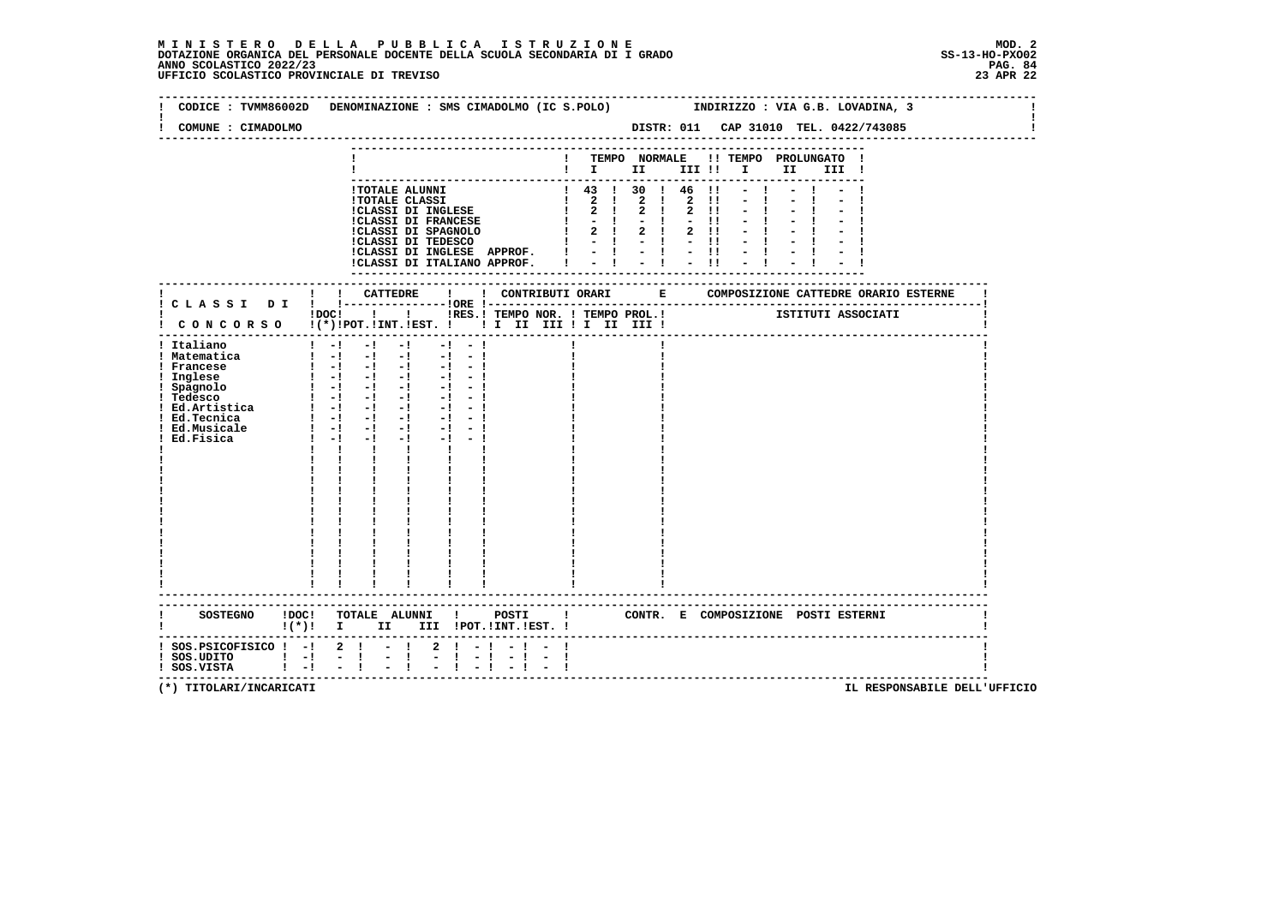# **M I N I S T E R O D E L L A P U B B L I C A I S T R U Z I O N E MOD. 2**DOTAZIONE ORGANICA DEL PERSONALE DOCENTE DELLA SCUOLA SECONDARIA DI I GRADO **SCOLASTICO SCOLASTICO 2022/23 PAG. 84**<br>23 ANNO SCOLASTICO 2022/23 PAG. 84<br>23 APR 22 UFFICIO SCOLASTICO PROVINCIALE DI TREVISO

| COMUNE : CIMADOLMO                                                                                                                             |                                                                                                                                                                                                                                                                                                                                                                                                                                                                                                           |                           | CODICE: TVMM86002D DENOMINAZIONE: SMS CIMADOLMO (IC S.POLO) INDIRIZZO: VIA G.B. LOVADINA, 3<br>DISTR: 011 CAP 31010 TEL. 0422/743085                                                                    |  |
|------------------------------------------------------------------------------------------------------------------------------------------------|-----------------------------------------------------------------------------------------------------------------------------------------------------------------------------------------------------------------------------------------------------------------------------------------------------------------------------------------------------------------------------------------------------------------------------------------------------------------------------------------------------------|---------------------------|---------------------------------------------------------------------------------------------------------------------------------------------------------------------------------------------------------|--|
|                                                                                                                                                |                                                                                                                                                                                                                                                                                                                                                                                                                                                                                                           |                           | ! TEMPO NORMALE !! TEMPO PROLUNGATO !<br>$\blacksquare$ $\blacksquare$ $\blacksquare$ $\blacksquare$ $\blacksquare$ $\blacksquare$ $\blacksquare$ $\blacksquare$ $\blacksquare$ $\blacksquare$<br>III ! |  |
|                                                                                                                                                | <b>!TOTALE ALUNNI</b>                                                                                                                                                                                                                                                                                                                                                                                                                                                                                     | $1 \t43 \t130 \t146 \t11$ | $-1$                                                                                                                                                                                                    |  |
|                                                                                                                                                |                                                                                                                                                                                                                                                                                                                                                                                                                                                                                                           |                           |                                                                                                                                                                                                         |  |
|                                                                                                                                                | !DOC! ! ! !RES.! TEMPO NOR. ! TEMPO PROL.!<br>! CONCORSO !(*)!POT.!INT.!EST. ! ! I III III II III III                                                                                                                                                                                                                                                                                                                                                                                                     |                           | ISTITUTI ASSOCIATI                                                                                                                                                                                      |  |
| ! Italiano<br>! Matematica<br>! Francese<br>Inglese<br>! Spagnolo<br>! Tedesco<br>! Ed.Artistica<br>! Ed.Tecnica<br>! Ed.Musicale<br>Ed.Fisica | $1 - 1 - 1 - 1 - 1 - 1 - 1$<br>$\begin{bmatrix} 1 & -1 & -1 & -1 & -1 & -1 \end{bmatrix}$<br>$\begin{smallmatrix}&&1\\1&-1&-1&-1&-1&-1&-1&-1\\1&-1&-1&-1&-1&-1&-1\end{smallmatrix}$<br>$1 - 1 - 1 - 1 - 1 - 1 - 1 - 1 - 1$<br>$1 - 1 - 1 - 1 - 1 - 1$<br>$1 - 1 - 1$<br>$-1$ $-1$ $-1$<br>$\mathbf{1}$ $\mathbf{1}$<br>$\mathbf{I}$<br>$\mathbf{I}$ and $\mathbf{I}$<br>$\mathbf{I}$<br>$\begin{array}{cc} 1 & \dots \\ 1 & \dots \end{array}$<br>$\frac{1}{2}$ $\frac{1}{2}$ $\frac{1}{2}$ $\frac{1}{2}$ |                           |                                                                                                                                                                                                         |  |
|                                                                                                                                                | -------------------------<br>!(*)! I II III !POT.!INT.!EST.!                                                                                                                                                                                                                                                                                                                                                                                                                                              |                           |                                                                                                                                                                                                         |  |
| $!$ SOS.PSICOFISICO $!$ -! 2 !<br>$!$ SOS.UDITO $!$ - $!$ - $!$<br>! SOS.VISTA<br>$\mathbf{1}$ $\mathbf{-1}$                                   | $-1$ $-1$<br>$2 \quad 1$<br>$\mathbb{Z} \setminus \mathbb{R}$<br>$-1$<br>$-1$<br>$-1$                                                                                                                                                                                                                                                                                                                                                                                                                     | $-1 - -$<br>-1 - 1        |                                                                                                                                                                                                         |  |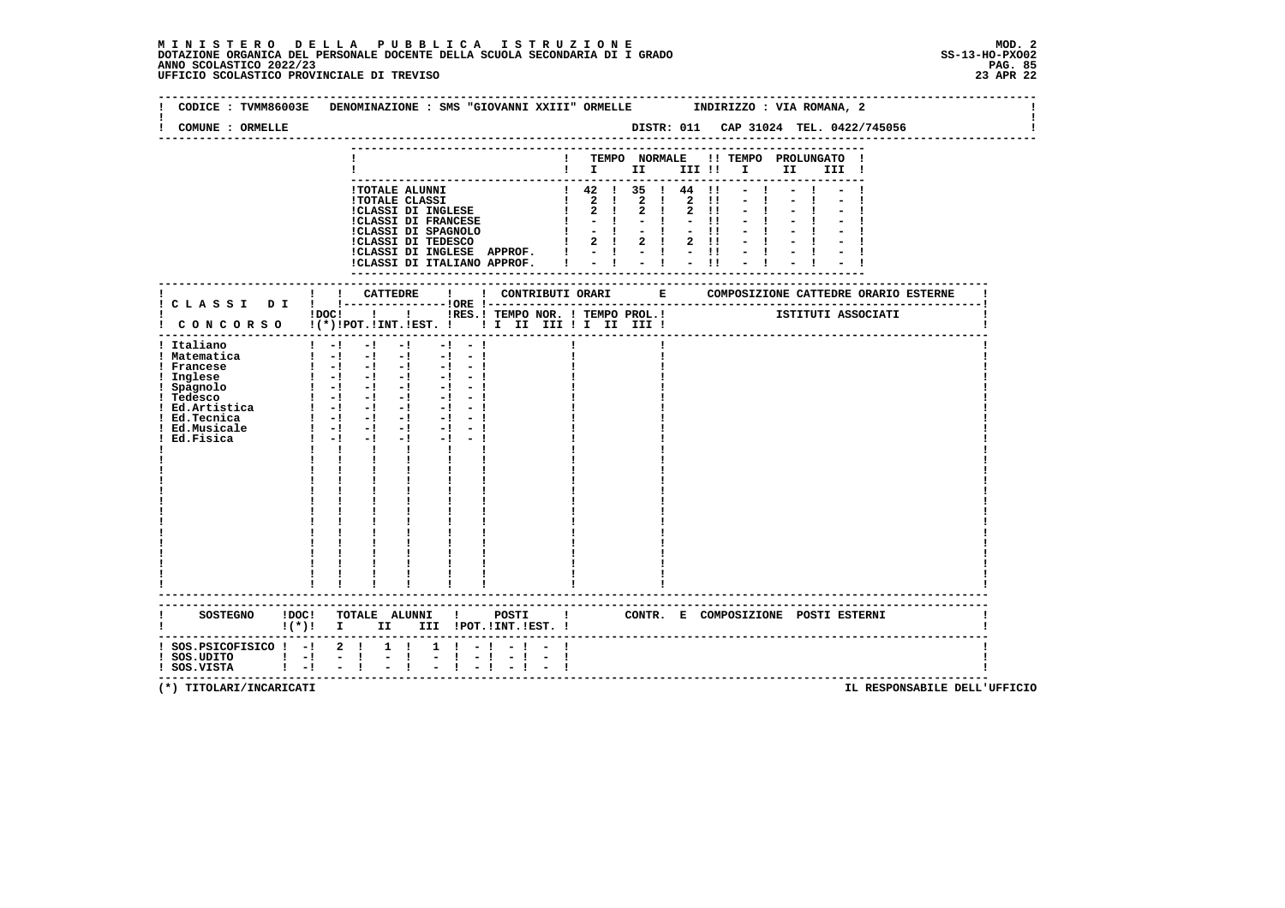| COMUNE : ORMELLE                                                                                                               | CODICE: TVMM86003E DENOMINAZIONE: SMS "GIOVANNI XXIII" ORMELLE NDIRIZZO: VIA ROMANA, 2                                                                                                                                                                                                                                                |                   |                                                                                                                                        |  |      |                                                |                                      |  |
|--------------------------------------------------------------------------------------------------------------------------------|---------------------------------------------------------------------------------------------------------------------------------------------------------------------------------------------------------------------------------------------------------------------------------------------------------------------------------------|-------------------|----------------------------------------------------------------------------------------------------------------------------------------|--|------|------------------------------------------------|--------------------------------------|--|
|                                                                                                                                |                                                                                                                                                                                                                                                                                                                                       |                   | $\blacksquare$ $\blacksquare$ $\blacksquare$ $\blacksquare$ $\blacksquare$ $\blacksquare$ $\blacksquare$ $\blacksquare$ $\blacksquare$ |  |      | ! TEMPO NORMALE !! TEMPO PROLUNGATO !<br>III ! |                                      |  |
|                                                                                                                                | !TOTALE ALUNNI<br>ICLASSI DI INGLESE APPROF. $!$ - $!$ - $!$ - $!$ - $!$ - $!$ - $!$                                                                                                                                                                                                                                                  |                   | $1 \t42 \t135 \t144 \t11 - 1$                                                                                                          |  | $-1$ |                                                |                                      |  |
|                                                                                                                                | !DOC! ! ! !RES.! TEMPO NOR. ! TEMPO PROL.!<br>! CONCORSO !(*)!POT.!INT.!EST. ! ! I III III II III !                                                                                                                                                                                                                                   |                   |                                                                                                                                        |  |      | ISTITUTI ASSOCIATI                             |                                      |  |
| ! Italiano<br>! Matematica<br>! Francese<br>! Inglese<br>! Spagnolo<br>! Tedesco<br>! Ed.Tecnica<br>! Ed.Musicale<br>Ed.Fisica | $1 - 1 - 1 - 1$<br>$-1 - 1$<br>$\begin{bmatrix} 1 & -1 & -1 & -1 & -1 & -1 \end{bmatrix}$<br>$1 - 1 - 1 - 1 - 1 - 1 - 1$<br>$1 - 1 - 1 - 1$<br>$-1 - 1$<br>$-1 - 1$<br>$1 - 1 - 1 - 1$<br>$-1 - 1$<br>$1 - 1 - 1$<br>$-1$<br>$-1 - -1$<br>$1 - 1 - 1$<br>$-1$<br>$1 - 1 - 1$<br>$-1$<br>$\mathbf{I}$<br>$\mathbf{I}$ and $\mathbf{I}$ |                   |                                                                                                                                        |  |      |                                                |                                      |  |
|                                                                                                                                | -----------------------<br>!(*)! I II III !POT.!INT.!EST.!                                                                                                                                                                                                                                                                            |                   |                                                                                                                                        |  |      | CONTR. E COMPOSIZIONE POSTI_ESTERNI            |                                      |  |
| $:$ SOS.PSICOFISICO $:$ - $:$ 2 $:$<br>$!$ SOS.UDITO $!$ -!<br>$1 - 1$<br>! SOS.VISTA                                          | $1 \quad 1$<br>$-1$<br>$-1$                                                                                                                                                                                                                                                                                                           | $1 \t1 - 1 - 1 -$ |                                                                                                                                        |  |      |                                                | ------------------------------------ |  |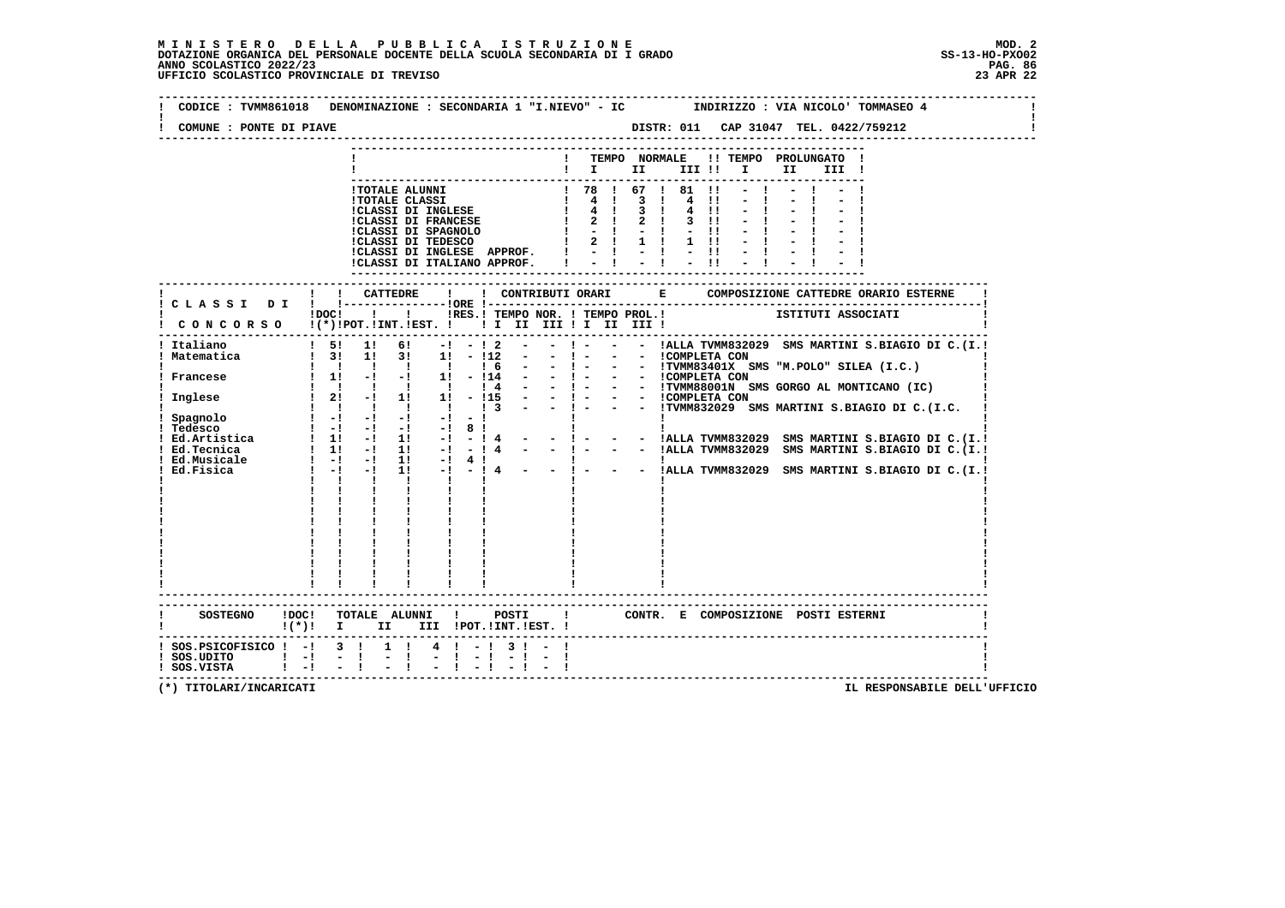| COMUNE : PONTE DI PIAVE                                                                    | DISTR: 011 CAP 31047 TEL. 0422/759212                                                                                                                                                                                                                                                                                                                                                                                                                                                                                                                                                                                                                                                                                                                                                                                                                                                                                                                         |
|--------------------------------------------------------------------------------------------|---------------------------------------------------------------------------------------------------------------------------------------------------------------------------------------------------------------------------------------------------------------------------------------------------------------------------------------------------------------------------------------------------------------------------------------------------------------------------------------------------------------------------------------------------------------------------------------------------------------------------------------------------------------------------------------------------------------------------------------------------------------------------------------------------------------------------------------------------------------------------------------------------------------------------------------------------------------|
|                                                                                            | TEMPO NORMALE<br>!! TEMPO PROLUNGATO !<br>$\blacksquare$ $\blacksquare$ $\blacksquare$ $\blacksquare$ $\blacksquare$ $\blacksquare$ $\blacksquare$ $\blacksquare$<br>II a<br>III !                                                                                                                                                                                                                                                                                                                                                                                                                                                                                                                                                                                                                                                                                                                                                                            |
|                                                                                            | ! 78 ! 67 ! 81 !1<br>!TOTALE ALUNNI<br>$\begin{array}{ccccccccc}\n & & 1 & & 4 & & 1 \\  & & 1 & & 4 & & 1\n\end{array}$<br>$3 \quad 1$<br><b>!TOTALE CLASSI</b><br>4 11<br>!CLASSI DI INGLESE<br>3 <sub>1</sub><br>$4 \quad 11$<br><b>!CLASSI DI FRANCESE</b><br>$2 \quad 1$<br>$3 \quad 11$<br>!CLASSI DI SPAGNOLO<br>!CLASSI DI TEDESCO<br>$1 - 1 - 1$<br>$-11$<br>$1 \t2 \t1 \t1$<br>$1 \quad 11$<br>!CLASSI DI INGLESE APPROF.<br>$-1 - 1 - 1 - 1$<br>CLASSI DI ITALIANO APPROF.                                                                                                                                                                                                                                                                                                                                                                                                                                                                         |
|                                                                                            |                                                                                                                                                                                                                                                                                                                                                                                                                                                                                                                                                                                                                                                                                                                                                                                                                                                                                                                                                               |
|                                                                                            | IDOC! ! ! IRES. ! TEMPO NOR. ! TEMPO PROL. !   ISTITUTI ASSOCIATI<br>CONCORSO !(*)!POT.!INT.!EST. !!!!!!!!!!!!!!!!                                                                                                                                                                                                                                                                                                                                                                                                                                                                                                                                                                                                                                                                                                                                                                                                                                            |
| Italiano<br>Matematica<br>! Inglese<br>! Spagnolo<br>! Tedesco<br>Ed.Musicale<br>Ed.Fisica | $1 \quad 51$<br>1!<br>61 —<br>$-1 - 12$<br>$\mathbf{I}$ and $\mathbf{I}$<br>- - !ALLA TVMM832029 SMS MARTINI S.BIAGIO DI C.(I.!<br>$\frac{1}{3!}$ 3! 1! 3! 1! - !12<br>$\sim 100$<br>$-1 - 1$<br>- - ICOMPLETA CON<br>$1 \quad 1 \quad 1 \quad 1 \quad 1$<br>$-$ - !TVMM83401X SMS "M.POLO" SILEA (I.C.)<br>$1\,6$<br>$-1 -$<br>$\sim$ $-$<br>$\sim$ 100 $\mu$<br>- $!$ - - - $!$ COMPLETA CON<br>- $!$ - - $!$ TVMM88001N SMS GORGO AL MONTICANO (IC)<br>-   - - - ICOMPLETA CON<br>-   - - - ITVMM832029 SMS MARTINI S.BIAGIO DI C.(I.C.<br>$\frac{1}{2!}$ -1 1 1 -115<br>1 1 1 1 1 1 1 3<br>$\sim 10^{-1}$<br>$\mathbf{I}$<br>- - !ALLA TVMM832029 SMS MARTINI S.BIAGIO DI C.(I.!<br>- - !ALLA TVMM832029 SMS MARTINI S.BIAGIO DI C. (I.!<br>$1 - 1 - 1$<br>1! -! 4 !<br>1! -! - ! 4 - - ! - - - !ALLA TVMM832029 SMS MARTINI S.BIAGIO DI C.(I.!<br>$1 - 1 - 1$<br>$\mathbf{1}$ $\mathbf{1}$ $\mathbf{1}$<br>$\mathbf{I}$ and $\mathbf{I}$<br>$\mathbf{I}$ |
| SOSTEGNO ! DOC!                                                                            | -----------------------<br>TOTALE ALUNNI ! POSTI !<br>CONTR. E COMPOSIZIONE POSTI ESTERNI<br>!(*)! I II III !POT.!INT.!EST.!                                                                                                                                                                                                                                                                                                                                                                                                                                                                                                                                                                                                                                                                                                                                                                                                                                  |
| $!$ SOS.PSICOFISICO $!$ -! 3 !<br>$:$ SOS.UDITO $:$ $-!$<br>$1 - 1$<br>! SOS.VISTA         | $1 \quad 1$<br>$4 \quad 1 \quad -1 \quad 3 \quad 1 \quad -1$<br>$-1$                                                                                                                                                                                                                                                                                                                                                                                                                                                                                                                                                                                                                                                                                                                                                                                                                                                                                          |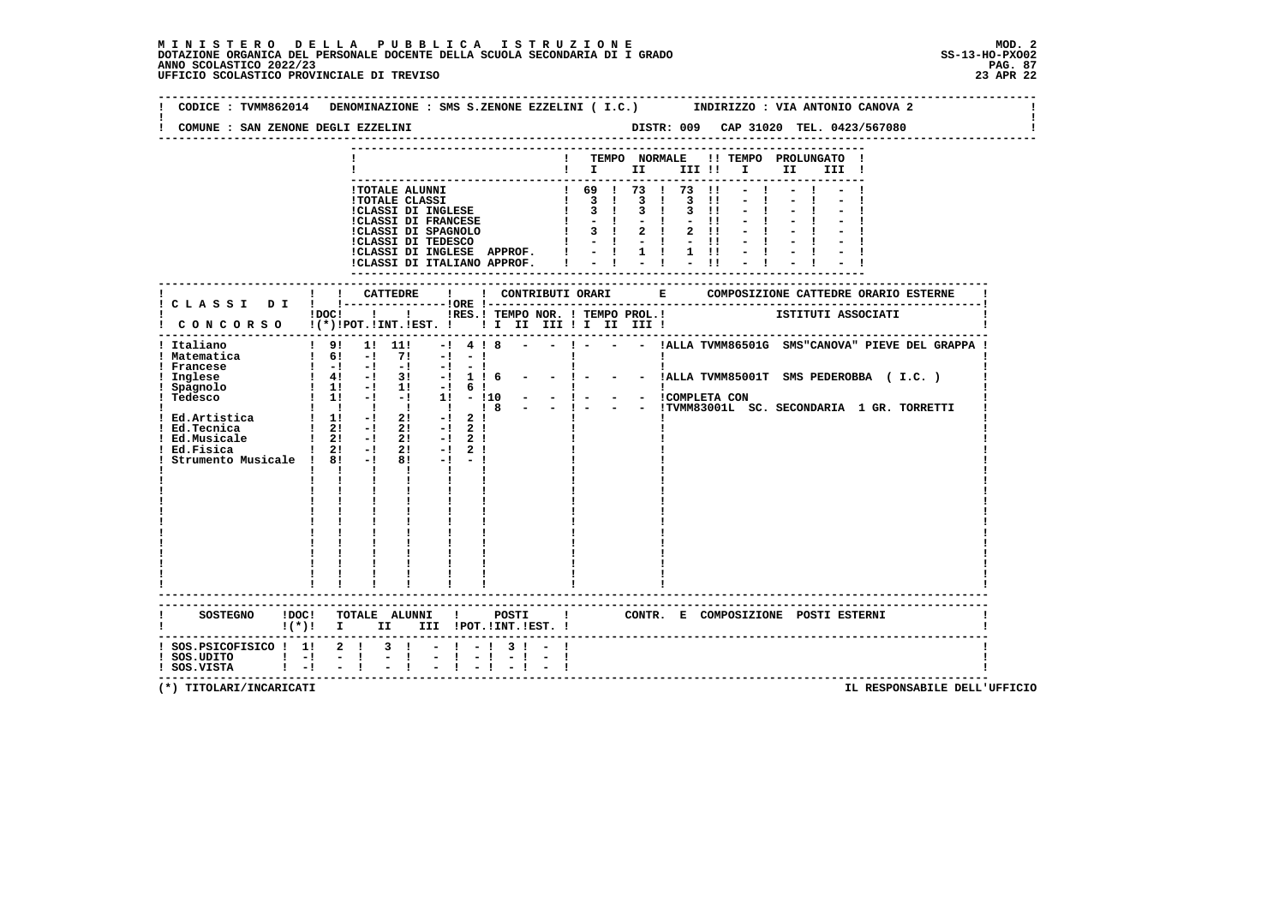**--------------------------------------------------------------------------------------------------------------------------------Contract Contract ! CODICE : TVMM862014 DENOMINAZIONE : SMS S.ZENONE EZZELINI ( I.C.) INDIRIZZO : VIA ANTONIO CANOVA 2 ! ! !** $\mathbf{I}$  **! COMUNE : SAN ZENONE DEGLI EZZELINI DISTR: 009 CAP 31020 TEL. 0423/567080 ! -------------------------------------------------------------------------------------------------------------------------------- --------------------------------------------------------------------------- ! ! TEMPO NORMALE !! TEMPO PROLUNGATO ! ! ! I II III !! I II III ! --------------------------------------------------------------------------- !TOTALE ALUNNI ! 69 ! 73 ! 73 !! - ! - ! - !**1 TOTALE CLASSI<br>
1 3 1 3 1 3 1 - 1 - 1 - 1<br>
1 CLASSI DI FRANCESE<br>
1 3 1 3 1 - 1 - 1 - 1 - 1<br>
1 CLASSI DI SPAGNOLO<br>
1 3 1 2 1 2 11 - 1 - 1 - 1<br>
1 CLASSI DI TEDESCO<br>
1 - 1 - 1 - 1 - 1 - 1 - 1 - 1<br>
1 CLASSI DI TROESCO<br>
1 - 1  **--------------------------------------------------------------------------- ------------------------------------------------------------------------------------------------------------------------- ! ! ! CATTEDRE ! ! CONTRIBUTI ORARI E COMPOSIZIONE CATTEDRE ORARIO ESTERNE ! ! C L A S S I D I ! !---------------!ORE !------------------------------------------------------------------------! POC! !! IS ITEMPO NOR. ! TEMPO PROL.!** ISTITUTI ASSOCIATI  **! C O N C O R S O !(\*)!POT.!INT.!EST. ! ! I II III ! I II III ! ! ------------------------------------------------------------------------------------------------------------------------- ! Italiano ! 9! 1! 11! -! 4 ! 8 - - ! - - - !ALLA TVMM86501G SMS"CANOVA" PIEVE DEL GRAPPA ! ! Matematica ! 6! -! 7! -! - ! ! ! ! ! Francese ! -! -! -! -! - ! ! ! ! ! Inglese ! 4! -! 3! -! 1 ! 6 - - ! - - - !ALLA TVMM85001T SMS PEDEROBBA ( I.C. ) ! ! Spagnolo ! 1! -! 1! -! 6 ! ! ! ! ! Tedesco ! 1! -! -! 1! - !10 - - ! - - - !COMPLETA CON ! ! ! ! ! ! ! ! 8 - - ! - - - !TVMM83001L SC. SECONDARIA 1 GR. TORRETTI ! ! Ed.Artistica ! 1! -! 2! -! 2 ! ! ! ! ! Ed.Tecnica ! 2! -! 2! -! 2 ! ! ! ! ! Ed.Musicale ! 2! -! 2! -! 2 ! ! ! ! ! Ed.Fisica ! 2! -! 2! -! 2 ! ! ! ! ! Strumento Musicale ! 8! -! 8! -! - ! ! ! ! ! ! ! ! ! ! ! ! ! ! ! ! ! ! ! ! ! ! ! ! ! ! ! ! ! ! ! ! ! ! ! ! ! ! ! ! ! ! ! ! ! ! ! ! ! ! ! ! ! ! ! ! ! ! ! ! ! ! ! ! ! ! ! ! ! ! ! ! ! ! ! ! ! ! ! ! ! ! ! ! ! ! ! ! ! ! ! ! ! ! ! ! ! ! ! ! ! ! ! ! ! ! ! ! ! ! ! ! ! ! ! ! ! ! ! ! ! ! ! ! ------------------------------------------------------------------------------------------------------------------------- ------------------------------------------------------------------------------------------------------------------------- ! SOSTEGNO !DOC! TOTALE ALUNNI ! POSTI ! CONTR. E COMPOSIZIONE POSTI ESTERNI ! ! !(\*)! I II III !POT.!INT.!EST. ! ! ------------------------------------------------------------------------------------------------------------------------- ! SOS.PSICOFISICO ! 1! 2 ! 3 ! - ! - ! 3 ! - ! !** $\blacksquare$  **! SOS.UDITO ! -! - ! - ! - ! - ! - ! - ! ! ! SOS.VISTA ! -! - ! - ! - ! - ! - ! - ! ! -------------------------------------------------------------------------------------------------------------------------**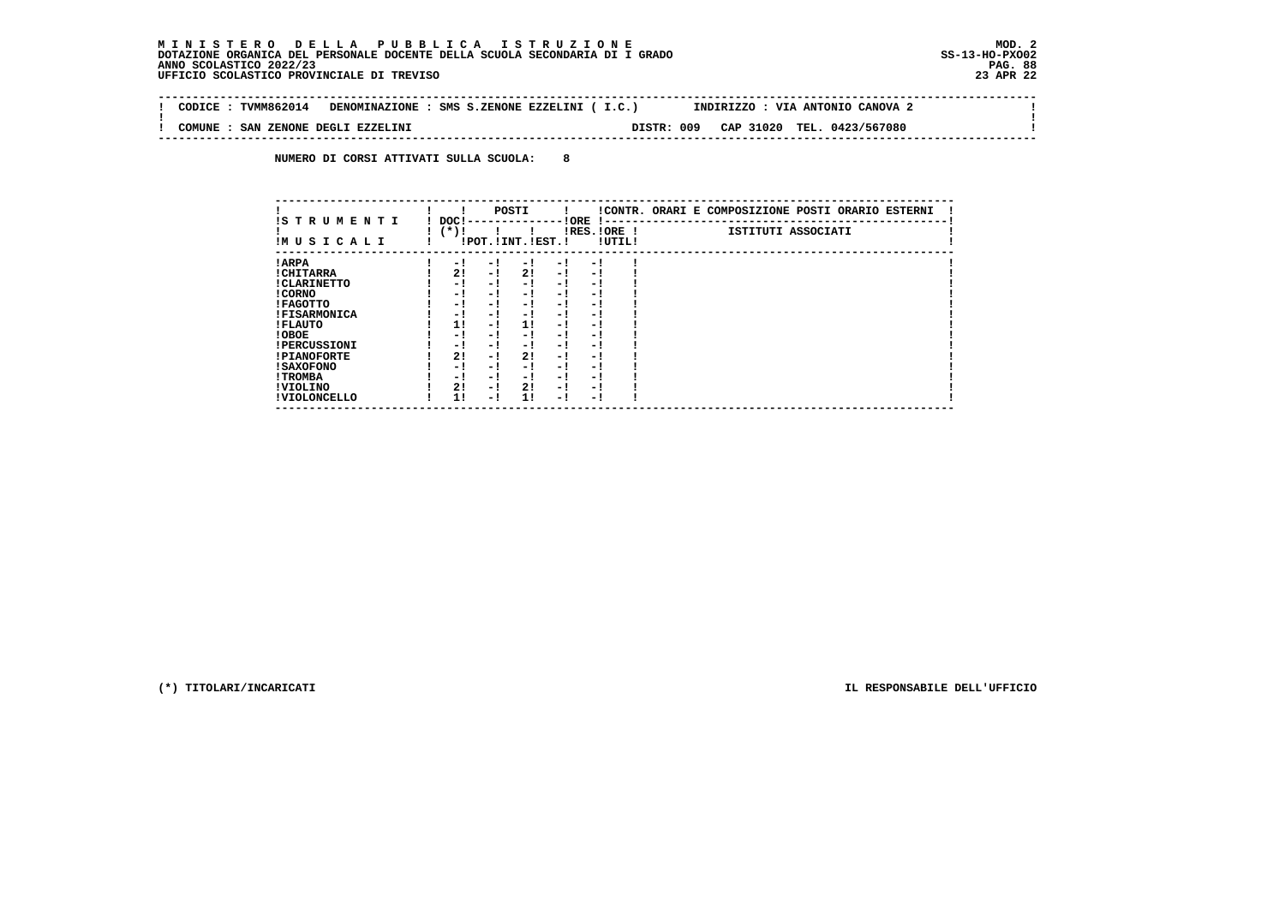$\sim$  100  $\pm$ 

 $\mathbf{I}$ 

 **-------------------------------------------------------------------------------------------------------------------------------- ! CODICE : TVMM862014 DENOMINAZIONE : SMS S.ZENONE EZZELINI ( I.C.) INDIRIZZO : VIA ANTONIO CANOVA 2 ! ! ! ! COMUNE : SAN ZENONE DEGLI EZZELINI DISTR: 009 CAP 31020 TEL. 0423/567080 ! --------------------------------------------------------------------------------------------------------------------------------**

 **NUMERO DI CORSI ATTIVATI SULLA SCUOLA: 8**

| IS TRUMENTI         | DOC!    |     | POSTI                 |      | ! ORE        |        | !CONTR. ORARI E COMPOSIZIONE POSTI ORARIO ESTERNI |
|---------------------|---------|-----|-----------------------|------|--------------|--------|---------------------------------------------------|
| IMUSICALI           | ( * ) ! |     | !POT. ! INT. ! EST. ! |      | IRES. IORE ! | !UTIL! | ISTITUTI ASSOCIATI                                |
| ! ARPA              | $-1$    | - ! | $-1$                  | $-1$ | - 1          |        |                                                   |
| ! CHITARRA          | 2!      | - ! | 2!                    | $-1$ | - 1          |        |                                                   |
| ! CLARINETTO        | - 1     | - ! | - 1                   | - 1  | - 1          |        |                                                   |
| ! CORNO             | - !     | - ! | - 1                   | - 1  | - 1          |        |                                                   |
| ! FAGOTTO           | - 1     | - ! | - 1                   | $-1$ | - 1          |        |                                                   |
| <b>!FISARMONICA</b> | - 1     | - 1 | - 1                   | - 1  | - 1          |        |                                                   |
| ! FLAUTO            | 11      | - ! | 11                    | - !  | - 1          |        |                                                   |
| ! OBOE              | - 1     | - ! | - 1                   | $-1$ | - 1          |        |                                                   |
| <b>!PERCUSSIONI</b> | - 1     | - 1 | - 1                   | - 1  | - 1          |        |                                                   |
| <b>!PIANOFORTE</b>  | 2!      | - ! | 2!                    | - !  | - 1          |        |                                                   |
| ! SAXOFONO          | - 1     | - 1 | - 1                   | - 1  | - 1          |        |                                                   |
| ! TROMBA            | - !     | - ! | - 1                   | - !  | - 1          |        |                                                   |
| ! VIOLINO           | 2!      | - ! | 2!                    | $-1$ | - 1          |        |                                                   |
| ! VIOLONCELLO       | 11      | - 1 | 11                    | - 1  | - 1          |        |                                                   |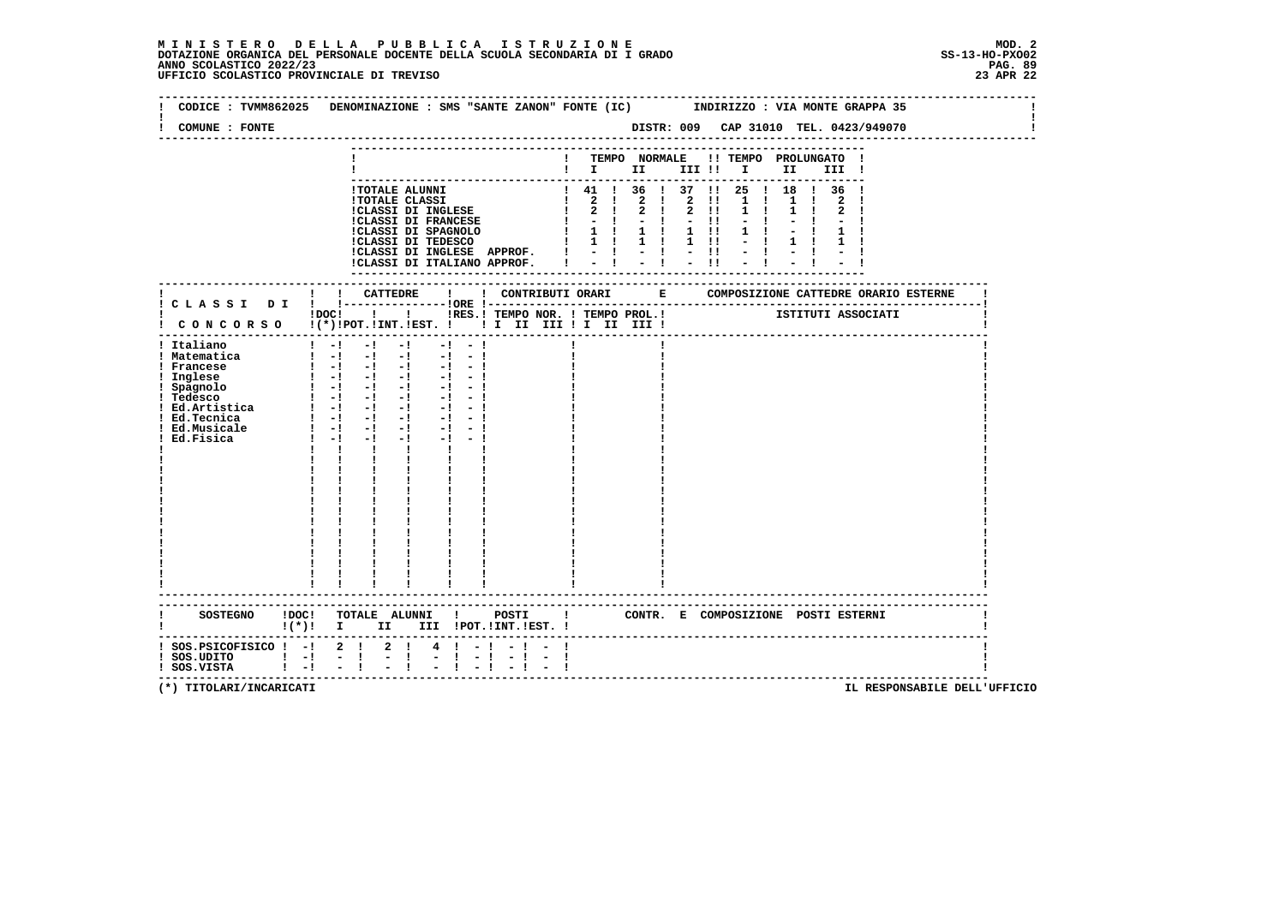| COMUNE : FONTE                                                                                                                                              |                                                                                                                                                                                                                                                                                                                                                                                                                                                                                                                                                                                                                                                                                                                                                  |                                                                                                  |
|-------------------------------------------------------------------------------------------------------------------------------------------------------------|--------------------------------------------------------------------------------------------------------------------------------------------------------------------------------------------------------------------------------------------------------------------------------------------------------------------------------------------------------------------------------------------------------------------------------------------------------------------------------------------------------------------------------------------------------------------------------------------------------------------------------------------------------------------------------------------------------------------------------------------------|--------------------------------------------------------------------------------------------------|
|                                                                                                                                                             |                                                                                                                                                                                                                                                                                                                                                                                                                                                                                                                                                                                                                                                                                                                                                  | ! TEMPO NORMALE !! TEMPO PROLUNGATO !<br>III !                                                   |
|                                                                                                                                                             | !TOTALE ALUNNI<br>$\begin{tabular}{l c c c c c} \hline {\tt ITOTABLE\ ALUNNI} & & & & & & & & & & & \\ \hline 110TALE\ CLASSI\ DI\ INGLESI\ & & & & & & & & & & & & \\ \hline 1CLASSI\ DI\ INGLESI\ & & & & & & & & & & \\ \hline 1CLASSI\ DI\ FRANCESE\ & & & & & & & & & & \\ \hline 1CLASSI\ DI\ FERANCESE\ & & & & & & & & & & \\ \hline 1CLASSI\ DI\ TEDESCO\ & & & & & & & & & & \\ \hline 1 & & & & & & & & & & & & \\ \hline 1CLASSI\ D$                                                                                                                                                                                                                                                                                                 | 1 41 1 36 1 37 11 25 1 18 1 36 1<br>1 <sub>1</sub><br>$1 \quad 1$<br>$\mathbf{1}$<br>$1 \quad 1$ |
|                                                                                                                                                             | ! ! CATTEDRE<br>$\mathbf{I}$<br>! C L A S S I D I ! !----------------!ORE !---                                                                                                                                                                                                                                                                                                                                                                                                                                                                                                                                                                                                                                                                   |                                                                                                  |
|                                                                                                                                                             | !DOC! !!!!RES.! TEMPO NOR. ! TEMPO PROL.!                                                                                                                                                                                                                                                                                                                                                                                                                                                                                                                                                                                                                                                                                                        | ISTITUTI ASSOCIATI                                                                               |
| ! Italiano<br>! Matematica<br>! Francese<br>Inglese<br>! Spagnolo<br>! Tedesco<br>! Tedesco<br>! Ed.Artistica<br>! Ed.Tecnica<br>! Ed.Musicale<br>Ed.Fisica | $\frac{1}{2}$ $\frac{1}{2}$ $\frac{1}{2}$ $\frac{1}{2}$ $\frac{1}{2}$ $\frac{1}{2}$ $\frac{1}{2}$ $\frac{1}{2}$<br>$-1 - -1$<br>$\mathbf{1}$ and $\mathbf{1}$ and $\mathbf{1}$ and $\mathbf{1}$ and $\mathbf{1}$ and $\mathbf{1}$ and $\mathbf{1}$<br>$\begin{bmatrix} 1 & -1 & -1 & -1 & -1 & -1 \end{bmatrix}$<br>$1 - 1 - 1 - 1 - 1 - 1 - 1$<br>$\frac{1}{2}$ $\frac{1}{2}$ $\frac{1}{2}$ $\frac{1}{2}$ $\frac{1}{2}$ $\frac{1}{2}$ $\frac{1}{2}$ $\frac{1}{2}$ $\frac{1}{2}$ $\frac{1}{2}$ $\frac{1}{2}$ $\frac{1}{2}$<br>$\begin{bmatrix} 1 & -1 & -1 & -1 & -1 & -1 \end{bmatrix}$<br>$1 - 1 - 1 - 1$<br>$-1 - -1$<br>$1 - 1 - 1$<br>$-1$ $-$<br>$\mathbf{I}$<br>$\mathbf{I}$<br>$\mathbf{I}$ and $\mathbf{I}$<br>------------------------ |                                                                                                  |
| SOSTEGNO ! DOC!                                                                                                                                             | TOTALE ALUNNI !                                                                                                                                                                                                                                                                                                                                                                                                                                                                                                                                                                                                                                                                                                                                  | POSTI   CONTR. E COMPOSIZIONE POSTI ESTERNI                                                      |
| ! SOS.PSICOFISICO ! -! 2 ! 2 !<br>$!$ SOS.UDITO $!$ -!<br>$\mathbf{I}$ $-\mathbf{I}$<br>! SOS.VISTA                                                         | 4 ! - ! - ! -<br>$-1$<br>$-1$<br>$-1$                                                                                                                                                                                                                                                                                                                                                                                                                                                                                                                                                                                                                                                                                                            | -------------------------------------                                                            |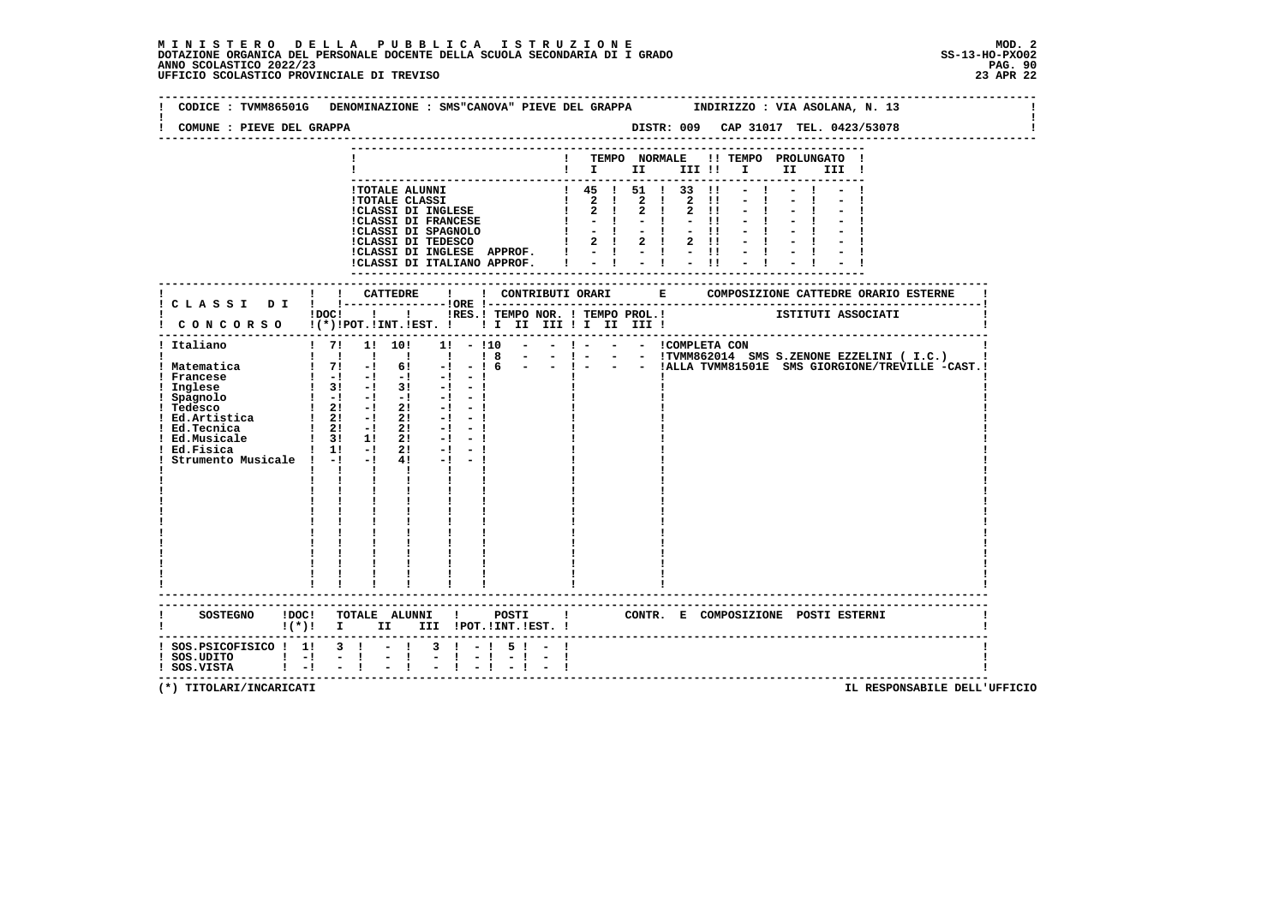| COMUNE : PIEVE DEL GRAPPA                                                                                                                                                                                       |                                                                                                                                                                                                                                                                                                                                                                                                                                                              |                                                                                                                                                                                                                        |
|-----------------------------------------------------------------------------------------------------------------------------------------------------------------------------------------------------------------|--------------------------------------------------------------------------------------------------------------------------------------------------------------------------------------------------------------------------------------------------------------------------------------------------------------------------------------------------------------------------------------------------------------------------------------------------------------|------------------------------------------------------------------------------------------------------------------------------------------------------------------------------------------------------------------------|
|                                                                                                                                                                                                                 |                                                                                                                                                                                                                                                                                                                                                                                                                                                              | ! TEMPO NORMALE !! TEMPO PROLUNGATO !<br>$\blacksquare$ $\blacksquare$ $\blacksquare$ $\blacksquare$ $\blacksquare$ $\blacksquare$ $\blacksquare$ $\blacksquare$ $\blacksquare$ $\blacksquare$ $\blacksquare$<br>III ! |
|                                                                                                                                                                                                                 | <b>!TOTALE ALUNNI</b><br>!CLASSI DI INGLESE APPROF. !<br>!CLASSI DI ITALIANO APPROF.                                                                                                                                                                                                                                                                                                                                                                         | $1$ 45 $1$ 51 $1$ 33 $11$<br>$-1$<br>$-1$<br>$\sim -11$<br>$-1$                                                                                                                                                        |
|                                                                                                                                                                                                                 |                                                                                                                                                                                                                                                                                                                                                                                                                                                              |                                                                                                                                                                                                                        |
|                                                                                                                                                                                                                 | CONCORSO !(*)!POT.!INT.!EST. ! ! I III III II III III !                                                                                                                                                                                                                                                                                                                                                                                                      | iDOCI ! ! IRES. I TEMPO NOR. I TEMPO PROL. ! [STITUTI ASSOCIATI                                                                                                                                                        |
| ! Italiano<br>! Matematica<br>! Francese<br>! Inglese<br>1 Spagnolo 1 -1 -1 -1<br>1 Tedesco 1 21 -1 21<br>1 Ed.Artistica 1 21 -1 21<br>! Ed.Tecnica<br>Ed.Musicale<br>! Ed.Fisica<br>Strumento Musicale ! -! -! | ------------------------------------<br>! 7! 1! 10!<br>$\frac{1}{1}$ $\frac{-1}{3!}$ $\frac{-1}{-1}$ $\frac{-1}{3!}$ $\frac{-1}{-1}$ $\frac{-1}{-1}$<br>$-1 - -1$<br>$-1$<br>$-1$<br>$\frac{1}{2!}$ -1 21<br>$-1 - 1$<br>$1 \quad 3! \quad 1!$<br>21<br>$1 \t1 \t-1$<br>21<br>$-1 - -1$<br>4 !<br>$\mathbf{I}$<br>$\mathbf{I}$<br>$\mathbf{I}$<br>$\mathbf{I}$<br>$\mathbf{I}$ and $\mathbf{I}$<br>$\mathbf{I}$ and $\mathbf{I}$<br>------------------------ | $1! - 10 - - 1 - - - 1$ COMPLETA CON                                                                                                                                                                                   |
|                                                                                                                                                                                                                 | SOSTEGNO !DOC! TOTALE ALUNNI !<br>POSTI<br>!(*)! I II III !POT.!INT.!EST. !                                                                                                                                                                                                                                                                                                                                                                                  | $\mathbf{I}$<br>CONTR. E COMPOSIZIONE POSTI_ESTERNI                                                                                                                                                                    |
| $:$ SOS. PSICOFISICO $:$ 1! 3 $:$ - $:$<br>$:$ SOS.UDITO $:$ $-!$<br>$!$ SOS.VISTA $!$ -!                                                                                                                       | $3! - 15! -$<br>$ i$<br>$-1$                                                                                                                                                                                                                                                                                                                                                                                                                                 | ----------------------------------                                                                                                                                                                                     |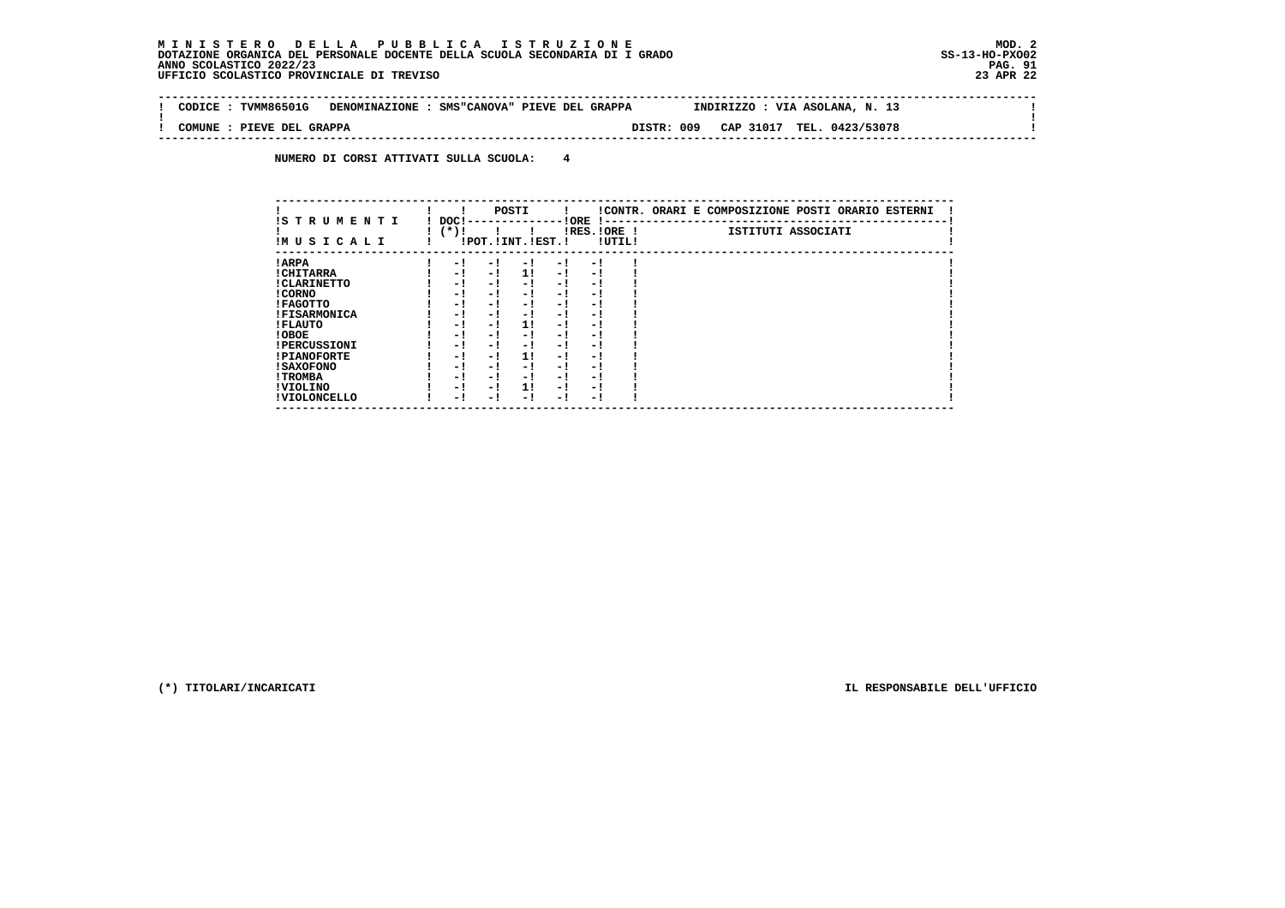$\sim$  1

 $\mathbf{I}$ 

 **-------------------------------------------------------------------------------------------------------------------------------- ! CODICE : TVMM86501G DENOMINAZIONE : SMS"CANOVA" PIEVE DEL GRAPPA INDIRIZZO : VIA ASOLANA, N. 13 ! ! ! ! COMUNE : PIEVE DEL GRAPPA DISTR: 009 CAP 31017 TEL. 0423/53078 ! --------------------------------------------------------------------------------------------------------------------------------**

 **NUMERO DI CORSI ATTIVATI SULLA SCUOLA: 4**

|                          |                |            | POSTI                 |      |                          |        | !CONTR. ORARI E COMPOSIZIONE POSTI ORARIO ESTERNI |
|--------------------------|----------------|------------|-----------------------|------|--------------------------|--------|---------------------------------------------------|
| IS TRUMENTI<br>IMUSICALI | DOC!<br>$(*)!$ |            | !POT. ! INT. ! EST. ! |      | ! ORE<br>$IRES.IORE$ !   | !UTIL! | ISTITUTI ASSOCIATI                                |
| ! ARPA                   |                | - 1<br>- 1 | - 1                   | $-1$ | - 1                      |        |                                                   |
| ! CHITARRA               |                | - !<br>- ! | 1!                    | - !  | - 1                      |        |                                                   |
| ! CLARINETTO             |                | - !<br>- 1 | - 1                   | - 1  | - 1                      |        |                                                   |
| ! CORNO                  |                | - !<br>- ! | - 1                   | - !  | - 1                      |        |                                                   |
| ! FAGOTTO                |                | - !<br>- 1 | - 1                   | $-1$ | - 1                      |        |                                                   |
| <b>!FISARMONICA</b>      |                | - 1<br>- 1 | - 1                   | - 1  | - 1                      |        |                                                   |
| ! FLAUTO                 |                | - !<br>- 1 | 1!                    | - !  | - 1                      |        |                                                   |
| ! OBOE                   |                | - !<br>- 1 | - 1                   | $-1$ | - 1                      |        |                                                   |
| <b>!PERCUSSIONI</b>      |                | - !<br>- 1 | - 1                   | - 1  | - 1                      |        |                                                   |
| <b>!PIANOFORTE</b>       |                | - !<br>- 1 | 11                    | - !  | - 1                      |        |                                                   |
| ! SAXOFONO               |                | - 1<br>- 1 | - !                   | - 1  | $\overline{\phantom{0}}$ |        |                                                   |
| ! TROMBA                 |                | - !<br>- 1 | - !                   | - 1  | - 1                      |        |                                                   |
| ! VIOLINO                |                | - 1<br>- 1 | 1!                    | $-1$ | - 1                      |        |                                                   |
| ! VIOLONCELLO            |                | - 1<br>- 1 | - 1                   | - !  | - 1                      |        |                                                   |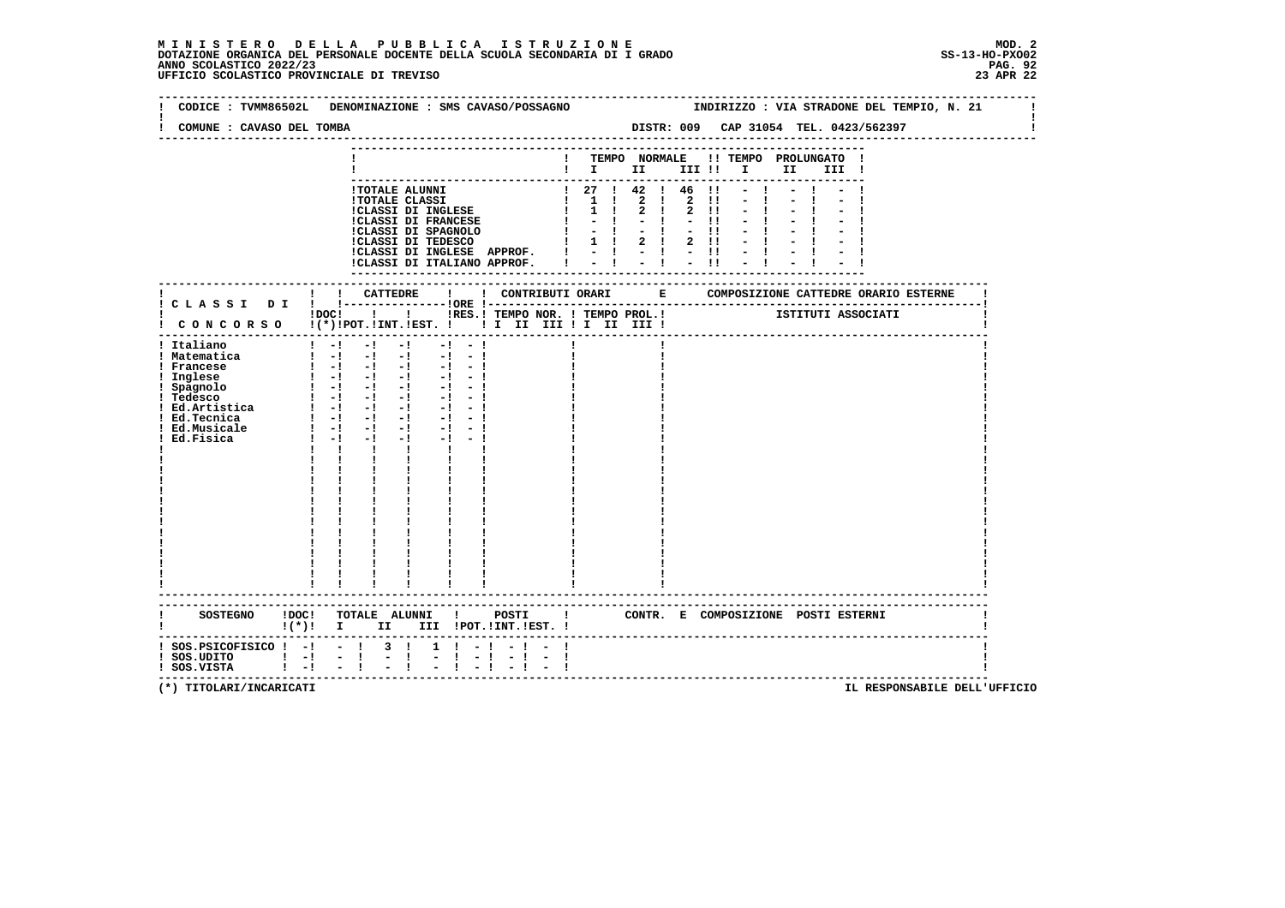# **M I N I S T E R O D E L L A P U B B L I C A I S T R U Z I O N E MOD. 2**DOTAZIONE ORGANICA DEL PERSONALE DOCENTE DELLA SCUOLA SECONDARIA DI I GRADO **SCOLASTICO SCOLASTICO 2022/23 PAG-**<br>PAG ANNO SCOLASTICO 2022/23 PAG. 92<br>23 APR 22 UFFICIO SCOLASTICO PROVINCIALE DI TREVISO

| COMUNE : CAVASO DEL TOMBA                                                                                                                                   | CODICE: TVMM86502L DENOMINAZIONE: SMS CAVASO/POSSAGNO<br>INDIRIZZO : VIA STRADONE DEL TEMPIO, N. 21<br>DISTR: 009 CAP 31054 TEL. 0423/562397                                                                                                                                                                                                                                                                                                                                                                                                                                                                            |
|-------------------------------------------------------------------------------------------------------------------------------------------------------------|-------------------------------------------------------------------------------------------------------------------------------------------------------------------------------------------------------------------------------------------------------------------------------------------------------------------------------------------------------------------------------------------------------------------------------------------------------------------------------------------------------------------------------------------------------------------------------------------------------------------------|
|                                                                                                                                                             | TEMPO NORMALE !! TEMPO PROLUNGATO<br>$\blacksquare$ $\blacksquare$ $\blacksquare$ $\blacksquare$<br>III !!!!!<br>II D<br>III !                                                                                                                                                                                                                                                                                                                                                                                                                                                                                          |
|                                                                                                                                                             | $\begin{array}{cccccccc} 1 & 27 & 1 & 42 & 1 & 46 & 11 \\ 1 & 1 & 1 & 2 & 1 & 2 & 11 \end{array}$<br>!TOTALE ALUNNI<br><b>!TOTALE CLASSI</b><br>$1 \quad 1 \quad 1 \quad 2 \quad 1$<br>$2 \quad 11$<br><b>!CLASSI DI INGLESE</b><br>$1 \quad 1$<br>$2 \quad 1$<br>$2 \quad 11$<br><b>!CLASSI DI FRANCESE</b><br>$-1$<br>$-1$<br>$-11$<br>!CLASSI DI SPAGNOLO<br>!CLASSI DI TEDESCO<br>$-1$ $-1$<br>$-11 - 1 - 1$<br>$-1$<br>$1 \quad 1$<br>$2 \quad 1$<br>$2 \quad 11 \quad - \quad 1 \quad - \quad 1$<br>!CLASSI DI INGLESE APPROF.<br>$-1$ $-1$<br>$-1$<br>$-1$ $-1$<br>$-11$<br>!CLASSI DI ITALIANO APPROF.<br>$-11$ |
|                                                                                                                                                             | !<br><br>! CONTRIBUTI ORARI $\qquad$ E $\qquad$ COMPOSIZIONE CATTEDRE ORARIO ESTERNE<br>! ! CATTEDRE                                                                                                                                                                                                                                                                                                                                                                                                                                                                                                                    |
|                                                                                                                                                             | ! C L A S S I D I ! !-----------------DRE !----<br>----------------------------------<br>$1DC!$ $1$ $1$<br>! CONCORSO !(*)!POT.!INT.!EST. !! I II III !I II III !                                                                                                                                                                                                                                                                                                                                                                                                                                                       |
| ! Italiano<br>! Matematica<br>! Francese<br>! Inglese<br>! Spagnolo<br>--4esco<br>: ICODEDE<br>! Ed.Artistica<br>! Ed.Tecnica<br>! Ed.Musicale<br>Ed.Fisica | $1 - -1 - -1$<br>$-1$<br>$-1 - -1$<br>$\blacksquare$ $\blacksquare$ $\blacksquare$ $\blacksquare$<br>$-1$<br>$-1 - 1$<br>$1 - 1 - 1 - 1$<br>$-1 - 1$<br>1 1 -1 -1 -1 -1 -1 -1<br>$1 - 1 - 1 - 1 - 1 - 1$<br>$1 - 1 - 1 - 1 - 1 - 1$<br>$\begin{bmatrix} 1 & -1 & -1 & -1 & -1 & -1 \end{bmatrix}$<br>$\frac{1}{2}$ $\frac{1}{2}$ $\frac{1}{2}$ $\frac{1}{2}$ $\frac{1}{2}$ $\frac{1}{2}$<br>$-1$ $-1$ $-1$<br>$1 - 1 - 1$<br>$-1$ $-1$ $-1$<br>$\mathbf{1}$ $\mathbf{1}$<br>$\mathbf{I}$<br>$\mathbf{I}$ and $\mathbf{I}$                                                                                               |
| <b>SOSTEGNO</b>                                                                                                                                             | !DOC! TOTALE ALUNNI ! POSTI<br>! CONTR. E COMPOSIZIONE POSTI ESTERNI<br>$\mathbf{I}(\star)\mathbf{I}$ II<br>III !POT. !INT. !EST. !                                                                                                                                                                                                                                                                                                                                                                                                                                                                                     |
| $!$ SOS.PSICOFISICO $!$ -! - ! 3 !<br>$!$ SOS.UDITO $!$ -!<br>! SOS.VISTA                                                                                   | $1 \t1 - 1$<br>- 1<br>$\frac{1}{1}$ $\frac{-1}{-1}$ $\frac{-1}{-1}$<br>$\frac{1}{2}$ $\frac{1}{1}$<br>$-1 - 1$<br>$\overline{\phantom{a}}$<br>$\mathbf{I}$<br>$\mathbf{I}$                                                                                                                                                                                                                                                                                                                                                                                                                                              |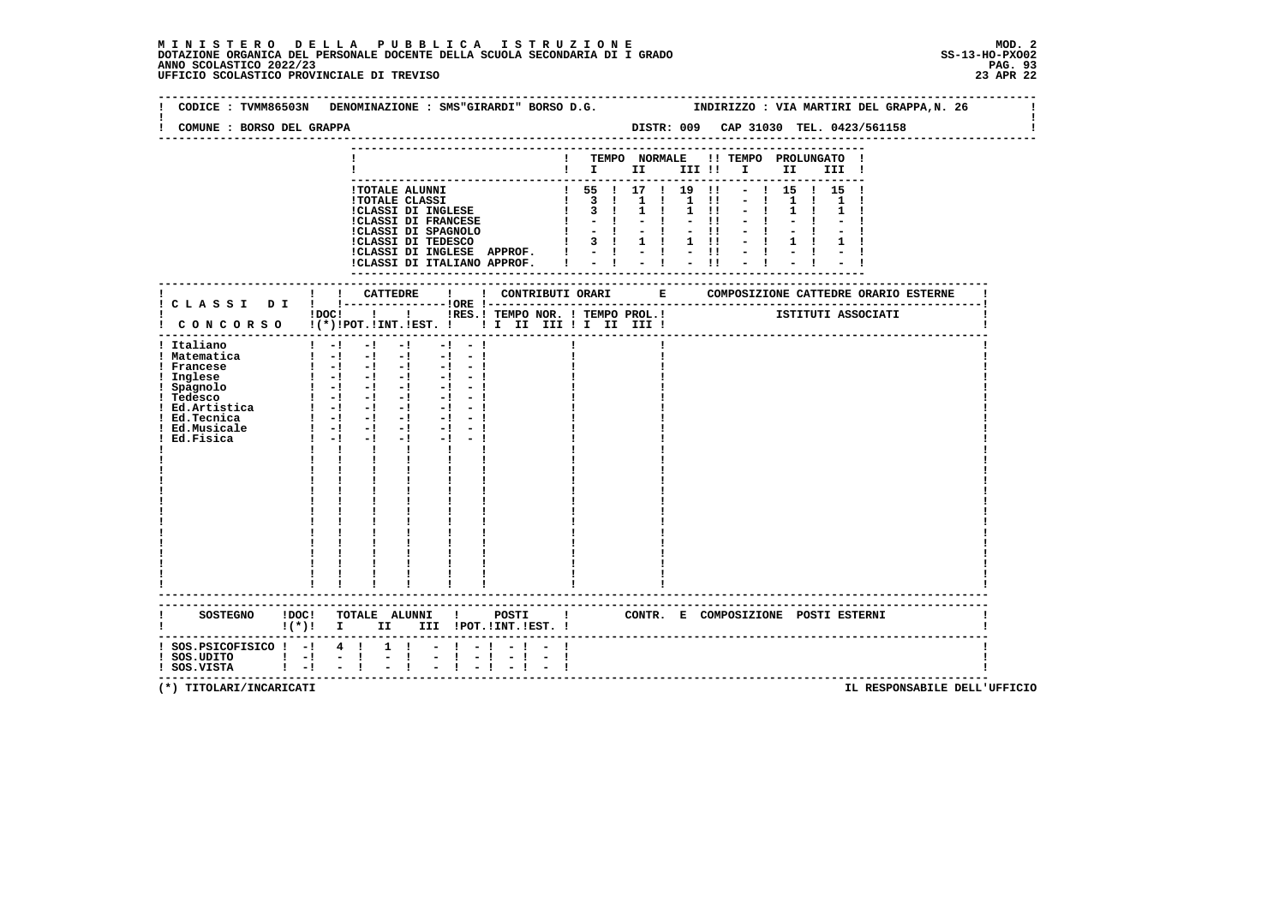# **M I N I S T E R O D E L L A P U B B L I C A I S T R U Z I O N E MOD. 2**DOTAZIONE ORGANICA DEL PERSONALE DOCENTE DELLA SCUOLA SECONDARIA DI I GRADO **SCOLASTICO SCOLASTICO 2022/23 PAG-**<br>PAG ANNO SCOLASTICO 2022/23 PAG. 93<br>23 APR 22 UFFICIO SCOLASTICO PROVINCIALE DI TREVISO

|                                                                                                                                                                                        |                                                                                                                                                                                                                                                                                                                                                                                                                                                                                                                   | CODICE: TVMM86503N DENOMINAZIONE: SMS"GIRARDI" BORSO D.G. SINDIRIZZO: VIA MARTIRI DEL GRAPPA, N. 26                                                                                                                                                                                                     |
|----------------------------------------------------------------------------------------------------------------------------------------------------------------------------------------|-------------------------------------------------------------------------------------------------------------------------------------------------------------------------------------------------------------------------------------------------------------------------------------------------------------------------------------------------------------------------------------------------------------------------------------------------------------------------------------------------------------------|---------------------------------------------------------------------------------------------------------------------------------------------------------------------------------------------------------------------------------------------------------------------------------------------------------|
| COMUNE : BORSO DEL GRAPPA                                                                                                                                                              |                                                                                                                                                                                                                                                                                                                                                                                                                                                                                                                   | DISTR: 009 CAP 31030 TEL. 0423/561158                                                                                                                                                                                                                                                                   |
|                                                                                                                                                                                        |                                                                                                                                                                                                                                                                                                                                                                                                                                                                                                                   | ! TEMPO NORMALE !! TEMPO PROLUNGATO !<br>$\blacksquare$ $\blacksquare$ $\blacksquare$ $\blacksquare$ $\blacksquare$ $\blacksquare$ $\blacksquare$ $\blacksquare$ $\blacksquare$ $\blacksquare$ $\blacksquare$ $\blacksquare$ $\blacksquare$ $\blacksquare$ $\blacksquare$ $\blacksquare$ $\blacksquare$ |
|                                                                                                                                                                                        |                                                                                                                                                                                                                                                                                                                                                                                                                                                                                                                   | $1$ 55 $1$ 17 $1$ 19 $11$<br>$ \frac{1}{15}$ $\frac{1}{15}$ $\frac{1}{15}$                                                                                                                                                                                                                              |
|                                                                                                                                                                                        | 1 TOTALE ALUNNI $\begin{tabular}{l cccc} \hline \texttt{I} & \texttt{I} & \texttt{I} & \texttt{I} & \texttt{I} & \texttt{I} & \texttt{I} & \texttt{I} & \texttt{I} & \texttt{I} & \texttt{I} & \texttt{I} \\ \hline \texttt{I} & \texttt{I} & \texttt{I} & \texttt{I} & \texttt{II} & \texttt{II} & \texttt{II} & \texttt{II} & \texttt{II} & \texttt{II} \\ \texttt{I} & \texttt{I} & \texttt{I} & \texttt{I} & \texttt{II} &$<br>!CLASSI DI INGLESE APPROF.   -   -   -  !<br>!CLASSI DI ITALIANO APPROF.   - ! | $-1$ 1 1 1<br>$-11$                                                                                                                                                                                                                                                                                     |
|                                                                                                                                                                                        |                                                                                                                                                                                                                                                                                                                                                                                                                                                                                                                   | -------------                                                                                                                                                                                                                                                                                           |
|                                                                                                                                                                                        | ! CONCORSO !(*)!POT.!INT.!EST. ! ! I III III II III II                                                                                                                                                                                                                                                                                                                                                                                                                                                            | IDOC! ! I IRES. I TEMPO NOR. I TEMPO PROL. ! [STITUTI ASSOCIATI                                                                                                                                                                                                                                         |
| ! Italiano<br>! Matematica<br>! Francese<br>! Inglese<br>! Spagnolo<br>! Tedesco<br>  Ed.Artistica   -  -  - <br>  Ed.Tecnica   -  -  - <br>! Ed.Tecnica<br>! Ed.Musicale<br>Ed.Fisica | $1 - 1$<br>$-1$<br>$-1$ $-$<br>$-1 - -1$<br>$\begin{bmatrix} 1 & -1 & -1 & -1 & -1 & -1 \end{bmatrix}$<br>$\blacksquare$ $\blacksquare$ $\blacksquare$ $\blacksquare$ $\blacksquare$<br>$-1 - -1$<br>$-1 - -1$<br>$1 - 1 - 1$<br>$-1$<br>$-1 - -1$<br>$1 - 1 - 1$<br>$-1$<br>$\mathbf{I}$<br>$\mathbf{I}$<br>$\mathbf{I}$ and $\mathbf{I}$<br>$\frac{1}{1}$                                                                                                                                                       |                                                                                                                                                                                                                                                                                                         |
|                                                                                                                                                                                        | ----------------------                                                                                                                                                                                                                                                                                                                                                                                                                                                                                            | SOSTEGNO !DOC! TOTALE ALUNNI ! POSTI ! CONTR. E COMPOSIZIONE POSTI ESTERNI                                                                                                                                                                                                                              |
| $:$ SOS.PSICOFISICO $:$ - $:$ 4 $:$<br>  SOS.UDITO   -  -  <br>  SOS.VISTA   -  -  <br>$\mathbf{1}$ $\mathbf{-1}$                                                                      | !(*)! I II III !POT.!INT.!EST.!<br>$1 \quad 1$<br>$-1 - 1$<br>$\mathbb{Z}^{\mathbb{Z}}$<br>$\mathbf{I}$<br>$-11 - 11$<br>$-1 - -1$                                                                                                                                                                                                                                                                                                                                                                                | ------------------------------------                                                                                                                                                                                                                                                                    |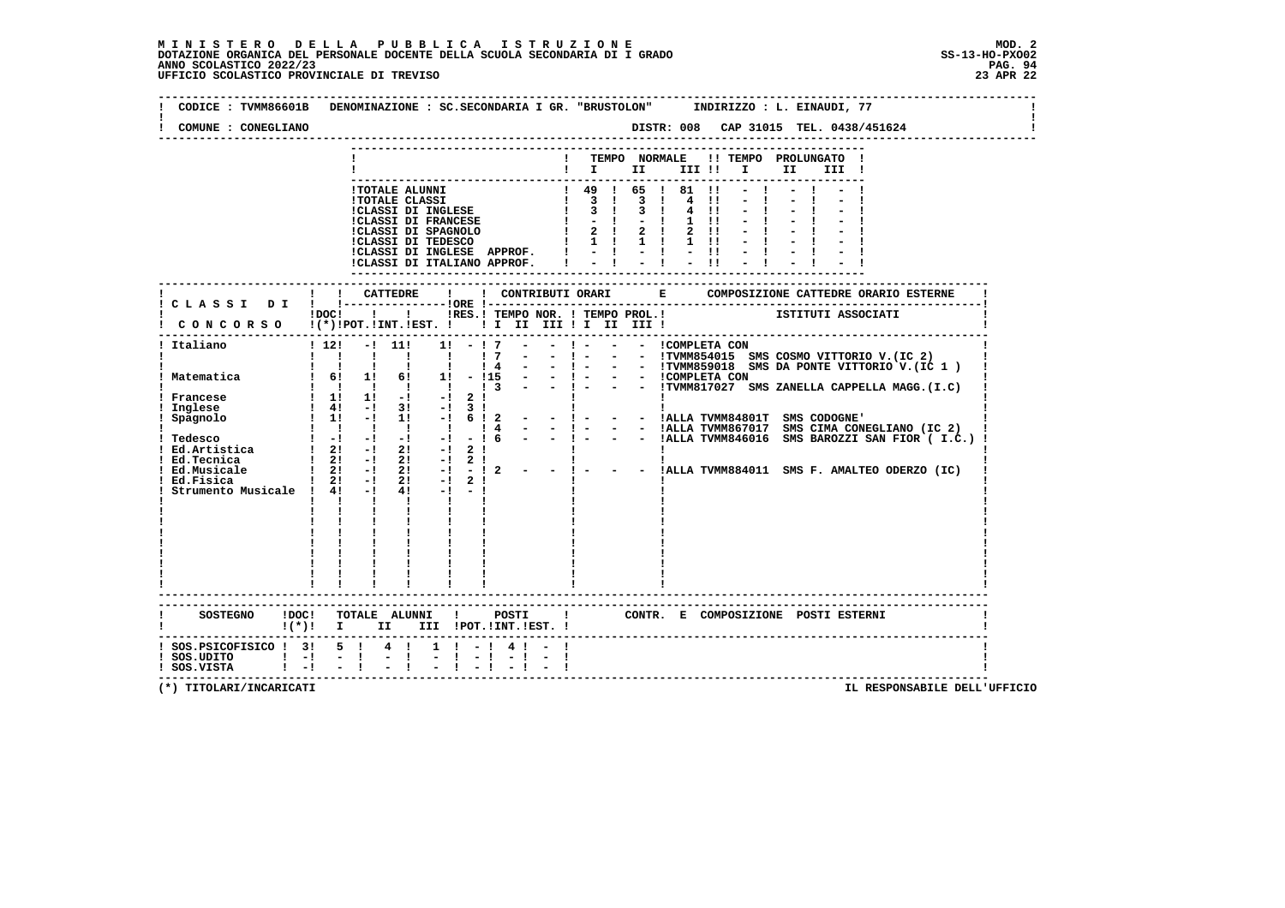# **M I N I S T E R O D E L L A P U B B L I C A I S T R U Z I O N E MOD. 2**DOTAZIONE ORGANICA DEL PERSONALE DOCENTE DELLA SCUOLA SECONDARIA DI I GRADO **SCOLASTICO SCOLASTICO 2022/23 PAG. 94**<br>23 ANNO SCOLASTICO 2022/23 PAG. 94<br>23 APR 22 UFFICIO SCOLASTICO PROVINCIALE DI TREVISO

 $\sim 1$ 

 $\mathbf{I}$ 

 $\mathbf{I}$ 

| CODICE: TVMM86601B<br>COMUNE : CONEGLIANO            | DENOMINAZIONE : SC.SECONDARIA I GR. "BRUSTOLON" INDIRIZZO : L. EINAUDI, 77<br>DISTR: 008 CAP 31015 TEL. 0438/451624                                                                                                                                                                                                                                                                                                                                                                    |  |
|------------------------------------------------------|----------------------------------------------------------------------------------------------------------------------------------------------------------------------------------------------------------------------------------------------------------------------------------------------------------------------------------------------------------------------------------------------------------------------------------------------------------------------------------------|--|
|                                                      | TEMPO NORMALE<br>!! TEMPO PROLUNGATO<br>$\mathbf{I}$                                                                                                                                                                                                                                                                                                                                                                                                                                   |  |
|                                                      | $\mathbf{I}$ is the set of $\mathbf{I}$<br>III !!<br>$\mathbf{I}$ and $\mathbf{I}$<br>II D<br>III !                                                                                                                                                                                                                                                                                                                                                                                    |  |
|                                                      | ! 49 ! 65 ! 81 !1<br>!TOTALE ALUNNI<br>$\overline{\mathbf{3}}$<br>$3 \quad 1$<br>$\blacksquare$<br>$4 \quad 11$<br><b>!TOTALE CLASSI</b><br>$\mathbf{I}$<br>:TOTALE CEREBI<br>!CLASSI DI INGLESE<br>!CLASSI DI FRANCESE<br>$3 \quad 1$<br>$3 \quad 1$<br>$4 \quad 11$<br>$-1$<br>$1 \quad 11$<br>$2 \quad 1$<br>$2 \quad 1$<br>!CLASSI DI SPAGNOLO<br>!CLASSI DI TEDESCO<br>$\mathbf{I}$<br>$2 \quad 11$<br>$1 \quad 1 \quad 1 \quad 1$<br>$1 \quad 11$<br>!CLASSI DI ITALIANO APPROF. |  |
|                                                      |                                                                                                                                                                                                                                                                                                                                                                                                                                                                                        |  |
| ! CLASSI DI                                          | $1\,\mathrm{DOC}$ $1\,\mathrm{O}$<br>ISTITUTI ASSOCIATI<br>!RES.! TEMPO NOR. ! TEMPO PROL.!<br>CONCORSO !(*)!POT.!INT.!EST. !! I III III II III III                                                                                                                                                                                                                                                                                                                                    |  |
| Italiano                                             | ! - - - :COMPLETA CON<br>$1\;12!$<br>$-1$ 11!<br>11<br>$-17$<br>$1 \quad 1 \quad 1 \quad 1 \quad 1$<br>17<br>$\blacksquare$<br>- 1 - - - ITWIM854015 SMS COSMO VITTORIO V.(IC 2)<br>- 1 - - - ITWIM854015 SMS DA PONTE VITTORIO V.(IC 1)<br>- 1 - - - ICOMPLETA CON<br>- 1 - - - ITWIM817027 SMS ZANELLA CAPPELLA MAGG.(I.C)<br>$1 \quad 1 \quad 1$<br>14<br>$\blacksquare$<br>$\mathbf{I}$<br>Matematica 1 6! 1! 6! 1! - !15                                                          |  |
|                                                      | $\begin{array}{cccccccccccccc} 1 & 1 & 1 & 1 & 1 & 1 & 1 \end{array}$                                                                                                                                                                                                                                                                                                                                                                                                                  |  |
| ! Ed.Tecnica<br>Ed.Musicale                          | $1 \quad 2! \quad -1 \quad 2! \quad -1 \quad 2 \quad 1$<br>! 2! -! 2! -! 2! -! 2 ! !!<br>! 2! -! 2! -! -! 2 - - ! - - - !ALLA TVMM884011 SMS F.AMALTEO ODERZO (IC)                                                                                                                                                                                                                                                                                                                     |  |
| Ed.Fisica                                            | $! 2! -! 2! -! 2!$<br>Strumento Musicale ! 4! -! 4! -! -!<br>$\mathbf{1}$ $\mathbf{1}$ $\mathbf{1}$                                                                                                                                                                                                                                                                                                                                                                                    |  |
|                                                      |                                                                                                                                                                                                                                                                                                                                                                                                                                                                                        |  |
| <b>SOSTEGNO</b><br>!DOC!                             | TOTALE ALUNNI !<br>POSTI<br>CONTR. E COMPOSIZIONE POSTI ESTERNI<br>$\blacksquare$<br>III !POT. !INT. !EST. !<br>$\mathbf{I}(\star)\mathbf{I}$ I<br>II a                                                                                                                                                                                                                                                                                                                                |  |
| ! SOS.PSICOFISICO ! 3!<br>! SOS.UDITO<br>! SOS.VISTA | $5 \quad 1$<br>$4 \quad 1$<br>$1 \t-1$<br>4 ! -<br>$1 - 1$<br>$-1 - 1$<br>$1 - 1$<br>Ι.<br>$-1$ $-1$<br>$1 - 1$                                                                                                                                                                                                                                                                                                                                                                        |  |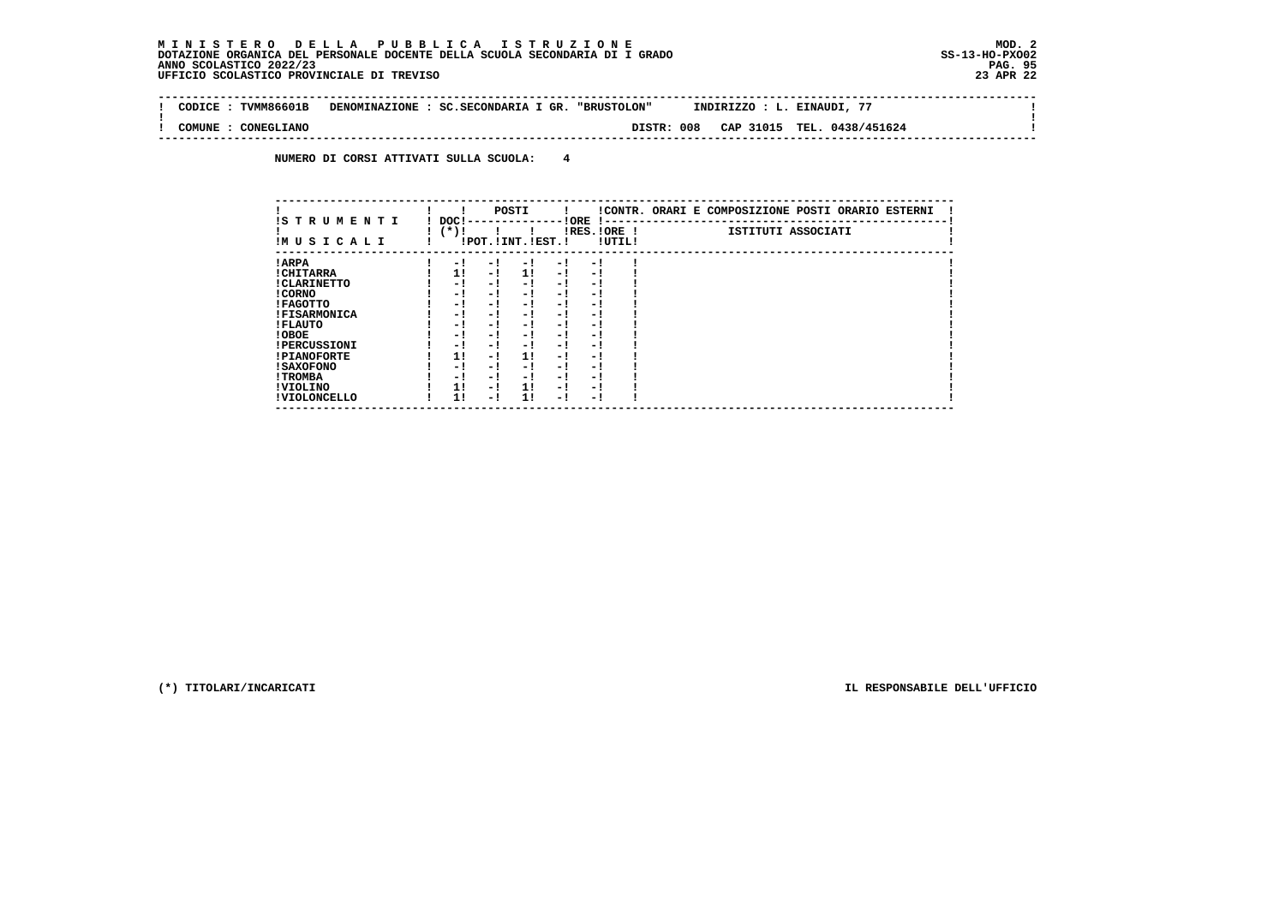$\sim$  1

 $\mathbf{I}$ 

 $\mathbf{I}$ 

 **-------------------------------------------------------------------------------------------------------------------------------- ! CODICE : TVMM86601B DENOMINAZIONE : SC.SECONDARIA I GR. "BRUSTOLON" INDIRIZZO : L. EINAUDI, 77 ! ! ! ! COMUNE : CONEGLIANO DISTR: 008 CAP 31015 TEL. 0438/451624 !**

 **--------------------------------------------------------------------------------------------------------------------------------**

 **NUMERO DI CORSI ATTIVATI SULLA SCUOLA: 4**

| IS TRUMENTI         | DOC! |      | POSTI                 |      | ! ORE                    |        | !CONTR. ORARI E COMPOSIZIONE POSTI ORARIO ESTERNI |
|---------------------|------|------|-----------------------|------|--------------------------|--------|---------------------------------------------------|
| IMUSICALI           | (*)! |      | !POT. ! INT. ! EST. ! |      | IRES.IORE !              | !UTIL! | ISTITUTI ASSOCIATI                                |
| ! ARPA              | - 1  | - 1  | - !                   | $-1$ | - 1                      |        |                                                   |
| ! CHITARRA          | 1!   | - !  | 11                    | $-1$ | - 1                      |        |                                                   |
| ! CLARINETTO        | - !  | - !  | - 1                   | - 1  | - 1                      |        |                                                   |
| ! CORNO             | - 1  | - 1  | - 1                   | - 1  | - 1                      |        |                                                   |
| ! FAGOTTO           | - !  | - 1  | - 1                   | - 1  | - 1                      |        |                                                   |
| <b>!FISARMONICA</b> | - 1  | - 1  | - 1                   | - 1  | $\overline{\phantom{0}}$ |        |                                                   |
| ! FLAUTO            | - !  | - !  | - 1                   | - 1  | - 1                      |        |                                                   |
| ! OBOE              | - !  | - !  | - 1                   | $-1$ | - 1                      |        |                                                   |
| <b>!PERCUSSIONI</b> | - !  | - 1  | - 1                   | - 1  | - 1                      |        |                                                   |
| <b>!PIANOFORTE</b>  | 1!   | - 1  | 11                    | - 1  | - 1                      |        |                                                   |
| ! SAXOFONO          | - 1  | - 1  | - 1                   | - 1  | - 1                      |        |                                                   |
| ! TROMBA            | - 1  | $-1$ | - 1                   | - 1  | - 1                      |        |                                                   |
| ! VIOLINO           | 1!   | - !  | 11                    | $-1$ | - 1                      |        |                                                   |
| ! VIOLONCELLO       | 11   | - 1  | 11                    | - 1  | - 1                      |        |                                                   |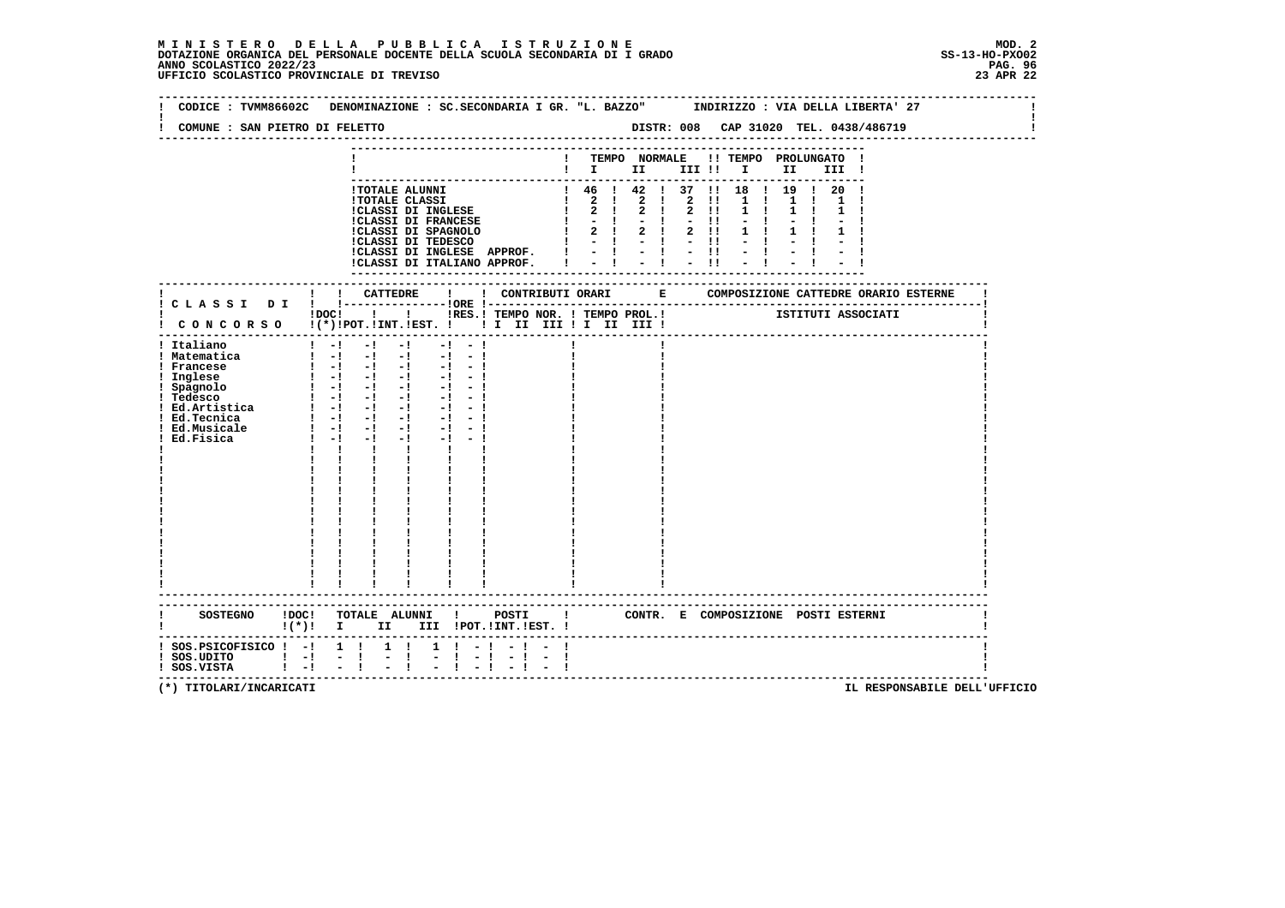**--------------------------------------------------------------------------------------------------------------------------------Contract Contract ! CODICE : TVMM86602C DENOMINAZIONE : SC.SECONDARIA I GR. "L. BAZZO" INDIRIZZO : VIA DELLA LIBERTA' 27 ! ! !** $\mathbf{I}$  **! COMUNE : SAN PIETRO DI FELETTO DISTR: 008 CAP 31020 TEL. 0438/486719 ! -------------------------------------------------------------------------------------------------------------------------------- --------------------------------------------------------------------------- ! ! TEMPO NORMALE !! TEMPO PROLUNGATO ! ! ! I II III !! I II III ! --------------------------------------------------------------------------- !TOTALE ALUNNI ! 46 ! 42 ! 37 !! 18 ! 19 ! 20 ! !TOTALE CLASSI ! 2 ! 2 ! 2 !! 1 ! 1 ! 1 ! !CLASSI DI INGLESE ! 2 ! 2 ! 2 !! 1 ! 1 ! 1 ! !CLASSI DI FRANCESE ! - ! - ! - !! - ! - ! - ! !CLASSI DI SPAGNOLO ! 2 ! 2 ! 2 !! 1 ! 1 ! 1 ! !CLASSI DI TEDESCO ! - ! - ! - !! - ! - ! - ! !CLASSI DI INGLESE APPROF. ! - ! - ! - !! - ! - ! - ! !CLASSI DI ITALIANO APPROF. ! - ! - ! - !! - ! - ! - ! --------------------------------------------------------------------------- ------------------------------------------------------------------------------------------------------------------------- ! ! ! CATTEDRE ! ! CONTRIBUTI ORARI E COMPOSIZIONE CATTEDRE ORARIO ESTERNE ! ! C L A S S I D I ! !---------------!ORE !------------------------------------------------------------------------! ! ! ! ! ! IRES.! TEMPO NOR. ! TEMPO PROL.!** ISTITUTI ASSOCIATI  **! C O N C O R S O !(\*)!POT.!INT.!EST. ! ! I II III ! I II III ! ! ------------------------------------------------------------------------------------------------------------------------- ! Italiano ! -! -! -! -! - ! ! ! ! ! Matematica ! -! -! -! -! - ! ! ! ! ! Francese ! -! -! -! -! - ! ! ! ! ! Inglese ! -! -! -! -! - ! ! ! ! ! Spagnolo ! -! -! -! -! - ! ! ! ! ! Tedesco ! -! -! -! -! - ! ! ! ! ! Ed.Artistica ! -! -! -! -! - ! ! ! ! ! Ed.Tecnica ! -! -! -! -! - ! ! ! ! ! Ed.Musicale ! -! -! -! -! - ! ! ! ! ! Ed.Fisica**   $1 - 1 - 1 - 1 - 1 - 1 - 1$  **!**  $1 - 1 - 1 - 1 - 1 - 1$  **! ! ! ! ! ! ! ! ! ! ! ! ! ! ! ! ! ! ! ! ! ! ! ! ! ! ! ! ! ! ! ! ! ! ! ! ! ! ! ! ! ! ! ! ! ! ! ! ! ! ! ! ! ! ! ! ! ! ! ! ! ! ! ! ! ! ! ! ! ! ! ! ! ! ! ! ! ! ! ! ! ! ! ! ! ! ! ! ! ! ! ! ! ! ! ! ! ! ! ! ! ! ! ! ! ! ! ! ! ! ! ! ! ! ! ! ! ! ! ! ! ! ! ! ! ! ! ! ! ! ! ! ! ! ! ! ! ! ! ! ! ------------------------------------------------------------------------------------------------------------------------- ------------------------------------------------------------------------------------------------------------------------- ! SOSTEGNO !DOC! TOTALE ALUNNI ! POSTI ! CONTR. E COMPOSIZIONE POSTI ESTERNI ! ! !(\*)! I II III !POT.!INT.!EST. ! ! ------------------------------------------------------------------------------------------------------------------------- ! SOS.PSICOFISICO ! -! 1 ! 1 ! 1 ! - ! - ! - ! !** $\blacksquare$  **! SOS.UDITO ! -! - ! - ! - ! - ! - ! - ! ! ! SOS.VISTA ! -! - ! - ! - ! - ! - ! - ! !**- 1  **-------------------------------------------------------------------------------------------------------------------------**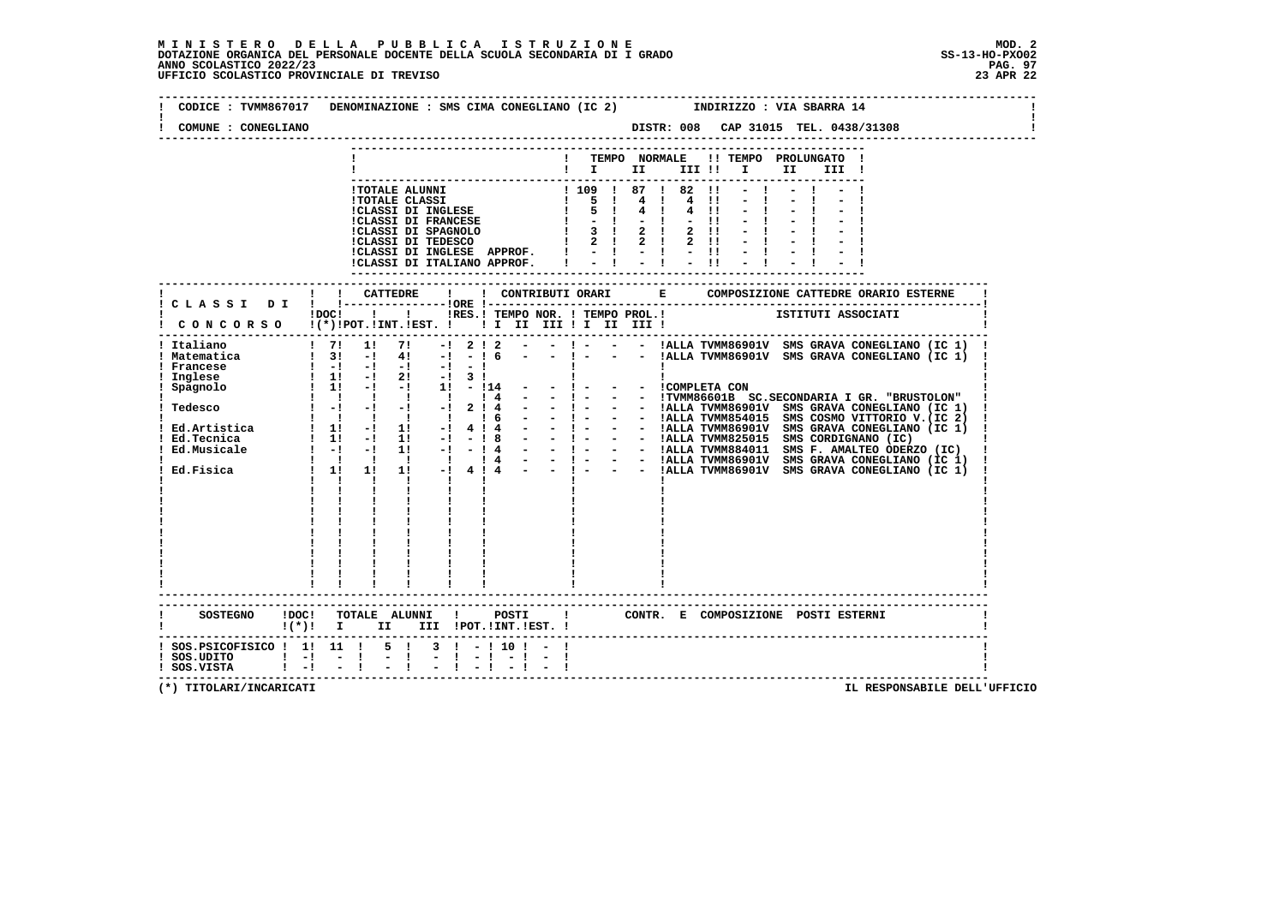# **M I N I S T E R O D E L L A P U B B L I C A I S T R U Z I O N E MOD. 2**DOTAZIONE ORGANICA DEL PERSONALE DOCENTE DELLA SCUOLA SECONDARIA DI I GRADO **SCOLASTICO SCOLASTICO 2022/23 PAG. 97**<br>PAG ANNO SCOLASTICO 2022/23 PAG. 97<br>23 APR 22 UFFICIO SCOLASTICO PROVINCIALE DI TREVISO

| COMUNE : CONEGLIANO | CODICE: TVMM867017 DENOMINAZIONE: SMS CIMA CONEGLIANO (IC 2) INDIRIZZO: VIA SBARRA 14<br>DISTR: 008 CAP 31015 TEL. 0438/31308                          |
|---------------------|--------------------------------------------------------------------------------------------------------------------------------------------------------|
|                     | ! TEMPO NORMALE !! TEMPO PROLUNGATO !                                                                                                                  |
|                     | $\mathbf{I}$ is the set of $\mathbf{I}$<br>III !!!!<br>II D<br>III !                                                                                   |
|                     |                                                                                                                                                        |
|                     |                                                                                                                                                        |
|                     |                                                                                                                                                        |
|                     |                                                                                                                                                        |
|                     |                                                                                                                                                        |
|                     |                                                                                                                                                        |
|                     |                                                                                                                                                        |
|                     | ! ! CATTEDRE<br>$\mathbf{I}$                                                                                                                           |
|                     | ! C L A S S I D I ! !-----------------!ORE !--                                                                                                         |
|                     | IDOCI ! IRES.I TEMPO NOR. ! TEMPO PROL.! ISTITUTI ASSOCIATI                                                                                            |
|                     | CONCORSO !(*)!POT.!INT.!EST. ! ! I III III II III !                                                                                                    |
| ! Italiano          | $1 \quad 71 \quad 11 \quad 71 \quad -1 \quad 2 \quad 1 \quad 2 \quad - \quad - \quad 1 - \quad - \quad 1$ IALLA TVMM86901V SMS GRAVA CONEGLIANO (IC 1) |
|                     | $  1   1$ ALLA TVMM86901V SMS GRAVA CONEGLIANO (IC 1)                                                                                                  |
|                     |                                                                                                                                                        |
|                     |                                                                                                                                                        |
|                     |                                                                                                                                                        |
|                     |                                                                                                                                                        |
|                     |                                                                                                                                                        |
|                     |                                                                                                                                                        |
|                     |                                                                                                                                                        |
|                     |                                                                                                                                                        |
|                     |                                                                                                                                                        |
|                     |                                                                                                                                                        |
|                     |                                                                                                                                                        |
|                     |                                                                                                                                                        |
|                     |                                                                                                                                                        |
|                     |                                                                                                                                                        |
|                     |                                                                                                                                                        |
|                     | <u>i i i .</u><br>$\mathbf{I}$ and $\mathbf{I}$                                                                                                        |
|                     |                                                                                                                                                        |
| SOSTEGNO ! DOC!     | ---------------------------------<br>TOTALE ALUNNI ! POSTI<br>! CONTR. E COMPOSIZIONE POSTI ESTERNI                                                    |
|                     | II III !POT.!INT.!EST. !<br>$(*)!$ i i                                                                                                                 |
|                     | $!$ SOS.PSICOFISICO $!$ 1! 11 ! 5 ! 3 ! - ! 10 ! - !                                                                                                   |
|                     |                                                                                                                                                        |
| ! SOS.VISTA         | $\frac{1}{2}$ $\frac{1}{2}$<br>$\frac{1}{2}$ $\frac{1}{2}$ $\frac{1}{2}$ $\frac{1}{2}$ $\frac{1}{2}$ $\frac{1}{2}$ $\frac{1}{2}$                       |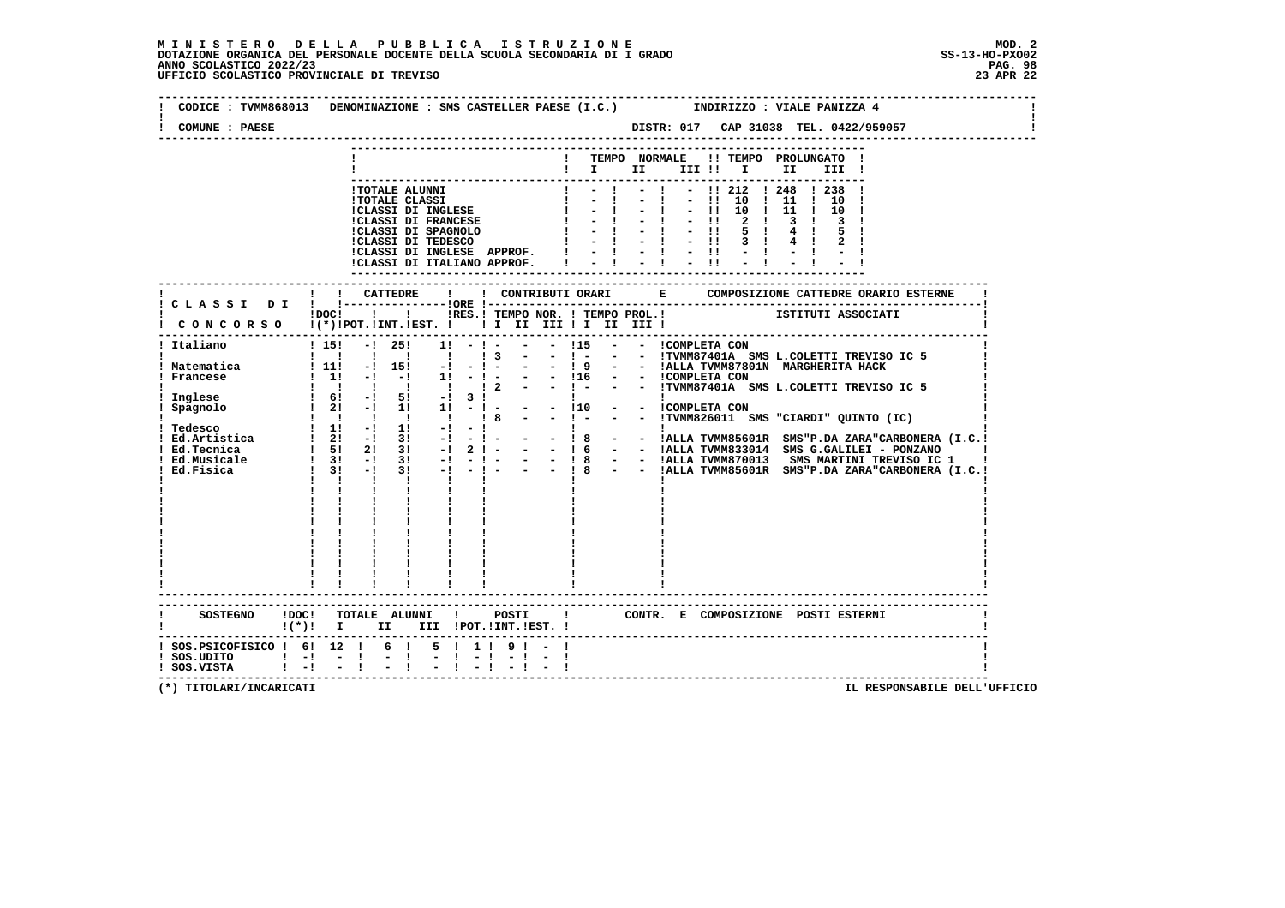| TEMPO NORMALE !! TEMPO PROLUNGATO !<br>$\mathbf{I}$<br>$\mathbf{I}$ is the set of $\mathbf{I}$ is the set of $\mathbf{I}$<br>II <b>I</b><br>III !<br>IDOCI I I IRES.I TEMPO NOR. I TEMPO PROL.I ISTITUTI ASSOCIATI<br>-------------------------------<br>$! 15! - 125!$<br>$1! - 1 - - 15 - - 10$ . COMPLETA CON<br>$\begin{array}{cccccccccccccc} 1 & 1 & 1 & 1 & 1 & 1 & 1 \end{array}$<br>! 11! -! 15! -!<br>$\frac{1}{2}$ 11 -1 -1 11<br>$\frac{1}{1}$ 6! $\frac{1}{1}$ 5! $\frac{1}{1}$<br>$\frac{1}{2!}$ 21 -1 11 11<br>1 1 1 1 1<br>$\mathbf{I}$ and $\mathbf{I}$ and $\mathbf{I}$<br>$\mathbf{I}$<br>$\mathbf{I}$ and $\mathbf{I}$<br>$\mathbf{I}$<br>------------------------<br>SOSTEGNO !DOC! TOTALE ALUNNI ! POSTI !<br>CONTR. E COMPOSIZIONE POSTI_ESTERNI<br>! (*)! I II III !POT.!INT.!EST.! | COMUNE : PAESE |  |  |  |  |  |  |  |  | DISTR: 017 CAP 31038 TEL. 0422/959057 |  |
|-------------------------------------------------------------------------------------------------------------------------------------------------------------------------------------------------------------------------------------------------------------------------------------------------------------------------------------------------------------------------------------------------------------------------------------------------------------------------------------------------------------------------------------------------------------------------------------------------------------------------------------------------------------------------------------------------------------------------------------------------------------------------------------------------------------|----------------|--|--|--|--|--|--|--|--|---------------------------------------|--|
|                                                                                                                                                                                                                                                                                                                                                                                                                                                                                                                                                                                                                                                                                                                                                                                                             |                |  |  |  |  |  |  |  |  |                                       |  |
| CONCORSO I(*) IPOT. IINT. IEST. I II III III III III III                                                                                                                                                                                                                                                                                                                                                                                                                                                                                                                                                                                                                                                                                                                                                    |                |  |  |  |  |  |  |  |  |                                       |  |
|                                                                                                                                                                                                                                                                                                                                                                                                                                                                                                                                                                                                                                                                                                                                                                                                             |                |  |  |  |  |  |  |  |  |                                       |  |
| ! Italiano<br>! Matematica<br>! Francese<br>! Inglese<br>Spagnolo                                                                                                                                                                                                                                                                                                                                                                                                                                                                                                                                                                                                                                                                                                                                           |                |  |  |  |  |  |  |  |  |                                       |  |
|                                                                                                                                                                                                                                                                                                                                                                                                                                                                                                                                                                                                                                                                                                                                                                                                             |                |  |  |  |  |  |  |  |  |                                       |  |
| ! SOS.PSICOFISICO ! 6! 12 ! 6 ! 5 ! 1 ! 9 ! - !                                                                                                                                                                                                                                                                                                                                                                                                                                                                                                                                                                                                                                                                                                                                                             |                |  |  |  |  |  |  |  |  |                                       |  |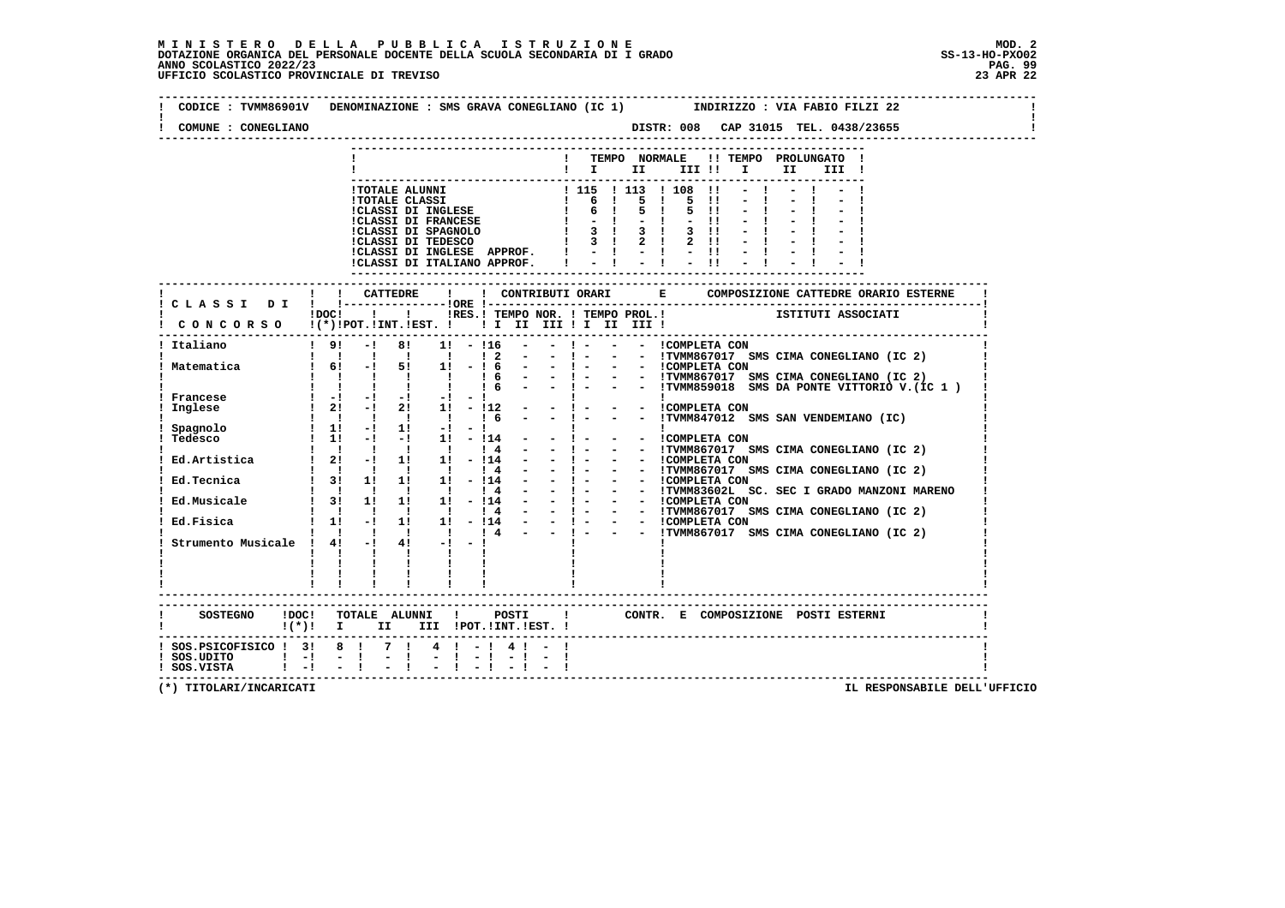# **M I N I S T E R O D E L L A P U B B L I C A I S T R U Z I O N E MOD. 2**DOTAZIONE ORGANICA DEL PERSONALE DOCENTE DELLA SCUOLA SECONDARIA DI I GRADO **SCOLASTICO SCOLASTICO 2022/23 PAG-**<br>PAG ANNO SCOLASTICO 2022/23 PAG. 99<br>23 APR 22 UFFICIO SCOLASTICO PROVINCIALE DI TREVISO

| CODICE: TVMM86901V DENOMINAZIONE: SMS GRAVA CONEGLIANO (IC 1) INDIRIZZO: VIA FABIO FILZI 22<br>COMUNE : CONEGLIANO |       |                                                                                                                                                                                                                                                                                                                     |         |                  |              |                |  |                                                                                       |  |  |  |      |       |  |  |  |
|--------------------------------------------------------------------------------------------------------------------|-------|---------------------------------------------------------------------------------------------------------------------------------------------------------------------------------------------------------------------------------------------------------------------------------------------------------------------|---------|------------------|--------------|----------------|--|---------------------------------------------------------------------------------------|--|--|--|------|-------|--|--|--|
|                                                                                                                    |       |                                                                                                                                                                                                                                                                                                                     |         |                  |              |                |  | ! TEMPO NORMALE !! TEMPO PROLUNGATO !                                                 |  |  |  |      |       |  |  |  |
|                                                                                                                    |       |                                                                                                                                                                                                                                                                                                                     |         |                  |              |                |  | $\mathbf{I}$ is the set of $\mathbf{I}$                                               |  |  |  | II D | III ! |  |  |  |
|                                                                                                                    |       |                                                                                                                                                                                                                                                                                                                     |         |                  |              |                |  |                                                                                       |  |  |  |      |       |  |  |  |
|                                                                                                                    |       |                                                                                                                                                                                                                                                                                                                     |         |                  |              |                |  |                                                                                       |  |  |  |      |       |  |  |  |
|                                                                                                                    |       |                                                                                                                                                                                                                                                                                                                     |         |                  |              |                |  |                                                                                       |  |  |  |      |       |  |  |  |
|                                                                                                                    |       |                                                                                                                                                                                                                                                                                                                     |         |                  |              |                |  |                                                                                       |  |  |  |      |       |  |  |  |
|                                                                                                                    |       |                                                                                                                                                                                                                                                                                                                     |         |                  |              |                |  |                                                                                       |  |  |  |      |       |  |  |  |
|                                                                                                                    |       |                                                                                                                                                                                                                                                                                                                     |         |                  |              |                |  |                                                                                       |  |  |  |      |       |  |  |  |
|                                                                                                                    |       | ! ! CATTEDRE                                                                                                                                                                                                                                                                                                        |         |                  | $\mathbf{I}$ |                |  |                                                                                       |  |  |  |      |       |  |  |  |
| ! CLASSI DI ! !------                                                                                              |       |                                                                                                                                                                                                                                                                                                                     |         | --------10RE 1-- |              |                |  | -------------;<br>  IRES.I TEMPO NOR.   TEMPO PROL.! ISTITUTI ASSOCIATI               |  |  |  |      |       |  |  |  |
| CONCORSO !(*)!POT.!INT.!EST. !!!!!!!!!!!!!!!!                                                                      | !DOC! |                                                                                                                                                                                                                                                                                                                     |         |                  |              |                |  |                                                                                       |  |  |  |      |       |  |  |  |
| -------<br>! 9! -! 8! 1! -!16 - -! - - - !COMPLETA CON<br>Italiano                                                 |       |                                                                                                                                                                                                                                                                                                                     |         |                  |              |                |  |                                                                                       |  |  |  |      |       |  |  |  |
| Matematica                                                                                                         |       |                                                                                                                                                                                                                                                                                                                     |         |                  |              |                |  |                                                                                       |  |  |  |      |       |  |  |  |
|                                                                                                                    |       |                                                                                                                                                                                                                                                                                                                     |         |                  |              |                |  |                                                                                       |  |  |  |      |       |  |  |  |
| Francese                                                                                                           |       |                                                                                                                                                                                                                                                                                                                     |         |                  |              |                |  |                                                                                       |  |  |  |      |       |  |  |  |
| Inglese                                                                                                            |       |                                                                                                                                                                                                                                                                                                                     |         |                  |              |                |  |                                                                                       |  |  |  |      |       |  |  |  |
| Spagnolo                                                                                                           |       | $\frac{1}{1}$ $\frac{1}{1}$ $\frac{1}{1}$ $\frac{1}{1}$ $\frac{1}{1}$ $\frac{1}{1}$ $\frac{1}{1}$ $\frac{1}{1}$ $\frac{1}{1}$ $\frac{1}{1}$ $\frac{1}{1}$ $\frac{1}{1}$ $\frac{1}{1}$ $\frac{1}{1}$ $\frac{1}{1}$ $\frac{1}{1}$ $\frac{1}{1}$ $\frac{1}{1}$ $\frac{1}{1}$ $\frac{1}{1}$ $\frac{1}{1}$ $\frac{1}{1}$ |         |                  |              |                |  |                                                                                       |  |  |  |      |       |  |  |  |
|                                                                                                                    |       |                                                                                                                                                                                                                                                                                                                     |         |                  |              |                |  | $\begin{array}{cccc} & & & & & & 1 \\ & - & 1 & - & - & - & \end{array}$ COMPLETA CON |  |  |  |      |       |  |  |  |
|                                                                                                                    |       |                                                                                                                                                                                                                                                                                                                     |         |                  |              |                |  |                                                                                       |  |  |  |      |       |  |  |  |
|                                                                                                                    |       |                                                                                                                                                                                                                                                                                                                     |         |                  |              |                |  |                                                                                       |  |  |  |      |       |  |  |  |
|                                                                                                                    |       |                                                                                                                                                                                                                                                                                                                     |         |                  |              |                |  |                                                                                       |  |  |  |      |       |  |  |  |
|                                                                                                                    |       |                                                                                                                                                                                                                                                                                                                     |         |                  |              |                |  |                                                                                       |  |  |  |      |       |  |  |  |
|                                                                                                                    |       |                                                                                                                                                                                                                                                                                                                     |         |                  |              |                |  |                                                                                       |  |  |  |      |       |  |  |  |
| Strumento Musicale ! $4!$ -! $4!$ -! -!                                                                            |       |                                                                                                                                                                                                                                                                                                                     |         |                  |              |                |  |                                                                                       |  |  |  |      |       |  |  |  |
|                                                                                                                    |       | $\mathbf{I}$ and $\mathbf{I}$                                                                                                                                                                                                                                                                                       | $1 - 1$ |                  |              |                |  |                                                                                       |  |  |  |      |       |  |  |  |
|                                                                                                                    |       |                                                                                                                                                                                                                                                                                                                     |         |                  |              |                |  |                                                                                       |  |  |  |      |       |  |  |  |
|                                                                                                                    |       | $\frac{1}{1}$ $\frac{1}{1}$ $\frac{1}{1}$ $\frac{1}{1}$ $\frac{1}{1}$                                                                                                                                                                                                                                               |         |                  |              |                |  |                                                                                       |  |  |  |      |       |  |  |  |
|                                                                                                                    |       |                                                                                                                                                                                                                                                                                                                     |         |                  |              |                |  | CONTR. E COMPOSIZIONE POSTI ESTERNI                                                   |  |  |  |      |       |  |  |  |
| !(*)! I II III !POT.!INT.!EST.!                                                                                    |       |                                                                                                                                                                                                                                                                                                                     |         |                  |              |                |  |                                                                                       |  |  |  |      |       |  |  |  |
| ! SOS.PSICOFISICO ! 3! 8 ! 7 !                                                                                     |       |                                                                                                                                                                                                                                                                                                                     |         |                  |              | $4! - 14! - 1$ |  |                                                                                       |  |  |  |      |       |  |  |  |
| ! SOS.UDITO ! -! -!<br>! SOS.VISTA ! -! -!                                                                         |       |                                                                                                                                                                                                                                                                                                                     |         |                  |              |                |  |                                                                                       |  |  |  |      |       |  |  |  |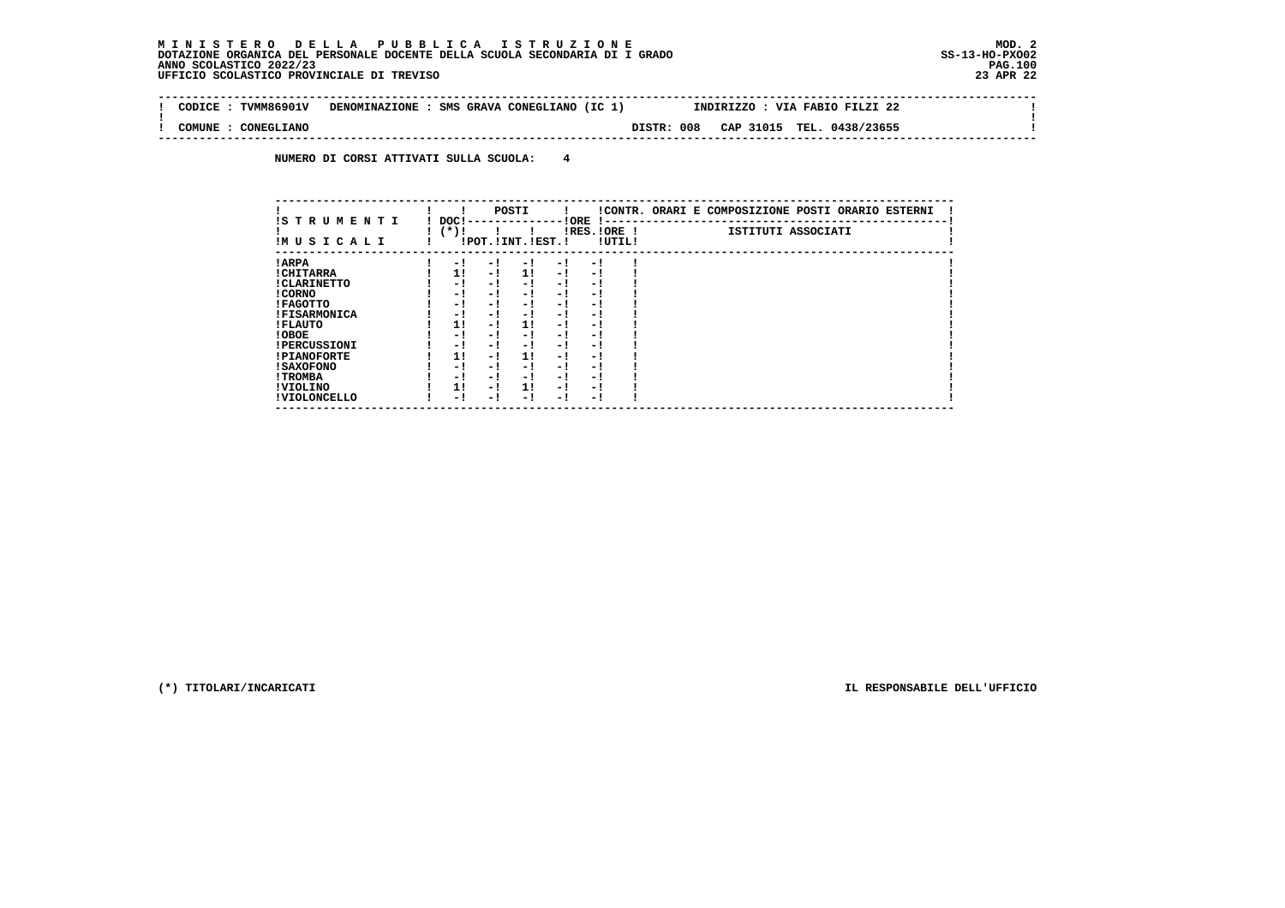$\mathbf{I}$ 

 **--------------------------------------------------------------------------------------------------------------------------------** $\sim$  **! CODICE : TVMM86901V DENOMINAZIONE : SMS GRAVA CONEGLIANO (IC 1) INDIRIZZO : VIA FABIO FILZI 22 ! ! ! ! COMUNE : CONEGLIANO DISTR: 008 CAP 31015 TEL. 0438/23655 ! --------------------------------------------------------------------------------------------------------------------------------**

 **NUMERO DI CORSI ATTIVATI SULLA SCUOLA: 4**

| IS T R U M E N T I  | DOC! |     | POSTI                 |     | ! ORE                    |        | !CONTR. ORARI E COMPOSIZIONE POSTI ORARIO ESTERNI |
|---------------------|------|-----|-----------------------|-----|--------------------------|--------|---------------------------------------------------|
| IMUSICALI           | (*)! |     | !POT. ! INT. ! EST. ! |     | -1 - -<br>$IRES.IORE$ !  | !UTIL! | ISTITUTI ASSOCIATI                                |
| ! ARPA              | - 1  | - 1 | - 1                   | - 1 | - !                      |        |                                                   |
| ! CHITARRA          | 11   | - ! | 11                    | - ! | - 1                      |        |                                                   |
| ! CLARINETTO        | - 1  | - ! | - 1                   | - 1 | - 1                      |        |                                                   |
| ! CORNO             | - 1  | - ! | - 1                   | - 1 | - 1                      |        |                                                   |
| ! FAGOTTO           | - 1  | - ! | - 1                   | - 1 | - 1                      |        |                                                   |
| <b>!FISARMONICA</b> | - 1  | - ! | - !                   | - 1 | - 1                      |        |                                                   |
| ! FLAUTO            | 1!   | - ! | 11                    | - ! | - 1                      |        |                                                   |
| ! OBOE              | - 1  | - ! | - 1                   | - 1 | - 1                      |        |                                                   |
| <b>!PERCUSSIONI</b> | - 1  | - 1 | - 1                   | - 1 | - 1                      |        |                                                   |
| <b>!PIANOFORTE</b>  | 1!   | - 1 | 1!                    | - 1 | - 1                      |        |                                                   |
| ! SAXOFONO          | - 1  | - ! | - !                   | - 1 | $\overline{\phantom{0}}$ |        |                                                   |
| ! TROMBA            | - 1  | - ! | - !                   | - 1 | - 1                      |        |                                                   |
| ! VIOLINO           | 1!   | - 1 | 11                    | - 1 | - 1                      |        |                                                   |
| ! VIOLONCELLO       | - 1  | - 1 | - 1                   | - ! | - 1                      |        |                                                   |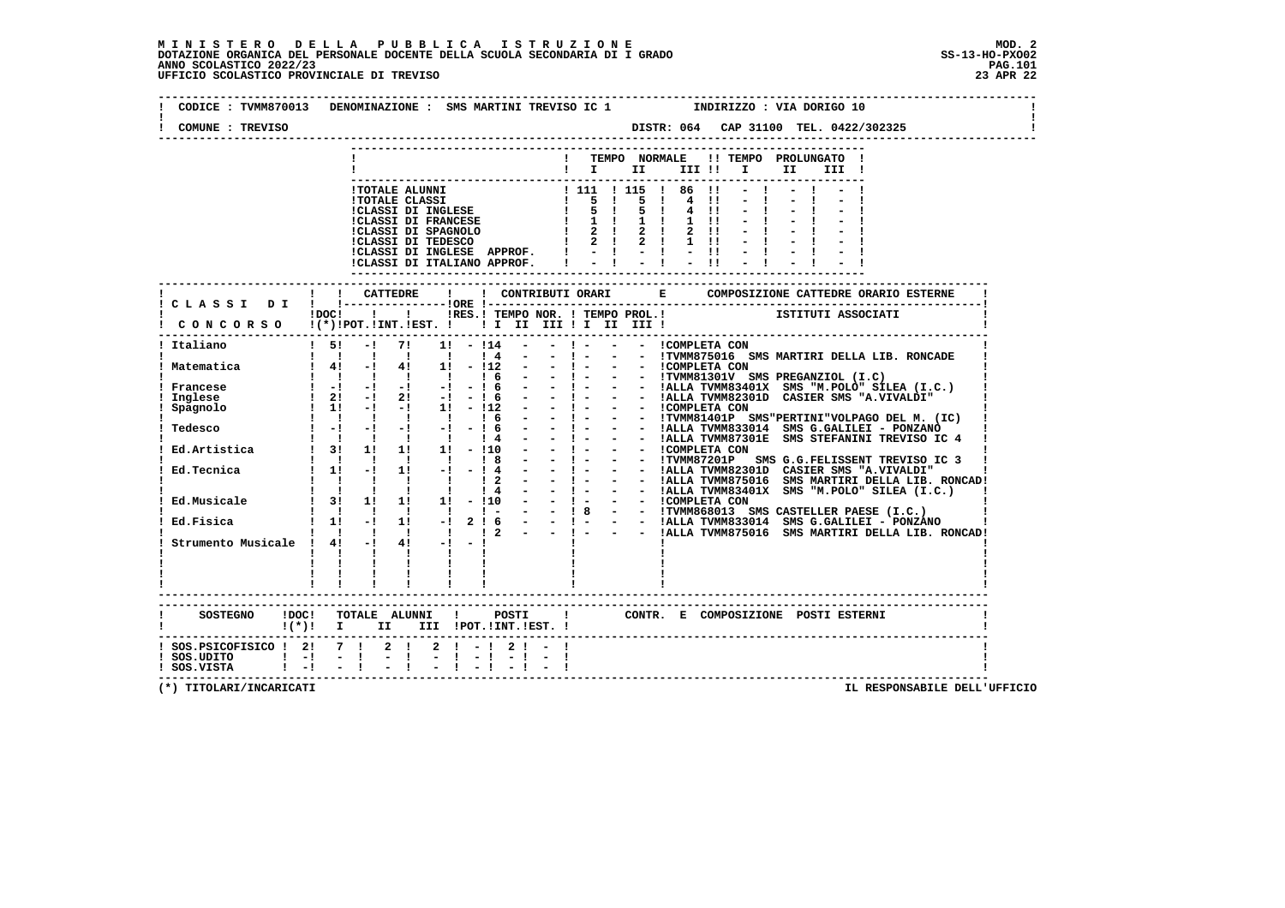# **M I N I S T E R O D E L L A P U B B L I C A I S T R U Z I O N E MOD. 2**DOTAZIONE ORGANICA DEL PERSONALE DOCENTE DELLA SCUOLA SECONDARIA DI I GRADO **SCOLASTICO SCOLASTICO 2022/23 PAG.101**<br>PAGO SCOLASTICO 2022/23 PAG.101<br>UFFICIO SCOLASTICO PROVINCIALE DI TREVISO

| COMUNE : TREVISO                                                               |   |                                                      |                                                                                                                                                                                                                                                                                                                                                                 |                            |  |                                                                                                                                                   |  |                              |                              |              |    |       |  |
|--------------------------------------------------------------------------------|---|------------------------------------------------------|-----------------------------------------------------------------------------------------------------------------------------------------------------------------------------------------------------------------------------------------------------------------------------------------------------------------------------------------------------------------|----------------------------|--|---------------------------------------------------------------------------------------------------------------------------------------------------|--|------------------------------|------------------------------|--------------|----|-------|--|
|                                                                                |   |                                                      |                                                                                                                                                                                                                                                                                                                                                                 |                            |  | ! TEMPO NORMALE !! TEMPO PROLUNGATO !<br>$\blacksquare$ $\blacksquare$ $\blacksquare$ $\blacksquare$ $\blacksquare$ $\blacksquare$ $\blacksquare$ |  |                              |                              |              | II | III ! |  |
|                                                                                |   |                                                      | 1 TOTALE ALUNNI<br>1 TOTALE CLASSI<br>1 TOTALE CLASSI DI INGLESE<br>1 5 1 5 1 4 11<br>1 CLASSI DI FRANCESE<br>1 2 1 2 1 2 11<br>1 CLASSI DI SPAGNOLO<br>1 2 1 2 1 2 11<br>1 CLASSI DI TMGLESE<br>1 2 2 1 2 11<br>1 11<br>1 2 2 1 2 11<br>1 11<br>1 2 2 1<br>ICLASSI DI INGLESE APPROF. $1 - 1 - 1 - 11 - 1$<br>ICLASSI DI ITALIANO APPROF. $1 - 1 - 1 - 11 - 1$ |                            |  |                                                                                                                                                   |  | $4 \quad 11$<br>$1 \quad 11$ | $\mathbf{H}$<br>$\mathbf{H}$ | $-1$<br>$-1$ |    |       |  |
| ! CLASSI DI                                                                    |   |                                                      | iDOCI ! I IRES. I TEMPO NOR. I TEMPO PROL. ! [STITUTI ASSOCIATI                                                                                                                                                                                                                                                                                                 |                            |  |                                                                                                                                                   |  |                              |                              |              |    |       |  |
| CONCORSO !(*)!POT.!INT.!EST. !!!!!!!!!!!!!!!!<br>Italiano                      |   |                                                      | $1\quad 5!$ $-1$ $7!$ $1!$ $-114$ $-$                                                                                                                                                                                                                                                                                                                           |                            |  |                                                                                                                                                   |  |                              |                              |              |    |       |  |
|                                                                                |   |                                                      |                                                                                                                                                                                                                                                                                                                                                                 |                            |  |                                                                                                                                                   |  |                              |                              |              |    |       |  |
|                                                                                |   |                                                      |                                                                                                                                                                                                                                                                                                                                                                 |                            |  |                                                                                                                                                   |  |                              |                              |              |    |       |  |
|                                                                                | . | <b>Contract Contract</b><br><b>Contract Contract</b> | $\mathbf{I}$ and $\mathbf{I}$<br>$\mathbf{I}$ and $\mathbf{I}$<br>-----------------------                                                                                                                                                                                                                                                                       |                            |  |                                                                                                                                                   |  |                              |                              |              |    |       |  |
| $((*)!$ I II III !POT. !INT. !EST. !                                           |   |                                                      |                                                                                                                                                                                                                                                                                                                                                                 |                            |  | ! CONTR. E COMPOSIZIONE POSTI ESTERNI                                                                                                             |  |                              |                              |              |    |       |  |
| ! SOS.PSICOFISICO ! 2! 7 ! 2 !<br>! SOS.UDITO ! -! - !<br>! SOS.VISTA ! -! - ! |   |                                                      | $-1$                                                                                                                                                                                                                                                                                                                                                            | $2 \mid -1 \mid 2 \mid -1$ |  |                                                                                                                                                   |  |                              |                              |              |    |       |  |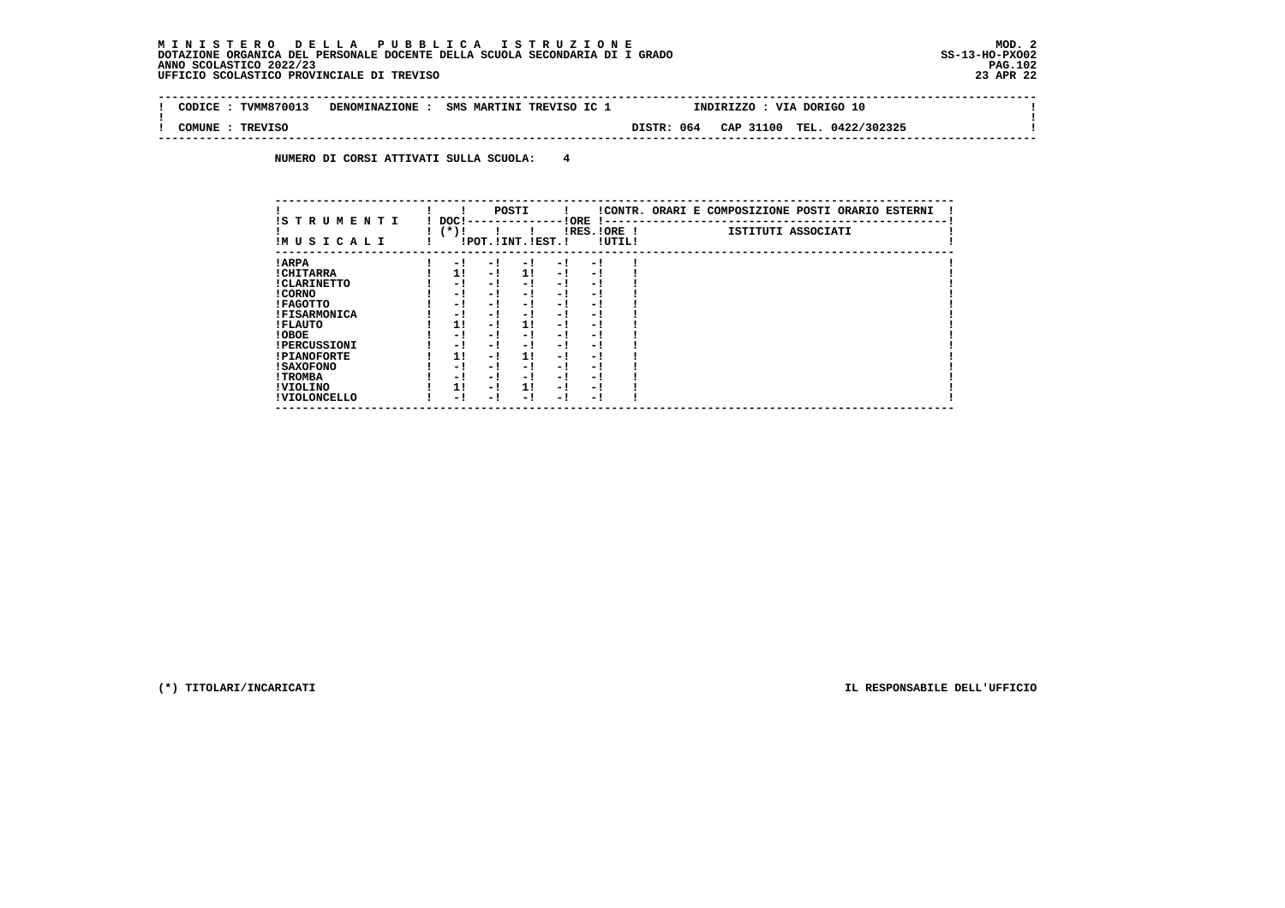$\sim$ 

 $\mathbf{I}$ 

 **-------------------------------------------------------------------------------------------------------------------------------- ! CODICE : TVMM870013 DENOMINAZIONE : SMS MARTINI TREVISO IC 1 INDIRIZZO : VIA DORIGO 10 ! ! ! ! COMUNE : TREVISO DISTR: 064 CAP 31100 TEL. 0422/302325 ! --------------------------------------------------------------------------------------------------------------------------------**

 **NUMERO DI CORSI ATTIVATI SULLA SCUOLA: 4**

| IS T R U M E N T I  | DOC! |     | POSTI                 |     | ! ORE                    |        | !CONTR. ORARI E COMPOSIZIONE POSTI ORARIO ESTERNI |
|---------------------|------|-----|-----------------------|-----|--------------------------|--------|---------------------------------------------------|
| IMUSICALI           | (*)! |     | !POT. ! INT. ! EST. ! |     | -1 - -<br>$IRES.IORE$ !  | !UTIL! | ISTITUTI ASSOCIATI                                |
| ! ARPA              | - 1  | - 1 | - 1                   | - 1 | - !                      |        |                                                   |
| ! CHITARRA          | 11   | - ! | 11                    | - ! | - 1                      |        |                                                   |
| ! CLARINETTO        | - 1  | - ! | - 1                   | - 1 | - 1                      |        |                                                   |
| ! CORNO             | - 1  | - ! | - 1                   | - 1 | - 1                      |        |                                                   |
| ! FAGOTTO           | - 1  | - ! | - 1                   | - 1 | - 1                      |        |                                                   |
| <b>!FISARMONICA</b> | - 1  | - ! | - !                   | - 1 | - 1                      |        |                                                   |
| ! FLAUTO            | 1!   | - ! | 11                    | - ! | - 1                      |        |                                                   |
| ! OBOE              | - 1  | - ! | - 1                   | - 1 | - 1                      |        |                                                   |
| <b>!PERCUSSIONI</b> | - 1  | - 1 | - 1                   | - 1 | - 1                      |        |                                                   |
| <b>!PIANOFORTE</b>  | 1!   | - 1 | 1!                    | - 1 | - 1                      |        |                                                   |
| ! SAXOFONO          | - 1  | - ! | - !                   | - 1 | $\overline{\phantom{0}}$ |        |                                                   |
| ! TROMBA            | - 1  | - ! | - !                   | - 1 | - 1                      |        |                                                   |
| ! VIOLINO           | 1!   | - 1 | 11                    | - 1 | - 1                      |        |                                                   |
| ! VIOLONCELLO       | - 1  | - 1 | - 1                   | - ! | - 1                      |        |                                                   |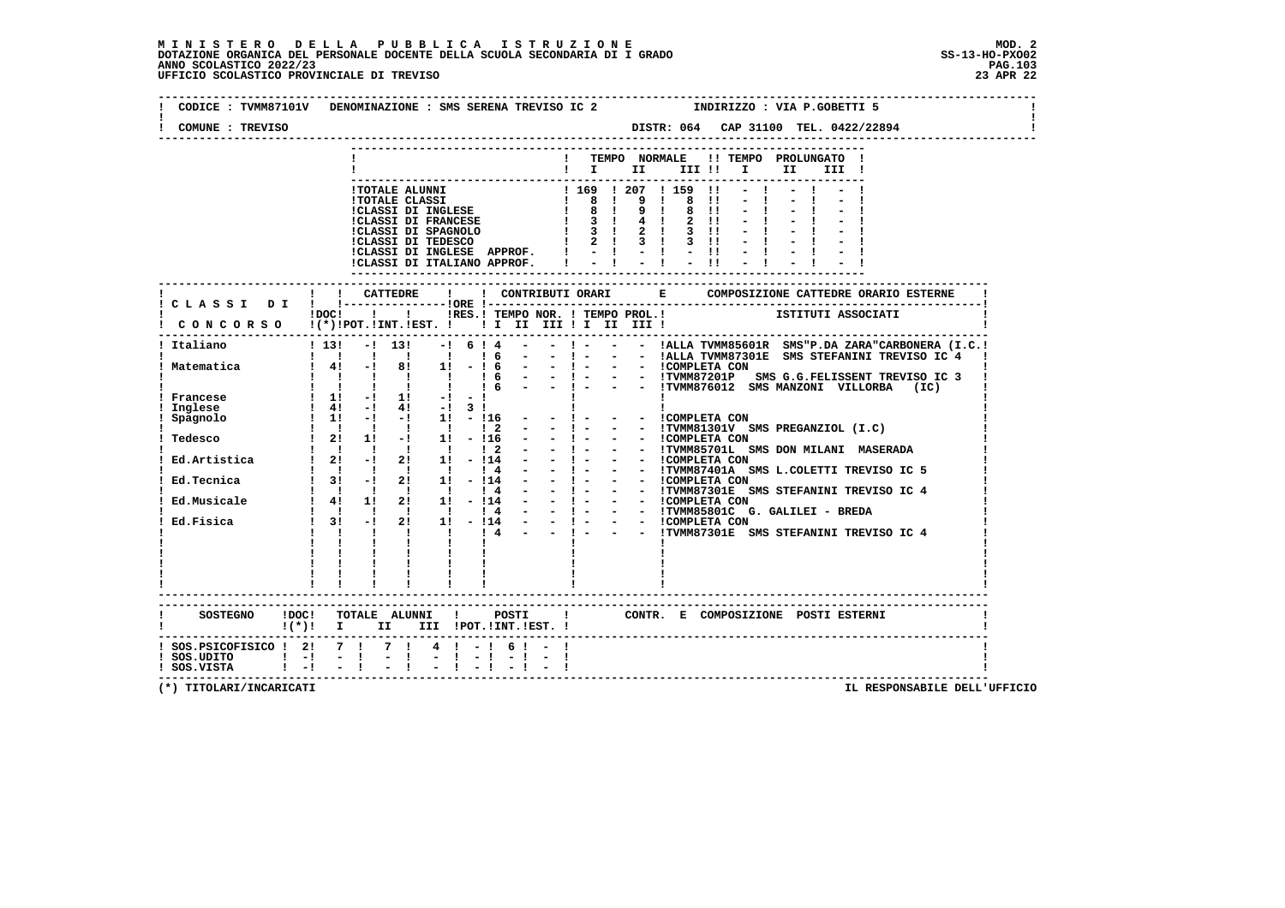# **M I N I S T E R O D E L L A P U B B L I C A I S T R U Z I O N E MOD. 2**DOTAZIONE ORGANICA DEL PERSONALE DOCENTE DELLA SCUOLA SECONDARIA DI I GRADO **SCOLASTICO SCOLASTICO 2022/23**<br>PAG ANNO SCOLASTICO 2022/23 PAG.103<br>23 APR 22 UFFICIO SCOLASTICO PROVINCIALE DI TREVISO

| CODICE: TVMM87101V DENOMINAZIONE: SMS SERENA TREVISO IC 2<br>COMUNE : TREVISO |                                                                                                                                                                                                                                                                                                                     |                               |              |  |                  |                                                                                                          |  |  | INDIRIZZO : VIA P.GOBETTI 5 |      |       |  |  |  |
|-------------------------------------------------------------------------------|---------------------------------------------------------------------------------------------------------------------------------------------------------------------------------------------------------------------------------------------------------------------------------------------------------------------|-------------------------------|--------------|--|------------------|----------------------------------------------------------------------------------------------------------|--|--|-----------------------------|------|-------|--|--|--|
|                                                                               |                                                                                                                                                                                                                                                                                                                     |                               |              |  |                  | ! TEMPO NORMALE !! TEMPO PROLUNGATO !                                                                    |  |  |                             |      |       |  |  |  |
|                                                                               |                                                                                                                                                                                                                                                                                                                     |                               |              |  |                  | $\blacksquare$ $\blacksquare$ $\blacksquare$ $\blacksquare$ $\blacksquare$ $\blacksquare$ $\blacksquare$ |  |  |                             | II a | III ! |  |  |  |
|                                                                               |                                                                                                                                                                                                                                                                                                                     |                               |              |  |                  |                                                                                                          |  |  |                             |      |       |  |  |  |
|                                                                               |                                                                                                                                                                                                                                                                                                                     |                               |              |  |                  |                                                                                                          |  |  |                             |      |       |  |  |  |
|                                                                               |                                                                                                                                                                                                                                                                                                                     |                               |              |  |                  |                                                                                                          |  |  |                             |      |       |  |  |  |
|                                                                               |                                                                                                                                                                                                                                                                                                                     |                               |              |  |                  |                                                                                                          |  |  |                             |      |       |  |  |  |
|                                                                               |                                                                                                                                                                                                                                                                                                                     |                               |              |  |                  |                                                                                                          |  |  |                             |      |       |  |  |  |
|                                                                               |                                                                                                                                                                                                                                                                                                                     |                               |              |  |                  |                                                                                                          |  |  |                             |      |       |  |  |  |
|                                                                               |                                                                                                                                                                                                                                                                                                                     |                               |              |  |                  |                                                                                                          |  |  |                             |      |       |  |  |  |
|                                                                               |                                                                                                                                                                                                                                                                                                                     |                               |              |  |                  |                                                                                                          |  |  |                             |      |       |  |  |  |
|                                                                               | !! CATTEDRE                                                                                                                                                                                                                                                                                                         |                               | $\mathbf{I}$ |  |                  |                                                                                                          |  |  |                             |      |       |  |  |  |
| ! CLASSI DI ! !--------------------ORE !---                                   |                                                                                                                                                                                                                                                                                                                     |                               |              |  |                  | !DOC! ! ! !RES.! TEMPO NOR. ! TEMPO PROL.!                                                               |  |  | ISTITUTI ASSOCIATI          |      |       |  |  |  |
| CONCORSO !(*)!POT.!INT.!EST. ! ! I II III ! II III !                          |                                                                                                                                                                                                                                                                                                                     |                               |              |  |                  |                                                                                                          |  |  |                             |      |       |  |  |  |
| -----<br>Italiano                                                             |                                                                                                                                                                                                                                                                                                                     |                               |              |  |                  | $! 13! - 13! - 6! 4 - 1 - 1 - 1 - 14$ . TALLA TVMM85601R SMS"P.DA ZARA"CARBONERA (I.C.!                  |  |  |                             |      |       |  |  |  |
|                                                                               |                                                                                                                                                                                                                                                                                                                     |                               |              |  |                  |                                                                                                          |  |  |                             |      |       |  |  |  |
| Matematica                                                                    |                                                                                                                                                                                                                                                                                                                     |                               |              |  |                  |                                                                                                          |  |  |                             |      |       |  |  |  |
|                                                                               |                                                                                                                                                                                                                                                                                                                     |                               |              |  |                  |                                                                                                          |  |  |                             |      |       |  |  |  |
|                                                                               |                                                                                                                                                                                                                                                                                                                     |                               |              |  |                  |                                                                                                          |  |  |                             |      |       |  |  |  |
| Francese<br>Inglese                                                           | $1 \quad 4! \quad -1 \quad 4! \quad -1 \quad 3 \quad 1$                                                                                                                                                                                                                                                             |                               |              |  |                  |                                                                                                          |  |  |                             |      |       |  |  |  |
|                                                                               |                                                                                                                                                                                                                                                                                                                     |                               |              |  |                  |                                                                                                          |  |  |                             |      |       |  |  |  |
|                                                                               |                                                                                                                                                                                                                                                                                                                     |                               |              |  |                  |                                                                                                          |  |  |                             |      |       |  |  |  |
|                                                                               |                                                                                                                                                                                                                                                                                                                     |                               |              |  |                  |                                                                                                          |  |  |                             |      |       |  |  |  |
|                                                                               |                                                                                                                                                                                                                                                                                                                     |                               |              |  |                  |                                                                                                          |  |  |                             |      |       |  |  |  |
|                                                                               |                                                                                                                                                                                                                                                                                                                     |                               |              |  |                  |                                                                                                          |  |  |                             |      |       |  |  |  |
|                                                                               |                                                                                                                                                                                                                                                                                                                     |                               |              |  |                  |                                                                                                          |  |  |                             |      |       |  |  |  |
|                                                                               |                                                                                                                                                                                                                                                                                                                     |                               |              |  |                  |                                                                                                          |  |  |                             |      |       |  |  |  |
|                                                                               |                                                                                                                                                                                                                                                                                                                     |                               |              |  |                  |                                                                                                          |  |  |                             |      |       |  |  |  |
| Ed.Fisica                                                                     | $1 \t31 \t-1$                                                                                                                                                                                                                                                                                                       |                               |              |  |                  |                                                                                                          |  |  |                             |      |       |  |  |  |
|                                                                               | $\frac{1}{2}$ $\frac{1}{2}$ $\frac{1}{2}$ $\frac{1}{2}$ $\frac{1}{2}$ $\frac{1}{2}$ $\frac{1}{2}$ $\frac{1}{2}$ $\frac{1}{2}$ $\frac{1}{2}$ $\frac{1}{2}$ $\frac{1}{2}$ $\frac{1}{2}$ $\frac{1}{2}$ $\frac{1}{2}$ $\frac{1}{2}$ $\frac{1}{2}$ $\frac{1}{2}$ $\frac{1}{2}$ $\frac{1}{2}$ $\frac{1}{2}$ $\frac{1}{2}$ |                               |              |  |                  |                                                                                                          |  |  |                             |      |       |  |  |  |
|                                                                               |                                                                                                                                                                                                                                                                                                                     |                               |              |  |                  |                                                                                                          |  |  |                             |      |       |  |  |  |
|                                                                               |                                                                                                                                                                                                                                                                                                                     |                               |              |  |                  |                                                                                                          |  |  |                             |      |       |  |  |  |
|                                                                               | $\frac{1}{2}$ , $\frac{1}{2}$ , $\frac{1}{2}$ , $\frac{1}{2}$ , $\frac{1}{2}$ , $\frac{1}{2}$ , $\frac{1}{2}$                                                                                                                                                                                                       |                               |              |  |                  |                                                                                                          |  |  |                             |      |       |  |  |  |
|                                                                               |                                                                                                                                                                                                                                                                                                                     |                               |              |  |                  |                                                                                                          |  |  |                             |      |       |  |  |  |
|                                                                               |                                                                                                                                                                                                                                                                                                                     |                               |              |  |                  |                                                                                                          |  |  |                             |      |       |  |  |  |
| $!(*)!$ I II III !POT.!INT.!EST. !                                            |                                                                                                                                                                                                                                                                                                                     |                               |              |  |                  |                                                                                                          |  |  |                             |      |       |  |  |  |
| ! SOS.PSICOFISICO ! 2! 7 !                                                    |                                                                                                                                                                                                                                                                                                                     | 7 1                           | $4! - 16! -$ |  |                  |                                                                                                          |  |  |                             |      |       |  |  |  |
| ! SOS.UDITO ! -! - !<br>! SOS.VISTA ! -! - !                                  |                                                                                                                                                                                                                                                                                                                     | $\mathbf{I}$<br>$\frac{1}{2}$ |              |  | $-1 - 1 - 1 - 1$ |                                                                                                          |  |  |                             |      |       |  |  |  |
|                                                                               |                                                                                                                                                                                                                                                                                                                     |                               |              |  |                  |                                                                                                          |  |  |                             |      |       |  |  |  |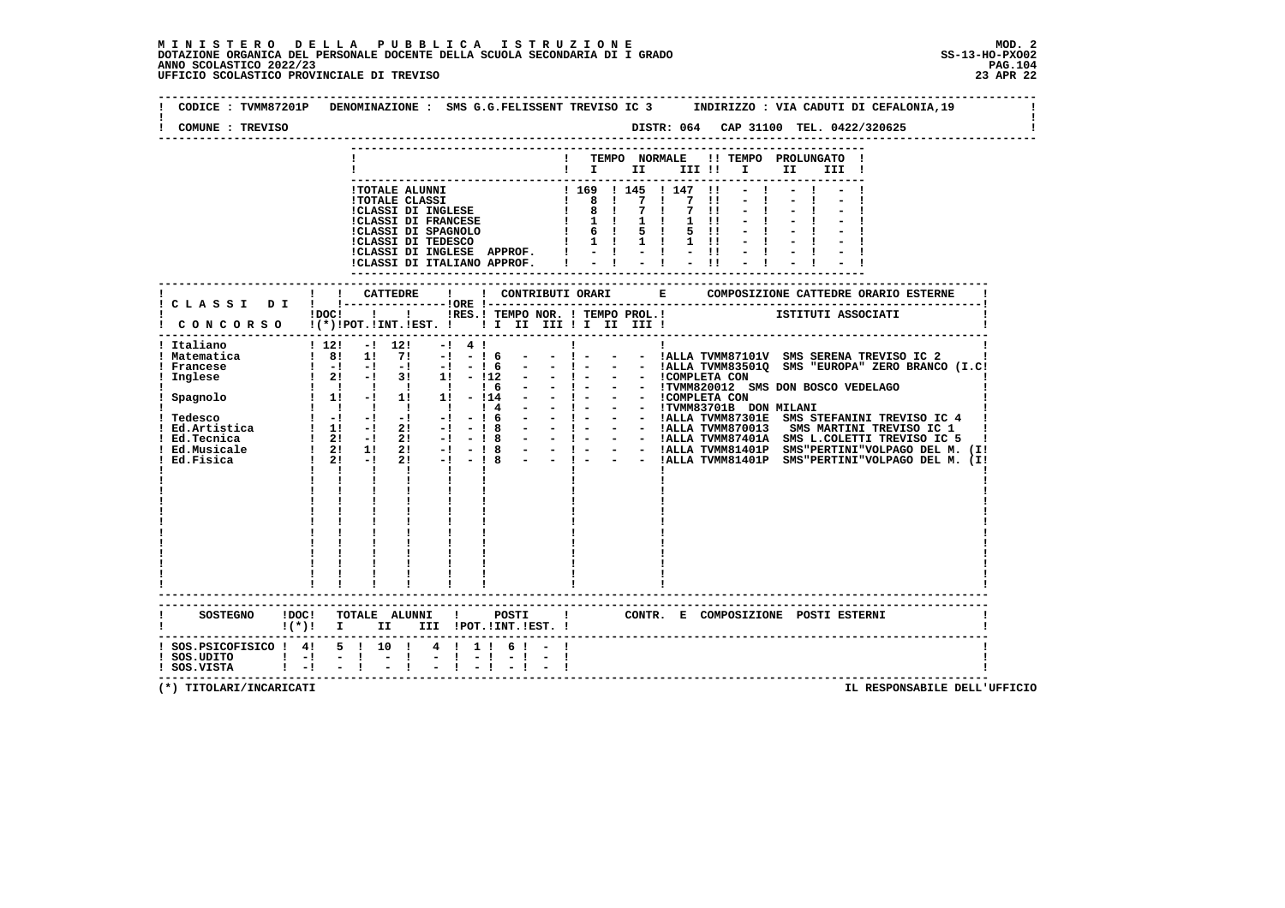| COMUNE : TREVISO                                                                                        | DISTR: 064 CAP 31100 TEL. 0422/320625                                                                                                                                                                                                                                                                                                                                                                                                                                                                                                                                                                                                                                                                                                                                                                                                                                                                                                                           |
|---------------------------------------------------------------------------------------------------------|-----------------------------------------------------------------------------------------------------------------------------------------------------------------------------------------------------------------------------------------------------------------------------------------------------------------------------------------------------------------------------------------------------------------------------------------------------------------------------------------------------------------------------------------------------------------------------------------------------------------------------------------------------------------------------------------------------------------------------------------------------------------------------------------------------------------------------------------------------------------------------------------------------------------------------------------------------------------|
|                                                                                                         | TEMPO NORMALE<br>!! TEMPO PROLUNGATO !<br>$\mathbf{I}$ is the set of $\mathbf{I}$ is the set of $\mathbf{I}$<br>II D<br>III !                                                                                                                                                                                                                                                                                                                                                                                                                                                                                                                                                                                                                                                                                                                                                                                                                                   |
|                                                                                                         | $1.169$ $1.145$<br>! 147<br>!TOTALE ALUNNI<br>$\blacksquare$<br>$\begin{array}{cc} & 1 & 8 \\ & 1 & 8 \end{array}$<br><b>!TOTALE CLASSI</b><br>$\mathbf{I}$<br>7<br><b>Contract Contract</b><br>7<br>$\mathbf{H}$<br>!CLASSI DI INGLESE<br>$\blacksquare$<br>$\overline{\phantom{0}}$<br>CLASSI DI FRANCESE : 0 : 1 : 1<br>CLASSI DI SPAGNOLO : 1 6 : 5 :<br>CLASSI DI TEDESCO : 1 : 1 : 1 :<br>$1 \quad 11$<br>5 !!<br>1 1 1 1 1 1 1<br>!CLASSI DI INGLESE APPROF.<br>$-1 - 1 - 1 - 1$<br>!CLASSI DI ITALIANO APPROF.                                                                                                                                                                                                                                                                                                                                                                                                                                          |
|                                                                                                         |                                                                                                                                                                                                                                                                                                                                                                                                                                                                                                                                                                                                                                                                                                                                                                                                                                                                                                                                                                 |
|                                                                                                         | ISTITUTI ASSOCIATI<br>$\mathbf{I}$<br>! !RES.! TEMPO NOR. ! TEMPO PROL.!<br>!DOC!<br>CONCORSO !(*)!POT.!INT.!EST. ! ! I II III ! I III III !                                                                                                                                                                                                                                                                                                                                                                                                                                                                                                                                                                                                                                                                                                                                                                                                                    |
| Italiano<br>! Matematica<br>Francese<br>Inglese<br>Ed.Fisica                                            | $1\,12!$ -1 121<br>4 <sub>1</sub><br>$\mathbf{I}$<br>$-1$<br>Τ.<br>! 8! 1! 7!<br>$-1$<br>$-1 - 1$<br>$-!6$<br>- - !ALLA TVMM87101V SMS SERENA TREVISO IC 2<br>- 1 - - - HALLA TVMM83501Q SMS "EUROPA" ZERO BRANCO (I.CI<br>- 1 - - - ICOMPLETA CON<br>- 1 - - - ITVMM83501Q SMS "EUROPA" ZERO BRANCO (I.CI<br>- 1 - - - ITVMM83701B DON MILANI<br>- 1 - - - ICOMPLETA CON<br>- 1 - - - IALLA TVMM87301<br>$1 - 1 - 1 - 1 - 1 - 1$<br>$-16$<br>$\frac{1}{2}$ 21 -1 31 11 - 112<br>$\sim 100$<br>$\begin{array}{cccccccccccccc} 1 & 1 & 1 & 1 & 1 & 1 & 1 \end{array}$<br>$\sim$<br>$1\,6$<br>- 114<br>$\frac{1}{2}$ $\frac{1}{2}$ $\frac{1}{2}$ $\frac{1}{2}$ $\frac{1}{2}$ $\frac{1}{2}$<br>14<br>$\sim 100$<br>$\begin{bmatrix} 2! & -1 & -1 & 8 \\ 2! & -1 & -1 & 8 \end{bmatrix}$<br><b>Contract Contract</b><br>$ i$ $-$<br>- - !ALLA TVMM81401P SMS"PERTINI"VOLPAGO DEL M. (I!<br>$1 \t2! -1$<br><b>Contract Contract</b><br>$\mathbf{I}$ and $\mathbf{I}$ |
|                                                                                                         |                                                                                                                                                                                                                                                                                                                                                                                                                                                                                                                                                                                                                                                                                                                                                                                                                                                                                                                                                                 |
| <b>SOSTEGNO</b><br>!DOC!                                                                                | TOTALE ALUNNI ! POSTI<br>$\mathbf{I}$<br>CONTR. E COMPOSIZIONE POSTI ESTERNI<br>$!(*)!$ I II III !POT.!INT.!EST. !                                                                                                                                                                                                                                                                                                                                                                                                                                                                                                                                                                                                                                                                                                                                                                                                                                              |
| ! SOS. PSICOFISICO ! 4! 5 ! 10 !<br>$:$ SOS.UDITO $:$ $-!$<br>$\mathbf{I}$ $-\mathbf{I}$<br>! SOS.VISTA | 4 1 1 1 6 1 - 1<br>$\sigma=1$ .<br>$\blacksquare$<br>$\frac{1}{2}$ $\frac{1}{2}$ $\frac{1}{2}$<br>$-1$                                                                                                                                                                                                                                                                                                                                                                                                                                                                                                                                                                                                                                                                                                                                                                                                                                                          |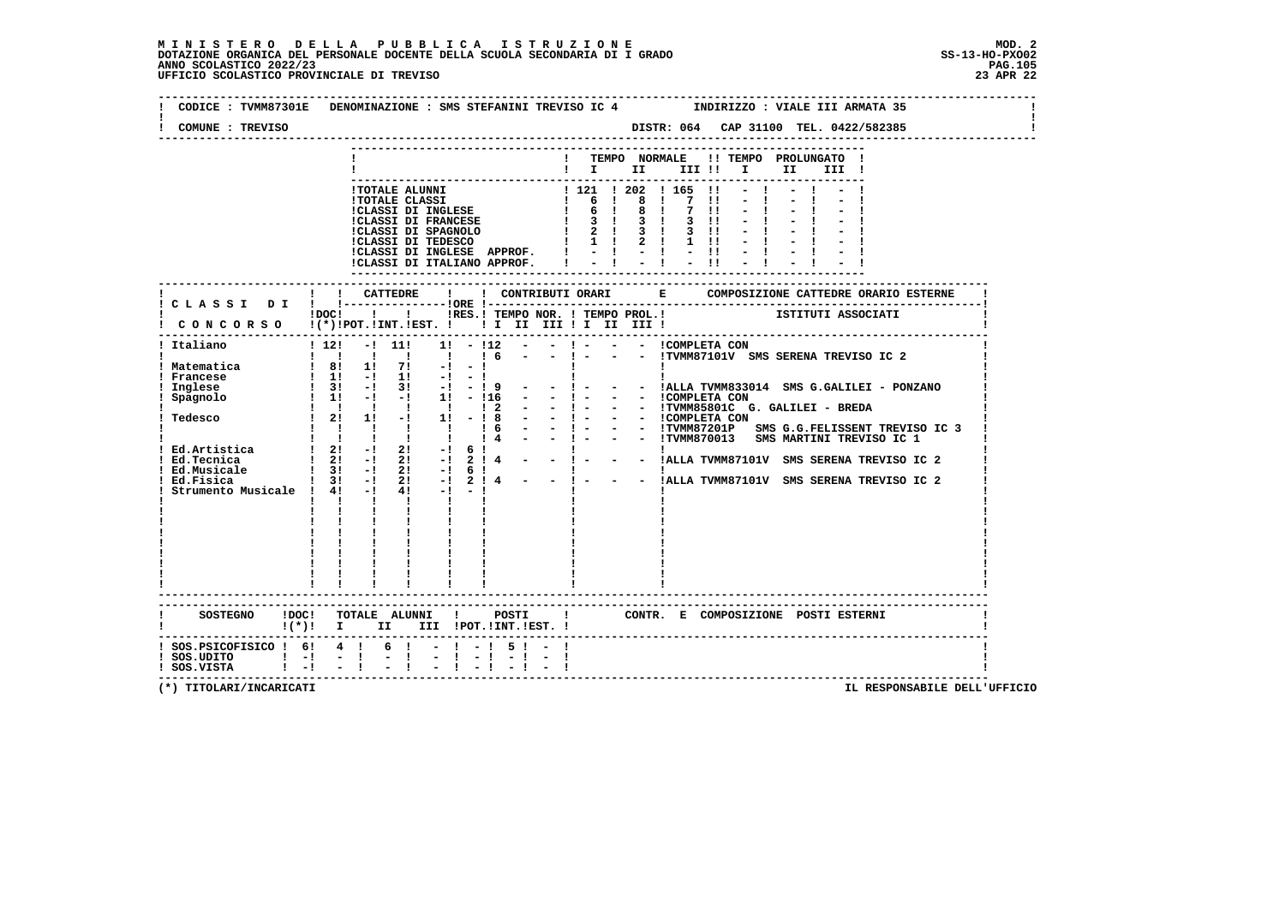| COMUNE : TREVISO                             | DISTR: 064 CAP 31100 TEL. 0422/582385                                                                                                                                                                                                                                          |
|----------------------------------------------|--------------------------------------------------------------------------------------------------------------------------------------------------------------------------------------------------------------------------------------------------------------------------------|
|                                              | ! TEMPO NORMALE !! TEMPO PROLUNGATO !<br>$\mathbf{I}$ is the set of $\mathbf{I}$<br>III !! I<br>II D<br>III !                                                                                                                                                                  |
|                                              |                                                                                                                                                                                                                                                                                |
|                                              | ! ! CATTEDRE<br>$\mathbf{I}$<br>! CLASSI DI ! !--------------------ORE !---                                                                                                                                                                                                    |
|                                              | THES.I TEMPO NOR. I TEMPO PROL. I TEMPO TRITUTI ASSOCIATI<br>CONCORSO I(*) IPOT.IINT.IEST. I II II III II III III III                                                                                                                                                          |
| ! Matematica                                 | Finalismo<br>Indiano<br>Indiano<br>Indiano<br>Indiano<br>Indiano<br>Indiano<br>Indiano<br>Indiano<br>Indiano<br>Indiano<br>Indiano<br>Indiano<br>Indiano<br>Indiano<br>Indiano<br>Indiana<br>Indiana<br>Indiana<br>Indiana<br>Indiana<br>Indiana<br>Indiana<br>Indiana<br>Indi |
| SOSTEGNO ! DOC!                              | ------------------------------<br>TOTALE ALUNNI !<br>POSTI   CONTR. E COMPOSIZIONE POSTI ESTERNI<br>$!(*)!$ I II III !POT.!INT.!EST. !                                                                                                                                         |
| ! SOS.UDITO ! -! - !<br>! SOS.VISTA ! -! - ! | ! SOS.PSICOFISICO ! 6! 4 ! 6 ! - ! - ! 5 ! - !<br>$-$ – $\,$ – $\,$ – $\,$ – $\,$ – $\,$ – $\,$ – $\,$                                                                                                                                                                         |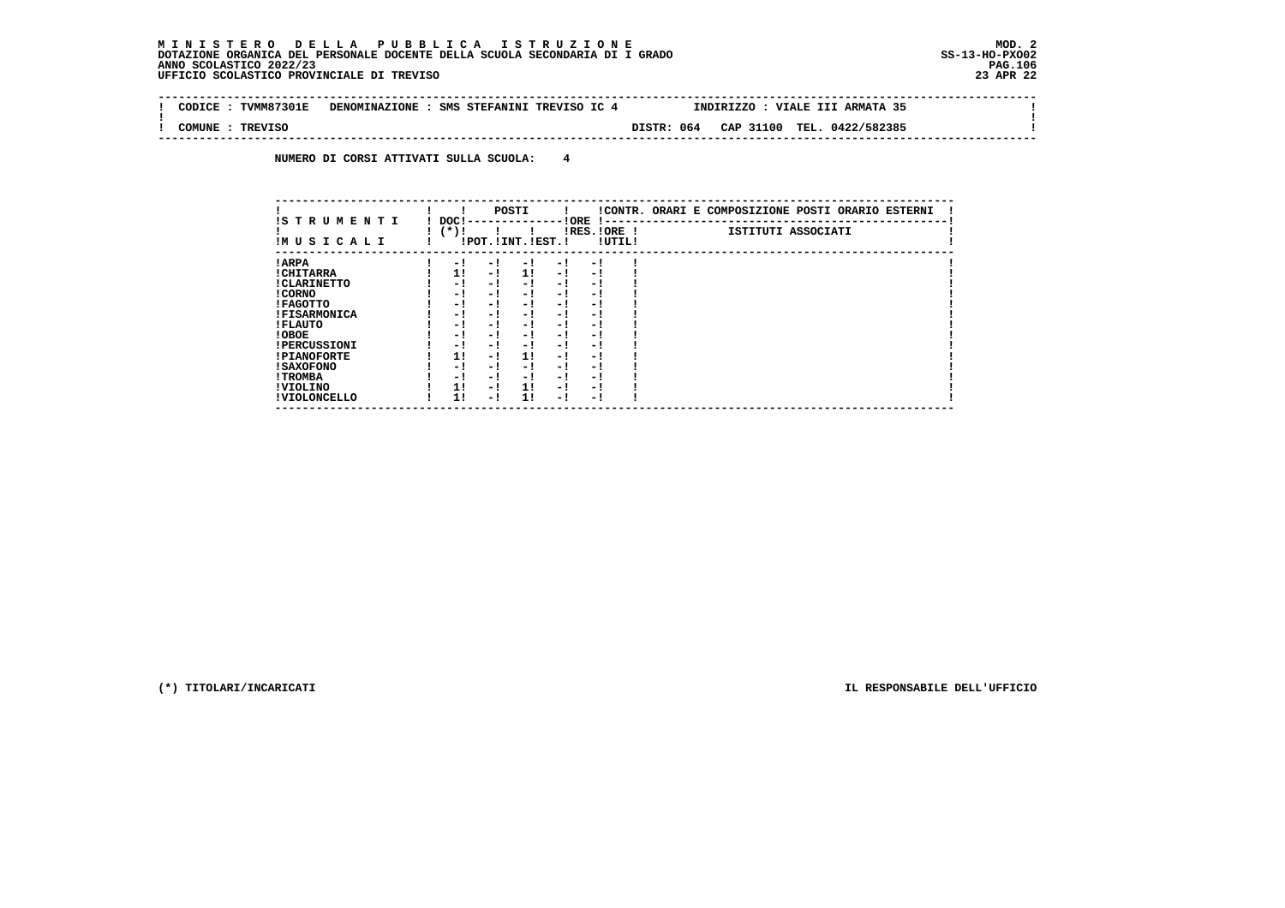$\sim$  1

 $\mathbf{I}$ 

 **-------------------------------------------------------------------------------------------------------------------------------- ! CODICE : TVMM87301E DENOMINAZIONE : SMS STEFANINI TREVISO IC 4 INDIRIZZO : VIALE III ARMATA 35 ! ! ! ! COMUNE : TREVISO DISTR: 064 CAP 31100 TEL. 0422/582385 ! --------------------------------------------------------------------------------------------------------------------------------**

 **NUMERO DI CORSI ATTIVATI SULLA SCUOLA: 4**

| IS TRUMENTI         |                |     | POSTI                 |      |                          |        | !CONTR. ORARI E COMPOSIZIONE POSTI ORARIO ESTERNI |
|---------------------|----------------|-----|-----------------------|------|--------------------------|--------|---------------------------------------------------|
| IMUSICALI           | DOC!<br>$(*)!$ |     | !POT. ! INT. ! EST. ! |      | ! ORE<br>$IRES.IORE$ !   | !UTIL! | ISTITUTI ASSOCIATI                                |
| ! ARPA              | - 1            | - 1 | - 1                   | $-1$ | - 1                      |        |                                                   |
| ! CHITARRA          | 11             | - ! | 11                    | - !  | - 1                      |        |                                                   |
| ! CLARINETTO        | - 1            | - ! | - 1                   | - 1  | - 1                      |        |                                                   |
| ! CORNO             | - !            | - ! | - 1                   | - !  | - 1                      |        |                                                   |
| ! FAGOTTO           | - 1            | - ! | - 1                   | $-1$ | - 1                      |        |                                                   |
| <b>!FISARMONICA</b> | - 1            | - ! | - 1                   | - 1  | - 1                      |        |                                                   |
| ! FLAUTO            | - 1            | - ! | - 1                   | - !  | - 1                      |        |                                                   |
| ! OBOE              | - 1            | - ! | - 1                   | $-1$ | - 1                      |        |                                                   |
| <b>!PERCUSSIONI</b> | - 1            | - ! | - 1                   | - 1  | - 1                      |        |                                                   |
| <b>!PIANOFORTE</b>  | 1!             | - ! | 11                    | - !  | - 1                      |        |                                                   |
| ! SAXOFONO          | - 1            | - ! | - 1                   | - 1  | $\overline{\phantom{0}}$ |        |                                                   |
| ! TROMBA            | - !            | - ! | - !                   | - 1  | - 1                      |        |                                                   |
| ! VIOLINO           | 1!             | - ! | 1!                    | $-1$ | - 1                      |        |                                                   |
| ! VIOLONCELLO       | 1!             | - 1 | 11                    | - 1  | - 1                      |        |                                                   |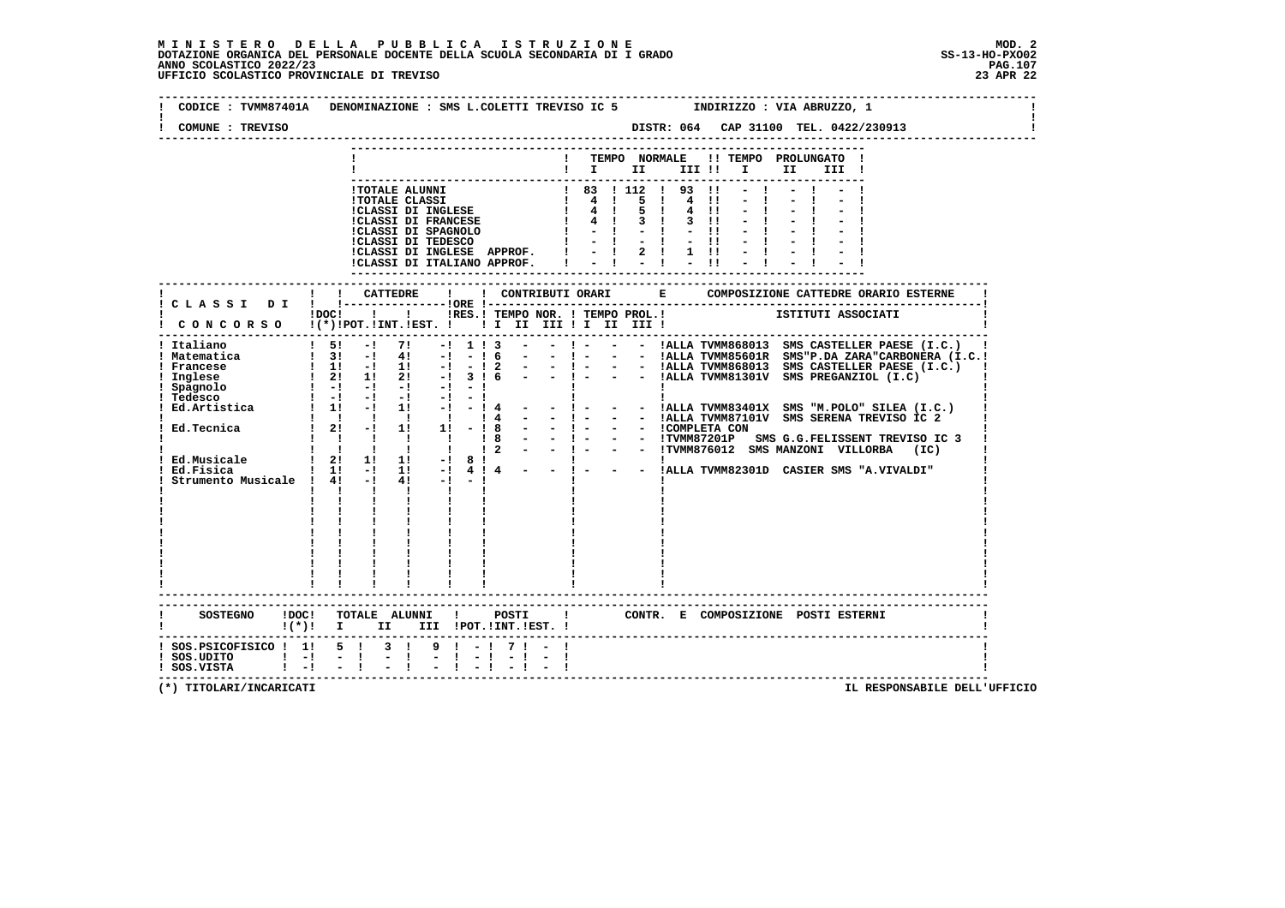# **M I N I S T E R O D E L L A P U B B L I C A I S T R U Z I O N E MOD. 2**DOTAZIONE ORGANICA DEL PERSONALE DOCENTE DELLA SCUOLA SECONDARIA DI I GRADO **SCOLASTICO SCOLASTICO 2022/23 PAG.107**<br>PAGO SCOLASTICO 2022/23 PAG.107<br>23 APR 22 UFFICIO SCOLASTICO PROVINCIALE DI TREVISO

| COMUNE : TREVISO                                                                                             |                                                                                                                                                                                                                                                                                                                                                                                                                                                                                                                                                                                                                                                                                                                                                          |
|--------------------------------------------------------------------------------------------------------------|----------------------------------------------------------------------------------------------------------------------------------------------------------------------------------------------------------------------------------------------------------------------------------------------------------------------------------------------------------------------------------------------------------------------------------------------------------------------------------------------------------------------------------------------------------------------------------------------------------------------------------------------------------------------------------------------------------------------------------------------------------|
|                                                                                                              | ! TEMPO NORMALE !! TEMPO PROLUNGATO !<br>II D<br>III !                                                                                                                                                                                                                                                                                                                                                                                                                                                                                                                                                                                                                                                                                                   |
|                                                                                                              | !TOTALE ALUNNI<br>!TOTALE CLASSI<br>! TOTALE CLASSI<br>! 4 ! 5 ! 4 !!<br>!CLASSI DI FRANCESE<br>! 4 ! 5 ! 4 !!<br>!CLASSI DI FRANCESE<br>! 4 ! 5 ! 4 !!<br>!CLASSI DI FRANCESE<br>! 4 ! 5 ! 4 !!<br>!CLASSI DI FRANCESE<br>! - ! - ! - !!<br>!CLASSI D<br>$-1$<br>$-1$<br>ICLASSI DI INGLESE APPROF. $ $ - $ $ 2 $ $ 1 $ $ ! - $ $<br>ICLASSI DI ITALIANO APPROF. $ $ - $ $ - $ $ - $ $ ! - $ $                                                                                                                                                                                                                                                                                                                                                          |
|                                                                                                              | ISTITUTI ASSOCIATI<br>!DOC! !!!!RES.! TEMPO NOR. ! TEMPO PROL.!                                                                                                                                                                                                                                                                                                                                                                                                                                                                                                                                                                                                                                                                                          |
| ! Italiano<br>! Francese<br>Inglese<br>! Spagnolo<br>! Tedesco<br>! Ed.Tecnica<br>Strumento Musicale ! 4! -! | ! CONCORSO !(*)!POT.!INT.!EST. ! ! I II III ! I III II<br>--------------------------------------<br>$1$ Matematica $1$ 31 -1 41 -1 -1 6<br>1 31 -1 41 -1 -1 6 - - 1 - - - ALLA TVMM856013 SMS CASTELLER PAESE (I.C.) 1<br>1 1 -1 1 1 -1 -1 2 - - 1 - - - 1ALLA TVMM856013 SMS "P.DA ZARA" CARDONERA (I.C.)<br>1 21 1 21 -1 3 1 6 - - 1 - - - 1ALLA TVMM868013 SMS CASTELLER P<br>$\begin{bmatrix} 1 & -1 & -1 & -1 & -1 & -1 \end{bmatrix}$<br>Ed.Artistica : 1 - 1 - 1 - 1 - 1 - 1 - 1 - 1 - - 1 - - 1 - - 1 - - 1 - - 1 - - 1 - - 1 - - 1 - - 1 - - 1 - - 1 - - 1 - - 1 - - 1 - - 1 - - 1 - - 1 - - 1 - - 1 - - 1 - - 1 - - 1 - - 1 - - 1 - - 1 - - 1 - - 1 - - 1 - - 1 - -<br>$4! -1 -1$<br>$\mathbf{I}$<br>$\mathbf{I}$<br>$\mathbf{I}$ $\mathbf{I}$ |
|                                                                                                              | .-----------------------<br>CONTR. E COMPOSIZIONE POSTI ESTERNI<br>!(*)! I II III !POT.!INT.!EST.!                                                                                                                                                                                                                                                                                                                                                                                                                                                                                                                                                                                                                                                       |
| ! SOS. PSICOFISICO ! 1! 5 ! 3 !<br>$!$ SOS.UDITO $!$ -!<br>$1 - 1$<br>! SOS.VISTA                            | $9 \mid -1$ 7 $1 \mid -1$<br>$\sim$ $-1$                                                                                                                                                                                                                                                                                                                                                                                                                                                                                                                                                                                                                                                                                                                 |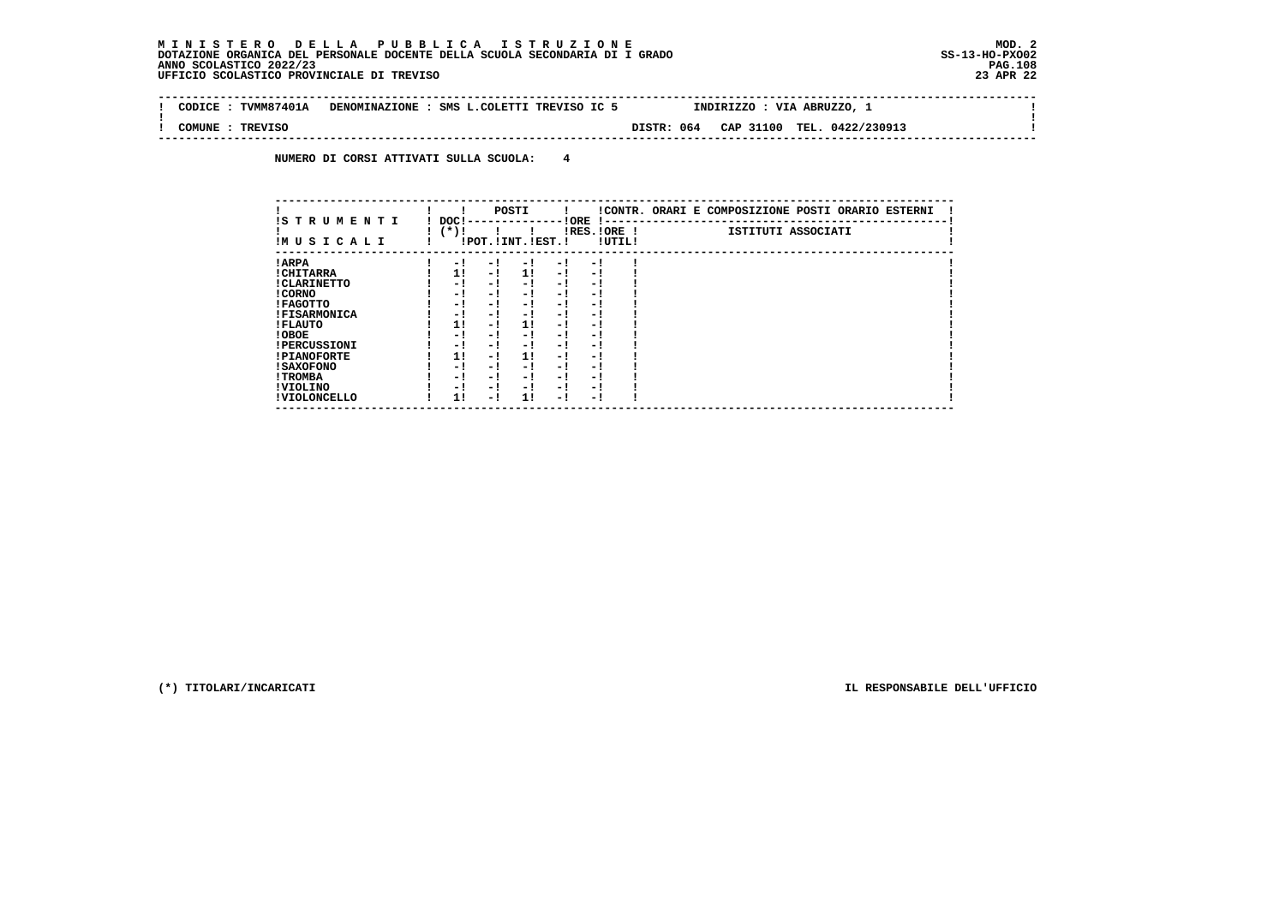$\sim$  1

 $\mathbf{I}$ 

 **-------------------------------------------------------------------------------------------------------------------------------- ! CODICE : TVMM87401A DENOMINAZIONE : SMS L.COLETTI TREVISO IC 5 INDIRIZZO : VIA ABRUZZO, 1 ! ! ! ! COMUNE : TREVISO DISTR: 064 CAP 31100 TEL. 0422/230913 ! --------------------------------------------------------------------------------------------------------------------------------**

 **NUMERO DI CORSI ATTIVATI SULLA SCUOLA: 4**

| IS TRUMENTI         | DOC!   |      | POSTI                 |     | ! ORE | $\mathbf{I}$ – – |        | !CONTR. ORARI E COMPOSIZIONE POSTI ORARIO ESTERNI |
|---------------------|--------|------|-----------------------|-----|-------|------------------|--------|---------------------------------------------------|
| IM U S I C A L I    | $(*)!$ |      | !POT. ! INT. ! EST. ! |     |       | IRES.IORE !      | !UTIL! | ISTITUTI ASSOCIATI                                |
| ! ARPA              |        | $-1$ | - !                   | - 1 | $-1$  | - !              |        |                                                   |
| ! CHITARRA          |        | 1!   | - !                   | 11  | $-1$  | - 1              |        |                                                   |
| ! CLARINETTO        |        | - 1  | - 1                   | - 1 | $-1$  | - !              |        |                                                   |
| ! CORNO             |        | - 1  | - !                   | - 1 | - 1   | - 1              |        |                                                   |
| ! FAGOTTO           |        | - 1  | - !                   | - 1 | - 1   | - 1              |        |                                                   |
| <b>!FISARMONICA</b> |        | - 1  | - !                   | - 1 | $-1$  | - 1              |        |                                                   |
| ! FLAUTO            |        | 1!   | - 1                   | 11  | - 1   | - !              |        |                                                   |
| ! OBOE              |        | - 1  | - !                   | - 1 | - !   | - 1              |        |                                                   |
| <b>!PERCUSSIONI</b> |        | - 1  | - !                   | - 1 | - 1   | - 1              |        |                                                   |
| <b>!PIANOFORTE</b>  |        | 1!   | - !                   | 1!  | - !   | - 1              |        |                                                   |
| <b>! SAXOFONO</b>   |        | - !  | - !                   | - 1 | - 1   | - 1              |        |                                                   |
| ! TROMBA            |        | - !  | - 1                   | - 1 | - 1   | - 1              |        |                                                   |
| ! VIOLINO           |        | - 1  | - 1                   | - 1 | - 1   | - 1              |        |                                                   |
| ! VIOLONCELLO       |        | 11   | - !                   | 11  | - 1   | - 1              |        |                                                   |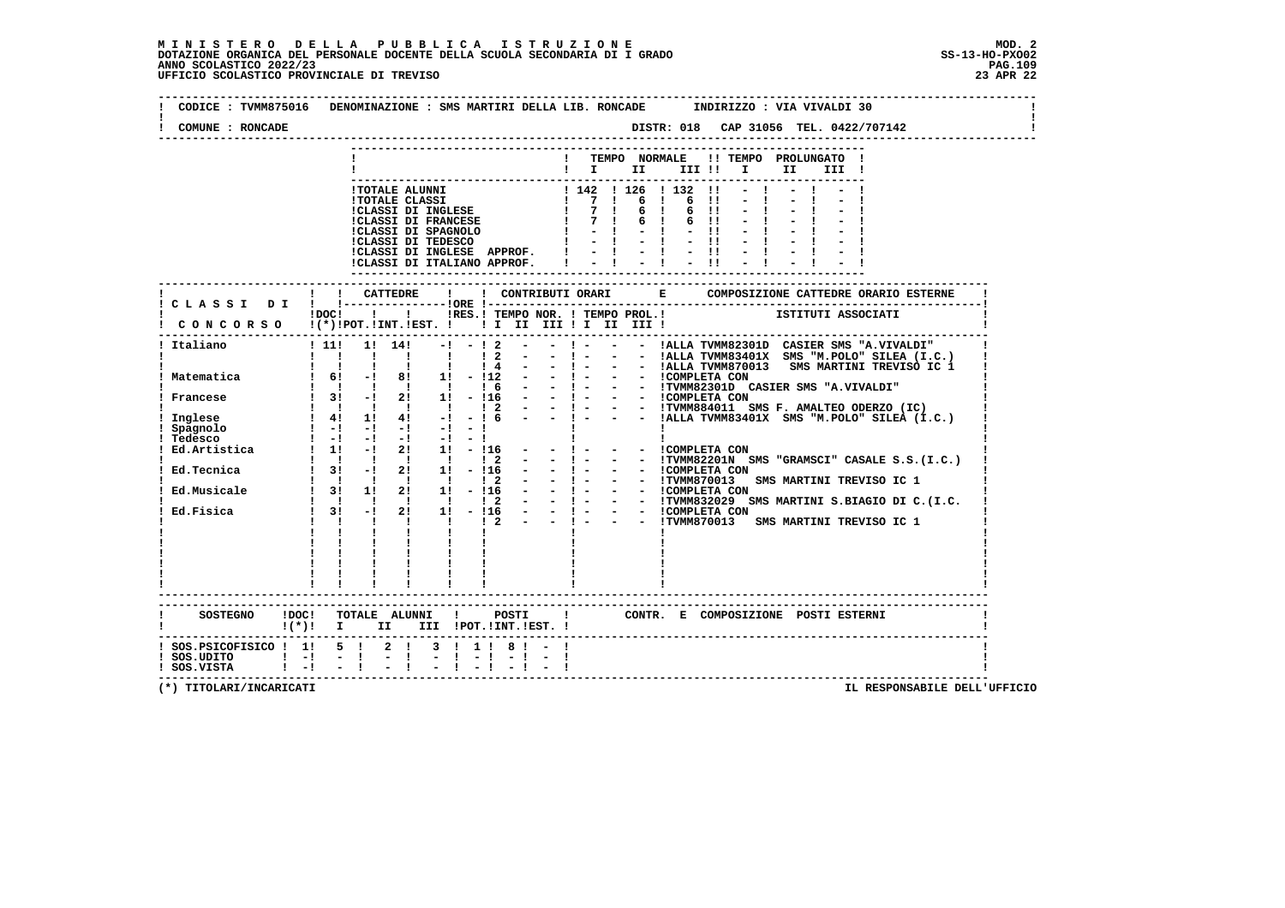$\mathbf{I}$ 

 **-------------------------------------------------------------------------------------------------------------------------------- ! CODICE : TVMM875016 DENOMINAZIONE : SMS MARTIRI DELLA LIB. RONCADE INDIRIZZO : VIA VIVALDI 30 ! ! ! ! COMUNE : RONCADE DISTR: 018 CAP 31056 TEL. 0422/707142 ! -------------------------------------------------------------------------------------------------------------------------------- --------------------------------------------------------------------------- ! ! TEMPO NORMALE !! TEMPO PROLUNGATO ! ! ! I II III !! I II III ! --------------------------------------------------------------------------- !TOTALE ALUNNI ! 142 ! 126 ! 132 !! - ! - ! - !**| TOTALE CLASSI | 7 | 6 | 6 || - | - | - |<br>| CLASSI DI INGLESE | 7 | 6 | 6 || - | - | - |<br>| CLASSI DI FRANCESE | 7 | 6 | 6 || - | - | - |<br>| CLASSI DI SPAGNOLO | - | - || - || - | - | - || - |<br>| CLASSI DI TEDESCO | - | - ||  **!CLASSI DI INGLESE APPROF. ! - ! - ! - !! - ! - ! - ! !CLASSI DI ITALIANO APPROF. ! - ! - ! - !! - ! - ! - ! --------------------------------------------------------------------------- ------------------------------------------------------------------------------------------------------------------------- ! ! ! CATTEDRE ! ! CONTRIBUTI ORARI E COMPOSIZIONE CATTEDRE ORARIO ESTERNE ! ! C L A S S I D I ! !---------------!ORE !------------------------------------------------------------------------! POC! !!! INES.! TEMPO NOR. ! TEMPO PROL.!** ISTITUTI ASSOCIATI  **! C O N C O R S O !(\*)!POT.!INT.!EST. ! ! I II III ! I II III ! ! ------------------------------------------------------------------------------------------------------------------------- ! Italiano ! 11! 1! 14! -! - ! 2 - - ! - - - !ALLA TVMM82301D CASIER SMS "A.VIVALDI" ! ! ! ! ! ! ! ! 2 - - ! - - - !ALLA TVMM83401X SMS "M.POLO" SILEA (I.C.) ! ! ! ! ! ! ! ! 4 - - ! - - - !ALLA TVMM870013 SMS MARTINI TREVISO IC 1 ! ! Matematica ! 6! -! 8! 1! - !12 - - ! - - - !COMPLETA CON ! ! ! ! ! ! ! ! 6 - - ! - - - !TVMM82301D CASIER SMS "A.VIVALDI" ! ! Francese ! 3! -! 2! 1! - !16 - - ! - - - !COMPLETA CON ! ! ! ! ! ! ! ! 2 - - ! - - - !TVMM884011 SMS F. AMALTEO ODERZO (IC) ! ! Inglese ! 4! 1! 4! -! - ! 6 - - ! - - - !ALLA TVMM83401X SMS "M.POLO" SILEA (I.C.) ! ! Spagnolo ! -! -! -! -! - ! ! ! ! ! Tedesco ! -! -! -! -! - ! ! ! ! ! Ed.Artistica ! 1! -! 2! 1! - !16 - - ! - - - !COMPLETA CON ! ! ! ! ! ! ! ! 2 - - ! - - - !TVMM82201N SMS "GRAMSCI" CASALE S.S.(I.C.) ! ! Ed.Tecnica ! 3! -! 2! 1! - !16 - - ! - - - !COMPLETA CON ! ! ! ! ! ! ! ! 2 - - ! - - - !TVMM870013 SMS MARTINI TREVISO IC 1 ! ! Ed.Musicale ! 3! 1! 2! 1! - !16 - - ! - - - !COMPLETA CON ! ! ! ! ! ! ! ! 2 - - ! - - - !TVMM832029 SMS MARTINI S.BIAGIO DI C.(I.C. ! ! Ed.Fisica ! 3! -! 2! 1! - !16 - - ! - - - !COMPLETA CON ! ! ! ! ! ! ! ! 2 - - ! - - - !TVMM870013 SMS MARTINI TREVISO IC 1 ! ! ! ! ! ! ! ! ! ! ! ! ! ! ! ! ! ! ! ! ! ! ! ! ! ! ! ! ! ! ! ! ! ! ! ! ! ! ! ! ! ! ! ! ! ! ! ! ! ! ! ! ! ! ! ! ! ! ! ! ! ------------------------------------------------------------------------------------------------------------------------- ------------------------------------------------------------------------------------------------------------------------- ! SOSTEGNO !DOC! TOTALE ALUNNI ! POSTI ! CONTR. E COMPOSIZIONE POSTI ESTERNI ! ! !(\*)! I II III !POT.!INT.!EST. ! ! ------------------------------------------------------------------------------------------------------------------------- ! SOS.PSICOFISICO ! 1! 5 ! 2 ! 3 ! 1 ! 8 ! - ! !**- 1  **! SOS.UDITO ! -! - ! - ! - ! - ! - ! - ! ! ! SOS.VISTA ! -! - ! - ! - ! - ! - ! - ! ! -------------------------------------------------------------------------------------------------------------------------**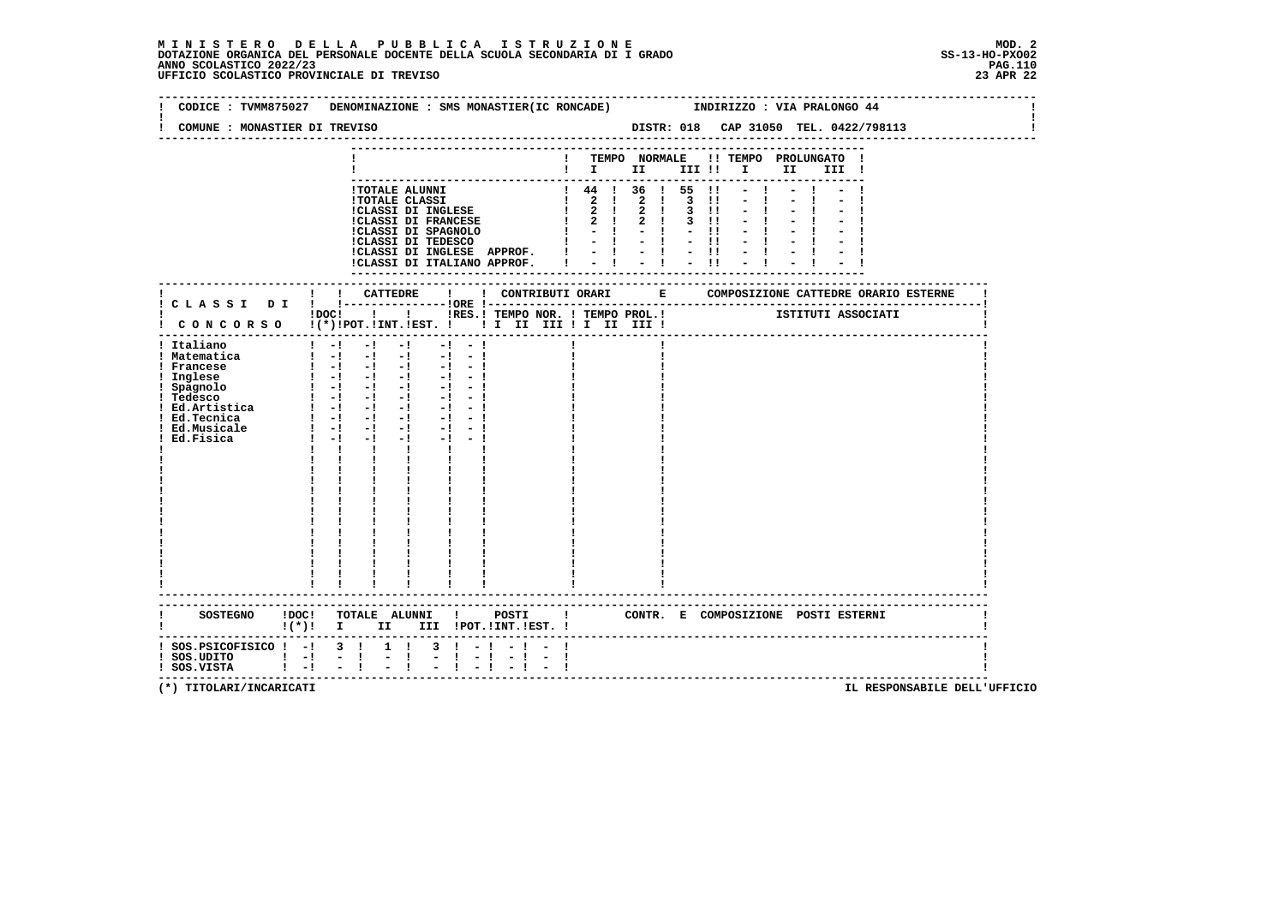# **M I N I S T E R O D E L L A P U B B L I C A I S T R U Z I O N E MOD. 2**DOTAZIONE ORGANICA DEL PERSONALE DOCENTE DELLA SCUOLA SECONDARIA DI I GRADO **SCOLASTICO SCOLASTICO 2022/23 PAG.110**<br>PAGO SCOLASTICO 2022/23 PAG.110<br>23 BPR 22 UFFICIO SCOLASTICO PROVINCIALE DI TREVISO

|                                                                       |                                                                                                                                                                                                                                                                                                                                                                                                                                                                 | CODICE: TVMM875027 DENOMINAZIONE: SMS MONASTIER(IC RONCADE) [INDIRIZZO: VIA PRALONGO 44                                                                                                                                                                                                                                                                                                               |
|-----------------------------------------------------------------------|-----------------------------------------------------------------------------------------------------------------------------------------------------------------------------------------------------------------------------------------------------------------------------------------------------------------------------------------------------------------------------------------------------------------------------------------------------------------|-------------------------------------------------------------------------------------------------------------------------------------------------------------------------------------------------------------------------------------------------------------------------------------------------------------------------------------------------------------------------------------------------------|
| COMUNE : MONASTIER DI TREVISO                                         |                                                                                                                                                                                                                                                                                                                                                                                                                                                                 |                                                                                                                                                                                                                                                                                                                                                                                                       |
|                                                                       |                                                                                                                                                                                                                                                                                                                                                                                                                                                                 | ! TEMPO NORMALE !! TEMPO PROLUNGATO !<br>$\blacksquare$                                                                                                                                                                                                                                                                                                                                               |
|                                                                       | !CLASSI DI INGLESE APPROF. !<br>!CLASSI DI ITALIANO APPROF.                                                                                                                                                                                                                                                                                                                                                                                                     | $! 44 ! 36 ! 55 !1 - 1$<br>1 TOTALE ALUNNI<br>1 TOTALE CLASSI<br>1 1 44 1 36 1 55 11 - 1<br>1 2 1 2 1 3 11 - 1<br>1 2 1 2 1 3 11 - 1<br>1 2 1 2 1 3 11 - 1<br>1 2 1 2 1 3 11 - 1<br>1 2 1 2 1 3 11 - 1<br>1 2 1 2 1 3 11 - 1<br>1 2 1 2 1 3 11 - 1<br>1 2 1 2 1 3 11 - 1<br>1 2<br>$1 \t2 \t1 \t2 \t1 \t3 \t11 \t- \t1 \t- \t1$<br>$-11 - 1 - 1$<br>$-1$ $-1$ $-11$<br>$-1$ $-1$<br>$-1 - 1$<br>$-11$ |
|                                                                       |                                                                                                                                                                                                                                                                                                                                                                                                                                                                 |                                                                                                                                                                                                                                                                                                                                                                                                       |
| ! Italiano<br>! Matematica<br>! Francese<br>Ed.Fisica                 | $\mathbf{I} = \mathbf{I} \quad \mathbf{I} \quad \mathbf{I} \quad \mathbf{I}$<br>$-1 - 1$<br>$1 - 1 - 1 - 1 - 1 - 1 - 1 - 1$<br>$\begin{bmatrix} 1 & -1 & -1 & -1 & -1 & -1 \end{bmatrix}$<br>$-1$ $-1$ $-1$<br>$1 - 1 - 1$<br>$\mathbf{1}$ and $\mathbf{1}$ and $\mathbf{1}$<br>$\frac{1}{1}$<br>$\frac{1}{4}$ , $\frac{1}{4}$ , $\frac{1}{4}$<br>$\begin{array}{cc} \mathbf{i} & \mathbf{i} \\ \mathbf{i} & \mathbf{j} \\ \mathbf{i} & \mathbf{i} \end{array}$ |                                                                                                                                                                                                                                                                                                                                                                                                       |
| $:$ SOS. PSICOFISICO $:$ - $:$ 3 $:$<br>$!$ SOS.UDITO $!$ - $!$ - $!$ | $\mathbf{I}$<br>$\begin{array}{cccccccccc} 1 & 1 & 1 & 1 & 1 \\ 1 & 1 & 1 & 1 & 1 \\ \end{array}$<br>!(*)! I II III !POT.!INT.!EST.!<br>$1 \quad 1$<br>$\mathbb{R}^{\mathbb{Z}}$                                                                                                                                                                                                                                                                                | SOSTEGNO !DOC! TOTALE ALUNNI ! POSTI ! CONTR. E COMPOSIZIONE POSTIESTERNI<br>$3 \cdot 1 - 1 - 1 - 1$<br>$-1 - 1 - 1 - 1 - 1$                                                                                                                                                                                                                                                                          |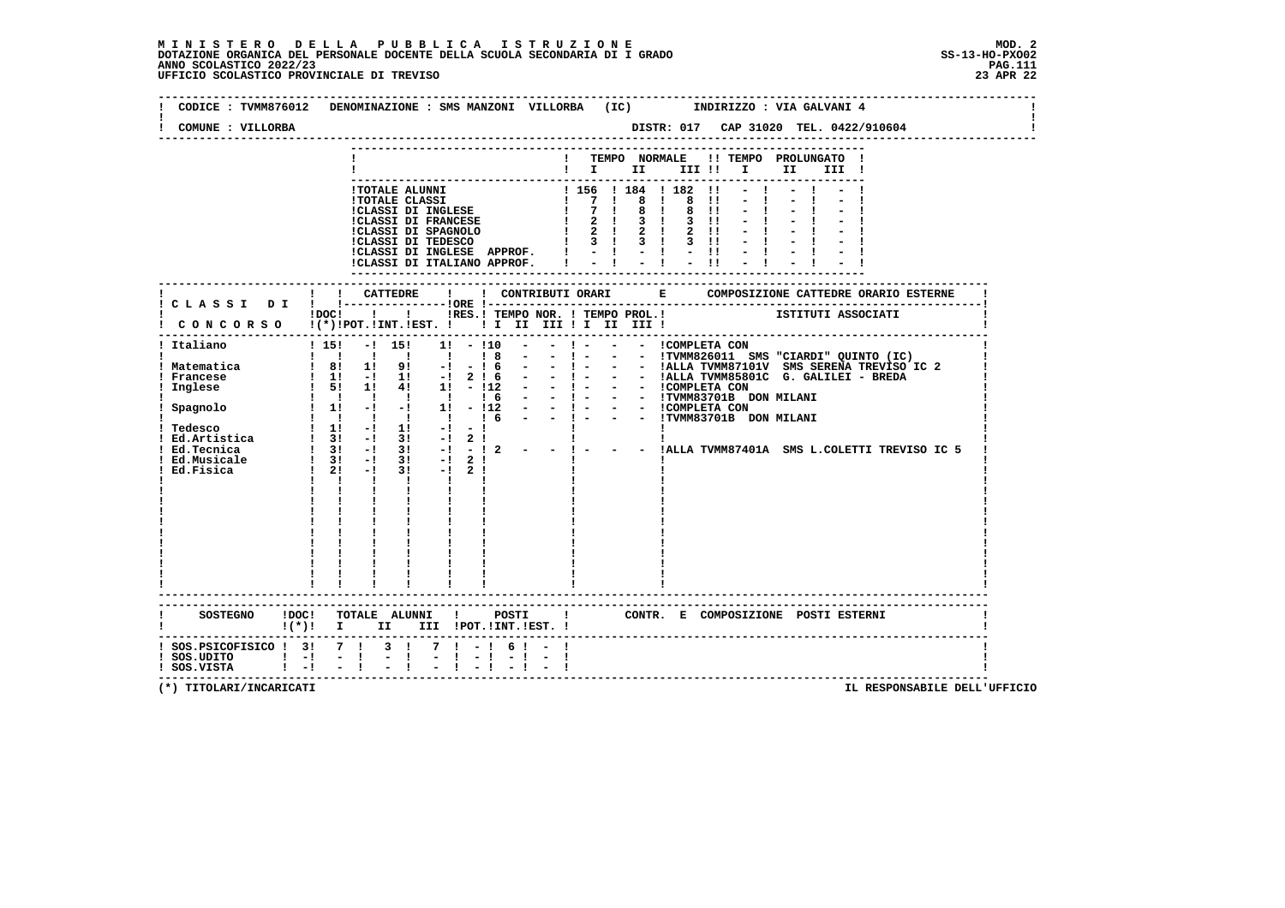# **M I N I S T E R O D E L L A P U B B L I C A I S T R U Z I O N E MOD. 2**DOTAZIONE ORGANICA DEL PERSONALE DOCENTE DELLA SCUOLA SECONDARIA DI I GRADO **SCOLASTICO SCOLASTICO 2022/23 PAG.111**<br>PAGO SCOLASTICO 2022/23 PAG.111<br>UFFICIO SCOLASTICO PROVINCIALE DI TREVISO

| COMUNE : VILLORBA                                                                | DISTR: 017 CAP 31020 TEL. 0422/910604                                                                                                                                                                                                                                                                                                      |
|----------------------------------------------------------------------------------|--------------------------------------------------------------------------------------------------------------------------------------------------------------------------------------------------------------------------------------------------------------------------------------------------------------------------------------------|
|                                                                                  | ! TEMPO NORMALE !! TEMPO PROLUNGATO !<br>$\blacksquare$ $\blacksquare$ $\blacksquare$ $\blacksquare$ $\blacksquare$ $\blacksquare$ $\blacksquare$<br>II —<br>III !                                                                                                                                                                         |
|                                                                                  | $-1$<br>1 TOTALE ALUNNI 1 156   184   182   1<br>1 TOTALE CLASSI DI INGLESE   7   8   8   1<br>1 CLASSI DI INGLESE   7   8   8   1<br>1 CLASSI DI FRANCESE   2   3   3   1<br>1 CLASSI DI SPAGNOLO   2   2   2   2   1<br>1 CLASSI DI TEDESCO  <br>ICLASSI DI INGLESE APPROF. ! - ! - ! - !!<br>ICLASSI DI ITALIANO APPROF. ! - ! - ! - !! |
|                                                                                  |                                                                                                                                                                                                                                                                                                                                            |
|                                                                                  | IDOCI I I IRES. I TEMPO NOR. I TEMPO PROL. I TEMPO PROTATI I ISTITUTI ASSOCIATI                                                                                                                                                                                                                                                            |
| ! Italiano                                                                       | ----------------------------------<br>$15!$ -1 15! 11 - 110 - - 1 - - - I COMPLETA CON                                                                                                                                                                                                                                                     |
|                                                                                  | CONTR. E COMPOSIZIONE POSTI_ESTERNI<br>! (*)! I II III !POT.!INT.!EST.!                                                                                                                                                                                                                                                                    |
| ! SOS.PSICOFISICO ! 3! 7 ! 3 !<br>$!$ SOS.UDITO $!$ $-!$<br>$!$ SOS.VISTA $!$ -! | $7! - 16! - 1$<br>$\frac{1}{2}$<br>$\frac{1}{2}$                                                                                                                                                                                                                                                                                           |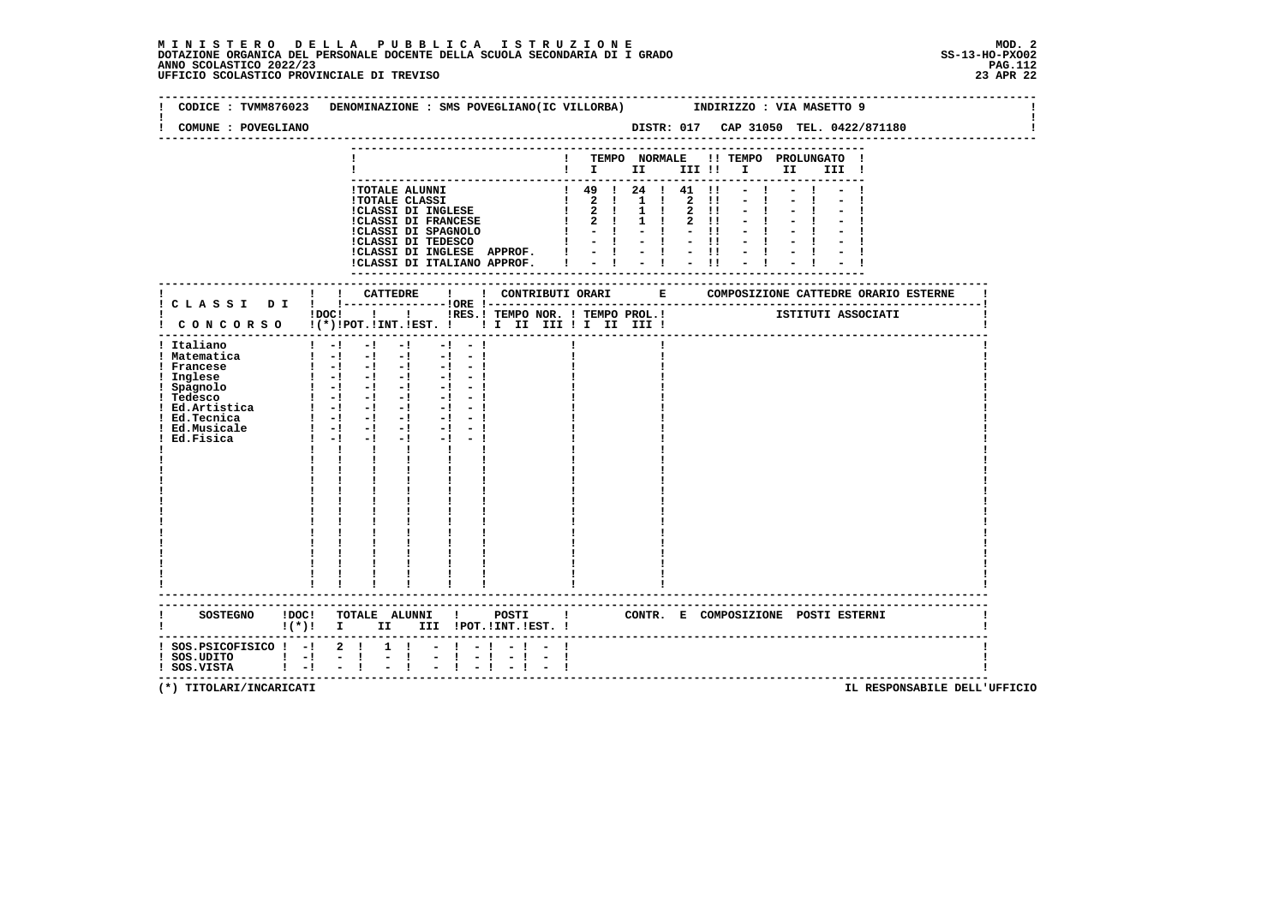# **M I N I S T E R O D E L L A P U B B L I C A I S T R U Z I O N E MOD. 2**DOTAZIONE ORGANICA DEL PERSONALE DOCENTE DELLA SCUOLA SECONDARIA DI I GRADO **SCOLASTICO SCOLASTICO 2022/23 PAG.112**<br>PAGO SCOLASTICO 2022/23 PAG.112<br>UFFICIO SCOLASTICO PROVINCIALE DI TREVISO

|                                                                                                                                                                             | CODICE: TVMM876023 DENOMINAZIONE: SMS POVEGLIANO(IC VILLORBA) INDIRIZZO: VIA MASETTO 9                                                                                                                                                                                                                                                                                                                                                                                                                                                                                                                                                                    |
|-----------------------------------------------------------------------------------------------------------------------------------------------------------------------------|-----------------------------------------------------------------------------------------------------------------------------------------------------------------------------------------------------------------------------------------------------------------------------------------------------------------------------------------------------------------------------------------------------------------------------------------------------------------------------------------------------------------------------------------------------------------------------------------------------------------------------------------------------------|
| COMUNE : POVEGLIANO                                                                                                                                                         |                                                                                                                                                                                                                                                                                                                                                                                                                                                                                                                                                                                                                                                           |
|                                                                                                                                                                             | ! TEMPO NORMALE !! TEMPO PROLUNGATO !<br>$\blacksquare$ $\blacksquare$ $\blacksquare$ $\blacksquare$ $\blacksquare$ $\blacksquare$ $\blacksquare$ $\blacksquare$ $\blacksquare$ $\blacksquare$ $\blacksquare$ $\blacksquare$ $\blacksquare$ $\blacksquare$ $\blacksquare$ $\blacksquare$                                                                                                                                                                                                                                                                                                                                                                  |
|                                                                                                                                                                             | !CLASSI DI INGLESE APPROF. !<br>$= 1 + 1 + 1$<br>!CLASSI DI ITALIANO APPROF. I<br>----------------                                                                                                                                                                                                                                                                                                                                                                                                                                                                                                                                                        |
|                                                                                                                                                                             |                                                                                                                                                                                                                                                                                                                                                                                                                                                                                                                                                                                                                                                           |
|                                                                                                                                                                             | IDOCI   I IRES.I TEMPO NOR. I TEMPO PROL.I ISTITUTI ASSOCIATI<br>! CONCORSO !(*) !POT. ! INT. ! EST. !! I III III ! I III III !                                                                                                                                                                                                                                                                                                                                                                                                                                                                                                                           |
| ! Italiano<br>! Matematica<br>! Francese<br>! Inglese<br>! Spagnolo<br>! Tedesco<br>! Tedesco<br>. redesco<br>! Ed.Artistica<br>! Ed. Tecnica<br>! Ed.Musicale<br>Ed.Fisica | $1 - 1 - 1 - 1$<br>$-1 - -1$<br>$\begin{bmatrix} 1 & -1 & -1 & -1 & -1 & -1 \end{bmatrix}$<br>$\begin{bmatrix} 1 & -1 & -1 & -1 & -1 & -1 \end{bmatrix}$<br>$-1 - 1$<br>$-1 - -1$<br>$\begin{bmatrix} 1 & -1 & -1 & -1 & -1 \end{bmatrix}$<br>$\begin{array}{cccccccccc} 1 & -1 & -1 & -1 & -1 \\ 1 & -1 & -1 & -1 & -1 \end{array}$<br>$-1 - -1$<br>$1 - 1 - 1$<br>$-1$ and $-1$<br>$-1 - -1$<br>$\mathbf{I}$ $\mathbf{I}$<br>$\mathbf{I}$<br>$\mathbf{I}$ and $\mathbf{I}$<br>$\mathbf{I}$ and $\mathbf{I}$<br>$\mathbf{I}$ and $\mathbf{I}$<br>$\frac{1}{1}$<br>$1 - 1$<br>$\begin{array}{cc} 1 & 1 \\ 1 & 1 \end{array}$<br>------------------------- |
|                                                                                                                                                                             | $\mathbf{I}(\star)\mathbf{I}$ II III $\mathbf{I}$ IVT. IEST.                                                                                                                                                                                                                                                                                                                                                                                                                                                                                                                                                                                              |
| -----------------------------------<br>! SOS.PSICOFISICO ! -! 2 !<br>! SOS.UDITO   - ! - !<br>! SOS.VISTA   - ! - !                                                         | $1 \quad 1$<br>$-1 - 1$<br>$\frac{1}{2}$ $\frac{1}{1}$<br>$-1 - 1$                                                                                                                                                                                                                                                                                                                                                                                                                                                                                                                                                                                        |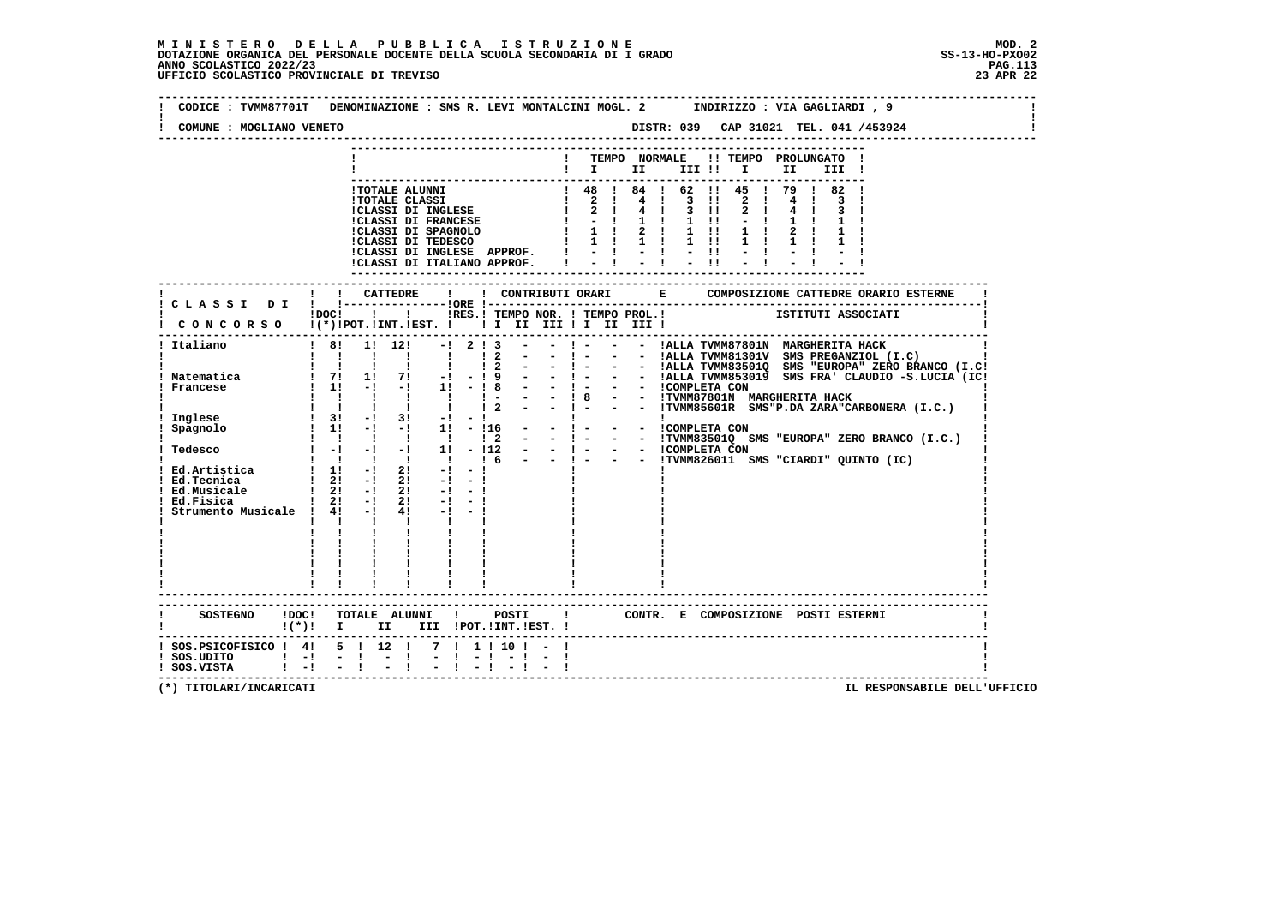**--------------------------------------------------------------------------------------------------------------------------------** $\sim$  **! CODICE : TVMM87701T DENOMINAZIONE : SMS R. LEVI MONTALCINI MOGL. 2 INDIRIZZO : VIA GAGLIARDI , 9 ! ! !** $\mathbf{I}$  **! COMUNE : MOGLIANO VENETO DISTR: 039 CAP 31021 TEL. 041 /453924 ! -------------------------------------------------------------------------------------------------------------------------------- --------------------------------------------------------------------------- ! ! TEMPO NORMALE !! TEMPO PROLUNGATO ! ! ! I II III !! I II III ! --------------------------------------------------------------------------- !TOTALE ALUNNI ! 48 ! 84 ! 62 !! 45 ! 79 ! 82 ! !TOTALE CLASSI ! 2 ! 4 ! 3 !! 2 ! 4 ! 3 ! !CLASSI DI INGLESE ! 2 ! 4 ! 3 !! 2 ! 4 ! 3 ! !CLASSI DI FRANCESE ! - ! 1 ! 1 !! - ! 1 ! 1 ! !CLASSI DI SPAGNOLO ! 1 ! 2 ! 1 !! 1 ! 2 ! 1 ! !CLASSI DI TEDESCO ! 1 ! 1 ! 1 !! 1 ! 1 ! 1 ! !CLASSI DI INGLESE APPROF. ! - ! - ! - !! - ! - ! - ! !CLASSI DI ITALIANO APPROF. ! - ! - ! - !! - ! - ! - ! --------------------------------------------------------------------------- ------------------------------------------------------------------------------------------------------------------------- ! ! ! CATTEDRE ! ! CONTRIBUTI ORARI E COMPOSIZIONE CATTEDRE ORARIO ESTERNE ! ! C L A S S I D I ! !---------------!ORE !------------------------------------------------------------------------! ! !DOC! ! ! !RES.! TEMPO NOR. ! TEMPO PROL.! ISTITUTI ASSOCIATI ! ! C O N C O R S O !(\*)!POT.!INT.!EST. ! ! I II III ! I II III ! ! -------------------------------------------------------------------------------------------------------------------------**1 Caliano (I.C.) |<br>
1 2 2 - 1 - 2 2 - 1 - - |ALLA TWM83301V SMS PREGANZIOL (I.C.) |<br>
1 2 - 1 - - |ALLA TWM83301V SMS PREGANZIOL (I.C.) |<br>
2 - 1 - - |ALLA TWM83301Q SMS "EUROPA" ZERO BRANCO (I.C.)<br>
2 - 1 - - |ALLA TWM83301Q  **! Italiano ! 8! 1! 12! -! 2 ! 3 - - ! - - - !ALLA TVMM87801N MARGHERITA HACK ! ! ! ! ! ! ! ! 2 - - ! - - - !TVMM83501Q SMS "EUROPA" ZERO BRANCO (I.C.) ! ! Tedesco ! -! -! -! 1! - !12 - - ! - - - !COMPLETA CON ! ! ! ! ! ! ! ! 6 - - ! - - - !TVMM826011 SMS "CIARDI" QUINTO (IC) ! ! Ed.Artistica ! 1! -! 2! -! - ! ! ! !1 Ed.Tecnica 1 2! −! 2! −! − ! ! !!**<br>1 Ed.Musicale 1 2! −! 2! −! − ! ! !!!  **! Ed.Musicale ! 2! -! 2! -! - ! ! ! ! ! Ed.Fisica ! 2! -! 2! -! - ! ! ! ! ! Strumento Musicale ! 4! -! 4! -! - ! ! ! ! ! ! ! ! ! ! ! ! ! ! ! ! ! ! ! ! ! ! ! ! ! ! ! ! ! ! ! ! ! ! ! ! ! ! ! ! ! ! ! ! ! ! ! ! ! ! ! ! ! ! ! ! ! ! ! ! ! ! ! ! ! ! ! ! ! ! ! ! ! ! ------------------------------------------------------------------------------------------------------------------------- ------------------------------------------------------------------------------------------------------------------------- ! SOSTEGNO !DOC! TOTALE ALUNNI ! POSTI ! CONTR. E COMPOSIZIONE POSTI ESTERNI ! ! !(\*)! I II III !POT.!INT.!EST. ! ! ------------------------------------------------------------------------------------------------------------------------- ! SOS.PSICOFISICO ! 4! 5 ! 12 ! 7 ! 1 ! 10 ! - ! !**- 1  **! SOS.UDITO ! -! - ! - ! - ! - ! - ! - ! ! ! SOS.VISTA ! -! - ! - ! - ! - ! - ! - ! ! -------------------------------------------------------------------------------------------------------------------------**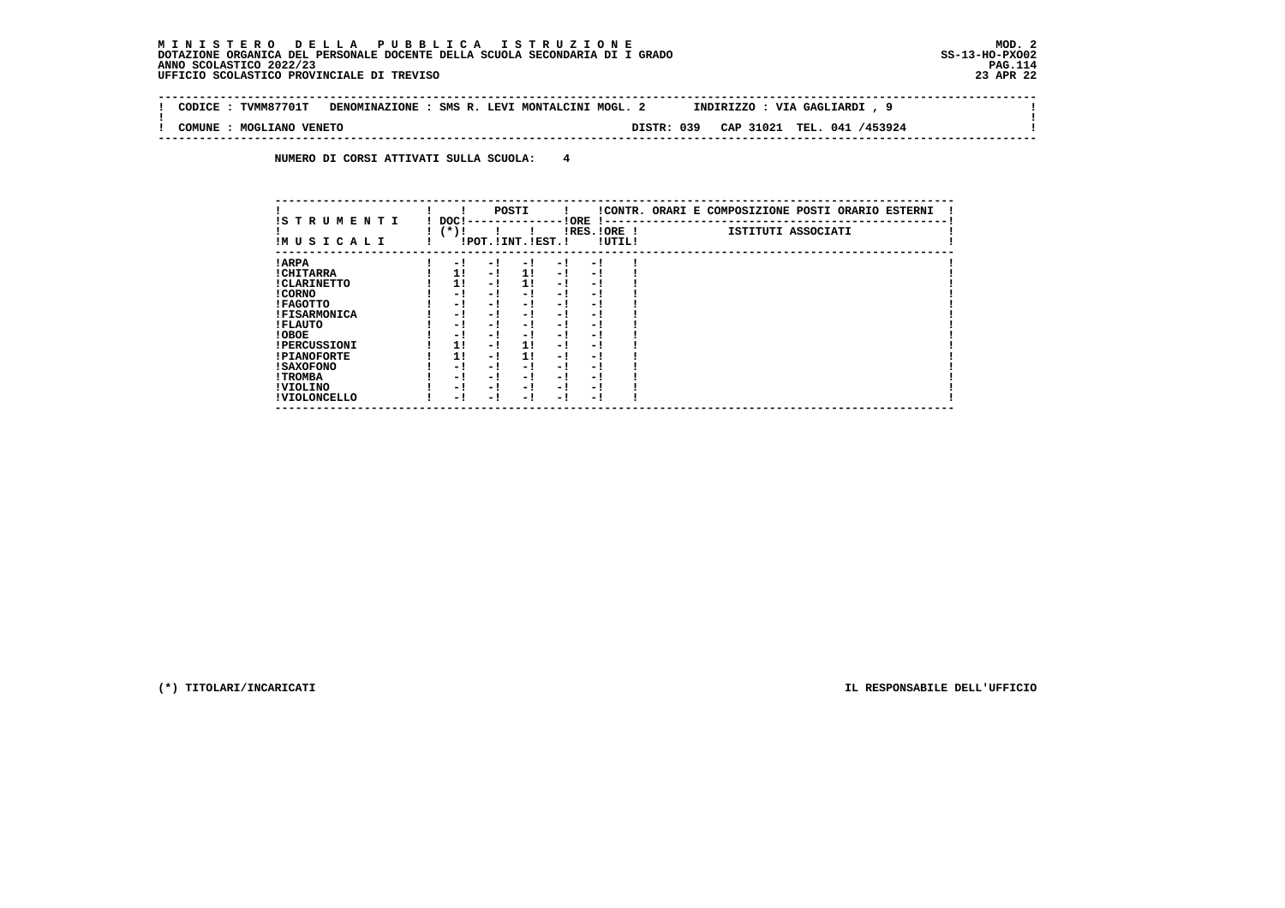### **M I N I S T E R O D E L L A P U B B L I C A I S T R U Z I O N E MOD. 2DOTAZIONE ORGANICA DEL PERSONALE DOCENTE DELLA SCUOLA SECONDARIA DI I GRADO ANNO SCOLASTICO 2022/23 UFFICIO SCOLASTICO PROVINCIALE DI TREVISO 23 APR 22**

 $\sim$  1

 $\mathbf{I}$ 

 **-------------------------------------------------------------------------------------------------------------------------------- ! CODICE : TVMM87701T DENOMINAZIONE : SMS R. LEVI MONTALCINI MOGL. 2 INDIRIZZO : VIA GAGLIARDI , 9 ! ! ! ! COMUNE : MOGLIANO VENETO DISTR: 039 CAP 31021 TEL. 041 /453924 ! --------------------------------------------------------------------------------------------------------------------------------**

 **NUMERO DI CORSI ATTIVATI SULLA SCUOLA: 4**

|                          |                |     | POSTI                 |      |                          |        | !CONTR. ORARI E COMPOSIZIONE POSTI ORARIO ESTERNI |
|--------------------------|----------------|-----|-----------------------|------|--------------------------|--------|---------------------------------------------------|
| IS TRUMENTI<br>IMUSICALI | DOC!<br>$(*)!$ |     | !POT. ! INT. ! EST. ! |      | ! ORE<br>$IRES.IORE$ !   | !UTIL! | ISTITUTI ASSOCIATI                                |
| ! ARPA                   | $-1$           | - 1 | - 1                   | $-1$ | - 1                      |        |                                                   |
| ! CHITARRA               | 1!             | - ! | 11                    | - !  | - 1                      |        |                                                   |
| ! CLARINETTO             | 11             | - ! | 11                    | - !  | - 1                      |        |                                                   |
| ! CORNO                  | - !            | - ! | - 1                   | - !  | - 1                      |        |                                                   |
| ! FAGOTTO                | - 1            | - ! | - 1                   | $-1$ | - 1                      |        |                                                   |
| <b>!FISARMONICA</b>      | - 1            | - ! | - 1                   | - 1  | - 1                      |        |                                                   |
| ! FLAUTO                 | - 1            | - ! | - 1                   | - !  | - 1                      |        |                                                   |
| ! OBOE                   | - 1            | - ! | - 1                   | $-1$ | - 1                      |        |                                                   |
| <b>!PERCUSSIONI</b>      | 1!             | - ! | 11                    | - 1  | - 1                      |        |                                                   |
| <b>!PIANOFORTE</b>       | 1!             | - ! | 11                    | - !  | - 1                      |        |                                                   |
| ! SAXOFONO               | - 1            | - ! | - !                   | - 1  | $\overline{\phantom{0}}$ |        |                                                   |
| ! TROMBA                 | - 1            | - ! | - !                   | - 1  | - 1                      |        |                                                   |
| ! VIOLINO                | - 1            | - ! | - !                   | $-1$ | - 1                      |        |                                                   |
| ! VIOLONCELLO            | - 1            | - 1 | - 1                   | – !  | - 1                      |        |                                                   |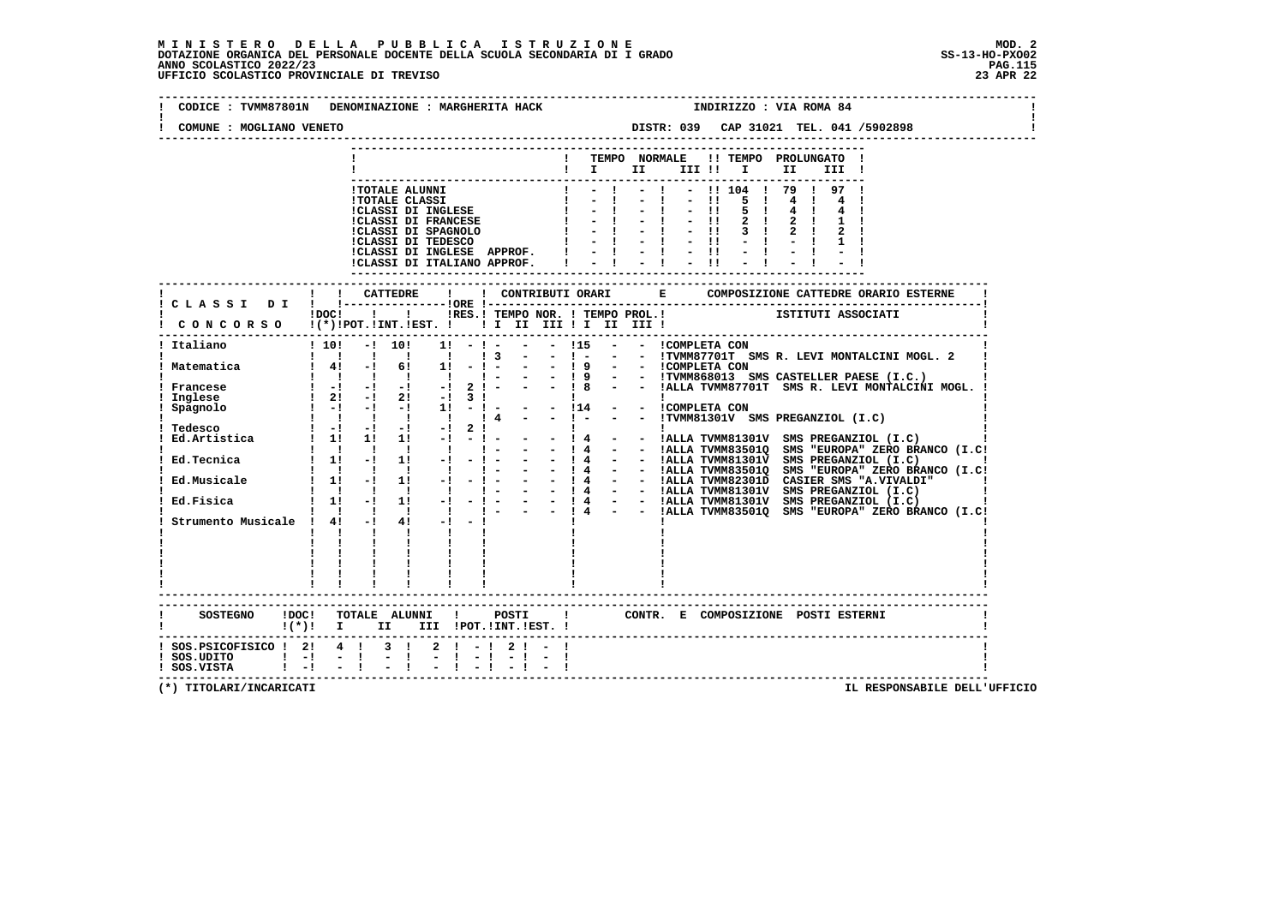## **M I N I S T E R O D E L L A P U B B L I C A I S T R U Z I O N E MOD. 2**DOTAZIONE ORGANICA DEL PERSONALE DOCENTE DELLA SCUOLA SECONDARIA DI I GRADO **SCOLASTICO SCOLASTICO 2022/23 PAG.115**<br>PAGO SCOLASTICO 2022/23 PAG.115<br>UFFICIO SCOLASTICO PROVINCIALE DI TREVISO

| CODICE: TVMM87801N DENOMINAZIONE: MARGHERITA HACK                                    |         |                                                                                                                                                                                                       |                                                                                                                                  |                                                                                   |               |                                                       |                   |                                           |                                                                                                                                                     | INDIRIZZO : VIA ROMA 84                                                                                |                                                                                                                                                                                                                                   |
|--------------------------------------------------------------------------------------|---------|-------------------------------------------------------------------------------------------------------------------------------------------------------------------------------------------------------|----------------------------------------------------------------------------------------------------------------------------------|-----------------------------------------------------------------------------------|---------------|-------------------------------------------------------|-------------------|-------------------------------------------|-----------------------------------------------------------------------------------------------------------------------------------------------------|--------------------------------------------------------------------------------------------------------|-----------------------------------------------------------------------------------------------------------------------------------------------------------------------------------------------------------------------------------|
| COMUNE : MOGLIANO VENETO                                                             |         |                                                                                                                                                                                                       |                                                                                                                                  |                                                                                   |               |                                                       |                   |                                           |                                                                                                                                                     |                                                                                                        | DISTR: 039 CAP 31021 TEL. 041 /5902898                                                                                                                                                                                            |
|                                                                                      |         |                                                                                                                                                                                                       |                                                                                                                                  |                                                                                   |               | $\mathbf{I}$                                          |                   |                                           |                                                                                                                                                     | TEMPO NORMALE !! TEMPO PROLUNGATO !<br>III !                                                           |                                                                                                                                                                                                                                   |
|                                                                                      |         |                                                                                                                                                                                                       | <b>!TOTALE ALUNNI</b><br><b>!TOTALE CLASSI</b><br><b>!CLASSI DI INGLESE</b><br><b>!CLASSI DI FRANCESE</b><br>!CLASSI DI SPAGNOLO | !CLASSI DI TEDESCO<br>!CLASSI DI INGLESE APPROF. !<br>!CLASSI DI ITALIANO APPROF. | $\frac{1}{1}$ | $\mathbf{I}$<br>$-1$ and $-1$<br>$-1$<br>$-1$<br>$-1$ |                   | $-11$<br>$-11$<br>$-11$<br>$-11$<br>$-11$ | 5 <sub>1</sub><br>5 <sub>1</sub><br>$\frac{1}{2}$ $\frac{1}{2}$ $\frac{1}{2}$ $\frac{1}{2}$ $\frac{1}{2}$ $\frac{1}{2}$ $\frac{1}{2}$ $\frac{1}{2}$ | $-11104$ $179$ $197$ 1                                                                                 |                                                                                                                                                                                                                                   |
|                                                                                      |         |                                                                                                                                                                                                       |                                                                                                                                  |                                                                                   |               |                                                       |                   |                                           |                                                                                                                                                     |                                                                                                        |                                                                                                                                                                                                                                   |
| CONCORSO !(*)!POT.!INT.!EST. ! ! I III III II III !                                  |         |                                                                                                                                                                                                       |                                                                                                                                  |                                                                                   |               | !DOC! ! ! !RES.! TEMPO NOR. ! TEMPO PROL.!            |                   |                                           |                                                                                                                                                     | ISTITUTI ASSOCIATI                                                                                     |                                                                                                                                                                                                                                   |
| ----------------------------------<br>Italiano                                       |         | $1 \quad 1 \quad 1 \quad 1 \quad 1$                                                                                                                                                                   |                                                                                                                                  | $! 10! -! 10! 1! -! - - 15$<br>1 <sup>3</sup>                                     |               | $  1 -$                                               | - - ICOMPLETA CON |                                           |                                                                                                                                                     |                                                                                                        | - - !TVMM87701T SMS R. LEVI MONTALCINI MOGL. 2                                                                                                                                                                                    |
| ! Matematica                                                                         |         | $! 4! - 1 6! 1!$<br>$1 \quad 1 \quad 1 \quad 1 \quad 1$                                                                                                                                               |                                                                                                                                  |                                                                                   |               |                                                       |                   |                                           |                                                                                                                                                     |                                                                                                        | - 1 - - - 1 9 - - ICOMPLETA CON<br>1 - - - 1 9 - - ITVMM868013 SMS CASTELLER PAESE (I.C.)<br>2 ! - - - 1 8 - - !ALLA TVMM87701T SMS R. LEVI MONTALCINI MOGL.                                                                      |
| Francese<br>Inglese<br>Spagnolo                                                      | $1 - 1$ | $\begin{bmatrix} 1 & -1 & -1 & -1 & -1 \end{bmatrix}$<br>$\frac{1}{2!}$ 2! $\frac{1}{2!}$ 2! $\frac{1}{2!}$ 3!                                                                                        | $-!$ $-!$ $1!$                                                                                                                   | $-1$ $-1$                                                                         |               |                                                       |                   |                                           |                                                                                                                                                     | - - 114 - - ICOMPLETA CON<br>- - 114 - - ICOMPLETA CON<br>- - I - - - ITVMM81301V SMS PREGANZIOL (I.C) |                                                                                                                                                                                                                                   |
| Tedesco<br>Ed.Artistica                                                              |         | $1 \quad 1 \quad 1 \quad 1 \quad 1$<br>$1 - 1 - 1 - 1 - 1$<br>$1 \quad 1! \quad 1! \quad 1! \quad -! \quad -! \quad -$                                                                                |                                                                                                                                  | $\frac{1}{4}$<br>$2 \cdot 1$                                                      |               |                                                       |                   |                                           |                                                                                                                                                     |                                                                                                        |                                                                                                                                                                                                                                   |
| Ed.Tecnica                                                                           |         | $\begin{array}{cccccccccccccc} 1 & 1 & 1 & 1 & 1 & 1 & 1 \end{array}$<br>$\frac{1}{2}$ 1 1 1 $\frac{1}{2}$ 1 1 $\frac{1}{2}$<br>$\begin{array}{cccccccccccccc} 1 & 1 & 1 & 1 & 1 & 1 & 1 \end{array}$ |                                                                                                                                  | $\mathbf{I}$ $\mathbf{I}$<br>$-1$ $-1$                                            |               |                                                       |                   |                                           |                                                                                                                                                     |                                                                                                        | - - 14 - - IALLA TVMM835010 SMS "EUROPA" ZERO BRANCO (I.C.<br>- - 14 - - IALLA TVMM813010 SMS "EUROPA" ZERO BRANCO (I.C.                                                                                                          |
| Ed.Musicale : 1! -! 1! -!<br>Ed.Fisica                                               |         | $1 \t1 \t-1 \t1 \t-1$                                                                                                                                                                                 |                                                                                                                                  |                                                                                   |               |                                                       |                   |                                           |                                                                                                                                                     |                                                                                                        | 1 1 - 1 1 - 1 - 1 - 1 - 1 - 1 4 - - 14 - 1ALLA TVMM835010 SMS "EUROPA" ZERO BRANCO (I.C.<br>1 1 - 1 1 - 1 - 1 - 1 - 1 4 - 1ALLA TVMM835010 CASIER SMS "A.VIVALDI"<br>1 1 - 1 1 - 1 - 1 - - 1 4 - 1ALLA TVMM835010 CASIER SMS "A.V |
| Strumento Musicale ! 4! -!                                                           |         | $\mathbf{I}$ $\mathbf{I}$<br>$\mathbf{I}$ and $\mathbf{I}$ and $\mathbf{I}$                                                                                                                           | $4! -1 -1$<br><b>The Common</b><br>$\mathbf{I}$ and $\mathbf{I}$                                                                 |                                                                                   |               |                                                       |                   |                                           |                                                                                                                                                     |                                                                                                        |                                                                                                                                                                                                                                   |
|                                                                                      |         | $\begin{array}{cccccccccc} 1 & 1 & 1 & 1 & 1 & 1 & 1 \\ 1 & 1 & 1 & 1 & 1 & 1 & 1 \\ \end{array}$<br>-------------------------                                                                        |                                                                                                                                  |                                                                                   |               |                                                       |                   |                                           |                                                                                                                                                     |                                                                                                        |                                                                                                                                                                                                                                   |
| !(*)! I II III !POT.!INT.!EST.!                                                      |         |                                                                                                                                                                                                       |                                                                                                                                  |                                                                                   |               |                                                       |                   |                                           |                                                                                                                                                     |                                                                                                        |                                                                                                                                                                                                                                   |
| ! SOS.PSICOFISICO ! 2! 4 ! 3 !<br>$!$ SOS.UDITO $!$ -! -!<br>$!$ SOS.VISTA $!$ -! -! |         |                                                                                                                                                                                                       |                                                                                                                                  | $2! - 12! - 1$                                                                    |               |                                                       |                   |                                           |                                                                                                                                                     |                                                                                                        |                                                                                                                                                                                                                                   |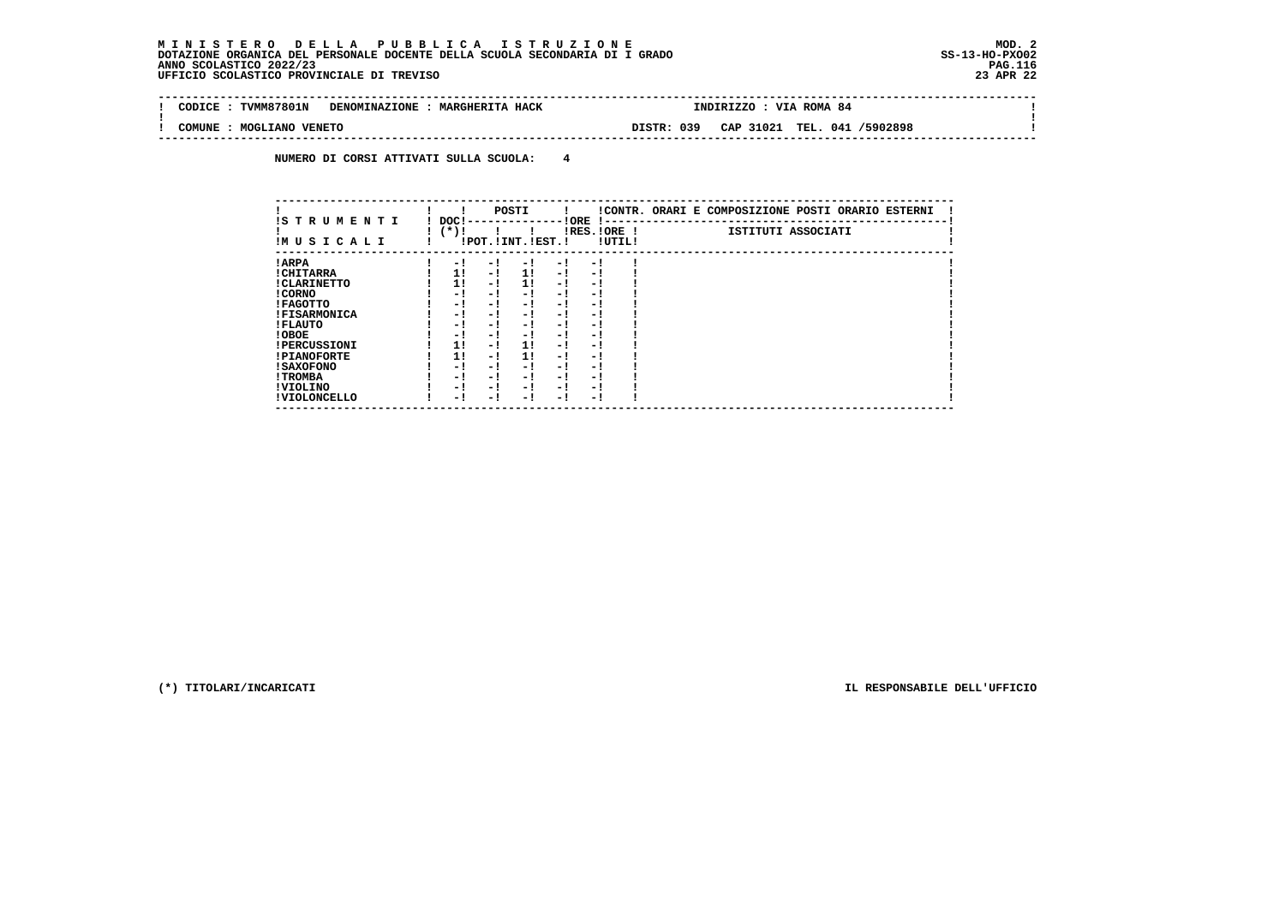# **M I N I S T E R O D E L L A P U B B L I C A I S T R U Z I O N E MOD. 2**DOTAZIONE ORGANICA DEL PERSONALE DOCENTE DELLA SCUOLA SECONDARIA DI I GRADO **SCOLASTICO SCOLASTICO 2022/23 PAG.116**<br>PAGO SCOLASTICO 2022/23 PAG.116<br>23 DERICIO SCOLASTICO PROVINCIALE DI TREVISO

| ---------------------<br><b>TVMM87801N</b><br>CODICE<br><b>DENOMINAZIONE</b> | <b>MARGHERITA HACK</b> | <b>INDIRIZZO</b> |           | VIA ROMA 84 |          |  |
|------------------------------------------------------------------------------|------------------------|------------------|-----------|-------------|----------|--|
| MOGLIANO VENETO<br>COMUNE                                                    | DISTR:                 | 039              | CAP 31021 | TEL. 041,   | /5902898 |  |

 **NUMERO DI CORSI ATTIVATI SULLA SCUOLA: 4**

| IS TRUMENTI         | DOC! |     | POSTI                 |      | ! ORE<br>$1 - -$ |                       | !CONTR. ORARI E COMPOSIZIONE POSTI ORARIO ESTERNI |
|---------------------|------|-----|-----------------------|------|------------------|-----------------------|---------------------------------------------------|
| IM U S I C A L I    | (*)! |     | !POT. ! INT. ! EST. ! |      |                  | IRES.IORE !<br>!UTIL! | ISTITUTI ASSOCIATI                                |
| ! ARPA              | $-1$ | - 1 | - !                   | $-1$ | - !              |                       |                                                   |
| ! CHITARRA          | 1!   | - ! | 11                    | - !  | - 1              |                       |                                                   |
| ! CLARINETTO        | 1!   | - ! | 11                    | - 1  | - 1              |                       |                                                   |
| ! CORNO             | - 1  | - ! | - 1                   | - !  | - 1              |                       |                                                   |
| ! FAGOTTO           | - 1  | - ! | - 1                   | - 1  | - 1              |                       |                                                   |
| <b>!FISARMONICA</b> | - 1  | - ! | - !                   | - 1  | - 1              |                       |                                                   |
| ! FLAUTO            | - 1  | - 1 | - 1                   | - 1  | - 1              |                       |                                                   |
| ! OBOE              | - 1  | - ! | - 1                   | $-1$ | - 1              |                       |                                                   |
| <b>!PERCUSSIONI</b> | 1!   | - 1 | 11                    | - 1  | - 1              |                       |                                                   |
| <b>!PIANOFORTE</b>  | 1!   | - ! | 11                    | - !  | - 1              |                       |                                                   |
| ! SAXOFONO          | - 1  | - ! | - !                   | - 1  | - 1              |                       |                                                   |
| ! TROMBA            | - 1  | - 1 | - !                   | - 1  | - 1              |                       |                                                   |
| ! VIOLINO           | - 1  | - ! | - 1                   | $-1$ | - 1              |                       |                                                   |
| ! VIOLONCELLO       | - 1  | - 1 | - 1                   | – !  | - 1              |                       |                                                   |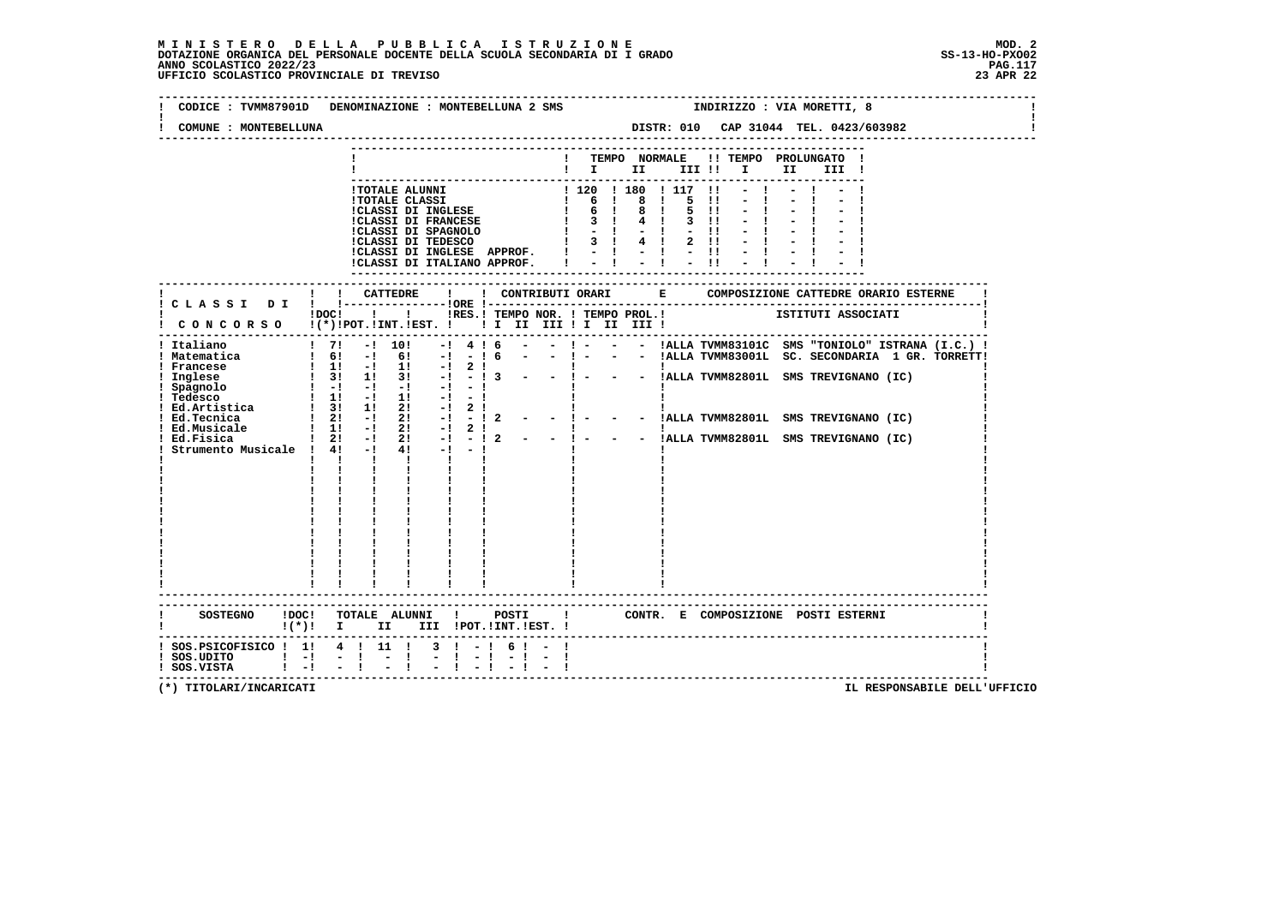## **M I N I S T E R O D E L L A P U B B L I C A I S T R U Z I O N E MOD. 2**DOTAZIONE ORGANICA DEL PERSONALE DOCENTE DELLA SCUOLA SECONDARIA DI I GRADO **SCOLASTICO SCOLASTICO 2022/23 PAG.117**<br>PAGO SCOLASTICO 2022/23 PAG.117<br>23 APR 22 UFFICIO SCOLASTICO PROVINCIALE DI TREVISO

| CODICE: TVMM87901D                                                 | DENOMINAZIONE : MONTEBELLUNA 2 SMS                                                                                                                                                                                                                                        | INDIRIZZO : VIA MORETTI, 8                                                                                                                                                                                                                                                                                                |
|--------------------------------------------------------------------|---------------------------------------------------------------------------------------------------------------------------------------------------------------------------------------------------------------------------------------------------------------------------|---------------------------------------------------------------------------------------------------------------------------------------------------------------------------------------------------------------------------------------------------------------------------------------------------------------------------|
| COMUNE : MONTEBELLUNA                                              |                                                                                                                                                                                                                                                                           | DISTR: 010 CAP 31044 TEL. 0423/603982                                                                                                                                                                                                                                                                                     |
|                                                                    |                                                                                                                                                                                                                                                                           | ! TEMPO NORMALE !! TEMPO PROLUNGATO !<br>$\blacksquare$ $\blacksquare$ $\blacksquare$ $\blacksquare$ $\blacksquare$ $\blacksquare$ $\blacksquare$<br>II III !                                                                                                                                                             |
|                                                                    | !TOTALE ALUNNI<br><b>!TOTALE CLASSI</b><br>!CLASSI DI INGLESE<br><b>!CLASSI DI FRANCESE</b><br>!CLASSI DI SPAGNOLO                 !           !<br>!CLASSI DI TEDESCO                 !                 !<br>!CLASSI DI INGLESE APPROF. !<br>!CLASSI DI ITALIANO APPROF. | ! 120 ! 180 ! 117 !!<br>5<br>$\blacksquare$<br>5 !!<br>$3 \quad 11$<br>$-11$<br>$1 \t3 \t1 \t4 \t1 \t2 \t11$<br>$-11$                                                                                                                                                                                                     |
|                                                                    |                                                                                                                                                                                                                                                                           |                                                                                                                                                                                                                                                                                                                           |
|                                                                    | ! CONCORSO !(*)!POT.!INT.!EST. ! ! I III III ! II III !                                                                                                                                                                                                                   | !DOC! ! ! !RES.! TEMPO NOR. ! TEMPO PROL.! [STITUTI ASSOCIATI                                                                                                                                                                                                                                                             |
| ! Italiano<br>! Matematica<br>! Francese                           | ! 7! -! 10!<br>416<br>$-1$<br>$1 \t6! - 1 \t6! - 1 \t1 \t6$<br>$1 \t11 - 1 \t11$<br>$-1$<br>2!                                                                                                                                                                            | - - ! - - - !ALLA TVMM83101C SMS "TONIOLO" ISTRANA (I.C.) !<br>- ! - - - !ALLA TVMM83001L SC. SECONDARIA 1 GR. TORRETT!                                                                                                                                                                                                   |
| ! Inglese<br>! Spagnolo<br>! Tedesco<br>! Ed. Artistica            | $\frac{1}{3!}$ 3! 1! 3! $\frac{1}{3!}$ -! - ! 3<br>$1 - 1 - 1 - 1 - 1$<br>$-1 - 1$<br>$\frac{1}{2}$ 11 $\frac{1}{2}$ 11<br>$-1 - 1$<br>1 31 11 21<br>$-1$ 2 $1$                                                                                                           | $\frac{1}{2}$ = $\frac{1}{2}$ = $\frac{1}{2}$ = $\frac{1}{2}$ = $\frac{1}{2}$ = $\frac{1}{2}$ = $\frac{1}{2}$ = $\frac{1}{2}$ = $\frac{1}{2}$ = $\frac{1}{2}$ = $\frac{1}{2}$ = $\frac{1}{2}$ = $\frac{1}{2}$ = $\frac{1}{2}$ = $\frac{1}{2}$ = $\frac{1}{2}$ = $\frac{1}{2}$ = $\frac{1}{2}$ = $\frac{1$<br>$\mathbf{I}$ |
| ! Ed.Tecnica<br>! Ed.Musicale<br>Ed.Fisica                         | $1 \quad 2! \quad -1 \quad 2!$<br>$-1$<br>$-12$<br>$1 \quad 1! \quad -1 \quad 2!$<br>$-1$<br>$2 \cdot 1$<br>$1 \quad 2! \quad -! \quad 2! \quad -! \quad -! \quad 2$                                                                                                      | - !ALLA TVMM82801L SMS TREVIGNANO (IC)<br>$  1 -$<br>$\frac{1}{2}$ - $\frac{1}{2}$ - $\frac{1}{2}$ 1.1 TVMM82801L SMS TREVIGNANO (IC)                                                                                                                                                                                     |
| Strumento Musicale ! 4! -!                                         | $4! -1 -1$<br>$\mathbf{1}$ $\mathbf{1}$<br>$\mathbf{I}$ and $\mathbf{I}$<br>$\mathbf{I}$<br>$\mathbf{I}$ and $\mathbf{I}$                                                                                                                                                 |                                                                                                                                                                                                                                                                                                                           |
|                                                                    | SOSTEGNO !DOC! TOTALE ALUNNI ! POSTI                                                                                                                                                                                                                                      | ! CONTR. E COMPOSIZIONE POSTI ESTERNI                                                                                                                                                                                                                                                                                     |
|                                                                    | !(*)! I II III !POT.!INT.!EST.!                                                                                                                                                                                                                                           |                                                                                                                                                                                                                                                                                                                           |
| $!$ SOS.UDITO $!$ - $!$ - $!$ - $!$<br>$!$ SOS.VISTA $!$ $-!$ $-1$ | $:$ SOS. PSICOFISICO $:$ 1: 4 $:$ 11 $:$ 3 $:$ - $:$ 6 $:$ -<br>$-1$ $-$                                                                                                                                                                                                  |                                                                                                                                                                                                                                                                                                                           |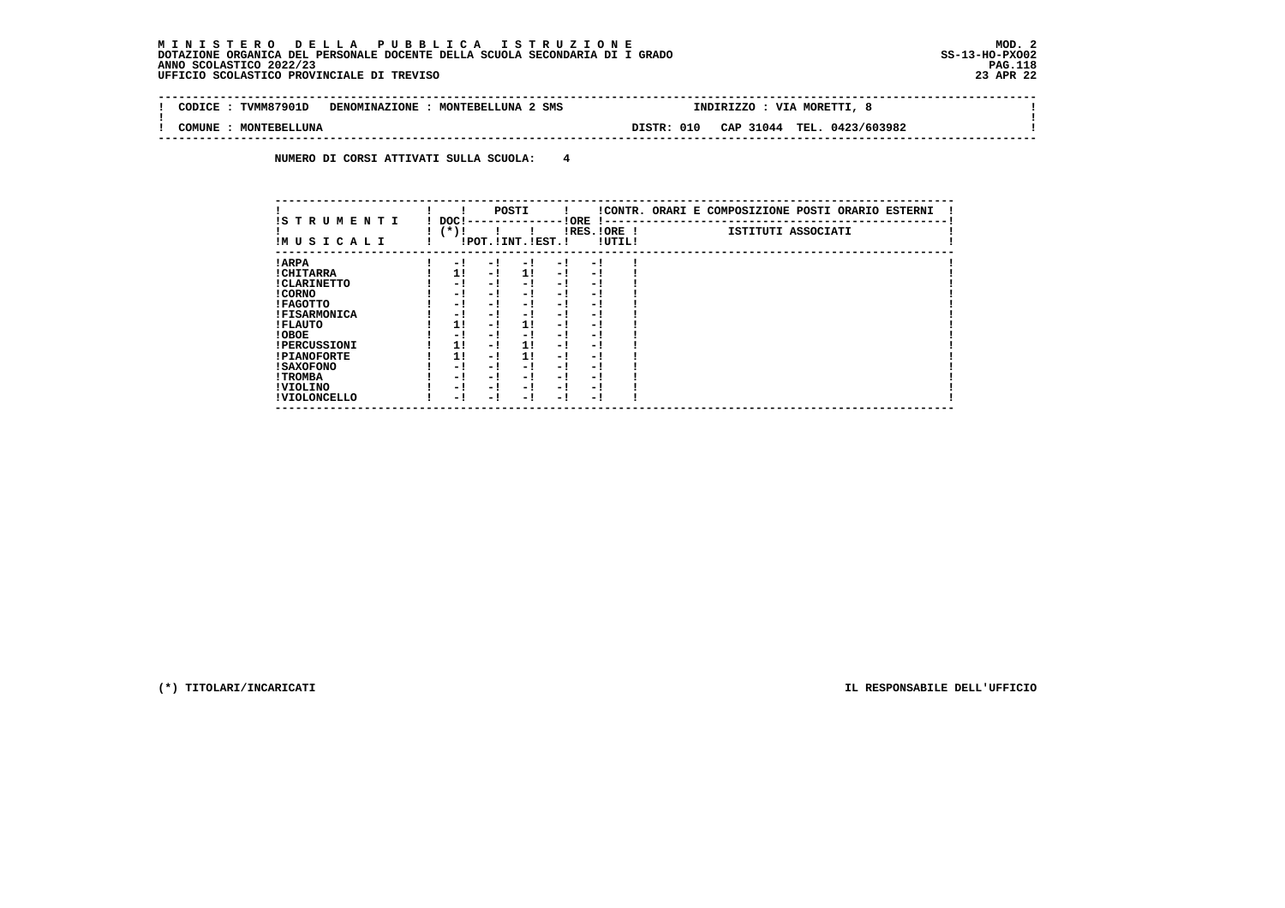#### **M I N I S T E R O D E L L A P U B B L I C A I S T R U Z I O N E MOD. 2 DOTAZIONE ORGANICA DEL PERSONALE DOCENTE DELLA SCUOLA SECONDARIA DI I GRADO** ANNO SCOLASTICO 2022/23 UFFICIO SCOLASTICO PROVINCIALE DI TREVISO

| : TVMM87901D<br>CODICE : | DENOMINAZIONE : MONTEBELLUNA 2 SMS | INDIRIZZO : VIA MORETTI,                 |  |
|--------------------------|------------------------------------|------------------------------------------|--|
| COMUNE<br>: MONTEBELLUNA |                                    | CAP 31044 TEL. 0423/603982<br>DISTR: 010 |  |

 **NUMERO DI CORSI ATTIVATI SULLA SCUOLA: 4**

| IS T R U M E N T I  | DOC! |     | POSTI                 |      | ! ORE                    |        | !CONTR. ORARI E COMPOSIZIONE POSTI ORARIO ESTERNI |
|---------------------|------|-----|-----------------------|------|--------------------------|--------|---------------------------------------------------|
| IMUSICALI           | (*)! |     | !POT. ! INT. ! EST. ! |      | -1 - -<br>$IRES.IORE$ !  | !UTIL! | ISTITUTI ASSOCIATI                                |
| ! ARPA              | - 1  | - 1 | - 1                   | - 1  | - !                      |        |                                                   |
| ! CHITARRA          | 11   | - ! | 11                    | - !  | - 1                      |        |                                                   |
| ! CLARINETTO        | - 1  | - ! | - 1                   | - 1  | - 1                      |        |                                                   |
| ! CORNO             | - 1  | - ! | - 1                   | - 1  | - 1                      |        |                                                   |
| ! FAGOTTO           | - 1  | - ! | - 1                   | - 1  | - 1                      |        |                                                   |
| <b>!FISARMONICA</b> | - 1  | - ! | - !                   | - 1  | - 1                      |        |                                                   |
| ! FLAUTO            | 1!   | - ! | 11                    | - !  | - 1                      |        |                                                   |
| ! OBOE              | - 1  | - ! | - 1                   | $-1$ | - 1                      |        |                                                   |
| <b>!PERCUSSIONI</b> | 1!   | - 1 | 11                    | - 1  | - 1                      |        |                                                   |
| <b>!PIANOFORTE</b>  | 1!   | - 1 | 1!                    | - 1  | - 1                      |        |                                                   |
| ! SAXOFONO          | - 1  | - ! | - !                   | - 1  | $\overline{\phantom{0}}$ |        |                                                   |
| ! TROMBA            | - 1  | - ! | - 1                   | - 1  | - 1                      |        |                                                   |
| ! VIOLINO           | - 1  | - 1 | - !                   | $-1$ | - 1                      |        |                                                   |
| ! VIOLONCELLO       | - 1  | - 1 | - 1                   | - '  | - 1                      |        |                                                   |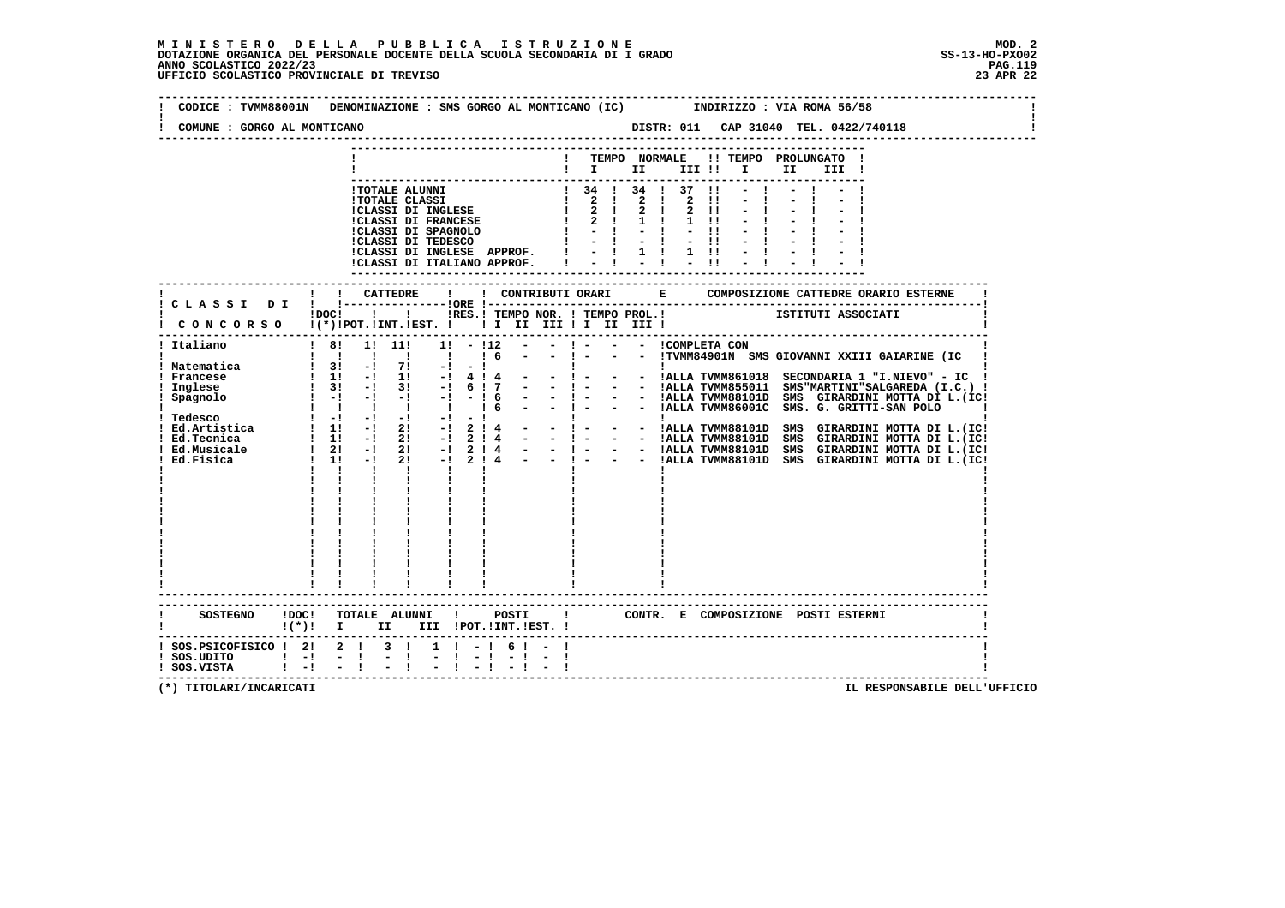| CODICE: TVMM88001N                                                         |  |                                        |                    | DENOMINAZIONE : SMS GORGO AL MONTICANO (IC)                                                                                            |           |              |                   |                         |          |                           |              |                          |  | INDIRIZZO : VIA ROMA 56/58                                    |                                                   |                                                           |  |
|----------------------------------------------------------------------------|--|----------------------------------------|--------------------|----------------------------------------------------------------------------------------------------------------------------------------|-----------|--------------|-------------------|-------------------------|----------|---------------------------|--------------|--------------------------|--|---------------------------------------------------------------|---------------------------------------------------|-----------------------------------------------------------|--|
| COMUNE : GORGO AL MONTICANO                                                |  |                                        |                    |                                                                                                                                        |           |              |                   |                         |          |                           |              |                          |  |                                                               |                                                   |                                                           |  |
|                                                                            |  |                                        |                    |                                                                                                                                        |           |              |                   |                         |          | TEMPO NORMALE             |              |                          |  | !! TEMPO PROLUNGATO !                                         |                                                   |                                                           |  |
|                                                                            |  |                                        |                    |                                                                                                                                        |           |              |                   |                         |          |                           |              |                          |  | $\blacksquare$                                                |                                                   |                                                           |  |
|                                                                            |  |                                        |                    |                                                                                                                                        |           |              |                   |                         |          | ! 34 ! 34 ! 37 !1         |              |                          |  |                                                               |                                                   |                                                           |  |
|                                                                            |  |                                        |                    |                                                                                                                                        |           |              |                   |                         |          |                           |              | $\mathbf{H}$             |  |                                                               |                                                   |                                                           |  |
|                                                                            |  |                                        |                    |                                                                                                                                        |           |              |                   |                         |          |                           | $2 \quad 11$ |                          |  |                                                               |                                                   |                                                           |  |
|                                                                            |  |                                        |                    |                                                                                                                                        |           |              |                   |                         |          |                           | $1 \quad 11$ |                          |  |                                                               |                                                   |                                                           |  |
|                                                                            |  |                                        |                    |                                                                                                                                        |           |              |                   |                         |          | $1 - 1 - 1 - 1 = 11$      | $-11$        |                          |  |                                                               |                                                   |                                                           |  |
|                                                                            |  |                                        |                    | !CLASSI DI INGLESE APPROF. !                                                                                                           |           |              |                   |                         |          |                           |              | $ i$ $i$ $j$ $i$ $j$ $j$ |  |                                                               |                                                   |                                                           |  |
|                                                                            |  |                                        |                    | !CLASSI DI ITALIANO APPROF.                                                                                                            |           |              |                   |                         |          | $-1 - 1 - 1$              |              |                          |  |                                                               |                                                   |                                                           |  |
|                                                                            |  |                                        |                    |                                                                                                                                        |           |              |                   |                         |          |                           |              |                          |  |                                                               |                                                   |                                                           |  |
|                                                                            |  |                                        |                    |                                                                                                                                        |           |              |                   |                         |          |                           |              |                          |  |                                                               |                                                   |                                                           |  |
|                                                                            |  |                                        |                    |                                                                                                                                        |           |              |                   |                         |          |                           |              |                          |  | !DOC! ! ! !RES.! TEMPO NOR. ! TEMPO PROL.! [STITUTI ASSOCIATI |                                                   |                                                           |  |
| CONCORSO !(*)!POT.!INT.!EST. ! ! I II III ! I III III !                    |  |                                        |                    |                                                                                                                                        |           |              |                   |                         |          |                           |              |                          |  |                                                               |                                                   |                                                           |  |
|                                                                            |  |                                        | ! 8! 1! 11!        |                                                                                                                                        | $1! - 12$ |              |                   |                         |          | $- !$ $ - !$ COMPLETA CON |              |                          |  |                                                               |                                                   |                                                           |  |
| ! Italiano                                                                 |  |                                        |                    |                                                                                                                                        |           | 16           | $\sim$ 100 $\sim$ |                         |          |                           |              |                          |  |                                                               |                                                   | - !- - - !TVMM84901N SMS GIOVANNI XXIII GAIARINE (IC      |  |
| ! Matematica                                                               |  |                                        |                    |                                                                                                                                        |           |              |                   |                         |          |                           |              |                          |  |                                                               |                                                   |                                                           |  |
| ! Francese                                                                 |  |                                        |                    | $\begin{array}{ccccccccc}\n1 & 31 & -1 & 71 & -1 & -1 \\ 1 & 11 & -1 & 11 & -1 & 4 & 4 \\ 1 & 31 & -1 & 31 & -1 & 6 & 17\n\end{array}$ |           |              |                   |                         |          |                           |              |                          |  |                                                               |                                                   | - ! - - - !ALLA TVMM861018 SECONDARIA 1 "I.NIEVO" - IC    |  |
| ! Inglese                                                                  |  |                                        |                    |                                                                                                                                        |           |              |                   |                         | $-1 - 1$ |                           |              |                          |  |                                                               |                                                   | - ! - - - !ALLA TVMM855011 SMS"MARTINI"SALGAREDA (I.C.) ! |  |
| ! Spagnolo                                                                 |  |                                        |                    | $! -! -! -! -! -! -! 6$                                                                                                                |           | 16           |                   |                         |          |                           |              |                          |  |                                                               | $  1   1$ ALLA TVMM86001C SMS. G. GRITTI-SAN POLO | - - !ALLA TVMM88101D SMS GIRARDINI MOTTA DI L. (IC!       |  |
|                                                                            |  |                                        |                    |                                                                                                                                        |           |              |                   |                         |          |                           |              |                          |  |                                                               |                                                   |                                                           |  |
|                                                                            |  |                                        |                    |                                                                                                                                        |           |              |                   |                         |          |                           |              |                          |  |                                                               |                                                   |                                                           |  |
|                                                                            |  |                                        |                    |                                                                                                                                        |           |              |                   |                         |          |                           |              |                          |  |                                                               |                                                   |                                                           |  |
|                                                                            |  |                                        |                    |                                                                                                                                        |           |              |                   |                         |          |                           |              |                          |  |                                                               |                                                   |                                                           |  |
|                                                                            |  | $\mathbf{I}$ $\mathbf{I}$ $\mathbf{I}$ |                    | <b>The Common</b>                                                                                                                      |           | $\mathbf{I}$ |                   |                         |          |                           |              |                          |  |                                                               |                                                   |                                                           |  |
|                                                                            |  | $\mathbf{I}$ and $\mathbf{I}$          | $\mathbf{I}$       | <b>Links</b>                                                                                                                           |           |              |                   |                         |          |                           |              |                          |  |                                                               |                                                   |                                                           |  |
|                                                                            |  |                                        |                    |                                                                                                                                        |           |              |                   |                         |          |                           |              |                          |  |                                                               |                                                   |                                                           |  |
|                                                                            |  |                                        |                    |                                                                                                                                        |           |              |                   |                         |          |                           |              |                          |  |                                                               |                                                   |                                                           |  |
|                                                                            |  |                                        |                    |                                                                                                                                        |           |              |                   |                         |          |                           |              |                          |  |                                                               |                                                   |                                                           |  |
|                                                                            |  |                                        |                    |                                                                                                                                        |           |              |                   |                         |          |                           |              |                          |  |                                                               |                                                   |                                                           |  |
|                                                                            |  |                                        |                    |                                                                                                                                        |           |              |                   |                         |          |                           |              |                          |  |                                                               |                                                   |                                                           |  |
|                                                                            |  |                                        |                    |                                                                                                                                        |           |              |                   |                         |          |                           |              |                          |  |                                                               |                                                   |                                                           |  |
|                                                                            |  |                                        |                    |                                                                                                                                        |           |              |                   |                         |          |                           |              |                          |  |                                                               |                                                   |                                                           |  |
|                                                                            |  |                                        |                    |                                                                                                                                        |           |              |                   |                         |          |                           |              |                          |  |                                                               |                                                   |                                                           |  |
|                                                                            |  |                                        |                    |                                                                                                                                        |           |              |                   |                         |          |                           |              |                          |  |                                                               |                                                   |                                                           |  |
| SOSTEGNO !DOC! TOTALE ALUNNI ! POSTI ! CONTR. E COMPOSIZIONE POSTI ESTERNI |  |                                        |                    |                                                                                                                                        |           |              |                   |                         |          |                           |              |                          |  |                                                               |                                                   |                                                           |  |
| $\mathbf{I}(\star)$ $\mathbf{I}$                                           |  |                                        | II D               |                                                                                                                                        |           |              |                   | III !POT. !INT. !EST. ! |          |                           |              |                          |  |                                                               |                                                   |                                                           |  |
| ! SOS.PSICOFISICO ! 2! 2 ! 3 !                                             |  |                                        |                    |                                                                                                                                        | $1 \t-1$  |              | 61                |                         |          |                           |              |                          |  |                                                               |                                                   |                                                           |  |
| SOS.UDITO   -  -  <br>  SOS.VISTA   -  -                                   |  |                                        | Ė.<br>$\mathbf{L}$ |                                                                                                                                        |           |              |                   | $-1 - 1 - 1 - 1$        |          |                           |              |                          |  |                                                               |                                                   |                                                           |  |
|                                                                            |  |                                        |                    |                                                                                                                                        |           |              |                   |                         |          |                           |              |                          |  |                                                               |                                                   |                                                           |  |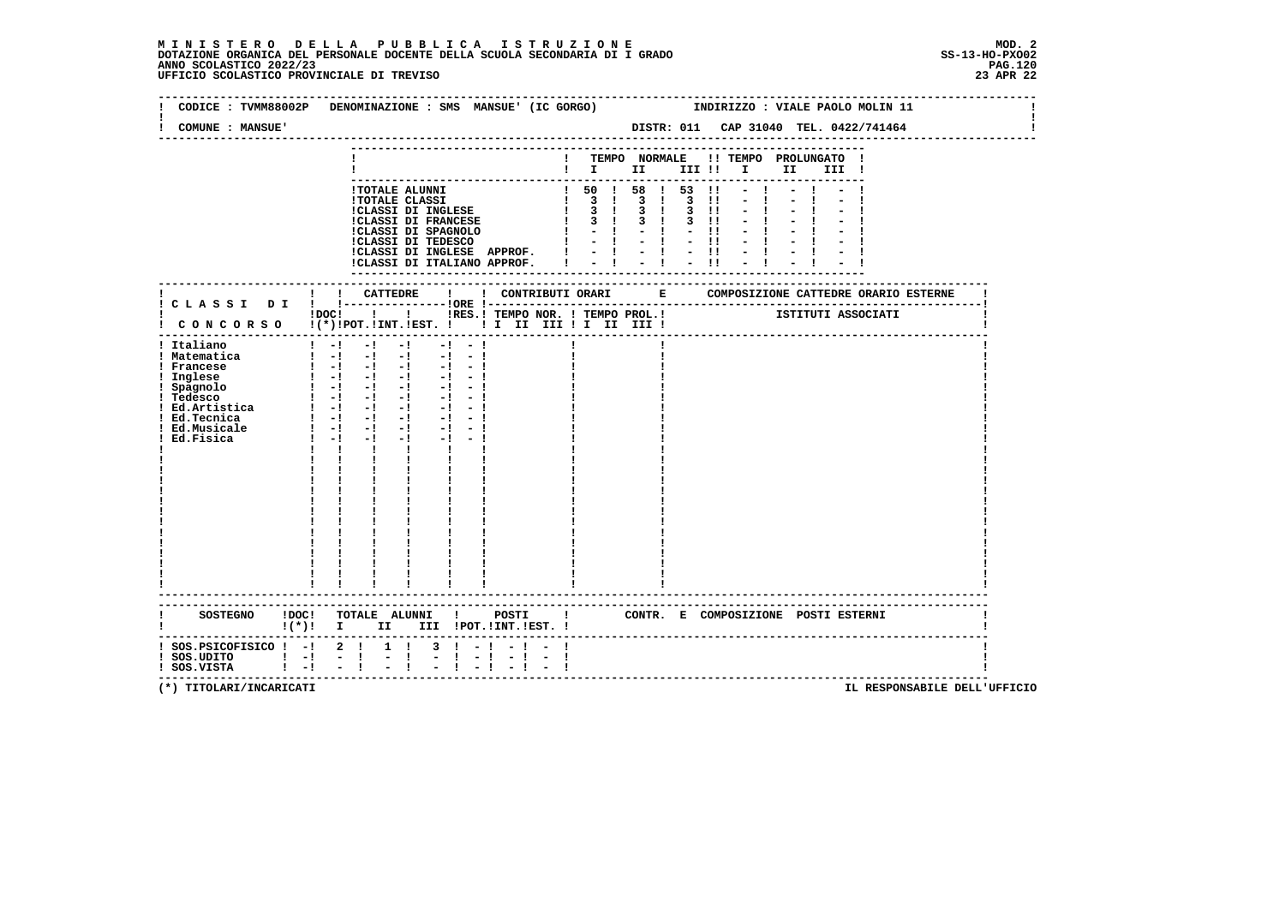# **M I N I S T E R O D E L L A P U B B L I C A I S T R U Z I O N E MOD. 2**DOTAZIONE ORGANICA DEL PERSONALE DOCENTE DELLA SCUOLA SECONDARIA DI I GRADO **SCOLASTICO SCOLASTICO 2022/23 PAG-**<br>PAGO SCOLASTICO 2022/23 PAG.120<br>23 APR 22 UFFICIO SCOLASTICO PROVINCIALE DI TREVISO

|                                                                                                                                  | CODICE: TVMM88002P DENOMINAZIONE: SMS MANSUE' (IC GORGO)                                                                                                                                                                                                                                                                                                                                                                                                                                                                                                                                                              |                                |                                                                                                                                                            |                                                                                                       | INDIRIZZO : VIALE PAOLO MOLIN 11      |          |  |
|----------------------------------------------------------------------------------------------------------------------------------|-----------------------------------------------------------------------------------------------------------------------------------------------------------------------------------------------------------------------------------------------------------------------------------------------------------------------------------------------------------------------------------------------------------------------------------------------------------------------------------------------------------------------------------------------------------------------------------------------------------------------|--------------------------------|------------------------------------------------------------------------------------------------------------------------------------------------------------|-------------------------------------------------------------------------------------------------------|---------------------------------------|----------|--|
| COMUNE : MANSUE'                                                                                                                 |                                                                                                                                                                                                                                                                                                                                                                                                                                                                                                                                                                                                                       |                                |                                                                                                                                                            |                                                                                                       | DISTR: 011 CAP 31040 TEL. 0422/741464 |          |  |
|                                                                                                                                  |                                                                                                                                                                                                                                                                                                                                                                                                                                                                                                                                                                                                                       |                                | ! TEMPO NORMALE !! TEMPO PROLUNGATO !                                                                                                                      |                                                                                                       |                                       | II III ! |  |
|                                                                                                                                  | !TOTALE ALUNNI<br><b>!TOTALE CLASSI</b><br><b>CLASSI DI INGLESE<br/>CLASSI DI FRANCESE</b><br>!CLASSI DI INGLESE APPROF.<br>!CLASSI DI ITALIANO APPROF.                                                                                                                                                                                                                                                                                                                                                                                                                                                               |                                | $!$ 50 $!$ 58 $!$ 53 $!$<br>$\begin{array}{cccccccc}\n1 & 3 & 1 & 3 & 1 & 3 & 1 \\ 1 & 3 & 1 & 3 & 1 & 3 & 1\n\end{array}$<br>$1 \t3 \t1 \t3 \t1 \t3 \t1!$ | $\begin{array}{cccccccccccccc} 1 & 1 & 1 & 1 & 1 & 1 & 1 \\ 1 & 1 & 1 & 1 & 1 & 1 & 1 \\ \end{array}$ |                                       |          |  |
|                                                                                                                                  | IDOC! !! IRES. I TEMPO NOR. I TEMPO PROL. ! [STITUTI ASSOCIATI                                                                                                                                                                                                                                                                                                                                                                                                                                                                                                                                                        |                                |                                                                                                                                                            |                                                                                                       |                                       |          |  |
| ! Italiano<br>! Matematica<br>! Francese<br>! Inglese<br>! Spagnolo<br>! Tedesco<br>! Ed.Musicale<br>Ed.Fisica                   | $1 - 1 - 1 - 1$<br>$-1 - -1$<br>$\begin{bmatrix} 1 & -1 & -1 & -1 & -1 & -1 \end{bmatrix}$<br>$\begin{bmatrix} 1 & -1 & -1 & -1 & -1 & -1 \end{bmatrix}$<br>$1 - 1 - 1 - 1$<br>$-1 - 1$<br>$\frac{1}{2}$ $\frac{1}{2}$ $\frac{1}{2}$ $\frac{1}{2}$ $\frac{1}{2}$ $\frac{1}{2}$<br>$-1 - 1$<br>$1 - 1 - 1 - 1$<br>$-1 - -1$<br>$-1 - 1$<br>$\blacksquare$ $\blacksquare$ $\blacksquare$ $\blacksquare$ $\blacksquare$<br>$-1$<br>$-1 - 1$<br>$1 - -1$<br>$-1$<br>$-1$ $-$<br>$-1 - 1$<br><b>The Contract of Contract of Contract</b><br>$\mathbf{I}$<br>$\mathbf{I}$ and $\mathbf{I}$<br>$\mathbf{I}$ and $\mathbf{I}$ |                                |                                                                                                                                                            |                                                                                                       |                                       |          |  |
|                                                                                                                                  | $!(*)!$ I II III !POT.!INT.!EST. !                                                                                                                                                                                                                                                                                                                                                                                                                                                                                                                                                                                    |                                |                                                                                                                                                            |                                                                                                       |                                       |          |  |
| $:$ SOS.PSICOFISICO $:$ - $:$ 2 $:$ 1 $:$<br>  SOS.UDITO                       <br>  SOS.VISTA                       <br>$1 - 1$ | $3 \t-1$<br>$\frac{1}{2}$ $\frac{1}{1}$<br>$\frac{1}{2}$ $\frac{1}{2}$                                                                                                                                                                                                                                                                                                                                                                                                                                                                                                                                                | $-1$ $-1$<br>$-1$<br>$-1$ $-1$ |                                                                                                                                                            |                                                                                                       |                                       |          |  |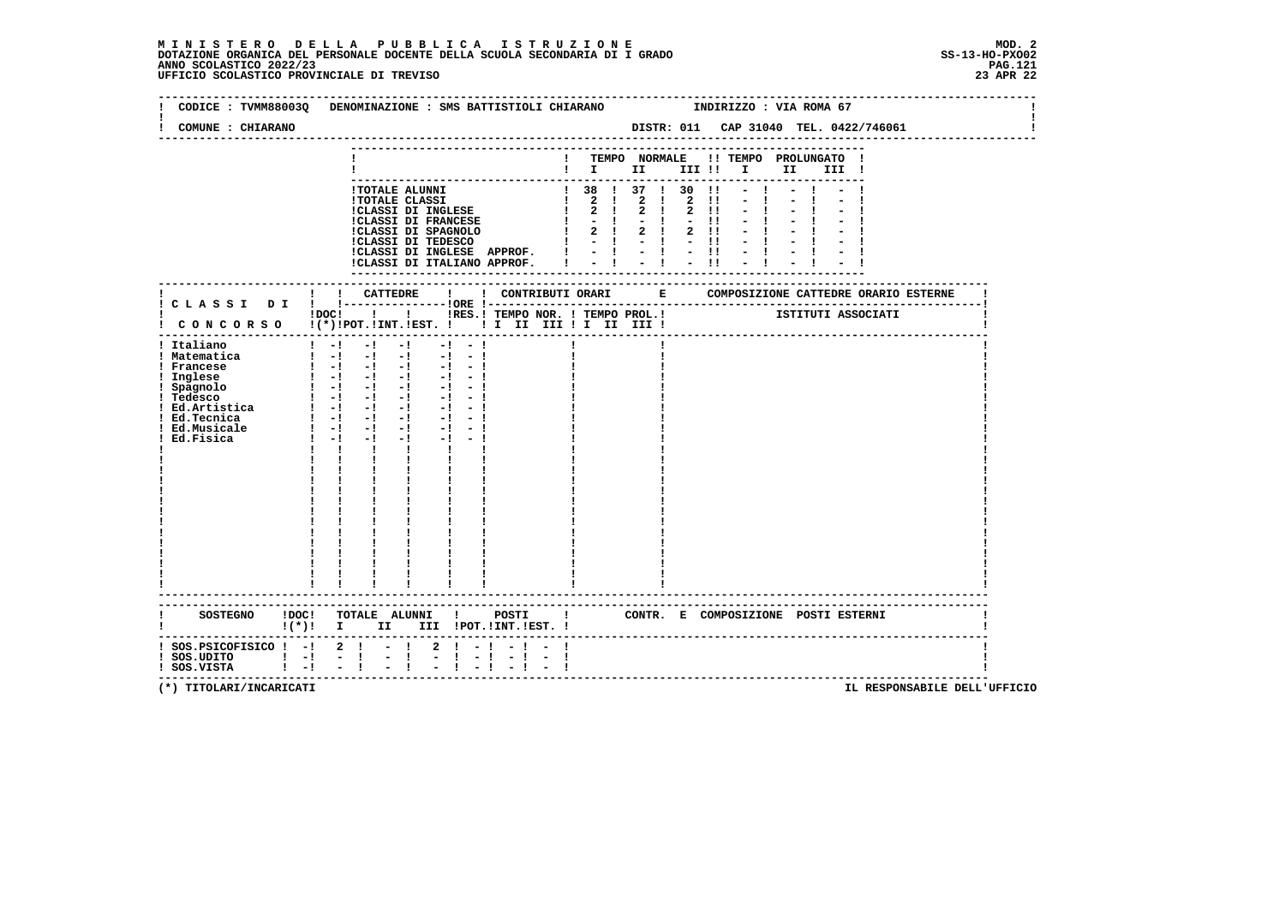# **M I N I S T E R O D E L L A P U B B L I C A I S T R U Z I O N E MOD. 2**DOTAZIONE ORGANICA DEL PERSONALE DOCENTE DELLA SCUOLA SECONDARIA DI I GRADO **SCOLASTICO SCOLASTICO 2022/23 PAG.121**<br>23 PAG.121 PAG.121<br>23 UFFICIO SCOLASTICO PROVINCIALE DI TREVISO

| CODICE : TVMM88003Q DENOMINAZIONE : SMS BATTISTIOLI CHIARANO<br>COMUNE : CHIARANO                                                                                                          |                                                                                                                                                                                                                 |                                                 |                                                                                                                                                                                                                                                                                                                                                                         |                                       |  |  |      | INDIRIZZO : VIA ROMA 67 |                    |  |
|--------------------------------------------------------------------------------------------------------------------------------------------------------------------------------------------|-----------------------------------------------------------------------------------------------------------------------------------------------------------------------------------------------------------------|-------------------------------------------------|-------------------------------------------------------------------------------------------------------------------------------------------------------------------------------------------------------------------------------------------------------------------------------------------------------------------------------------------------------------------------|---------------------------------------|--|--|------|-------------------------|--------------------|--|
|                                                                                                                                                                                            |                                                                                                                                                                                                                 |                                                 |                                                                                                                                                                                                                                                                                                                                                                         | ! TEMPO NORMALE !! TEMPO PROLUNGATO ! |  |  | II a | III !                   |                    |  |
|                                                                                                                                                                                            | !TOTALE ALUNNI                                                                                                                                                                                                  |                                                 | $1 \t38 \t1 \t37 \t1 \t30 \t11 - 1 - 1 -$<br>$\begin{tabular}{l c c c c c} \hline 1:07ALE & LLMST & & 1 & 36 & 1 & 3/ & 1 & 30 & 11 & - & 1\\ \hline 1:07ALE & CLASST & & 1 & 2 & 1 & 2 & 1 & 2 & 11 & - & 1\\ 1:07ALS & & 1 & 1 & 1 & 2 & 1 & 2 & 1 & 2 & 11 & - & 1\\ 1:07ALS & & 1 & 1 & 2 & 1 & 2 & 1 & 2 & 11 & - & 1\\ 1:07ALS & & 1 & 1 & 2 & 1 & 2 & 1 & 2 & 1$ |                                       |  |  |      |                         |                    |  |
| ! C L A S S I D I ! !----------------!ORE !---                                                                                                                                             | ! ! CATTEDRE                                                                                                                                                                                                    | $\mathbf{I}$                                    |                                                                                                                                                                                                                                                                                                                                                                         |                                       |  |  |      |                         |                    |  |
| CONCORSO !(*)!POT.!INT.!EST. ! ! I II III ! I III II                                                                                                                                       | !DOC! ! ! !RES.! TEMPO NOR. ! TEMPO PROL.!<br>-------------------------------------                                                                                                                             |                                                 |                                                                                                                                                                                                                                                                                                                                                                         |                                       |  |  |      |                         | ISTITUTI ASSOCIATI |  |
| ! Italiano<br>! Matematica<br>! Francese<br>Ed.Fisica                                                                                                                                      | $1 - 1 - 1 - 1 - 1 - 1 - 1$<br>$1 - 1 - 1 - 1 - 1 - 1 - 1$<br>$\begin{bmatrix} 1 & -1 & -1 & -1 & -1 & -1 \end{bmatrix}$<br>$1 - -1 - -1$<br>$\mathbf{1}$ $\mathbf{1}$ $\mathbf{1}$<br>------------------------ | $-1$ $-1$ $-1$<br>$\mathbf{1}$ and $\mathbf{1}$ |                                                                                                                                                                                                                                                                                                                                                                         |                                       |  |  |      |                         |                    |  |
| SOSTEGNO !DOC! TOTALE ALUNNI ! POSTI ! CONTR. E COMPOSIZIONE POSTI ESTERNI                                                                                                                 |                                                                                                                                                                                                                 |                                                 |                                                                                                                                                                                                                                                                                                                                                                         |                                       |  |  |      |                         |                    |  |
| ! (*)! I II III !POT.!INT.!EST.!<br>------------<br>! SOS.PSICOFISICO ! -! 2 ! - !<br>! SOS.UDITO ! -! - ! - !<br>! SOS.VISTA ! -! - ! - !<br>! SOS.UDITO ! -! - !<br>! SOS.VISTA ! -! - ! |                                                                                                                                                                                                                 |                                                 | $2 \cdot 1 - 1 - 1 - 1$                                                                                                                                                                                                                                                                                                                                                 |                                       |  |  |      |                         |                    |  |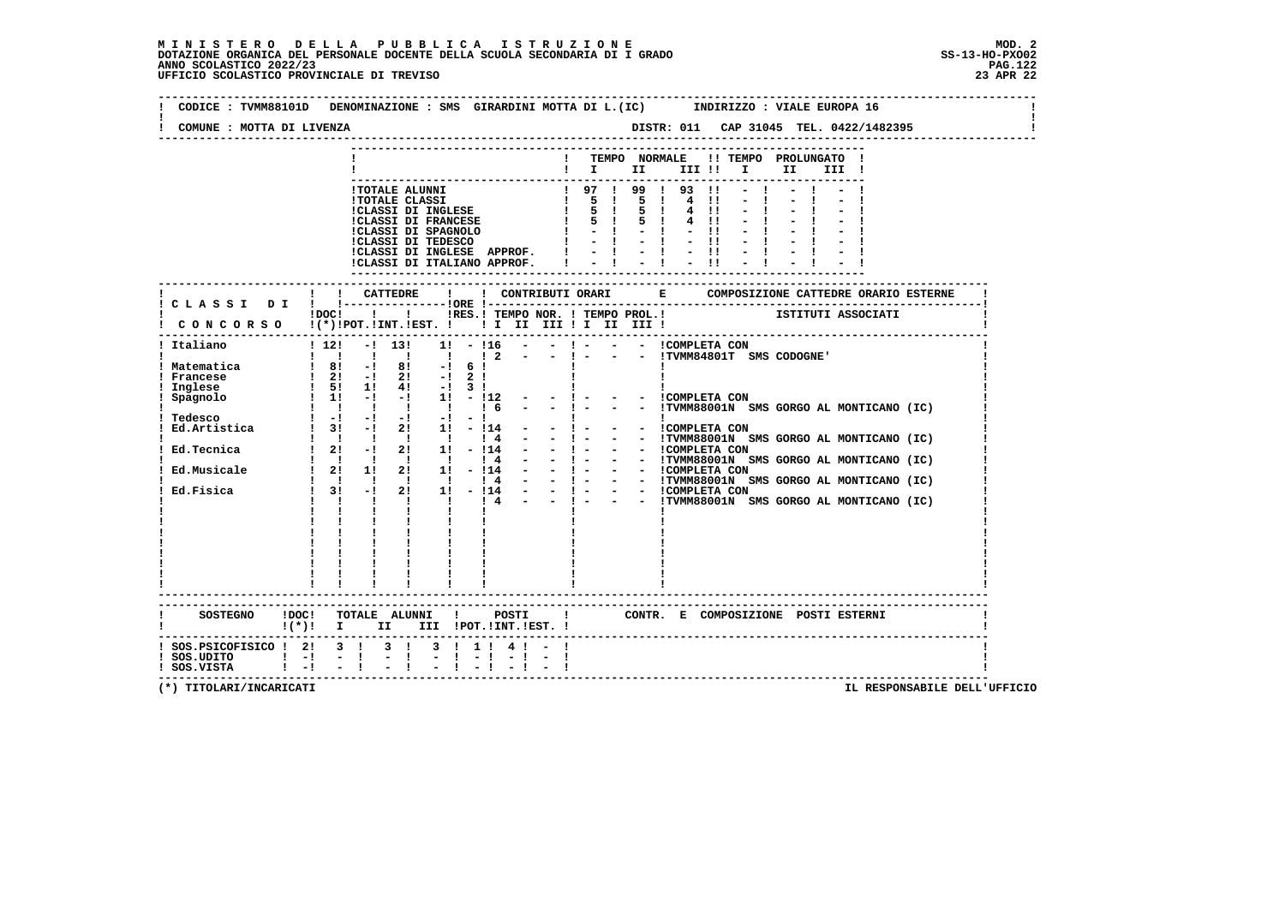|                                            | CODICE : TVMM88101D DENOMINAZIONE : SMS GIRARDINI MOTTA DI L.(IC)<br>INDIRIZZO : VIALE EUROPA 16                                                                                                                                              |
|--------------------------------------------|-----------------------------------------------------------------------------------------------------------------------------------------------------------------------------------------------------------------------------------------------|
| COMUNE : MOTTA DI LIVENZA                  |                                                                                                                                                                                                                                               |
|                                            | ! TEMPO NORMALE<br>!! TEMPO PROLUNGATO                                                                                                                                                                                                        |
|                                            | III !                                                                                                                                                                                                                                         |
|                                            |                                                                                                                                                                                                                                               |
|                                            | 1 TOTALE ALUNNI<br>1 TOTALE CLASSI 1 97 1 99 1 93 11<br>1 CLASSI DI INGLESE 1 5 1 5 1 4 11<br>1 CLASSI DI FRANCESE 1 5 1 5 1 4 11<br>1 CLASSI DI FRANCESE 1 5 1 5 1 4 11                                                                      |
|                                            |                                                                                                                                                                                                                                               |
|                                            |                                                                                                                                                                                                                                               |
|                                            | $-11$                                                                                                                                                                                                                                         |
|                                            | $1 - 1 - 1 - 11$                                                                                                                                                                                                                              |
|                                            | ICLASSI DI INGLESE APPROF. $1 - 1 - 1 - 11$<br>ICLASSI DI ITALIANO APPROF. $1 - 1 - 1 - 11$                                                                                                                                                   |
|                                            |                                                                                                                                                                                                                                               |
|                                            | ---------------------------                                                                                                                                                                                                                   |
|                                            |                                                                                                                                                                                                                                               |
|                                            | IDOCI ! IRES. I TEMPO NOR. I TEMPO PROL. ! [STITUTI ASSOCIATI                                                                                                                                                                                 |
|                                            | CONCORSO !(*)!POT.!INT.!EST. !!!!!!!!!!!!!!!!!                                                                                                                                                                                                |
| ! Italiano                                 | ! 12! -! 13! 1! -!16 - -! - - - ICOMPLETA CON                                                                                                                                                                                                 |
|                                            | $-$ ! $  \cdot$ $\cdot$ TVMM84801T SMS CODOGNE'<br>$1\quad 2$                                                                                                                                                                                 |
| ! Matematica<br>Francese                   | 1 81 -1 81 -1 61<br>1 21 -1 21 -1 21<br>1 51 11 41 -1 31                                                                                                                                                                                      |
| Inglese                                    |                                                                                                                                                                                                                                               |
| Spagnolo                                   | $1 \quad 1! \quad -1 \quad -1 \quad 1! \quad -112$<br>$-1 -$<br>- - ICOMPLETA CON                                                                                                                                                             |
|                                            | $-1 - 1$<br>Tedesco<br>1 1 1 1 1 1 1 1 1 1 1 6<br>Ed.Artistica<br>1 31 -1 21 11 -114 -<br>- - !TVMM88001N SMS GORGO AL MONTICANO (IC)                                                                                                         |
|                                            | <b>Experience</b><br>$\mathbf{I}$                                                                                                                                                                                                             |
|                                            | - - COMPLETA CON<br>$-1$ $-$                                                                                                                                                                                                                  |
|                                            | $\sim 100$                                                                                                                                                                                                                                    |
|                                            | - 1 - - - IUMERROOM SMS GORGO AL MONTICANO (IC)<br>- 1 - - - ITMM88001N SMS GORGO AL MONTICANO (IC)<br>- 1 - - - ITMM88001N SMS GORGO AL MONTICANO (IC)<br>- 1 - - - ICOMPLETA CON<br>- 1 - - - ITMM88001N SMS GORGO AL MONTICANO (IC)<br>- 1 |
|                                            | Ed.Musicale 1 1 1 1 1 1 1 1 4<br>Ed.Musicale 1 21 11 21 11 - 114                                                                                                                                                                              |
|                                            |                                                                                                                                                                                                                                               |
| Ed.Fisica                                  |                                                                                                                                                                                                                                               |
|                                            | $\frac{1}{1}$ $\frac{1}{1}$ $\frac{1}{1}$ $\frac{1}{1}$ $\frac{1}{1}$ $\frac{1}{1}$ $\frac{1}{1}$ $\frac{1}{1}$ $\frac{1}{1}$                                                                                                                 |
|                                            |                                                                                                                                                                                                                                               |
|                                            |                                                                                                                                                                                                                                               |
|                                            |                                                                                                                                                                                                                                               |
|                                            |                                                                                                                                                                                                                                               |
|                                            |                                                                                                                                                                                                                                               |
|                                            |                                                                                                                                                                                                                                               |
|                                            |                                                                                                                                                                                                                                               |
| ! SOS.PSICOFISICO ! 2! 3 !                 | $3 \quad 1$<br>3! 1! 4!                                                                                                                                                                                                                       |
| 1 SOS.UDITO 1 -1 -1<br>1 SOS.VISTA 1 -1 -1 | $\mathbf{I}$<br>$-1 - 1$<br>$\sim$<br>$-1 - -1$                                                                                                                                                                                               |
| ! SOS.VISTA                                | $1 - 1$<br>----------------------------------                                                                                                                                                                                                 |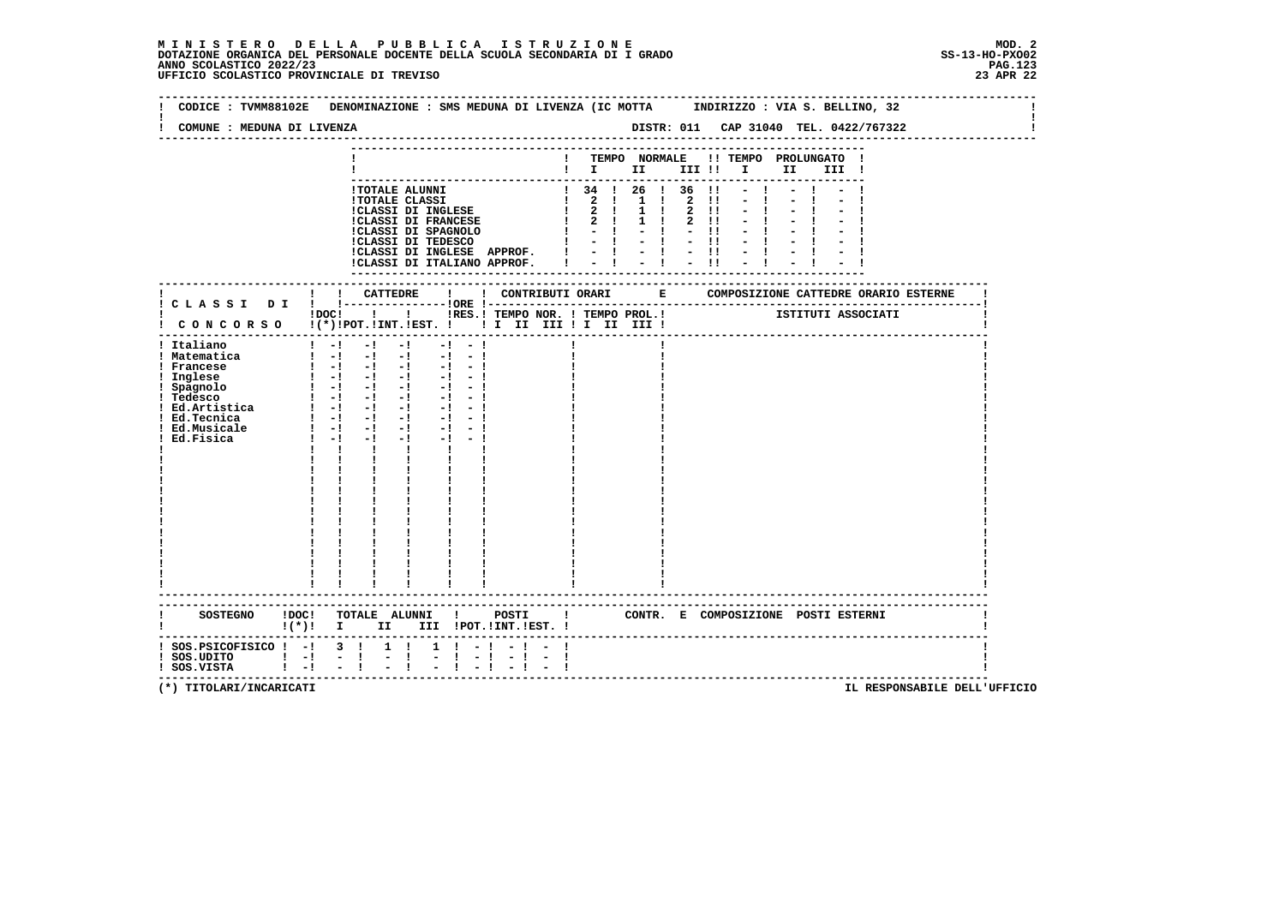|                                      | CODICE: TVMM88102E DENOMINAZIONE: SMS MEDUNA DI LIVENZA (IC MOTTA INDIRIZZO: VIA S. BELLINO, 32                                                                                                                                                                                                                                                                             |                                                       |                                                        |             |                                     |                                       |  |
|--------------------------------------|-----------------------------------------------------------------------------------------------------------------------------------------------------------------------------------------------------------------------------------------------------------------------------------------------------------------------------------------------------------------------------|-------------------------------------------------------|--------------------------------------------------------|-------------|-------------------------------------|---------------------------------------|--|
| COMUNE : MEDUNA DI LIVENZA           |                                                                                                                                                                                                                                                                                                                                                                             |                                                       |                                                        |             |                                     | DISTR: 011 CAP 31040 TEL. 0422/767322 |  |
|                                      |                                                                                                                                                                                                                                                                                                                                                                             |                                                       |                                                        |             |                                     |                                       |  |
|                                      |                                                                                                                                                                                                                                                                                                                                                                             |                                                       |                                                        |             | ! TEMPO NORMALE !! TEMPO PROLUNGATO |                                       |  |
|                                      |                                                                                                                                                                                                                                                                                                                                                                             |                                                       | $\mathbf{I}$ is the set of $\mathbf{I}$                |             |                                     | II D<br>III !                         |  |
|                                      |                                                                                                                                                                                                                                                                                                                                                                             |                                                       |                                                        |             |                                     |                                       |  |
|                                      | <b>!TOTALE ALUNNI</b>                                                                                                                                                                                                                                                                                                                                                       |                                                       | ! 34 ! 26 ! 36                                         |             | $\blacksquare$                      |                                       |  |
|                                      | <b>!TOTALE CLASSI</b>                                                                                                                                                                                                                                                                                                                                                       |                                                       | 1 2 1 1 1 2                                            |             | $\blacksquare$                      |                                       |  |
|                                      | !CLASSI DI INGLESE                                                                                                                                                                                                                                                                                                                                                          |                                                       | $1 \t2 \t1 \t1$                                        |             | $2 \quad 11$                        |                                       |  |
|                                      | <b>!CLASSI DI FRANCESE</b>                                                                                                                                                                                                                                                                                                                                                  |                                                       | $1 \quad 2 \quad 1$                                    | $1 \quad 1$ | 2 11                                |                                       |  |
|                                      |                                                                                                                                                                                                                                                                                                                                                                             | !CLASSI DI SPAGNOLO<br>!CLASSI DI TEDESCO             | $\mathbf{I}$ $\mathbf{I}$ $\mathbf{I}$<br>$-1 - 1 - 1$ |             | $-11$                               |                                       |  |
|                                      |                                                                                                                                                                                                                                                                                                                                                                             | !CLASSI DI INGLESE APPROF. !                          | $-1 - 1 - 1$                                           |             |                                     |                                       |  |
|                                      |                                                                                                                                                                                                                                                                                                                                                                             | !CLASSI DI ITALIANO APPROF.                           |                                                        |             |                                     |                                       |  |
|                                      |                                                                                                                                                                                                                                                                                                                                                                             |                                                       |                                                        |             |                                     |                                       |  |
|                                      |                                                                                                                                                                                                                                                                                                                                                                             |                                                       |                                                        |             |                                     |                                       |  |
|                                      | ! CATTEDRE                                                                                                                                                                                                                                                                                                                                                                  | ! CONTRIBUTI ORARI E<br>$\mathbf{I}$                  |                                                        |             |                                     | COMPOSIZIONE CATTEDRE ORARIO ESTERNE  |  |
|                                      |                                                                                                                                                                                                                                                                                                                                                                             |                                                       |                                                        |             |                                     |                                       |  |
|                                      | $!$ $\overline{)}$ $\overline{)}$ $\overline{)}$ $\overline{)}$ $\overline{)}$ $\overline{)}$ $\overline{)}$ $\overline{)}$ $\overline{)}$ $\overline{)}$ $\overline{)}$ $\overline{)}$ $\overline{)}$ $\overline{)}$ $\overline{)}$ $\overline{)}$ $\overline{)}$ $\overline{)}$ $\overline{)}$ $\overline{)}$ $\overline{)}$ $\overline{)}$ $\overline{)}$ $\overline{)}$ | IRES. ! TEMPO NOR. ! TEMPO PROL. ! [STITUTI ASSOCIATI |                                                        |             |                                     |                                       |  |
|                                      | ! CONCORSO !(*)!POT.!INT.!EST. !! I II III !I II III !                                                                                                                                                                                                                                                                                                                      |                                                       |                                                        |             |                                     |                                       |  |
|                                      | $1 - 1$<br>$-1$                                                                                                                                                                                                                                                                                                                                                             |                                                       |                                                        |             |                                     |                                       |  |
| ! Italiano<br>! Matematica           | $-1$<br>$\frac{1}{2}$ $\frac{1}{2}$ $\frac{1}{2}$ $\frac{1}{2}$ $\frac{1}{2}$ $\frac{1}{2}$ $\frac{1}{2}$                                                                                                                                                                                                                                                                   | $-1 - 1$<br>$-1 - -1$                                 |                                                        |             |                                     |                                       |  |
| ! Francese                           | $1 - 1 - 1 - 1$                                                                                                                                                                                                                                                                                                                                                             | $-1 - -1$                                             |                                                        |             |                                     |                                       |  |
| ! Inglese                            | $\begin{bmatrix} 1 & -1 & -1 & -1 & -1 & -1 \end{bmatrix}$                                                                                                                                                                                                                                                                                                                  |                                                       |                                                        |             |                                     |                                       |  |
| ! Spagnolo                           |                                                                                                                                                                                                                                                                                                                                                                             |                                                       |                                                        |             |                                     |                                       |  |
| ! Tedesco                            | $1 - 1 - 1 - 1$                                                                                                                                                                                                                                                                                                                                                             | $-1 - -1$                                             |                                                        |             |                                     |                                       |  |
| ! Ed.Artistica                       | $1 - 1 - 1 - 1 - 1 - 1$                                                                                                                                                                                                                                                                                                                                                     |                                                       |                                                        |             |                                     |                                       |  |
| ! Ed.Tecnica                         | $1 - 1 - 1 - 1 - 1 - 1 - 1$                                                                                                                                                                                                                                                                                                                                                 |                                                       |                                                        |             |                                     |                                       |  |
| ! Ed.Musicale                        | $1 - 1 - 1$<br>$-1$ and $-1$                                                                                                                                                                                                                                                                                                                                                | $-1$ $-1$                                             |                                                        |             |                                     |                                       |  |
| Ed.Fisica                            | $1 - -1$<br>$-1$<br>$-1$ and $-1$                                                                                                                                                                                                                                                                                                                                           | $-1 - -1$                                             |                                                        |             |                                     |                                       |  |
|                                      | $\mathbf{I}$<br>$\mathbf{I}$<br>$\mathbf{I}$ and $\mathbf{I}$                                                                                                                                                                                                                                                                                                               |                                                       |                                                        |             |                                     |                                       |  |
|                                      |                                                                                                                                                                                                                                                                                                                                                                             |                                                       |                                                        |             |                                     |                                       |  |
|                                      |                                                                                                                                                                                                                                                                                                                                                                             |                                                       |                                                        |             |                                     |                                       |  |
|                                      |                                                                                                                                                                                                                                                                                                                                                                             |                                                       |                                                        |             |                                     |                                       |  |
|                                      |                                                                                                                                                                                                                                                                                                                                                                             |                                                       |                                                        |             |                                     |                                       |  |
|                                      |                                                                                                                                                                                                                                                                                                                                                                             |                                                       |                                                        |             |                                     |                                       |  |
|                                      |                                                                                                                                                                                                                                                                                                                                                                             |                                                       |                                                        |             |                                     |                                       |  |
|                                      |                                                                                                                                                                                                                                                                                                                                                                             |                                                       |                                                        |             |                                     |                                       |  |
|                                      |                                                                                                                                                                                                                                                                                                                                                                             |                                                       |                                                        |             |                                     |                                       |  |
|                                      |                                                                                                                                                                                                                                                                                                                                                                             |                                                       |                                                        |             |                                     |                                       |  |
|                                      |                                                                                                                                                                                                                                                                                                                                                                             |                                                       |                                                        |             |                                     |                                       |  |
|                                      |                                                                                                                                                                                                                                                                                                                                                                             |                                                       |                                                        |             |                                     |                                       |  |
|                                      |                                                                                                                                                                                                                                                                                                                                                                             |                                                       |                                                        |             |                                     |                                       |  |
|                                      |                                                                                                                                                                                                                                                                                                                                                                             |                                                       |                                                        |             |                                     |                                       |  |
| <b>SOSTEGNO</b>                      | !DOC! TOTALE ALUNNI !                                                                                                                                                                                                                                                                                                                                                       | POSTI<br>$\blacksquare$                               |                                                        |             |                                     | CONTR. E COMPOSIZIONE POSTI ESTERNI   |  |
|                                      | $\mathbf{I}(\star)\mathbf{I}$ I<br>II a                                                                                                                                                                                                                                                                                                                                     | III !POT. !INT. !EST. !                               |                                                        |             |                                     |                                       |  |
|                                      |                                                                                                                                                                                                                                                                                                                                                                             |                                                       |                                                        |             |                                     |                                       |  |
| $:$ SOS. PSICOFISICO $:$ - $:$ 3 $:$ | $1 \quad 1$                                                                                                                                                                                                                                                                                                                                                                 | $1 \t-1$                                              |                                                        |             |                                     |                                       |  |
| ! SOS.UDITO                          | $-1$<br>$\frac{1}{2}$<br>$1 - 1$<br>Ι.                                                                                                                                                                                                                                                                                                                                      | $-1 - 1$<br>-1                                        |                                                        |             |                                     |                                       |  |
| ! SOS.VISTA                          | $1 - 1 - 1$                                                                                                                                                                                                                                                                                                                                                                 |                                                       |                                                        |             |                                     |                                       |  |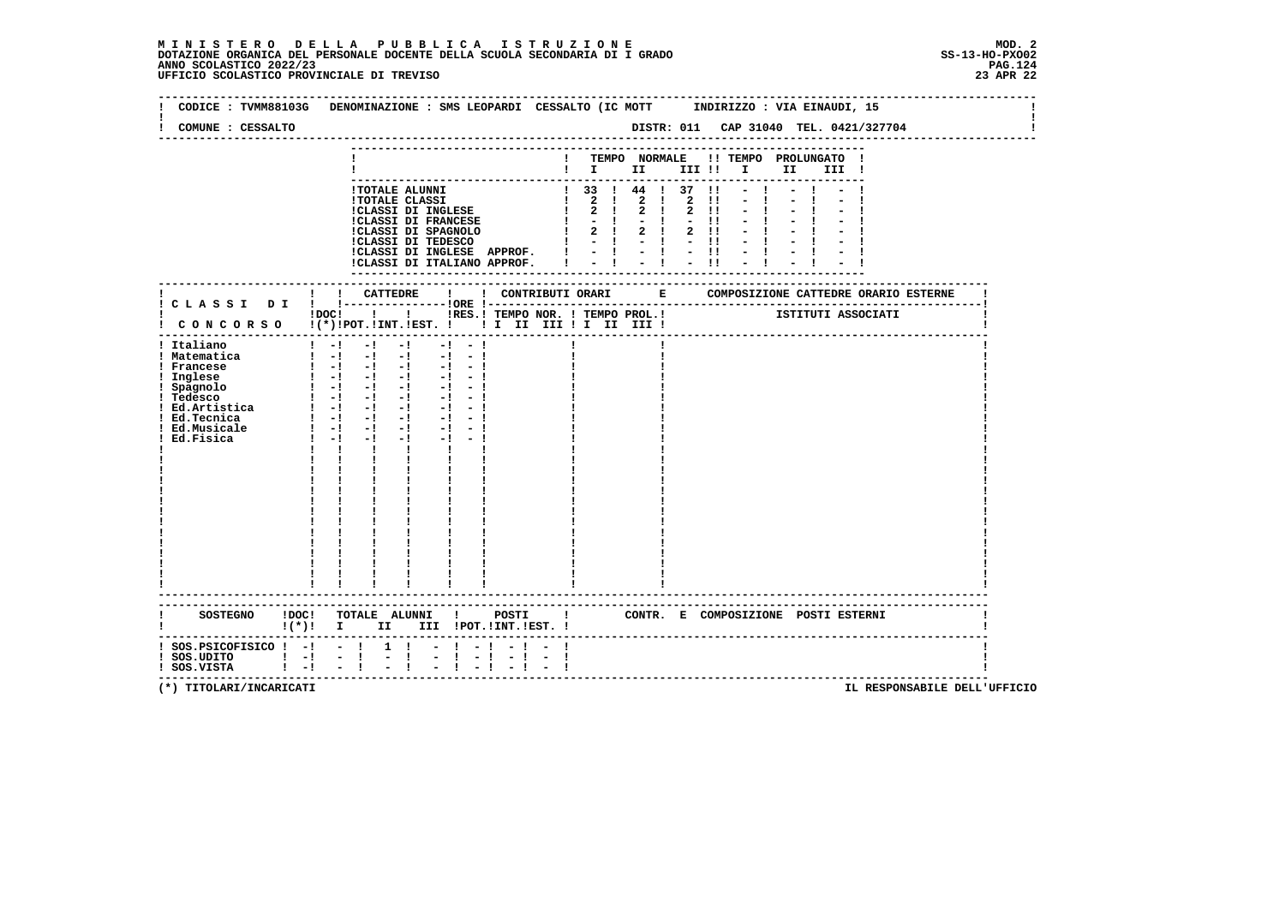| CODICE: TVMM88103G                                                         |                                 |                            |                     |                                                                                                                          |                               |                               | DENOMINAZIONE : SMS LEOPARDI CESSALTO (IC MOTT INDIRIZZO : VIA EINAUDI, 15 |            |              |                                          |                                         |          |              |                                     |      |                                 |       |                                       |                                                           |  |
|----------------------------------------------------------------------------|---------------------------------|----------------------------|---------------------|--------------------------------------------------------------------------------------------------------------------------|-------------------------------|-------------------------------|----------------------------------------------------------------------------|------------|--------------|------------------------------------------|-----------------------------------------|----------|--------------|-------------------------------------|------|---------------------------------|-------|---------------------------------------|-----------------------------------------------------------|--|
| COMUNE : CESSALTO                                                          |                                 |                            |                     |                                                                                                                          |                               |                               |                                                                            |            |              |                                          |                                         |          |              |                                     |      |                                 |       | DISTR: 011 CAP 31040 TEL. 0421/327704 |                                                           |  |
|                                                                            |                                 |                            |                     |                                                                                                                          |                               |                               |                                                                            |            |              |                                          |                                         |          |              |                                     |      |                                 |       |                                       |                                                           |  |
|                                                                            |                                 |                            |                     |                                                                                                                          |                               |                               |                                                                            |            |              |                                          |                                         |          |              | ! TEMPO NORMALE !! TEMPO PROLUNGATO |      |                                 |       |                                       |                                                           |  |
|                                                                            |                                 |                            |                     |                                                                                                                          |                               |                               |                                                                            |            |              |                                          | $\mathbf{I}$ is the set of $\mathbf{I}$ |          |              |                                     | II — |                                 | III ! |                                       |                                                           |  |
|                                                                            |                                 |                            |                     | !TOTALE ALUNNI                                                                                                           |                               |                               |                                                                            |            |              |                                          | $1$ 33 $1$ 44 $1$ 37 $11$               |          |              |                                     |      |                                 |       |                                       |                                                           |  |
|                                                                            |                                 |                            |                     | <b>!TOTALE CLASSI</b>                                                                                                    |                               |                               |                                                                            |            |              | $\begin{array}{ccc} & 2 & 1 \end{array}$ |                                         | 2 ! 2 !! |              |                                     |      |                                 |       |                                       |                                                           |  |
|                                                                            |                                 |                            |                     | <b>!CLASSI DI INGLESE</b>                                                                                                |                               |                               |                                                                            |            |              | $1 \quad 2 \quad 1$                      | $2 \quad 1$                             |          | $2 \quad 11$ |                                     |      |                                 |       |                                       |                                                           |  |
|                                                                            |                                 |                            |                     | <b>!CLASSI DI FRANCESE</b>                                                                                               |                               |                               |                                                                            |            | $\mathbf{I}$ | $1 - -1$                                 | 2 ! 2 !                                 | $-1 - 1$ | $2 \quad 11$ |                                     |      |                                 |       |                                       |                                                           |  |
|                                                                            |                                 |                            |                     |                                                                                                                          |                               |                               | !CLASSI DI SPAGNOLO<br>!CLASSI DI TEDESCO                                  |            |              |                                          | $-1 - 1 - 1$                            |          |              |                                     |      |                                 |       |                                       |                                                           |  |
|                                                                            |                                 |                            |                     |                                                                                                                          |                               |                               | !CLASSI DI INGLESE APPROF. $  -   -   -  $                                 |            |              |                                          |                                         |          |              |                                     |      |                                 |       |                                       |                                                           |  |
|                                                                            |                                 |                            |                     |                                                                                                                          |                               |                               | !CLASSI DI ITALIANO APPROF. !                                              |            |              |                                          | $-1 - 1 - 1$                            |          |              |                                     |      |                                 |       |                                       |                                                           |  |
|                                                                            |                                 |                            |                     |                                                                                                                          |                               |                               |                                                                            |            |              |                                          |                                         |          |              |                                     |      |                                 |       |                                       |                                                           |  |
|                                                                            |                                 |                            |                     | ! CATTEDRE                                                                                                               |                               | $\mathbf{I}$ and $\mathbf{I}$ |                                                                            |            |              |                                          |                                         |          |              |                                     |      |                                 |       |                                       | ! CONTRIBUTI ORARI B COMPOSIZIONE CATTEDRE ORARIO ESTERNE |  |
|                                                                            |                                 |                            |                     |                                                                                                                          |                               |                               |                                                                            |            |              |                                          |                                         |          |              |                                     |      |                                 |       |                                       |                                                           |  |
|                                                                            |                                 |                            |                     | $1\,\mathrm{DOC}$ $1\phantom{0}$ $1$                                                                                     |                               |                               | IRES. I TEMPO NOR. ! TEMPO PROL. ! [STITUTI ASSOCIATI                      |            |              |                                          |                                         |          |              |                                     |      |                                 |       |                                       |                                                           |  |
| ! CONCORSO !(*)!POT.!INT.!EST. !! I II III !I II III !                     |                                 |                            |                     |                                                                                                                          |                               |                               |                                                                            |            |              |                                          |                                         |          |              |                                     |      |                                 |       |                                       |                                                           |  |
| ! Italiano                                                                 |                                 | $1 - 1$                    | $-1$                | $-1$                                                                                                                     |                               | $-1 - 1$                      |                                                                            |            |              |                                          |                                         |          |              |                                     |      |                                 |       |                                       |                                                           |  |
| ! Matematica                                                               |                                 |                            |                     | $\begin{bmatrix} 1 & -1 & -1 & -1 \end{bmatrix}$                                                                         |                               | $-1 - 1$                      |                                                                            |            |              |                                          |                                         |          |              |                                     |      |                                 |       |                                       |                                                           |  |
| ! Francese                                                                 |                                 |                            |                     | $1 - 1 - 1 - 1$                                                                                                          |                               | $-1 - -1$                     |                                                                            |            |              |                                          |                                         |          |              |                                     |      |                                 |       |                                       |                                                           |  |
| ! Inglese<br>! Spagnolo                                                    |                                 |                            |                     | $\begin{bmatrix} 1 & -1 & -1 & -1 & -1 & -1 \end{bmatrix}$<br>$\begin{bmatrix} 1 & -1 & -1 & -1 & -1 & -1 \end{bmatrix}$ |                               |                               |                                                                            |            |              |                                          |                                         |          |              |                                     |      |                                 |       |                                       |                                                           |  |
| ! Tedesco                                                                  |                                 |                            |                     | $\begin{bmatrix} 1 & -1 & -1 & -1 & -1 & -1 \end{bmatrix}$                                                               |                               |                               |                                                                            |            |              |                                          |                                         |          |              |                                     |      |                                 |       |                                       |                                                           |  |
| : Ed.Artistica                                                             |                                 |                            |                     | $1 - 1 - 1 - 1$                                                                                                          |                               |                               |                                                                            |            |              |                                          |                                         |          |              |                                     |      |                                 |       |                                       |                                                           |  |
| ! Ed.Tecnica                                                               |                                 |                            |                     | $1 - 1 - 1 - 1 - 1 - 1$                                                                                                  |                               |                               |                                                                            |            |              |                                          |                                         |          |              |                                     |      |                                 |       |                                       |                                                           |  |
| ! Ed.Musicale<br>Ed.Fisica                                                 |                                 | $\mathbf{I} = -\mathbf{I}$ | $1 - 1 - 1$<br>$-1$ | $-1$ $-$<br>$-1$ and $-1$                                                                                                |                               | $-1 - -1$<br>$-1 - -1$        |                                                                            |            |              |                                          |                                         |          |              |                                     |      |                                 |       |                                       |                                                           |  |
|                                                                            |                                 | $\mathbf{I}$               | $\mathbf{I}$        |                                                                                                                          | $\mathbf{I}$ and $\mathbf{I}$ |                               |                                                                            |            |              |                                          |                                         |          |              |                                     |      |                                 |       |                                       |                                                           |  |
|                                                                            |                                 |                            |                     |                                                                                                                          |                               |                               |                                                                            |            |              |                                          |                                         |          |              |                                     |      |                                 |       |                                       |                                                           |  |
|                                                                            |                                 |                            |                     |                                                                                                                          |                               |                               |                                                                            |            |              |                                          |                                         |          |              |                                     |      |                                 |       |                                       |                                                           |  |
|                                                                            |                                 |                            |                     |                                                                                                                          |                               |                               |                                                                            |            |              |                                          |                                         |          |              |                                     |      |                                 |       |                                       |                                                           |  |
|                                                                            |                                 |                            |                     |                                                                                                                          |                               |                               |                                                                            |            |              |                                          |                                         |          |              |                                     |      |                                 |       |                                       |                                                           |  |
|                                                                            |                                 |                            |                     |                                                                                                                          |                               |                               |                                                                            |            |              |                                          |                                         |          |              |                                     |      |                                 |       |                                       |                                                           |  |
|                                                                            |                                 |                            |                     |                                                                                                                          |                               |                               |                                                                            |            |              |                                          |                                         |          |              |                                     |      |                                 |       |                                       |                                                           |  |
|                                                                            |                                 |                            |                     |                                                                                                                          |                               |                               |                                                                            |            |              |                                          |                                         |          |              |                                     |      |                                 |       |                                       |                                                           |  |
|                                                                            |                                 |                            |                     |                                                                                                                          |                               |                               |                                                                            |            |              |                                          |                                         |          |              |                                     |      |                                 |       |                                       |                                                           |  |
|                                                                            |                                 |                            |                     |                                                                                                                          |                               |                               |                                                                            |            |              |                                          |                                         |          |              |                                     |      |                                 |       |                                       |                                                           |  |
|                                                                            |                                 |                            |                     |                                                                                                                          |                               |                               |                                                                            |            |              |                                          |                                         |          |              |                                     |      |                                 |       |                                       |                                                           |  |
|                                                                            |                                 |                            |                     |                                                                                                                          |                               |                               |                                                                            |            |              |                                          |                                         |          |              |                                     |      |                                 |       |                                       |                                                           |  |
|                                                                            |                                 |                            |                     |                                                                                                                          |                               |                               |                                                                            |            |              |                                          |                                         |          |              |                                     |      |                                 |       |                                       |                                                           |  |
| SOSTEGNO !DOC! TOTALE ALUNNI ! POSTI ! CONTR. E COMPOSIZIONE POSTI ESTERNI |                                 |                            |                     |                                                                                                                          |                               |                               |                                                                            |            |              |                                          |                                         |          |              |                                     |      |                                 |       |                                       |                                                           |  |
|                                                                            | $\mathbf{I}(\star)\mathbf{I}$ I |                            |                     |                                                                                                                          |                               |                               | II III !POT.!INT.!EST. !                                                   |            |              |                                          |                                         |          |              |                                     |      |                                 |       |                                       |                                                           |  |
|                                                                            |                                 |                            |                     |                                                                                                                          |                               |                               |                                                                            |            |              |                                          |                                         |          |              |                                     |      |                                 |       |                                       |                                                           |  |
| $:$ SOS.PSICOFISICO $:$ - $:$ - $:$                                        |                                 |                            |                     | $1 \quad 1$                                                                                                              |                               | $-1 - 1$                      |                                                                            |            |              |                                          |                                         |          |              |                                     |      |                                 |       |                                       |                                                           |  |
| $!$ SOS.UDITO $!$ -!<br>! SOS.VISTA                                        | $1 - 1$                         |                            | $-1$<br>$-1$        | $\mathbb{Z}^+$<br>$\mathbf{I}$                                                                                           |                               | $-1 - 1$                      | $-1$                                                                       | $\sim$ $-$ | -1           |                                          |                                         |          |              |                                     |      |                                 |       |                                       |                                                           |  |
|                                                                            |                                 |                            |                     |                                                                                                                          |                               |                               |                                                                            |            |              |                                          |                                         |          |              |                                     |      | ------------------------------- |       |                                       |                                                           |  |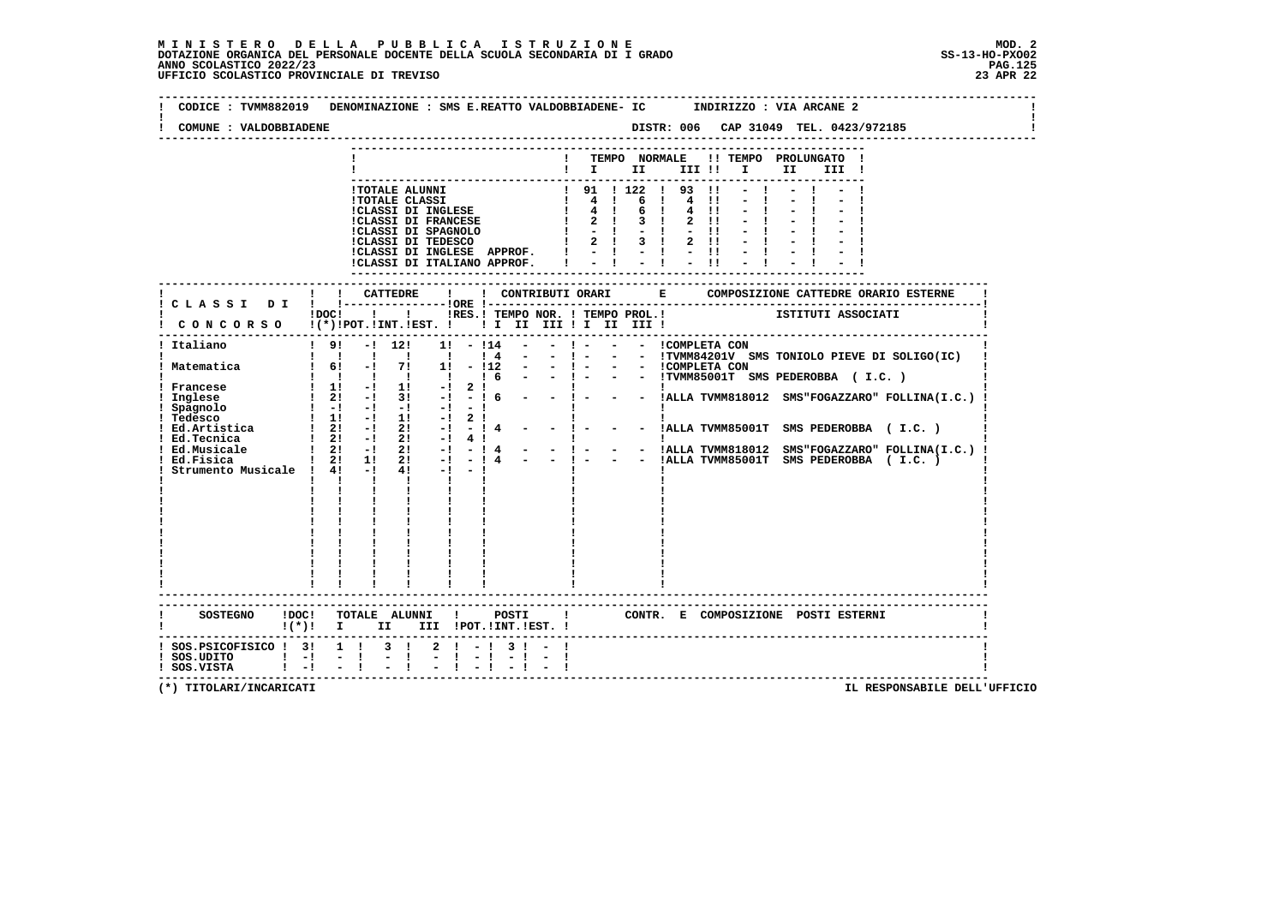| COMUNE : VALDOBBIADENE                                                                           | DISTR: 006 CAP 31049 TEL. 0423/972185<br>-------------------------------                                                                                                                                                                                                                                                                                                                                                                                                                                                                                                                                                                                                                            |
|--------------------------------------------------------------------------------------------------|-----------------------------------------------------------------------------------------------------------------------------------------------------------------------------------------------------------------------------------------------------------------------------------------------------------------------------------------------------------------------------------------------------------------------------------------------------------------------------------------------------------------------------------------------------------------------------------------------------------------------------------------------------------------------------------------------------|
|                                                                                                  | ! TEMPO NORMALE !! TEMPO PROLUNGATO !<br>II D<br>III !                                                                                                                                                                                                                                                                                                                                                                                                                                                                                                                                                                                                                                              |
|                                                                                                  | ! 91 ! 122 ! 93 !!<br>$-1$<br>!TOTALE ALUNNI<br>PUTALE ALUNNI<br>POTALE CLASSI<br>CLASSI DI INGLESE   4  <br>CLASSI DI FRANCESE   4  <br>CLASSI DI FRANCESE   2  <br>CLASSI DI SPAGNOLO   2  <br>CLASSI DI TEDESCO   2  <br>6 1 4 11<br>$-1$<br>4!!<br>6<br>$\blacksquare$<br>$2$ !!<br>$-11$<br>$1 \t2 \t1 \t3 \t1 \t2 \t11$<br>ICLASSI DI INGLESE APPROF. $! - 1 - 1 - 1! - 1$<br>ICLASSI DI ITALIANO APPROF. $! - 1 - 1 - 1! - 1$                                                                                                                                                                                                                                                                |
| ! CLASSI DI                                                                                      | ISTITUTI ASSOCIATI<br>!DOC! ! ! !RES.! TEMPO NOR. ! TEMPO PROL.!                                                                                                                                                                                                                                                                                                                                                                                                                                                                                                                                                                                                                                    |
| ! Italiano<br>! Matematica<br>! Francese<br>! Inglese<br>Spagnolo<br>! Tedesco<br>! Ed.Artistica | CONCORSO !(*)!POT.!INT.!EST. ! ! I II III ! I III III<br>-----------------------------------<br>$!$ 9! $-!$ 12!<br>- ! - - - ICOMPLETA CON<br>$1! - 114$<br>1 1 1 1 1 1 1 1 1 - 1 - - ITUMM84201V SMS TONIOLO PIEVE DI SOLIGO(IC)<br>1 6! -! 7! 1! -!12 - - ! - - ICOMPLETA CON<br>1 !!!!!!! 6 - - ! - - ITUMM85001T SMS PEDEROBBA (I.C.)<br>$\begin{array}{cccccccccc} & 1 & 1 & 1 & 1 & 1 & 1 \\ & -1 & 11 & -1 & 11 & -1 \end{array}$<br>2 $\frac{1}{2}$ 1<br>- 1 6 - - 1 - - - IALLA TVMM818012 SMS"FOGAZZARO" FOLLINA(I.C.)<br>$12! - 13! - 16$<br>Strumento Musicale ! $4!$ -! $4!$ -! -!<br>$\mathbf{I}$ and $\mathbf{I}$ and $\mathbf{I}$ and $\mathbf{I}$<br>$\mathbf{I}$ and $\mathbf{I}$ |
| SOSTEGNO ! DOC!<br>! SOS.PSICOFISICO ! 3! 1 ! 3 !                                                | TOTALE ALUNNI ! POSTI ! CONTR. E COMPOSIZIONE POSTI ESTERNI<br>$2 \cdot 1 - 1 \cdot 3 \cdot 1 - 1$                                                                                                                                                                                                                                                                                                                                                                                                                                                                                                                                                                                                  |
| $:$ SOS.UDITO $:$ $-!$<br>$1 - 1$<br>! SOS.VISTA                                                 | $-1$                                                                                                                                                                                                                                                                                                                                                                                                                                                                                                                                                                                                                                                                                                |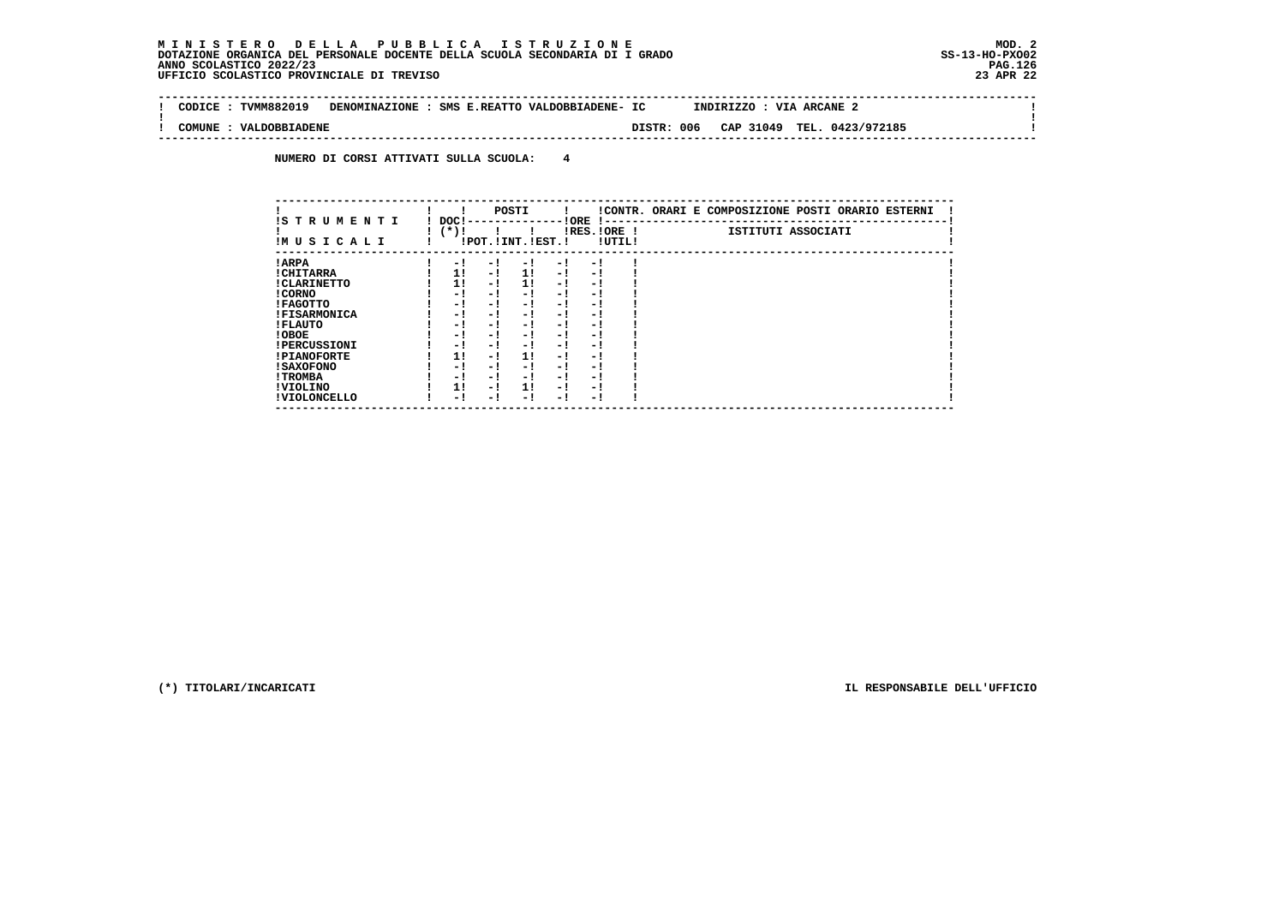### **M I N I S T E R O D E L L A P U B B L I C A I S T R U Z I O N E MOD. 2DOTAZIONE ORGANICA DEL PERSONALE DOCENTE DELLA SCUOLA SECONDARIA DI I GRADO ANNO SCOLASTICO 2022/23 UFFICIO SCOLASTICO PROVINCIALE DI TREVISO 23 APR 22**

 $\sim$ 

 $\mathbf{I}$ 

 $\mathbf{I}$ 

 **-------------------------------------------------------------------------------------------------------------------------------- ! CODICE : TVMM882019 DENOMINAZIONE : SMS E.REATTO VALDOBBIADENE- IC INDIRIZZO : VIA ARCANE 2 !**

 **--------------------------------------------------------------------------------------------------------------------------------**

 **! ! ! COMUNE : VALDOBBIADENE DISTR: 006 CAP 31049 TEL. 0423/972185 !**

 **NUMERO DI CORSI ATTIVATI SULLA SCUOLA: 4**

| IS TRUMENTI         | DOC!   |      |     | POSTI                 |      | ! ORE<br>$\mathbf{I}$ – – |        | !CONTR. ORARI E COMPOSIZIONE POSTI ORARIO ESTERNI |
|---------------------|--------|------|-----|-----------------------|------|---------------------------|--------|---------------------------------------------------|
| IM U S I C A L I    | $(*)!$ |      |     | !POT. ! INT. ! EST. ! |      | IRES. IORE !              | !UTIL! | ISTITUTI ASSOCIATI                                |
| ! ARPA              |        | $-1$ | - ! | - 1                   | $-1$ | - !                       |        |                                                   |
| ! CHITARRA          |        | 1!   | - ! | 1!                    | $-1$ | - 1                       |        |                                                   |
| ! CLARINETTO        |        | 11   | - 1 | 11                    | $-1$ | - !                       |        |                                                   |
| ! CORNO             |        | - 1  | - ! | - 1                   | - 1  | - 1                       |        |                                                   |
| ! FAGOTTO           |        | - 1  | - ! | - 1                   | - 1  | - 1                       |        |                                                   |
| <b>!FISARMONICA</b> |        | - 1  | - ! | - 1                   | - 1  | - 1                       |        |                                                   |
| ! FLAUTO            |        | - 1  | - ! | - 1                   | - 1  | - 1                       |        |                                                   |
| ! OBOE              |        | - 1  | - ! | - 1                   | - !  | - 1                       |        |                                                   |
| <b>!PERCUSSIONI</b> |        | - 1  | - ! | - 1                   | - 1  | - 1                       |        |                                                   |
| <b>!PIANOFORTE</b>  |        | 1!   | - ! | 1!                    | - !  | - 1                       |        |                                                   |
| <b>! SAXOFONO</b>   |        | - !  | - ! | - 1                   | - !  | - 1                       |        |                                                   |
| ! TROMBA            |        | - !  | - ! | - 1                   | - 1  | - 1                       |        |                                                   |
| ! VIOLINO           |        | 1!   | - ! | 11                    | - !  | - 1                       |        |                                                   |
| ! VIOLONCELLO       |        | - !  | - ! | - 1                   | - 1  | - 1                       |        |                                                   |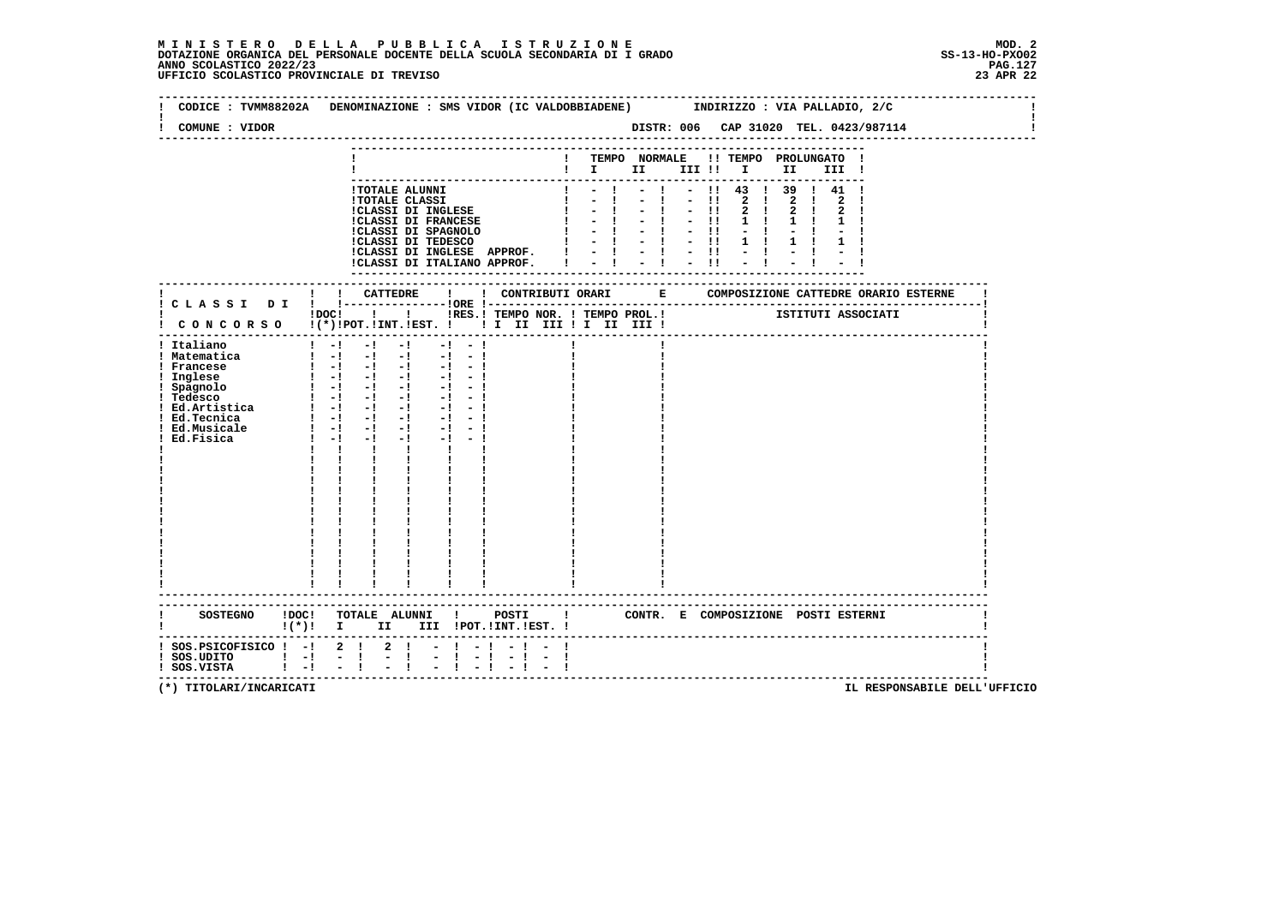| COMUNE : VIDOR                                                                      | DISTR: 006 CAP 31020 TEL. 0423/987114<br>----------------------------                                                                                                                                                                                                                                                                                                                                                                                                                                                                                                                                                                                                                                                                                                                                                               |
|-------------------------------------------------------------------------------------|-------------------------------------------------------------------------------------------------------------------------------------------------------------------------------------------------------------------------------------------------------------------------------------------------------------------------------------------------------------------------------------------------------------------------------------------------------------------------------------------------------------------------------------------------------------------------------------------------------------------------------------------------------------------------------------------------------------------------------------------------------------------------------------------------------------------------------------|
|                                                                                     | ! TEMPO NORMALE !! TEMPO PROLUNGATO !<br>$\mathbf{I}$ is the set of $\mathbf{I}$<br>III !!!!!<br>II<br>III !                                                                                                                                                                                                                                                                                                                                                                                                                                                                                                                                                                                                                                                                                                                        |
|                                                                                     | $1 - 1 - 1 - 1$ $- 11$ 43 1 39 1 41 1<br><b>!TOTALE ALUNNI</b><br>$-1$<br>$-1$ $-11$<br><b>Contract Contract</b><br>$2 \quad 1$<br>$2 \quad 1$<br><b>!TOTALE CLASSI</b><br>$\frac{1}{2}$ , $\frac{1}{2}$ , $\frac{1}{2}$ , $\frac{1}{2}$ , $\frac{1}{2}$ , $\frac{1}{2}$ , $\frac{1}{2}$<br>!CLASSI DI INGLESE<br>$2 \quad 1$<br>$2 \quad 1$<br>$1 \quad 1$<br>$1 \quad 1$<br>CLASSI DI INGLESE $\begin{array}{cccccc} \texttt{ICLASI} & \texttt{DT} & \texttt{INGLESE} & & & & & & & & & \\ \texttt{ICLASI} & \texttt{DT} & \texttt{FRMCESE} & & & & & & & & \\ \texttt{ICLASI} & \texttt{DT} & \texttt{SPACNOLO} & & & & & & & & \\ \texttt{ICLASI} & \texttt{DT} & \texttt{TEDESCO} & & & & & & & & \\ \texttt{ICLASI} & \texttt{DT} & \texttt{TEDESCO} & & & & & & & & \\ \texttt{ICLASI} & \texttt{DT} & \texttt{INGLESE} & \$ |
|                                                                                     | ! ! CATTEDRE<br>$\mathbf{I}$<br>! CLASSI DI ! !----------------!ORE !--<br>!DOC! ! ! !RES.! TEMPO NOR. ! TEMPO PROL.!<br>ISTITUTI ASSOCIATI<br>CONCORSO !(*)!POT.!INT.!EST. !!! II III !I III III !                                                                                                                                                                                                                                                                                                                                                                                                                                                                                                                                                                                                                                 |
| ! Italiano<br>! Matematica<br>! Francese<br>! Ed.Musicale<br>Ed.Fisica              | $1 - 1 - 1 - 1 - 1 - 1 - 1$<br>$\begin{array}{cccccccccccccc} 1 & 1 & -1 & -1 & -1 & -1 & -1 & -1 & -1 & -1 \\ 1 & -1 & -1 & -1 & -1 & -1 & -1 & -1 \end{array}$<br>! Inglese<br>! Spagnolo<br>! Spagnolo<br>! Tedesco<br>! Ted. Ted. The space of the space of the space is the space of the space of the space of the space of the space of the space of the space is the space of the space of the<br>$1 - 1 - 1$<br>$-1$ $-1$ $-1$<br>$\mathbf{I}$ and $\mathbf{I}$<br>$\mathbf{I}$ $\mathbf{I}$<br>$\begin{array}{c} \begin{array}{c} \vdots \\ \vdots \\ \vdots \end{array} \\ \begin{array}{c} 1 \\ \vdots \\ 1 \end{array} \end{array}$<br>$\begin{array}{c c} 1 & 1 & 1 & 1 \\ \hline 1 & 1 & 1 & 1 \\ \end{array}$                                                                                                        |
| $\mathbf{I}(\star)$ i I                                                             | SOSTEGNO !DOC! TOTALE ALUNNI !<br>POSTI<br>! CONTR. E COMPOSIZIONE POSTI ESTERNI<br>II III !POT.!INT.!EST. !                                                                                                                                                                                                                                                                                                                                                                                                                                                                                                                                                                                                                                                                                                                        |
| ! SOS.PSICOFISICO ! -! 2 ! 2 !<br>$!$ SOS.UDITO $!$ $-!$<br>$!$ SOS.VISTA $!$ -! -! | $-1 - 1 - 1 - 1$<br>$\mathbb{Z} \times \frac{1}{4}$<br>$\tau=1$                                                                                                                                                                                                                                                                                                                                                                                                                                                                                                                                                                                                                                                                                                                                                                     |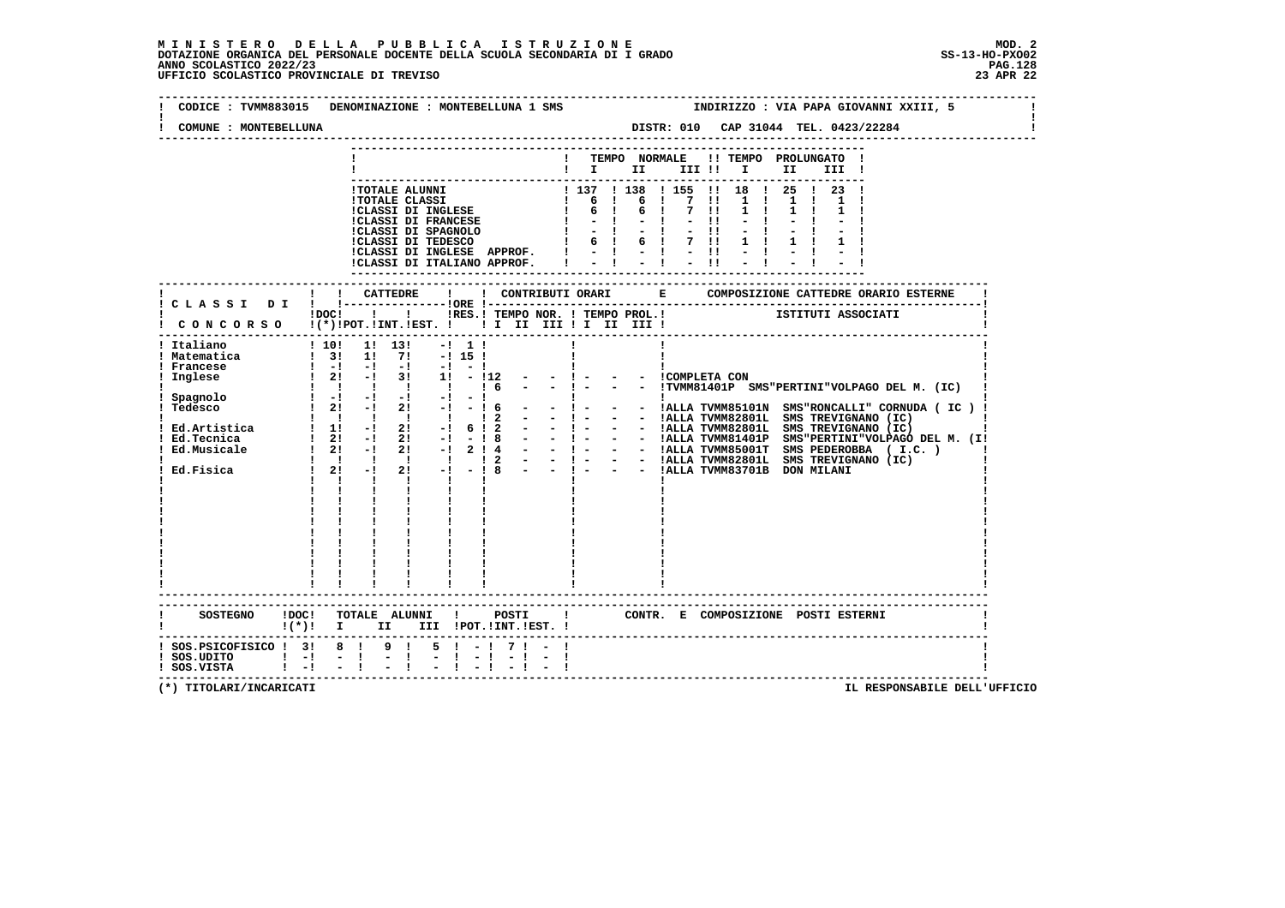## **M I N I S T E R O D E L L A P U B B L I C A I S T R U Z I O N E MOD. 2**DOTAZIONE ORGANICA DEL PERSONALE DOCENTE DELLA SCUOLA SECONDARIA DI I GRADO **SCOLASTICO SCOLASTICO 2022/23 PAG-**<br>PAGO SCOLASTICO 2022/23 PAG.128<br>UFFICIO SCOLASTICO PROVINCIALE DI TREVISO

| COMUNE : MONTEBELLUNA                                                        | DENOMINAZIONE : MONTEBELLUNA 1 SMS                                                                                                                                                                                                                             |                 |          | INDIRIZZO : VIA PAPA GIOVANNI XXIII, 5<br>DISTR: 010 CAP 31044 TEL. 0423/22284<br>--------------------------------                                                                                                                                                                                                                                                                                                                                                           |                                                 |  |  |  |  |  |  |
|------------------------------------------------------------------------------|----------------------------------------------------------------------------------------------------------------------------------------------------------------------------------------------------------------------------------------------------------------|-----------------|----------|------------------------------------------------------------------------------------------------------------------------------------------------------------------------------------------------------------------------------------------------------------------------------------------------------------------------------------------------------------------------------------------------------------------------------------------------------------------------------|-------------------------------------------------|--|--|--|--|--|--|
|                                                                              |                                                                                                                                                                                                                                                                |                 |          | ! TEMPO NORMALE !! TEMPO PROLUNGATO !<br>$\begin{tabular}{cccccccccc} & \textbf{1} & \textbf{1} & \textbf{1} & \textbf{1} & \textbf{1} & \textbf{1} & \textbf{1} & \textbf{1} & \textbf{1} & \textbf{1} & \textbf{1} & \textbf{1} & \textbf{1} & \textbf{1} & \textbf{1} & \textbf{1} & \textbf{1} & \textbf{1} & \textbf{1} & \textbf{1} & \textbf{1} & \textbf{1} & \textbf{1} & \textbf{1} & \textbf{1} & \textbf{1} & \textbf{1} & \textbf{1} & \textbf{1} & \textbf{1}$ |                                                 |  |  |  |  |  |  |
|                                                                              | 1 TOTALE ALUNNI 1 137 1 13<br>1 137 1 13<br>1 CLASSI DI INGLESE   6 1<br>1 CLASSI DI INGLESE   6 1<br>1 CLASSI DI SPAGNOLO   1 - 1<br>1 CLASSI DI SPAGNOLO   6 1<br>1 GLASSI DI TEDESCO   6 1<br>!CLASSI DI INGLESE APPROF. !<br>!CLASSI DI ITALIANO APPROF. I |                 | 6        | ! 137 ! 138 ! 155 !! 18 ! 25 ! 23 !<br>1 7 11<br>$1 \quad 1$<br>7 !!<br>$1 \quad 1$<br>$-1$ $-11$<br>$-11$<br>6 ! 7 !!                                                                                                                                                                                                                                                                                                                                                       |                                                 |  |  |  |  |  |  |
|                                                                              |                                                                                                                                                                                                                                                                |                 |          |                                                                                                                                                                                                                                                                                                                                                                                                                                                                              |                                                 |  |  |  |  |  |  |
|                                                                              | IDOCI   I IRES.I TEMPO NOR. I TEMPO PROL.I ISTITUTI ASSOCIATI<br>! CONCORSO !(*)!POT.!INT.!EST. !!! II III !I III III !                                                                                                                                        |                 |          |                                                                                                                                                                                                                                                                                                                                                                                                                                                                              |                                                 |  |  |  |  |  |  |
| ! Italiano<br>! Matematica<br>! Francese<br>! Inglese                        | ! 10! 1! 13!<br>$-1$ 1 1<br>$1\quad 31\quad 11\quad 71\quad -1151$<br>1 1 1 1 1 1 1 6<br>$\frac{1}{1}$<br>------------------------                                                                                                                             |                 | $-1 - 1$ | - - ICOMPLETA CON                                                                                                                                                                                                                                                                                                                                                                                                                                                            | - - !TVMM81401P SMS"PERTINI"VOLPAGO DEL M. (IC) |  |  |  |  |  |  |
|                                                                              | $!(*)!$ I II III !POT.!INT. EST. !                                                                                                                                                                                                                             |                 |          |                                                                                                                                                                                                                                                                                                                                                                                                                                                                              |                                                 |  |  |  |  |  |  |
| ! SOS.PSICOFISICO ! 3! 8 ! 9 !<br>! SOS.UDITO   -! -!<br>! SOS.VISTA   -! -! | $-1$                                                                                                                                                                                                                                                           | 5 ! - ! 7 ! - ! |          |                                                                                                                                                                                                                                                                                                                                                                                                                                                                              |                                                 |  |  |  |  |  |  |